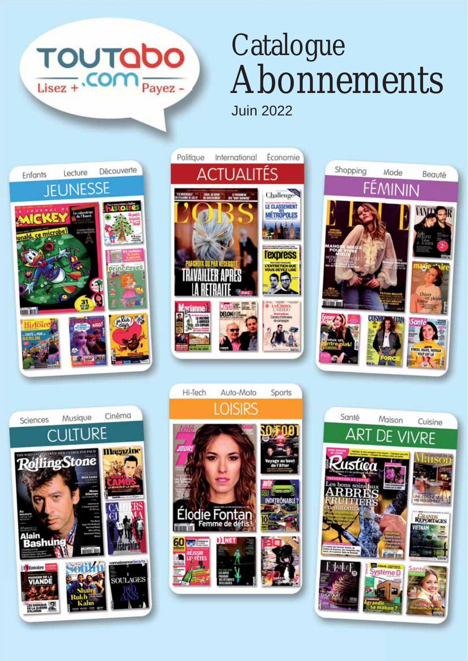

## **Catalogue** Abonnements Juin 2022











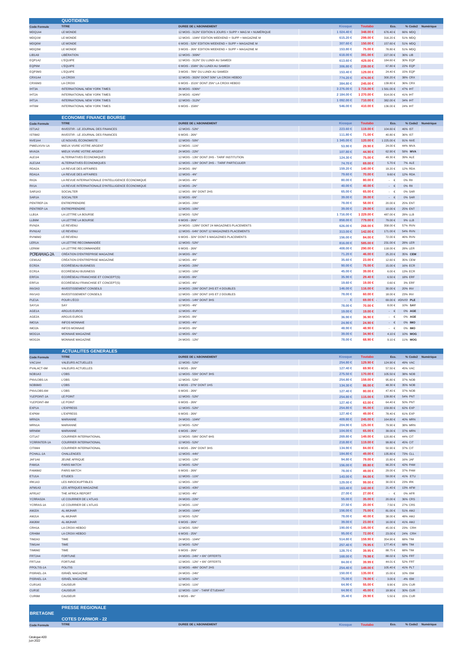|                     | <b>QUOTIDIENS</b>                                 |                                                            |                        |                    |                      |                           |                   |
|---------------------|---------------------------------------------------|------------------------------------------------------------|------------------------|--------------------|----------------------|---------------------------|-------------------|
| <b>Code Formule</b> | <b>TITRE</b>                                      | DUREE DE L'ABONNEMENT                                      | <b>Kiosque</b>         | <b>Toutabo</b>     | Eco.                 |                           | % Code2 Numérique |
| MDQ1A4              | LE MONDE                                          | 12 MOIS - 312N° EDITION 6 JOURS + SUPP + MAG M + NUMÉRIQUE | 1 024.40 €             | 348.00 €           | 676.40€              | 66% MDQ                   |                   |
| MDQ1W               | LE MONDE                                          | 12 MOIS - 104N° EDITION WEEKEND + SUPP + MAGAZINE M        | 615.20 €               | 299.00 €           | 316.20€              | 51% MDQ                   |                   |
| MDQ6W               | LE MONDE                                          | 6 MOIS - 52N° EDITION WEEKEND + SUPP + MAGAZINE M          | 307.60 €               | 150.00 €           | 157.60 €             | 51% MDQ                   |                   |
| MDQ3W               | LE MONDE                                          | 3 MOIS - 26N° EDITION WEEKEND + SUPP + MAGAZINE M          | 153.80 €               | 75.00 €            | 78.80 €              | 51% MDQ                   |                   |
| LIB1A9              | LIBÉRATION                                        | 12 MOIS - 309N'                                            | $618.00 \in$           | 391.00 €           | 227.00€              | 36% LIB                   |                   |
| EQP1A2              | <b>L'EQUIPE</b>                                   | 12 MOIS - 312N° DU LUNDI AU SAMEDI                         | 613.60 €               | 429.00 €           | 184.60 €             | 30% EQP                   |                   |
|                     |                                                   |                                                            |                        |                    |                      |                           |                   |
| EQP6M               | <b>L'EQUIPE</b>                                   | 6 MOIS - 156N° DU LUNDI AU SAMEDI                          | 306.80 €               | 239.00 €           | 67.80 €              | 22% EQP                   |                   |
| EQP3M3              | <b>L'EQUIPE</b>                                   | 3 MOIS - 78N° DU LUNDI AU SAMEDI                           | 153,40 €               | 129.00 €           | $24.40 \in$          | 15% EQP                   |                   |
| CRX1A4              | LA CROIX                                          | 12 MOIS - 302N° DONT 50N° LA CROIX HEBDO                   | 774.20 €               | 474.00 €           | 300.20 $\in$         | 38% CRX                   |                   |
| CRX6M3              | LA CROIX                                          | 6 MOIS - 151N° DONT 25N° LA CROIX HEBDO                    | 384.80 €               | 245.00 €           | 139.80 €             | 36% CRX                   |                   |
| IHT3A               | INTERNATIONAL NEW YORK TIMES                      | 36 MOIS - 936N'                                            | 3 276.00 €             | 1715.00 €          | 1561.00€             | 47% IHT                   |                   |
| IHT2A               | INTERNATIONAL NEW YORK TIMES                      | 24 MOIS - 624N                                             | 2 184.00 €             | 1 270.00 €         | 914.00€              | 41% IHT                   |                   |
| IHT1A               | INTERNATIONAL NEW YORK TIMES                      | 12 MOIS - 312N                                             | 1 092.00 €             | 710.00 €           | 382.00 €             | 34% IHT                   |                   |
| IHT6M               | INTERNATIONAL NEW YORK TIMES                      | 6 MOIS - 156N°                                             | 546.00 €               | 410.00 €           | 136.00€              | 24% IHT                   |                   |
|                     |                                                   |                                                            |                        |                    |                      |                           |                   |
|                     | <b>ECONOMIE FINANCE BOURSE</b>                    |                                                            |                        |                    |                      |                           |                   |
|                     |                                                   |                                                            |                        |                    |                      |                           |                   |
| <b>Code Formule</b> | <b>TITRE</b>                                      | <b>DUREE DE L'ABONNEMENT</b>                               | <b>Kiosque</b>         | <b>Toutabo</b>     | Eco.                 |                           | % Code2 Numérique |
| IST1A2              | <b>INVESTIR - LE JOURNAL DES FINANCES</b>         | 12 MOIS - 52N°                                             | $223.60 \in$           | 119.00 €           | 104.60 €             | 46% IST                   |                   |
| IST6M2              | INVESTIR - LE JOURNAL DES FINANCES                | 6 MOIS - 26N°                                              | 111.80 €               | 71.00 €            | 40.80 €              | 36% IST                   |                   |
| NVE1A4              | LE NOUVEL ÉCONOMISTE                              | 12 MOIS - 50N°                                             | 1 345.00 €             | 120.00 €           | 1 225.00 €           | 91% NVE                   |                   |
| PMIEUXVIV-1A        | MIEUX VIVRE VOTRE ARGENT                          | 12 MOIS - 11N°                                             | 53.90 €                | 29.90 €            | 24.00 €              | 44% MVA                   |                   |
| MVA2A               | MIEUX VIVRE VOTRE ARGENT                          | 24 MOIS - 22N°                                             | 107.80 ∈               | 44.90 €            | 62.90 €              | 58% MVA                   |                   |
|                     |                                                   |                                                            |                        |                    |                      |                           |                   |
| ALE114              | ALTERNATIVES ÉCONOMIQUES                          | 12 MOIS - 13N° DONT 2HS - TARIF INSTITUTION                | 124.30 €               | 75.00 €            | 49.30 €              | 39% ALE                   |                   |
| ALE1A4              | ALTERNATIVES ÉCONOMIQUES                          | 12 MOIS - 13N° DONT 2HS - TARIF PARTICULIER                | 74.70 €                | 69.00 €            | 5.70 €               | 7% ALE                    |                   |
| RDA2A               | LA REVUE DES AFFAIRES                             | 24 MOIS - 8N°                                              | 159.20 €               | 140.00 €           | 19.20€               | 12% RDA                   |                   |
| RDA1A               | LA REVUE DES AFFAIRES                             | 12 MOIS - 4N°                                              | 79.60 €                | 70.00 $\in$        | $9.60 \in$           | 12% RDA                   |                   |
| RII2A               | LA REVUE INTERNATIONALE D'INTELLIGENCE ÉCONOMIQUE | 24 MOIS - 4N°                                              | $80.00 \in$            | 80.00 €            | $\cdot$ $\in$        | 0% RII                    |                   |
| RII1A               | LA REVUE INTERNATIONALE D'INTELLIGENCE ÉCONOMIQUE | 12 MOIS - 2N°                                              | 40.00 $∈$              | 40.00 €            | €                    | 0% RII                    |                   |
|                     |                                                   |                                                            |                        |                    | $\sim$               |                           |                   |
| SAR1A3              | SOCIALTER                                         | 12 MOIS - 8N° DONT 2HS                                     | 65.00 €                | 65.00 €            | $\sim$<br>€          | 0% SAR                    |                   |
| SAR <sub>1</sub> A  | <b>SOCIALTER</b>                                  | 12 MOIS - 6N°                                              | 39.00 ∈                | 39.00 €            | $\sim$<br>€          | 0% SAR                    |                   |
| PENTREP-2A          | <b>ENTREPRENDRE</b>                               | 24 MOIS - 20N                                              | 78,00 €                | 58,00 €            | 20.00€               | <b>25% ENT</b>            |                   |
| PENTREP-1A          | <b>ENTREPRENDRE</b>                               | 12 MOIS - 10N°                                             | 39.00 €                | 29.00 €            | 10.00€               | 25% ENT                   |                   |
| LLB1A               | LA LETTRE LA BOURSE                               | 12 MOIS - 52N°                                             | 1716.00 €              | 1 229.00 €         | 487.00 €             | 28% LLB                   |                   |
| LLB6M               | LA LETTRE LA BOURSE                               | 6 MOIS - 26N°                                              | 858.00 €               | 779.00 €           | 79.00 €              | 9% LLB                    |                   |
|                     |                                                   |                                                            |                        |                    |                      |                           |                   |
| RVN <sub>2</sub> A  | LE REVENU                                         | 24 MOIS - 128N° DONT 24 MAGAZINES PLACEMENTS               | 626.00 €               | 268.00 €           | 358.00 €             | 57% RVN                   |                   |
| RVN1A2              | LE REVENU                                         | 12 MOIS - 64N° DONT 12 MAGAZINES PLACEMENTS                | 313.00 €               | 142.00 €           | 171.00 €             | 54% RVN                   |                   |
| RVN6M2              | LE REVENU                                         | 6 MOIS - 32N° DONT 6 MAGAZINES PLACEMENTS                  | 156.00 €               | 84.00 €            | 72.00€               | 46% RVN                   |                   |
| LER1A               | LA LETTRE RECOMMANDÉE                             | 12 MOIS - 52N°                                             | 816.00 $\in$           | 585.00 €           | 231.00€              | 28% LER                   |                   |
| LER6M               | LA LETTRE RECOMMANDÉE                             | 6 MOIS - 26N°                                              | 408.00 €               | 290.00 €           | 118.00 €             | 28% LER                   |                   |
|                     |                                                   |                                                            |                        |                    |                      |                           |                   |
| PCREAMAG-2A         | CRÉATION D'ENTREPRISE MAGAZINE                    | 24 MOIS - 8N°                                              | 71.20 €                | 46.00 €            | 25.20 €              | 35% CEM                   |                   |
| CEM1A2              | CRÉATION D'ENTREPRISE MAGAZINE                    | 12 MOIS - 4N°                                              | 35.60 €                | 23,00 €            | 12.60 €              | 35% CEM                   |                   |
| ECR2A               | <b>ECORÉSEAU BUSINESS</b>                         | 24 MOIS - 20N°                                             | 90.00 $\in$            | 75.00 €            | 15.00 €              | 16% ECR                   |                   |
| ECR1A               | <b>ECORÉSEAU BUSINESS</b>                         | 12 MOIS - 10N°                                             | 45,00 €                | 39.00 €            | 6.00€                | 13% ECR                   |                   |
| ERF2A               | ECORÉSEAU FRANCHISE ET CONCEPT(S)                 | 24 MOIS - 8N°                                              | $35.90 \in$            | 29.40 €            | 6.50€                | <b>18% ERF</b>            |                   |
| ERF1A               | ECORÉSEAU FRANCHISE ET CONCEPT(S)                 | 12 MOIS - 4N°                                              | 19.60 €                | 19.00 €            | $0.60 \in$           | 3% ERF                    |                   |
|                     |                                                   |                                                            |                        |                    |                      |                           |                   |
| INV2A3              | <b>INVESTISSEMENT CONSEILS</b>                    | 24 MOIS - 20N° DONT 2HS ET 4 DOUBLES                       | 146.00 €               | 116.00 €           | $30.00 \in$          | <b>20% INV</b>            |                   |
| INV1A3              | <b>INVESTISSEMENT CONSEILS</b>                    | 12 MOIS - 10N° DONT 1HS ET 2 DOUBLES                       | 78.00 €                | 60.00 €            | 18.00 €              | 23% INV                   |                   |
| PLE <sub>1</sub> A  | POUR L'ÉCO                                        | 12 MOIS - 14N° DONT 3HS                                    | $\cdot \cdot \in$      | 69.00 €            |                      | 69.00 € #DIV/0! PLE       |                   |
| SAY1A               | SAY                                               | 12 MOIS - 4N°                                              | 78.00 €                | 70.00 €            | 8.00€                | 10% SAY                   |                   |
| AGE1A               | ARGUS EUROS                                       | 12 MOIS - 4N°                                              | 19,00 €                | 19.00 €            | $\cdot$ $\in$        | 0% AGE                    |                   |
| AGE2A               | ARGUS EUROS                                       | 24 MOIS - 8N°                                              | 36,90 €                | 36,90 €            | $\cdot$ $\in$        | 0% AGE                    |                   |
| IMO1A               | INFOS MONNAIE                                     | 12 MOIS - 4N°                                              | 24.90 €                | 24.90 €            | $\cdot$ $\in$        | 0% IMO                    |                   |
|                     |                                                   |                                                            |                        |                    |                      |                           |                   |
| IMO <sub>2</sub> A  | <b>INFOS MONNAIE</b>                              | 24 MOIS - 8N°                                              | 48.90 €                | 48.90 €            | €<br>$\sim$          | 0% IMO                    |                   |
| MOG1A               | MONNAIE MAGAZINE                                  | 12 MOIS - 6N°                                              | 39.00 ∈                | 34.90 €            | 4.10€                | 10% MOG                   |                   |
| MOG2A               | MONNAIE MAGAZINE                                  | 24 MOIS - 12N°                                             | 78.00 €                | 68.90 €            | 9.10€                | 11% MOG                   |                   |
|                     |                                                   |                                                            |                        |                    |                      |                           |                   |
|                     | <b>ACTUALITES GENERALES</b>                       |                                                            |                        |                    |                      |                           |                   |
| <b>Code Formule</b> | <b>TITRE</b>                                      | <b>DUREE DE L'ABONNEMENT</b>                               | <b>Kiosaue</b>         | <b>Toutabo</b>     | Eco.                 |                           | % Code2 Numérique |
| VAC1A4              | VALEURS ACTUELLES                                 | 12 MOIS - 52N°                                             | 254.80 €               | 129.90 €           | 124.90 €             | 49% VAC                   |                   |
| PVALACT-6M          | VALEURS ACTUELLES                                 | 6 MOIS - 26N°                                              | 127.40 €               | 69.90 €            | 57.50 €              | 45% VAC                   |                   |
|                     | L'OBS                                             | 12 MOIS - 55N° DONT 3HS                                    |                        |                    |                      |                           |                   |
| NOB1A3              |                                                   |                                                            | 275.50 ∈               | 170.00 €           | 105.50 €             | 38% NOB                   |                   |
| PNVLOBS-1A          | L'OBS                                             | 12 MOIS - 52N°                                             | 254.80 €               | 159.00 €           | 95.80€               | 37% NOB                   |                   |
| NOB6M3              | L'OBS                                             | 6 MOIS - 27N° DONT 1HS                                     | 134.30 €               | 86.00 €            | 48.30 €              | 35% NOB                   |                   |
| PNVLOBS-6M          | L'OBS                                             | 6 MOIS - 26N°                                              | 127.40 €               | 80.00 €            | 47.40 €              | 37% NOB                   |                   |
| YLEPOINT-1A         | LE POINT                                          | 12 MOIS - 52N°                                             | 254.80 €               | 115.00 €           | 139.80 €             | 54% PNT                   |                   |
| YLEPOINT-6M         | LE POINT                                          | 6 MOIS - 26N°                                              | 127.40 €               | 63.00 €            | $64.40 \in$          | 50% PNT                   |                   |
| EXP1A               | <b>L'EXPRESS</b>                                  | 12 MOIS - 52N°                                             | 254.80 ∈               | 95.00 €            | 159.80 €             | 62% EXP                   |                   |
|                     |                                                   |                                                            |                        |                    |                      |                           |                   |
| EXP6M               | <b>L'EXPRESS</b>                                  | 6 MOIS - 26N°                                              | 127.40 €               | 49.00 €            | 78.40 €              | 61% EXP                   |                   |
| MRN2A               | MARIANNE                                          | 24 MOIS - 104N°                                            | 409.80 €               | 245.00 €           | 164.80 €             | 40% MRN                   |                   |
| MRN1A               | MARIANNE                                          | 12 MOIS - 52N°                                             | 204.90 €               | 125.00 €           | 79.90€               | 38% MRN                   |                   |
| MRN6M               | MARIANNE                                          | 6 MOIS - 26N°                                              | 104.00 ∈               | 65.00 €            | 39.00 $\in$          | 37% MRN                   |                   |
| CIT1A7              | COURRIER INTERNATIONAL                            | 12 MOIS - 58N° DONT 6HS                                    | 269.80 €               | 149.00 €           | 120.80 €             | 44% CIT                   |                   |
| YCRRINTER-1A        | COURRIER INTERNATIONAL                            | 12 MOIS - 52N°                                             | 218.80 ∈               | 119.00 €           | 99.80 €              | 45% CIT                   |                   |
| CIT6M4              | COURRIER INTERNATIONAL                            | 6 MOIS - 29N° DONT 3HS                                     | 134.90 €               | 84.00 €            | 50.90€               | 37% CIT                   |                   |
|                     |                                                   |                                                            |                        |                    |                      |                           |                   |
| PCHALL-1A           | CHALLENGES                                        | 12 MOIS - 44N°                                             | 184.80 €               | 49.00 €            | 135.80 €             | 73% CLL                   |                   |
| JAF1A6              | JEUNE AFRIQUE                                     | 12 MOIS - 12N°                                             | 94.80 $\in$            | 79.00 €            | 15,80 €              | 16% JAF                   |                   |
| PAM1A               | PARIS MATCH                                       | 12 MOIS - 52N°                                             | 156.00 €               | 89.80 €            | 66.20 €              | 42% PAM                   |                   |
| PAM6M2              | PARIS MATCH                                       | 6 MOIS - 26N°                                              | 78.00 €                | 49.00 €            | 29.00 €              | 37% PAM                   |                   |
| ETU1A               | <b>ETUDES</b>                                     | 12 MOIS - 11N°                                             | 143.00 €               | 84.00 €            | 59.00 €              | 41% ETU                   |                   |
| IRK1A3              | LES INROCKUPTIBLES                                | 12 MOIS - 10N°                                             | 129.00 €               | 99.00 €            | 30.00€               | 23% IRK                   |                   |
| AFM1A3              | LES AFRIQUES MAGAZINE                             | 12 MOIS - 43N°                                             | 163.40 €               | 142.00 €           | 21.40 €              | 13% AFM                   |                   |
|                     |                                                   |                                                            |                        |                    |                      |                           |                   |
| AFR1A7              | THE AFRICA REPORT                                 | 12 MOIS - 4N°                                              | 27,00 €                | 27.00 €            | $\cdot$ $\in$        | 0% AFR                    |                   |
| YCRRAS2A            | LE COURRIER DE L'ATLAS                            | 24 MOIS - 22N°                                             | 55.00 €                | 35.00 €            | $20.00\in$           | 36% CRS                   |                   |
| YCRRAS-1A           | LE COURRIER DE L'ATLAS                            | 12 MOIS - 11N°                                             | 27.50 €                | 20.00 €            | 7.50 €               | 27% CRS                   |                   |
| AMJ2A               | AL-MIJHAR                                         | 24 MOIS - 104N°                                            | 156.00 €               | 75.00 €            | 81.00 €              | 51% AMJ                   |                   |
| AMJ1A               | AL-MIJHAR                                         | 12 MOIS - 52N°                                             | 78.00 €                | 40.00 €            | 38.00 €              | 48% AMJ                   |                   |
| AMJ6M               | AL-MIJHAR                                         | 6 MOIS - 26N°                                              | 39.00 ∈                | 23.00 €            | 16.00 €              | 41% AMJ                   |                   |
| CRH1A               |                                                   |                                                            |                        |                    | 45.00€               | 23% CRH                   |                   |
|                     | LA CROIX HEBDO                                    | 12 MOIS - 50N°                                             | 190,00 €               | 145.00 €           |                      |                           |                   |
| CRH6M               | LA CROIX HEBDO                                    | 6 MOIS - 25N°                                              | 95.00 $\in$            | 72.00 €            | $23.00\in$           | 24% CRH                   |                   |
| TIM2A3              | TIME                                              | 24 MOIS - 104N°                                            | 514.80 €               | 159.90 €           | 354.90 €             | 68% TIM                   |                   |
| TIM1A4              | TIME                                              | 12 MOIS - 52N°                                             | 257.40 €               | 79.95 €            | 177.45 €             | 68% TIM                   |                   |
| TIM6M2              | TIME                                              | 6 MOIS - 26N°                                              | 128.70 €               | 39.95 €            | 88.75 €              | 68% TIM                   |                   |
| FRT2A4              | <b>FORTUNE</b>                                    | 24 MOIS - 24N° + 6N° OFFERTS                               | 168.00 ∈               | 79.98 €            | 88.02€               | 52% FRT                   |                   |
|                     |                                                   |                                                            |                        |                    |                      |                           |                   |
| FRT1A4              | <b>FORTUNE</b>                                    | 12 MOIS - 12N° + 6N° OFFERTS                               | 84.00 €                | 39.99 €            | 44.01 €              | 52% FRT                   |                   |
| PPOLTIS-1A          | <b>POLITIS</b>                                    | 12 MOIS - 48N° DONT 2HS                                    | 254.40 €               | 149.00 €           | 105.40 €             | 41% PLT                   |                   |
| PISRAEL-2A          | ISRAËL MAGAZINE                                   | 24 MOIS - 24N°                                             | 150.00 €               | 135.00 €           | 15.00 €              | 10% ISM                   |                   |
| PISRAEL-1A          |                                                   | 12 MOIS - 12N°                                             | 75.00 €                | 78.00 €            | $3.00\in$            | $-4\%$ ISM                |                   |
|                     | ISRAËL MAGAZINE                                   |                                                            |                        |                    |                      |                           |                   |
|                     |                                                   |                                                            |                        |                    |                      |                           |                   |
| CUR1A5<br>CUR1E     | CAUSEUR<br>CAUSEUR                                | 12 MOIS - 11N°<br>12 MOIS - 11N° - TARIF ÉTUDIANT          | 64.90 €<br>$64.90 \in$ | 55.00 €<br>45.00 € | $9.90 \in$<br>19.90€ | <b>15% CUR</b><br>30% CUR |                   |

**PRESSE REGIONALE BRETAGNE COTES D'ARMOR - 22 CODE DE L'ABONNEMENT DURE DE L'ABONNEMENT**<br>Code Formule **TITRE Eco.** % Code2 Numérique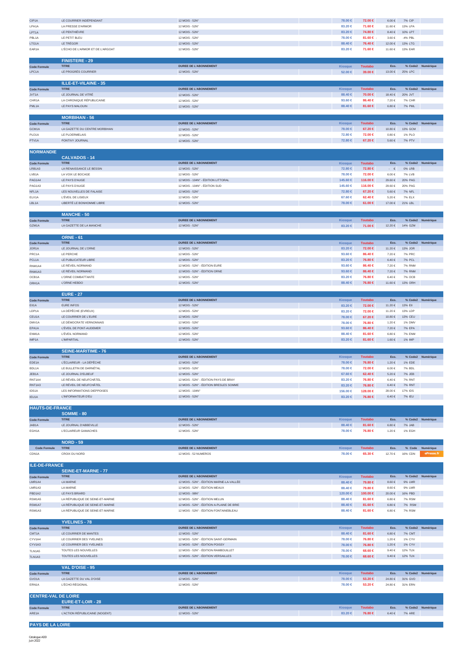| CIP1A                        | LE COURRIER INDÉPENDANT                           | 12 MOIS - 52N°                                                              | $78.00 \in$            | 72.00 €             | $6.00\in$                | 7% CIP                  |                   |
|------------------------------|---------------------------------------------------|-----------------------------------------------------------------------------|------------------------|---------------------|--------------------------|-------------------------|-------------------|
| LPA1A                        | LA PRESSE D'ARMOR                                 | 12 MOIS - 52N°                                                              | 83.20 €                | 71.60 €             | 11.60 €                  | 13% LPA                 |                   |
| LPT1A                        | LE PENTHIÈVRE                                     | 12 MOIS - 52N°                                                              | 83.20 €                | 74.80 €             | $8.40 \in$               | 10% LPT                 |                   |
| PBL1A                        | LE PETIT BLEU                                     | 12 MOIS - 52N°                                                              | 78.00 €                | 81.60 €             | $3.60 \in$               | -4% PBL                 |                   |
| LTG1A                        | LE TRÉGOR                                         | 12 MOIS - 52N°                                                              | 88.40 $\in$            | 76.40 €             | 12.00 €                  | 13% LTG                 |                   |
| EAR1A                        | L'ÉCHO DE L'ARMOR ET DE L'ARGOAT                  | 12 MOIS - 52N°                                                              | 83.20 €                | 71.60 €             | 11.60 €                  | 13% EAR                 |                   |
|                              | <b>FINISTERE - 29</b>                             |                                                                             |                        |                     |                          |                         |                   |
| <b>Code Formule</b>          | <b>TITRE</b>                                      | <b>DUREE DE L'ABONNEMENT</b>                                                | <b>Kiosque</b>         | <b>Toutabo</b>      | Eco.                     |                         | % Code2 Numérique |
| LPC1A                        | LE PROGRÈS COURRIER                               | 12 MOIS - 52N°                                                              | 52.00 €                | 39.00 €             | 13.00 €                  | 25% LPC                 |                   |
|                              |                                                   |                                                                             |                        |                     |                          |                         |                   |
|                              | ILLE-ET-VILAINE - 35                              |                                                                             |                        |                     |                          |                         |                   |
| <b>Code Formule</b>          | <b>TITRE</b>                                      | <b>DUREE DE L'ABONNEMENT</b>                                                | Kiosque                | <b>Toutabo</b>      | Eco.                     |                         | % Code2 Numérique |
| JVT1A<br>CHR1A               | LE JOURNAL DE VITRÉ<br>LA CHRONIQUE RÉPUBLICAINE  | 12 MOIS - 52N°                                                              | 88.40 €<br>93.60 $\in$ | 70.00 €             | 18.40 €<br>7.20€         | 20% JVT<br>7% CHR       |                   |
| PML1A                        | LE PAYS MALOUIN                                   | 12 MOIS - 52N°<br>12 MOIS - 52N°                                            | 88.40 €                | 86.40 €<br>81.60 €  | $6.80\in$                | <b>7% PML</b>           |                   |
|                              |                                                   |                                                                             |                        |                     |                          |                         |                   |
|                              | <b>MORBIHAN - 56</b>                              |                                                                             |                        |                     |                          |                         |                   |
| <b>Code Formule</b>          | <b>TITRE</b>                                      | <b>DUREE DE L'ABONNEMENT</b>                                                | Kiosque                | <b>Toutabo</b>      | Eco.                     |                         | % Code2 Numérique |
| GCM1A                        | LA GAZETTE DU CENTRE MORBIHAN                     | 12 MOIS - 52N°                                                              | 78.00 €                | 67.20 €             | 10.80€                   | 13% GCM                 |                   |
| PLO1A                        | LE PLOERMELAIS                                    | 12 MOIS - 52N°                                                              | 72.80 €                | 72.00 €             | $0.80 \in$               | 1% PLO                  |                   |
| PTV1A                        | PONTIVY JOURNAL                                   | 12 MOIS - 52N°                                                              | 72.80 €                | 67.20 €             | $5.60 \in$               | 7% PTV                  |                   |
| <b>NORMANDIE</b>             |                                                   |                                                                             |                        |                     |                          |                         |                   |
|                              | <b>CALVADOS - 14</b>                              |                                                                             |                        |                     |                          |                         |                   |
| <b>Code Formule</b>          | <b>TITRE</b>                                      | DUREE DE L'ABONNEMENT                                                       | Kiosque                | <b>Toutabo</b>      | Eco.                     |                         | % Code2 Numérique |
| LRB1A3                       | LA RENAISSANCE LE BESSIN                          | 12 MOIS - 52N°                                                              | 72.80 €                | 72.80 €             | $\cdot$ $\in$            | 0% LRB                  |                   |
| LVB1A                        | LA VOIX LE BOCAGE                                 | 12 MOIS - 52N°                                                              | 78.00 €                | 72.00 €             | $6.00 \in$               | 7% LVB                  |                   |
| PAG1A4                       | LE PAYS D'AUGE                                    | 12 MOIS - 104N° - ÉDITION LITTORAL                                          | 145.60 €               | 116.00 €            | 29.60 €                  | 20% PAG                 |                   |
| PAG1A3                       | LE PAYS D'AUGE                                    | 12 MOIS - 104N° - ÉDITION SUD                                               | 145.60 €               | 116.00 €            | 29.60 €                  | 20% PAG                 |                   |
| NFL1A                        | LES NOUVELLES DE FALAISE                          | 12 MOIS - 52N°                                                              | 72.80 €                | 67.20 €             | $5.60 \in$               | 7% NFL                  |                   |
| ELX1A                        | L'ÉVEIL DE LISIEUX                                | 12 MOIS - 52N°                                                              | 67.60 €                | 62.40 €             | 5.20€                    | 7% ELX                  |                   |
| LBL1A                        | LIBERTÉ LE BONHOMME LIBRE                         | 12 MOIS - 52N°                                                              | 78.00 €                | 61.00 €             | 17.00 €                  | 21% LBL                 |                   |
|                              | <b>MANCHE - 50</b>                                |                                                                             |                        |                     |                          |                         |                   |
| <b>Code Formule</b>          | <b>TITRE</b>                                      | <b>DUREE DE L'ABONNEMENT</b>                                                | Kiosque                | <b>Toutabo</b>      | Eco.                     |                         | % Code2 Numérique |
| GZM1A                        | LA GAZETTE DE LA MANCHE                           | 12 MOIS - 52N°                                                              | 83.20 €                | 71.00 €             | 12.20€                   | 14% GZM                 |                   |
|                              |                                                   |                                                                             |                        |                     |                          |                         |                   |
|                              | <b>ORNE - 61</b>                                  |                                                                             |                        |                     |                          |                         |                   |
| <b>Code Formule</b>          | <b>TITRE</b>                                      | <b>DUREE DE L'ABONNEMENT</b>                                                | Kiosque                | <b>Toutabo</b>      | Eco.                     |                         | % Code2 Numérique |
| JOR1A                        | LE JOURNAL DE L'ORNE                              | 12 MOIS - 52N°                                                              | 83.20 €                | 72.00 €             | 11.20 €                  | 13% JOR                 |                   |
| PRC1A                        | LE PERCHE                                         | 12 MOIS - 52N°                                                              | 93.60 €                | 86.40 €             | 7.20€                    | <b>7% PRC</b>           |                   |
| PCL <sub>1</sub> A           | LE PUBLICATEUR LIBRE                              | 12 MOIS - 52N°                                                              | 83.20 $\in$            | 76.80 €             | $6.40 \in$               | 7% PCL                  |                   |
| RNM1A4                       | LE RÉVEIL NORMAND<br>LE RÉVEIL NORMAND            | 12 MOIS - 52N° - ÉDITION EURE<br>12 MOIS - 52N° - ÉDITION ORNE              | 93.60 €<br>93.60 €     | 86.40 €<br>86.40 €  | 7.20€<br>7.20 €          | 7% RNM<br><b>7% RNM</b> |                   |
| RNM1A3<br>OCB1A              | L'ORNE COMBATTANTE                                | 12 MOIS - 52N°                                                              | 83.20 €                | 76.80 €             | 6.40€                    | 7% OCB                  |                   |
| ORH1A                        | L'ORNE HEBDO                                      | 12 MOIS - 52N°                                                              | 88.40 $\in$            | 76.80 €             | 11.60 €                  | 13% ORH                 |                   |
|                              |                                                   |                                                                             |                        |                     |                          |                         |                   |
|                              | <b>EURE - 27</b>                                  |                                                                             |                        |                     |                          |                         |                   |
| <b>Code Formule</b>          | <b>TITRE</b>                                      | <b>DUREE DE L'ABONNEMENT</b>                                                | Kiosque                | <b>Toutabo</b>      | Eco.                     |                         | % Code2 Numérique |
| EII1A                        | EURE INFOS                                        | 12 MOIS - 52N°                                                              | 83.20 €                | 72.00 €             | 11.20€                   | 13% EII                 |                   |
| LDP1A                        | LA DÉPÊCHE (EVREUX)                               | 12 MOIS - 52N°                                                              | 83.20 €                | 72.00 €             | 11.20€                   | 13% LDP                 |                   |
| CEU1A                        | LE COURRIER DE L'EURE                             | 12 MOIS - 52N°                                                              | 78.00 €                | 67.20 €             | 10.80 €                  | 13% CEU                 |                   |
| DMV1A                        | LE DÉMOCRATE VERNONNAIS                           | 12 MOIS - 52N°                                                              | 78.00 €                | 76.80 €             | 1.20€                    | 1% DMV                  |                   |
| EPA1A                        | L'ÉVEIL DE PONT-AUDEMER                           | 12 MOIS - 52N°                                                              | 93.60 €                | 86.40 €             | 7.20€                    | 7% EPA                  |                   |
|                              |                                                   |                                                                             |                        |                     |                          |                         |                   |
| ENM1A                        | L'ÉVEIL NORMAND                                   | 12 MOIS - 52N°                                                              | 88.40 €                | 81.60 €             | $6.80\in$                | <b>7% ENM</b>           |                   |
| IMP1A                        | <b>L'IMPARTIAL</b>                                | 12 MOIS - 52N°                                                              | 83.20 €                | 81.60 €             | 1.60 €                   | 1% IMP                  |                   |
|                              |                                                   |                                                                             |                        |                     |                          |                         |                   |
|                              | <b>SEINE-MARITIME - 76</b><br><b>TITRE</b>        | <b>DUREE DE L'ABONNEMENT</b>                                                |                        | <b>Toutabo</b>      | Eco.                     |                         | % Code2 Numérique |
| <b>Code Formule</b><br>EDE1A | L'ÉCLAIREUR - LA DÉPÊCHE                          | 12 MOIS - 52N°                                                              | Kiosque<br>78.00 $\in$ | 76.80 €             | 1.20 €                   | 1% EDE                  |                   |
| BDL1A                        | LE BULLETIN DE DARNÉTAI                           | 12 MOIS - 52N°                                                              | 78,00 €                | 72.00 €             | $6.00\in$                | 7% BDL                  |                   |
| JEB1A                        | LE JOURNAL D'ELBEUF                               | 12 MOIS - 52N°                                                              | 67.60 $\in$            | 62.40 €             | $5.20\in$                | 7% JEB                  |                   |
| RNT1A4                       | LE RÉVEIL DE NEUFCHÂTEL                           | 12 MOIS - 52N° - ÉDITION PAYS DE BRAY                                       | 83.20 €                | 76.80 €             | 6.40€                    | 7% RNT                  |                   |
| RNT1A3                       | LE RÉVEIL DE NEUFCHÂTEL                           | 12 MOIS - 52N° - ÉDITION BRESLES SOMME                                      | 83.20 €                | 76.80 €             | $6.40 \in$               | 7% RNT                  |                   |
| IDS1A                        | LES INFORMATIONS DIEPPOISES                       | 12 MOIS - 104N°                                                             | 156.00 €               | 128.00 €            | 28.00 €                  | 17% IDS                 |                   |
| IEU1A                        | L'INFORMATEUR D'EU                                | 12 MOIS - 52N°                                                              | 83.20 €                | 76.80 €             | $6.40 \in$               | 7% IEU                  |                   |
| <b>HAUTS-DE-FRANCE</b>       |                                                   |                                                                             |                        |                     |                          |                         |                   |
|                              | <b>SOMME - 80</b>                                 |                                                                             |                        |                     |                          |                         |                   |
| <b>Code Formule</b>          | <b>TITRE</b>                                      | <b>DUREE DE L'ABONNEMENT</b>                                                | <b>Kiosque</b>         | <b>Toutabo</b>      | Eco.                     |                         | % Code2 Numérique |
| JAB1A                        | LE JOURNAL D'ABBEVILLE                            | 12 MOIS - 52N°                                                              | 88.40 €                | 81.60 €             | 6.80€                    | 7% JAB                  |                   |
| EGH1A                        | L'ECLAIREUR GAMACHES                              | 12 MOIS - 52N°                                                              | 78.00 €                | 76.80 €             | 1.20€                    | 1% EGH                  |                   |
|                              |                                                   |                                                                             |                        |                     |                          |                         |                   |
| <b>Code Formule</b>          | <b>NORD - 59</b><br><b>TITRE</b>                  | DUREE DE L'ABONNEMENT                                                       | Kiosque                | <b>Toutabo</b>      | Eco.                     | % Code                  | Numérique         |
| CDN1A                        | CROIX DU NORD                                     | 12 MOIS - 52 NUMEROS                                                        | 78.00 €                | 65.30 €             | 12.70 €                  | 16% CDN                 |                   |
|                              |                                                   |                                                                             |                        |                     |                          |                         |                   |
| <b>ILE-DE-FRANCE</b>         |                                                   |                                                                             |                        |                     |                          |                         |                   |
|                              | <b>SEINE-ET-MARNE - 77</b>                        |                                                                             |                        |                     |                          |                         |                   |
| <b>Code Formule</b>          | <b>TITRE</b>                                      | <b>DUREE DE L'ABONNEMENT</b>                                                | Kiosque                | <b>Toutabo</b>      | Eco.                     |                         | % Code2 Numérique |
| LMR1A4                       | LA MARNE                                          | 12 MOIS - 52N° - ÉDITION MARNE-LA-VALLÉE                                    | 88.40 $\in$            | 79.80 €             | $8.60 \in$               | 9% LMR                  |                   |
| LMR1A3                       | LA MARNE                                          | 12 MOIS - 52N° - ÉDITION MEAUX                                              | 88.40 €<br>120.00 €    | 79.80 €<br>100.00 € | $8.60 \in$               | 9% LMR                  |                   |
| PBD1A2<br>RSM1A5             | LE PAYS BRIARD<br>LA RÉPUBLIQUE DE SEINE-ET-MARNE | 12 MOIS - 98N°<br>12 MOIS - 52N° - ÉDITION MELUN                            | 88.40 €                | 81.60 €             | $20.00\in$<br>$6.80\in$  | 16% PBD<br>7% RSM       |                   |
| RSM1A7                       | LA RÉPUBLIQUE DE SEINE-ET-MARNE                   | 12 MOIS - 52N° - ÉDITION A-PLAINE DE BRIE                                   | 88.40 €                | 81.60 €             | $6.80\in$                | 7% RSM                  |                   |
| RSM1A3                       | LA RÉPUBLIQUE DE SEINE-ET-MARNE                   | 12 MOIS - 52N° - ÉDITION FONTAINEBLEAU                                      | 88.40 €                | 81.60 €             | $6.80\in$                | 7% RSM                  |                   |
|                              |                                                   |                                                                             |                        |                     |                          |                         |                   |
|                              | <b>YVELINES - 78</b>                              |                                                                             |                        |                     |                          |                         |                   |
| <b>Code Formule</b>          | <b>TITRE</b>                                      | <b>DUREE DE L'ABONNEMENT</b>                                                | <b>Kiosque</b>         | <b>Toutabo</b>      | Eco.                     |                         | % Code2 Numérique |
| CMT1A                        | LE COURRIER DE MANTES                             | 12 MOIS - 52N°                                                              | 88.40 $\in$            | 81.60 €             | $6.80\in$                | 7% CMT                  |                   |
| CYV1A4                       | LE COURRIER DES YVELINES                          | 12 MOIS - 52N° - ÉDITION SAINT-GERMAIN                                      | 78.00 €                | 76.80 €             | 1.20€                    | 1% CYV                  |                   |
| CYV1A3                       | LE COURRIER DES YVELINES                          | 12 MOIS - 52N° - ÉDITION POISSY                                             | $78.00 \in$            | 76.80 €             | 1.20 €                   | 1% CYV                  |                   |
| TLN1A5<br>TLN1A3             | TOUTES LES NOUVELLES<br>TOUTES LES NOUVELLES      | 12 MOIS - 52N° - ÉDITION RAMBOUILLET<br>12 MOIS - 52N° - ÉDITION VERSAILLES | 78.00 €<br>78.00 $\in$ | 68.60 €<br>68.60 €  | $9.40 \in$<br>$9.40 \in$ | 12% TLN<br>12% TLN      |                   |
|                              |                                                   |                                                                             |                        |                     |                          |                         |                   |
|                              | VAL D'OISE - 95                                   |                                                                             |                        |                     |                          |                         |                   |
| <b>Code Formule</b>          | <b>TITRE</b>                                      | <b>DUREE DE L'ABONNEMENT</b>                                                | Kiosque                | <b>Toutabo</b>      | Eco.                     |                         | % Code2 Numérique |
| GVO <sub>1</sub> A           | LA GAZETTE DU VAL D'OISE                          | 12 MOIS - 52N°                                                              | $78.00 \in$            | 53.20 €             | $24.80\in$               | 31% GVO                 |                   |
| ERN1A                        | L'ÉCHO RÉGIONAL                                   | 12 MOIS - 52N°                                                              | 78.00 €                | 53.20 €             | $24.80\in$               | 31% ERN                 |                   |
|                              |                                                   |                                                                             |                        |                     |                          |                         |                   |
| <b>CENTRE-VAL DE LOIRE</b>   | EURE-ET-LOIR - 28                                 |                                                                             |                        |                     |                          |                         |                   |
| <b>Code Formule</b>          | <b>TITRE</b>                                      | <b>DUREE DE L'ABONNEMENT</b>                                                | Kiosque                | <b>Toutabo</b>      | Eco.                     |                         | % Code2 Numérique |
| ARE1A                        | L'ACTION RÉPUBLICAINE (NOGENT)                    | 12 MOIS - 52N°                                                              | 83.20 €                | 76.80 €             | $6.40 \in$               | 7% ARE                  |                   |

**PAYS DE LA LOIRE**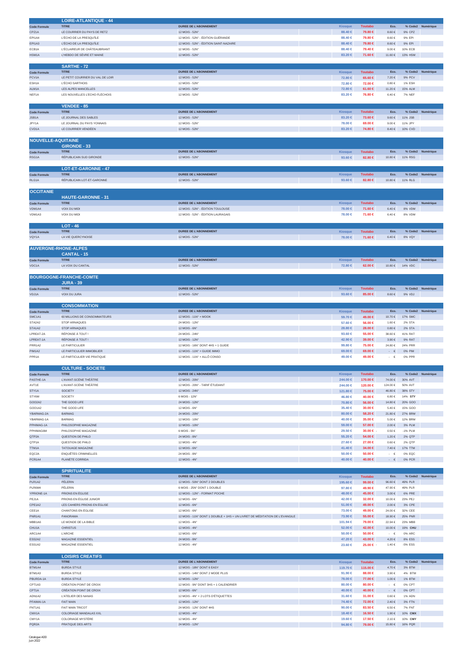|                              | <b>LOIRE-ATLANTIQUE - 44</b>                  |                                                                            |                        |                    |                          |                    |                   |
|------------------------------|-----------------------------------------------|----------------------------------------------------------------------------|------------------------|--------------------|--------------------------|--------------------|-------------------|
| <b>Code Formule</b>          | <b>TITRE</b>                                  | <b>DUREE DE L'ABONNEMENT</b>                                               | <b>Kiosque</b>         | <b>Toutabo</b>     | Eco.                     |                    | % Code2 Numérique |
| CPZ1A                        | LE COURRIER DU PAYS DE RETZ                   | 12 MOIS - 52N°                                                             | 88.40 €                | 79.80 €            | 8.60€                    | 9% CPZ             |                   |
| <b>EPI1A4</b>                | L'ÉCHO DE LA PRESQU'ÎLE                       | 12 MOIS - 52N° - ÉDITION GUÉRANDE                                          | 88.40 €                | 79.80 €            | $8.60 \in$               | 9% EPI             |                   |
| EPI1A3                       | L'ÉCHO DE LA PRESQU'ÎLE                       | 12 MOIS - 52N° - ÉDITION SAINT-NAZAIRE                                     | 88.40 €                | 79.80 €            | $8.60 \in$               | 9% EPI             |                   |
| ECB1A                        | L'ÉCLAIREUR DE CHÂTEAUBRIANT                  | 12 MOIS - 52N°                                                             | 88.40 €                | 79.40 €            | $9.00 \in$               | 10% ECB            |                   |
| HSM1A                        | L'HEBDO DE SÈVRE ET MAINE                     | 12 MOIS - 52N°                                                             | 83.20 €                | 71.60 €            | 11.60 €                  | 13% HSM            |                   |
|                              |                                               |                                                                            |                        |                    |                          |                    |                   |
|                              | SARTHE - 72                                   |                                                                            |                        |                    |                          |                    |                   |
| <b>Code Formule</b>          | <b>TITRE</b>                                  | <b>DUREE DE L'ABONNEMENT</b>                                               | Kiosque                | <b>Toutabo</b>     | Eco.                     |                    | % Code2 Numérique |
| PCV1A                        | LE PETIT COURRIER DU VAL DE LOIR              | 12 MOIS - 52N°                                                             | 72.80 €                | 65.60 €            | 7.20 €                   | 9% PCV             |                   |
| ESH1A                        | L'ÉCHO SARTHOIS                               | 12 MOIS - 52N°                                                             | 72.80 €                | 72.00 €            | $0.80 \in$               | 1% ESH             |                   |
| ALM1A                        | LES ALPES MANCELLES                           | 12 MOIS - 52N°                                                             | 72.80 €                | $61.60 \in$        | 11.20 €                  | 15% ALM            |                   |
| NEF1A                        | LES NOUVELLES L'ECHO FLÉCHOIS                 | 12 MOIS - 52N°                                                             | 83.20 €                | 76.80 €            | 6.40€                    | 7% NEF             |                   |
|                              | <b>VENDEE - 85</b>                            |                                                                            |                        |                    |                          |                    |                   |
|                              | <b>TITRE</b>                                  |                                                                            |                        |                    |                          |                    |                   |
| <b>Code Formule</b><br>JSB1A | LE JOURNAL DES SABLES                         | <b>DUREE DE L'ABONNEMENT</b><br>12 MOIS - 52N°                             | Kiosque                | <b>Toutabo</b>     | Eco.<br>$9.60 \in$       | 11% JSB            | % Code2 Numérique |
|                              | LE JOURNAL DU PAYS YONNAIS                    |                                                                            | 83.20 €                | 73.60 €            |                          |                    |                   |
| JPY1A<br>CVD1A               | LE COURRIER VENDÉEN                           | 12 MOIS - 52N°<br>12 MOIS - 52N°                                           | 78.00 €<br>83.20 €     | 69.00 €<br>74.80 € | $9.00 \in$<br>$8.40 \in$ | 11% JPY<br>10% CVD |                   |
|                              |                                               |                                                                            |                        |                    |                          |                    |                   |
| <b>NOUVELLE-AQUITAINE</b>    |                                               |                                                                            |                        |                    |                          |                    |                   |
|                              | <b>GIRONDE - 33</b>                           |                                                                            |                        |                    |                          |                    |                   |
|                              | <b>TITRE</b>                                  | <b>DUREE DE L'ABONNEMENT</b>                                               | Kiosque                | <b>Toutabo</b>     | Eco                      |                    | % Code2 Numérique |
| <b>Code Formule</b><br>RSG1A | RÉPUBLICAIN SUD GIRONDE                       | 12 MOIS - 52N°                                                             | 93.60 $\in$            | 82.80 €            | 10.80 €                  | 11% RSG            |                   |
|                              |                                               |                                                                            |                        |                    |                          |                    |                   |
|                              | <b>LOT-ET-GARONNE - 47</b>                    |                                                                            |                        |                    |                          |                    |                   |
| <b>Code Formule</b>          | <b>TITRE</b>                                  | <b>DUREE DE L'ABONNEMENT</b>                                               | Kiosque                | <b>Toutabo</b>     | Eco.                     |                    | % Code2 Numérique |
| RLG1A                        | RÉPUBLICAIN LOT-ET-GARONNE                    | 12 MOIS - 52N°                                                             | 93.60 $6$              | 82.80 €            | 10.80 €                  | 11% RLG            |                   |
|                              |                                               |                                                                            |                        |                    |                          |                    |                   |
| <b>OCCITANIE</b>             |                                               |                                                                            |                        |                    |                          |                    |                   |
|                              | <b>HAUTE-GARONNE - 31</b>                     |                                                                            |                        |                    |                          |                    |                   |
| <b>Code Formule</b>          | <b>TITRE</b>                                  | <b>DUREE DE L'ABONNEMENT</b>                                               | <b>Kiosque</b>         | <b>Toutabo</b>     | Eco.                     |                    | % Code2 Numérique |
| VDM1A4                       | <b>VOIX DU MIDI</b>                           | 12 MOIS - 52N° - ÉDITION TOULOUSE                                          | 78,00 €                | 71.60 €            | 6.40€                    | 8% VDM             |                   |
| VDM1A3                       | VOIX DU MIDI                                  | 12 MOIS - 52N° - ÉDITION LAURAGAIS                                         | 78.00 €                | 71.60 €            | $6.40 \in$               | 8% VDM             |                   |
|                              |                                               |                                                                            |                        |                    |                          |                    |                   |
|                              | $LOT - 46$                                    |                                                                            |                        |                    |                          |                    |                   |
| <b>Code Formule</b>          | <b>TITRE</b>                                  | <b>DUREE DE L'ABONNEMENT</b>                                               | <b>Kiosque</b>         | <b>Toutabo</b>     | Eco.                     |                    | % Code2 Numérique |
| VQY1A                        | LA VIE QUERCYNOISE                            | 12 MOIS - 52N°                                                             | 78.00 €                | 71.60 €            | $6.40 \in$               | <b>8% VQY</b>      |                   |
|                              |                                               |                                                                            |                        |                    |                          |                    |                   |
| <b>AUVERGNE-RHONE-ALPES</b>  |                                               |                                                                            |                        |                    |                          |                    |                   |
|                              | <b>CANTAL - 15</b>                            |                                                                            |                        |                    |                          |                    |                   |
| <b>Code Formule</b>          | <b>TITRE</b>                                  | <b>DUREE DE L'ABONNEMENT</b>                                               | Kiosque                | <b>Toutabo</b>     | Eco                      |                    | % Code2 Numérique |
| VDC1A                        | LA VOIX DU CANTAL                             | 12 MOIS - 52N°                                                             | 72.80 €                | 62.00 €            | 10.80 €                  | 14% VDC            |                   |
|                              |                                               |                                                                            |                        |                    |                          |                    |                   |
|                              | <b>BOURGOGNE-FRANCHE-COMTE</b>                |                                                                            |                        |                    |                          |                    |                   |
|                              | <b>JURA - 39</b>                              |                                                                            |                        |                    |                          |                    |                   |
| <b>Code Formule</b>          | <b>TITRE</b>                                  | <b>DUREE DE L'ABONNEMENT</b>                                               | Kiosque                | <b>Toutabo</b>     | Eco.                     |                    | % Code2 Numérique |
| VDJ1A                        | VOIX DU JURA                                  | 12 MOIS - 52N°                                                             | 93.60 $\in$            | 85.00 €            | $8.60 \in$               | 9% VDJ             |                   |
|                              |                                               |                                                                            |                        |                    |                          |                    |                   |
|                              | <b>CONSOMMATION</b>                           |                                                                            |                        |                    |                          |                    |                   |
| <b>Code Formule</b>          | <b>TITRE</b>                                  | <b>DUREE DE L'ABONNEMENT</b>                                               | <b>Kiosque</b>         | <b>Toutabo</b>     | Eco.                     |                    | % Code2 Numérique |
| SMC1A1                       | 60 MILLIONS DE CONSOMMATEURS                  | 12 MOIS - 11N° + MOOK                                                      | 59.70 €                | 49.00 €            | 10.70 €                  | 17% SMC            |                   |
| STA2A2                       | STOP ARNAQUES                                 | 24 MOIS - 12N°                                                             | 57.60 €                | 56.00 €            | 1.60 €                   | 2% STA             |                   |
| STA1A2                       | <b>STOP ARNAQUES</b>                          | 12 MOIS - 6N°                                                              | 28.80 $\in$            | 28.00 €            | $0.80 \in$               | 2% STA             |                   |
| LPREAT-2A                    | RÉPONSE À TOUT !                              | 24 MOIS - 24N°                                                             | 93.60 €                | 55.00 €            | 38.60 €                  | 41% RAT            |                   |
| LPREAT-1A                    | RÉPONSE À TOUT !                              | 12 MOIS - 12N°                                                             | 42.90 €                | 39.00 €            | 3.90€                    | 9% RAT             |                   |
| PRR1A2                       | LE PARTICULIER                                | 12 MOIS - 16N° DONT 4HS + 1 GUIDE                                          | 99.80 $\in$            | 75.00 €            | 24.80 €                  | 24% PRR            |                   |
| <b>PIM1A2</b>                | LE PARTICULIER IMMOBILIER                     | 12 MOIS - 11N° + GUIDE IMMO                                                | $69.00 \in$            | $69.00 \in$        | $\cdot$ $\in$            | 0% PIM             |                   |
| PPR1A                        | LE PARTICULIER VIE PRATIQUE                   | 12 MOIS - 11N° + ALLÔ CONSO                                                | 49,00 €                | 49.00 €            | $\cdot$ $\in$            | 0% PPR             |                   |
|                              |                                               |                                                                            |                        |                    |                          |                    |                   |
|                              | <b>CULTURE - SOCIETE</b>                      |                                                                            |                        |                    |                          |                    |                   |
| <b>Code Formule</b>          | <b>TITRE</b>                                  | <b>DUREE DE L'ABONNEMENT</b>                                               | <b>Kiosque</b>         | <b>Toutabo</b>     | Eco.                     |                    | % Code2 Numérique |
| PASTHE-1A                    | L'AVANT-SCÈNE THÉÂTRE                         | 12 MOIS - 20N°                                                             | 244.00 ∈               | 170.00 €           | 74.00 €                  | 30% AVT            |                   |
| AVT1E                        | L'AVANT-SCÈNE THÉÂTRE                         | 12 MOIS - 20N° - TARIF ÉTUDIANT                                            | 244.00 €               | 120.00 €           | 124.00 €                 | 50% AVT            |                   |
| STY1A                        | <b>SOCIETY</b>                                | 12 MOIS - 24N°                                                             | 121.80 €               | 75.00 €            | 46.80 €                  | 38% STY            |                   |
| STY6M                        | SOCIETY                                       | 6 MOIS - 12N°                                                              | 46.80 €                | 40.00 €            | $6.80\in$                | 14% STY            |                   |
| GOO2A2                       | THE GOOD LIFE                                 | 24 MOIS - 12N°                                                             | 70.80 $\in$            | 56.00 €            | 14.80 €                  | 20% GOO            |                   |
| GOO1A2                       | THE GOOD LIFE                                 | 12 MOIS - 6N°                                                              | 35.40 €                | 30.00 €            | $5.40 \in$               | 15% GOO            |                   |
| YBARMAG-2A                   | <b>BARMAG</b>                                 | 24 MOIS - 20N°                                                             | $80.00 \in$            | 58.20 €            | 21.80 €                  | 27% BRM            |                   |
| YBARMAG-1A                   | <b>BARMAG</b>                                 | 12 MOIS - 10N°                                                             | 40.00 €                | 35,00 €            | 5.00€                    | <b>12% BRM</b>     |                   |
| PPHIMAG-1A                   | PHILOSOPHIE MAGAZINE                          | 12 MOIS - 10N°                                                             | 59.00 €                | 57.00 €            | 2.00 €                   | 3% PLM             |                   |
| PPHIMAG6M                    | PHILOSOPHIE MAGAZINE                          | 6 MOIS - 5N°                                                               | 29.50 €                | 30.00 €            |                          | -1% PLM            |                   |
| QTP2A                        | QUESTION DE PHILO                             | 24 MOIS - 8N°                                                              |                        |                    | $0.50 \in$               |                    |                   |
| QTP1A                        |                                               |                                                                            | 55.20 €                | 54.00 €            | $1.20 €$                 | 2% QTP             |                   |
| TTM1A                        | QUESTION DE PHILO                             | 12 MOIS - 4N°                                                              | 27.60 €                | 27.00 €            | $0.60 \in$               | 2% QTP             |                   |
|                              | <b>TATOUAGE MAGAZINE</b>                      | 12 MOIS - 6N°                                                              | 41.40 €                | 34.00 €            | $7.40 \in$               | 17% TTM            |                   |
| EQC2A                        | <b>ENQUÊTES CRIMINELLES</b>                   | 24 MOIS - 8N°                                                              | $50.00 \in$            | $50.00 \in$        | $\cdot$ $\in$            | 0% EQC             |                   |
| PCR1A4                       | PLANÈTE CORRIDA                               | 12 MOIS - 4N°                                                              | 40.00 €                | 40.00 €            | $ \epsilon$              | 0% PCR             |                   |
|                              |                                               |                                                                            |                        |                    |                          |                    |                   |
|                              | <b>SPIRITUALITE</b>                           |                                                                            |                        |                    |                          |                    |                   |
| <b>Code Formule</b>          | <b>TITRE</b>                                  | <b>DUREE DE L'ABONNEMENT</b>                                               | Kiosque                | <b>Toutabo</b>     | Eco.                     |                    | % Code2 Numérique |
| PLR1A2                       | PÈLERIN                                       | 12 MOIS - 50N° DONT 2 DOUBLES                                              | 195.60 €               | 99.00 $\in$        | 96.60 $\in$              | 49% PLR            |                   |
| PLR6M4                       | PÈLERIN                                       | 6 MOIS - 25N° DONT 1 DOUBLE                                                | 97.80 €                | 49.90 €            | 47.90 €                  | 49% PLR            |                   |
| YPRIONE-1A                   | PRIONS EN ÉGLISE                              | 12 MOIS - 12N° - FORMAT POCHE                                              | 48.00 €                | 45.00 €            | $3.00 \in$               | <b>6% PRE</b>      |                   |
| PEJ1A                        | PRIONS EN ÉGLISE JUNIOR                       | 12 MOIS - 6N°                                                              | 42.00 €                | 32.00 €            | 10.00 €                  | 23% PEJ            |                   |
| CPE1A2                       | LES CAHIERS PRIONS EN ÉGLISE                  | 12 MOIS - 6N°                                                              | $51.00 \in$            | 49.00 €            | 2.00 €                   | 3% CPE             |                   |
| CEE1A                        | <b>CHANTONS EN ÉGLISE</b>                     | 12 MOIS - 6N°                                                              | 73.00 €                | 49.00 €            | 24.00 €                  | 32% CEE            |                   |
| PNR1A1                       | PANORAMA                                      | 12 MOIS - 11N° DONT 1 DOUBLE + 1HS + UN LIVRET DE MÉDITATION DE L'EVANGILE | 73.90 €                | 55.00 €            | 18.90 €                  | <b>25% PNR</b>     |                   |
| MBB1A6                       | LE MONDE DE LA BIBLE                          | 12 MOIS - 4N°                                                              | 101.94 €               | 79.00 €            | 22.94 €                  | 23% MBB            |                   |
| CHU1A                        | <b>CHRISTUS</b>                               | 12 MOIS - 4N°                                                              | 52.00 €                | 42.00 €            | 10.00€                   | 19% CHU            |                   |
| ARC1A4                       | <b>L'ARCHE</b>                                | 12 MOIS - 6N°                                                              | $50.00 \in$            | 50.00 €            | $\cdot$ $\in$            | 0% ARC             |                   |
| ESS2A2                       | MAGAZINE ESSENTIEL                            | 24 MOIS - 8N°                                                              | 47.20 €                | 43.00 €            | $4.20\in$                | 8% ESS             |                   |
| ESS1A2                       | MAGAZINE ESSENTIEL                            | 12 MOIS - 4N°                                                              | 23.60 €                | 25.00 ∈            | 1.40€                    | $-5\%$ ESS         |                   |
|                              |                                               |                                                                            |                        |                    |                          |                    |                   |
|                              | <b>LOISIRS CREATIFS</b>                       |                                                                            |                        |                    |                          |                    |                   |
| <b>Code Formule</b>          | <b>TITRE</b>                                  | <b>DUREE DE L'ABONNEMENT</b>                                               | Kiosque                | <b>Toutabo</b>     | Eco.                     |                    | % Code2 Numérique |
| BTM1A4                       | <b>BURDA STYLE</b>                            | 12 MOIS - 18N° DONT 6 EASY                                                 | 119.70 €               | 115.00 €           | 4.70 €                   | 3% BTM             |                   |
| BTM1A3                       | <b>BURDA STYLE</b>                            | 12 MOIS - 14N° DONT 2 MODE PLUS                                            | 91.90 €                | 88.00 €            | $3.90 \in$               | 4% BTM             |                   |
| PBURDA-1A                    | <b>BURDA STYLE</b>                            | 12 MOIS - 12N°                                                             | 78.00 $\in$            | 77.00 €            | 1.00 €                   | 1% BTM             |                   |
| CPT1A3                       | CRÉATION POINT DE CROIX                       | 12 MOIS - 9N° DONT 3HS + 1 CALENDRIER                                      | 80.00 €                | 80.00 €            | $\cdot$ $\in$            | 0% CPT             |                   |
| CPT1A                        | CRÉATION POINT DE CROIX                       | 12 MOIS - 6N°                                                              | 40.00 €                | 40.00 €            | $\cdot \quad \in$        | 0% CPT             |                   |
| ADN1A2                       | L'ATELIER DES NANAS                           | 12 MOIS - 4N° + 2 LOTS D'ÉTIQUETTES                                        | $31,60 \in$            | 31.00 €            | $0.60 \in$               | 1% ADN             |                   |
| PFAIMAI-1A                   | <b>FAIT MAIN</b>                              | 12 MOIS - 12N°                                                             | 74.40 €                | 72.00 €            | $2.40 \in$               | 3% FTN             |                   |
| FNT1A1                       | FAIT MAIN TRICOT                              | 24 MOIS - 12N° DONT 4HS                                                    | 90.00 $\in$            | 83.50 €            | $6.50 \in$               | 7% FNT             |                   |
| CMX1A                        | COLORIAGE MANDALAS XXL                        | 12 MOIS - 4N°                                                              | 18.40 €                | 16.50 €            | $1.90 €$                 | 10% CMX            |                   |
| CMY1A<br>PQR2A               | <b>COLORIAGE MYSTÈRE</b><br>PRATIQUE DES ARTS | 12 MOIS - 4N°<br>24 MOIS - 12N°                                            | 19.60 €<br>94.80 $\in$ | 17.50 €<br>79.00 € | 2.10 €<br>15.80 €        | 10% CMY<br>16% PQR |                   |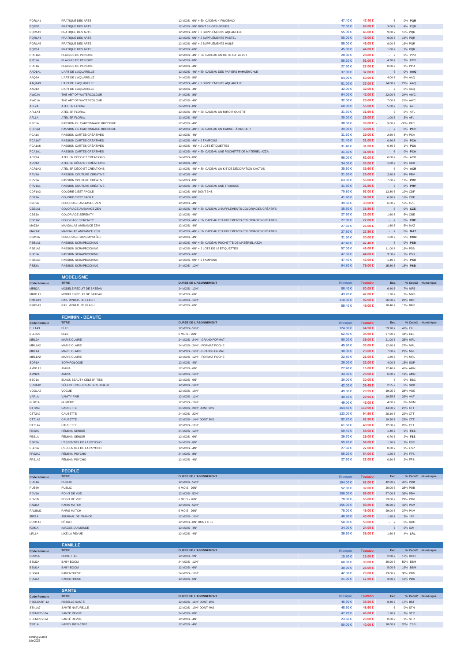| PQR1A1              | PRATIQUE DES ARTS               | 12 MOIS - 6N° + EN CADEAU 4 PINCEAUX                        | 47.40 €                | 47.40 €            | €                     | 0% PQR            |                   |
|---------------------|---------------------------------|-------------------------------------------------------------|------------------------|--------------------|-----------------------|-------------------|-------------------|
| PQR1B               | PRATIQUE DES ARTS               | 12 MOIS - 9N° DONT 3 HORS-SÉRIES                            | 72.00 €                | 69.00 €            | $3.00\in$             | 4% PQR            |                   |
| PQR1A3              | PRATIQUE DES ARTS               | 12 MOIS - 6N° + 2 SUPPLÉMENTS AQUARELLE                     | 55.00 €                | 46.00 €            | $9.00 \in$            | 16% PQR           |                   |
| PQR1A4              | <b>PRATIQUE DES ARTS</b>        | 12 MOIS - 6N° + 2 SUPPLÉMENTS PASTEL                        | $55.00 \in$            | 46.00 €            | $9.00 \in$            | 16% PQR           |                   |
| PQR1A5              | PRATIQUE DES ARTS               | 12 MOIS - 6N° + 2 SUPPLÉMENTS HUILE                         | 55.00 €                | 46.00 €            | 9.00 $\in$            | <b>16% PQR</b>    |                   |
| PQR1A               | PRATIQUE DES ARTS               | 12 MOIS - 6N°                                               | 45,00 €                | 44.00 €            | 1.00€                 | 2% PQR            |                   |
| PPD1A1              | PLAISIRS DE PEINDRE             | 12 MOIS - 4N° + EN CADEAU UN OUTIL CATALYST                 | 28.80 €                | 28.80 €            | $\cdot$ $\in$         | 0% PPD            |                   |
| PPD <sub>2</sub> A  | PLAISIRS DE PEINDRE             | 24 MOIS - 8N'                                               | 55.20 $∈$              | 51.00 €            | $4.20\in$             | 7% PPD            |                   |
| PPD1A               | PLAISIRS DE PEINDRE             | 12 MOIS - 4N°                                               | 27.60 €                | 27.00 €            | $0.60 \in$            | 2% PPD            |                   |
| AAQ1A1              | L'ART DE L'AQUARELLE            | 12 MOIS - 4N° + EN CADEAU DES PAPIERS HAHNEMÜHLE            | 37.00 €                | 37.00 €            | $\cdot$ $\in$         | 0% AAQ            |                   |
| AAQ2A               | L'ART DE L'AQUARELLE            | 24 MOIS - 8N'                                               | 64.00 €                | 60.00 €            | 4.00€                 | 6% AAQ            |                   |
| AAQ1A3              | L'ART DE L'AQUARELLE            | 12 MOIS - 4N° + 2 SUPPLÉMENTS AQUARELLE                     | $51.00 \in$            | 37.00 €            | 14.00 €               | 27% AAQ           |                   |
| AAQ1A               | L'ART DE L'AQUARELLE            | 12 MOIS - 4N°                                               | 32.00 €                | 32.00 €            | $\cdot$ $\in$         | 0% AAQ            |                   |
| AWC2A               | THE ART OF WATERCOLOUR          | 24 MOIS - 8N°                                               | 64.00 $\in$            | 42.00 €            | 22.00 €               | 34% AWC           |                   |
| AWC1A               | THE ART OF WATERCOLOUR          | 12 MOIS - 4N°                                               | 32.00 €                | 25,00 €            | 7.00€                 | 21% AWC           |                   |
| AFL2A               | ATELIER FLORAL                  | 24 MOIS - 8N°                                               | $60.00 \in$            | 55.00 €            | 5.00€                 | 8% AFL            |                   |
| AFL1A4              | ATELIER FLORAL                  | 12 MOIS - 4N° + EN CADEAU UN MIROIR OUISTITI                | 31,60 €                | 31.60 €            | $\cdot \in$           | 0% AFL            |                   |
| AFL1A               | ATELIER FLORAL                  | 12 MOIS - 4N°                                               |                        |                    | 1.00€                 | 3% AFL            |                   |
|                     |                                 | 12 MOIS - 4N°                                               | $30.00 \in$            | 29.00 €            |                       |                   |                   |
| PFC <sub>1</sub> A  | PASSION FIL CARTONNAGE BRODERIE |                                                             | $30.00 \in$            | 39.00 € -          | $9.00 \in$            | -30% PFC          |                   |
| PFC1A1              | PASSION FIL CARTONNAGE BRODERIE | 12 MOIS - 4N° + EN CADEAU UN CARNET À BRODER                | $39.00 \in$            | 39.00 €            | $\cdot$ $\in$         | 0% PFC            |                   |
| PCA1A               | PASSION CARTES CRÉATIVES        | 12 MOIS - 4N°                                               | 31.60 €                | 29.00 €            | $2.60 \in$            | 8% PCA            |                   |
| PCA1A7              | PASSION CARTES CRÉATIVES        | 12 MOIS - 4N° + 2 TAMPONS                                   | $31.40 \in$            | 31.00 €            | $0.40 \in$            | 1% PCA            |                   |
| PCA1A6              | PASSION CARTES CRÉATIVES        | 12 MOIS - 4N° + 2 LOTS ÉTIQUETTES                           | $31.40 \in$            | 31.00 €            | $0.40 \in$            | 1% PCA            |                   |
| PCA1A1              | PASSION CARTES CRÉATIVES        | 12 MOIS - 4N° + EN CADEAU UNE POCHETTE DE MATÉRIEL AZZA     | 31.60 $\in$            | 31.60 €            | $ \varepsilon$        | 0% PCA            |                   |
| ACR <sub>2</sub> A  | ATELIER DÉCO ET CRÉATIONS       | 24 MOIS - 8N'                                               | 68,00 €                | 62.00 €            | 6.00€                 | 8% ACR            |                   |
| ACR1A               | ATELIER DÉCO ET CRÉATIONS       | 12 MOIS - 4N°                                               | 34.00 €                | 33,00 €            | $1.00 \in$            | 2% ACR            |                   |
| ACR1A3              | ATELIER DÉCO ET CRÉATIONS       | 12 MOIS - 4N° + EN CADEAU UN KIT DE DÉCORATION CACTUS       | 35.60 €                | 35.60 €            | $\cdot$ $\in$         | 0% ACR            |                   |
| PRV1A               | PASSION COUTURE CRÉATIVE        | 12 MOIS - 4N°                                               | 31.60 $\in$            | 29.00 €            | $2.60 \in$            | 8% PRV            |                   |
| PRV2A               | PASSION COUTURE CRÉATIVE        | 24 MOIS - 8N°                                               | 63.60 €                | 56.00 €            | 7.60€                 | 11% PRV           |                   |
| PRV1A1              | PASSION COUTURE CRÉATIVE        | 12 MOIS - 4N° + EN CADEAU UNE TROUSSE                       | $31.80 \in$            | 31.80 €            | $\cdot \quad \in$     | 0% PRV            |                   |
| CDF1A3              | COUDRE C'EST FACILE             | 12 MOIS - 9N° DONT 3HS                                      | 70.80 €                | 57.00 €            | 13.80 €               | 19% CDF           |                   |
| CDF1A               | <b>COUDRE C'EST FACILE</b>      | 12 MOIS - 6N°                                               | 41.40 €                | 34.50 €            | $6.90\in$             | 16% CDF           |                   |
| CZE1A               | COLORIAGE AMBIANCE ZEN          | 12 MOIS - 4N°                                               | 39.60 €                | 33,00 €            | $6.60 \in$            | 16% CZE           |                   |
|                     |                                 |                                                             |                        |                    |                       |                   |                   |
| CZE1A1              | COLORIAGE AMBIANCE ZEN          | 12 MOIS - 4N° + EN CADEAU 2 SUPPLÉMENTS COLORIAGES CRÉATIFS | 35.80 €                | 35.80 €            | $\cdot$ $\in$         | 0% CZE            |                   |
| CBE1A               | <b>COLORIAGE SERENITY</b>       | 12 MOIS - 4N                                                | 27.60 €                | 26.00 €            | 1.60€                 | <b>5% CBE</b>     |                   |
| CBE1A1              | <b>COLORIAGE SERENITY</b>       | 12 MOIS - 4N° + EN CADEAU 2 SUPPLÉMENTS COLORIAGES CRÉATIFS | 27.80 $\in$            | 27.80 €            | $\cdot$ $\in$         | 0% CBE            |                   |
| MAZ1A               | MANDALAS AMBIANCE ZEN           | 12 MOIS - 4N'                                               | 27,60 €                | 26.00 €            | 1.60€                 | 5% MAZ            |                   |
| MAZ1A1              | MANDALAS AMBIANCE ZEN           | 12 MOIS - 4N° + EN CADEAU 2 SUPPLÉMENTS COLORIAGES CRÉATIFS | 27.80 €                | 27.80 €            | - $\in$               | 0% MAZ            |                   |
| CGM1A               | COLORIAGE 100% MYSTÈRE          | 12 MOIS - 4N°                                               | 31.60 €                | 30.00 €            | 1.60 €                | 5% CGM            |                   |
| PSB1A1              | PASSION SCRAPBOOKING            | 12 MOIS - 6N° + EN CADEAU POCHETTE DE MATÉRIEL AZZA         | 47.40 €                | 47.40 €            | $\cdot$ $\in$         | 0% PSB            |                   |
| PSB1A2              | PASSION SCRAPBOOKING            | 12 MOIS - 6N° + 2 LOTS DE 16 ÉTIQUETTES                     | 57.00 €                | 46.00 €            | 11.00€                | 19% PSB           |                   |
| PSB1A               | PASSION SCRAPBOOKING            | 12 MOIS - 6N°                                               | 47.50 €                | 44.00 €            | 3.50€                 | <b>7% PSB</b>     |                   |
| PSB1A5              | PASSION SCRAPBOOKING            | 12 MOIS - 6N° + 2 TAMPONS                                   | 47.40 €                | 46.00 €            | 1.40€                 | 2% PSB            |                   |
| PSB <sub>2</sub> A  | PASSION SCRAPBOOKING            | 24 MOIS - 12N°                                              | 94.80 €                | 79.00 €            | 15.80 €               | 16% PSB           |                   |
|                     |                                 |                                                             |                        |                    |                       |                   |                   |
|                     | <b>MODELISME</b>                |                                                             |                        |                    |                       |                   |                   |
| <b>Code Formule</b> | <b>TITRE</b>                    | DUREE DE L'ABONNEMENT                                       | Kiosque                | <b>Toutabo</b>     | Eco.                  |                   | % Code2 Numérique |
| MRB2A               | MODÊLE RÊDUIT DE BATEAU         | 24 MOIS - 12N°                                              | 86.40 €                | 80.00 €            | 6.40€                 | <b>7% MRB</b>     |                   |
| MRB1A3              | MODÈLE RÉDUIT DE BATEAU         | 12 MOIS - 6N°                                               | 43.20 €                | 42.00 €            | 1.20€                 | <b>2% MRB</b>     |                   |
| RMF2A3              | RAIL MINIATURE FLASH            | 24 MOIS - 12N°                                              | 118,00 €               | 92.00 €            | 26.00€                | <b>22% RMF</b>    |                   |
| RMF1A3              | RAIL MINIATURE FLASH            | 12 MOIS - 6N°                                               | 59,40 €                | 49.00 €            | 10.40 €               | 17% RMF           |                   |
|                     |                                 |                                                             |                        |                    |                       |                   |                   |
|                     |                                 |                                                             |                        |                    |                       |                   |                   |
|                     | <b>FEMININ - BEAUTE</b>         |                                                             |                        |                    |                       |                   |                   |
|                     |                                 |                                                             |                        |                    |                       |                   | % Code2 Numérique |
| <b>Code Formule</b> | <b>TITRE</b>                    | <b>DUREE DE L'ABONNEMENT</b>                                | Kiosque                | <b>Toutabo</b>     | Eco.                  |                   |                   |
| ELL1A3              | ELLE                            | 12 MOIS - 52N°                                              | 124.80 €               | 64.90 €            | 59.90€                | 47% ELL           |                   |
| ELL6M3              | ELLE                            | 6 MOIS - 26N°                                               | 62.40 €                | 34.90 €            | 27.50€                | 44% ELL           |                   |
| MRL2A               | MARIE CLAIRE                    | 24 MOIS - 24N° - GRAND FORMAT                               | $60.00 \in$            | 39.00 €            | 21.00 €               | 35% MRL           |                   |
| MRL2A2              | MARIE CLAIRE                    | 24 MOIS - 24N° - FORMAT POCHE                               | 45.60 €                | 33,00 €            | 12.60 €               | 27% MRL           |                   |
| MRL1A               | MARIE CLAIRE                    | 12 MOIS - 12N° - GRAND FORMAT                               | $30.00 \in$            | 23.00 €            | $7.00\in$             | 23% MRL           |                   |
| MRL1A2              | MARIE CLAIRE                    | 12 MOIS - 12N° - FORMAT POCHE                               | 22.80 €                | 21.00 €            | 1.80€                 | <b>7% MRL</b>     |                   |
| SOP1A               | SOPHROLOGIE                     | 12 MOIS - 4N°                                               | 26.00 ∈                | 22.00 €            | 4.00€                 | <b>15% SOP</b>    |                   |
| AMN1A2              | AMINA                           | 12 MOIS - 6N°                                               | $27.40 \in$            | 15.00 €            | 12.40 €               | 45% AMN           |                   |
| AMN2A               | AMINA                           | 24 MOIS - 12N°                                              | 34.80 €                | 28.00 €            | $6.80\in$             | 19% AMN           |                   |
|                     |                                 |                                                             |                        |                    |                       |                   |                   |
| BBC1A               | BLACK BEAUTY CELEBRITIES        | 12 MOIS - 6N°                                               | 30.00 €                | 30.00 €            | $\cdot$ $\cdot$ $\in$ | 0% BBC            |                   |
| SRD1A2              | SÉLECTION DU READER'S DIGEST    | 12 MOIS - 10N°                                              | 42.00 €                | 39.45 €            | $2.55 \in$            | 6% SRD            |                   |
| VOG1A2              | VOGUE                           | 12 MOIS - 10N°                                              | 49.00 €                | 29.95 €            | 19.05€                | 38% VOG           |                   |
| VAF1A               | <b>VANITY FAIR</b>              | 12 MOIS - 11N°                                              | 49.50 €                | 29.95 €            | 19.55 €               | 39% VAF           |                   |
| NUM1A               | NUMÉRO                          | 12 MOIS - 10N°                                              | 49,00 €                | 45.00 €            | 4.00€                 | <b>8% NUM</b>     |                   |
| CTT2A3              | CAUSETTE                        | 24 MOIS - 28N° DONT 6HS                                     | 164.40 €               | 119.90 €           | 44.50€                | 27% CTT           |                   |
| CTT2A2              | CAUSETTE                        | 24 MOIS - 22N°                                              | 123.00 €               | 94.90 €            | 28.10 €               | 22% CTT           |                   |
| CTT1A3              | CAUSETTE                        | 12 MOIS - 14N° DONT 3HS                                     | 82.20 €                | 62.90 €            | 19.30 €               | 23% CTT           |                   |
| CTT1A2              | CAUSETTE                        | 12 MOIS - 11N°                                              | 61.50 €                | 48.90 €            | 12.60 €               | 20% CTT           |                   |
| FES2A               | <b>FÉMININ SENIOR</b>           | 24 MOIS - 12N°                                              | $59.40 \in$            | 58.00 €            | $1.40 \in$            | $2\%$ FES         |                   |
| FES1A               | FÉMININ SENIOR                  | 12 MOIS - 6N°                                               | 29.70 €                | 29.00 €            | $0.70 \in$            | 2% FES            |                   |
| ESP <sub>2</sub> A  | L'ESSENTIEL DE LA PSYCHO        | 24 MOIS - 8N°                                               | 55.20 €                | 54.00 €            | 1.20 €                | 2% ESP            |                   |
| ESP1A               | L'ESSENTIEL DE LA PSYCHO        | 12 MOIS - 4N°                                               | 27.60 €                | 27.00 €            | $0.60 \in$            | <b>2% ESP</b>     |                   |
| FPS2A2              | FÉMININ PSYCHO                  | 24 MOIS - 8N°                                               | 55.20 €                | 54.00 €            | $1.20 €$              | <b>2% FPS</b>     |                   |
| FPS1A2              | FÉMININ PSYCHO                  | 12 MOIS - 4N°                                               | 27.60 €                | 27.00 €            | $0.60 \in$            | <b>2% FPS</b>     |                   |
|                     |                                 |                                                             |                        |                    |                       |                   |                   |
|                     | <b>PEOPLE</b>                   |                                                             |                        |                    |                       |                   |                   |
| <b>Code Formule</b> | <b>TITRE</b>                    | <b>DUREE DE L'ABONNEMENT</b>                                | Kiosque                | <b>Toutabo</b>     | Eco.                  |                   | % Code2 Numérique |
| PUB1A               | <b>PUBLIC</b>                   | 12 MOIS - 52N°                                              | 104.00 €               | 62.00 €            | 42.00 €               | 40% PUB           |                   |
|                     |                                 |                                                             |                        |                    |                       |                   |                   |
| PUB6M               | PUBLIC                          | 6 MOIS - 26N°                                               | 52.00 €                | 32.00 €            | $20.00\in$            | 38% PUB           |                   |
| PDV1A               | POINT DE VUE                    | 12 MOIS - 52N°                                              | 156.00 ∈               | 99.00 €            | 57.00 €               | 36% PDV           |                   |
| PDV6M               | POINT DE VUE                    | 6 MOIS - 26N°                                               | 78.00 €                | 55.00 €            | 23.00€                | 29% PDV           |                   |
| PAM1A               | PARIS MATCH                     | 12 MOIS - 52N°                                              | 156.00 €               | 89.80 €            | 66.20€                | 42% PAM           |                   |
| PAM6M2              | PARIS MATCH                     | 6 MOIS - 26N°                                               | 78,00 €                | 49.00 €            | 29.00€                | 37% PAM           |                   |
| JRF1A               | JOURNAL DE FRANCE               | 12 MOIS - 12N°                                              | 46.80 €                | 45.00 €            | $1.80 \in$            | 3% JRF            |                   |
| RRO1A2              | RÉTRO                           | 12 MOIS - 8N° DONT 4HS                                      | $50.00 \in$            | 50.00 €            | $\cdot$ $\in$         | 0% RRO            |                   |
| IGM1A               | <b>IMAGES DU MONDE</b>          | 12 MOIS - 4N°                                               | 24.00 $\in$            | 24.00 €            | €                     | $0\%$ IGM         |                   |
| LRL1A               | LIKE LA REVUE                   | 12 MOIS - 4N°                                               | 39.60 €                | 38.00 €            | 1.60€                 | 4% LRL            |                   |
|                     |                                 |                                                             |                        |                    |                       |                   |                   |
|                     | <b>FAMILLE</b>                  |                                                             |                        |                    |                       |                   |                   |
| <b>Code Formule</b> | <b>TITRE</b>                    | <b>DUREE DE L'ABONNEMENT</b>                                | Kiosque                | <b>Toutabo</b>     | Eco.                  |                   | % Code2 Numérique |
| <b>DOO1A</b>        | <b>DOOLITTLE</b>                | 12 MOIS - 2N°                                               | 15.80 €                | 13.00 €            | $2.80\in$             | 17% DOO           |                   |
| BBM2A               | BABY BOOM                       | 24 MOIS - 12N°                                              | $60.00 \in$            | 30.00 €            | $30.00\in$            | 50% BBM           |                   |
| BBM1A               | <b>BABY BOOM</b>                | 12 MOIS - 6N°                                               | $30.00 \in$            | 25.00 €            | $5.00 \in$            | 16% BBM           |                   |
| PDG <sub>2</sub> A  | PARENTHÈSE                      | 24 MOIS - 12N°                                              | 42.00 €                | 29.00 €            | 13.00€                | 30% PDG           |                   |
| PDG1A               | PARENTHÈSE                      | 12 MOIS - 6N°                                               |                        |                    | $3.50 \in$            |                   |                   |
|                     |                                 |                                                             | 21.00 $\in$            | 17.50 €            |                       | 16% PDG           |                   |
|                     |                                 |                                                             |                        |                    |                       |                   |                   |
|                     | <b>SANTE</b>                    |                                                             |                        |                    |                       |                   |                   |
| <b>Code Formule</b> | <b>TITRE</b>                    | <b>DUREE DE L'ABONNEMENT</b>                                | Kiosque                | <b>Toutabo</b>     | Eco.                  |                   | % Code2 Numérique |
| PBELSANT-1A         | REBELLE SANTÉ                   | 12 MOIS - 11N° DONT 1HS                                     | 46.90 €                | 38.50 €            | $8.40 \in$            | 17% BST           |                   |
| STN1A7              | SANTÉ NATURELLE                 | 12 MOIS - 10N° DONT 4HS                                     | 48.60 €                | 48.60 €            | $\cdot$ $\in$         | 0% STN            |                   |
| PFEMREV-2A          | SANTÉ REVUE                     | 24 MOIS - 8N°                                               | 47.20 €                | 46.00 €            | 1.20€                 | <b>2% STR</b>     |                   |
| PFEMREV-1A<br>TSB1A | SANTÉ REVUE<br>HAPPY BIEN-ÊTRE  | 12 MOIS - 4N°<br>12 MOIS - 4N°                              | 23,60 €<br>$50.00 \in$ | 23.00 €<br>40.00 € | $0.60 \in$<br>10.00 € | 2% STR<br>20% TSB |                   |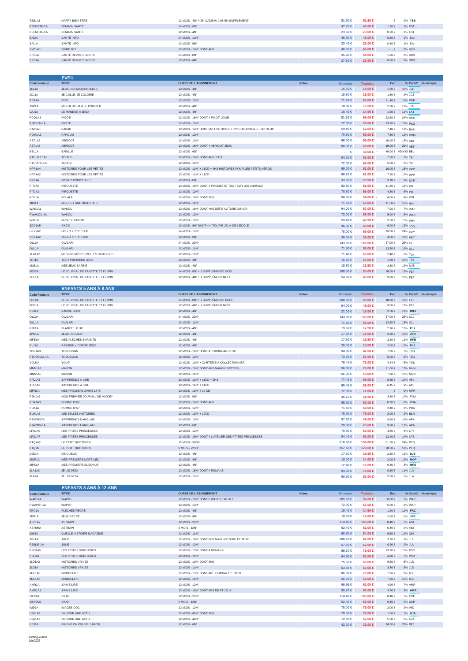| TSB1A1     | HAPPY BIEN-ÊTRE     | 12 MOIS - 4N° + EN CADEAU 1HS EN SUPPLÊMENT | 51,60 €     | $51.60 \in$ | . .        | 0% TSB        |  |
|------------|---------------------|---------------------------------------------|-------------|-------------|------------|---------------|--|
| PFEMSTE-2A | FÉMININ SANTÉ       | 24 MOIS - 8N°                               | 47.20 €     | 46.00 €     | 1.20€      | <b>2% FST</b> |  |
| PFEMSTE-1A | FÉMININ SANTÉ       | 12 MOIS - 4N°                               | 23.60 ∈     | 23.00 ∈     | $0.60 \in$ | 2% FST        |  |
| SAI2A      | SANTÉ INFO          | 24 MOIS - 12N°                              | 46.80 ∈     | 46.00 €     | $0.80 \in$ | 1% SAI        |  |
| SAI1A      | SANTÉ INFO          | 12 MOIS - 6N°                               | $23.40 \in$ | 23.00 ∈     | $0.40 \in$ | 1% SAI        |  |
| VVB1A3     | <b>VIVRE BIO</b>    | 12 MOIS - 10N° DONT 4HS                     | $48,60$ ∈   | 48.60 €     | . tr       | 0% VVB        |  |
| SRS2A      | SANTÉ REVUE SENIORS | 24 MOIS - 8N°                               | 55.20 €     | 54,00 €     | 1.20€      | 2% SRS        |  |
| SRS1A      | SANTÉ REVUE SENIORS | $12$ MOIS - $4N^\circ$                      | 27.60 ∈     | 27.00 €     | $0.60 \in$ | 2% SRS        |  |

|                                 | <b>EVEIL</b>                     |                                                               |              |                   |                |            |                     |                   |
|---------------------------------|----------------------------------|---------------------------------------------------------------|--------------|-------------------|----------------|------------|---------------------|-------------------|
| <b>Code Formule</b>             | <b>TITRE</b>                     | <b>DUREE DE L'ABONNEMENT</b>                                  | <b>Notes</b> | <b>Kiosque</b>    | <b>Toutabo</b> | Eco.       |                     | % Code2 Numérique |
| JEL1A                           | <b>JEUX DES MATERNELLES</b>      | $12$ MOIS - $4N^\circ$                                        |              | $15,60$ ∈         | 14.00 €        | 1.60€      | 10% JEL             |                   |
| JCJ1A                           | JE COLLE, JE COLORIE             | 12 MOIS - 4N°                                                 |              | 19,80 €           | 18.00 €        | 1.80€      | 9% JCJ              |                   |
| POP <sub>1</sub> A              | <b>POPI</b>                      | 12 MOIS - 12N°                                                |              | 71.40 €           | $60.00 \in$    | 11.40 €    | 15% POP             |                   |
| JSP1A                           | MES JEUX SAM LE POMPIER          | 12 MOIS - 4N°                                                 |              | 18,80 €           | 16.50 €        | $2.30 \in$ | 12% JSP             |                   |
| LAJ1A                           | LE MANÈGE À JEUX                 | 12 MOIS - 4N°                                                 |              | 16.40 €           | 14.50 €        | 1.90€      | 11% LAJ             |                   |
| PCO1A3                          | PICOTI                           | 12 MOIS - 16N° DONT 4 PICOTI JOUE                             |              | 91.60 $\in$       | 69.00 €        | 22.60 €    | 24% PCO             |                   |
| PPICOTI-1A                      | <b>PICOTI</b>                    | 12 MOIS - 12N°                                                |              | 72.00 ∈           | 59.00 €        | 13.00 €    | 18% PCO             |                   |
| BAB1A5                          | <b>BABAR</b>                     | 12 MOIS - 12N° DONT 6N° HISTOIRES + 3N° COLORIAGES + 3N° JEUX |              | $59,40 \in$       | 52,00 €        | 7.40€      | 12% RAB             |                   |
| POM <sub>1</sub> A <sub>3</sub> | <b>PAPOUM</b>                    | 12 MOIS - 12N°                                                |              | $70.80 \in$       | 63.00 €        | 7.80€      | 11% POM             |                   |
| ABT1A5                          | ABRICOT                          | 12 MOIS - 12N°                                                |              | $66,00 \in$       | 56,00 €        | 10.00 €    | 15% ABT             |                   |
| ABT1A3                          | <b>ABRICOT</b>                   | 12 MOIS - 16N° DONT 4 ABRICOT JEUX                            |              | $88.00 \in$       | 69.00 €        | 19.00€     | 21% ABT             |                   |
| BBL1A                           | <b>BABILLE</b>                   | 12 MOIS - 6N°                                                 |              | $\cdot \cdot \in$ | 49.00 € -      |            | 49.00 € #DIV/0! BBL |                   |
| PTOUPIE1A3                      | <b>TOUPIE</b>                    | 12 MOIS - 16N° DONT 4HS JEUX                                  |              | 94.00 $\in$       | 87.00 €        | 7.00€      | 7% TPI              |                   |
| PTOUPIE-1A                      | <b>TOUPIE</b>                    | 12 MOIS - 12N°                                                |              | 72.00 €           | 67.00 €        | 5.00€      | 6% TPI              |                   |
| HPP1A4                          | <b>HISTOIRES POUR LES PETITS</b> | 12 MOIS - 11N° + 11CD + 4HS HISTOIRES POUR LES PETITS HÉROS   |              | 99.00 $\in$       | 81.00 €        | 18.00€     | 18% HPP             |                   |
| HPP1A2                          | HISTOIRES POUR LES PETITS        | 12 MOIS - 11N° + 11CD                                         |              | 68.20 €           | 61.00 €        | 7.20€      | 10% HPP             |                   |
| DYP1A                           | <b>DISNEY PRINCESSES</b>         | 12 MOIS - 6N°                                                 |              | $33.00 \in$       | 29.90 €        | 3.10€      | 9% DYP              |                   |
| PIT1A5                          | PIROUETTE                        | 12 MOIS - 16N° DONT 4 PIROUETTE TOUT SUR LES ANIMAUX          |              | 92.80 $\in$       | 81.00 €        | 11.80 €    | 12% PIT             |                   |
| PIT <sub>1</sub> A <sub>1</sub> | <b>PIROUETTE</b>                 | 12 MOIS - 12N°                                                |              | 70.80 €           | 66.00 €        | 4.80€      | 6% PIT              |                   |
| KOL1A                           | <b>KOLALA</b>                    | 12 MOIS - 10N° DONT 2HS                                       |              | $50.00 \in$       | $54.00 \in -$  | 4.00€      | -8% KOL             |                   |
| MHI1A                           | MILLE ET UNE HISTOIRES           | 12 MOIS - 11N°                                                |              | 71.50 €           | $60.00 \in$    | 11.50€     | 16% MHI             |                   |
| WAK1A1                          | WAKOU                            | 12 MOIS - 16N° DONT 4HS DÉFIS NATURE JUNIOR                   |              | 94.00 $\in$       | 87.00 €        | 7.00€      | 7% WAK              |                   |
| PWAKOU-1A                       | <b>WAKOU</b>                     | 12 MOIS - 12N°                                                |              | $72.00 \in$       | $67.00 \in$    | 5.00€      | 6% WAK              |                   |
| WIN1A                           | MICKEY JUNIOR                    | 12 MOIS - 12N°                                                |              | $59.40 \in$       | 49.90 €        | $9.50 \in$ | 15% WIN             |                   |
| JO01A5                          | <b>OKOO</b>                      | 12 MOIS - 8N° DONT 4N° TOUPIE JEUX DE L'ÉCOLE                 |              | 46.00 €           | 40.00 €        | $6.00 \in$ | $13\%$ , IOO        |                   |
| HKY2A2                          | HELLO KITTY CLUB                 | 24 MOIS - 12N°                                                |              | 78,00 €           | 59.00 €        | 19.00 €    | 24% HKY             |                   |
| HKY1A2                          | <b>HELLO KITTY CLUB</b>          | 12 MOIS - 6N°                                                 |              | $39.00 \in$       | 35,00 €        | 4.00€      | 10% HKY             |                   |
| OLL2A                           | OLALAR!                          | 24 MOIS - 22N°                                                |              | 143,00 €          | 106.00 €       | 37.00 €    | 25% OLL             |                   |
| OLL1A                           | OLALAR!                          | 12 MOIS - 11N°                                                |              | 71.50 €           | 58,00 €        | 13.50€     | $18\%$ $\Omega$ I   |                   |
| TLA1A2                          | MES PREMIÈRES BELLES HISTOIRES   | 12 MOIS - 12N°                                                |              | 71.40 €           | 69.00 €        | 2.40 €     | 3% TLA              |                   |
| TPJ1A                           | <b>TOUT PREMIERS JEUX</b>        | 12 MOIS - 4N°                                                 |              | $15.60 \in$       | 14.00 ∈        | 1.60€      | 10% TPJ             |                   |
| MJB1A                           | MES JEUX BARBIE                  | 12 MOIS - 4N°                                                 |              | 18.80 ∈           | 16.50 €        | 2.30 €     | 12% MJB             |                   |
| FEF2A                           | LE JOURNAL DE FANETTE ET FILIPIN | 24 MOIS - 8N° + 2 SUPPLÉMENTS NOĒL                            |              | 108.00 ∈          | 90.00 $\in$    | 18.00€     | 16% FEF             |                   |
| FEF1A                           | LE JOURNAL DE FANETTE ET FILIPIN | 12 MOIS - 4N° + 1 SUPPLÉMENT NOËL                             |              | $54.00 \in$       | 45.00 €        | $9.00 \in$ | 16% FEF             |                   |
|                                 | <b>ENFANTS 5 ANS À 8 ANS</b>     |                                                               |              |                   |                |            |                     |                   |

|                     | ---- <i>-</i> ---------------------- |                                                        |              |                |                |             |                |                   |
|---------------------|--------------------------------------|--------------------------------------------------------|--------------|----------------|----------------|-------------|----------------|-------------------|
| <b>Code Formule</b> | <b>TITRE</b>                         | <b>DUREE DE L'ABONNEMENT</b>                           | <b>Notes</b> | <b>Kiosque</b> | <b>Toutabo</b> | Eco.        |                | % Code2 Numérique |
| FEF2A               | LE JOURNAL DE FANETTE ET FILIPIN     | 24 MOIS - 8N° + 2 SUPPLÉMENTS NOEL                     |              | 108,00 €       | 90.00 $\in$    | 18.00 €     | <b>16% FEF</b> |                   |
| FEF1A               | LE JOURNAL DE FANETTE ET FILIPIN     | 12 MOIS - 4N° + 1 SUPPLÉMENT NOËL                      |              | 54,00 €        | 45,00 €        | $9.00 \in$  | <b>16% FEF</b> |                   |
| BBJ1A               | <b>BARBIE JEUX</b>                   | 12 MOIS - 4N°                                          |              | 22.00 ∈        | 19.50 €        | $2.50 \in$  | 11% BBJ        |                   |
| OLL2A               | OLALAR!                              | 24 MOIS - 22N°                                         |              | 143,00 €       | 106.00 €       | 37.00€      | 25% OLL        |                   |
| OLL1A               | OLALAR!                              | 12 MOIS - 11N°                                         |              | 71.50 €        | 58,00 €        | 13.50 €     | <b>18% OLL</b> |                   |
| PJX1A               | PLANÈTE JEUX                         | 12 MOIS - 4N°                                          |              | 19,60 €        | 17.50 €        | 2.10€       | 10% PJX        |                   |
| JPO1A               | JEUX DE PACO                         | 12 MOIS - 4N°                                          |              | 17.20 €        | 15,00 €        | 2.20€       | 12% JPO        |                   |
| MFE1A               | MES FLÉCHÉS ENFANTS                  | 12 MOIS - 4N°                                          |              | 17,60 €        | 15.50 €        | 2.10€       | 11% MFE        |                   |
| PLJ1A               | PASSION LICORNE JEUX                 | 12 MOIS - 4N°                                          |              | $20.00 \in$    | 18.00 €        | $2.00 \in$  | 10% PLJ        |                   |
| TBG1A3              | <b>TOBOGGAN</b>                      | 12 MOIS - 16N° DONT 4 TOBOGGAN JEUX                    |              | 94.00 $\in$    | 87.00 €        | 7.00€       | 7% TBG         |                   |
| PTOBOGG-1A          | <b>TOBOGGAN</b>                      | 12 MOIS - 12N°                                         |              | 72.00 €        | 67.00 €        | 5.00€       | 6% TBG         |                   |
| YOU1A               | <b>YOUPI</b>                         | 12 MOIS - 12N° + CARTERIE À COLLECTIONNER              |              | 76,44 €        | 72.00 €        | $4.44 \in$  | 5% YOU         |                   |
| MNN1A1              | <b>MANON</b>                         | 12 MOIS - 15N° DONT 4HS MANON SISTERS                  |              | 90.00 $\in$    | 79.00 €        | 11.00€      | 12% MNN        |                   |
| MNN1A5              | MANON                                | 12 MOIS - 11N°                                         |              | 66.00 €        | 59.00 ∈        | 7.00€       | 10% MNN        |                   |
| APL1A3              | J'APPRENDS À LIRE                    | 12 MOIS - 11N° + 11CD + 2HS                            |              | 77,45 €        | $69.00 \in$    | $8.45 \in$  | 10% APL        |                   |
| APL1A2              | J'APPRENDS À LIRE                    | 12 MOIS - 11N° + 11CD                                  |              | 65.45 €        | 59.00 ∈        | 6.45€       | 9% APL         |                   |
| MPR1A               | <b>MES PREMIERS J'AIME LIRE</b>      | 12 MOIS - 12N° + 12 CD                                 |              | 72.00 €        | 72.00 €        | $\cdot \in$ | 0% MPR         |                   |
| PJM1A3              | MON PREMIER JOURNAL DE MICKEY        | 12 MOIS - 6N°                                          |              | 35,70 €        | $31.90 \in$    | 3.80 €      | 10% PJM        |                   |
| PDA1A3              | POMME D'API                          | 12 MOIS - 16N° DONT 4HS                                |              | 95.20 $\in$    | 87.00 €        | 8.20€       | 8% PDA         |                   |
| PDA1A               | POMME D'API                          | 12 MOIS - 12N°                                         |              | 71.40 €        | $69.00 \in$    | $2.40 \in$  | 3% PDA         |                   |
| BLH1A3              | <b>LES BELLES HISTOIRES</b>          | 12 MOIS - 12N° + 12CD                                  |              | 78,00 €        | 76.00 €        | 2.00 €      | 2% BLH         |                   |
| PJAPNG2A            | J'APPRENDS L'ANGLAIS                 | 24 MOIS - 12N°                                         |              | 57,60 €        | 48.00 €        | $9.60 \in$  | 16% APA        |                   |
| PJAPNG-1A           | <b>J'APPRENDS L'ANGLAIS</b>          | 12 MOIS - 6N°                                          |              | 28.80 ∈        | 25.00 ∈        | $3.80 \in$  | 13% APA        |                   |
| LPS1A6              | LES P'TITES PRINCESSES               | 12 MOIS - 12N°                                         |              | 70.80 €        | 66.00 €        | 4.80 €      | 6% LPS         |                   |
| LPS1A7              | <b>LES P'TITES PRINCESSES</b>        | 12 MOIS - 16N° DONT 4 L'ATELIER DES P'TITES PRINCESSES |              | 94.40 $\in$    | 81.00 €        | 13.40 €     | <b>14% LPS</b> |                   |
| PTQ1A2              | LE PETIT QUOTIDIEN                   | 12 MOIS - 300N°                                        |              | 210,00 €       | 159,00 €       | 51.00€      | 24% PTQ        |                   |
| PTQ9M               | LE PETIT QUOTIDIEN                   | 9 MOIS - 225N°                                         |              | 157,50 €       | 129.00 €       | 28.50€      | <b>18% PTQ</b> |                   |
| DJE1A               | DINO JEUX                            | 12 MOIS - 4N°                                          |              | 17,60 €        | 15.50 €        | 2.10€       | 11% DJE        |                   |
| MOP1A               | MES PREMIERS MOTS MEL'               | 12 MOIS - 4N°                                          |              | 16.00 €        | 14.00 €        | $2.00 \in$  | 12% MOP        |                   |
| MPS1A               | MES PREMIERS SUDOKUS                 | 12 MOIS - 4N°                                          |              | 12.40 €        | 12.00 €        | $0.40 \in$  | 3% MPS         |                   |
| JLA1A3              | JE LIS DÉJÀ                          | 12 MOIS - 15N° DONT 4 ROMANS                           |              | 84.30 €        | 75,00 €        | $9.30 \in$  | 11% JLA        |                   |
| JLA1A               | JE LIS DÉJÀ                          | 12 MOIS - 11N°                                         |              | $60.50 \in$    | $57.00 \in$    | 3.50€       | 5% JLA         |                   |

|                     | <b>ENFANTS 8 ANS A 12 ANS</b> |                                              |              |                |                |            |         |                   |
|---------------------|-------------------------------|----------------------------------------------|--------------|----------------|----------------|------------|---------|-------------------|
| <b>Code Formule</b> | <b>TITRE</b>                  | <b>DUREE DE L'ABONNEMENT</b>                 | <b>Notes</b> | <b>Kiosaue</b> | <b>Toutabo</b> | Eco.       |         | % Code2 Numérique |
| WAP1A4              | <b>WAPITI</b>                 | 12 MOIS - 18N° DONT 6 WAPITI EXPERT          |              | 105.00 ∈       | $97.00 \in$    | $8.00 \in$ | 7% WAP  |                   |
| PWAPITI-1A          | WAPITI                        | 12 MOIS - 12N°                               |              | 72.00 €        | $67.00 \in$    | 5.00€      | 6% WAP  |                   |
| FRC <sub>1</sub> A  | FLÉCHÉS RÉCRÉ                 | 12 MOIS - 4N°                                |              | 16.40 ∈        | 14.50 €        | 1.90€      | 11% FRC |                   |
| JER1A               | JEUX RÉCRÉ                    | 12 MOIS - 4N°                                |              | 18.00 ∈        | 16.00 €        | 2.00 €     | 11% JER |                   |
| AST1A2              | <b>ASTRAPI</b>                | 12 MOIS - 22N°                               |              | 114.40 ∈       | 106,00€        | $8.40 \in$ | 7% AST  |                   |
| AST6M2              | <b>ASTRAPI</b>                | 6 MOIS - 12N°                                |              | 62.40 €        | 62.00 €        | $0.40 \in$ | 0% AST  |                   |
| QHI1A               | QUELLE HISTOIRE MAGAZINE      | 12 MOIS - 11N°                               |              | $60.50 \in$    | $54.00 \in$    | $6.50 \in$ | 10% QHI |                   |
| JUL1A1              | JULIE                         | 12 MOIS - 18N° DONT 6HS MAXI LECTURE ET JEUX |              | 100.20 €       | $97.00 \in$    | $3.20 \in$ | 3% JUL  |                   |
| PJULIE-1A           | JULIE                         | 12 MOIS - 12N°                               |              | $67.20 \in$    | $67.00 \in$    | $0.20 \in$ | 0% JUL  |                   |
| <b>PSO1A5</b>       | LES P'TITES SORCIÈRES         | 12 MOIS - 15N° DONT 4 ROMANS                 |              | 88.70 €        | 75.00 €        | 13.70€     | 15% PSO |                   |
| PSO <sub>1</sub> A  | <b>LES P'TITES SORCIÈRES</b>  | 12 MOIS - 11N°                               |              | $64.90 \in$    | $60.00 \in$    | 4.90€      | 7% PSO  |                   |
| JLD1A2              | <b>HISTOIRES VRAIES</b>       | 12 MOIS - 13N° DONT 2HS                      |              | 75,60 €        | $69.00 \in$    | $6.60 \in$ | 8% JLD  |                   |
| JLD1A               | <b>HISTOIRES VRAIES</b>       | 12 MOIS - 11N°                               |              | $63.80 \in$    | $60.00 \in$    | $3.80 \in$ | 5% JLD  |                   |
| MJL1A6              | MORDELIRE                     | 12 MOIS - 15N° DONT 4N° JOURNAL DE TOTO      |              | $86,00 \in$    | 79.00 €        | 7.00€      | 8% MJL  |                   |
| MJL1A5              | <b>MORDELIRE</b>              | 12 MOIS - 11N°                               |              | $66,00 \in$    | $59.00 \in$    | 7.00€      | 10% MJL |                   |
| AMR1A               | <b>J'AIME LIRE</b>            | 12 MOIS - 12N°                               |              | 66.96 €        | $62.00 \in$    | 4.96€      | 7% AMR  |                   |
| AMR1A1              | <b>J'AIME LIRE</b>            | 12 MOIS - 18N° DONT 6HS BD ET JEUX           |              | 95.70 $\in$    | 92.00 $\in$    | $3.70 \in$ | 3% AMR  |                   |
| OKP1A               | OKAPI                         | 12 MOIS - 22N°                               |              | 114,40 €       | 106.00 €       | $8.40 \in$ | 7% OKP  |                   |
| OKP6M2              | <b>OKAPI</b>                  | 6 MOIS - 12N°                                |              | $62.40 \in$    | $62.00 \in$    | $0.40 \in$ | 0% OKP  |                   |
| IMD1A               | <b>IMAGES DOC</b>             | 12 MOIS - 12N°                               |              | 78,00 €        | 76.00 €        | 2.00€      | 2% IMD  |                   |
| UJA1A3              | UN JOUR UNE ACTU              | 12 MOIS - 42N° DONT 2HS                      |              | 78,00 €        | 77.00 €        | 1.00 €     | 1% UJA  |                   |
| UJA1A2              | UN JOUR UNE ACTU              | 12 MOIS - 40N°                               |              | 72.00 €        | $67.00 \in$    | $5.00 \in$ | 6% UJA  |                   |
| PEJ1A               | PRIONS EN ÉGLISE JUNIOR       | 12 MOIS - 6N°                                |              | 42.00 €        | $32.00 \in$    | 10.00€     | 23% PEJ |                   |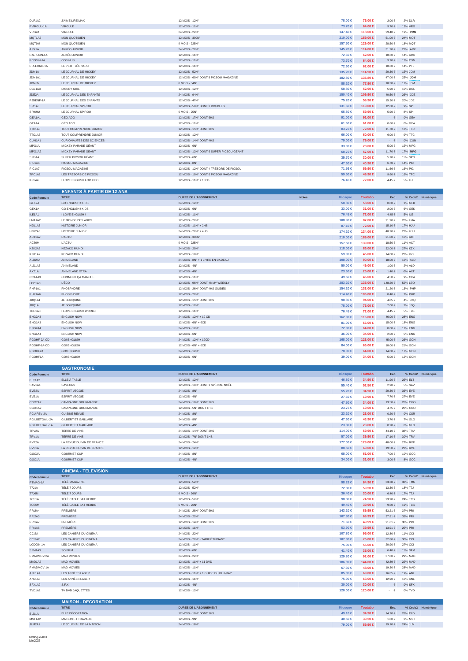| DLR1A2     | <b>J'AIME LIRE MAX</b>          | 12 MOIS - 12N°                           | 78,00 €      | 76.00 €     | 2.00€       | 2% DLR         |  |
|------------|---------------------------------|------------------------------------------|--------------|-------------|-------------|----------------|--|
| PVIRGUL-1A | <b>VIRGULE</b>                  | 12 MOIS - 11N°                           | 73.70 €      | $64.00 \in$ | $9.70 \in$  | <b>13% VRG</b> |  |
| VRG2A      | <b>VIRGULE</b>                  | 24 MOIS - 22N°                           | 147.40 €     | 118,00 €    | 29.40 €     | 19% VRG        |  |
| MQT1A2     | <b>MON QUOTIDIEN</b>            | 12 MOIS - 300N°                          | $210,00 \in$ | 159,00 €    | 51.00€      | 24% MQT        |  |
| MQT9M      | <b>MON QUOTIDIEN</b>            | 9 MOIS - 225N°                           | 157,50 €     | 129.00 €    | 28.50 €     | 18% MQT        |  |
| ARK2A      | ARKÉO JUNIOR                    | 24 MOIS - 22N°                           | 145.20 €     | 114.00 €    | 31.20€      | 21% ARK        |  |
| PARKJUN-1A | ARKÉO JUNIOR                    | 12 MOIS - 11N°                           | 72.60 €      | $62.00 \in$ | 10.60€      | 14% ARK        |  |
| PCOSIN-1A  | <b>COSINUS</b>                  | 12 MOIS - 11N°                           | 73.70 €      | $64.00 \in$ | $9.70 \in$  | <b>13% CSN</b> |  |
| PPLEOND-1A | LE PETIT LÉONARD                | 12 MOIS - 11N°                           | 72.60 €      | $62.00 \in$ | 10.60€      | 14% PTL        |  |
| JDM1A      | LE JOURNAL DE MICKEY            | 12 MOIS - 52N°                           | 135.20 €     | 114.90 €    | 20.30€      | 15% JDM        |  |
| JDM1A1     | LE JOURNAL DE MICKEY            | 12 MOIS - 60N° DONT 8 PICSOU MAGAZINE    | 182.80 €     | 135,80 €    | 47.00€      | 25% JDM        |  |
| JDM8M      | LE JOURNAL DE MICKEY            | 8 MOIS - 34N°                            | 88,20 €      | 77.90 €     | 10.30 €     | 11% JDM        |  |
| DGL1A3     | <b>DISNEY GIRL</b>              | 12 MOIS - 12N°                           | $58.80 \in$  | $52.90 \in$ | 5.90€       | 10% DGL        |  |
| JDE2A      | LE JOURNAL DES ENFANTS          | 24 MOIS - 94N°                           | 150.40 ∈     | 109.90 €    | 40.50€      | 26% JDE        |  |
| PJDENF-1A  | LE JOURNAL DES ENFANTS          | 12 MOIS - 47N°                           | 75.20 €      | $59.90 \in$ | 15.30 €     | 20% JDE        |  |
| SPI1A3     | LE JOURNAL SPIROU               | 12 MOIS - 50N° DONT 2 DOUBLES            | 131,60 €     | 119,00 €    | 12.60 €     | 9% SPI         |  |
| SPI6M2     | LE JOURNAL SPIROU               | 6 MOIS - 25N°                            | $65.80 \in$  | $59.90 \in$ | 5.90€       | 8% SPI         |  |
| GEA1A1     | GÉO ADO                         | 12 MOIS - 17N° DONT 6HS                  | 91.00 $\in$  | 91.00 $\in$ | $\cdot \in$ | 0% GEA         |  |
| GEA1A      | GÉO ADO                         | 12 MOIS - 11N°                           | $61,60 \in$  | $61.00 \in$ | $0.60 \in$  | 0% GEA         |  |
| TTC1A6     | <b>TOUT COMPRENDRE JUNIOR</b>   | 12 MOIS - 15N° DONT 3HS                  | $83.70 \in$  | $72.00 \in$ | 11.70€      | 13% TTC        |  |
| TTC1A5     | TOUT COMPRENDRE JUNIOR          | 12 MOIS - 12N°                           | $66,00 \in$  | $60.00 \in$ | $6.00 \in$  | 9% TTC         |  |
| CUN1A1     | <b>CURIONAUTES DES SCIENCES</b> | 12 MOIS - 14N° DONT 4HS                  | $79.00 \in$  | 79.00 €     | $ \epsilon$ | 0% CUN         |  |
| MPG1A      | MICKEY PARADE GEANT             | 12 MOIS - 6N°                            | $33,00 \in$  | 28.00 ∈     | 5.00€       | 15% MPG        |  |
| MPG1A2     | MICKEY PARADE GÉANT             | 12 MOIS - 12N° DONT 6 SUPER PICSOU GÉANT | $68.70 \in$  | $57.00 \in$ | 11.70€      | 17% MPG        |  |
| SPG1A      | SUPER PICSOU GÉANT              | 12 MOIS - 6N°                            | $35.70 \in$  | $30.00 \in$ | 5.70€       | 15% SPG        |  |
| PIC1A6     | PICSOU MAGAZINE                 | 12 MOIS - 8N°                            | $47.60 \in$  | $40.90 \in$ | $6.70 \in$  | <b>14% PIC</b> |  |
| PIC1A7     | PICSOU MAGAZINE                 | 12 MOIS - 12N° DONT 4 TRÉSORS DE PICSOU  | 71.56 €      | $59.90 \in$ | 11.66 €     | 16% PIC        |  |
| TPC1A2     | LES TRÉSORS DE PICSOU           | 12 MOIS - 10N° DONT 6 PICSOU MAGAZINE    | $59.50 \in$  | 49.90 €     | $9.60 \in$  | 16% TPC        |  |
| ILJ1A4     | <b>I LOVE ENGLISH FOR KIDS</b>  | 12 MOIS - 11N° + 10CD                    | 76.45 €      | 72.00 €     | 4.45 €      | 5% ILJ         |  |

|                     | <b>ENFANTS À PARTIR DE 12 ANS</b> |                                   |                                |                |            |                |                   |
|---------------------|-----------------------------------|-----------------------------------|--------------------------------|----------------|------------|----------------|-------------------|
| <b>Code Formule</b> | <b>TITRE</b>                      | <b>DUREE DE L'ABONNEMENT</b>      | <b>Notes</b><br><b>Kiosque</b> | <b>Toutabo</b> | Eco.       |                | % Code2 Numérique |
| GEK2A               | <b>GO ENGLISH! KIDS</b>           | 24 MOIS - 12N°                    | $58.80 \in$                    | $58.00 \in$    | $0.80 \in$ | 1% GEK         |                   |
| GEK1A               | <b>GO ENGLISH! KIDS</b>           | 12 MOIS - 6N°                     | $33,00 \in$                    | $31.00 \in$    | 2.00€      | 6% GEK         |                   |
| ILE1A1              | <b>I LOVE ENGLISH!</b>            | 12 MOIS - 11N°                    | 76.45 €                        | 72.00 ∈        | 4.45€      | 5% ILE         |                   |
| LMA1A2              | LE MONDE DES ADOS                 | 12 MOIS - 22N°                    | 108,90 €                       | $87.00 \in$    | 21.90€     | 20% LMA        |                   |
| HJU1A3              | <b>HISTOIRE JUNIOR</b>            | 12 MOIS - 11N° + 2HS              | 87.10 €                        | 72.00 €        | 15.10 €    | 17% HJU        |                   |
| HJU2A3              | <b>HISTOIRE JUNIOR</b>            | 24 MOIS - 22N° + 4HS              | 174.20 €                       | 134.00 €       | 40.20€     | 23% HJU        |                   |
| ACT1A2              | <b>L'ACTU</b>                     | 12 MOIS - 300N°                   | $210.00 \in$                   | 189,00 €       | 21.00€     | 10% ACT        |                   |
| ACT9M               | <b>L'ACTU</b>                     | 9 MOIS - 225N°                    | 157.50 €                       | 139.00 €       | 18.50€     | 11% ACT        |                   |
| KZK2A2              | <b>KEZAKO MUNDI</b>               | 24 MOIS - 20N°                    | 118,00 €                       | $86.00 \in$    | 32.00 €    | 27% KZK        |                   |
| KZK1A2              | <b>KEZAKO MUNDI</b>               | 12 MOIS - 10N°                    | $59.00 \in$                    | 45.00 €        | 14.00 €    | 23% KZK        |                   |
| ALD2A4              | ANIMELAND                         | 24 MOIS - 8N° + 1 LIVRE EN CADEAU | 108,00 €                       | 90.00 $\in$    | 18.00 €    | 16% ALD        |                   |
| ALD1A5              | ANIMELAND                         | 12 MOIS - 4N°                     | $50.00 \in$                    | 49.00 $∈$      | 1.00 €     | 2% ALD         |                   |
| AXT1A               | ANIMELAND XTRA                    | $12$ MOIS - $4N^\circ$            | $23,60$ ∈                      | $25.00 \in .$  | 1.40 €     | -5% AXT        |                   |
| CCA1A3              | COMMENT ÇA MARCHE                 | 12 MOIS - 11N°                    | 49.50 ∈                        | 45.00 €        | 4.50€      | 9% CCA         |                   |
| LEO1A3              | <b>L'ÉCO</b>                      | 12 MOIS - 96N° DONT 48 MY WEEKLY  | 283,20 €                       | 135.00 €       | 148.20€    | 52% LEO        |                   |
| PHP1A1              | PHOSPHORE                         | 12 MOIS - 26N° DONT 4HS GUIDES    | 154.20 €                       | 133.00 €       | 21.20€     | 13% PHP        |                   |
| PHP1A6              | PHOSPHORE                         | 12 MOIS - 22N°                    | 114.40 ∈                       | 106,00€        | $8.40 \in$ | 7% PHP         |                   |
| JBQ1A1              | JE BOUQUINE                       | 12 MOIS - 15N° DONT 3HS           | $98.85 \in$                    | $94.00 \in$    | 4.85 €     | 4% JBQ         |                   |
| JBQ1A               | JE BOUQUINE                       | 12 MOIS - 12N°                    | 78,00 €                        | 76.00 €        | 2.00€      | 2% JBQ         |                   |
| TDE1A8              | <b>I LOVE ENGLISH WORLD</b>       | 12 MOIS - 11N°                    | 76.45 €                        | 72.00 €        | 4.45 €     | 5% TDE         |                   |
| ENG2A3              | <b>ENGLISH NOW</b>                | 24 MOIS - 12N° + 12 CD            | 162,00 €                       | 116,00 €       | 46.00€     | <b>28% ENG</b> |                   |
| ENG1A3              | <b>ENGLISH NOW</b>                | 12 MOIS - 6N° + 6CD               | $81.00 \in$                    | $66.00 \in$    | 15.00 €    | <b>18% ENG</b> |                   |
| ENG2A4              | <b>ENGLISH NOW</b>                | 24 MOIS - 12N°                    | 72.00 ∈                        | $64.00 \in$    | $8.00 \in$ | <b>11% ENG</b> |                   |
| ENG1A4              | <b>ENGLISH NOW</b>                | 12 MOIS - 6N°                     | $36,00 \in$                    | $34.00 \in$    | $2.00 \in$ | <b>5% ENG</b>  |                   |
| PGOHF-2A-CD         | <b>GO! ENGLISH</b>                | 24 MOIS - 12N° + 12CD             | 168,00 €                       | 123,00 €       | 45.00€     | 26% GON        |                   |
| PGOHF-1A-CD         | <b>GO! ENGLISH</b>                | $12$ MOIS - $6N^{\circ}$ + $6CD$  | 84,00 €                        | $66.00 \in$    | 18.00 €    | 21% GON        |                   |
| PGOHF2A             | <b>GO! ENGLISH</b>                | 24 MOIS - 12N°                    | 78,00 €                        | $64.00 \in$    | 14.00 €    | <b>17% GON</b> |                   |
| PGOHF1A             | <b>GO! ENGLISH</b>                | 12 MOIS - 6N°                     | $39.00 \in$                    | $34.00 \in$    | 5.00 €     | <b>12% GON</b> |                   |

|                     | <b>GASTRONOMIE</b>         |                                    |             |                |             |         |                   |
|---------------------|----------------------------|------------------------------------|-------------|----------------|-------------|---------|-------------------|
| <b>Code Formule</b> | <b>TITRE</b>               | <b>DUREE DE L'ABONNEMENT</b>       | Kiosque     | <b>Toutabo</b> | Eco.        |         | % Code2 Numérique |
| ELT1A2              | ELLE À TABLE               | 12 MOIS - 12N°                     | 46.80 ∈     | $34.90 \in$    | 11.90 €     | 25% ELT |                   |
| SAV1A4              | SAVEURS                    | 12 MOIS - 10N° DONT 1 SPÉCIAL NOËL | $55,40 \in$ | $52.50 \in$    | 2.90€       | 5% SAV  |                   |
| EVE2A               | <b>ESPRIT VEGGIE</b>       | 24 MOIS - 8N°                      | $55.20 \in$ | 34.90 €        | $20.30 \in$ | 36% EVE |                   |
| EVE1A               | <b>ESPRIT VEGGIE</b>       | 12 MOIS - 4N°                      | 27,60 €     | 19.90 €        | 7.70€       | 27% EVE |                   |
| CGO2A2              | CAMPAGNE GOURMANDE         | 24 MOIS - 10N° DONT 2HS            | 47.50 €     | $34.00 \in$    | 13.50 €     | 28% CGO |                   |
| CGO1A2              | CAMPAGNE GOURMANDE         | 12 MOIS - 5N° DONT 1HS             | 23.75 ∈     | 19.00 €        | 4.75 €      | 20% CGO |                   |
| PCUIREV-2A          | <b>CUISINE REVUE</b>       | 24 MOIS - 8N°                      | 23.20 ∈     | 23.00 ∈        | $0.20 \in$  | 0% CSR  |                   |
| PGILBETGAIL-2A      | GILBERT ET GAILLARD        | 24 MOIS - 8N°                      | 47,60 €     | $43.90 \in$    | 3.70€       | 7% GLG  |                   |
| PGILBETGAIL-1A      | <b>GILBERT ET GAILLARD</b> | 12 MOIS - 4N°                      | 23.80 ∈     | $23.60 \in$    | $0.20 \in$  | 0% GLG  |                   |
| TRV2A               | TERRE DE VINS              | 24 MOIS - 14N° DONT 2HS            | 114.00 ∈    | $69.90 \in$    | 44.10€      | 38% TRV |                   |
| TRV1A               | <b>TERRE DE VINS</b>       | 12 MOIS - 7N° DONT 1HS             | $57.00 \in$ | 39.90 €        | 17.10€      | 30% TRV |                   |
| RVF <sub>2</sub> A  | LA REVUE DU VIN DE FRANCE  | 24 MOIS - 24N°                     | 177.00 €    | 129,00 €       | 48.00 €     | 27% RVF |                   |
| RVF <sub>1</sub> A  | LA REVUE DU VIN DE FRANCE  | 12 MOIS - 12N°                     | 88,50 €     | $69.00 \in$    | 19.50 €     | 22% RVF |                   |
| GOC2A               | <b>GOURMET CUP</b>         | 24 MOIS - 8N°                      | $68,00 \in$ | $61.00 \in$    | 7.00€       | 10% GOC |                   |
| GOC1A               | <b>GOURMET CUP</b>         | 12 MOIS - 4N°                      | $34.00 \in$ | $31.00 \in$    | $3.00 \in$  | 8% GOC  |                   |

|                     | <b>CINEMA - TELEVISION</b> |                                     |                |                |             |                |                   |
|---------------------|----------------------------|-------------------------------------|----------------|----------------|-------------|----------------|-------------------|
| <b>Code Formule</b> | <b>TITRE</b>               | <b>DUREE DE L'ABONNEMENT</b>        | <b>Kiosque</b> | <b>Toutabo</b> | Eco.        |                | % Code2 Numérique |
| PTMAG-1A            | TÉLÉ MAGAZINE              | 12 MOIS - 52N°                      | $98.28 \in$    | 64.90 €        | 33.38 €     | 33% TMG        |                   |
| T7J1A               | TÉLÉ 7 JOURS               | 12 MOIS - 52N°                      | 72.80 €        | $59.50 \in$    | 13.30 €     | 18% T7J        |                   |
| T7J6M               | TÉLÉ 7 JOURS               | 6 MOIS - 26N°                       | $36,40 \in$    | $30.00 \in$    | $6.40 \in$  | 17% T7J        |                   |
| TCS1A               | TÉLÉ CABLE SAT HEBDO       | 12 MOIS - 52N°                      | $98.80 \in$    | 74.90 €        | 23.90€      | 24% TCS        |                   |
| <b>TCS6M</b>        | TÉLÉ CABLE SAT HEBDO       | 6 MOIS - 26N°                       | 49.40 ∈        | $39.90 \in$    | $9.50 \in$  | 19% TCS        |                   |
| PRI2A4              | PREMIÈRE                   | 24 MOIS - 28N° DONT 6HS             | 143.20 €       | 89.99 €        | 53.21 €     | 37% PRI        |                   |
| <b>PRI2A3</b>       | PREMIÈRE                   | 24 MOIS - 22N°                      | 107.80 €       | $69.99 \in$    | 37.81 €     | 35% PRI        |                   |
| PRI1A7              | PREMIÈRE                   | 12 MOIS - 14N° DONT 3HS             | $71.60 \in$    | 49.99 €        | 21.61 €     | 30% PRI        |                   |
| <b>PRI1A6</b>       | PREMIÈRE                   | 12 MOIS - 11N°                      | $53.90 \in$    | $39.99 \in$    | 13.91 €     | 25% PRI        |                   |
| CCI2A               | LES CAHIERS DU CINÉMA      | 24 MOIS - 22N°                      | 107.80 €       | $95.00 \in$    | 12.80 €     | 11% CCI        |                   |
| CCI2A2              | LES CAHIERS DU CINÉMA      | 24 MOIS - 22N° - TARIF ÉTUDIANT     | 107.80 €       | 75,00 €        | 32.80 €     | 30% CCI        |                   |
| LCDCIN-1A           | LES CAHIERS DU CINÉMA      | 12 MOIS - 11N°                      | 75,90 €        | 55,00 €        | 20.90€      | 27% CCI        |                   |
| SFM1A3              | SO FILM                    | 12 MOIS - 6N°                       | $41.40 \in$    | $35.00 \in$    | $6.40 \in$  | <b>15% SFM</b> |                   |
| PMADMOV-2A          | MAD MOVIES                 | 24 MOIS - 22N°                      | 129.80 €       | 92.00 $\in$    | 37.80 €     | 29% MAD        |                   |
| MAD1A2              | <b>MAD MOVIES</b>          | 12 MOIS - 11N° + 11 DVD             | 186,89 €       | 144.00 €       | 42.89 €     | 22% MAD        |                   |
| PMADMOV-1A          | MAD MOVIES                 | 12 MOIS - 11N°                      | 67.30 €        | 48.00 €        | 19.30 €     | 28% MAD        |                   |
| ANL1A4              | LES ANNÉES LASER           | 12 MOIS - 11N° + 1 GUIDE DU BLU-RAY | 85,85 €        | $69.00 \in$    | 16.85 €     | 19% ANL        |                   |
| ANL1A3              | LES ANNÉES LASER           | 12 MOIS - 11N°                      | 75,90 €        | $63.00 \in$    | 12.90 €     | <b>16% ANL</b> |                   |
| SFX1A2              | S.F.X.                     | 12 MOIS - 4N°                       | $30.00 \in$    | $30.00 \in$    | $ \epsilon$ | 0% SFX         |                   |
| TVD1A2              | TV DVD JAQUETTES           | 12 MOIS - 12N°                      | 120.00 ∈       | 120.00 €       | $ \epsilon$ | 0% TVD         |                   |
|                     | <b>MAISON - DECORATION</b> |                                     |                |                |             |                |                   |
| <b>Code Formule</b> | <b>TITRE</b>               | <b>DUREE DE L'ABONNEMENT</b>        | <b>Kiosque</b> | <b>Toutabo</b> | Eco.        |                | % Code2 Numérique |
| ELD1A               | ELLE DÉCORATION            | 12 MOIS - 10N° DONT 1HS             | 49.10 €        | 34,90 €        | 14.20€      | 28% ELD        |                   |
| MST1A2              | MAISON ET TRAVAUX          | 12 MOIS - 9N°                       | 40.50 €        | $39.50 \in$    | 1.00 €      | 2% MST         |                   |
| JLM2A1              | LE JOURNAL DE LA MAISON    | 24 MOIS - 18N°                      | 79.00 €        | 59.90 €        | 19.10€      | 24% JLM        |                   |

m.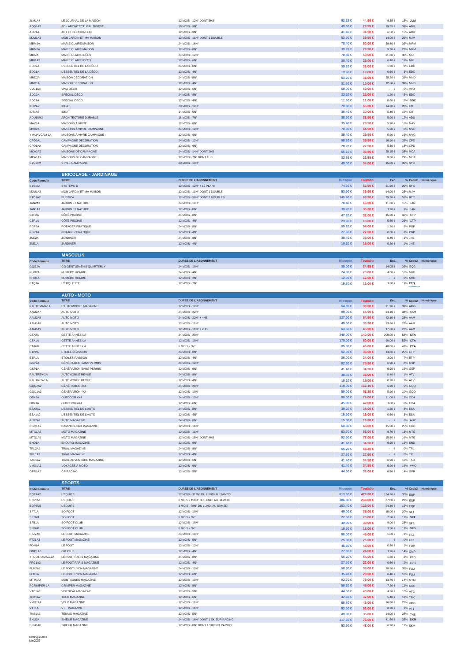| JLM1A4                          | LE JOURNAL DE LA MAISON              | 12 MOIS - 12N° DONT 3HS                                               | $53.25 \in$         | 44.90 €             | 8.35 €                | 15% JLM            |                   |
|---------------------------------|--------------------------------------|-----------------------------------------------------------------------|---------------------|---------------------|-----------------------|--------------------|-------------------|
| ADG1A2                          | AD - ARCHITECTURAL DIGEST            | 18 MOIS - 9N°                                                         | 49.50 €             | 29.95 €             | 19.55 €               | 39% ADG            |                   |
| ADR1A                           | ART ET DÉCORATION                    | 12 MOIS - 9N°                                                         | 41.40 €             | 34.90 €             | 6.50€                 | 15% ADR            |                   |
| MJM1A3                          | MON JARDIN ET MA MAISON              | 12 MOIS - 11N° DONT 1 DOUBLE                                          | 53.90 €             | 39.90 €             | 14.00 €               | 25% MJM            |                   |
| MRM2A                           | MARIE CLAIRE MAISON                  | 24 MOIS - 16N°                                                        | 78.40 €             | 50.00 €             | $28.40 \in$           | 36% MRM            |                   |
| MRM1A                           | MARIE CLAIRE MAISON                  | 12 MOIS - 8N°                                                         | 39.20 €             | 29.90 €             | 9.30€                 | 23% MRM            |                   |
| MRI2A                           | MARIE CLAIRE IDÉES                   | 24 MOIS - 12N°                                                        | 70.80 €             | 49.00 €             | 21.80 €               | 30% MRI            |                   |
| MRI1A2                          | MARIE CLAIRE IDÉES                   | 12 MOIS - 6N°                                                         | 35.40 €             | 29.00 €             | 6.40€                 | 18% MRI            |                   |
| EDC2A                           | L'ESSENTIEL DE LA DÉCO               | 24 MOIS - 8N°                                                         | 39.20 €             | 38.00 €             | 1.20 €                | 3% EDC             |                   |
| EDC1A                           | L'ESSENTIEL DE LA DÉCO               | 12 MOIS - 4N°                                                         | 19.60 €             | 19.00 €             | $0.60\in$             | 3% EDC             |                   |
| MND <sub>2</sub> A              | MAISON DÉCORATION                    | 24 MOIS - 8N°                                                         | 63.20 €             | 38.00 €             | 25.20€                | 39% MND            |                   |
| MND1A                           | MAISON DÉCORATION                    | 12 MOIS - 4N°                                                         | $31.60 \in$         | 19.00 €             | 12.60 €               | 39% MND            |                   |
| VVD1A4                          | VIVA DÉCO                            | 12 MOIS - 6N°                                                         | $50.00 \in$         | 50,00 €             | $\cdot \in$           | 0% VVD             |                   |
| SDC <sub>2</sub> A              | SPÉCIAL DÉCO                         | 24 MOIS - 8N°                                                         | 23.20 €             | 22.00 €             | $1.20\in$             | <b>5% SDC</b>      |                   |
| SDC1A                           | SPÉCIAL DÉCO                         | 12 MOIS - 4N°                                                         | 11.60 €             | 11.00 €             | $0.60 \in$            | 5% SDC             |                   |
| IDT2A2                          | <b>IDEAT</b>                         | 28 MOIS - 12N°                                                        | $70.80 \in$         | 56.00 €             | 14.80 €               | 20% IDT            |                   |
| IDT1A3                          | IDEAT                                | 14 MOIS - 6N°                                                         | 35.40 €             | 30.00 €             | $5.40 \in$            | 15% IDT            |                   |
| ADU18M2                         | ARCHITECTURE DURABLE                 | 18 MOIS - 7N°                                                         | 38.50 €             | 33.50 €             | 5.00€                 | 12% ADU            |                   |
| MAV1A                           | MAISONS À VIVRE                      | 12 MOIS - 6N°                                                         | $35,40 \in$         | 29.50 €             | 5.90€                 | <b>16% MAV</b>     |                   |
| MVC2A                           | MAISONS À VIVRE CAMPAGNE             | 24 MOIS - 12N°                                                        | 70.80 €             | 64.90 €             | 5.90€                 | 8% MVC             |                   |
| YMAIAVCAM-1A                    | MAISONS À VIVRE CAMPAGNE             | 12 MOIS - 6N°                                                         | 35.40 €             | 29.50 €             | $5.90\in$             | 16% MVC            |                   |
| CPD2A1                          | CAMPAGNE DÉCORATION                  | 24 MOIS - 12N°                                                        | 58.80 $\in$         | 39.90 €             | 18.90 €               | 32% CPD            |                   |
| CPD1A2                          | CAMPAGNE DÉCORATION                  | 12 MOIS - 6N°                                                         | 28.20 €             | 22.90 €             | $5.30\in$             | 18% CPD            |                   |
| MCA2A2                          | MAISONS DE CAMPAGNE                  | 24 MOIS - 14N° DONT 2HS                                               | $65.10 \in$         | 39.95 €             | 25.15€                | 38% MCA            |                   |
| MCA1A2                          | MAISONS DE CAMPAGNE                  | 12 MOIS - 7N° DONT 1HS                                                | $32.55 \in$         | 22.95 €             | $9.60 \in$            | 29% MCA            |                   |
| SYC20M                          | STYLE CAMPAGNE                       | 20 MOIS - 10N°                                                        | 49.00 €             | 34.00 €             | 15.00€                | 30% SYC            |                   |
|                                 |                                      |                                                                       |                     |                     |                       |                    |                   |
|                                 | <b>BRICOLAGE - JARDINAGE</b>         |                                                                       |                     |                     |                       |                    |                   |
| <b>Code Formule</b>             | <b>TITRE</b>                         | <b>DUREE DE L'ABONNEMENT</b>                                          | <b>Kiosque</b>      | <b>Toutabo</b>      | Eco.                  |                    | % Code2 Numérique |
| SYS1A4                          | SYSTÈME D                            | 12 MOIS - 12N° + 12 PLANS                                             | 74.80 €             | 52.90 €             | 21.90 €               | 29% SYS            |                   |
| MJM1A3                          | MON JARDIN ET MA MAISON              | 12 MOIS - 11N° DONT 1 DOUBLE                                          | $53.90 \in$         | 39.90 €             | 14.00 €               | 25% MJM            |                   |
| RTC1A2                          | <b>RUSTICA</b>                       | 12 MOIS - 50N° DONT 2 DOUBLES                                         | 145,40 €            | 69.90 €             | 75.50€                | 51% RTC            |                   |
| JAN2A2                          | JARDIN ET NATURE                     | 24 MOIS - 16N°                                                        | 78.40 €             | 66,60 €             | 11.80 €               | 15% JAN            |                   |
| JAN1A1                          | JARDIN ET NATURE                     | 12 MOIS - 8N°                                                         | $39.20 \in$         | 35.30 €             | 3.90€                 | 9% JAN             |                   |
| CTP2A                           | CÔTÉ PISCINE                         | 24 MOIS - 8N'                                                         | 47.20 €             | 32.00 €             | 15.20€                | 32% CTP            |                   |
| CTP1A                           | CÔTÉ PISCINE                         | 12 MOIS - 4N°                                                         | $23.60 \in$         | 18.00 €             | 5.60€                 | 23% CTP            |                   |
| PGP <sub>2</sub> A              | POTAGER PRATIQUE                     | 24 MOIS - 8N°                                                         | 55.20 €             | 54.00 €             | 1.20€                 | 2% PGP             |                   |
| PGP1A                           | POTAGER PRATIQUE                     | 12 MOIS - 4N°                                                         | 27.60 $\in$         | 27.00 €             | $0.60 \in$            | 2% PGP             |                   |
| JNE <sub>2</sub> A              | JARDINER                             | 24 MOIS - 8N°                                                         | 38.40 €             | 38.00 €             | $0.40 \in$            | 1% JNE             |                   |
| JNE <sub>1</sub> A              | <b>JARDINER</b>                      | 12 MOIS - 4N°                                                         | 19.20 €             | 19.00 €             | $0.20\in$             | 1% JNE             |                   |
|                                 |                                      |                                                                       |                     |                     |                       |                    |                   |
|                                 | <b>MASCULIN</b>                      |                                                                       |                     |                     |                       |                    |                   |
| <b>Code Formule</b>             | <b>TITRE</b>                         | DUREE DE L'ABONNEMENT                                                 | Kiosque             | <b>Toutabo</b>      | Eco.                  |                    | % Code2 Numérique |
| GQG2A                           | <b>GQ GENTLEMEN'S QUARTERLY</b>      | 24 MOIS - 10N°                                                        | 39.00 €             | 24.95 €             | 14.05 €               | 36% GQG            |                   |
| NHO <sub>2</sub> A              | NUMÉRO HOMME                         | 24 MOIS - 4N°                                                         | 24.00 ∈             | 20.00 €             | 4.00 €                | 16% NHO            |                   |
| NHO <sub>1</sub> A              | NUMÉRO HOMME                         | 12 MOIS - 2N'                                                         | 12.00 €             | 12.00 €             | $\sim$<br>€           | 0% NHO             |                   |
|                                 |                                      |                                                                       |                     |                     |                       |                    |                   |
| ETQ1A                           | L'ÉTIQUETTE                          | 12 MOIS - 2N°                                                         | 19.80 €             | 16.00 €             | 3.80€                 | 19% ETQ            |                   |
|                                 |                                      |                                                                       |                     |                     |                       |                    |                   |
|                                 | <b>AUTO - MOTO</b>                   |                                                                       |                     |                     |                       |                    |                   |
| <b>Code Formule</b>             | <b>TITRE</b>                         | <b>DUREE DE L'ABONNEMENT</b>                                          | <b>Kiosque</b>      | <b>Toutabo</b>      | Eco.                  | % Code2            | Numérique         |
| PAUTOMAG-1A                     | L'AUTOMOBILE MAGAZINE                | 12 MOIS - 12N°                                                        | 54.90 €             | 33.00 €             | 21.90 €               | 39% AMG            |                   |
| AAM2A7                          | AUTO MOTO                            | 24 MOIS - 22N°                                                        | 99.00 $\in$         | 64.90 €             | 34.10 €               | 34% AAM            |                   |
| AAM2A8                          | AUTO MOTO                            | 24 MOIS - 22N° + 4HS                                                  | 127.00 €            | 84.90 €             | 42.10€                | 33% AAM            |                   |
| AAM1A8                          | AUTO MOTO                            | 12 MOIS - 11N°                                                        | 49.50 €             | 35.90 €             | 13.60€                | 27% AAM            |                   |
| AAM1A9                          | AUTO MOTO                            | 12 MOIS - 11N° + 2HS                                                  | $63.50 \in$         | 45.90 €             | 17.60€                | 27% AAM            |                   |
| CTA2A                           | CETTE ANNÉE-LÀ                       | 24 MOIS - 20N°                                                        | 340.00 €            | 140.00 €            | 200.00 €              | 58% CTA            |                   |
| CTA1A                           | CETTE ANNÉE-LÀ                       | 12 MOIS - 10N°                                                        | 170.00 €            | 80.00 €             | 90.00 $\in$           | 52% CTA            |                   |
| CTA6M                           | CETTE ANNÉE-LÀ                       | $6$ MOIS - $5N^{\circ}$                                               | 85.00 €             | 45.00 €             | 40.00 €               | 47% CTA            |                   |
| ETP2A                           | ETOILES PASSION                      | 24 MOIS - 8N°                                                         | $52.00 \in$         | 39.00 €             | 13.00 €               | 25% ETP            |                   |
| ETP1A                           | <b>ETOILES PASSION</b>               | 12 MOIS - 4N°                                                         | $26.00 \in$         | 24.00 €             | 2.00€                 | 7% ETP             |                   |
| GSP2A                           | <b>GÉNÉRATION SANS PERMIS</b>        | 24 MOIS - 12N°                                                        | 82.80 €             | 75.90 €             | $6.90 \in$            | 8% GSP             |                   |
| GSP1A                           | <b>GENERATION SANS PERMIS</b>        | 12 MOIS - 6N                                                          | 41.40 €             | 34.50 €             | 6.90€                 | 16% GSI            |                   |
| PAUTREV-2A                      | <b>AUTOMOBILE REVUE</b>              | 24 MOIS - 8N°                                                         | $38.40 \in$         | 38.00 €             | $0.40 \in$            | 1% ATV             |                   |
| PAUTREV-1A                      | AUTOMOBILE REVUE                     | 12 MOIS - 4N°                                                         | 19.20 €             | 19.00 €             | $0.20\in$             | 1% ATV             |                   |
| GQQ2A2                          | <b>GÉNÉRATION 4X4</b>                | 24 MOIS - 20N°                                                        | 118.00 €            | 112.10 €            | $5.90\in$             | 5% GQQ             |                   |
| GQQ1A2                          | <b>GÉNÉRATION 4X4</b>                | 12 MOIS - 10N°                                                        | 59.00 €             | 53.10 €             | 5.90 €                | 10% GQQ            |                   |
| OD42A                           | OUTDOOR 4X4                          | 24 MOIS - 12N°                                                        | 90.00 $\in$         | 79.00 €             | 11.00 €               | 12% OD4            |                   |
| OD41A                           | OUTDOOR 4X4                          | 12 MOIS - 6N°                                                         | 45.00 €             | 42.00 €             | 3.00€                 | 6% OD4             |                   |
| ESA2A2                          | L'ESSENTIEL DE L'AUTO                | 24 MOIS - 8N°                                                         | 39.20 €             | 38.00 €             | 1.20 €                | 3% ESA             |                   |
| ESA1A2                          | L'ESSENTIEL DE L'AUTO                | 12 MOIS - 4N°                                                         | 19.60 €             | 19.00 €             | $0.60 \in$            | 3% ESA             |                   |
| AUZ2A1                          | <b>AUTO MAGAZINE</b>                 | 24 MOIS - 8N°                                                         | 15.00 €             | 15.00 €             | $\cdot\quad\in$       | 0% AUZ             |                   |
| CGC1A2                          | CAMPING-CAR MAGAZINE                 | 12 MOIS - 11N°                                                        | 60.50 €             | 45.00 €             | 15.50€                | 25% CGC            |                   |
| MTG1A5                          | MOTO MAGAZINE                        | 12 MOIS - 11N°                                                        | 63.70 €             | 55.00 €             | 8.70€                 | 13% MTG            |                   |
| MTG1A6                          | MOTO MAGAZINE                        | 12 MOIS - 15N° DONT 4HS                                               | 92.50 €             | 77.00 €             | 15.50 €               | 16% MTG            |                   |
| END1A                           | ENDURO MAGAZINE                      | 12 MOIS - 6N°                                                         | 41.40 €             | 34.50 €             | $6.90\in$             | 16% END            |                   |
| TRL2A2                          | TRIAL MAGAZINE                       | 24 MOIS - 8N°                                                         | 55.20 €             | 55.20 €             | $\cdot$ $\cdot$ $\in$ | 0% TRL             |                   |
| TRL1A2                          | TRIAL MAGAZINE                       | 12 MOIS - 4N°                                                         | 27.60 ∈             | 27.60 €             | $\cdot$ $\in$         | 0% TRL             |                   |
| TAD1A2                          | TRAIL ADVENTURE MAGAZINE             | 12 MOIS - 6N°                                                         | 41.40 €             | 34.50 €             | 6.90€                 | 16% TAD            |                   |
| VMO <sub>1</sub> A <sub>2</sub> | VOYAGES À MOTO                       | 12 MOIS - 6N°                                                         | 41.40 €             | 34.50 €             | $6.90\in$             | 16% VMO            |                   |
| GPR1A2                          | <b>GP RACING</b>                     | 12 MOIS - 5N°                                                         | 44.50 €             | 38.00 €             | $6.50\in$             | 14% GPR            |                   |
|                                 |                                      |                                                                       |                     |                     |                       |                    |                   |
|                                 | <b>SPORTS</b>                        |                                                                       |                     |                     | Eco.                  |                    |                   |
| <b>Code Formule</b><br>EQP1A2   | <b>TITRE</b>                         | <b>DUREE DE L'ABONNEMENT</b>                                          | <b>Kiosque</b>      | <b>Toutabo</b>      |                       |                    | % Code2 Numérique |
| EQP6M                           | <b>L'EQUIPE</b>                      | 12 MOIS - 312N° DU LUNDI AU SAMEDI                                    | 613.60 $∈$          | 429.00 €            | 184.60 €<br>67.80 €   | 30% EQP            |                   |
| EQP3M3                          | <b>L'EQUIPE</b><br><b>L'EQUIPE</b>   | 6 MOIS - 156N° DU LUNDI AU SAMEDI<br>3 MOIS - 78N° DU LUNDI AU SAMEDI | 306.80 €            | 239.00 €            | $24.40 \in$           | 22% EQP            |                   |
|                                 |                                      |                                                                       | 153.40 €<br>49.00 € | 129.00 €<br>39.00 € | 10.00€                | 15% EQP<br>20% SFT |                   |
| SFT1A<br>SFT6M                  | SO FOOT<br>SO FOOT                   | 12 MOIS - 10N°<br>6 MOIS - 5N°                                        | 22.50 €             | 20.00 €             | $2.50\in$             | 11% SFT            |                   |
| SFB1A                           | SO FOOT CLUB                         |                                                                       |                     |                     | $9.00\in$             |                    |                   |
| SFB6M                           | SO FOOT CLUB                         | 12 MOIS - 10N°<br>$6$ MOIS - $5N^\circ$                               | 39.00 €<br>19.50 €  | 30.00 €<br>16.00 €  | $3.50\in$             | 23% SFB            |                   |
|                                 |                                      |                                                                       | $50.00 \in$         | 49.00 €             | 1.00€                 | 17% SFB            |                   |
| FTZ2A2<br>FTZ1A3                | LE FOOT MAGAZINE<br>LE FOOT MAGAZINE | 24 MOIS - 10N°<br>12 MOIS - 5N°                                       | 25.00 ∈             | 25.00 €             | $\cdot$ $\in$         | 2% FTZ<br>0% FTZ   |                   |
| FOH1A                           | LE FOOT                              | 12 MOIS - 12N°                                                        | 46.80 €             | 46.00 €             | $0.80 \in$            | 1% FOH             |                   |

|                                 |                         |                                     | ------      | ------      |             | --             |  |
|---------------------------------|-------------------------|-------------------------------------|-------------|-------------|-------------|----------------|--|
| SFB6M                           | SO FOOT CLUB            | 6 MOIS - 5N°                        | 19.50 ∈     | 16.00 ∈     | $3.50 \in$  | 17% SFB        |  |
| FTZ2A2                          | LE FOOT MAGAZINE        | 24 MOIS - 10N°                      | $50.00 \in$ | 49.00 €     | 1.00 €      | 2% FTZ         |  |
| FTZ1A3                          | LE FOOT MAGAZINE        | 12 MOIS - 5N°                       | $25.00 \in$ | $25.00 \in$ | $\cdot \in$ | 0% FTZ         |  |
| FOH1A                           | LE FOOT                 | 12 MOIS - 12N°                      | $46,80 \in$ | 46.00 €     | $0.80 \in$  | 1% FOH         |  |
| OMP1A3                          | OM PLUS                 | 12 MOIS - 4N°                       | $27.96 \in$ | 24.00 ∈     | $3.96 \in$  | 14% OMP        |  |
| YFOOTPAMAG-2A                   | LE FOOT PARIS MAGAZINE  | 24 MOIS - 8N°                       | $55.20 \in$ | $54.00 \in$ | 1.20€       | 2% FPG         |  |
| FPG1A2                          | LE FOOT PARIS MAGAZINE  | 12 MOIS - 4N°                       | $27.60 \in$ | $27.00 \in$ | $0.60 \in$  | $2\%$ FPG      |  |
| FLM2A2                          | LE FOOT LYON MAGAZINE   | 24 MOIS - 12N°                      | $58.80 \in$ | $38.00 \in$ | 20.80 €     | 35% FLM        |  |
| FLM1A                           | LE FOOT LYON MAGAZINE   | 12 MOIS - 6N°                       | $35.40 \in$ | 29.00 ∈     | $6.40 \in$  | 18% FLM        |  |
| MTM1A4                          | MONTAGNES MAGAZINE      | 12 MOIS - 13N°                      | 92.70 €     | 79.00 €     | 13.70 €     | 14% MTM        |  |
| PGRIMPER-1A                     | <b>GRIMPER MAGAZINE</b> | 12 MOIS - 8N°                       | 56.20 €     | 49.00 €     | 7.20€       | 12% GRR        |  |
| VTC1A3                          | VERTICAL MAGAZINE       | 12 MOIS - 5N°                       | 44.50 €     | 40.00 €     | 4.50€       | 10% VTC        |  |
| TRK1A2                          | <b>TREK MAGAZINE</b>    | 12 MOIS - 6N°                       | $42.40 \in$ | $37.00 \in$ | $5.40 \in$  | <b>12% TRK</b> |  |
| VMG1A4                          | VÉLO MAGAZINE           | 12 MOIS - 11N°                      | 65.80 €     | 49.00 €     | 16.80 €     | 25% VMG        |  |
| VTT <sub>1</sub> A              | <b>VTT MAGAZINE</b>     | 12 MOIS - 11N°                      | $53.90 \in$ | $53.00 \in$ | $0.90 \in$  | 1% VTT         |  |
| TNS <sub>1</sub> A <sub>3</sub> | <b>TENNIS MAGAZINE</b>  | 12 MOIS - 5N°                       | 49.00 ∈     | $35.00 \in$ | 14.00 €     | 28% TNS        |  |
| SKM2A                           | SKIEUR MAGAZINE         | 24 MOIS - 16N° DONT 1 SKIEUR RACING | 117,60 €    | 76.00 €     | 41.60 €     | 35% SKM        |  |
| SKM1A8                          | SKIEUR MAGAZINE         | 12 MOIS - 8N° DONT 1 SKIEUR RACING  | $53.90 \in$ | 47.00 €     | 6.90 €      | 12% SKM        |  |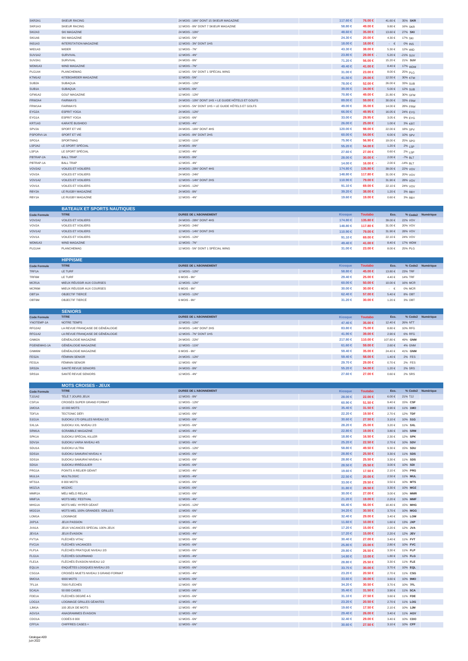| SKR2A1                      | <b>SKIEUR RACING</b>                | 24 MOIS - 16N° DONT 15 SKIEUR MAGAZINE             | 117.60 €               | 76.00 €            | 41.60 €                  | 35% SKR            |                   |
|-----------------------------|-------------------------------------|----------------------------------------------------|------------------------|--------------------|--------------------------|--------------------|-------------------|
| SKR1A3                      | SKIEUR RACING                       | 12 MOIS - 8N° DONT 7 SKIEUR MAGAZINE               | 58.80 €                | 49.00 €            | $9.80 \in$               | 16% SKR            |                   |
| SKI2A3                      | SKI MAGAZINE                        | 24 MOIS - 10N°                                     | 48.60 €                | 35.00 €            | 13.60 €                  | 27% SKI            |                   |
| SKI1A6                      | SKI MAGAZINE                        | 12 MOIS - 5N°                                      | 24.30 €                | 20.00 €            | 4.30 €                   | 17% SKI            |                   |
|                             | <b>INTERSTATION MAGAZINE</b>        |                                                    | 18.00 €                | 18.00 €            | . $\in$                  |                    |                   |
| INS1A3<br>WID1A3            | <b>WIDER</b>                        | 12 MOIS - 3N° DONT 1HS<br>12 MOIS - 7N°            | 43.30 €                | 38,00 €            | 5.30€                    | 0% INS             |                   |
|                             |                                     |                                                    |                        |                    |                          | 12% WID            |                   |
| SUV1A2                      | <b>SURVIVAL</b>                     | 12 MOIS - 4N°                                      | 23.80 €                | 29.00 €            | $5.20\in$                | $-21\%$ SUV        |                   |
| SUV2A1                      | SURVIVAL                            | 24 MOIS - 8N°                                      | 71.20 €                | 56.00 €            | 15.20 €                  | 21% SUV            |                   |
| WDM1A3                      | WIND MAGAZINE                       | 12 MOIS - 7N°                                      | 49.40 €                | 41.00 €            | $8.40 \in$               | 17% WDM            |                   |
| PLG1A4                      | PLANCHEMAG                          | 12 MOIS - 5N° DONT 1 SPÉCIAL WING                  | 31.00 €                | 23.00 €            | $8.00 \in$               | 25% PLG            |                   |
| KTM1A2                      | KITEBOARDER MAGAZINE                | 12 MOIS - 5N°                                      | 41.50 €                | 29.00 €            | 12.50€                   | 30% KTM            |                   |
| SUB <sub>2</sub> A          | SUBAQUA                             | 24 MOIS - 12N°                                     | 78.00 €                | 52,00 €            | 26.00€                   | 33% SUB            |                   |
| SUB <sub>1</sub> A          | SUBAQUA                             | 12 MOIS - 6N°                                      | 39.00 €                | 34.00 €            | $5.00\in$                | 12% SUB            |                   |
| GFM1A2                      | <b>GOLF MAGAZINE</b>                | 12 MOIS - 12N°                                     | 70.80 €                | 49.00 €            | 21.80 €                  | 30% GFM            |                   |
| FRW2A4                      | FAIRWAYS                            | 24 MOIS - 10N° DONT 1HS + LE GUIDE HÔTELS ET GOLFS | 89.00 €                | 59.00 €            | $30.00\in$               | 33% FRW            |                   |
| FRW1A4                      | FAIRWAYS                            | 12 MOIS - 5N° DONT 1HS + LE GUIDE HÔTELS ET GOLFS  | 49.00 €                | 35.00 €            | 14.00 €                  | 28% FRW            |                   |
| EYG2A                       | <b>ESPRIT YOGA</b>                  | 24 MOIS - 12N°                                     | $66.00 \in$            | 49.95 €            | 16.05 €                  | 24% EYG            |                   |
| EYG1A                       | <b>ESPRIT YOGA</b>                  | 12 MOIS - 6N°                                      | 33.00 €                | 29.95 €            | 3.05€                    | 9% EYG             |                   |
| KRT1A3                      | KARATÉ BUSHIDO                      | 12 MOIS - 4N°                                      | 26.00 €                | 25.00 €            | $1.00 \in$               | 3% KRT             |                   |
| SPV2A                       | SPORT ET VIE                        | 24 MOIS - 16N° DONT 4HS                            | 120.00 €               | 98.00 €            | 22.00 €                  | 18% SPV            |                   |
| PSPORVI-1A                  | SPORT ET VIE                        | 12 MOIS - 8N° DONT 2HS                             | $60.00 \in$            | 54.00 €            | $6.00\in$                | 10% SPV            |                   |
|                             |                                     |                                                    |                        |                    |                          |                    |                   |
| SPO <sub>1</sub> A          | SPORTMAG                            | 12 MOIS - 11N°                                     | 75.90 €                | 56.90 €            | 19.00 €                  | 25% SPO            |                   |
| LSP2A2                      | LE SPORT SPÉCIAL                    | 24 MOIS - 8N°                                      | 55.20 €                | 54.00 €            | 1.20€                    | 2% LSP             |                   |
| LSP1A                       | LE SPORT SPÉCIAL                    | 12 MOIS - 4N°                                      | 27,60 €                | 27.00 €            | $0.60 \in$               | 2% LSP             |                   |
| PBTRAP-2A                   | <b>BALL TRAP</b>                    | 24 MOIS - 8N°                                      | 28.00 €                | $30.00 \in$        | $2.00\in$                | -7% BLT            |                   |
| PBTRAP-1A                   | <b>BALL TRAP</b>                    | 12 MOIS - 4N°                                      | 14.00 €                | 16.00 € -          | $2.00 \in$               | $-14\%$ BLT        |                   |
| VOV2A2                      | VOILES ET VOILIERS                  | 24 MOIS - 28N° DONT 4HS                            | 174.80 €               | 135.80 €           | $39.00\in$               | 22% VOV            |                   |
| VOV2A                       | VOILES ET VOILIERS                  | 24 MOIS - 24N°                                     | 148.80 €               | 117.80 €           | 31.00 €                  | 20% vov            |                   |
| VOV1A2                      | VOILES ET VOILIERS                  | 12 MOIS - 14N° DONT 2HS                            | 110.90 €               | 79.00 €            | $31.90\in$               | 28% vov            |                   |
| VOV1A                       | VOILES ET VOILIERS                  | 12 MOIS - 12N°                                     | 91.10 €                | $69.00 \in$        | 22.10€                   | 24% VOV            |                   |
| RBY2A                       | LE RUGBY MAGAZINE                   | 24 MOIS - 8N°                                      | 39.20 €                | 38.00 €            | 1.20 €                   | 3% RBY             |                   |
| RBY1A                       | LE RUGBY MAGAZINE                   | 12 MOIS - 4N°                                      | 19.60 €                | 19,00 €            | $0.60 \in$               | 3% RBY             |                   |
|                             |                                     |                                                    |                        |                    |                          |                    |                   |
|                             | <b>BATEAUX ET SPORTS NAUTIQUES</b>  |                                                    |                        |                    |                          |                    |                   |
| <b>Code Formule</b>         | <b>TITRE</b>                        | <b>DUREE DE L'ABONNEMENT</b>                       | <b>Kiosque</b>         | <b>Toutabo</b>     | Eco.                     |                    | % Code2 Numérique |
| VOV2A2                      | <b>VOILES ET VOILIERS</b>           | 24 MOIS - 28N° DONT 4HS                            | 174.80 €               | 135.80 €           | 39.00€                   | 22% VOV            |                   |
| VOV2A                       | VOILES ET VOILIERS                  | 24 MOIS - 24N°                                     | 148.80 €               | 117.80 €           | 31.00€                   | 20% VOV            |                   |
| VOV1A2                      | <b>VOILES ET VOILIERS</b>           | 12 MOIS - 14N° DONT 2HS                            | 110.90 €               | 79.00 €            | 31.90 €                  | 28% VOV            |                   |
|                             |                                     |                                                    |                        |                    |                          |                    |                   |
| VOV1A                       | VOILES ET VOILIERS                  | 12 MOIS - 12N°                                     | 91.10 €                | 69.00 €            | 22.10 €                  | 24% VOV            |                   |
| WDM1A3                      | WIND MAGAZINE                       | 12 MOIS - 7N°                                      | 49.40 €                | 41.00 €            | $8.40 \in$               | 17% WDM            |                   |
| PLG1A4                      | PLANCHEMAG                          | 12 MOIS - 5N° DONT 1 SPÉCIAL WING                  | 31.00 €                | 23.00 €            | $8.00 \in$               | 25% PLG            |                   |
|                             |                                     |                                                    |                        |                    |                          |                    |                   |
|                             | <b>HIPPISME</b>                     |                                                    |                        |                    |                          |                    |                   |
| <b>Code Formule</b>         | <b>TITRE</b>                        | <b>DUREE DE L'ABONNEMENT</b>                       | Kiosque                | <b>Toutabo</b>     | Eco.                     | % Code2            | Numérique         |
| TRF1A                       | LE TURF                             | 12 MOIS - 12N°                                     | 58.80 €                | 45.00 €            | 13.80 €                  | 23% TRF            |                   |
| TRF6M                       | LE TURF                             | 6 MOIS - 6N°                                       | 29,40 €                | 25.00 €            | $4.40\in$                | <b>14% TRF</b>     |                   |
| MCR1A                       | MIEUX RÉUSSIR AUX COURSES           | 12 MOIS - 12N°                                     | $60.00 \in$            | $50.00 \in$        | 10.00 €                  | <b>16% MCR</b>     |                   |
| MCR6M                       | MIEUX RÉUSSIR AUX COURSES           | 6 MOIS - 6N°                                       | $30,00 \in$            | $30.00 \in$        | $\cdot$ $\in$            | 0% MCR             |                   |
| OBT1A                       | OBJECTIF TIERCÉ                     | 12 MOIS - 12N°                                     | 62.40 €                | 57,00 €            | 5.40€                    | 8% OBT             |                   |
| OBT6M                       | OBJECTIF TIERCÉ                     | 6 MOIS - 6N°                                       | 31.20 €                | $30.00 \in$        | 1.20€                    | 3% OBT             |                   |
|                             |                                     |                                                    |                        |                    |                          |                    |                   |
|                             | <b>SENIORS</b>                      |                                                    |                        |                    |                          |                    |                   |
| <b>Code Formule</b>         | <b>TITRE</b>                        | <b>DUREE DE L'ABONNEMENT</b>                       | Kiosque                | <b>Toutabo</b>     | Eco.                     |                    | % Code2 Numérique |
|                             |                                     |                                                    |                        |                    |                          |                    |                   |
|                             | NOTRE TEMPS                         | 12 MOIS - 12N°                                     |                        |                    | 12.40€                   |                    |                   |
| YNOTEMP-1A                  |                                     |                                                    | 47.40 €                | 35.00 €            |                          | 26% NTT            |                   |
| RFG2A2                      | LA REVUE FRANÇAISE DE GÉNÉALOGIE    | 24 MOIS - 14N° DONT 2HS                            | 83.80 €                | 75.00 €            | 8.80€                    | 10% RFG            |                   |
| RFG1A2                      | LA REVUE FRANÇAISE DE GÉNÉALOGIE    | 12 MOIS - 7N° DONT 1HS                             | 41.90 €                | 39,00 €            | 2.90€                    | 6% RFG             |                   |
| GNM2A                       | GÉNÉALOGIE MAGAZINE                 | 24 MOIS - 22N°                                     | 217.80 €               | 110.00 €           | 107.80 €                 | 49% GNM            |                   |
| PGENEMAG-1A                 | GÉNÉALOGIE MAGAZINE                 | 12 MOIS - 11N°                                     | $61.60 \in$            | 59.00 €            | $2.60 \in$               | 4% GNM             |                   |
| GNM6M                       | GÉNÉALOGIE MAGAZINE                 | 6 MOIS - 6N°                                       | 59.40 €                | 35.00 €            | 24.40€                   | 41% GNM            |                   |
| FES2A                       | <b>FÉMININ SENIOR</b>               | 24 MOIS - 12N°                                     | 59,40 €                | 58.00 €            | 1.40€                    | 2% FES             |                   |
| FES1A                       | FÉMININ SENIOR                      | 12 MOIS - 6N°                                      | 29.70 €                | 29.00 €            | $0.70 \in$               | 2% FES             |                   |
| SRS <sub>2A</sub>           | SANTÉ REVUE SENIORS                 | 24 MOIS - 8N                                       | 55.20 $\in$            | 54.00 $\in$        | 1.20 €                   | 2% SRS             |                   |
| SRS1A                       | SANTÉ REVUE SENIORS                 | 12 MOIS - 4N°                                      | 27,60 €                | 27.00 €            | $0.60 \in$               | 2% SRS             |                   |
|                             |                                     |                                                    |                        |                    |                          |                    |                   |
|                             | <b>MOTS CROISES - JEUX</b>          |                                                    |                        |                    |                          |                    |                   |
| <b>Code Formule</b>         | <b>TITRE</b>                        | <b>DUREE DE L'ABONNEMENT</b>                       | Kiosque                | <b>Toutabo</b>     | Eco                      |                    | % Code2 Numérique |
| TJJ1A2                      | TÉLÉ 7 JOURS JEUX                   | 12 MOIS - 8N°                                      | 28.00 €                | 22.00 €            | $6.00 \in$               | 21% TJJ            |                   |
| CSF1A                       | CROISÉS SUPER GRAND FORMAT          | 12 MOIS - 12N°                                     | 60,90 €                | 51.50 €            | 9.40 $\in$               | 15% CSF            |                   |
| 1MO1A                       | 10 000 MOTS                         | 12 MOIS - 6N°                                      | 35.40 €                | 31.50 €            | 3.90€                    | 11% 1MO            |                   |
| TDF1A                       | TECTONIC DÉFI                       | 12 MOIS - 6N°                                      | 22.20 €                | 19.50 €            | 2.70 €                   | 12% TDF            |                   |
| <b>S1G1A</b>                | SUDOKU 170 GRILLES NIVEAU 2/3       | 12 MOIS - 6N°                                      | 30.60 €                | 27.50 €            | $3.10\in$                | 10% S1G            |                   |
| SXL <sub>1</sub> A          | SUDOKU XXL NIVEAU 2/3               | 12 MOIS - 6N°                                      | 28.20 €                | 25.00 €            | $3.20\in$                | 11% SXL            |                   |
| SRM1A                       | SCRABBLE MAGAZINE                   | 12 MOIS - 4N°                                      | 22.80 €                | 19.00 €            | $3.80\in$                | 16% SRM            |                   |
| SPK1A                       | SUDOKU SPÉCIAL KILLER               | 12 MOIS - 4N°                                      | 18.80 €                | 16.50 €            | 2.30 €                   | 12% SPK            |                   |
| SDV1A                       | SUDOKU VARIA NIVEAU 4/5             | 12 MOIS - 6N°                                      | 25.20 €                | 22.50 €            | $2.70 \in$               | 10% SDV            |                   |
| SDU1A                       | SUDOKU ULTRA                        | 12 MOIS - 12N°                                     | 58.80 €                | 49.50 €            | $9.30 \in$               | 15% SDU            |                   |
| SDS1A                       | SUDOKU SAMURAÏ NIVEAU 4             | 12 MOIS - 6N°                                      | 28.80 €                | 25.50 €            | $3.30\in$                | 11% SDS            |                   |
| SDS1A                       | SUDOKU SAMURAÏ NIVEAU 4             | 12 MOIS - 6N°                                      | 28.80 €                | 25.50 €            | $3.30\in$                | 11% SDS            |                   |
|                             |                                     |                                                    |                        |                    | $3.00 \in$               |                    |                   |
| SDI1A                       | SUDOKU IRRÉGULIER                   | 12 MOIS - 6N°                                      | 28.50 $\in$            | 25.50 €            | 2.10€                    | 10% SDI<br>10% PRG |                   |
| PRG1A                       | POINTS À RELIER GÉANT               | 12 MOIS - 4N°                                      | 19.60 €                | 17.50 €            |                          |                    |                   |
| MUL1A                       | <b>MULTILOGIC</b>                   | 12 MOIS - 4N°                                      | 22.50 €                | 20.00 €            | $2.50\in$                | 11% MUL            |                   |
| MTS1A                       | 8 000 MOTS                          | 12 MOIS - 6N°                                      | 33.00 €                | 29.50 €            | $3.50\in$                | 10% MTS            |                   |
| MOZ1A                       | MOZAÏC                              | 12 MOIS - 6N°                                      | 31.80 €                | 28.50 €            | $3.30\in$                | 10% MOZ            |                   |
| MMR1A                       | MÉLI MÉLO RELAX                     | 12 MOIS - 6N°                                      | 30.00 €                | 27.00 €            | $3.00 \in$               | 10% MMR            |                   |
| MMF1A                       | MOTS MEL' FESTIVAL                  | 12 MOIS - 4N°                                      | 21.20 €                | 19.00 €            | 2.20€                    | 10% MMF            |                   |
| MHG1A                       | MOTS MEL' HYPER GÉANT               | 12 MOIS - 12N°                                     | 66,40 €                | $56.00 \in$        | 10.40€                   | 15% MHG            |                   |
| MGG1A                       | MOTS MEL 100% GRANDES GRILLES       | 12 MOIS - 6N°                                      | 34.20 €                | 30.50 €            | $3.70\in$                | 10% MGG            |                   |
| LOM1A                       | LOGIMAGE                            | 12 MOIS - 6N°                                      | 32.40 €                | 29.00 €            | $3.40 \in$               | 10% LOM            |                   |
| JXP1A                       | <b>JEUX PASSION</b>                 | 12 MOIS - 4N°                                      | 11.60 €                | 10.00 €            | 1.60 €                   | 13% JXP            |                   |
| JVA1A                       | JEUX VACANCES SPÉCIAL 100% JEUX     | 12 MOIS - 4N°                                      | 17.20 €                | 15.00 €            | 2.20€                    | 12% JVA            |                   |
| JEV1A                       | JEUX ÉVASION                        | 12 MOIS - 4N°                                      | 17.20 €                | 15.00 €            | 2.20€                    | 12% JEV            |                   |
| FVT1A                       | FLÉCHÉS VITAL'                      | 12 MOIS - 6N°                                      | 30,40 €                | 27.00 €            | 3.40 €                   | 11% FVT            |                   |
| FVC1A                       | FLÉCHÉS VACANCES                    | 12 MOIS - 6N°                                      | 25,80 €                | 23.00 €            | $2.80 \in$               | 10% FVC            |                   |
| FLP1A                       | FLÉCHÉS PRATIQUE NIVEAU 2/3         | 12 MOIS - 6N°                                      | 29.80 €                | 26.50 €            | 3.30 €                   | 11% FLP            |                   |
| FLG1A                       | <b>FLÉCHÉS GOURMAND</b>             | 12 MOIS - 4N°                                      | 14.80 €                | 13.00 €            | $1.80 \in$               | 12% FLG            |                   |
| FLE1A                       | FLÉCHÉS ÉVASION NIVEAU 1/2          | 12 MOIS - 6N°                                      | 28.80 €                | 25.50 €            | $3.30\in$                | 11% FLE            |                   |
|                             |                                     |                                                    |                        |                    |                          |                    |                   |
| EQL1A                       | ENQUÊTES LOGIQUES NIVEAU 2/3        | 12 MOIS - 6N°                                      | 33.70 €                | $30.00 \in$        | $3.70 \in$<br>2.70€      | 10% EQL            |                   |
| CSG1A                       | CROISÉS MUETS NIVEAU 3 GRAND FORMAT | 12 MOIS - 4N°                                      | 23.20 €                | 20.50 €            |                          | 11% CSG            |                   |
| 9MO1A                       | 9000 MOTS                           | 12 MOIS - 6N°                                      | 33.60 €                | $30.00 \in$        | $3.60 \in$               | 10% 9MO            |                   |
| 7FL1A                       | 7000 FLÉCHÉS                        | 12 MOIS - 6N°                                      | 34.20 €                | 30.50 €            | 3.70€                    | 10% 7FL            |                   |
| 5CA1A                       | 50 000 CASES                        | 12 MOIS - 6N°                                      | 35.40 €                | 31.50 €            | $3.90 \in$               | 11% 5CA            |                   |
| FDE1A                       | FLÉCHÉS DEGRÉ 4-5                   | 12 MOIS - 6N°                                      | 31.10 €                | 27.50 €            | $3.60\in$                | 11% FDE            |                   |
| LOG1A                       | LOGIMAGE GRILLES GÉANTES            | 12 MOIS - 4N°                                      | 23.20 €                | 20.50 €            | 2.70 €                   | 11% LOG            |                   |
| 1JM1A                       | 100 JEUX DE MOTS                    | 12 MOIS - 4N°                                      | 19.60 €                | 17.50 €            | 2.10€                    | 10% 1JM            |                   |
| AGV1A                       | ANAGRAMMES ÉVASION                  | 12 MOIS - 6N°                                      | 29,40 €                | 26.00 €            | $3.40 \in$               | 11% AGV            |                   |
| CDO <sub>1</sub> A<br>CFF1A | CODÉS 8 000<br>CHIFFRES CASES +     | 12 MOIS - 6N°<br>12 MOIS - 6N°                     | 32.40 €<br>$30.60 \in$ | 29.00 €<br>27.50 € | $3.40 \in$<br>$3.10 \in$ | 10% CDO<br>10% CFF |                   |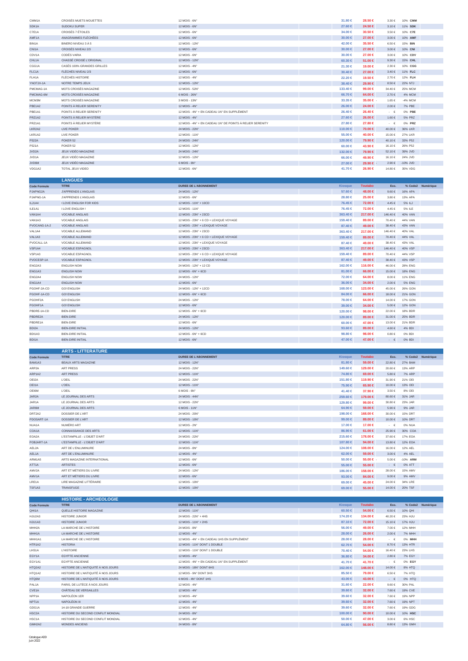| CMM1A                           | CROISÉS MUETS MOUETTES                               | 12 MOIS - 6N°                                                | 31.80 €                       | 28.50 €                   | $3.30\in$                | 10% CMM                 |                   |
|---------------------------------|------------------------------------------------------|--------------------------------------------------------------|-------------------------------|---------------------------|--------------------------|-------------------------|-------------------|
| SDK1A                           | <b>SUDOKU SUPER</b>                                  | 12 MOIS - 6N°                                                | 27.60 $\in$                   | 24.50 €                   | $3.10 \in$               | 11% SDK                 |                   |
| C7E1A                           | CROISÉS 7 ÉTOILES                                    | 12 MOIS - 6N°                                                | 34.00 €                       | 30.50 €                   | $3.50\in$                | 10% C7E                 |                   |
| AMF1A                           | ANAGRAMMES FLÉCHÉES                                  | 12 MOIS - 6N°                                                | $30.00 \in$                   | 27.00 €                   | $3.00 \in$               | 10% AMF                 |                   |
| BIN1A                           | BINERO NIVEAU 3 À 5                                  | 12 MOIS - 12N°                                               | 42.00 €                       | 35.50 €                   | 6.50€                    | 15% BIN                 |                   |
| CNI1A<br>CDV1A                  | CROISÉS NIVEAU 2/3<br>CODÉS VARIA                    | 12 MOIS - 6N°<br>12 MOIS - 6N°                               | $30.00 \in$<br>$30.00 \in$    | 27.00 €<br>27.00 €        | $3.00 \in$<br>$3.00 \in$ | 10% CNI<br>10% CDV      |                   |
| CHL1A                           | CHASSÉ CROISÉ L'ORIGINAL                             | 12 MOIS - 12N°                                               | $60.30 \in$                   | 51.00 €                   | $9.30 \in$               | 15% CHL                 |                   |
| CGG1A                           | CASÉS 100% GRANDES GRILLES                           | 12 MOIS - 4N°                                                | 21.30 €                       | 19.00 €                   | $2.30\in$                | 10% CGG                 |                   |
| FLC1A                           | FLÉCHÉS NIVEAU 2/3                                   | 12 MOIS - 6N°                                                | $30.40 \in$                   | 27.00 €                   | 3.40 €                   | 11% FLC                 |                   |
| FLH1A                           | <b>FLÉCHÉS HISTOIRE</b>                              | 12 MOIS - 4N°                                                | 22.20 €                       | 19.50 €                   | 2.70€                    | 12% FLH                 |                   |
| YNOTJX-1A                       | NOTRE TEMPS JEUX                                     | 12 MOIS - 12N°                                               | 38,40 €                       | 29.90 €                   | 8.50€                    | 22% NTJ                 |                   |
| PMCMAG-1A                       | MOTS CROISÉS MAGAZINE                                | 12 MOIS - 52N°                                               | 133.40 €                      | 99.00 €                   | 34.40 €                  | 25% MCM                 |                   |
| PMCMAG-6M<br>МСМЗМ              | MOTS CROISÉS MAGAZINE<br>MOTS CROISÉS MAGAZINE       | 6 MOIS - 26N°<br>3 MOIS - 13N°                               | $66.70 \in$                   | 64.00 €<br>35.00 €        | 2.70€<br>1.65 €          | 4% MCM<br>-4% MCM       |                   |
| PBE1A2                          | POINTS À RELIER SERENITY                             | 12 MOIS - 4N°                                                | 33.35 €<br>$26.00 \in$        | 24.00 €                   | 2.00€                    | 7% PBE                  |                   |
| PBE1A1                          | POINTS À RELIER SERENITY                             | 12 MOIS - 4N° + EN CADEAU 1N° EN SUPPLÉMENT                  | 26,40 €                       | 26.40 €                   | $\cdot$ $\in$            | 0% PBE                  |                   |
| PRZ1A2                          | POINTS À RELIER MYSTÈRE                              | 12 MOIS - 4N°                                                | 27,60 €                       | 26.00 €                   | 1.60€                    | 5% PRZ                  |                   |
| PRZ1A1                          | POINTS À RELIER MYSTÈRE                              | 12 MOIS - 4N° + EN CADEAU 1N° DE POINTS À RELIER SERENITY    | 27.80 €                       | 27.80 €                   | $\cdot$ $\in$            | 0% PRZ                  |                   |
| LKR2A2                          | <b>LIVE POKER</b>                                    | 24 MOIS - 22N°                                               | 110.00 ∈                      | 70.00 $\in$               | 40.00 €                  | 36% LKR                 |                   |
| LKR1A2                          | LIVE POKER                                           | 12 MOIS - 11N°                                               | 55,00 €                       | 40.00 €                   | 15.00 €                  | 27% LKR                 |                   |
| P522A                           | POKER 52                                             | 24 MOIS - 24N°                                               | 120.00 ∈                      | 79.90 €                   | 40.10 €                  | 33% P52                 |                   |
| P521A<br>JVD <sub>2A</sub>      | POKER 52<br>JEUX VIDÉO MAGAZINE                      | 12 MOIS - 12N°<br>24 MOIS - 24N°                             | $60.00 \in$<br>132.00 €       | 43.90 €<br>79.90 €        | 16.10€<br>52.10€         | 26% P52<br>39% JVD      |                   |
| JVD <sub>1</sub> A              | JEUX VIDÉO MAGAZINE                                  | 12 MOIS - 12N°                                               | $66,00 \in$                   | 49.90 €                   | 16.10€                   | 24% JVD                 |                   |
| JVD6M                           | JEUX VIDÉO MAGAZINE                                  | 6 MOIS - 6N°                                                 | 27.00 €                       | 29.90 €                   | $2.90\in$                | $-10\%$ JVD             |                   |
| VDG1A2                          | TOTAL JEUX VIDEO                                     | 12 MOIS - 6N°                                                | 41.70 €                       | 26.90 €                   | 14.80 €                  | 35% VDG                 |                   |
|                                 |                                                      |                                                              |                               |                           |                          |                         |                   |
|                                 | <b>LANGUES</b><br><b>TITRE</b>                       | <b>DUREE DE L'ABONNEMENT</b>                                 |                               | <b>Toutabo</b>            | Eco.                     |                         |                   |
| <b>Code Formule</b><br>PJAPNG2A | J'APPRENDS L'ANGLAIS                                 | 24 MOIS - 12N°                                               | <b>Kiosque</b><br>57,60 €     | 48.00 €                   | 9.60€                    | 16% APA                 | % Code2 Numérique |
| PJAPNG-1A                       | J'APPRENDS L'ANGLAIS                                 | 12 MOIS - 6N°                                                | 28.80 €                       | 25.00 €                   | $3.80\in$                | 13% APA                 |                   |
| ILJ1A4                          | I LOVE ENGLISH FOR KIDS                              | 12 MOIS - 11N° + 10CD                                        | 76.45 $\in$                   | 72.00 €                   | $4.45 \in$               | 5% ILJ                  |                   |
| ILE1A1                          | I LOVE ENGLISH!                                      | 12 MOIS - 11N°                                               | 76.45 €                       | 72.00 €                   | 4.45 €                   | 5% ILE                  |                   |
| VAN1A4                          | <b>VOCABLE ANGLAIS</b>                               | 12 MOIS - 23N° + 23CD                                        | $363.40 \in$                  | 217.00 €                  | 146.40€                  | 40% VAN                 |                   |
| VAN1A3                          | VOCABLE ANGLAIS                                      | 12 MOIS - 23N° + 6 CD + LEXIQUE VOYAGE                       | 159,40 €                      | 89.00 €                   | 70.40 €                  | 44% VAN                 |                   |
| PVOCANG-1A-2                    | <b>VOCABLE ANGLAIS</b>                               | 12 MOIS - 23N° + LEXIQUE VOYAGE                              | 87.40 €                       | 49.00 €                   | 38.40 €                  | 43% VAN                 |                   |
| VAL1A4                          | VOCABLE ALLEMAND                                     | 12 MOIS - 23N° + 23CD                                        | 363.40 €                      | 217.00 €                  | 146.40 €                 | 40% VAL                 |                   |
| VAL1A3                          | VOCABLE ALLEMAND                                     | 12 MOIS - 23N° + 6 CD + LEXIQUE VOYAGE                       | 159.40 €                      | 89.00 €                   | $70.40 \in$              | 44% VAL                 |                   |
| PVOCALL-1A<br>VSP1A4            | VOCABLE ALLEMAND<br>VOCABLE ESPAGNOL                 | 12 MOIS - 23N° + LEXIQUE VOYAGE<br>12 MOIS - 23N° + 23CD     | 87.40 €<br>$363.40 \in$       | 49.00 €<br>217.00 €       | 38.40 €<br>146.40 €      | 43% VAL<br>40% VSP      |                   |
| VSP1A3                          | VOCABLE ESPAGNOL                                     | 12 MOIS - 23N° + 6 CD + LEXIQUE VOYAGE                       | 159.40 €                      | 89.00 €                   | 70.40 €                  | 44% VSP                 |                   |
| PVOCESP-1A                      | <b>VOCABLE ESPAGNOL</b>                              | 12 MOIS - 23N° + LEXIQUE VOYAGE                              | 87,40 €                       | 49.00 €                   | 38.40 €                  | 43% VSP                 |                   |
| ENG2A3                          | <b>ENGLISH NOW</b>                                   | 24 MOIS - 12N° + 12 CD                                       | 162.00 €                      | 116.00 €                  | 46.00€                   | <b>28% ENG</b>          |                   |
| ENG1A3                          | <b>ENGLISH NOW</b>                                   | 12 MOIS - 6N° + 6CD                                          | 81.00 $\in$                   | $66.00 \in$               | 15.00 €                  | <b>18% ENG</b>          |                   |
| ENG2A4                          | <b>ENGLISH NOW</b>                                   | 24 MOIS - 12N°                                               | 72.00 €                       | 64.00 €                   | $8.00 \in$               | 11% ENG                 |                   |
| ENG1A4                          | <b>ENGLISH NOW</b>                                   | 12 MOIS - 6N°                                                | $36.00 \in$                   | 34.00 €                   | $2.00\in$                | <b>5% ENG</b>           |                   |
| PGOHF-2A-CD                     | <b>GO! ENGLISH</b>                                   | 24 MOIS - 12N° + 12CD                                        | 168.00 €                      | 123.00 €                  | 45.00€                   | 26% GON                 |                   |
| PGOHF-1A-CD                     | <b>GO! ENGLISH</b>                                   | 12 MOIS - 6N° + 6CD                                          | $84.00 \in$                   | 66.00 €                   | 18.00€                   | 21% GON                 |                   |
| PGOHF2A<br>PGOHF1A              | <b>GO! ENGLISH</b><br><b>GO! ENGLISH</b>             | 24 MOIS - 12N°<br>12 MOIS - 6N°                              | 78.00 €<br>39.00 €            | 64.00 €<br>34.00 €        | 14.00€<br>$5.00 \in$     | 17% GON<br>12% GON      |                   |
| PBDRE-1A-CD                     | <b>BIEN-DIRE</b>                                     | 12 MOIS - 6N° + 6CD                                          | 120.00 €                      | 98.00 $\in$               | 22.00 €                  | 18% BDR                 |                   |
| PBDRE2A                         | <b>BIEN-DIRE</b>                                     | 24 MOIS - 12N°                                               | 120.00 ∈                      | 89.00 €                   | 31.00 €                  | 25% BDR                 |                   |
|                                 |                                                      |                                                              |                               |                           |                          |                         |                   |
| PBDRE1A                         | <b>BIEN-DIRE</b>                                     | 12 MOIS - 6N°                                                | $60.00 \in$                   | 47.00 €                   | 13.00 €                  | 21% BDR                 |                   |
| BDI2A                           | <b>BIEN-DIRE INITIAL</b>                             | 24 MOIS - 12N°                                               | 93.60 $\in$                   | 89.00 €                   | 4.60€                    | 4% BDI                  |                   |
| BDI1A3                          | <b>BIEN-DIRE INITIAL</b>                             | 12 MOIS - 6N° + 6CD                                          | 98.80 $\in$                   | 98.00 $\in$               | $0.80 \in$               | 0% BDI                  |                   |
| BDI1A                           | <b>BIEN-DIRE INITIAL</b>                             | 12 MOIS - 6N°                                                | 47.00 €                       | 47.00 €                   | $\cdot$ $\in$            | 0% BDI                  |                   |
|                                 |                                                      |                                                              |                               |                           |                          |                         |                   |
|                                 | <b>ARTS - LITTERATURE</b><br><b>TITRE</b>            | <b>DUREE DE L'ABONNEMENT</b>                                 |                               |                           | Eco.                     |                         |                   |
| <b>Code Formule</b><br>BAM1A3   | BEAUX ARTS MAGAZINE                                  | 12 MOIS - 12N°                                               | <b>Kiosque</b><br>81.80 $\in$ | <b>Toutabo</b><br>59.00 € | 22.80 €                  | 27% BAM                 | % Code2 Numérique |
| ARP2A                           | ART PRESS                                            | 24 MOIS - 22N                                                | 149.60 €                      | 129.00 €                  | 20.60 €                  | 13% ARF                 |                   |
| ARP1A2                          | <b>ART PRESS</b>                                     | 12 MOIS - 11N°                                               | 74.80 €                       | 69.00 €                   | $5.80 \in$               | <b>7% ARP</b>           |                   |
| OEI2A                           | <b>L'OEIL</b>                                        | 24 MOIS - 22N°                                               | 151.80 €                      | 119.90 €                  | 31.90 €                  | 21% OEI                 |                   |
| OEI1A                           | L'OEIL                                               | 12 MOIS - 11N°                                               | 75.90 €                       | 65.90 €                   | 10.00 €                  | 13% OEI                 |                   |
| OE16M                           | L'OEIL                                               | 6 MOIS - 6N°                                                 | 41.40 €                       | 37.90 €                   | 3.50€                    | 8% OEI                  |                   |
| JAR <sub>2</sub> A<br>JAR1A     | LE JOURNAL DES ARTS                                  | 24 MOIS - 44N°                                               | 259.60 €                      | 179.00 €                  | 80.60€<br>30.80 €        | 31% JAR<br>23% JAR      |                   |
| JAR6M                           | LE JOURNAL DES ARTS<br>LE JOURNAL DES ARTS           | 12 MOIS - 22N°<br>6 MOIS - 11N°                              | 129.80 €<br>64.90 €           | 99.00 $\in$<br>59.00 €    | $5.90\in$                | 9% JAR                  |                   |
| DRT2A2                          | DOSSIER DE L'ART                                     | 24 MOIS - 20N°                                               | 198.00 €                      | 168.00 €                  | 30.00 €                  | 15% DRT                 |                   |
| PDOSART-1A                      | DOSSIER DE L'ART                                     | 12 MOIS - 10N°                                               | 99.00 $\in$                   | 89.00 €                   | 10.00€                   | 10% DRT                 |                   |
| NUA1A                           | NUMÉRO ART                                           | 12 MOIS - 2N°                                                | 17.00 €                       | 17.00 €                   | $\cdot$ $\in$            | 0% NUA                  |                   |
| COA1A                           | CONNAISSANCE DES ARTS                                | 12 MOIS - 11N°                                               | 86.90 $\in$                   | $61.00 \in$               | 25.90 €                  | 30% COA                 |                   |
| EOA2A                           | L'ESTAMPILLE - L'OBJET D'ART                         | 24 MOIS - 22N°                                               | 215.60 €                      | 178.00 €                  | 37,60 €                  | 17% EOA                 |                   |
| POBJART-1A                      | L'ESTAMPILLE - L'OBJET D'ART                         | 12 MOIS - 11N°                                               | 107.80 €                      | 94.00 €                   | 13.80 €                  | 12% EOA                 |                   |
| AEL2A<br>AEL1A                  | ART DE L'ENLUMINURE<br>ART DE L'ENLUMINURE           | 24 MOIS - 8N°<br>12 MOIS - 4N°                               | 124.00 €<br>$62.00 \in$       | 108.00 €<br>59.00 €       | 16.00 €<br>$3.00\in$     | 12% AEL<br>4% AEL       |                   |
| ARM1A5                          | ARTS MAGAZINE INTERNATIONAL                          | 12 MOIS - 6N°                                                | $50.00 \in$                   | $55.00 \in$               | $5.00 \in$               | -10% ARM                |                   |
| ATT1A                           | <b>ARTISTES</b>                                      | 12 MOIS - 6N°                                                | $55.00 \in$                   | 55.00 €                   | $\cdot$ $\in$            | 0% ATT                  |                   |
| AMV2A                           | ART ET MÉTIERS DU LIVRE                              | 24 MOIS - 12N°                                               | 186.00 €                      | 158.00 €                  | 28.00€                   | <b>15% AMV</b>          |                   |
| AMV1A                           | ART ET MÉTIERS DU LIVRE                              | 12 MOIS - 6N°                                                | 93.00 $\in$                   | 84.00 €                   | $9.00\in$                | 9% AMV                  |                   |
| LRE1A                           | LIRE MAGAZINE LITTÉRAIRE                             | 12 MOIS - 10N°                                               | 69.00 €                       | 45.00 €                   | 24.00 €                  | 34% LRE                 |                   |
| TSF1A3                          | TRANSFUGE                                            | 12 MOIS - 10N°                                               | 69.00 $\in$                   | 55.00 $∈$                 | 14.00 €                  | 20% TSF                 |                   |
|                                 | <b>HISTOIRE - ARCHEOLOGIE</b>                        |                                                              |                               |                           |                          |                         |                   |
| <b>Code Formule</b>             | <b>TITRE</b>                                         | DUREE DE L'ABONNEMENT                                        | Kiosque                       | <b>Toutabo</b>            | Eco.                     |                         | % Code2 Numérique |
| QHI1A                           | QUELLE HISTOIRE MAGAZINE                             | 12 MOIS - 11N°                                               | $60.50 \in$                   | 54.00 €                   | $6.50 \in$               | 10% QHI                 |                   |
| HJU2A3                          | HISTOIRE JUNIOR                                      | 24 MOIS - 22N° + 4HS                                         | 174.20 €                      | 134.00 €                  | 40.20 €                  | 23% HJU                 |                   |
| HJU1A3                          | <b>HISTOIRE JUNIOR</b>                               | 12 MOIS - 11N° + 2HS                                         | 87.10 €                       | 72.00 €                   | 15.10€                   | 17% HJU                 |                   |
| MHH <sub>2</sub> A              | LA MARCHE DE L'HISTOIRE                              | 24 MOIS - 8N°                                                | 56.00 €                       | 49.00 €                   | $7.00 \in$               | 12% MHH                 |                   |
| MHH1A<br>MHH1A1                 | LA MARCHE DE L'HISTOIRE<br>LA MARCHE DE L'HISTOIRE   | 12 MOIS - 4N°<br>12 MOIS - 4N° + EN CADEAU 1HS EN SUPPLÉMENT | 28.00 ∈<br>28.00 €            | 26.00 €<br>28.00 €        | 2.00 €<br>$\cdot$ $\in$  | <b>7% MHH</b><br>0% MHH |                   |
| HTR1A2                          | <b>HISTORIA</b>                                      | 12 MOIS - 11N° DONT 1 DOUBLE                                 | 62.70 €                       | 54.00 €                   | 8.70€                    | 13% HTR                 |                   |
| LHS1A                           | <b>L'HISTOIRE</b>                                    | 12 MOIS - 11N° DONT 1 DOUBLE                                 | 70.40 €                       | 54.00 €                   | 16.40€                   | 23% LHS                 |                   |
| EGY1A                           | EGYPTE ANCIENNE                                      | 12 MOIS - 4N°                                                | 36.80 $\in$                   | 34.00 €                   | $2.80 \in$               | 7% EGY                  |                   |
| EGY1A1                          | EGYPTE ANCIENNE                                      | 12 MOIS - 4N° + EN CADEAU 1N° EN SUPPLÉMENT                  | 41.70 €                       | 41.70 €                   | $\cdot$ $\in$            | 0% EGY                  |                   |
| HTQ2A2                          | HISTOIRE DE L'ANTIQUITÉ À NOS JOURS                  | 24 MOIS - 18N° DONT 6HS                                      | 162.00 €                      | 148.00 €                  | 14.00 €                  | 8% HTQ                  |                   |
| HTQ1A2                          | HISTOIRE DE L'ANTIQUITÉ À NOS JOURS                  | 12 MOIS - 9N° DONT 3HS                                       | 85.50 €                       | 79.00 €                   | $6.50 \in$               | 7% HTQ                  |                   |
| HTQ6M                           | HISTOIRE DE L'ANTIQUITÉ À NOS JOURS                  | 6 MOIS - 4N° DONT 1HS                                        | 43.00 €                       | 43.00 €                   | - $\in$                  | 0% HTQ                  |                   |
| PAL <sub>1</sub> A              | PARIS, DE LUTÈCE À NOS JOURS                         | 12 MOIS - 4N°                                                | 31.60 €                       | 22.00 €                   | $9.60 \in$               | 30% PAL                 |                   |
| CVE1A<br>NPP <sub>1</sub> A     | CHÂTEAU DE VERSAILLES<br>NAPOLÉON 1ER                | 12 MOIS - 4N°<br>12 MOIS - 4N°                               | 39.60 €<br>39.60 €            | 32.00 €<br>32.00 €        | $7.60\in$<br>$7.60 \in$  | 19% CVE<br>19% NPP      |                   |
| NPT1A                           | <b>NAPOLÉON III</b>                                  | 12 MOIS - 4N°                                                | 39.60 $\in$                   | 32.00 €                   | $7.60\in$                | 19% NPT                 |                   |
| GDG1A                           | 14-18 GRANDE GUERRE                                  | 12 MOIS - 4N°                                                | 39.60 €                       | 32.00 €                   | 7.60€                    | 19% GDG                 |                   |
| HSC <sub>2</sub> A              | HISTOIRE DU SECOND CONFLIT MONDIAL                   | 24 MOIS - 8N°                                                | 100,00 €                      | 90.00 $\in$               | 10.00€                   | 10% HSC                 |                   |
| HSC1A<br>GMH2A2                 | HISTOIRE DU SECOND CONFLIT MONDIAL<br>MONDES ANCIENS | 12 MOIS - 4N°<br>24 MOIS - 8N°                               | $50.00 \in$<br>$64.80 \in$    | 47.00 €<br>56.00 €        | 3.00€<br>$8.80 \in$      | 6% HSC<br>13% GMH       |                   |

÷.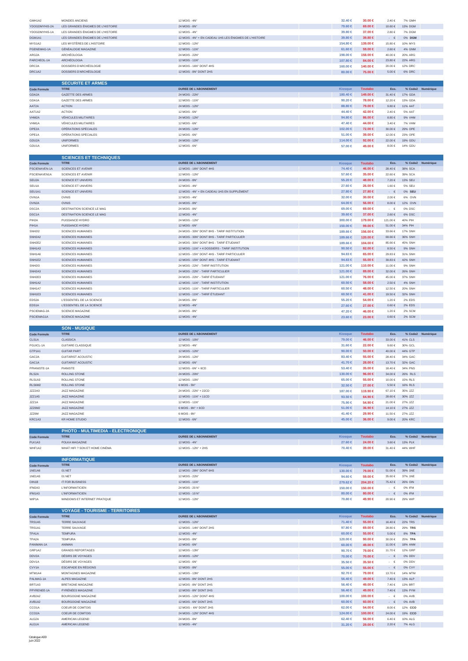| GMH1A2                               | MONDES ANCIENS                                                         | 12 MOIS - 4N°                                                                  | 32.40 €                        | 30.00 €                   | 2.40 €                       | 7% GMH                    |                   |
|--------------------------------------|------------------------------------------------------------------------|--------------------------------------------------------------------------------|--------------------------------|---------------------------|------------------------------|---------------------------|-------------------|
| YDOGDMYHIS-2A<br>YDOGDMYHIS-1A       | LES GRANDES ÉNIGMES DE L'HISTOIRE<br>LES GRANDES ÉNIGMES DE L'HISTOIRE | 24 MOIS - 8N°<br>12 MOIS - 4N°                                                 | 79,60 €<br>39.80 €             | 69.00 €<br>37.00 €        | 10.60 €<br>2.80 €            | 13% DGM<br>7% DGM         |                   |
| DGM1A1                               | LES GRANDES ÉNIGMES DE L'HISTOIRE                                      | 12 MOIS - 4N° + EN CADEAU 1HS LES ÉNIGMES DE L'HISTOIRE                        | 39.80 €                        | 39.80 €                   | $\cdot$ $\quad$ $\in$        | 0% DGM                    |                   |
| MYS1A2                               | LES MYSTÈRES DE L'HISTOIRE                                             | 12 MOIS - 12N°                                                                 | 154.80 €                       | 139.00 €                  | 15.80 €                      | 10% MYS                   |                   |
| PGENEMAG-1A                          | GÉNÉALOGIE MAGAZINE                                                    | 12 MOIS - 11N°                                                                 | $61.60 \in$                    | 59.00 €                   | 2.60 €                       | 4% GNM                    |                   |
| ARG2A<br>PARCHEOL-1A                 | ARCHÉOLOGIA<br><b>ARCHÉOLOGIA</b>                                      | 24 MOIS - 22N°<br>12 MOIS - 11N°                                               | 198.00 €<br>107.80 €           | 158.00 €<br>84.00 €       | 40.00€<br>23.80 €            | 20% ARG<br><b>22% ARG</b> |                   |
| DRC2A                                | DOSSIERS D'ARCHÉOLOGIE                                                 | 24 MOIS - 16N° DONT 4HS                                                        | 160,00 €                       | 140.00 €                  | 20.00€                       | 12% DRC                   |                   |
| DRC1A2                               | DOSSIERS D'ARCHÉOLOGIE                                                 | 12 MOIS - 8N° DONT 2HS                                                         | $80.00 \in$                    | 75.00 €                   | $5.00 \in$                   | <b>6% DRC</b>             |                   |
|                                      | <b>SECURITE ET ARMES</b>                                               |                                                                                |                                |                           |                              |                           |                   |
| <b>Code Formule</b>                  | <b>TITRE</b>                                                           | <b>DUREE DE L'ABONNEMENT</b>                                                   | <b>Kiosque</b>                 | <b>Toutabo</b>            | Eco.                         |                           | % Code2 Numérique |
| GDA2A                                | GAZETTE DES ARMES                                                      | 24 MOIS - 22N°                                                                 | 180.40 ∈                       | 149.00 €                  | 31.40 €                      | 17% GDA                   |                   |
| GDA1A                                | GAZETTE DES ARMES                                                      | 12 MOIS - 11N°                                                                 | 90.20 €                        | 78.00 €                   | 12.20€                       | 13% GDA                   |                   |
| AAT2A                                | <b>ACTION</b>                                                          | 24 MOIS - 12N°                                                                 | 88.80 €                        | 79.00 €                   | $9.80 \in$                   | 11% AAT<br>5% AAT         |                   |
| AAT1A2<br>VHM2A                      | <b>ACTION</b><br><b>VÉHICULES MILITAIRES</b>                           | 12 MOIS - 6N°<br>24 MOIS - 12N°                                                | 44.40 €<br>94.80 €             | 42.00 €<br>86.00 €        | 2.40€<br>$8.80 \in$          | 9% VHM                    |                   |
| VHM1A                                | <b>VÉHICULES MILITAIRES</b>                                            | 12 MOIS - 6N°                                                                  | 47.40 €                        | 44.00 €                   | $3.40 \in$                   | 7% VHM                    |                   |
| OPE2A                                | OPÉRATIONS SPÉCIALES                                                   | 24 MOIS - 12N°                                                                 | 102.00 €                       | 72.00 €                   | 30.00€                       | 29% OPE                   |                   |
| OPE1A                                | OPÉRATIONS SPÉCIALES                                                   | 12 MOIS - 6N°                                                                  | $51.00 \in$                    | 39.00 €                   | 12.00 €                      | 23% OPE                   |                   |
| GDU2A<br>GDU1A                       | <b>UNIFORMES</b><br><b>UNIFORMES</b>                                   | 24 MOIS - 12N°<br>12 MOIS - 6N°                                                | 114.00 €<br>57.00 €            | 92.00 $\in$<br>49.00 €    | 22.00€<br>$8.00\in$          | 19% GDU<br>14% GDU        |                   |
|                                      |                                                                        |                                                                                |                                |                           |                              |                           |                   |
|                                      | <b>SCIENCES ET TECHNIQUES</b>                                          |                                                                                |                                |                           |                              |                           |                   |
| <b>Code Formule</b><br>PSCIENAVEN-1A | <b>TITRE</b><br>SCIENCES ET AVENIR                                     | DUREE DE L'ABONNEMENT<br>12 MOIS - 16N° DONT 4HS                               | Kiosque<br>74.40 €             | <b>Toutabo</b><br>46.00 € | Eco.<br>28.40 €              | 38% SCA                   | % Code2 Numérique |
| PSCIENAVEN1A                         | SCIENCES ET AVENIR                                                     | 12 MOIS - 12N°                                                                 | 57,60 €                        | 35,00 €                   | 22.60 €                      | 39% SCA                   |                   |
| SEU2A                                | SCIENCE ET UNIVERS                                                     | 24 MOIS - 8N°                                                                  | 55.20 €                        | 48.00 €                   | $7.20\in$                    | 13% SEU                   |                   |
| SEU1A                                | SCIENCE ET UNIVERS                                                     | 12 MOIS - 4N°                                                                  | 27.60 €                        | 26.00 €                   | 1.60 €                       | 5% SEU                    |                   |
| SEU1A1<br>OVN1A                      | SCIENCE ET UNIVERS<br>OVNIS                                            | 12 MOIS - 4N° + EN CADEAU 1HS EN SUPPLÉMENT<br>12 MOIS - 4N°                   | 27.80 €                        | 27.80 €                   | $\cdot \quad \in$<br>2.00€   | 0% SEU<br>6% OVN          |                   |
| OVN <sub>2</sub> A                   | <b>OVNIS</b>                                                           | 24 MOIS - 8N°                                                                  | 32.00 €<br>64.00 €             | 30.00 €<br>56.00 €        | $8.00 \in$                   | 12% OVN                   |                   |
| DSC <sub>2</sub> A                   | DESTINATION SCIENCE LE MAG                                             | 24 MOIS - 8N°                                                                  | 69.00 €                        | 69.00 €                   | $\cdot$ $\epsilon$           | 0% DSC                    |                   |
| DSC1A                                | DESTINATION SCIENCE LE MAG                                             | 12 MOIS - 4N°                                                                  | 39.60 €                        | 37.00 €                   | 2.60 €                       | 6% DSC                    |                   |
| PIH2A                                | PUISSANCE HYDRO                                                        | 24 MOIS - 12N°                                                                 | 300.00 €                       | 179.00 €                  | 121.00 €                     | 40% PIH                   |                   |
| PIH1A<br>SNH2I2                      | PUISSANCE HYDRO<br>SCIENCES HUMAINES                                   | 12 MOIS - 6N°<br>24 MOIS - 30N° DONT 8HS - TARIF INSTITUTION                   | 150.00 €<br>189.66 €           | 99.00 €<br>156.00 €       | 51.00 €<br>33.66 €           | 34% PIH<br><b>17% SNH</b> |                   |
| SNH <sub>2</sub> A <sub>2</sub>      | <b>SCIENCES HUMAINES</b>                                               | 24 MOIS - 30N° DONT 8HS - TARIF PARTICULIER                                    | 189.66 €                       | 120.00 €                  | 69.66€                       | 36% SNH                   |                   |
| SNH2E2                               | <b>SCIENCES HUMAINES</b>                                               | 24 MOIS - 30N° DONT 8HS - TARIF ÉTUDIANT                                       | 189.66 €                       | 104.00 €                  | 85.66€                       | 45% SNH                   |                   |
| SNH1A3                               | <b>SCIENCES HUMAINES</b>                                               | 12 MOIS - 11N° + 4 DOSSIERS - TARIF INSTITUTION                                | 90.50 $\in$                    | 82.00 €                   | $8.50\in$                    | 9% SNH                    |                   |
| SNH1A6                               | SCIENCES HUMAINES                                                      | 12 MOIS - 15N° DONT 4HS - TARIF PARTICULIER                                    | 94.83 €                        | 65.00 €                   | 29.83 €                      | 31% SNH                   |                   |
| SNH1E2<br><b>SNH2I3</b>              | SCIENCES HUMAINES<br><b>SCIENCES HUMAINES</b>                          | 12 MOIS - 15N° DONT 4HS - TARIF ÉTUDIANT<br>24 MOIS - 22N° - TARIF INSTITUTION | 94.83 €<br>121.00 €            | 55.00 €<br>110.00 €       | 39.83 $\in$<br>11.00 €       | 42% SNH<br>9% SNH         |                   |
| SNH <sub>2</sub> A <sub>3</sub>      | <b>SCIENCES HUMAINES</b>                                               | 24 MOIS - 22N° - TARIF PARTICULIER                                             | 121.00 €                       | 89.00 €                   | 32.00 €                      | <b>26% SNH</b>            |                   |
| SNH <sub>2E3</sub>                   | <b>SCIENCES HUMAINES</b>                                               | 24 MOIS - 22N° - TARIF ÉTUDIANT                                                | 121.00 €                       | 76.00 €                   | 45.00€                       | 37% SNH                   |                   |
| SNH1A2                               | <b>SCIENCES HUMAINES</b>                                               | 12 MOIS - 11N° - TARIF INSTITUTION                                             | $60.50 \in$                    | 58.00 €                   | 2.50€                        | <b>4% SNH</b>             |                   |
| SNH1A7<br>SNH1E3                     | SCIENCES HUMAINES<br><b>SCIENCES HUMAINES</b>                          | 12 MOIS - 11N° - TARIF PARTICULIER<br>12 MOIS - 11N° - TARIF ÉTUDIANT          | 60.50 €<br>$60.50 \in$         | 48.00 €<br>41.00 €        | 12.50 €<br>19.50 €           | 20% SNH<br>32% SNH        |                   |
| EDS2A                                | L'ESSENTIEL DE LA SCIENCE                                              | 24 MOIS - 8N°                                                                  | 55.20 €                        | 54.00 €                   | 1.20€                        | 2% EDS                    |                   |
| EDS1A                                | L'ESSENTIEL DE LA SCIENCE                                              | 12 MOIS - 4N°                                                                  | 27.60 €                        | 27.00 €                   | $0.60 \in$                   | 2% EDS                    |                   |
| PSCIEMAG-2A                          | <b>SCIENCE MAGAZINE</b>                                                | 24 MOIS - 8N°                                                                  | 47.20 €                        | 46.00 €                   | 1.20€                        | <b>2% SCM</b>             |                   |
| PSCIEMAG1A                           | SCIENCE MAGAZINE                                                       | 12 MOIS - 4N°                                                                  | 23.60 €                        | 23.00 €                   | $0.60 \in$                   | 2% SCM                    |                   |
|                                      |                                                                        |                                                                                |                                |                           |                              |                           |                   |
|                                      |                                                                        |                                                                                |                                |                           |                              |                           |                   |
| <b>Code Formule</b>                  | <b>SON - MUSIQUE</b><br><b>TITRE</b>                                   | <b>DUREE DE L'ABONNEMENT</b>                                                   | <b>Kiosque</b>                 | <b>Toutabo</b>            | Eco.                         |                           | % Code2 Numérique |
| CLS1A                                | <b>CLASSICA</b>                                                        | 12 MOIS - 10N°                                                                 | 79.00 €                        | 46.00 €                   | 33.00€                       | 41% CLS                   |                   |
| PGUICL-1A                            | <b>GUITARE CLASSIQUE</b>                                               | 12 MOIS - 4N°                                                                  | $31.60 \in$                    | 22.00 €                   | $9.60 \in$                   | 30% GCL                   |                   |
| GTP1A1                               | <b>GUITAR PART</b>                                                     | 12 MOIS - 12N°                                                                 | 90.00 $\in$                    | $50.00 \in$               | 40.00€<br>28.40 €            | 44% GTP                   |                   |
| GAC2A<br>GAC1A                       | <b>GUITARIST ACOUSTIC</b><br><b>GUITARIST ACOUSTIC</b>                 | 24 MOIS - 12N°<br>12 MOIS - 6N°                                                | 83.40 €<br>41.70 €             | 55,00 €<br>28.00 €        | 13.70 €                      | 34% GAC<br>32% GAC        |                   |
| PPIANISTE-1A                         | PIANISTE                                                               | 12 MOIS - 6N° + 6CD                                                            | 53.40 €                        | 35.00 €                   | 18.40 €                      | 34% PNS                   |                   |
| RLS2A                                | ROLLING STONE                                                          | 24 MOIS - 20N°                                                                 | 130.00 €                       | 96.00 €                   | $34.00\in$                   | 26% RLS                   |                   |
| RLS1A3                               | ROLLING STONE                                                          | 12 MOIS - 10N°                                                                 | 65.00 €                        | 55,00 €                   | 10.00€                       | <b>15% RLS</b>            |                   |
| RLS6M2<br>JZZ2A3                     | ROLLING STONE<br>JAZZ MAGAZINE                                         | 6 MOIS - 5N°<br>24 MOIS - 22N° + 22CD                                          | 32.50 €<br>187.00 €            | 27.00 €<br>119.90 €       | 5.50€<br>67.10€              | <b>16% RLS</b><br>35% JZZ |                   |
| JZZ1A5                               | <b>JAZZ MAGAZINE</b>                                                   | 12 MOIS - 11N° + 11CD                                                          | 93.50 $\in$                    | 64.90 €                   | 28.60 $\in$                  | 30% JZZ                   |                   |
| JZZ1A                                | JAZZ MAGAZINE                                                          | 12 MOIS - 11N°                                                                 | 75.90 €                        | 54.90 €                   | 21.00 €                      | 27% JZZ                   |                   |
| JZZ6M2                               | JAZZ MAGAZINE                                                          | $6$ MOIS - $6N^{\circ}$ + $6CD$                                                | 51.00 €                        | 36.90 €                   | 14.10 €                      | 27% JZZ                   |                   |
| JZZ6M<br>KRC1A3                      | JAZZ MAGAZINE<br><b>KR HOME STUDIO</b>                                 | 6 MOIS - 6N°<br>12 MOIS - 6N°                                                  | 41.40 €<br>45,00 €             | 29.90 €<br>36.00 €        | 11.50€<br>$9.00 \in$         | 27% JZZ<br><b>20% KRC</b> |                   |
|                                      |                                                                        |                                                                                |                                |                           |                              |                           |                   |
|                                      | PHOTO - MULTIMEDIA - ELECTRONIQUE                                      |                                                                                |                                |                           |                              |                           |                   |
| <b>Code Formule</b><br>PLK1A3        | <b>TITRE</b><br>POLKA MAGAZINE                                         | <b>DUREE DE L'ABONNEMENT</b><br>12 MOIS - 4N°                                  | Kiosque<br>27.60 €             | <b>Toutabo</b><br>24.00 € | Eco.<br>$3.60\in$            | 13% PLK                   | % Code2 Numérique |
| WHF1A2                               | WHAT HIFI ? SON ET HOME CINÉMA                                         | 12 MOIS - 12N° + 2HS                                                           | 70.40 €                        | 39.00 €                   | 31.40 €                      | 44% WHF                   |                   |
|                                      |                                                                        |                                                                                |                                |                           |                              |                           |                   |
|                                      | <b>INFORMATIQUE</b>                                                    |                                                                                |                                |                           |                              |                           |                   |
| <b>Code Formule</b><br>1NE1A6        | <b>TITRE</b><br>01 NET                                                 | <b>DUREE DE L'ABONNEMENT</b><br>12 MOIS - 28N° DONT 6HS                        | <b>Kiosque</b><br>$130.00 \in$ | <b>Toutabo</b><br>79.00 € | Eco.<br>51.00 €              | 39% 1NE                   | % Code2 Numérique |
| 1NE1A5                               | 01 NET                                                                 | 12 MOIS - 22N°                                                                 | 94.60 €                        | 59.00 €                   | 35.60 €                      | 37% 1NE                   |                   |
| OIN1B                                | <b>IT FOR BUSINESS</b>                                                 | 12 MOIS - 11N°                                                                 | 279.62 €                       | 204.20 €                  | 75.42 €                      | 26% OIN                   |                   |
| IFM2A3                               | <b>L'INFORMATICIEN</b>                                                 | 24 MOIS - 20 N°                                                                | 150.00 €                       | 150.00 €                  | $\cdot$ $\in$                | 0% IFM                    |                   |
| IFM1A3<br>WIP1A                      | <b>L'INFORMATICIEN</b><br>WINDOWS ET INTERNET PRATIQUE                 | 12 MOIS - 10 N°<br>12 MOIS - 12N°                                              | $80.00 \in$<br>70.80 €         | $80.00 \in$<br>49.90 €    | $\cdot$ $\in$<br>20.90 €     | 0% IFM<br>29% WIP         |                   |
|                                      |                                                                        |                                                                                |                                |                           |                              |                           |                   |
|                                      | <b>VOYAGE - TOURISME - TERRITOIRES</b>                                 |                                                                                |                                |                           |                              |                           |                   |
| <b>Code Formule</b><br>TRS1A5        | <b>TITRE</b>                                                           | <b>DUREE DE L'ABONNEMENT</b><br>12 MOIS - 12N°                                 | Kiosque                        | <b>Toutabo</b>            | Eco.<br>16.40€               | <b>22% TRS</b>            | % Code2 Numérique |
| TRS1A1                               | <b>TERRE SAUVAGE</b><br>TERRE SAUVAGE                                  | 12 MOIS - 14N° DONT 2HS                                                        | 71.40 ∈<br>97.80 €             | 55.00 €<br>69.00 €        | 28.80 €                      | 29% TRS                   |                   |
| TPA1A                                | <b>TEMPURA</b>                                                         | 12 MOIS - 4N°                                                                  | $60.00 \in$                    | 55.00 €                   | $5.00 \in$                   | 8% TPA                    |                   |
| TPA2A                                | TEMPURA                                                                | 24 MOIS - 8N°                                                                  | 120.00 €                       | 90.00 $\in$               | $30.00\in$                   | 25% TPA                   |                   |
| PANIMAN-1A                           | ANIMAN                                                                 | 12 MOIS - 6N°                                                                  | $60.00 \in$                    | 49.00 €                   | 11.00 €                      | 18% ANM                   |                   |
| GRP1A2<br>DDV2A                      | <b>GRANDS REPORTAGES</b><br>DÉSIRS DE VOYAGES                          | 12 MOIS - 13N°<br>24 MOIS - 12N°                                               | 90.70 €<br>70.00 €             | 79.00 €<br>70.00 €        | 11.70 €<br>$\cdot \quad \in$ | 12% GRP<br>0% DDV         |                   |
| DDV1A                                | DÉSIRS DE VOYAGES                                                      | 12 MOIS - 6N°                                                                  | 35.50 €                        | 35.50 €                   | $\cdot$ $\epsilon$           | 0% DDV                    |                   |
| CVY1A                                | <b>ESCAPADE EN RÉGIONS</b>                                             | 12 MOIS - 8N°                                                                  | 55.00 €                        | 55.00 €                   | $\cdot \quad \in$            | 0% CVY                    |                   |
| MTM1A4                               | MONTAGNES MAGAZINE                                                     | 12 MOIS - 13N°                                                                 | 92.70 €                        | 79.00 €                   | 13.70 €                      | 14% MTM                   |                   |
| PALMAG-1A                            | ALPES MAGAZINE                                                         | 12 MOIS - 8N° DONT 2HS                                                         | 56.40 €                        | 49.00 €                   | $7.40 \in$                   | 13% ALP                   |                   |
| BRT1A3<br>PPYRENEE-1A                | BRETAGNE MAGAZINE<br>PYRÉNÉES MAGAZINE                                 | 12 MOIS - 8N° DONT 2HS<br>12 MOIS - 8N° DONT 2HS                               | 56.40 €<br>56.40 €             | 49.00 €<br>49.00 €        | 7.40 €<br>$7.40 \in$         | 13% BRT<br>13% PYM        |                   |
| AVB2A2                               | BOURGOGNE MAGAZINE                                                     | 24 MOIS - 12N° DONT 4HS                                                        | 100.00 €                       | 100.00 €                  | $\cdot \in$                  | 0% AVB                    |                   |
| AVB1A2                               | <b>BOURGOGNE MAGAZINE</b>                                              | 12 MOIS - 6N° DONT 2HS                                                         | $60.00 \in$                    | $60.00 \in$               | $ \varepsilon$               | 0% AVB                    |                   |
| CCO1A                                | COEUR DE COMTOIS                                                       | 12 MOIS - 6N° DONT 2HS                                                         | 62.00 €                        | 54.00 €                   | $8.00 \in$                   | 12% CCO                   |                   |
| CCO <sub>2</sub> A<br>ALG2A          | COEUR DE COMTOIS<br>AMERICAN LEGEND                                    | 24 MOIS - 12N° DONT 4HS<br>24 MOIS - 8N°                                       | 124.00 €<br>62.40 €            | 100.00 €<br>56.00 €       | 24.00 €<br>6.40 €            | 19% CCO<br>10% ALG        |                   |

÷.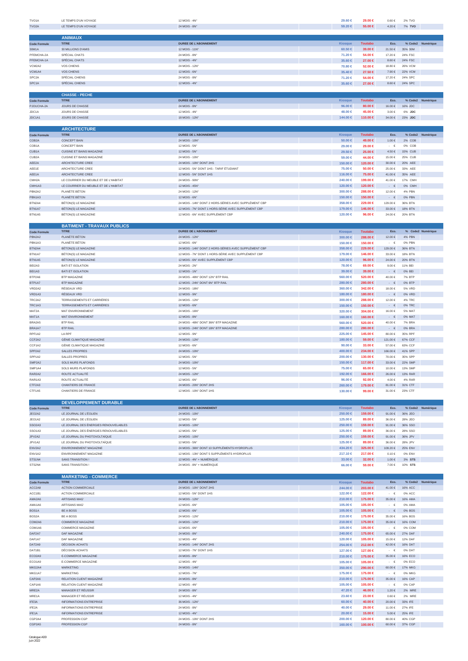| TVO <sub>1</sub> A                               | LE TEMPS D'UN VOYAGE                                                           | 12 MOIS - 4N                                                                                | 29.60 €                  | 29.00 €                   | $0.60 \in$                       | 2% TVO                    |                   |
|--------------------------------------------------|--------------------------------------------------------------------------------|---------------------------------------------------------------------------------------------|--------------------------|---------------------------|----------------------------------|---------------------------|-------------------|
| TVO <sub>2</sub> A                               | LE TEMPS D'UN VOYAGE                                                           | 24 MOIS - 8N°                                                                               | 59.20 €                  | 55.00 €                   | $4.20\in$                        | 7% TVO                    |                   |
|                                                  | <b>ANIMAUX</b>                                                                 |                                                                                             |                          |                           |                                  |                           |                   |
| <b>Code Formule</b>                              | <b>TITRE</b>                                                                   | <b>DUREE DE L'ABONNEMENT</b>                                                                | <b>Kiosque</b>           | <b>Toutabo</b>            | Eco.                             |                           | % Code2 Numérique |
| 30M1A                                            | 30 MILLIONS D'AMIS                                                             | 12 MOIS - 11N°                                                                              | 60.50 $\in$              | 39.00 €                   | 21.50€                           | 35% 30M                   |                   |
| PFEMCHA-2A                                       | SPÉCIAL CHATS                                                                  | 24 MOIS - 8N°                                                                               | 71.20 €                  | 54.00 €                   | 17.20€                           | 24% FSC                   |                   |
| PFEMCHA-1A<br>VCM2A2                             | SPÉCIAL CHATS<br>VOS CHIENS                                                    | 12 MOIS - 4N°<br>24 MOIS - 12N°                                                             | 35.60 €<br>70.80 €       | 27.00 €<br>52.00 €        | $8.60 \in$<br>18.80 €            | 24% FSC<br>26% VCM        |                   |
| VCM1A4                                           | <b>VOS CHIENS</b>                                                              | 12 MOIS - 6N°                                                                               | 35.40 €                  | 27.50 €                   | 7.90€                            | <b>22% VCM</b>            |                   |
| SPC <sub>2A</sub>                                | SPÉCIAL CHIENS                                                                 | 24 MOIS - 8N'                                                                               | 71.20 €                  | 54.00 €                   | 17.20€                           | 24% SPC                   |                   |
| SPC <sub>1</sub> A                               | SPÉCIAL CHIENS                                                                 | 12 MOIS - 4N°                                                                               | 35.60 €                  | 27.00 €                   | $8.60\in$                        | 24% SPC                   |                   |
|                                                  | <b>CHASSE - PECHE</b>                                                          |                                                                                             |                          |                           |                                  |                           |                   |
| <b>Code Formule</b>                              | <b>TITRE</b>                                                                   | <b>DUREE DE L'ABONNEMENT</b>                                                                | Kiosque                  | <b>Toutabo</b>            | Eco.                             |                           | % Code2 Numérique |
| PJOUCHA-2A                                       | JOURS DE CHASSE                                                                | 24 MOIS - 8N°<br>12 MOIS - 4N°                                                              | 96.00 $\in$<br>48,00 €   | 80.00 €<br>45.00 €        | 16.00€<br>3.00€                  | 16% JDC<br>6% JDC         |                   |
| JDC1A<br>JDC1A1                                  | JOURS DE CHASSE<br>JOURS DE CHASSE                                             | 18 MOIS - 12N°                                                                              | 144.00 €                 | 110.00 €                  | 34.00€                           | 23% JDC                   |                   |
|                                                  |                                                                                |                                                                                             |                          |                           |                                  |                           |                   |
|                                                  | <b>ARCHITECTURE</b>                                                            |                                                                                             |                          |                           |                                  |                           |                   |
| <b>Code Formule</b><br>COB <sub>2</sub> A        | <b>TITRE</b><br><b>CONCEPT BAIN</b>                                            | <b>DUREE DE L'ABONNEMENT</b><br>24 MOIS - 10N°                                              | Kiosque<br>$50.00 \in$   | <b>Toutabo</b><br>49.00 € | Eco.<br>$1.00 \in$               | 2% COB                    | % Code2 Numérique |
| COB <sub>1</sub> A                               | <b>CONCEPT BAIN</b>                                                            | 12 MOIS - 5N°                                                                               | 29.00 €                  | 29.00 €                   | $\cdot$ $\in$                    | 0% COE                    |                   |
| CUB1A                                            | <b>CUISINE ET BAINS MAGAZINE</b>                                               | 12 MOIS - 5N°                                                                               | 29.50 €                  | 25.00 €                   | 4.50€                            | 15% CUB                   |                   |
| CUB <sub>2</sub> A<br>AEE2A                      | <b>CUISINE ET BAINS MAGAZINE</b><br>ARCHITECTURE CREE                          | 24 MOIS - 10N°<br>24 MOIS - 10N° DONT 2HS                                                   | 59,00 €<br>150.00 €      | 44.00 €<br>120.00 €       | 15.00€<br>$30.00\in$             | 25% CUB<br>20% AEE        |                   |
| AEE1E                                            | ARCHITECTURE CREE                                                              | 12 MOIS - 5N° DONT 1HS - TARIF ÉTUDIANT                                                     | 75.00 €                  | 50,00 €                   | 25.00 €                          | 33% AEE                   |                   |
| AEE1A                                            | ARCHITECTURE CREE                                                              | 12 MOIS - 5N° DONT 1HS                                                                      | 116.00 €                 | 75.00 €                   | 41.00 €                          | 35% AEE                   |                   |
| CMH <sub>2</sub> A                               | LE COURRIER DU MEUBLE ET DE L'HABITAT                                          | 24 MOIS - 90N°                                                                              | 240.00 €                 | 199.00 €                  | 41.00€                           | 17% CMH                   |                   |
| CMH1A3<br>PBN2A2                                 | LE COURRIER DU MEUBLE ET DE L'HABITAT<br>PLANÈTE BÉTON                         | 12 MOIS - 45N°<br>24 MOIS - 12N°                                                            | 120.00 €<br>300.00 €     | 120.00 €<br>288.00 €      | $\Box$<br>$\in$<br>12.00 €       | 0% CMH<br>4% PBN          |                   |
| PBN1A3                                           | PLANÈTE BÉTON                                                                  | 12 MOIS - 6N°                                                                               | 150.00 €                 | 150.00 €                  | $\cdot$ $\in$                    | 0% PBN                    |                   |
| BTN2A4                                           | BÉTON(S) LE MAGAZINE                                                           | 24 MOIS - 14N° DONT 2 HORS-SÉRIES AVEC SUPPLÉMENT CBP                                       | 358,00 €                 | 229.00 €                  | 129.00 €                         | 36% BTN                   |                   |
| BTN1A7<br>BTN1A5                                 | BÉTON(S) LE MAGAZINE                                                           | 12 MOIS - 7N° DONT 1 HORS-SÉRIE AVEC SUPPLÉMENT CBP<br>12 MOIS - 6N° AVEC SUPPLÉMENT CBP    | 179.00 €                 | 146.00 €                  | $33.00\in$<br>24.00€             | <b>18% BTN</b><br>20% BTN |                   |
|                                                  | BÉTON(S) LE MAGAZINE                                                           |                                                                                             | 120.00 €                 | 96.00 €                   |                                  |                           |                   |
|                                                  | <b>BATIMENT - TRAVAUX PUBLICS</b>                                              |                                                                                             |                          |                           |                                  |                           |                   |
| <b>Code Formule</b>                              | <b>TITRE</b>                                                                   | <b>DUREE DE L'ABONNEMENT</b>                                                                | Kiosque                  | <b>Toutabo</b>            | Eco.                             |                           | % Code2 Numérique |
| PBN2A2<br>PBN1A3                                 | PLANÈTE BÉTON<br>PLANÈTE BÉTON                                                 | 24 MOIS - 12N°<br>12 MOIS - 6N°                                                             | $300.00 \in$<br>150,00 € | 288.00 €<br>150.00 €      | 12.00 €<br>$\cdot$ $\cdot$ $\in$ | 4% PBN<br>0% PBN          |                   |
| BTN2A4                                           | BÉTON(S) LE MAGAZINE                                                           | 24 MOIS - 14N° DONT 2 HORS-SÉRIES AVEC SUPPLÉMENT CBP                                       | 358.00 €                 | 229.00 €                  | 129.00€                          | 36% BTN                   |                   |
| BTN1A7                                           | BÊTON(S) LE MAGAZINE                                                           | 12 MOIS - 7N° DONT 1 HORS-SÉRIE AVEC SUPPLÉMENT CBP                                         | 179.00 €                 | 146.00 €                  | 33.00 €                          | <b>18% BTN</b>            |                   |
| BTN1A5                                           | BÉTON(S) LE MAGAZINE                                                           | 12 MOIS - 6N° AVEC SUPPLÉMENT CBP                                                           | 120.00 €<br>78,00 €      | 96.00 $\in$<br>69.00 €    | 24.00€<br>$9.00 \in$             | 20% BTN<br>11% BEI        |                   |
| BEI2A3<br>BEI1A3                                 | <b>BATI ET ISOLATION</b><br><b>BATI ET ISOLATION</b>                           | 24 MOIS - 2N°<br>12 MOIS - 1N°                                                              | 39.00 ∈                  | 39.00 €                   | - $\in$                          | 0% BEI                    |                   |
| BTP2A6                                           | <b>BTP MAGAZINE</b>                                                            | 24 MOIS - 48N° DONT 12N° BTP RAIL                                                           | 560.00 €                 | 520.00 €                  | 40.00 €                          | 7% BTP                    |                   |
| BTP1A7                                           | <b>BTP MAGAZINE</b>                                                            | 12 MOIS - 24N° DONT 6N° BTP RAIL                                                            | 280.00 €                 | 280.00 €                  | - $\in$                          | 0% BTP                    |                   |
| VRD2A2<br>VRD1A3                                 | RÉSEAUX VRD<br>RÉSEAUX VRD                                                     | 24 MOIS - 18N°<br>12 MOIS - 9N°                                                             | 360.00 €<br>180.00 €     | 342.00 €<br>180.00 €      | 18.00 €<br>$\qquad \in$          | 5% VRD<br>0% VRD          |                   |
| TRC2A2                                           | TERRASSEMENTS ET CARRIÈRES                                                     | 24 MOIS - 12N°                                                                              | 300.00 €                 | 288.00 €                  | 12.00 €                          | <b>4% TRC</b>             |                   |
| TRC1A3                                           | TERRASSEMENTS ET CARRIÈRES                                                     | 12 MOIS - 6N°                                                                               | 150.00 €                 | 150.00 €                  | - $\in$                          | 0% TRC                    |                   |
| MAT2A                                            | MAT ENVIRONNEMENT                                                              | 24 MOIS - 16N°                                                                              | 320.00 €                 | 304.00 €                  | 16.00 €                          | 5% MAT                    |                   |
| MAT1A<br>BRA2A5                                  | MAT ENVIRONNEMENT<br><b>BTP RAIL</b>                                           | 12 MOIS - 8N°<br>24 MOIS - 48N° DONT 36N° BTP MAGAZINE                                      | 160.00 €<br>$560.00 \in$ | 160.00 €<br>520.00 €      | $\cdot$ $\in$<br>40.00€          | 0% MAT<br>7% BRA          |                   |
| BRA1A7                                           | <b>BTP RAIL</b>                                                                | 12 MOIS - 24N° DONT 18N° BTP MAGAZINE                                                       | 280,00 €                 | 280.00 €                  | $\cdot$ $\in$                    | 0% BRA                    |                   |
| RPF1A2                                           | LA RPF                                                                         | 12 MOIS - 9N°                                                                               | 225,00 €                 | 145.00 €                  | 80.00€                           | 35% RPF                   |                   |
| CCF2A2<br>CCF1A2                                 | GÉNIE CLIMATIQUE MAGAZINE<br>GÉNIE CLIMATIQUE MAGAZINE                         | 24 MOIS - 12N°<br>12 MOIS - 6N°                                                             | 180.00 €<br>90.00 $\in$  | $59.00 \in$<br>33.00 €    | 121.00 €<br>57.00 €              | 67% CCF<br>63% CCF        |                   |
| SPP2A2                                           | SALLES PROPRES                                                                 | 24 MOIS - 10N°                                                                              | 400.00 €                 | 234.00 €                  | 166.00€                          | 41% SPP                   |                   |
| SPP1A2                                           | <b>SALLES PROPRES</b>                                                          | 12 MOIS - 5N°                                                                               | 200.00 €                 | 130.00 €                  | 70.00€                           | 35% SPP                   |                   |
| SMP2A2<br>SMP1A4                                 | SOLS MURS PLAFONDS<br>SOLS MURS PLAFONDS                                       | 24 MOIS - 10N°<br>12 MOIS - 5N°                                                             | 150.00 €                 | 117.00 €                  | $33.00\in$<br>10.00€             | 22% SMP<br>13% SMP        |                   |
| RAR2A2                                           | ROUTE ACTUALITÉ                                                                | 24 MOIS - 12N°                                                                              | 75.00 €<br>192.00 €      | 65.00 €<br>166.00 €       | 26.00 $\in$                      | 13% RAR                   |                   |
| RAR1A3                                           | ROUTE ACTUALITÉ                                                                | 12 MOIS - 6N°                                                                               | 96.00 €                  | 92.00 €                   | $4.00\in$                        | 4% RAR                    |                   |
| CTF2A3                                           | <b>CHANTIERS DE FRANCE</b>                                                     | 24 MOIS - 20N° DONT 2HS                                                                     | 260.00 ∈                 | 179.00 €                  | 81.00 €                          | 31% CTF                   |                   |
| CTF1A5                                           | CHANTIERS DE FRANCE                                                            | 12 MOIS - 10N° DONT 1HS                                                                     | 130.00 €                 | 99.00 €                   | 31.00€                           | 23% CTF                   |                   |
|                                                  | <b>DEVELOPPEMENT DURABLE</b>                                                   |                                                                                             |                          |                           |                                  |                           |                   |
| <b>Code Formule</b>                              |                                                                                |                                                                                             |                          |                           |                                  |                           |                   |
| JEO2A2<br>JEO1A2                                 | <b>TITRE</b>                                                                   | <b>DUREE DE L'ABONNEMENT</b>                                                                | Kiosque                  | <b>Toutabo</b>            | Eco.                             |                           | % Code2 Numérique |
|                                                  | LE JOURNAL DE L'ÉOLIEN                                                         | 24 MOIS - 10N°                                                                              | 250.00 ∈                 | 159.00 €                  | 91.00 $\in$                      | 36% JEO                   |                   |
|                                                  | LE JOURNAL DE L'ÉOLIEN                                                         | 12 MOIS - 5N°                                                                               | 125.00 €                 | 89.00 €                   | $36.00\in$                       | 28% JEO                   |                   |
| <b>SSO2A3</b><br>SSO <sub>1</sub> A <sub>3</sub> | LE JOURNAL DES ÉNERGIES RENOUVELABLES<br>LE JOURNAL DES ÉNERGIES RENOUVELABLES | 24 MOIS - 10N°<br>12 MOIS - 5N'                                                             | 250.00 €<br>125,00 €     | 159.00 €<br>89.00 €       | 91.00€<br>36.00€                 | 36% SSO<br>28% SSC        |                   |
| JPV2A2                                           | LE JOURNAL DU PHOTOVOLTAÏQUE                                                   | 24 MOIS - 10N°                                                                              | 250,00 €                 | 159.00 €                  | 91.00€                           | 36% JPV                   |                   |
| JPV1A2                                           | LE JOURNAL DU PHOTOVOLTAÏQUE                                                   | 12 MOIS - 5N°                                                                               | 125.00 €                 | 89.00 €                   | 36.00€                           | 28% JPV                   |                   |
| ENV2A2<br>ENV1A2                                 | ENVIRONNEMENT MAGAZINE<br>ENVIRONNEMENT MAGAZINE                               | 24 MOIS - 36N° DONT 10 SUPPLÉMENTS HYDROPLUS<br>12 MOIS - 13N° DONT 5 SUPPLÉMENTS HYDROPLUS | 434.20 €<br>217.10 €     | 325.00 €<br>217.00 €      | 109.20€<br>$0.10 \in$            | 25% ENV<br>0% ENV         |                   |
| STS1N4                                           | SANS TRANSITION !                                                              | 12 MOIS - 4N° + NUMÉRIQUE                                                                   | 33.00 €                  | 32.00 €                   | $1.00 \in$                       | 3% STS                    |                   |
| STS2N4                                           | SANS TRANSITION !                                                              | 24 MOIS - 8N° + NUMÉRIQUE                                                                   | 66.00 €                  | 59.00 €                   | 7.00€                            | 10% STS                   |                   |
|                                                  | <b>MARKETING - COMMERCE</b>                                                    |                                                                                             |                          |                           |                                  |                           |                   |
| <b>Code Formule</b>                              | <b>TITRE</b>                                                                   | <b>DUREE DE L'ABONNEMENT</b>                                                                | <b>Kiosque</b>           | <b>Toutabo</b>            | Eco.                             |                           | % Code2 Numérique |
| ACC2A8                                           | <b>ACTION COMMERCIALE</b>                                                      | 24 MOIS - 10N° DONT 2HS                                                                     | 244.00 €                 | 203.00 ∈                  | 41.00 €                          | 16% ACC                   |                   |
| ACC1B1<br>AMA2A6                                 | ACTION COMMERCIALE<br><b>ARTISANS MAG</b>                                      | 12 MOIS - 5N° DONT 1HS<br>24 MOIS - 12N°                                                    | 122.00 €<br>210.00 ∈     | 122.00 €<br>175.00 €      | $\cdot$ $\cdot$ $\in$<br>35.00€  | 0% ACC<br>16% AMA         |                   |
| AMA1A6                                           | ARTISANS MAG                                                                   | 12 MOIS - 6N°                                                                               | 105.00 €                 | 105.00 €                  | $\cdot$ $\in$                    | 0% AMA                    |                   |
| BOS1A                                            | BE A BOSS                                                                      | 12 MOIS - 6N°                                                                               | 105.00 €                 | 105.00 €                  | $\cdot \in$                      | 0% BOS                    |                   |
| BOS2A                                            | BE A BOSS                                                                      | 24 MOIS - 12N°                                                                              | 210.00 €                 | 175.00 €                  | 35.00 €                          | 16% BOS                   |                   |
| COM2A6<br>COM1A6                                 | <b>COMMERCE MAGAZINE</b><br>COMMERCE MAGAZINE                                  | 24 MOIS - 12N°<br>12 MOIS - 6N°                                                             | 210.00 ∈<br>105.00 €     | 175.00 €<br>105.00 €      | $35.00\in$<br>$\cdot$ $\in$      | 16% COM<br>0% COM         |                   |
| DAF2A7                                           | DAF MAGAZINE                                                                   | 24 MOIS - 8N°                                                                               | 240.00 €                 | 175.00 €                  | 65.00 €                          | 27% DAF                   |                   |
| DAF1A7                                           | DAF MAGAZINE                                                                   | 12 MOIS - 4N°                                                                               | 120.00 €                 | 105.00 €                  | 15.00€                           | 12% DAF                   |                   |
| DAT2A9<br>DAT1B1                                 | <b>DÉCISION ACHATS</b><br><b>DÉCISION ACHATS</b>                               | 24 MOIS - 14N° DONT 2HS<br>12 MOIS - 7N° DONT 1HS                                           | 254.00 €<br>127.00 €     | 212.00 €<br>127.00 €      | 42.00€<br>$\cdot \in$            | <b>16% DAT</b><br>0% DAT  |                   |
| ECO2A9                                           | E-COMMERCE MAGAZINE                                                            | 24 MOIS - 8N°                                                                               | 210.00 ∈                 | 175.00 €                  | $35.00\in$                       | 16% ECO                   |                   |
| ECO1A9                                           | E-COMMERCE MAGAZINE                                                            | 12 MOIS - 4N°                                                                               | 105.00 €                 | 105.00 €                  | $\cdot$ $\cdot$ $\in$            | 0% ECO                    |                   |
| MKG2A4                                           | <b>MARKETING</b>                                                               | 24 MOIS - 14N°                                                                              | $350.00 \in$             | 290.00 €                  | $60.00\in$                       | 17% MKG                   |                   |
| MKG1A7<br>CAP2A6                                 | <b>MARKETING</b><br>RELATION CLIENT MAGAZINE                                   | 12 MOIS - 7N°<br>24 MOIS - 8N°                                                              | 175.00 €<br>210.00 ∈     | 175.00 €<br>175.00 €      | $\cdot$ $\in$<br>35.00€          | 0% MKG<br>16% CAP         |                   |
| CAP1A6                                           | RELATION CLIENT MAGAZINE                                                       | 12 MOIS - 4N°                                                                               | 105.00 €                 | 105.00 €                  | $\cdot \in$                      | 0% CAP                    |                   |
| MRE2A                                            | MANAGER ET RÉUSSIR                                                             | 24 MOIS - 8N°                                                                               | 47.20 €                  | 46.00 €                   | $1.20\in$                        | 2% MRE                    |                   |
| MRE1A                                            | MANAGER ET RÉUSSIR                                                             | 12 MOIS - 4N°                                                                               | 23.60 €                  | 23.00 €                   | $0.60 \in$                       | 2% MRE                    |                   |
| IFE3A<br>IFE2A                                   | <b>INFORMATIONS ENTREPRISE</b><br><b>INFORMATIONS ENTREPRISE</b>               | 36 MOIS - 12N°<br>24 MOIS - 8N°                                                             | $60.00 \in$<br>40.00 €   | 40.00 €<br>29.00 €        | $20.00\in$<br>11.00€             | 33% IFE<br>27% IFE        |                   |
| IFE1A<br>CGP2A4                                  | <b>INFORMATIONS ENTREPRISE</b><br>PROFESSION CGP                               | 12 MOIS - 4N°<br>24 MOIS - 10N° DONT 2HS                                                    | 20.00 ∈<br>200,00 €      | 15.00 €<br>120.00 €       | 5.00€<br>80.00€                  | 25% IFE<br>40% CGF        |                   |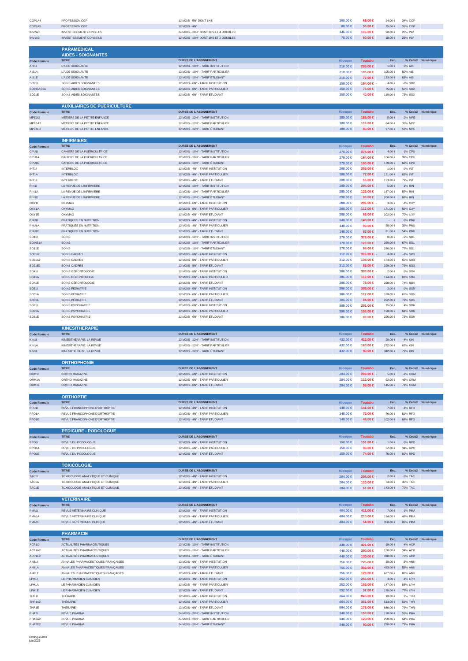| CGP1A4                        | PROFESSION CGP                                                           | 12 MOIS - 5N° DONT 1HS                                                   | 100.00 ∈                   | 66.00 €                    | 34.00€                 | 34% CGP                |                   |
|-------------------------------|--------------------------------------------------------------------------|--------------------------------------------------------------------------|----------------------------|----------------------------|------------------------|------------------------|-------------------|
| CGP1A5                        | PROFESSION CGP                                                           | 12 MOIS - 4N°                                                            | $80.00 \in$                | 55.00 €                    | 25.00 €                | 31% CGP                |                   |
| INV2A3                        | <b>INVESTISSEMENT CONSEILS</b>                                           | 24 MOIS - 20N° DONT 2HS ET 4 DOUBLES                                     | 146.00 €                   | 116.00 €                   | 30.00 €                | 20% INV                |                   |
| INV1A3                        | <b>INVESTISSEMENT CONSEILS</b>                                           | 12 MOIS - 10N° DONT 1HS ET 2 DOUBLES                                     | 78.00 €                    | $60.00 \in$                | 18.00 €                | 23% INV                |                   |
|                               | <b>PARAMEDICAL</b>                                                       |                                                                          |                            |                            |                        |                        |                   |
|                               | <b>AIDES - SOIGNANTES</b>                                                |                                                                          |                            |                            |                        |                        |                   |
| <b>Code Formule</b>           | <b>TITRE</b>                                                             | <b>DUREE DE L'ABONNEMENT</b>                                             | <b>Kiosque</b>             | <b>Toutabo</b>             | Eco.                   |                        | % Code2 Numérique |
| AIS1I<br>AIS1A                | L'AIDE SOIGNANTE<br>L'AIDE SOIGNANTE                                     | 12 MOIS - 10N° - TARIF INSTITUTION<br>12 MOIS - 10N° - TARIF PARTICULIER | 210.00 ∈<br>210.00 €       | 209.00 €<br>105.00 €       | $1.00 \in$<br>105.00€  | 0% AIS<br>50% AIS      |                   |
| AIS1E                         | L'AIDE SOIGNANTE                                                         | 12 MOIS - 10N° - TARIF ÉTUDIANT                                          | 210.00 ∈                   | 77.00 €                    | 133.00 €               | 63% AIS                |                   |
| SO211                         | SOINS AIDES SOIGNANTES                                                   | 12 MOIS - 6N° - TARIF INSTITUTION                                        | 150.00 €                   | 154.00 €                   | 4.00€                  | $-2\%$ SO <sub>2</sub> |                   |
| SOINSAS1A                     | SOINS AIDES SOIGNANTES                                                   | 12 MOIS - 6N° - TARIF PARTICULIER                                        | 150.00 ∈                   | 75,00 €                    | 75.00 €                | 50% SO <sub>2</sub>    |                   |
| SO21E                         | SOINS AIDES SOIGNANTES                                                   | 12 MOIS - 6N° - TARIF ÉTUDIANT                                           | 150.00 €                   | 40.00 €                    | 110.00 €               | 73% SO <sub>2</sub>    |                   |
|                               | <b>AUXILIAIRES DE PUERICULTURE</b>                                       |                                                                          |                            |                            |                        |                        |                   |
| <b>Code Formule</b>           | <b>TITRE</b>                                                             | <b>DUREE DE L'ABONNEMENT</b>                                             | <b>Kiosque</b>             | <b>Toutabo</b>             | Eco.                   |                        | % Code2 Numérique |
| <b>MPE1I2</b>                 | MÉTIERS DE LA PETITE ENFANCE                                             | 12 MOIS - 12N° - TARIF INSTITUTION                                       | 180.00 ∈                   | 185.00 €                   | 5.00€                  | $-2\%$ MPE             |                   |
| MPE1A2                        | MÊTIERS DE LA PETITE ENFANCE                                             | 12 MOIS - 12N° - TARIF PARTICULIER                                       | 180.00 €                   | 116.00 €                   | 64.00€                 | 35% MPE                |                   |
| MPE1E2                        | MÉTIERS DE LA PETITE ENFANCE                                             | 12 MOIS - 12N° - TARIF ÉTUDIANT                                          | 180.00 €                   | 83.00 €                    | 97.00€                 | 53% MPE                |                   |
|                               | <b>INFIRMIERS</b>                                                        |                                                                          |                            |                            |                        |                        |                   |
| <b>Code Formule</b>           | <b>TITRE</b>                                                             | <b>DUREE DE L'ABONNEMENT</b>                                             | <b>Kiosque</b>             | <b>Toutabo</b>             | Eco.                   |                        | % Code2 Numérique |
| CPU1I                         | CAHIERS DE LA PUÉRICULTRICE                                              | 12 MOIS - 10N° - TARIF INSTITUTION                                       | 270.00 ∈                   | 274.00 €                   | $4.00 \in$             | -1% CPU                |                   |
| CPU1A                         | CAHIERS DE LA PUÉRICULTRICE                                              | 12 MOIS - 10N° - TARIF PARTICULIER                                       | 270.00 €                   | 164.00 €                   | 106.00€                | 39% CPU                |                   |
| CPU1E<br>INT11                | CAHIERS DE LA PUÉRICULTRICE<br><b>INTERBLOC</b>                          | 12 MOIS - 10N° - TARIF ÉTUDIANT<br>12 MOIS - 4N° - TARIF INSTITUTION     | 270.00 ∈<br>208,00 €       | 100.00 €<br>209.00 €       | 170.00 €<br>1.00 €     | 62% CPU<br>0% INT      |                   |
| INT1A                         | <b>INTERBLOC</b>                                                         | 12 MOIS - 4N° - TARIF PARTICULIER                                        | 208.00 $\in$               | 77.00 €                    | 131.00 €               | 62% INT                |                   |
| INT1E                         | <b>INTERBLOC</b>                                                         | 12 MOIS - 4N° - TARIF ÉTUDIANT                                           | 208.00 €                   | 55,00 €                    | 153.00 €               | 73% INT                |                   |
| RIN1I                         | LA REVUE DE L'INFIRMIÈRE                                                 | 12 MOIS - 10N° - TARIF INSTITUTION                                       | 290.00 ∈                   | 295.00 €                   | $5.00 \in$             | $-1\%$ RIN             |                   |
| RIN1A                         | LA REVUE DE L'INFIRMIÈRE                                                 | 12 MOIS - 10N° - TARIF PARTICULIER                                       | 290.00 €                   | 123.00 €                   | 167.00 €               | 57% RIN                |                   |
| RIN1E                         | LA REVUE DE L'INFIRMIÈRE                                                 | 12 MOIS - 10N° - TARIF ÉTUDIANT                                          | 290,00 €<br>288.00 €       | 90.00 $\in$<br>291.00 €    | 200.00 $\in$<br>3.00€  | 68% RIN<br>$-1\%$ OXY  |                   |
| OXY1I<br>OXY1A                | OXYMAG<br><b>OXYMAG</b>                                                  | 12 MOIS - 6N° - TARIF INSTITUTION<br>12 MOIS - 6N° - TARIF PARTICULIER   | 288.00 $\in$               | 117.00 €                   | 171.00 €               | 59% OXY                |                   |
| OXY1E                         | <b>OXYMAG</b>                                                            | 12 MOIS - 6N° - TARIF ÉTUDIANT                                           | 288.00 €                   | 86.00 €                    | 202.00 €               | 70% OXY                |                   |
| PNU11                         | PRATIQUES EN NUTRITION                                                   | 12 MOIS - 4N° - TARIF INSTITUTION                                        | 148.00 €                   | 148.00 €                   | $\cdot$ $\in$          | 0% PNU                 |                   |
| PNU1A                         | PRATIQUES EN NUTRITION                                                   | 12 MOIS - 4N° - TARIF PARTICULIER                                        | 148.00 €                   | 90.00 $\in$                | 58.00 €                | 39% PNU                |                   |
| PNU1E                         | PRATIQUES EN NUTRITION                                                   | 12 MOIS - 4N° - TARIF ÉTUDIANT                                           | 148.00 €                   | 67.00 €                    | 81.00€                 | 54% PNU                |                   |
| SO111<br>SOINS1A              | SOINS<br><b>SOINS</b>                                                    | 12 MOIS - 10N° - TARIF INSTITUTION<br>12 MOIS - 10N° - TARIF PARTICULIER | 370,00 €<br>370.00 €       | 378,00 €<br>120.00 €       | 8.00€<br>250.00 €      | $-2\%$ SO1<br>67% SO1  |                   |
| SO11E                         | SOINS                                                                    | 12 MOIS - 10N° - TARIF ÉTUDIANT                                          | 370.00 €                   | 84.00 €                    | 286.00€                | 77% SO1                |                   |
| SO3112                        | SOINS CADRES                                                             | 12 MOIS - 8N° - TARIF INSTITUTION                                        | $312.00 \in$               | 316.00 €                   | $4.00\in$              | $-1\%$ SO3             |                   |
| SO31A2                        | SOINS CADRES                                                             | 12 MOIS - 8N° - TARIF PARTICULIER                                        | 312.00 €                   | 138.00 €                   | 174.00 €               | 55% SO3                |                   |
| SO31E2                        | SOINS CADRES                                                             | 12 MOIS - 8N° - TARIF ÉTUDIANT                                           | $312.00 \in$               | $83.00 \in$                | 229.00€                | 73% SO <sub>3</sub>    |                   |
| SO411<br><b>SO41A</b>         | SOINS GÉRONTOLOGIE<br>SOINS GÉRONTOLOGIE                                 | 12 MOIS - 6N° - TARIF INSTITUTION<br>12 MOIS - 6N° - TARIF PARTICULIER   | 306,00 €<br>$306.00 \in$   | $308.00 \in$<br>112.00 €   | 2.00€<br>194.00 €      | 0% SO4<br>63% SO4      |                   |
| SO41E                         | SOINS GÉRONTOLOGIE                                                       | 12 MOIS - 6N° - TARIF ÉTUDIANT                                           | $306.00 \in$               | 78.00 €                    | 228.00 €               | 74% SO4                |                   |
| <b>SO511</b>                  | SOINS PÉDIATRIE                                                          | 12 MOIS - 6N° - TARIF INSTITUTION                                        | $306.00 \in$               | 308.00 €                   | 2.00 €                 | 0% SO5                 |                   |
| <b>SO51A</b>                  | SOINS PÉDIATRIE                                                          | 12 MOIS - 6N° - TARIF PARTICULIER                                        | $306.00 \in$               | 117.00 €                   | 189.00 €               | 61% SO5                |                   |
| <b>SO51E</b>                  | SOINS PÉDIATRIE                                                          | 12 MOIS - 6N° - TARIF ÉTUDIANT                                           | $306.00 \in$               | 84.00 €                    | 222.00€                | 72% SO5                |                   |
| SO611<br><b>SO61A</b>         | SOINS PSYCHIATRIE<br>SOINS PSYCHIATRIE                                   | 12 MOIS - 6N° - TARIF INSTITUTION<br>12 MOIS - 6N° - TARIF PARTICULIER   | 306.00 €<br>$306.00 \in$   | 291.00 €<br>108.00 €       | 15.00€<br>198.00€      | 4% SO6<br>64% SO6      |                   |
|                               | SOINS PSYCHIATRIE                                                        | 12 MOIS - 6N° - TARIF ÉTUDIANT                                           |                            | 80.00 €                    | 226.00€                | 73% SO6                |                   |
|                               |                                                                          |                                                                          |                            |                            |                        |                        |                   |
| SO61E                         |                                                                          |                                                                          | $306.00 \in$               |                            |                        |                        |                   |
|                               | <b>KINESITHERAPIE</b>                                                    |                                                                          |                            |                            |                        |                        |                   |
| <b>Code Formule</b>           | <b>TITRE</b>                                                             | <b>DUREE DE L'ABONNEMENT</b>                                             | <b>Kiosque</b>             | <b>Toutabo</b>             | Eco.                   |                        | % Code2 Numérique |
| KIN11                         | KINÉSITHÉRAPIE, LA REVUE                                                 | 12 MOIS - 12N° - TARIF INSTITUTION                                       | 432.00 €                   | 412.00 €                   | 20.00 €                | 4% KIN                 |                   |
| KIN1A<br>KIN1E                | KINÉSITHÉRAPIE, LA REVUE<br>KINÉSITHÉRAPIE, LA REVUE                     | 12 MOIS - 12N° - TARIF PARTICULIER<br>12 MOIS - 12N° - TARIF ÉTUDIANT    | 432.00 €<br>432.00 €       | 160.00 €<br>90.00 $\in$    | 272.00 €<br>342.00 €   | 62% KIN<br>79% KIN     |                   |
|                               |                                                                          |                                                                          |                            |                            |                        |                        |                   |
|                               | <b>ORTHOPHONIE</b>                                                       |                                                                          |                            |                            |                        |                        |                   |
| <b>Code Formule</b>           | <b>TITRE</b>                                                             | <b>DUREE DE L'ABONNEMENT</b>                                             | <b>Kiosaue</b>             | <b>Toutabo</b>             | Eco.                   |                        | % Code2 Numérique |
| ORM1I                         | ORTHO MAGAZINE                                                           | 12 MOIS - 6N° - TARIF INSTITUTION                                        | 204.00 €                   | 209.00 €                   | 5.00€                  | $-2\%$ ORM             |                   |
| ORM1A<br>ORM1E                | ORTHO MAGAZINE<br>ORTHO MAGAZINE                                         | 12 MOIS - 6N° - TARIF PARTICULIER<br>12 MOIS - 6N° - TARIF ÉTUDIANT      | 204.00 €<br>204.00 €       | 112.00 €<br>59.00 €        | 92.00€<br>145.00 €     | 45% ORM<br>71% ORM     |                   |
|                               |                                                                          |                                                                          |                            |                            |                        |                        |                   |
|                               | <b>ORTHOPTIE</b>                                                         |                                                                          |                            |                            |                        |                        |                   |
| <b>Code Formule</b>           | <b>TITRE</b>                                                             | <b>DUREE DE L'ABONNEMENT</b>                                             | Kiosque                    | <b>Toutabo</b>             | Eco.                   |                        | % Code2 Numérique |
| RFO11<br>RFO <sub>1</sub> A   | REVUE FRANCOPHONE D'ORTHOPTIE<br>REVUE FRANCOPHONE D'ORTHOPTIE           | 12 MOIS - 4N° - TARIF INSTITUTION<br>12 MOIS - 4N° - TARIF PARTICULIER   | 148.00 €<br>148.00 €       | 141.00 €<br>72.00 €        | 7.00€<br>76.00 €       | 4% RFO<br>51% RFO      |                   |
| RFO1E                         | REVUE FRANCOPHONE D'ORTHOPTIE                                            | 12 MOIS - 4N° - TARIF ÉTUDIANT                                           | 148.00 €                   | 46.00 €                    | 102.00 €               | 68% RFO                |                   |
|                               |                                                                          |                                                                          |                            |                            |                        |                        |                   |
|                               | <b>PEDICURE - PODOLOGUE</b>                                              |                                                                          |                            |                            |                        |                        |                   |
| <b>Code Formule</b>           | <b>TITRE</b><br>REVUE DU PODOLOGUE                                       | <b>DUREE DE L'ABONNEMENT</b>                                             | Kiosque                    | <b>Toutabo</b>             | Eco.                   |                        | % Code2 Numérique |
| RPO1I<br>RPO <sub>1</sub> A   | REVUE DU PODOLOGUE                                                       | 12 MOIS - 6N° - TARIF INSTITUTION<br>12 MOIS - 6N° - TARIF PARTICULIER   | 150.00 ∈<br>150.00 €       | 151.00 €<br>98.00 $\in$    | 1.00 €<br>52.00€       | 0% RPO<br>34% RPO      |                   |
| RPO1E                         | REVUE DU PODOLOGUE                                                       | 12 MOIS - 6N° - TARIF ÉTUDIANT                                           | 150.00 €                   | 74.00 €                    | 76.00 €                | 50% RPO                |                   |
|                               |                                                                          |                                                                          |                            |                            |                        |                        |                   |
|                               | <b>TOXICOLOGIE</b>                                                       |                                                                          |                            |                            |                        |                        |                   |
| <b>Code Formule</b><br>TAC1I  | <b>TITRE</b>                                                             | <b>DUREE DE L'ABONNEMENT</b>                                             | <b>Kiosque</b>             | <b>Toutabo</b>             | Eco.                   |                        | % Code2 Numérique |
| TAC <sub>1</sub> A            | TOXICOLOGIE ANALYTIQUE ET CLINIQUE<br>TOXICOLOGIE ANALYTIQUE ET CLINIQUE | 12 MOIS - 4N° - TARIF INSTITUTION<br>12 MOIS - 4N° - TARIF PARTICULIER   | 204.00 €<br>204.00 €       | 206.00 €<br>130.00 €       | 2.00€<br>74.00 €       | 0% TAC<br>36% TAC      |                   |
| TAC1E                         | TOXICOLOGIE ANALYTIQUE ET CLINIQUE                                       | 12 MOIS - 4N° - TARIF ÉTUDIANT                                           | 204.00 €                   | $61.00 \in$                | 143.00 €               | 70% TAC                |                   |
|                               |                                                                          |                                                                          |                            |                            |                        |                        |                   |
|                               | <b>VETERINAIRE</b>                                                       |                                                                          |                            |                            |                        |                        |                   |
| <b>Code Formule</b><br>PMA1I  | <b>TITRE</b><br>REVUE VÉTÉRINAIRE CLINIQUE                               | <b>DUREE DE L'ABONNEMENT</b><br>12 MOIS - 4N° - TARIF INSTITUTION        | <b>Kiosque</b><br>404.00 € | <b>Toutabo</b><br>411.00 € | Eco.<br>7.00€          | -1% PMA                | % Code2 Numérique |
| PMA <sub>1</sub> A            | REVUE VÉTÉRINAIRE CLINIQUE                                               | 12 MOIS - 4N° - TARIF PARTICULIER                                        | 404.00 €                   | 210.00 €                   | 194.00 €               | 48% PMA                |                   |
| PMA1E                         | REVUE VÉTÉRINAIRE CLINIQUE                                               | 12 MOIS - 4N° - TARIF ÉTUDIANT                                           | 404.00 €                   | 54.00 €                    | 350.00€                | 86% PMA                |                   |
|                               |                                                                          |                                                                          |                            |                            |                        |                        |                   |
|                               | <b>PHARMACIE</b><br><b>TITRE</b>                                         |                                                                          |                            |                            | Eco.                   |                        |                   |
| <b>Code Formule</b><br>ACP1I2 | ACTUALITÉS PHARMACEUTIQUES                                               | <b>DUREE DE L'ABONNEMENT</b><br>12 MOIS - 10N° - TARIF INSTITUTION       | Kiosque<br>440.00 €        | <b>Toutabo</b><br>421.00 € | 19.00 €                | 4% ACP                 | % Code2 Numérique |
| ACP1A2                        | ACTUALITÉS PHARMACEUTIQUES                                               | 12 MOIS - 10N° - TARIF PARTICULIER                                       | 440.00 €                   | 290.00 €                   | 150.00€                | 34% ACP                |                   |
| ACP1E2                        | ACTUALITÉS PHARMACEUTIQUES                                               | 12 MOIS - 10N° - TARIF ÉTUDIANT                                          | 440.00 €                   | 130.00 €                   | 310.00€                | 70% ACP                |                   |
| AN811                         | ANNALES PHARMACEUTIQUES FRANÇAISES                                       | 12 MOIS - 6N° - TARIF INSTITUTION                                        | 756.00 €                   | 726.00 €                   | 30.00 €                | 3% AN8                 |                   |
| <b>AN81A</b>                  | ANNALES PHARMACEUTIQUES FRANÇAISES                                       | 12 MOIS - 6N° - TARIF PARTICULIER                                        | 756.00 €                   | 303.00 €                   | 453.00 €               | 59% AN8                |                   |
| AN81E<br>LPH11                | ANNALES PHARMACEUTIQUES FRANÇAISES<br>LE PHARMACIEN CLINICIEN            | 12 MOIS - 6N° - TARIF ÉTUDIANT<br>12 MOIS - 4N° - TARIF INSTITUTION      | 756.00 €<br>252.00 ∈       | 129.00 €<br>256.00 €       | 627.00 €<br>$4.00 \in$ | 82% AN8<br>-1% LPH     |                   |
| LPH1A                         | LE PHARMACIEN CLINICIEN                                                  | 12 MOIS - 4N° - TARIF PARTICULIER                                        | 252.00 €                   | 105.00 €                   | 147.00 €               | 58% LPH                |                   |
| LPH1E                         | LE PHARMACIEN CLINICIEN                                                  | 12 MOIS - 4N° - TARIF ÉTUDIANT                                           | 252.00 €                   | 57.00 €                    | 195.00€                | 77% LPH                |                   |
| THR1I                         | THÉRAPIE                                                                 | 12 MOIS - 6N° - TARIF INSTITUTION                                        | 864.00 €                   | 845.00 €                   | 19.00 €                | 2% THR                 |                   |
| THR1A2                        | THÉRAPIE                                                                 | 12 MOIS - 6N° - TARIF PARTICULIER                                        | 864.00 $\in$               | 351.00 €                   | 513.00 €               | 59% THR                |                   |
| THR1E<br>PHA2I                | THÉRAPIE<br>REVUE PHARMA                                                 | 12 MOIS - 6N° - TARIF ÉTUDIANT<br>24 MOIS - 20N° - TARIF INSTITUTION     | 864.00 €<br>$340.00 \in$   | 178.00 €<br>150.00 €       | 686.00€<br>190.00 €    | 79% THR<br>55% PHA     |                   |
| PHA2A2<br>PHA2E2              | REVUE PHARMA<br>REVUE PHARMA                                             | 24 MOIS - 20N° - TARIF PARTICULIER<br>24 MOIS - 20N° - TARIF ÉTUDIANT    | 340.00 €<br>340.00 €       | 120.00 €<br>90.00 $\in$    | 220.00€<br>250.00 €    | 64% PHA<br>73% PHA     |                   |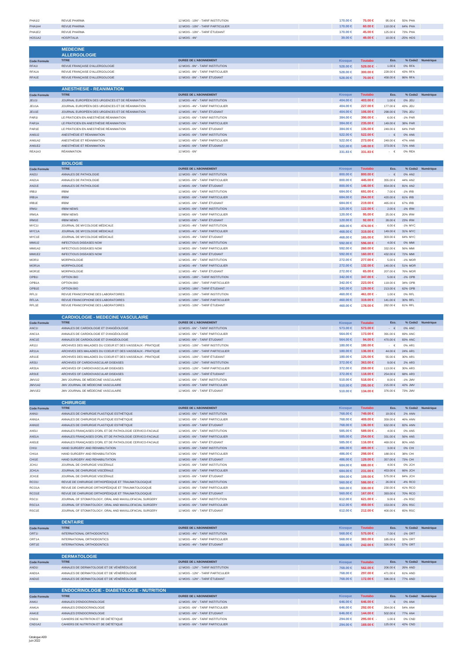| <b>PHA112</b>               | <b>REVUE PHARMA</b>                                                                                              | 12 MOIS - 10N° - TARIF INSTITUTION                                     | 170.00 €                 | 75.00 €                    | 95.00€                                    | 55% PHA             |                   |
|-----------------------------|------------------------------------------------------------------------------------------------------------------|------------------------------------------------------------------------|--------------------------|----------------------------|-------------------------------------------|---------------------|-------------------|
| PHA1A4                      | <b>REVUE PHARMA</b>                                                                                              | 12 MOIS - 10N° - TARIF PARTICULIER                                     | 170.00 €                 | $60.00 \in$                | 110.00€                                   | 64% PHA             |                   |
| PHA1E2<br>HOS1A2            | REVUE PHARMA<br><b>HOSPITALIA</b>                                                                                | 12 MOIS - 10N° - TARIF ÉTUDIANT<br>12 MOIS - 4N°                       | 170,00 €<br>39.00 €      | 45.00 €<br>49.00 €         | 125.00 €<br>10.00 €                       | 73% PHA<br>-25% HOS |                   |
|                             |                                                                                                                  |                                                                        |                          |                            |                                           |                     |                   |
|                             | <b>MEDECINE</b>                                                                                                  |                                                                        |                          |                            |                                           |                     |                   |
|                             | <b>ALLERGOLOGIE</b>                                                                                              |                                                                        |                          |                            |                                           |                     |                   |
| <b>Code Formule</b>         | <b>TITRE</b>                                                                                                     | DUREE DE L'ABONNEMENT                                                  | Kiosque                  | <b>Toutabo</b>             | Eco.                                      |                     | % Code2 Numérique |
| RFA1I<br>RFA1A              | REVUE FRANÇAISE D'ALLERGOLOGIE<br>REVUE FRANÇAISE D'ALLERGOLOGIE                                                 | 12 MOIS - 8N° - TARIF INSTITUTION<br>12 MOIS - 8N° - TARIF PARTICULIER | 528.00 €<br>528.00 €     | 529.00 €<br>300,00 €       | $1.00 \in$<br>228.00 €                    | 0% RFA<br>43% RFA   |                   |
| RFA1E                       | REVUE FRANÇAISE D'ALLERGOLOGIE                                                                                   | 12 MOIS - 8N° - TARIF ÉTUDIANT                                         | 528.00 €                 | 70.00 €                    | 458.00 €                                  | 86% RFA             |                   |
|                             |                                                                                                                  |                                                                        |                          |                            |                                           |                     |                   |
|                             | <b>ANESTHESIE - REANIMATION</b>                                                                                  |                                                                        |                          |                            |                                           |                     |                   |
| <b>Code Formule</b>         | <b>TITRE</b>                                                                                                     | <b>DUREE DE L'ABONNEMENT</b>                                           | Kiosque                  | <b>Toutabo</b>             | Eco.                                      |                     | % Code2 Numérique |
| JEU1I                       | JOURNAL EUROPÉEN DES URGENCES ET DE RÉANIMATION                                                                  | 12 MOIS - 4N° - TARIF INSTITUTION                                      | 404.00 ∈                 | 403.00 €                   | $1.00 \in$                                | 0% JEU              |                   |
| JEU1A<br>JEU1E              | JOURNAL EUROPÉEN DES URGENCES ET DE RÉANIMATION<br>JOURNAL EUROPÉEN DES URGENCES ET DE RÉANIMATION               | 12 MOIS - 4N° - TARIF PARTICULIER<br>12 MOIS - 4N° - TARIF ÉTUDIANT    | 404.00 €<br>404.00 €     | 227.00 €<br>106.00 €       | 177.00 €<br>298.00€                       | 43% JEU<br>73% JEU  |                   |
| PAR1I                       | LE PRATICIEN EN ANESTHÉSIE RÉANIMATION                                                                           | 12 MOIS - 6N° - TARIF INSTITUTION                                      | 384.00 €                 | 390.00 €                   | 6.00€                                     | -1% PAR             |                   |
| PAR <sub>1</sub> A          | LE PRATICIEN EN ANESTHÉSIE RÉANIMATION                                                                           | 12 MOIS - 6N° - TARIF PARTICULIER                                      | $384.00 \in$             | 235,00 €                   | 149.00€                                   | 38% PAR             |                   |
| PAR1E                       | LE PRATICIEN EN ANESTHÉSIE RÉANIMATION                                                                           | 12 MOIS - 6N° - TARIF ÉTUDIANT                                         | 384.00 €                 | 135,00 €                   | 249.00€                                   | 64% PAR             |                   |
| AN6112                      | ANESTHÉSIE ET RÉANIMATION                                                                                        | 12 MOIS - 6N° - TARIF INSTITUTION                                      | 522.00 €                 | 522.00 €                   | $\cdot$ $\in$                             | 0% AN6              |                   |
| AN61A2                      | ANESTHÉSIE ET RÉANIMATION                                                                                        | 12 MOIS - 6N° - TARIF PARTICULIER                                      | 522.00 €                 | 273,00 €                   | 249.00 €                                  | 47% AN6             |                   |
| AN61E2<br>REA1A3            | ANESTHÉSIE ET RÉANIMATION<br><b>RÉANIMATION</b>                                                                  | 12 MOIS - 6N° - TARIF ÉTUDIANT                                         | 522.00 €                 | 149.00 €                   | 373.00 €<br>$\cdot$ $\in$                 | 71% AN6<br>0% REA   |                   |
|                             |                                                                                                                  | 12 MOIS - 6N°                                                          | 331.83 €                 | 331.83 €                   |                                           |                     |                   |
|                             | <b>BIOLOGIE</b>                                                                                                  |                                                                        |                          |                            |                                           |                     |                   |
| <b>Code Formule</b>         | <b>TITRE</b>                                                                                                     | <b>DUREE DE L'ABONNEMENT</b>                                           | <b>Kiosque</b>           | <b>Toutabo</b>             | Eco.                                      | % Code2             | Numérique         |
| AN211                       | ANNALES DE PATHOLOGIE                                                                                            | 12 MOIS - 6N° - TARIF INSTITUTION                                      | 800.00 $\in$             | 800.00 $\in$               | $\cdot$ $\in$                             | 0% AN2              |                   |
| AN21A                       | ANNALES DE PATHOLOGIE                                                                                            | 12 MOIS - 6N° - TARIF PARTICULIER                                      | 800.00 €                 | 445.00 €                   | 355.00€                                   | 44% AN2             |                   |
| <b>AN21E</b>                | ANNALES DE PATHOLOGIE                                                                                            | 12 MOIS - 6N° - TARIF ÉTUDIANT                                         | 800.00 $\in$             | 146.00 €                   | 654.00 €                                  | 81% AN2             |                   |
| IRB1I<br>IRB1A              | <b>IRBM</b><br><b>IRBM</b>                                                                                       | 12 MOIS - 6N° - TARIF INSTITUTION<br>12 MOIS - 6N° - TARIF PARTICULIER | 684.00 €<br>684.00 €     | 691.00 €<br>264.00 €       | 7.00€<br>420.00€                          | -1% IRB<br>61% IRB  |                   |
| IRB1E                       | <b>IRBM</b>                                                                                                      | 12 MOIS - 6N° - TARIF ÉTUDIANT                                         | 684.00 €                 | 219,00 €                   | 465.00 €                                  | 67% IRB             |                   |
| IRM1I                       | <b>IRBM NEWS</b>                                                                                                 | 12 MOIS - 6N° - TARIF INSTITUTION                                      | 120.00 €                 | 122.00 €                   | $2.00\in$                                 | $-1\%$ IRM          |                   |
| IRM1A                       | <b>IRBM NEWS</b>                                                                                                 | 12 MOIS - 6N° - TARIF PARTICULIER                                      | 120.00 €                 | 95.00 $\in$                | 25.00€                                    | 20% IRM             |                   |
| IRM1E                       | <b>IRBM NEWS</b>                                                                                                 | 12 MOIS - 6N° - TARIF ÉTUDIANT                                         | 120.00 €                 | 92.00 $\in$                | 28.00 €                                   | 23% IRM             |                   |
| MYC1I                       | JOURNAL DE MYCOLOGIE MÉDICALE                                                                                    | 12 MOIS - 4N° - TARIF INSTITUTION                                      | 468.00 €                 | 474.00 €                   | 6.00€                                     | -1% MYC             |                   |
| MYC1A                       | JOURNAL DE MYCOLOGIE MÉDICALE                                                                                    | 12 MOIS - 4N° - TARIF PARTICULIER                                      | 468.00 €                 | 319,00 €                   | 149.00 €                                  | 31% MYC             |                   |
| MYC1E<br>MMI1I2             | JOURNAL DE MYCOLOGIE MÉDICALE<br><b>INFECTIOUS DISEASES NOW</b>                                                  | 12 MOIS - 4N° - TARIF ÉTUDIANT<br>12 MOIS - 8N° - TARIF INSTITUTION    | 468,00 €<br>592.00 €     | 165,00 €<br>596.00 €       | 303.00 €<br>$4.00\in$                     | 64% MYC<br>0% MMI   |                   |
| MMI1A2                      | <b>INFECTIOUS DISEASES NOW</b>                                                                                   | 12 MOIS - 8N° - TARIF PARTICULIER                                      | 592.00 €                 | 260,00 €                   | 332.00 €                                  | 56% MMI             |                   |
| MMI1E2                      | <b>INFECTIOUS DISEASES NOW</b>                                                                                   | 12 MOIS - 8N° - TARIF ÉTUDIANT                                         | 592.00 €                 | 160.00 €                   | 432.00 €                                  | 72% MMI             |                   |
| MOR1I                       | <b>MORPHOLOGIE</b>                                                                                               | 12 MOIS - 4N° - TARIF INSTITUTION                                      | 272.00 €                 | 277.00 € -                 | 5.00€                                     | -1% MOR             |                   |
| MOR1A                       | <b>MORPHOLOGIE</b>                                                                                               | 12 MOIS - 4N° - TARIF PARTICULIER                                      | 272.00 €                 | 132.00 €                   | 140.00 €                                  | 51% MOR             |                   |
| MOR1E                       | <b>MORPHOLOGIE</b>                                                                                               | 12 MOIS - 4N° - TARIF ÉTUDIANT                                         | 272.00 €                 | 65,00 €                    | 207.00€                                   | 76% MOR             |                   |
| OPB1I                       | OPTION BIO                                                                                                       | 12 MOIS - 18N° - TARIF INSTITUTION                                     | 342.00 €                 | 347.00 €                   | $5.00\in$                                 | -1% OPB             |                   |
| OPB1A<br>OPB1E              | OPTION BIO<br>OPTION BIO                                                                                         | 12 MOIS - 18N° - TARIF PARTICULIER<br>12 MOIS - 18N° - TARIF ÉTUDIANT  | 342.00 €<br>$342.00 \in$ | 223.00 €<br>129.00 €       | 119.00 €<br>213.00 €                      | 34% OPB<br>62% OPB  |                   |
| RFL1I                       | REVUE FRANCOPHONE DES LABORATOIRES                                                                               | 12 MOIS - 10N° - TARIF INSTITUTION                                     | 460.00 €                 | 461.00 €                   | 1.00€                                     | 0% RFL              |                   |
| RFL <sub>1</sub> A          | REVUE FRANCOPHONE DES LABORATOIRES                                                                               | 12 MOIS - 10N° - TARIF PARTICULIER                                     | 460.00 €                 | 319,00 €                   | 141.00 €                                  | 30% RFL             |                   |
| RFL1E                       | REVUE FRANCOPHONE DES LABORATOIRES                                                                               | 12 MOIS - 10N° - TARIF ÉTUDIANT                                        | 460.00 €                 | 178.00 €                   | 282.00€                                   | 61% RFL             |                   |
|                             |                                                                                                                  |                                                                        |                          |                            |                                           |                     |                   |
|                             | <b>CARDIOLOGIE - MEDECINE VASCULAIRE</b>                                                                         |                                                                        |                          |                            |                                           |                     |                   |
| <b>Code Formule</b>         | <b>TITRE</b>                                                                                                     | <b>DUREE DE L'ABONNEMENT</b>                                           | <b>Kiosque</b>           | <b>Toutabo</b>             | Eco                                       |                     | % Code2 Numérique |
| ANC11<br>ANC1A              | ANNALES DE CARDIOLOGIE ET D'ANGÉIOLOGIE<br>ANNALES DE CARDIOLOGIE ET D'ANGÉIOLOGIE                               | 12 MOIS - 6N° - TARIF INSTITUTION<br>12 MOIS - 6N° - TARIF PARTICULIER | 573.00 €<br>564.00 €     | 573.00 €<br>173.00 €       | $\overline{\phantom{a}}$<br>€<br>391.00 € | 0% ANC<br>69% ANC   |                   |
| ANC1E                       | ANNALES DE CARDIOLOGIE ET D'ANGÉIOLOGIE                                                                          | 12 MOIS - 6N° - TARIF ÉTUDIANT                                         | 564.00 €                 | 94.00 $\in$                | 470.00€                                   | 83% ANC             |                   |
| AR111                       | ARCHIVES DES MALADIES DU COEUR ET DES VAISSEAUX - PRATIQUE                                                       | 12 MOIS - 10N° - TARIF INSTITUTION                                     | 180.00 €                 | 180.00 €                   | $\cdot$ $\epsilon$                        | 0% AR1              |                   |
|                             |                                                                                                                  |                                                                        | 180.00 €                 | 136.00 €                   | 44.00 €                                   | 24% AR1             |                   |
| AR11A                       | ARCHIVES DES MALADIES DU COEUR ET DES VAISSEAUX - PRATIQUE                                                       | 12 MOIS - 10N° - TARIF PARTICULIER                                     |                          |                            |                                           |                     |                   |
| AR11E                       | ARCHIVES DES MALADIES DU COEUR ET DES VAISSEAUX - PRATIQUE                                                       | 12 MOIS - 10N° - TARIF ÉTUDIANT                                        | 180,00 €                 | 125.00 €                   | 55.00€                                    | 30% AR1             |                   |
| AR311                       | ARCHIVES OF CARDIOVASCULAR DISEASES                                                                              | 12 MOIS - 12N° - TARIF INSTITUTION                                     | 372.00 €                 | 363.00 €                   | $9.00 \in$                                | 2% AR3              |                   |
| AR31A                       | ARCHIVES OF CARDIOVASCULAR DISEASES                                                                              | 12 MOIS - 12N° - TARIF PARTICULIER                                     | 372.00 €                 | 259,00 €                   | 113.00 €                                  | 30% AR3             |                   |
| AR31E                       | ARCHIVES OF CARDIOVASCULAR DISEASES<br>JMV JOURNAL DE MÉDECINE VASCULAIRE                                        | 12 MOIS - 12N° - TARIF ÉTUDIANT<br>12 MOIS - 6N° - TARIF INSTITUTION   | 372.00 €                 | 118.00 €                   | 254.00€                                   | 68% AR3             |                   |
| <b>JMV1I2</b><br>JMV1A2     | JMV JOURNAL DE MÉDECINE VASCULAIRE                                                                               | 12 MOIS - 6N° - TARIF PARTICULIER                                      | 510,00 €<br>$510,00 \in$ | $518.00 \in .$<br>295,00 € | 8.00€<br>215.00€                          | -1% JMV<br>42% JMV  |                   |
| JMV1E2                      | JMV JOURNAL DE MÉDECINE VASCULAIRE                                                                               | 12 MOIS - 6N° - TARIF ÉTUDIANT                                         | $510.00 \in$             | 134.00 €                   | 376.00 €                                  | 73% JMV             |                   |
|                             |                                                                                                                  |                                                                        |                          |                            |                                           |                     |                   |
|                             | <b>CHIRURGIE</b>                                                                                                 |                                                                        |                          |                            |                                           |                     |                   |
| <b>Code Formule</b>         | <b>TITRE</b>                                                                                                     | <b>DUREE DE L'ABONNEMENT</b>                                           | <b>Kiosque</b>           | <b>Toutabo</b>             | Eco.                                      |                     | % Code2 Numérique |
| ANN <sub>11</sub>           | ANNALES DE CHIRURGIE PLASTIQUE ESTHÉTIQUE                                                                        | 12 MOIS - 6N° - TARIF INSTITUTION                                      | 768.00 €                 | 749.00 €                   | 19.00€                                    | <b>2% ANN</b>       |                   |
| ANN1A                       | ANNALES DE CHIRURGIE PLASTIQUE ESTHÉTIQUE                                                                        | 12 MOIS - 6N° - TARIF PARTICULIER                                      | 768,00 €                 | 409.00 €                   | 359.00€                                   | 46% ANN             |                   |
| ANN1E<br>AN511              | ANNALES DE CHIRURGIE PLASTIQUE ESTHÉTIQUE<br>ANNALES FRANÇAISES D'ORL ET DE PATHOLOGIE CERVICO-FACIALE           | 12 MOIS - 6N° - TARIF ÉTUDIANT<br>12 MOIS - 6N° - TARIF INSTITUTION    | 768.00 €<br>585.00 €     | 136.00 €<br>$589.00 \in .$ | 632.00 €<br>$4.00\in$                     | 82% ANN<br>0% AN5   |                   |
| <b>AN51A</b>                | ANNALES FRANÇAISES D'ORL ET DE PATHOLOGIE CERVICO-FACIALE                                                        | 12 MOIS - 6N° - TARIF PARTICULIER                                      | 585.00 $∈$               | 254.00 €                   | 331.00 €                                  | 56% AN5             |                   |
| <b>AN51E</b>                | ANNALES FRANÇAISES D'ORL ET DE PATHOLOGIE CERVICO-FACIALE                                                        | 12 MOIS - 6N° - TARIF ÉTUDIANT                                         | 585.00 €                 | 116,00 €                   | 469.00 €                                  | 80% AN5             |                   |
| CHI1I                       | HAND SURGERY AND REHABILITATION                                                                                  | 12 MOIS - 6N° - TARIF INSTITUTION                                      | 486,00 €                 | 489.00 €                   | $3.00 \in$                                | 0% CHI              |                   |
| CHI1A                       | HAND SURGERY AND REHABILITATION                                                                                  | 12 MOIS - 6N° - TARIF PARTICULIER                                      | 486.00 €                 | 298.00 €                   | 188.00 €                                  | 38% CHI             |                   |
| CHI1E                       | HAND SURGERY AND REHABILITATION<br>JOURNAL DE CHIRURGIE VISCÉRALE                                                | 12 MOIS - 6N° - TARIF ÉTUDIANT                                         | 486.00 €                 | 129.00 €<br>$688.00 \in -$ | 357.00 €<br>4.00€                         | 73% CHI<br>0% JCH   |                   |
| JCH11<br>JCH1A              | JOURNAL DE CHIRURGIE VISCÉRALE                                                                                   | 12 MOIS - 6N° - TARIF INSTITUTION<br>12 MOIS - 6N° - TARIF PARTICULIER | 684.00 €<br>684.00 €     | 231.00 €                   | 453.00 €                                  | 66% JCH             |                   |
| JCH1E                       | JOURNAL DE CHIRURGIE VISCÉRALE                                                                                   | 12 MOIS - 6N° - TARIF ÉTUDIANT                                         | 684.00 €                 | 109.00 €                   | 575.00€                                   | 84% JCH             |                   |
| RCO1I                       | REVUE DE CHIRURGIE ORTHOPÉDIQUE ET TRAUMATOLOGIQUE                                                               | 12 MOIS - 8N° - TARIF INSTITUTION                                      | 560.00 $∈$               | 586,00 €                   | 26.00€                                    | -4% RCO             |                   |
| RCO <sub>1</sub> A          | REVUE DE CHIRURGIE ORTHOPÉDIQUE ET TRAUMATOLOGIQUE                                                               | 12 MOIS - 8N° - TARIF PARTICULIER                                      | 560,00 €                 | 330,00 €                   | 230.00€                                   | 41% RCO             |                   |
| RCO1E                       | REVUE DE CHIRURGIE ORTHOPÉDIQUE ET TRAUMATOLOGIQUE                                                               | 12 MOIS - 8N° - TARIF ÉTUDIANT                                         | 560.00 $∈$               | 167.00 €                   | 393.00 €                                  | 70% RCO             |                   |
| RSC1I                       | JOURNAL OF STOMATOLOGY, ORAL AND MAXILLOFACIAL SURGERY                                                           | 12 MOIS - 6N° - TARIF INSTITUTION                                      | 612.00 €                 | $621.00 \in -$             | $9.00 \in$                                | -1% RSC             |                   |
| RSC1A<br>RSC1E              | JOURNAL OF STOMATOLOGY, ORAL AND MAXILLOFACIAL SURGERY<br>JOURNAL OF STOMATOLOGY, ORAL AND MAXILLOFACIAL SURGERY | 12 MOIS - 6N° - TARIF PARTICULIER<br>12 MOIS - 6N° - TARIF ÉTUDIANT    | $612.00 \in$<br>612.00 € | 459.00 €<br>212.00 €       | 153.00 €<br>400.00 €                      | 25% RSC<br>65% RSC  |                   |
|                             |                                                                                                                  |                                                                        |                          |                            |                                           |                     |                   |
|                             | <b>DENTAIRE</b>                                                                                                  |                                                                        |                          |                            |                                           |                     |                   |
| <b>Code Formule</b>         | <b>TITRE</b>                                                                                                     | <b>DUREE DE L'ABONNEMENT</b>                                           | <b>Kiosque</b>           | <b>Toutabo</b>             | Eco.                                      |                     | % Code2 Numérique |
| ORT1I                       | INTERNATIONAL ORTHODONTICS                                                                                       | 12 MOIS - 4N° - TARIF INSTITUTION                                      | 568.00 $∈$               | 575.00 €                   | 7.00 €                                    | $-1\%$ ORT          |                   |
| ORT1A                       | INTERNATIONAL ORTHODONTICS                                                                                       | 12 MOIS - 4N° - TARIF PARTICULIER                                      | 568.00 €                 | 383.00 €                   | 185.00 €                                  | 32% ORT             |                   |
| ORT1E                       | INTERNATIONAL ORTHODONTICS                                                                                       | 12 MOIS - 4N° - TARIF ÉTUDIANT                                         | 568.00 $∈$               | 242.00 €                   | 326.00€                                   | 57% ORT             |                   |
|                             | <b>DERMATOLOGIE</b>                                                                                              |                                                                        |                          |                            |                                           |                     |                   |
| <b>Code Formule</b>         | <b>TITRE</b>                                                                                                     | <b>DUREE DE L'ABONNEMENT</b>                                           | Kiosque                  | <b>Toutabo</b>             | Eco.                                      |                     | % Code2 Numérique |
| AND <sub>11</sub>           | ANNALES DE DERMATOLOGIE ET DE VÉNÉRÉOLOGIE                                                                       | 12 MOIS - 12N° - TARIF INSTITUTION                                     | 768.00 €                 | 562.00 €                   | 206.00 $\in$                              | 26% AND             |                   |
| AND <sub>1</sub> A          | ANNALES DE DERMATOLOGIE ET DE VÉNÉRÉOLOGIE                                                                       | 12 MOIS - 12N° - TARIF PARTICULIER                                     | 768.00 €                 | 297.00 €                   | 471.00 €                                  | 61% AND             |                   |
| AND1E                       | ANNALES DE DERMATOLOGIE ET DE VÉNÉRÉOLOGIE                                                                       | 12 MOIS - 12N° - TARIF ÉTUDIANT                                        | 768.00 €                 | 172.00 €                   | 596.00€                                   | 77% AND             |                   |
|                             |                                                                                                                  |                                                                        |                          |                            |                                           |                     |                   |
| <b>Code Formule</b>         | <b>ENDOCRINOLOGIE - DIABETOLOGIE - NUTRITION</b><br><b>TITRE</b>                                                 | <b>DUREE DE L'ABONNEMENT</b>                                           | <b>Kiosque</b>           | <b>Toutabo</b>             | Eco.                                      |                     | % Code2 Numérique |
| AN411                       | ANNALES D'ENDOCRINOLOGIE                                                                                         | 12 MOIS - 6N° - TARIF INSTITUTION                                      | $646.00 \in$             | 646.00 €                   | $ \in$                                    | 0% AN4              |                   |
| AN41A                       | ANNALES D'ENDOCRINOLOGIE                                                                                         | 12 MOIS - 6N° - TARIF PARTICULIER                                      | 646.00 €                 | 292.00 €                   | 354.00 €                                  | 54% AN4             |                   |
| AN41E                       | ANNALES D'ENDOCRINOLOGIE                                                                                         | 12 MOIS - 6N° - TARIF ÉTUDIANT                                         | $646.00 \in$             | 144.00 €                   | 502.00€                                   | 77% AN4             |                   |
| CND <sub>11</sub><br>CND1A2 | CAHIERS DE NUTRITION ET DE DIÉTÉTIQUE<br>CAHIERS DE NUTRITION ET DE DIÉTÉTIQUE                                   | 12 MOIS - 6N° - TARIF INSTITUTION<br>12 MOIS - 6N° - TARIF PARTICULIER | 294.00 €<br>294.00 €     | $295.00 \in$<br>169,00 €   | 1.00€<br>125.00 €                         | 0% CND<br>42% CND   |                   |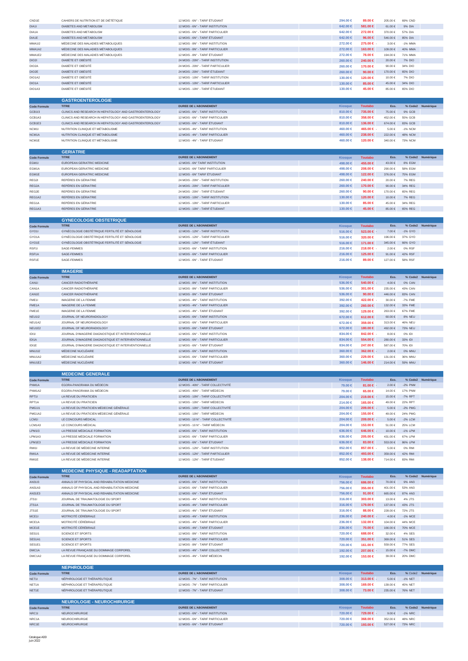| CND1E                         | CAHIERS DE NUTRITION ET DE DIÉTÉTIQUE                                                                        | 12 MOIS - 6N° - TARIF ÉTUDIANT                                           | 294.00 €                 | 89.00 €                    | 205.00€               | 69% CND                  |                   |
|-------------------------------|--------------------------------------------------------------------------------------------------------------|--------------------------------------------------------------------------|--------------------------|----------------------------|-----------------------|--------------------------|-------------------|
| DIA11                         | DIABETES AND METABOLISM                                                                                      | 12 MOIS - 6N° - TARIF INSTITUTION                                        | 642.00 €                 | 581.00 €                   | $61.00\in$            | 9% DIA                   |                   |
| DIA1A<br>DIA1E                | DIABETES AND METABOLISM<br>DIABETES AND METABOLISM                                                           | 12 MOIS - 6N° - TARIF PARTICULIER<br>12 MOIS - 6N° - TARIF ÉTUDIANT      | 642.00 €<br>642.00 €     | 272.00 €<br>96.00 €        | 370.00 €<br>546.00€   | 57% DIA<br>85% DIA       |                   |
| <b>MMA112</b>                 | MÉDECINE DES MALADIES MÉTABOLIQUES                                                                           | 12 MOIS - 8N° - TARIF INSTITUTION                                        | 272.00 €                 | 275.00 €                   | $3.00 \in$            | -1% MMA                  |                   |
| MMA1A2                        | MÉDECINE DES MALADIES MÉTABOLIQUES                                                                           | 12 MOIS - 8N° - TARIF PARTICULIER                                        | 272.00 €                 | 163.00 €                   | 109.00€               | 40% MMA                  |                   |
| MMA1E2                        | MÉDECINE DES MALADIES MÉTABOLIQUES                                                                           | 12 MOIS - 8N° - TARIF ÉTUDIANT                                           | 272.00 €                 | 78.00 €                    | 194.00 €              | 71% MMA                  |                   |
| <b>DIO21</b>                  | <b>DIABÈTE ET OBÉSITÉ</b>                                                                                    | 24 MOIS - 20N° - TARIF INSTITUTION                                       | 260.00 ∈                 | 240.00 €                   | 20.00€                | 7% DIO                   |                   |
| DIO2A<br>DIO2E                | DIABÈTE ET OBÉSITÉ<br>DIABÈTE ET OBÉSITÉ                                                                     | 24 MOIS - 20N° - TARIF PARTICULIER<br>24 MOIS - 20N° - TARIF ÉTUDIANT    | 260.00 €<br>260.00 $\in$ | 170.00 €<br>90.00 $\in$    | 90.00€<br>170.00 €    | 34% DIO<br>65% DIO       |                   |
| DIO1A2                        | DIABÈTE ET OBÉSITÉ                                                                                           | 12 MOIS - 10N° - TARIF INSTITUTION                                       | 130.00 €                 | 120.00 €                   | 10.00 €               | 7% DIO                   |                   |
| DIO1A                         | <b>DIABÈTE ET OBÉSITÉ</b>                                                                                    | 12 MOIS - 10N° - TARIF PARTICULIER                                       | 130.00 ∈                 | 85.00 €                    | 45.00€                | 34% DIO                  |                   |
| DIO1A3                        | DIABÈTE ET OBÉSITÉ                                                                                           | 12 MOIS - 10N° - TARIF ÉTUDIANT                                          | 130.00 €                 | 45.00 €                    | 85.00€                | 65% DIO                  |                   |
|                               |                                                                                                              |                                                                          |                          |                            |                       |                          |                   |
|                               | <b>GASTROENTEROLOGIE</b><br><b>TITRE</b>                                                                     | <b>DUREE DE L'ABONNEMENT</b>                                             |                          |                            | Eco.                  |                          |                   |
| <b>Code Formule</b><br>GCB1I3 | CLINICS AND RESEARCH IN HEPATOLOGY AND GASTROENTEROLOGY                                                      | 12 MOIS - 6N° - TARIF INSTITUTION                                        | Kiosque<br>810.00 $\in$  | <b>Toutabo</b><br>735.00 € | 75.00 €               | 9% GCB                   | % Code2 Numérique |
| GCB1A3                        | CLINICS AND RESEARCH IN HEPATOLOGY AND GASTROENTEROLOGY                                                      | 12 MOIS - 6N° - TARIF PARTICULIER                                        | 810.00 €                 | 358.00 €                   | 452.00 €              | 55% GCB                  |                   |
| GCB1E3                        | CLINICS AND RESEARCH IN HEPATOLOGY AND GASTROENTEROLOGY                                                      | 12 MOIS - 6N° - TARIF ÉTUDIANT                                           | 810.00 €                 | 136,00 €                   | 674.00€               | 83% GCB                  |                   |
| NCM1I                         | NUTRITION CLINIQUE ET MÉTABOLISME                                                                            | 12 MOIS - 4N° - TARIF INSTITUTION                                        | 460,00 €                 | 465.00 €                   | 5.00€                 | -1% NCM                  |                   |
| NCM1A                         | NUTRITION CLINIQUE ET MÉTABOLISME                                                                            | 12 MOIS - 4N° - TARIF PARTICULIER                                        | 460.00 €                 | 238.00 €                   | 222.00 €              | 48% NCM                  |                   |
| NCM1E                         | NUTRITION CLINIQUE ET MÉTABOLISME                                                                            | 12 MOIS - 4N° - TARIF ÉTUDIANT                                           | 460.00 €                 | 120.00 €                   | 340.00 €              | 73% NCM                  |                   |
|                               | <b>GERIATRIE</b>                                                                                             |                                                                          |                          |                            |                       |                          |                   |
| <b>Code Formule</b>           | <b>TITRE</b>                                                                                                 | <b>DUREE DE L'ABONNEMENT</b>                                             | <b>Kiosque</b>           | <b>Toutabo</b>             | Eco.                  |                          | % Code2 Numérique |
| EGM1I                         | EUROPEAN GERIATRIC MEDICINE                                                                                  | 12 MOIS - 6N° TARIF INSTITUTION                                          | 498.00 €                 | 455,00 €                   | 43.00 €               | 8% EGM                   |                   |
| EGM1A                         | EUROPEAN GERIATRIC MEDICINE                                                                                  | 12 MOIS - 6N° TARIF PARTICULIER                                          | 498,00 €                 | 208.00 €                   | 290.00 €              | 58% EGM                  |                   |
| EGM1E                         | EUROPEAN GERIATRIC MEDICINE                                                                                  | 12 MOIS - 6N° TARIF ÉTUDIANT                                             | 498.00 €                 | 122.00 €                   | 376.00 €              | 75% EGM                  |                   |
| REG2I<br>REG2A                | REPÈRES EN GÉRIATRIE<br>REPÈRES EN GÉRIATRIE                                                                 | 24 MOIS - 20N° - TARIF INSTITUTION<br>24 MOIS - 20N° - TARIF PARTICULIER | 260.00 €<br>260.00 ∈     | 240.00 €<br>170.00 €       | 20.00€<br>90.00 $\in$ | <b>7% REG</b><br>34% REG |                   |
| REG2E                         | REPÊRES EN GÉRIATRIE                                                                                         | 24 MOIS - 20N° - TARIF ÉTUDIANT                                          | 260.00 €                 | 90.00 $\in$                | 170.00 €              | 65% REG                  |                   |
| REG1A2                        | REPÈRES EN GÉRIATRIE                                                                                         | 12 MOIS - 10N° - TARIF INSTITUTION                                       | 130,00 €                 | 120.00 €                   | 10.00 €               | <b>7% REG</b>            |                   |
| REG1A                         | REPÈRES EN GÉRIATRIE                                                                                         | 12 MOIS - 10N° - TARIF PARTICULIER                                       | 130.00 €                 | 85,00 €                    | 45.00€                | 34% REG                  |                   |
| REG1A3                        | REPÈRES EN GÉRIATRIE                                                                                         | 12 MOIS - 10N° - TARIF ÉTUDIANT                                          | 130.00 ∈                 | 45.00 €                    | 85.00 €               | 65% REG                  |                   |
|                               | <b>GYNECOLOGIE OBSTETRIQUE</b>                                                                               |                                                                          |                          |                            |                       |                          |                   |
| <b>Code Formule</b>           | <b>TITRE</b>                                                                                                 | <b>DUREE DE L'ABONNEMENT</b>                                             | <b>Kiosque</b>           | <b>Toutabo</b>             | Eco.                  |                          | % Code2 Numérique |
| GYO1I                         | GYNÉCOLOGIE OBSTÉTRIQUE FERTILITÉ ET SÉNOLOGIE                                                               | 12 MOIS - 12N° - TARIF INSTITUTION                                       | 516.00 €                 | 523.00 €                   | 7.00€                 | -1% GYO                  |                   |
| GYO1A                         | GYNÉCOLOGIE OBSTÉTRIQUE FERTILITÉ ET SÉNOLOGIE                                                               | 12 MOIS - 12N° - TARIF PARTICULIER                                       | 516,00 €                 | 320,00 €                   | 196.00€               | 37% GYO                  |                   |
| GYO1E                         | GYNÉCOLOGIE OBSTÉTRIQUE FERTILITÉ ET SÉNOLOGIE                                                               | 12 MOIS - 12N° - TARIF ÉTUDIANT                                          | 516.00 $∈$               | 171.00 €                   | 345.00 €              | 66% GYO                  |                   |
| RSF1I                         | SAGE-FEMMES                                                                                                  | 12 MOIS - 6N° - TARIF INSTITUTION                                        | 216.00 €                 | 218.00 €                   | 2.00€                 | 0% RSF                   |                   |
| RSF <sub>1</sub> A<br>RSF1E   | SAGE-FEMMES                                                                                                  | 12 MOIS - 6N° - TARIF PARTICULIER                                        | 216.00 €                 | 125.00 €                   | 91.00€                | 42% RSF                  |                   |
|                               | SAGE-FEMMES                                                                                                  | 12 MOIS - 6N° - TARIF ÉTUDIANT                                           | 216.00 €                 | 89.00 €                    | 127.00 €              | 58% RSF                  |                   |
|                               | <b>IMAGERIE</b>                                                                                              |                                                                          |                          |                            |                       |                          |                   |
| <b>Code Formule</b>           | <b>TITRE</b>                                                                                                 | <b>DUREE DE L'ABONNEMENT</b>                                             | <b>Kiosque</b>           | <b>Toutabo</b>             | Eco.                  |                          | % Code2 Numérique |
| CAN11                         | CANCER RADIOTHÉRAPIE                                                                                         | 12 MOIS - 8N° - TARIF INSTITUTION                                        | 536.00 $∈$               | 540.00 €                   | 4.00 €                | 0% CAN                   |                   |
| CAN1A                         | CANCER RADIOTHÉRAPIE                                                                                         | 12 MOIS - 8N° - TARIF PARTICULIER                                        | 536.00 €                 | 301.00 €                   | 235.00€               | 43% CAN                  |                   |
| CAN1E                         | CANCER RADIOTHÉRAPIE                                                                                         | 12 MOIS - 8N° - TARIF ÉTUDIANT                                           | 536.00 $∈$<br>392.00 €   | 90.00 $\in$<br>422.00 €    | 446.00 €<br>30.00€    | 83% CAN<br>-7% FME       |                   |
| FME11<br>FME1A                | <b>IMAGERIE DE LA FEMME</b><br>IMAGERIE DE LA FEMME                                                          | 12 MOIS - 4N° - TARIF INSTITUTION<br>12 MOIS - 4N° - TARIF PARTICULIER   | 392.00 €                 | 260.00 €                   | 132.00 €              | 33% FME                  |                   |
| FME1E                         | <b>IMAGERIE DE LA FEMME</b>                                                                                  | 12 MOIS - 4N° - TARIF ÉTUDIANT                                           | 392.00 €                 | 129.00 €                   | 263.00 €              | 67% FME                  |                   |
| <b>NEU112</b>                 | JOURNAL OF NEURORADIOLOGY                                                                                    | 12 MOIS - 6N° - TARIF INSTITUTION                                        | $672.00 \in$             | 612.00 €                   | 60.00€                | <b>8% NEU</b>            |                   |
| NEU1A2                        | JOURNAL OF NEURORADIOLOGY                                                                                    | 12 MOIS - 6N° - TARIF PARTICULIER                                        | 672.00 €                 | 359,00 €                   | 313.00 €              | 46% NEU                  |                   |
| NEU1E2                        | JOURNAL OF NEURORADIOLOGY                                                                                    | 12 MOIS - 6N° - TARIF ÉTUDIANT                                           | $672.00 \in$             | 180.00 €                   | 492.00 €              | 73% NEU                  |                   |
| IDI1                          | JOURNAL D'IMAGERIE DIAGNOSTIQUE ET INTERVENTIONNELLE                                                         | 12 MOIS - 6N° - TARIF INSTITUTION                                        | 834.00 €                 | 842.00 €<br>554.00 €       | 8.00€<br>280.00€      | 0% IDI                   |                   |
| IDI1A<br>IDI1E                | JOURNAL D'IMAGERIE DIAGNOSTIQUE ET INTERVENTIONNELLE<br>JOURNAL D'IMAGERIE DIAGNOSTIQUE ET INTERVENTIONNELLE | 12 MOIS - 6N° - TARIF PARTICULIER<br>12 MOIS - 6N° - TARIF ÉTUDIANT      | 834.00 €<br>834.00 €     | 247.00 €                   | 587.00€               | 33% IDI<br>70% IDI       |                   |
| <b>MNU1I2</b>                 | MÉDECINE NUCLÉAIRE                                                                                           | 12 MOIS - 6N° - TARIF INSTITUTION                                        | $360.00 \in$             | 362.00 €                   | 2.00 €                | 0% MNU                   |                   |
| MNU1A2                        | MÉDECINE NUCLÉAIRE                                                                                           | 12 MOIS - 6N° - TARIF PARTICULIER                                        | 360,00 €                 | 229,00 €                   | 131.00 €              | 36% MNU                  |                   |
| MNU1E2                        | MÉDECINE NUCLÉAIRE                                                                                           | 12 MOIS - 6N° - TARIF ÉTUDIANT                                           | 360.00 €                 | 146.00 €                   | 214.00 €              | 59% MNU                  |                   |
|                               |                                                                                                              |                                                                          |                          |                            |                       |                          |                   |
|                               | <b>MEDECINE GENERALE</b><br><b>TITRE</b>                                                                     | DUREE DE L'ABONNEMENT                                                    | Kiosque                  | <b>Toutabo</b>             | Eco.                  |                          | % Code2 Numérique |
| <b>Code Formule</b><br>PNM1A  | EGORA-PANORAMA DU MÉDECIN                                                                                    | 12 MOIS - 40N° - TARIF COLLECTIVITÉ                                      | 79.00 €                  | 81.00 €                    | $2.00\in$             | $-2\%$ PNM               |                   |
| PNM1A2                        | EGORA-PANORAMA DU MÉDECIN                                                                                    | 12 MOIS - 40N° - TARIF MÉDECIN                                           | 79.00 €                  | 65,00 €                    | 14.00 €               | 17% PNM                  |                   |
| RPT1I                         | LA REVUE DU PRATICIEN                                                                                        | 12 MOIS - 10N° - TARIF COLLECTIVITÉ                                      | 204.00 ∈                 | 219.00 €                   | 15.00 €               | -7% RPT                  |                   |
| RPT <sub>1</sub> A            | LA REVUE DU PRATICIEN                                                                                        | 12 MOIS - 10N° - TARIF MÉDECIN                                           | 214.00 €                 | 165.00 €                   | 49.00€                | 22% RPT                  |                   |
| <b>PMG111</b>                 | LA REVUE DU PRATICIEN MÉDECINE GÉNÉRALE                                                                      | 12 MOIS - 10N° - TARIF COLLECTIVITÉ                                      | 204.00 €                 | 209.00 €                   | $5.00 \in$            | -2% PMG                  |                   |
| PMG1A2<br>LCM11               | LA REVUE DU PRATICIEN MÉDECINE GÉNÉRALE<br>LE CONCOURS MÉDICAL                                               | 12 MOIS - 10N° - TARIF MÉDECIN<br>12 MOIS - 10 Nº - TARIF COLLECTIVITÉ   | 204.00 €<br>204.00 €     | 155.00 €<br>209.00 €       | 49.00 €<br>$5.00\in$  | 24% PMG<br>$-2\%$ LCM    |                   |
| LCM1A3                        | LE CONCOURS MÉDICAL                                                                                          | 12 MOIS - 10 N° - TARIF MÉDECIN                                          | 204.00 €                 | 153.00 €                   | 51.00€                | 25% LCM                  |                   |
| <b>LPM1I3</b>                 | LA PRESSE MÉDICALE FORMATION                                                                                 | 12 MOIS - 6N° - TARIF INSTITUTION                                        | $636.00 \in$             | 646.00 €                   | 10.00€                | -1% LPM                  |                   |
| LPM1A3                        | LA PRESSE MÉDICALE FORMATION                                                                                 | 12 MOIS - 6N° - TARIF PARTICULIER                                        | 636.00 €                 | 205.00 €                   | 431.00 €              | 67% LPM                  |                   |
| LPM1E3                        | LA PRESSE MÉDICALE FORMATION                                                                                 | 12 MOIS - 6N° - TARIF ÉTUDIANT                                           | 636,00 €                 | 83.00 €                    | 553.00€               | 86% LPM                  |                   |
| <b>RMI11</b>                  | LA REVUE DE MÉDECINE INTERNE                                                                                 | 12 MOIS - 12N° - TARIF INSTITUTION                                       | 852.00 €                 | 857.00 €                   | 5.00€                 | 0% RMI                   |                   |
| RMI1A<br>RMI1E                | LA REVUE DE MÉDECINE INTERNE<br>LA REVUE DE MÉDECINE INTERNE                                                 | 12 MOIS - 12N° - TARIF PARTICULIER<br>12 MOIS - 12N° - TARIF ÉTUDIANT    | 852,00 €<br>852.00 €     | 493.00 €<br>138.00 €       | 359.00 €<br>714.00 €  | 42% RMI<br>83% RMI       |                   |
|                               |                                                                                                              |                                                                          |                          |                            |                       |                          |                   |
|                               |                                                                                                              |                                                                          |                          |                            |                       |                          |                   |
| <b>Code Formule</b>           | <b>MEDECINE PHYSIQUE - READAPTATION</b>                                                                      |                                                                          |                          |                            |                       |                          |                   |
|                               | <b>TITRE</b>                                                                                                 | <b>DUREE DE L'ABONNEMENT</b>                                             | Kiosque                  | <b>Toutabo</b>             | Eco.                  |                          | % Code2 Numérique |
| AN3113                        | ANNALS OF PHYSICAL AND REHABILITATION MEDICINE                                                               | 12 MOIS - 6N° - TARIF INSTITUTION                                        | 756.00 ∈                 | 686.00 €                   | 70.00 $\in$           | 9% AN3                   |                   |
| AN31A3                        | ANNALS OF PHYSICAL AND REHABILITATION MEDICINE                                                               | 12 MOIS - 6N° - TARIF PARTICULIER                                        | 756,00 €                 | 355,00 €                   | 401.00 €              | 53% AN3                  |                   |
| AN31E3                        | ANNALS OF PHYSICAL AND REHABILITATION MEDICINE                                                               | 12 MOIS - 6N° - TARIF ÉTUDIANT                                           | 756.00 €                 | 91.00 $\in$                | 665.00€               | 87% AN3                  |                   |
| JTS11                         | JOURNAL DE TRAUMATOLOGIE DU SPORT                                                                            | 12 MOIS - 4N° - TARIF INSTITUTION                                        | 316.00 €                 | 303.00 €                   | 13.00 €               | 4% JTS                   |                   |
| JTS1A<br>JTS1E                | JOURNAL DE TRAUMATOLOGIE DU SPORT<br>JOURNAL DE TRAUMATOLOGIE DU SPORT                                       | 12 MOIS - 4N° - TARIF PARTICULIER<br>12 MOIS - 4N° - TARIF ÉTUDIANT      | 316.00 ∈<br>316.00 €     | 179.00 €<br>88.00 €        | 137.00 €<br>228.00 €  | 43% JTS<br>72% JTS       |                   |
| MCE1I                         | MOTRICITÉ CÉRÉBRALE                                                                                          | 12 MOIS - 4N° - TARIF INSTITUTION                                        | 236.00 €                 | 240.00 €                   | 4.00 €                | $-1\%$ MCE               |                   |
| MCE1A                         | MOTRICITÉ CÉRÉBRALE                                                                                          | 12 MOIS - 4N° - TARIF PARTICULIER                                        | 236.00 €                 | 132.00 €                   | 104.00 €              | 44% MCE                  |                   |
| MCE1E                         | MOTRICITÉ CÉRÉBRALE                                                                                          | 12 MOIS - 4N° - TARIF ÉTUDIANT                                           | 236.00 €                 | 70.00 €                    | 166.00€               | 70% MCE                  |                   |
| <b>SES111</b>                 | SCIENCE ET SPORTS                                                                                            | 12 MOIS - 8N° - TARIF INSTITUTION                                        | 720.00 €                 | 688.00 €                   | 32.00 €               | 4% SES                   |                   |
| SES1A1<br>SES1E1              | SCIENCE ET SPORTS<br><b>SCIENCE ET SPORTS</b>                                                                | 12 MOIS - 8N° - TARIF PARTICULIER<br>12 MOIS - 8N° - TARIF ÉTUDIANT      | 720.00 €<br>720.00 €     | 351.00 €<br>161.00 €       | 369.00€<br>559.00€    | 51% SES<br>77% SES       |                   |
| DMC1A                         | LA REVUE FRANÇAISE DU DOMMAGE CORPOREL                                                                       | 12 MOIS - 4N° - TARIF COLLECTIVITÉ                                       | 192.00 €                 | 207.00 €                   | 15.00€                | -7% DMC                  |                   |
| DMC1A2                        | LA REVUE FRANÇAISE DU DOMMAGE CORPOREL                                                                       | 12 MOIS - 4N° - TARIF MÉDECIN                                            | 192.00 €                 | 153,00 €                   | 39.00€                | 20% DMC                  |                   |
|                               |                                                                                                              |                                                                          |                          |                            |                       |                          |                   |
|                               | <b>NEPHROLOGIE</b>                                                                                           |                                                                          |                          |                            |                       |                          |                   |
| <b>Code Formule</b><br>NET1I  | <b>TITRE</b><br>NÉPHROLOGIE ET THÉRAPEUTIQUE                                                                 | <b>DUREE DE L'ABONNEMENT</b><br>12 MOIS - 7N° - TARIF INSTITUTION        | <b>Kiosque</b>           | <b>Toutabo</b>             | Eco.<br>5.00€         | -1% NET                  | % Code2 Numérique |
| NET1A                         | NÉPHROLOGIE ET THÉRAPEUTIQUE                                                                                 | 12 MOIS - 7N° - TARIF PARTICULIER                                        | $308.00 \in$<br>308.00 € | 313.00 €<br>169.00 €       | 139.00 €              | 45% NET                  |                   |
| NET1E                         | NÉPHROLOGIE ET THÉRAPEUTIQUE                                                                                 | 12 MOIS - 7N° - TARIF ÉTUDIANT                                           | 308,00 €                 | 73.00 €                    | 235.00€               | 76% NET                  |                   |
|                               |                                                                                                              |                                                                          |                          |                            |                       |                          |                   |
|                               | <b>NEUROLOGIE - NEUROCHIRURGIE</b>                                                                           |                                                                          |                          |                            |                       |                          |                   |
| <b>Code Formule</b><br>NRC1I  | <b>TITRE</b><br>NEUROCHIRURGIE                                                                               | <b>DUREE DE L'ABONNEMENT</b><br>12 MOIS - 6N° - TARIF INSTITUTION        | Kiosque                  | <b>Toutabo</b>             | Eco<br>$9.00 \in$     |                          | % Code2 Numérique |
| NRC1A                         | NEUROCHIRURGIE                                                                                               | 12 MOIS - 6N° - TARIF PARTICULIER                                        | 720.00 ∈<br>720.00 €     | 729.00 €<br>368,00 €       | 352.00 €              | -1% NRC<br>48% NRC       |                   |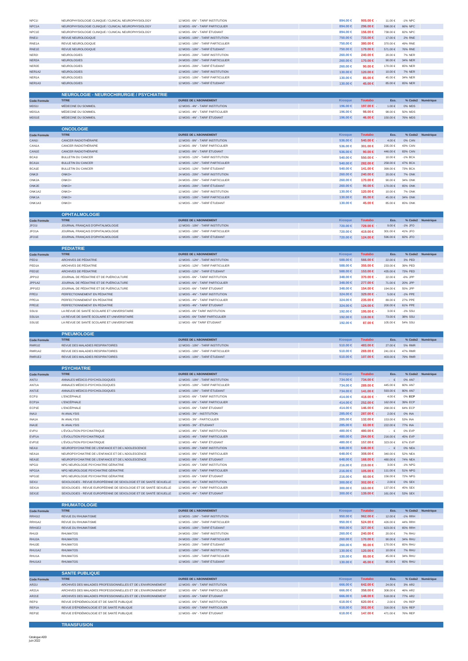| NPC1E<br>NEUROPHYSIOLOGIE CLINIQUE / CLINICAL NEUROPHYSIOLOGY<br>12 MOIS - 6N° - TARIF ÉTUDIANT<br>894.00 €<br>156.00 €<br>738.00 €<br>82% NPC<br>RNE11<br>REVUE NEUROLOGIQUE<br>12 MOIS - 10N° - TARIF INSTITUTION<br>750.00 €<br>733.00 €<br>17.00 €<br><b>2% RNE</b><br>RNE1A<br>REVUE NEUROLOGIQUE<br>12 MOIS - 10N° - TARIF PARTICULIER<br>750.00 €<br>380.00 €<br>370.00 €<br>49% RNE<br>REVUE NEUROLOGIQUE<br>12 MOIS - 10N° - TARIF ÉTUDIANT<br>750.00 €<br>179.00 €<br>RNE1E<br>571.00 €<br>76% RNE<br>NER2I<br>NEUROLOGIES<br>24 MOIS - 20N° - TARIF INSTITUTION<br>20.00 €<br>7% NER<br>260,00 €<br>240.00 €<br>NER2A<br>NEUROLOGIES<br>24 MOIS - 20N° - TARIF PARTICULIER<br>260.00 ∈<br>170.00 €<br>90.00 $\in$<br>34% NER<br>NER2E<br>NEUROLOGIES<br>24 MOIS - 20N° - TARIF ÉTUDIANT<br>260.00 €<br>90.00 $\in$<br>65% NER<br>170.00 €<br>NER1A2<br>NEUROLOGIES<br>12 MOIS - 10N° - TARIF INSTITUTION<br>130.00 ∈<br>120.00 €<br>10.00 €<br>7% NER<br>NER1A<br>NEUROLOGIES<br>12 MOIS - 10N° - TARIF PARTICULIER<br>130.00 €<br>85.00 €<br>45.00€<br>34% NER<br>NER1A3<br>NEUROLOGIES<br>12 MOIS - 10N° - TARIF ÉTUDIANT<br>130.00 €<br>85.00 €<br>65% NER<br>45.00 €<br><b>NEUROLOGIE - NEUROCHIRURGIE / PSYCHIATRIE</b><br><b>DUREE DE L'ABONNEMENT</b><br><b>Toutabo</b><br>Eco.<br>% Code2 Numérique<br><b>Kiosque</b><br><b>Code Formule</b><br>MDS1I<br>MÉDECINE DU SOMMEIL<br>12 MOIS - 4N° - TARIF INSTITUTION<br>196.00 €<br>197.00 €<br>1.00 €<br>0% MDS<br>MDS1A<br>MÉDECINE DU SOMMEIL<br>12 MOIS - 4N° - TARIF PARTICULIER<br>196.00 €<br>98.00 €<br>98.00€<br>50% MDS<br>MDS1E<br>MÉDECINE DU SOMMEIL<br>12 MOIS - 4N° - TARIF ÉTUDIANT<br>76% MDS<br>196.00 €<br>46.00 €<br>150.00€<br><b>ONCOLOGIE</b><br><b>TITRE</b><br><b>DUREE DE L'ABONNEMENT</b><br><b>Kiosque</b><br><b>Toutabo</b><br>Eco.<br>% Code2 Numérique<br><b>Code Formule</b><br>CANCER RADIOTHÉRAPIE<br>12 MOIS - 8N° - TARIF INSTITUTION<br>536.00 $∈$<br>540.00 €<br>4.00 €<br>CAN11<br>0% CAN<br>CAN1A<br>CANCER RADIOTHÉRAPIE<br>12 MOIS - 8N° - TARIF PARTICULIER<br>536.00 €<br>301.00 €<br>235.00€<br>43% CAN<br>CAN1E<br>CANCER RADIOTHÉRAPIE<br>12 MOIS - 8N° - TARIF ÉTUDIANT<br>446.00 €<br>83% CAN<br>536,00 €<br>90.00 $\in$<br>540.00 €<br>12 MOIS - 12N° - TARIF INSTITUTION<br>550.00 €<br>BCA1I<br><b>BULLETIN DU CANCER</b><br>10.00€<br>$-1\%$ BCA<br>BCA1A<br><b>BULLETIN DU CANCER</b><br>12 MOIS - 12N° - TARIF PARTICULIER<br>540.00 €<br>282.00 €<br>258.00 €<br>47% BCA<br>BCA1E<br>12 MOIS - 12N° - TARIF ÉTUDIANT<br><b>BULLETIN DU CANCER</b><br>540.00 €<br>141.00 €<br>399.00€<br>73% BCA<br>ONK2I<br>ONKO+<br>24 MOIS - 20N° - TARIF INSTITUTION<br>260.00 ∈<br>240.00 €<br>20.00€<br><b>7% ONK</b><br>ONK2A<br>ONKO+<br>24 MOIS - 20N° - TARIF PARTICULIER<br>260.00 €<br>170.00 €<br>90.00€<br>34% ONK<br>260.00 ∈<br>ONK2E<br>ONKO+<br>24 MOIS - 20N° - TARIF ÉTUDIANT<br>90.00 $\in$<br>170.00 €<br><b>65% ONK</b><br>130,00 €<br>ONK1A2<br>ONKO+<br>12 MOIS - 10N° - TARIF INSTITUTION<br>120.00 €<br>10.00€<br><b>7% ONK</b><br>ONK1A<br>ONKO+<br>12 MOIS - 10N° - TARIF PARTICULIER<br>45.00 €<br>34% ONK<br>130,00 €<br>85,00 €<br>ONK1A3<br>ONKO+<br>12 MOIS - 10N° - TARIF ÉTUDIANT<br>130.00 €<br>45.00 €<br>85.00 €<br>65% ONK<br><b>OPHTALMOLOGIE</b><br><b>TITRE</b><br><b>DUREE DE L'ABONNEMENT</b><br><b>Kiosque</b><br><b>Toutabo</b><br>Eco.<br>% Code2 Numérique<br><b>Code Formule</b><br>JFO <sub>11</sub><br>JOURNAL FRANÇAIS D'OPHTALMOLOGIE<br>12 MOIS - 10N° - TARIF INSTITUTION<br>9.00€<br>$-1\%$ JFO<br>720.00 €<br>729.00 €<br>JFO1A<br>12 MOIS - 10N° - TARIF PARTICULIER<br>301.00 €<br>41% JFO<br>JOURNAL FRANÇAIS D'OPHTALMOLOGIE<br>720.00 €<br>419.00 €<br>JFO1E<br>JOURNAL FRANÇAIS D'OPHTALMOLOGIE<br>12 MOIS - 10N° - TARIF ÉTUDIANT<br>720.00 €<br>124.00 €<br>596.00€<br>82% JFO<br><b>PEDIATRIE</b><br><b>TITRE</b><br>DUREE DE L'ABONNEMENT<br><b>Kiosque</b><br><b>Toutabo</b><br>Eco.<br>% Code2 Numérique<br><b>Code Formule</b><br>PED1I<br>ARCHIVES DE PÉDIATRIE<br>12 MOIS - 12N° - TARIF INSTITUTION<br>566,00 €<br>22.00€<br>3% PED<br>588.00 €<br>PED <sub>1</sub> A<br>ARCHIVES DE PÉDIATRIE<br>12 MOIS - 12N° - TARIF PARTICULIER<br>588,00 €<br>355,00 €<br>233.00 €<br>39% PED<br>PED1E<br>ARCHIVES DE PÉDIATRIE<br>12 MOIS - 12N° - TARIF ÉTUDIANT<br>588.00 $∈$<br>153.00 €<br>435.00 €<br>73% PED<br>JOURNAL DE PÉDIATRIE ET DE PUÉRICULTURE<br>12 MOIS - 6N° - TARIF INSTITUTION<br>JPP112<br>348.00 €<br>370.00 €<br>22.00€<br>-6% JPF<br>JPP1A2<br>JOURNAL DE PÉDIATRIE ET DE PUÉRICULTURE<br>12 MOIS - 6N° - TARIF PARTICULIER<br>348.00 €<br>277.00 €<br>71.00 €<br>20% JPP<br>JPP1E2<br>JOURNAL DE PÉDIATRIE ET DE PUÉRICULTURE<br>12 MOIS - 6N° - TARIF ÉTUDIANT<br>348.00 €<br>154.00 €<br>194.00 €<br>55% JPP<br>PERFECTIONNEMENT EN PÉDIATRIE<br>PPE1I<br>12 MOIS - 4N° - TARIF INSTITUTION<br>324.00 €<br>329.00 €<br>5.00€<br>-1% PPE<br>PPE1A<br>PERFECTIONNEMENT EN PÉDIATRIE<br>12 MOIS - 4N° - TARIF PARTICULIER<br>324,00 €<br>235.00 €<br>27% PPE<br>89.00€<br>PPE1E<br>PERFECTIONNEMENT EN PÉDIATRIE<br>12 MOIS - 4N° - TARIF ÉTUDIANT<br>324.00 €<br>200.00 €<br>61% PPE<br>124.00 €<br>LA REVUE DE SANTÉ SCOLAIRE ET UNIVERSITAIRE<br>12 MOIS - 6N° TARIF INSTITUTION<br>-1% SSU<br>SSU11<br>192.00 €<br>195.00 €<br>3.00€<br>SSU <sub>1</sub> A<br>LA REVUE DE SANTÉ SCOLAIRE ET UNIVERSITAIRE<br>12 MOIS - 6N° TARIF PARTICULIER<br>192.00 €<br>119.00 €<br>$73.00\in$<br>38% SSU<br>SSU1E<br>LA REVUE DE SANTÉ SCOLAIRE ET UNIVERSITAIRE<br>12 MOIS - 6N° TARIF ÉTUDIANT<br>192.00 €<br>87.00 €<br>105.00€<br>54% SSU<br><b>PNEUMOLOGIE</b><br><b>DUREE DE L'ABONNEMENT</b><br>Eco.<br>% Code2 Numérique<br><b>TITRE</b><br><b>Toutabo</b><br><b>Kiosque</b><br><b>Code Formule</b><br><b>RMR112</b><br>REVUE DES MALADIES RESPIRATOIRES<br>12 MOIS - 10N° - TARIF INSTITUTION<br>510.00 $∈$<br>483.00 €<br>27.00€<br><b>5% RMR</b><br>RMR1A2<br>REVUE DES MALADIES RESPIRATOIRES<br>510.00 €<br>12 MOIS - 10N° - TARIF PARTICULIER<br>269.00 €<br>241.00 €<br>47% RMR<br>RMR1E2<br>REVUE DES MALADIES RESPIRATOIRES<br>12 MOIS - 10N° - TARIF ÉTUDIANT<br>510.00 $∈$<br>107.00 €<br>403.00 €<br>79% RMR<br><b>PSYCHIATRIE</b><br><b>DUREE DE L'ABONNEMENT</b><br>% Code2 Numérique<br><b>TITRE</b><br>Eco.<br><b>Code Formule</b><br><b>Kiosque</b><br><b>Toutabo</b><br>AN711<br>ANNALES MÉDICO-PSYCHOLOGIQUES<br>12 MOIS - 10N° - TARIF INSTITUTION<br>734.00 $∈$<br>734.00 €<br>0% AN7<br>$\cdot$ $\in$<br>AN71A<br>ANNALES MÉDICO-PSYCHOLOGIQUES<br>12 MOIS - 10N° - TARIF PARTICULIER<br>445.00 €<br>734.00 €<br>289.00 €<br>60% AN7<br>ANNALES MÉDICO-PSYCHOLOGIQUES<br>12 MOIS - 10N° - TARIF ÉTUDIANT<br>AN71E<br>734.00 €<br>141.00 €<br>593.00 €<br>80% AN7<br>ECP1I<br><b>L'ENCÉPHALE</b><br>12 MOIS - 6N° - TARIF INSTITUTION<br>414.00 €<br>418.00 €<br>4.00€<br>0% ECP<br><b>L'ENCÉPHALE</b><br>12 MOIS - 6N° - TARIF PARTICULIER<br>39% ECP<br>ECP1A<br>414.00 €<br>252.00 €<br>162.00 €<br>414.00 €<br><b>L'ENCÉPHALE</b><br>12 MOIS - 6N° - TARIF ÉTUDIANT<br>146.00 €<br>268.00 €<br>64% ECP<br>ECP1E<br>285.00 €<br>INA11<br>IN ANALYSIS<br>12 MOIS - 3N° - INSTITUTION<br>287.00 €<br>$2.00 \in$<br>0% INA<br>IN ANALYSIS<br>12 MOIS - 3N° - PARTICULIER<br>153.00 €<br>53% INA<br>INA1A<br>285.00 €<br>132.00 €<br>INA1E<br>IN ANALYSIS<br>12 MOIS - 3N° - ÉTUDIANT<br>285.00 €<br>63.00 €<br>222.00 €<br>77% INA<br>EVP1<br>L'ÉVOLUTION PSYCHIATRIQUE<br>12 MOIS - 4N° - TARIF INSTITUTION<br>480.00 €<br>480.00 €<br>$\cdot$ $\in$<br>0% EVP<br>L'ÉVOLUTION PSYCHIATRIQUE<br>12 MOIS - 4N° - TARIF PARTICULIER<br>480.00 €<br>216.00€<br>45% EVP<br>EVP1A<br>264.00 €<br>480.00 €<br>157.00 €<br>EVP1E<br><b>L'ÉVOLUTION PSYCHIATRIQUE</b><br>12 MOIS - 4N° - TARIF ÉTUDIANT<br>323.00 €<br>67% EVP<br>NEA1I<br>NEUROPSYCHIATRIE DE L'ENFANCE ET DE L'ADOLESCENCE<br>12 MOIS - 8N° - TARIF INSTITUTION<br>648.00 €<br>648.00 €<br>0% NEA<br>$\cdot$ $\in$<br>NEA1A<br>NEUROPSYCHIATRIE DE L'ENFANCE ET DE L'ADOLESCENCE<br>12 MOIS - 8N° - TARIF PARTICULIER<br>308.00 €<br>340.00 €<br>52% NEA<br>648.00 €<br>NEA1E<br>NEUROPSYCHIATRIE DE L'ENFANCE ET DE L'ADOLESCENCE<br>12 MOIS - 8N° - TARIF ÉTUDIANT<br>648.00 €<br>168.00 €<br>480.00 €<br>74% NEA<br>NPG1I<br>NPG NEUROLOGIE PSYCHIATRIE GÉRIATRIE<br>12 MOIS - 6N° - TARIF INSTITUTION<br>216.00 €<br>219.00 €<br>$3.00 \in$<br>-1% NPG<br>NPG NEUROLOGIE PSYCHIATRIE GÉRIATRIE<br>NPG1A<br>12 MOIS - 6N° - TARIF PARTICULIER<br>51% NPG<br>216.00 ∈<br>105.00 €<br>111.00€<br>NPG NEUROLOGIE PSYCHIATRIE GÉRIATRIE<br>216.00 €<br>$60.00 \in$<br>NPG1E<br>12 MOIS - 6N° - TARIF ÉTUDIANT<br>156.00€<br>72% NPG<br>SEXOLOGIES - REVUE EUROPÉENNE DE SEXOLOGIE ET DE SANTÉ SEXUELLE<br>SEX1I<br>12 MOIS - 4N° - TARIF INSTITUTION<br>$300.00 \in$<br>$2.00\in$<br>0% SEX<br>302.00 €<br>SEX1A<br>SEXOLOGIES - REVUE EUROPÉENNE DE SEXOLOGIE ET DE SANTÉ SEXUELLE<br>12 MOIS - 4N° - TARIF PARTICULIER<br>300.00 €<br>163.00 €<br>137.00 €<br>45% SEX<br>SEX1E<br>SEXOLOGIES - REVUE EUROPÉENNE DE SEXOLOGIE ET DE SANTÉ SEXUELLE<br>12 MOIS - 4N° - TARIF ÉTUDIANT<br>$300.00 \in$<br>139.00 €<br>161.00 €<br>53% SEX<br><b>RHUMATOLOGIE</b><br><b>TITRE</b><br><b>DUREE DE L'ABONNEMENT</b><br><b>Toutabo</b><br><b>Kiosque</b><br>% Code2 Numérique<br>Eco.<br>Code For<br><b>RRH112</b><br>REVUE DU RHUMATISME<br>12 MOIS - 10N° - TARIF INSTITUTION<br>950.00 $\in$<br>962.00 €<br>12.00 €<br>-1% RRH<br>RRH1A2<br>REVUE DU RHUMATISME<br>12 MOIS - 10N° - TARIF PARTICULIER<br>950.00 $\in$<br>524.00 €<br>426.00 €<br>44% RRH<br>RRH1E2<br>REVUE DU RHUMATISME<br>12 MOIS - 10N° - TARIF ÉTUDIANT<br>327.00 €<br>623.00€<br>65% RRH<br>950.00 $\in$<br>RHU2I<br>RHUMATOS<br>24 MOIS - 20N° - TARIF INSTITUTION<br>260.00 €<br>240.00 €<br>20.00€<br>7% RHU<br>RHUMATOS<br>24 MOIS - 20N° - TARIF PARTICULIER<br>260.00 ∈<br>170.00 €<br>RHU2A<br>90.00 $\in$<br>34% RHU<br>24 MOIS - 20N° - TARIF ÉTUDIANT<br>RHU2E<br>RHUMATOS<br>170.00 €<br>65% RHU<br>260.00 €<br>90.00 $\in$<br>130.00 €<br><b>RHUMATOS</b><br>12 MOIS - 10N° - TARIF INSTITUTION<br>120.00 €<br>10.00 €<br><b>7% RHU</b><br>RHU1A2<br>RHU1A<br><b>RHUMATOS</b><br>12 MOIS - 10N° - TARIF PARTICULIER<br>130.00 €<br>85.00 €<br>45.00 €<br>34% RHU<br>RHU1A3<br><b>RHUMATOS</b><br>12 MOIS - 10N° - TARIF ÉTUDIANT<br>85.00 €<br>65% RHU<br>130.00 ∈<br>45.00 €<br><b>SANTE PUBLIQUE</b><br>DUREE DE L'ABONNEMENT<br><b>TITRE</b><br>Eco.<br>% Code2 Numérique<br><b>Kiosque</b><br><b>Toutabo</b><br><b>Code Formule</b><br>ARCHIVES DES MALADIES PROFESSIONNELLES ET DE L'ENVIRONNEMENT<br>12 MOIS - 6N° - TARIF INSTITUTION<br>$666.00 \in$<br>642.00 €<br>AR211<br>24.00€<br>3% AR2<br>AR21A<br>ARCHIVES DES MALADIES PROFESSIONNELLES ET DE L'ENVIRONNEMENT<br>12 MOIS - 6N° - TARIF PARTICULIER<br>666.00 €<br>358.00 €<br>308.00 €<br>46% AR2<br>AR21E<br>ARCHIVES DES MALADIES PROFESSIONNELLES ET DE L'ENVIRONNEMENT<br>12 MOIS - 6N° - TARIF ÉTUDIANT<br>77% AR2<br>$666.00 \in$<br>148.00 €<br>518.00€<br>REP1I<br>REVUE D'ÉPIDÉMIOLOGIE ET DE SANTÉ PUBLIQUE<br>12 MOIS - 6N° - TARIF INSTITUTION<br>618.00 €<br>620.00 €<br>2.00€<br>0% REP<br>REVUE D'ÉPIDÉMIOLOGIE ET DE SANTÉ PUBLIQUE<br>REP1A<br>12 MOIS - 6N° - TARIF PARTICULIER<br>618.00 $∈$<br>302.00 €<br>316.00€<br>51% REP<br>REP1E<br>REVUE D'ÉPIDÉMIOLOGIE ET DE SANTÉ PUBLIQUE<br>12 MOIS - 6N° - TARIF ÉTUDIANT<br>471.00 €<br>76% REP<br>618.00 €<br>147.00 €<br><b>TRANSFUSION</b> | NPC11 | NEUROPHYSIOLOGIE CLINIQUE / CLINICAL NEUROPHYSIOLOGY | 12 MOIS - 6N° - TARIF INSTITUTION | 894.00 € | 905.00 € | 11.00 €  | -1% NPC |  |
|-------------------------------------------------------------------------------------------------------------------------------------------------------------------------------------------------------------------------------------------------------------------------------------------------------------------------------------------------------------------------------------------------------------------------------------------------------------------------------------------------------------------------------------------------------------------------------------------------------------------------------------------------------------------------------------------------------------------------------------------------------------------------------------------------------------------------------------------------------------------------------------------------------------------------------------------------------------------------------------------------------------------------------------------------------------------------------------------------------------------------------------------------------------------------------------------------------------------------------------------------------------------------------------------------------------------------------------------------------------------------------------------------------------------------------------------------------------------------------------------------------------------------------------------------------------------------------------------------------------------------------------------------------------------------------------------------------------------------------------------------------------------------------------------------------------------------------------------------------------------------------------------------------------------------------------------------------------------------------------------------------------------------------------------------------------------------------------------------------------------------------------------------------------------------------------------------------------------------------------------------------------------------------------------------------------------------------------------------------------------------------------------------------------------------------------------------------------------------------------------------------------------------------------------------------------------------------------------------------------------------------------------------------------------------------------------------------------------------------------------------------------------------------------------------------------------------------------------------------------------------------------------------------------------------------------------------------------------------------------------------------------------------------------------------------------------------------------------------------------------------------------------------------------------------------------------------------------------------------------------------------------------------------------------------------------------------------------------------------------------------------------------------------------------------------------------------------------------------------------------------------------------------------------------------------------------------------------------------------------------------------------------------------------------------------------------------------------------------------------------------------------------------------------------------------------------------------------------------------------------------------------------------------------------------------------------------------------------------------------------------------------------------------------------------------------------------------------------------------------------------------------------------------------------------------------------------------------------------------------------------------------------------------------------------------------------------------------------------------------------------------------------------------------------------------------------------------------------------------------------------------------------------------------------------------------------------------------------------------------------------------------------------------------------------------------------------------------------------------------------------------------------------------------------------------------------------------------------------------------------------------------------------------------------------------------------------------------------------------------------------------------------------------------------------------------------------------------------------------------------------------------------------------------------------------------------------------------------------------------------------------------------------------------------------------------------------------------------------------------------------------------------------------------------------------------------------------------------------------------------------------------------------------------------------------------------------------------------------------------------------------------------------------------------------------------------------------------------------------------------------------------------------------------------------------------------------------------------------------------------------------------------------------------------------------------------------------------------------------------------------------------------------------------------------------------------------------------------------------------------------------------------------------------------------------------------------------------------------------------------------------------------------------------------------------------------------------------------------------------------------------------------------------------------------------------------------------------------------------------------------------------------------------------------------------------------------------------------------------------------------------------------------------------------------------------------------------------------------------------------------------------------------------------------------------------------------------------------------------------------------------------------------------------------------------------------------------------------------------------------------------------------------------------------------------------------------------------------------------------------------------------------------------------------------------------------------------------------------------------------------------------------------------------------------------------------------------------------------------------------------------------------------------------------------------------------------------------------------------------------------------------------------------------------------------------------------------------------------------------------------------------------------------------------------------------------------------------------------------------------------------------------------------------------------------------------------------------------------------------------------------------------------------------------------------------------------------------------------------------------------------------------------------------------------------------------------------------------------------------------------------------------------------------------------------------------------------------------------------------------------------------------------------------------------------------------------------------------------------------------------------------------------------------------------------------------------------------------------------------------------------------------------------------------------------------------------------------------------------------------------------------------------------------------------------------------------------------------------------------------------------------------------------------------------------------------------------------------------------------------------------------------------------------------------------------------------------------------------------------------------------------------------------------------------------------------------------------------------------------------------------------------------------------------------------------------------------------------------------------------------------------------------------------------------------------------------------------------------------------------------------------------------------------------------------------------------------------------------------------------------------------------------------------------------------------------------------------------------------------------------------------------------------------------------------------------------------------------------------------------------------------------------------------------------------------------------------------------------------------------------------------------------------------------------------------------------------------------------------------------------------------------------------------------------------------------------------------------------------------------------------------------------------------------------------------------------------------------------------------------------------------------------------------------------------------------------------------------------------------------------------------------------------------------------------------------------------------------------------------------------------------------------------------------------------------------------------------------------------------------------------------------------------------------------------------------------------------------------------------------------------------------------------------------------------------------------------------------------------------------------------------------------------------------------------------------------------------------------------------------------------------------------------------------------------------------------------------------------------------------------------------------------------------------------------------------------------------------------------------------------------------------------------------------------------------------------------------------------------------------------------------------------------------------------------------------------------------------------------------------------------------------------------------------------|-------|------------------------------------------------------|-----------------------------------|----------|----------|----------|---------|--|
|                                                                                                                                                                                                                                                                                                                                                                                                                                                                                                                                                                                                                                                                                                                                                                                                                                                                                                                                                                                                                                                                                                                                                                                                                                                                                                                                                                                                                                                                                                                                                                                                                                                                                                                                                                                                                                                                                                                                                                                                                                                                                                                                                                                                                                                                                                                                                                                                                                                                                                                                                                                                                                                                                                                                                                                                                                                                                                                                                                                                                                                                                                                                                                                                                                                                                                                                                                                                                                                                                                                                                                                                                                                                                                                                                                                                                                                                                                                                                                                                                                                                                                                                                                                                                                                                                                                                                                                                                                                                                                                                                                                                                                                                                                                                                                                                                                                                                                                                                                                                                                                                                                                                                                                                                                                                                                                                                                                                                                                                                                                                                                                                                                                                                                                                                                                                                                                                                                                                                                                                                                                                                                                                                                                                                                                                                                                                                                                                                                                                                                                                                                                                                                                                                                                                                                                                                                                                                                                                                                                                                                                                                                                                                                                                                                                                                                                                                                                                                                                                                                                                                                                                                                                                                                                                                                                                                                                                                                                                                                                                                                                                                                                                                                                                                                                                                                                                                                                                                                                                                                                                                                                                                                                                                                                                                                                                                                                                                                                                                                                                                                                                                                                                                                                                                                                                                                                                                                                                                                                                                                                                                                                                                                                                                                                                                                                                                                                                                                                                                                                                                                                                                                                                                                                                                                                                                                                                                                                                                                                                                                                                                                                                                                                                                                                                                                                                                                                                                                                                                                                                                                                                                                                                                                                                                                                                                                                                                                                                                                                                                                                                                 | NPC1A | NEUROPHYSIOLOGIE CLINIQUE / CLINICAL NEUROPHYSIOLOGY | 12 MOIS - 6N° - TARIF PARTICULIER | 894.00 € | 296.00 € | 598.00 € | 66% NPC |  |
|                                                                                                                                                                                                                                                                                                                                                                                                                                                                                                                                                                                                                                                                                                                                                                                                                                                                                                                                                                                                                                                                                                                                                                                                                                                                                                                                                                                                                                                                                                                                                                                                                                                                                                                                                                                                                                                                                                                                                                                                                                                                                                                                                                                                                                                                                                                                                                                                                                                                                                                                                                                                                                                                                                                                                                                                                                                                                                                                                                                                                                                                                                                                                                                                                                                                                                                                                                                                                                                                                                                                                                                                                                                                                                                                                                                                                                                                                                                                                                                                                                                                                                                                                                                                                                                                                                                                                                                                                                                                                                                                                                                                                                                                                                                                                                                                                                                                                                                                                                                                                                                                                                                                                                                                                                                                                                                                                                                                                                                                                                                                                                                                                                                                                                                                                                                                                                                                                                                                                                                                                                                                                                                                                                                                                                                                                                                                                                                                                                                                                                                                                                                                                                                                                                                                                                                                                                                                                                                                                                                                                                                                                                                                                                                                                                                                                                                                                                                                                                                                                                                                                                                                                                                                                                                                                                                                                                                                                                                                                                                                                                                                                                                                                                                                                                                                                                                                                                                                                                                                                                                                                                                                                                                                                                                                                                                                                                                                                                                                                                                                                                                                                                                                                                                                                                                                                                                                                                                                                                                                                                                                                                                                                                                                                                                                                                                                                                                                                                                                                                                                                                                                                                                                                                                                                                                                                                                                                                                                                                                                                                                                                                                                                                                                                                                                                                                                                                                                                                                                                                                                                                                                                                                                                                                                                                                                                                                                                                                                                                                                                                                                                 |       |                                                      |                                   |          |          |          |         |  |
|                                                                                                                                                                                                                                                                                                                                                                                                                                                                                                                                                                                                                                                                                                                                                                                                                                                                                                                                                                                                                                                                                                                                                                                                                                                                                                                                                                                                                                                                                                                                                                                                                                                                                                                                                                                                                                                                                                                                                                                                                                                                                                                                                                                                                                                                                                                                                                                                                                                                                                                                                                                                                                                                                                                                                                                                                                                                                                                                                                                                                                                                                                                                                                                                                                                                                                                                                                                                                                                                                                                                                                                                                                                                                                                                                                                                                                                                                                                                                                                                                                                                                                                                                                                                                                                                                                                                                                                                                                                                                                                                                                                                                                                                                                                                                                                                                                                                                                                                                                                                                                                                                                                                                                                                                                                                                                                                                                                                                                                                                                                                                                                                                                                                                                                                                                                                                                                                                                                                                                                                                                                                                                                                                                                                                                                                                                                                                                                                                                                                                                                                                                                                                                                                                                                                                                                                                                                                                                                                                                                                                                                                                                                                                                                                                                                                                                                                                                                                                                                                                                                                                                                                                                                                                                                                                                                                                                                                                                                                                                                                                                                                                                                                                                                                                                                                                                                                                                                                                                                                                                                                                                                                                                                                                                                                                                                                                                                                                                                                                                                                                                                                                                                                                                                                                                                                                                                                                                                                                                                                                                                                                                                                                                                                                                                                                                                                                                                                                                                                                                                                                                                                                                                                                                                                                                                                                                                                                                                                                                                                                                                                                                                                                                                                                                                                                                                                                                                                                                                                                                                                                                                                                                                                                                                                                                                                                                                                                                                                                                                                                                                                                 |       |                                                      |                                   |          |          |          |         |  |
|                                                                                                                                                                                                                                                                                                                                                                                                                                                                                                                                                                                                                                                                                                                                                                                                                                                                                                                                                                                                                                                                                                                                                                                                                                                                                                                                                                                                                                                                                                                                                                                                                                                                                                                                                                                                                                                                                                                                                                                                                                                                                                                                                                                                                                                                                                                                                                                                                                                                                                                                                                                                                                                                                                                                                                                                                                                                                                                                                                                                                                                                                                                                                                                                                                                                                                                                                                                                                                                                                                                                                                                                                                                                                                                                                                                                                                                                                                                                                                                                                                                                                                                                                                                                                                                                                                                                                                                                                                                                                                                                                                                                                                                                                                                                                                                                                                                                                                                                                                                                                                                                                                                                                                                                                                                                                                                                                                                                                                                                                                                                                                                                                                                                                                                                                                                                                                                                                                                                                                                                                                                                                                                                                                                                                                                                                                                                                                                                                                                                                                                                                                                                                                                                                                                                                                                                                                                                                                                                                                                                                                                                                                                                                                                                                                                                                                                                                                                                                                                                                                                                                                                                                                                                                                                                                                                                                                                                                                                                                                                                                                                                                                                                                                                                                                                                                                                                                                                                                                                                                                                                                                                                                                                                                                                                                                                                                                                                                                                                                                                                                                                                                                                                                                                                                                                                                                                                                                                                                                                                                                                                                                                                                                                                                                                                                                                                                                                                                                                                                                                                                                                                                                                                                                                                                                                                                                                                                                                                                                                                                                                                                                                                                                                                                                                                                                                                                                                                                                                                                                                                                                                                                                                                                                                                                                                                                                                                                                                                                                                                                                                                                 |       |                                                      |                                   |          |          |          |         |  |
|                                                                                                                                                                                                                                                                                                                                                                                                                                                                                                                                                                                                                                                                                                                                                                                                                                                                                                                                                                                                                                                                                                                                                                                                                                                                                                                                                                                                                                                                                                                                                                                                                                                                                                                                                                                                                                                                                                                                                                                                                                                                                                                                                                                                                                                                                                                                                                                                                                                                                                                                                                                                                                                                                                                                                                                                                                                                                                                                                                                                                                                                                                                                                                                                                                                                                                                                                                                                                                                                                                                                                                                                                                                                                                                                                                                                                                                                                                                                                                                                                                                                                                                                                                                                                                                                                                                                                                                                                                                                                                                                                                                                                                                                                                                                                                                                                                                                                                                                                                                                                                                                                                                                                                                                                                                                                                                                                                                                                                                                                                                                                                                                                                                                                                                                                                                                                                                                                                                                                                                                                                                                                                                                                                                                                                                                                                                                                                                                                                                                                                                                                                                                                                                                                                                                                                                                                                                                                                                                                                                                                                                                                                                                                                                                                                                                                                                                                                                                                                                                                                                                                                                                                                                                                                                                                                                                                                                                                                                                                                                                                                                                                                                                                                                                                                                                                                                                                                                                                                                                                                                                                                                                                                                                                                                                                                                                                                                                                                                                                                                                                                                                                                                                                                                                                                                                                                                                                                                                                                                                                                                                                                                                                                                                                                                                                                                                                                                                                                                                                                                                                                                                                                                                                                                                                                                                                                                                                                                                                                                                                                                                                                                                                                                                                                                                                                                                                                                                                                                                                                                                                                                                                                                                                                                                                                                                                                                                                                                                                                                                                                                                                 |       |                                                      |                                   |          |          |          |         |  |
|                                                                                                                                                                                                                                                                                                                                                                                                                                                                                                                                                                                                                                                                                                                                                                                                                                                                                                                                                                                                                                                                                                                                                                                                                                                                                                                                                                                                                                                                                                                                                                                                                                                                                                                                                                                                                                                                                                                                                                                                                                                                                                                                                                                                                                                                                                                                                                                                                                                                                                                                                                                                                                                                                                                                                                                                                                                                                                                                                                                                                                                                                                                                                                                                                                                                                                                                                                                                                                                                                                                                                                                                                                                                                                                                                                                                                                                                                                                                                                                                                                                                                                                                                                                                                                                                                                                                                                                                                                                                                                                                                                                                                                                                                                                                                                                                                                                                                                                                                                                                                                                                                                                                                                                                                                                                                                                                                                                                                                                                                                                                                                                                                                                                                                                                                                                                                                                                                                                                                                                                                                                                                                                                                                                                                                                                                                                                                                                                                                                                                                                                                                                                                                                                                                                                                                                                                                                                                                                                                                                                                                                                                                                                                                                                                                                                                                                                                                                                                                                                                                                                                                                                                                                                                                                                                                                                                                                                                                                                                                                                                                                                                                                                                                                                                                                                                                                                                                                                                                                                                                                                                                                                                                                                                                                                                                                                                                                                                                                                                                                                                                                                                                                                                                                                                                                                                                                                                                                                                                                                                                                                                                                                                                                                                                                                                                                                                                                                                                                                                                                                                                                                                                                                                                                                                                                                                                                                                                                                                                                                                                                                                                                                                                                                                                                                                                                                                                                                                                                                                                                                                                                                                                                                                                                                                                                                                                                                                                                                                                                                                                                                                 |       |                                                      |                                   |          |          |          |         |  |
|                                                                                                                                                                                                                                                                                                                                                                                                                                                                                                                                                                                                                                                                                                                                                                                                                                                                                                                                                                                                                                                                                                                                                                                                                                                                                                                                                                                                                                                                                                                                                                                                                                                                                                                                                                                                                                                                                                                                                                                                                                                                                                                                                                                                                                                                                                                                                                                                                                                                                                                                                                                                                                                                                                                                                                                                                                                                                                                                                                                                                                                                                                                                                                                                                                                                                                                                                                                                                                                                                                                                                                                                                                                                                                                                                                                                                                                                                                                                                                                                                                                                                                                                                                                                                                                                                                                                                                                                                                                                                                                                                                                                                                                                                                                                                                                                                                                                                                                                                                                                                                                                                                                                                                                                                                                                                                                                                                                                                                                                                                                                                                                                                                                                                                                                                                                                                                                                                                                                                                                                                                                                                                                                                                                                                                                                                                                                                                                                                                                                                                                                                                                                                                                                                                                                                                                                                                                                                                                                                                                                                                                                                                                                                                                                                                                                                                                                                                                                                                                                                                                                                                                                                                                                                                                                                                                                                                                                                                                                                                                                                                                                                                                                                                                                                                                                                                                                                                                                                                                                                                                                                                                                                                                                                                                                                                                                                                                                                                                                                                                                                                                                                                                                                                                                                                                                                                                                                                                                                                                                                                                                                                                                                                                                                                                                                                                                                                                                                                                                                                                                                                                                                                                                                                                                                                                                                                                                                                                                                                                                                                                                                                                                                                                                                                                                                                                                                                                                                                                                                                                                                                                                                                                                                                                                                                                                                                                                                                                                                                                                                                                                                 |       |                                                      |                                   |          |          |          |         |  |
|                                                                                                                                                                                                                                                                                                                                                                                                                                                                                                                                                                                                                                                                                                                                                                                                                                                                                                                                                                                                                                                                                                                                                                                                                                                                                                                                                                                                                                                                                                                                                                                                                                                                                                                                                                                                                                                                                                                                                                                                                                                                                                                                                                                                                                                                                                                                                                                                                                                                                                                                                                                                                                                                                                                                                                                                                                                                                                                                                                                                                                                                                                                                                                                                                                                                                                                                                                                                                                                                                                                                                                                                                                                                                                                                                                                                                                                                                                                                                                                                                                                                                                                                                                                                                                                                                                                                                                                                                                                                                                                                                                                                                                                                                                                                                                                                                                                                                                                                                                                                                                                                                                                                                                                                                                                                                                                                                                                                                                                                                                                                                                                                                                                                                                                                                                                                                                                                                                                                                                                                                                                                                                                                                                                                                                                                                                                                                                                                                                                                                                                                                                                                                                                                                                                                                                                                                                                                                                                                                                                                                                                                                                                                                                                                                                                                                                                                                                                                                                                                                                                                                                                                                                                                                                                                                                                                                                                                                                                                                                                                                                                                                                                                                                                                                                                                                                                                                                                                                                                                                                                                                                                                                                                                                                                                                                                                                                                                                                                                                                                                                                                                                                                                                                                                                                                                                                                                                                                                                                                                                                                                                                                                                                                                                                                                                                                                                                                                                                                                                                                                                                                                                                                                                                                                                                                                                                                                                                                                                                                                                                                                                                                                                                                                                                                                                                                                                                                                                                                                                                                                                                                                                                                                                                                                                                                                                                                                                                                                                                                                                                                                                 |       |                                                      |                                   |          |          |          |         |  |
|                                                                                                                                                                                                                                                                                                                                                                                                                                                                                                                                                                                                                                                                                                                                                                                                                                                                                                                                                                                                                                                                                                                                                                                                                                                                                                                                                                                                                                                                                                                                                                                                                                                                                                                                                                                                                                                                                                                                                                                                                                                                                                                                                                                                                                                                                                                                                                                                                                                                                                                                                                                                                                                                                                                                                                                                                                                                                                                                                                                                                                                                                                                                                                                                                                                                                                                                                                                                                                                                                                                                                                                                                                                                                                                                                                                                                                                                                                                                                                                                                                                                                                                                                                                                                                                                                                                                                                                                                                                                                                                                                                                                                                                                                                                                                                                                                                                                                                                                                                                                                                                                                                                                                                                                                                                                                                                                                                                                                                                                                                                                                                                                                                                                                                                                                                                                                                                                                                                                                                                                                                                                                                                                                                                                                                                                                                                                                                                                                                                                                                                                                                                                                                                                                                                                                                                                                                                                                                                                                                                                                                                                                                                                                                                                                                                                                                                                                                                                                                                                                                                                                                                                                                                                                                                                                                                                                                                                                                                                                                                                                                                                                                                                                                                                                                                                                                                                                                                                                                                                                                                                                                                                                                                                                                                                                                                                                                                                                                                                                                                                                                                                                                                                                                                                                                                                                                                                                                                                                                                                                                                                                                                                                                                                                                                                                                                                                                                                                                                                                                                                                                                                                                                                                                                                                                                                                                                                                                                                                                                                                                                                                                                                                                                                                                                                                                                                                                                                                                                                                                                                                                                                                                                                                                                                                                                                                                                                                                                                                                                                                                                                                 |       |                                                      |                                   |          |          |          |         |  |
|                                                                                                                                                                                                                                                                                                                                                                                                                                                                                                                                                                                                                                                                                                                                                                                                                                                                                                                                                                                                                                                                                                                                                                                                                                                                                                                                                                                                                                                                                                                                                                                                                                                                                                                                                                                                                                                                                                                                                                                                                                                                                                                                                                                                                                                                                                                                                                                                                                                                                                                                                                                                                                                                                                                                                                                                                                                                                                                                                                                                                                                                                                                                                                                                                                                                                                                                                                                                                                                                                                                                                                                                                                                                                                                                                                                                                                                                                                                                                                                                                                                                                                                                                                                                                                                                                                                                                                                                                                                                                                                                                                                                                                                                                                                                                                                                                                                                                                                                                                                                                                                                                                                                                                                                                                                                                                                                                                                                                                                                                                                                                                                                                                                                                                                                                                                                                                                                                                                                                                                                                                                                                                                                                                                                                                                                                                                                                                                                                                                                                                                                                                                                                                                                                                                                                                                                                                                                                                                                                                                                                                                                                                                                                                                                                                                                                                                                                                                                                                                                                                                                                                                                                                                                                                                                                                                                                                                                                                                                                                                                                                                                                                                                                                                                                                                                                                                                                                                                                                                                                                                                                                                                                                                                                                                                                                                                                                                                                                                                                                                                                                                                                                                                                                                                                                                                                                                                                                                                                                                                                                                                                                                                                                                                                                                                                                                                                                                                                                                                                                                                                                                                                                                                                                                                                                                                                                                                                                                                                                                                                                                                                                                                                                                                                                                                                                                                                                                                                                                                                                                                                                                                                                                                                                                                                                                                                                                                                                                                                                                                                                                                                 |       |                                                      |                                   |          |          |          |         |  |
|                                                                                                                                                                                                                                                                                                                                                                                                                                                                                                                                                                                                                                                                                                                                                                                                                                                                                                                                                                                                                                                                                                                                                                                                                                                                                                                                                                                                                                                                                                                                                                                                                                                                                                                                                                                                                                                                                                                                                                                                                                                                                                                                                                                                                                                                                                                                                                                                                                                                                                                                                                                                                                                                                                                                                                                                                                                                                                                                                                                                                                                                                                                                                                                                                                                                                                                                                                                                                                                                                                                                                                                                                                                                                                                                                                                                                                                                                                                                                                                                                                                                                                                                                                                                                                                                                                                                                                                                                                                                                                                                                                                                                                                                                                                                                                                                                                                                                                                                                                                                                                                                                                                                                                                                                                                                                                                                                                                                                                                                                                                                                                                                                                                                                                                                                                                                                                                                                                                                                                                                                                                                                                                                                                                                                                                                                                                                                                                                                                                                                                                                                                                                                                                                                                                                                                                                                                                                                                                                                                                                                                                                                                                                                                                                                                                                                                                                                                                                                                                                                                                                                                                                                                                                                                                                                                                                                                                                                                                                                                                                                                                                                                                                                                                                                                                                                                                                                                                                                                                                                                                                                                                                                                                                                                                                                                                                                                                                                                                                                                                                                                                                                                                                                                                                                                                                                                                                                                                                                                                                                                                                                                                                                                                                                                                                                                                                                                                                                                                                                                                                                                                                                                                                                                                                                                                                                                                                                                                                                                                                                                                                                                                                                                                                                                                                                                                                                                                                                                                                                                                                                                                                                                                                                                                                                                                                                                                                                                                                                                                                                                                                                 |       |                                                      |                                   |          |          |          |         |  |
|                                                                                                                                                                                                                                                                                                                                                                                                                                                                                                                                                                                                                                                                                                                                                                                                                                                                                                                                                                                                                                                                                                                                                                                                                                                                                                                                                                                                                                                                                                                                                                                                                                                                                                                                                                                                                                                                                                                                                                                                                                                                                                                                                                                                                                                                                                                                                                                                                                                                                                                                                                                                                                                                                                                                                                                                                                                                                                                                                                                                                                                                                                                                                                                                                                                                                                                                                                                                                                                                                                                                                                                                                                                                                                                                                                                                                                                                                                                                                                                                                                                                                                                                                                                                                                                                                                                                                                                                                                                                                                                                                                                                                                                                                                                                                                                                                                                                                                                                                                                                                                                                                                                                                                                                                                                                                                                                                                                                                                                                                                                                                                                                                                                                                                                                                                                                                                                                                                                                                                                                                                                                                                                                                                                                                                                                                                                                                                                                                                                                                                                                                                                                                                                                                                                                                                                                                                                                                                                                                                                                                                                                                                                                                                                                                                                                                                                                                                                                                                                                                                                                                                                                                                                                                                                                                                                                                                                                                                                                                                                                                                                                                                                                                                                                                                                                                                                                                                                                                                                                                                                                                                                                                                                                                                                                                                                                                                                                                                                                                                                                                                                                                                                                                                                                                                                                                                                                                                                                                                                                                                                                                                                                                                                                                                                                                                                                                                                                                                                                                                                                                                                                                                                                                                                                                                                                                                                                                                                                                                                                                                                                                                                                                                                                                                                                                                                                                                                                                                                                                                                                                                                                                                                                                                                                                                                                                                                                                                                                                                                                                                                                                 |       |                                                      |                                   |          |          |          |         |  |
|                                                                                                                                                                                                                                                                                                                                                                                                                                                                                                                                                                                                                                                                                                                                                                                                                                                                                                                                                                                                                                                                                                                                                                                                                                                                                                                                                                                                                                                                                                                                                                                                                                                                                                                                                                                                                                                                                                                                                                                                                                                                                                                                                                                                                                                                                                                                                                                                                                                                                                                                                                                                                                                                                                                                                                                                                                                                                                                                                                                                                                                                                                                                                                                                                                                                                                                                                                                                                                                                                                                                                                                                                                                                                                                                                                                                                                                                                                                                                                                                                                                                                                                                                                                                                                                                                                                                                                                                                                                                                                                                                                                                                                                                                                                                                                                                                                                                                                                                                                                                                                                                                                                                                                                                                                                                                                                                                                                                                                                                                                                                                                                                                                                                                                                                                                                                                                                                                                                                                                                                                                                                                                                                                                                                                                                                                                                                                                                                                                                                                                                                                                                                                                                                                                                                                                                                                                                                                                                                                                                                                                                                                                                                                                                                                                                                                                                                                                                                                                                                                                                                                                                                                                                                                                                                                                                                                                                                                                                                                                                                                                                                                                                                                                                                                                                                                                                                                                                                                                                                                                                                                                                                                                                                                                                                                                                                                                                                                                                                                                                                                                                                                                                                                                                                                                                                                                                                                                                                                                                                                                                                                                                                                                                                                                                                                                                                                                                                                                                                                                                                                                                                                                                                                                                                                                                                                                                                                                                                                                                                                                                                                                                                                                                                                                                                                                                                                                                                                                                                                                                                                                                                                                                                                                                                                                                                                                                                                                                                                                                                                                                                                 |       |                                                      |                                   |          |          |          |         |  |
|                                                                                                                                                                                                                                                                                                                                                                                                                                                                                                                                                                                                                                                                                                                                                                                                                                                                                                                                                                                                                                                                                                                                                                                                                                                                                                                                                                                                                                                                                                                                                                                                                                                                                                                                                                                                                                                                                                                                                                                                                                                                                                                                                                                                                                                                                                                                                                                                                                                                                                                                                                                                                                                                                                                                                                                                                                                                                                                                                                                                                                                                                                                                                                                                                                                                                                                                                                                                                                                                                                                                                                                                                                                                                                                                                                                                                                                                                                                                                                                                                                                                                                                                                                                                                                                                                                                                                                                                                                                                                                                                                                                                                                                                                                                                                                                                                                                                                                                                                                                                                                                                                                                                                                                                                                                                                                                                                                                                                                                                                                                                                                                                                                                                                                                                                                                                                                                                                                                                                                                                                                                                                                                                                                                                                                                                                                                                                                                                                                                                                                                                                                                                                                                                                                                                                                                                                                                                                                                                                                                                                                                                                                                                                                                                                                                                                                                                                                                                                                                                                                                                                                                                                                                                                                                                                                                                                                                                                                                                                                                                                                                                                                                                                                                                                                                                                                                                                                                                                                                                                                                                                                                                                                                                                                                                                                                                                                                                                                                                                                                                                                                                                                                                                                                                                                                                                                                                                                                                                                                                                                                                                                                                                                                                                                                                                                                                                                                                                                                                                                                                                                                                                                                                                                                                                                                                                                                                                                                                                                                                                                                                                                                                                                                                                                                                                                                                                                                                                                                                                                                                                                                                                                                                                                                                                                                                                                                                                                                                                                                                                                                                                 |       |                                                      |                                   |          |          |          |         |  |
|                                                                                                                                                                                                                                                                                                                                                                                                                                                                                                                                                                                                                                                                                                                                                                                                                                                                                                                                                                                                                                                                                                                                                                                                                                                                                                                                                                                                                                                                                                                                                                                                                                                                                                                                                                                                                                                                                                                                                                                                                                                                                                                                                                                                                                                                                                                                                                                                                                                                                                                                                                                                                                                                                                                                                                                                                                                                                                                                                                                                                                                                                                                                                                                                                                                                                                                                                                                                                                                                                                                                                                                                                                                                                                                                                                                                                                                                                                                                                                                                                                                                                                                                                                                                                                                                                                                                                                                                                                                                                                                                                                                                                                                                                                                                                                                                                                                                                                                                                                                                                                                                                                                                                                                                                                                                                                                                                                                                                                                                                                                                                                                                                                                                                                                                                                                                                                                                                                                                                                                                                                                                                                                                                                                                                                                                                                                                                                                                                                                                                                                                                                                                                                                                                                                                                                                                                                                                                                                                                                                                                                                                                                                                                                                                                                                                                                                                                                                                                                                                                                                                                                                                                                                                                                                                                                                                                                                                                                                                                                                                                                                                                                                                                                                                                                                                                                                                                                                                                                                                                                                                                                                                                                                                                                                                                                                                                                                                                                                                                                                                                                                                                                                                                                                                                                                                                                                                                                                                                                                                                                                                                                                                                                                                                                                                                                                                                                                                                                                                                                                                                                                                                                                                                                                                                                                                                                                                                                                                                                                                                                                                                                                                                                                                                                                                                                                                                                                                                                                                                                                                                                                                                                                                                                                                                                                                                                                                                                                                                                                                                                                                                 |       |                                                      |                                   |          |          |          |         |  |
|                                                                                                                                                                                                                                                                                                                                                                                                                                                                                                                                                                                                                                                                                                                                                                                                                                                                                                                                                                                                                                                                                                                                                                                                                                                                                                                                                                                                                                                                                                                                                                                                                                                                                                                                                                                                                                                                                                                                                                                                                                                                                                                                                                                                                                                                                                                                                                                                                                                                                                                                                                                                                                                                                                                                                                                                                                                                                                                                                                                                                                                                                                                                                                                                                                                                                                                                                                                                                                                                                                                                                                                                                                                                                                                                                                                                                                                                                                                                                                                                                                                                                                                                                                                                                                                                                                                                                                                                                                                                                                                                                                                                                                                                                                                                                                                                                                                                                                                                                                                                                                                                                                                                                                                                                                                                                                                                                                                                                                                                                                                                                                                                                                                                                                                                                                                                                                                                                                                                                                                                                                                                                                                                                                                                                                                                                                                                                                                                                                                                                                                                                                                                                                                                                                                                                                                                                                                                                                                                                                                                                                                                                                                                                                                                                                                                                                                                                                                                                                                                                                                                                                                                                                                                                                                                                                                                                                                                                                                                                                                                                                                                                                                                                                                                                                                                                                                                                                                                                                                                                                                                                                                                                                                                                                                                                                                                                                                                                                                                                                                                                                                                                                                                                                                                                                                                                                                                                                                                                                                                                                                                                                                                                                                                                                                                                                                                                                                                                                                                                                                                                                                                                                                                                                                                                                                                                                                                                                                                                                                                                                                                                                                                                                                                                                                                                                                                                                                                                                                                                                                                                                                                                                                                                                                                                                                                                                                                                                                                                                                                                                                                                 |       |                                                      |                                   |          |          |          |         |  |
|                                                                                                                                                                                                                                                                                                                                                                                                                                                                                                                                                                                                                                                                                                                                                                                                                                                                                                                                                                                                                                                                                                                                                                                                                                                                                                                                                                                                                                                                                                                                                                                                                                                                                                                                                                                                                                                                                                                                                                                                                                                                                                                                                                                                                                                                                                                                                                                                                                                                                                                                                                                                                                                                                                                                                                                                                                                                                                                                                                                                                                                                                                                                                                                                                                                                                                                                                                                                                                                                                                                                                                                                                                                                                                                                                                                                                                                                                                                                                                                                                                                                                                                                                                                                                                                                                                                                                                                                                                                                                                                                                                                                                                                                                                                                                                                                                                                                                                                                                                                                                                                                                                                                                                                                                                                                                                                                                                                                                                                                                                                                                                                                                                                                                                                                                                                                                                                                                                                                                                                                                                                                                                                                                                                                                                                                                                                                                                                                                                                                                                                                                                                                                                                                                                                                                                                                                                                                                                                                                                                                                                                                                                                                                                                                                                                                                                                                                                                                                                                                                                                                                                                                                                                                                                                                                                                                                                                                                                                                                                                                                                                                                                                                                                                                                                                                                                                                                                                                                                                                                                                                                                                                                                                                                                                                                                                                                                                                                                                                                                                                                                                                                                                                                                                                                                                                                                                                                                                                                                                                                                                                                                                                                                                                                                                                                                                                                                                                                                                                                                                                                                                                                                                                                                                                                                                                                                                                                                                                                                                                                                                                                                                                                                                                                                                                                                                                                                                                                                                                                                                                                                                                                                                                                                                                                                                                                                                                                                                                                                                                                                                                                 |       |                                                      |                                   |          |          |          |         |  |
|                                                                                                                                                                                                                                                                                                                                                                                                                                                                                                                                                                                                                                                                                                                                                                                                                                                                                                                                                                                                                                                                                                                                                                                                                                                                                                                                                                                                                                                                                                                                                                                                                                                                                                                                                                                                                                                                                                                                                                                                                                                                                                                                                                                                                                                                                                                                                                                                                                                                                                                                                                                                                                                                                                                                                                                                                                                                                                                                                                                                                                                                                                                                                                                                                                                                                                                                                                                                                                                                                                                                                                                                                                                                                                                                                                                                                                                                                                                                                                                                                                                                                                                                                                                                                                                                                                                                                                                                                                                                                                                                                                                                                                                                                                                                                                                                                                                                                                                                                                                                                                                                                                                                                                                                                                                                                                                                                                                                                                                                                                                                                                                                                                                                                                                                                                                                                                                                                                                                                                                                                                                                                                                                                                                                                                                                                                                                                                                                                                                                                                                                                                                                                                                                                                                                                                                                                                                                                                                                                                                                                                                                                                                                                                                                                                                                                                                                                                                                                                                                                                                                                                                                                                                                                                                                                                                                                                                                                                                                                                                                                                                                                                                                                                                                                                                                                                                                                                                                                                                                                                                                                                                                                                                                                                                                                                                                                                                                                                                                                                                                                                                                                                                                                                                                                                                                                                                                                                                                                                                                                                                                                                                                                                                                                                                                                                                                                                                                                                                                                                                                                                                                                                                                                                                                                                                                                                                                                                                                                                                                                                                                                                                                                                                                                                                                                                                                                                                                                                                                                                                                                                                                                                                                                                                                                                                                                                                                                                                                                                                                                                                                                 |       |                                                      |                                   |          |          |          |         |  |
|                                                                                                                                                                                                                                                                                                                                                                                                                                                                                                                                                                                                                                                                                                                                                                                                                                                                                                                                                                                                                                                                                                                                                                                                                                                                                                                                                                                                                                                                                                                                                                                                                                                                                                                                                                                                                                                                                                                                                                                                                                                                                                                                                                                                                                                                                                                                                                                                                                                                                                                                                                                                                                                                                                                                                                                                                                                                                                                                                                                                                                                                                                                                                                                                                                                                                                                                                                                                                                                                                                                                                                                                                                                                                                                                                                                                                                                                                                                                                                                                                                                                                                                                                                                                                                                                                                                                                                                                                                                                                                                                                                                                                                                                                                                                                                                                                                                                                                                                                                                                                                                                                                                                                                                                                                                                                                                                                                                                                                                                                                                                                                                                                                                                                                                                                                                                                                                                                                                                                                                                                                                                                                                                                                                                                                                                                                                                                                                                                                                                                                                                                                                                                                                                                                                                                                                                                                                                                                                                                                                                                                                                                                                                                                                                                                                                                                                                                                                                                                                                                                                                                                                                                                                                                                                                                                                                                                                                                                                                                                                                                                                                                                                                                                                                                                                                                                                                                                                                                                                                                                                                                                                                                                                                                                                                                                                                                                                                                                                                                                                                                                                                                                                                                                                                                                                                                                                                                                                                                                                                                                                                                                                                                                                                                                                                                                                                                                                                                                                                                                                                                                                                                                                                                                                                                                                                                                                                                                                                                                                                                                                                                                                                                                                                                                                                                                                                                                                                                                                                                                                                                                                                                                                                                                                                                                                                                                                                                                                                                                                                                                                                                 |       |                                                      |                                   |          |          |          |         |  |
|                                                                                                                                                                                                                                                                                                                                                                                                                                                                                                                                                                                                                                                                                                                                                                                                                                                                                                                                                                                                                                                                                                                                                                                                                                                                                                                                                                                                                                                                                                                                                                                                                                                                                                                                                                                                                                                                                                                                                                                                                                                                                                                                                                                                                                                                                                                                                                                                                                                                                                                                                                                                                                                                                                                                                                                                                                                                                                                                                                                                                                                                                                                                                                                                                                                                                                                                                                                                                                                                                                                                                                                                                                                                                                                                                                                                                                                                                                                                                                                                                                                                                                                                                                                                                                                                                                                                                                                                                                                                                                                                                                                                                                                                                                                                                                                                                                                                                                                                                                                                                                                                                                                                                                                                                                                                                                                                                                                                                                                                                                                                                                                                                                                                                                                                                                                                                                                                                                                                                                                                                                                                                                                                                                                                                                                                                                                                                                                                                                                                                                                                                                                                                                                                                                                                                                                                                                                                                                                                                                                                                                                                                                                                                                                                                                                                                                                                                                                                                                                                                                                                                                                                                                                                                                                                                                                                                                                                                                                                                                                                                                                                                                                                                                                                                                                                                                                                                                                                                                                                                                                                                                                                                                                                                                                                                                                                                                                                                                                                                                                                                                                                                                                                                                                                                                                                                                                                                                                                                                                                                                                                                                                                                                                                                                                                                                                                                                                                                                                                                                                                                                                                                                                                                                                                                                                                                                                                                                                                                                                                                                                                                                                                                                                                                                                                                                                                                                                                                                                                                                                                                                                                                                                                                                                                                                                                                                                                                                                                                                                                                                                                                 |       |                                                      |                                   |          |          |          |         |  |
|                                                                                                                                                                                                                                                                                                                                                                                                                                                                                                                                                                                                                                                                                                                                                                                                                                                                                                                                                                                                                                                                                                                                                                                                                                                                                                                                                                                                                                                                                                                                                                                                                                                                                                                                                                                                                                                                                                                                                                                                                                                                                                                                                                                                                                                                                                                                                                                                                                                                                                                                                                                                                                                                                                                                                                                                                                                                                                                                                                                                                                                                                                                                                                                                                                                                                                                                                                                                                                                                                                                                                                                                                                                                                                                                                                                                                                                                                                                                                                                                                                                                                                                                                                                                                                                                                                                                                                                                                                                                                                                                                                                                                                                                                                                                                                                                                                                                                                                                                                                                                                                                                                                                                                                                                                                                                                                                                                                                                                                                                                                                                                                                                                                                                                                                                                                                                                                                                                                                                                                                                                                                                                                                                                                                                                                                                                                                                                                                                                                                                                                                                                                                                                                                                                                                                                                                                                                                                                                                                                                                                                                                                                                                                                                                                                                                                                                                                                                                                                                                                                                                                                                                                                                                                                                                                                                                                                                                                                                                                                                                                                                                                                                                                                                                                                                                                                                                                                                                                                                                                                                                                                                                                                                                                                                                                                                                                                                                                                                                                                                                                                                                                                                                                                                                                                                                                                                                                                                                                                                                                                                                                                                                                                                                                                                                                                                                                                                                                                                                                                                                                                                                                                                                                                                                                                                                                                                                                                                                                                                                                                                                                                                                                                                                                                                                                                                                                                                                                                                                                                                                                                                                                                                                                                                                                                                                                                                                                                                                                                                                                                                                                 |       |                                                      |                                   |          |          |          |         |  |
|                                                                                                                                                                                                                                                                                                                                                                                                                                                                                                                                                                                                                                                                                                                                                                                                                                                                                                                                                                                                                                                                                                                                                                                                                                                                                                                                                                                                                                                                                                                                                                                                                                                                                                                                                                                                                                                                                                                                                                                                                                                                                                                                                                                                                                                                                                                                                                                                                                                                                                                                                                                                                                                                                                                                                                                                                                                                                                                                                                                                                                                                                                                                                                                                                                                                                                                                                                                                                                                                                                                                                                                                                                                                                                                                                                                                                                                                                                                                                                                                                                                                                                                                                                                                                                                                                                                                                                                                                                                                                                                                                                                                                                                                                                                                                                                                                                                                                                                                                                                                                                                                                                                                                                                                                                                                                                                                                                                                                                                                                                                                                                                                                                                                                                                                                                                                                                                                                                                                                                                                                                                                                                                                                                                                                                                                                                                                                                                                                                                                                                                                                                                                                                                                                                                                                                                                                                                                                                                                                                                                                                                                                                                                                                                                                                                                                                                                                                                                                                                                                                                                                                                                                                                                                                                                                                                                                                                                                                                                                                                                                                                                                                                                                                                                                                                                                                                                                                                                                                                                                                                                                                                                                                                                                                                                                                                                                                                                                                                                                                                                                                                                                                                                                                                                                                                                                                                                                                                                                                                                                                                                                                                                                                                                                                                                                                                                                                                                                                                                                                                                                                                                                                                                                                                                                                                                                                                                                                                                                                                                                                                                                                                                                                                                                                                                                                                                                                                                                                                                                                                                                                                                                                                                                                                                                                                                                                                                                                                                                                                                                                                                                 |       |                                                      |                                   |          |          |          |         |  |
|                                                                                                                                                                                                                                                                                                                                                                                                                                                                                                                                                                                                                                                                                                                                                                                                                                                                                                                                                                                                                                                                                                                                                                                                                                                                                                                                                                                                                                                                                                                                                                                                                                                                                                                                                                                                                                                                                                                                                                                                                                                                                                                                                                                                                                                                                                                                                                                                                                                                                                                                                                                                                                                                                                                                                                                                                                                                                                                                                                                                                                                                                                                                                                                                                                                                                                                                                                                                                                                                                                                                                                                                                                                                                                                                                                                                                                                                                                                                                                                                                                                                                                                                                                                                                                                                                                                                                                                                                                                                                                                                                                                                                                                                                                                                                                                                                                                                                                                                                                                                                                                                                                                                                                                                                                                                                                                                                                                                                                                                                                                                                                                                                                                                                                                                                                                                                                                                                                                                                                                                                                                                                                                                                                                                                                                                                                                                                                                                                                                                                                                                                                                                                                                                                                                                                                                                                                                                                                                                                                                                                                                                                                                                                                                                                                                                                                                                                                                                                                                                                                                                                                                                                                                                                                                                                                                                                                                                                                                                                                                                                                                                                                                                                                                                                                                                                                                                                                                                                                                                                                                                                                                                                                                                                                                                                                                                                                                                                                                                                                                                                                                                                                                                                                                                                                                                                                                                                                                                                                                                                                                                                                                                                                                                                                                                                                                                                                                                                                                                                                                                                                                                                                                                                                                                                                                                                                                                                                                                                                                                                                                                                                                                                                                                                                                                                                                                                                                                                                                                                                                                                                                                                                                                                                                                                                                                                                                                                                                                                                                                                                                                                 |       |                                                      |                                   |          |          |          |         |  |
|                                                                                                                                                                                                                                                                                                                                                                                                                                                                                                                                                                                                                                                                                                                                                                                                                                                                                                                                                                                                                                                                                                                                                                                                                                                                                                                                                                                                                                                                                                                                                                                                                                                                                                                                                                                                                                                                                                                                                                                                                                                                                                                                                                                                                                                                                                                                                                                                                                                                                                                                                                                                                                                                                                                                                                                                                                                                                                                                                                                                                                                                                                                                                                                                                                                                                                                                                                                                                                                                                                                                                                                                                                                                                                                                                                                                                                                                                                                                                                                                                                                                                                                                                                                                                                                                                                                                                                                                                                                                                                                                                                                                                                                                                                                                                                                                                                                                                                                                                                                                                                                                                                                                                                                                                                                                                                                                                                                                                                                                                                                                                                                                                                                                                                                                                                                                                                                                                                                                                                                                                                                                                                                                                                                                                                                                                                                                                                                                                                                                                                                                                                                                                                                                                                                                                                                                                                                                                                                                                                                                                                                                                                                                                                                                                                                                                                                                                                                                                                                                                                                                                                                                                                                                                                                                                                                                                                                                                                                                                                                                                                                                                                                                                                                                                                                                                                                                                                                                                                                                                                                                                                                                                                                                                                                                                                                                                                                                                                                                                                                                                                                                                                                                                                                                                                                                                                                                                                                                                                                                                                                                                                                                                                                                                                                                                                                                                                                                                                                                                                                                                                                                                                                                                                                                                                                                                                                                                                                                                                                                                                                                                                                                                                                                                                                                                                                                                                                                                                                                                                                                                                                                                                                                                                                                                                                                                                                                                                                                                                                                                                                                                 |       |                                                      |                                   |          |          |          |         |  |
|                                                                                                                                                                                                                                                                                                                                                                                                                                                                                                                                                                                                                                                                                                                                                                                                                                                                                                                                                                                                                                                                                                                                                                                                                                                                                                                                                                                                                                                                                                                                                                                                                                                                                                                                                                                                                                                                                                                                                                                                                                                                                                                                                                                                                                                                                                                                                                                                                                                                                                                                                                                                                                                                                                                                                                                                                                                                                                                                                                                                                                                                                                                                                                                                                                                                                                                                                                                                                                                                                                                                                                                                                                                                                                                                                                                                                                                                                                                                                                                                                                                                                                                                                                                                                                                                                                                                                                                                                                                                                                                                                                                                                                                                                                                                                                                                                                                                                                                                                                                                                                                                                                                                                                                                                                                                                                                                                                                                                                                                                                                                                                                                                                                                                                                                                                                                                                                                                                                                                                                                                                                                                                                                                                                                                                                                                                                                                                                                                                                                                                                                                                                                                                                                                                                                                                                                                                                                                                                                                                                                                                                                                                                                                                                                                                                                                                                                                                                                                                                                                                                                                                                                                                                                                                                                                                                                                                                                                                                                                                                                                                                                                                                                                                                                                                                                                                                                                                                                                                                                                                                                                                                                                                                                                                                                                                                                                                                                                                                                                                                                                                                                                                                                                                                                                                                                                                                                                                                                                                                                                                                                                                                                                                                                                                                                                                                                                                                                                                                                                                                                                                                                                                                                                                                                                                                                                                                                                                                                                                                                                                                                                                                                                                                                                                                                                                                                                                                                                                                                                                                                                                                                                                                                                                                                                                                                                                                                                                                                                                                                                                                                                 |       |                                                      |                                   |          |          |          |         |  |
|                                                                                                                                                                                                                                                                                                                                                                                                                                                                                                                                                                                                                                                                                                                                                                                                                                                                                                                                                                                                                                                                                                                                                                                                                                                                                                                                                                                                                                                                                                                                                                                                                                                                                                                                                                                                                                                                                                                                                                                                                                                                                                                                                                                                                                                                                                                                                                                                                                                                                                                                                                                                                                                                                                                                                                                                                                                                                                                                                                                                                                                                                                                                                                                                                                                                                                                                                                                                                                                                                                                                                                                                                                                                                                                                                                                                                                                                                                                                                                                                                                                                                                                                                                                                                                                                                                                                                                                                                                                                                                                                                                                                                                                                                                                                                                                                                                                                                                                                                                                                                                                                                                                                                                                                                                                                                                                                                                                                                                                                                                                                                                                                                                                                                                                                                                                                                                                                                                                                                                                                                                                                                                                                                                                                                                                                                                                                                                                                                                                                                                                                                                                                                                                                                                                                                                                                                                                                                                                                                                                                                                                                                                                                                                                                                                                                                                                                                                                                                                                                                                                                                                                                                                                                                                                                                                                                                                                                                                                                                                                                                                                                                                                                                                                                                                                                                                                                                                                                                                                                                                                                                                                                                                                                                                                                                                                                                                                                                                                                                                                                                                                                                                                                                                                                                                                                                                                                                                                                                                                                                                                                                                                                                                                                                                                                                                                                                                                                                                                                                                                                                                                                                                                                                                                                                                                                                                                                                                                                                                                                                                                                                                                                                                                                                                                                                                                                                                                                                                                                                                                                                                                                                                                                                                                                                                                                                                                                                                                                                                                                                                                                                 |       |                                                      |                                   |          |          |          |         |  |
|                                                                                                                                                                                                                                                                                                                                                                                                                                                                                                                                                                                                                                                                                                                                                                                                                                                                                                                                                                                                                                                                                                                                                                                                                                                                                                                                                                                                                                                                                                                                                                                                                                                                                                                                                                                                                                                                                                                                                                                                                                                                                                                                                                                                                                                                                                                                                                                                                                                                                                                                                                                                                                                                                                                                                                                                                                                                                                                                                                                                                                                                                                                                                                                                                                                                                                                                                                                                                                                                                                                                                                                                                                                                                                                                                                                                                                                                                                                                                                                                                                                                                                                                                                                                                                                                                                                                                                                                                                                                                                                                                                                                                                                                                                                                                                                                                                                                                                                                                                                                                                                                                                                                                                                                                                                                                                                                                                                                                                                                                                                                                                                                                                                                                                                                                                                                                                                                                                                                                                                                                                                                                                                                                                                                                                                                                                                                                                                                                                                                                                                                                                                                                                                                                                                                                                                                                                                                                                                                                                                                                                                                                                                                                                                                                                                                                                                                                                                                                                                                                                                                                                                                                                                                                                                                                                                                                                                                                                                                                                                                                                                                                                                                                                                                                                                                                                                                                                                                                                                                                                                                                                                                                                                                                                                                                                                                                                                                                                                                                                                                                                                                                                                                                                                                                                                                                                                                                                                                                                                                                                                                                                                                                                                                                                                                                                                                                                                                                                                                                                                                                                                                                                                                                                                                                                                                                                                                                                                                                                                                                                                                                                                                                                                                                                                                                                                                                                                                                                                                                                                                                                                                                                                                                                                                                                                                                                                                                                                                                                                                                                                                                 |       |                                                      |                                   |          |          |          |         |  |
|                                                                                                                                                                                                                                                                                                                                                                                                                                                                                                                                                                                                                                                                                                                                                                                                                                                                                                                                                                                                                                                                                                                                                                                                                                                                                                                                                                                                                                                                                                                                                                                                                                                                                                                                                                                                                                                                                                                                                                                                                                                                                                                                                                                                                                                                                                                                                                                                                                                                                                                                                                                                                                                                                                                                                                                                                                                                                                                                                                                                                                                                                                                                                                                                                                                                                                                                                                                                                                                                                                                                                                                                                                                                                                                                                                                                                                                                                                                                                                                                                                                                                                                                                                                                                                                                                                                                                                                                                                                                                                                                                                                                                                                                                                                                                                                                                                                                                                                                                                                                                                                                                                                                                                                                                                                                                                                                                                                                                                                                                                                                                                                                                                                                                                                                                                                                                                                                                                                                                                                                                                                                                                                                                                                                                                                                                                                                                                                                                                                                                                                                                                                                                                                                                                                                                                                                                                                                                                                                                                                                                                                                                                                                                                                                                                                                                                                                                                                                                                                                                                                                                                                                                                                                                                                                                                                                                                                                                                                                                                                                                                                                                                                                                                                                                                                                                                                                                                                                                                                                                                                                                                                                                                                                                                                                                                                                                                                                                                                                                                                                                                                                                                                                                                                                                                                                                                                                                                                                                                                                                                                                                                                                                                                                                                                                                                                                                                                                                                                                                                                                                                                                                                                                                                                                                                                                                                                                                                                                                                                                                                                                                                                                                                                                                                                                                                                                                                                                                                                                                                                                                                                                                                                                                                                                                                                                                                                                                                                                                                                                                                                                                 |       |                                                      |                                   |          |          |          |         |  |
|                                                                                                                                                                                                                                                                                                                                                                                                                                                                                                                                                                                                                                                                                                                                                                                                                                                                                                                                                                                                                                                                                                                                                                                                                                                                                                                                                                                                                                                                                                                                                                                                                                                                                                                                                                                                                                                                                                                                                                                                                                                                                                                                                                                                                                                                                                                                                                                                                                                                                                                                                                                                                                                                                                                                                                                                                                                                                                                                                                                                                                                                                                                                                                                                                                                                                                                                                                                                                                                                                                                                                                                                                                                                                                                                                                                                                                                                                                                                                                                                                                                                                                                                                                                                                                                                                                                                                                                                                                                                                                                                                                                                                                                                                                                                                                                                                                                                                                                                                                                                                                                                                                                                                                                                                                                                                                                                                                                                                                                                                                                                                                                                                                                                                                                                                                                                                                                                                                                                                                                                                                                                                                                                                                                                                                                                                                                                                                                                                                                                                                                                                                                                                                                                                                                                                                                                                                                                                                                                                                                                                                                                                                                                                                                                                                                                                                                                                                                                                                                                                                                                                                                                                                                                                                                                                                                                                                                                                                                                                                                                                                                                                                                                                                                                                                                                                                                                                                                                                                                                                                                                                                                                                                                                                                                                                                                                                                                                                                                                                                                                                                                                                                                                                                                                                                                                                                                                                                                                                                                                                                                                                                                                                                                                                                                                                                                                                                                                                                                                                                                                                                                                                                                                                                                                                                                                                                                                                                                                                                                                                                                                                                                                                                                                                                                                                                                                                                                                                                                                                                                                                                                                                                                                                                                                                                                                                                                                                                                                                                                                                                                                                 |       |                                                      |                                   |          |          |          |         |  |
|                                                                                                                                                                                                                                                                                                                                                                                                                                                                                                                                                                                                                                                                                                                                                                                                                                                                                                                                                                                                                                                                                                                                                                                                                                                                                                                                                                                                                                                                                                                                                                                                                                                                                                                                                                                                                                                                                                                                                                                                                                                                                                                                                                                                                                                                                                                                                                                                                                                                                                                                                                                                                                                                                                                                                                                                                                                                                                                                                                                                                                                                                                                                                                                                                                                                                                                                                                                                                                                                                                                                                                                                                                                                                                                                                                                                                                                                                                                                                                                                                                                                                                                                                                                                                                                                                                                                                                                                                                                                                                                                                                                                                                                                                                                                                                                                                                                                                                                                                                                                                                                                                                                                                                                                                                                                                                                                                                                                                                                                                                                                                                                                                                                                                                                                                                                                                                                                                                                                                                                                                                                                                                                                                                                                                                                                                                                                                                                                                                                                                                                                                                                                                                                                                                                                                                                                                                                                                                                                                                                                                                                                                                                                                                                                                                                                                                                                                                                                                                                                                                                                                                                                                                                                                                                                                                                                                                                                                                                                                                                                                                                                                                                                                                                                                                                                                                                                                                                                                                                                                                                                                                                                                                                                                                                                                                                                                                                                                                                                                                                                                                                                                                                                                                                                                                                                                                                                                                                                                                                                                                                                                                                                                                                                                                                                                                                                                                                                                                                                                                                                                                                                                                                                                                                                                                                                                                                                                                                                                                                                                                                                                                                                                                                                                                                                                                                                                                                                                                                                                                                                                                                                                                                                                                                                                                                                                                                                                                                                                                                                                                                                                 |       |                                                      |                                   |          |          |          |         |  |
|                                                                                                                                                                                                                                                                                                                                                                                                                                                                                                                                                                                                                                                                                                                                                                                                                                                                                                                                                                                                                                                                                                                                                                                                                                                                                                                                                                                                                                                                                                                                                                                                                                                                                                                                                                                                                                                                                                                                                                                                                                                                                                                                                                                                                                                                                                                                                                                                                                                                                                                                                                                                                                                                                                                                                                                                                                                                                                                                                                                                                                                                                                                                                                                                                                                                                                                                                                                                                                                                                                                                                                                                                                                                                                                                                                                                                                                                                                                                                                                                                                                                                                                                                                                                                                                                                                                                                                                                                                                                                                                                                                                                                                                                                                                                                                                                                                                                                                                                                                                                                                                                                                                                                                                                                                                                                                                                                                                                                                                                                                                                                                                                                                                                                                                                                                                                                                                                                                                                                                                                                                                                                                                                                                                                                                                                                                                                                                                                                                                                                                                                                                                                                                                                                                                                                                                                                                                                                                                                                                                                                                                                                                                                                                                                                                                                                                                                                                                                                                                                                                                                                                                                                                                                                                                                                                                                                                                                                                                                                                                                                                                                                                                                                                                                                                                                                                                                                                                                                                                                                                                                                                                                                                                                                                                                                                                                                                                                                                                                                                                                                                                                                                                                                                                                                                                                                                                                                                                                                                                                                                                                                                                                                                                                                                                                                                                                                                                                                                                                                                                                                                                                                                                                                                                                                                                                                                                                                                                                                                                                                                                                                                                                                                                                                                                                                                                                                                                                                                                                                                                                                                                                                                                                                                                                                                                                                                                                                                                                                                                                                                                                                 |       |                                                      |                                   |          |          |          |         |  |
|                                                                                                                                                                                                                                                                                                                                                                                                                                                                                                                                                                                                                                                                                                                                                                                                                                                                                                                                                                                                                                                                                                                                                                                                                                                                                                                                                                                                                                                                                                                                                                                                                                                                                                                                                                                                                                                                                                                                                                                                                                                                                                                                                                                                                                                                                                                                                                                                                                                                                                                                                                                                                                                                                                                                                                                                                                                                                                                                                                                                                                                                                                                                                                                                                                                                                                                                                                                                                                                                                                                                                                                                                                                                                                                                                                                                                                                                                                                                                                                                                                                                                                                                                                                                                                                                                                                                                                                                                                                                                                                                                                                                                                                                                                                                                                                                                                                                                                                                                                                                                                                                                                                                                                                                                                                                                                                                                                                                                                                                                                                                                                                                                                                                                                                                                                                                                                                                                                                                                                                                                                                                                                                                                                                                                                                                                                                                                                                                                                                                                                                                                                                                                                                                                                                                                                                                                                                                                                                                                                                                                                                                                                                                                                                                                                                                                                                                                                                                                                                                                                                                                                                                                                                                                                                                                                                                                                                                                                                                                                                                                                                                                                                                                                                                                                                                                                                                                                                                                                                                                                                                                                                                                                                                                                                                                                                                                                                                                                                                                                                                                                                                                                                                                                                                                                                                                                                                                                                                                                                                                                                                                                                                                                                                                                                                                                                                                                                                                                                                                                                                                                                                                                                                                                                                                                                                                                                                                                                                                                                                                                                                                                                                                                                                                                                                                                                                                                                                                                                                                                                                                                                                                                                                                                                                                                                                                                                                                                                                                                                                                                                                                 |       |                                                      |                                   |          |          |          |         |  |
|                                                                                                                                                                                                                                                                                                                                                                                                                                                                                                                                                                                                                                                                                                                                                                                                                                                                                                                                                                                                                                                                                                                                                                                                                                                                                                                                                                                                                                                                                                                                                                                                                                                                                                                                                                                                                                                                                                                                                                                                                                                                                                                                                                                                                                                                                                                                                                                                                                                                                                                                                                                                                                                                                                                                                                                                                                                                                                                                                                                                                                                                                                                                                                                                                                                                                                                                                                                                                                                                                                                                                                                                                                                                                                                                                                                                                                                                                                                                                                                                                                                                                                                                                                                                                                                                                                                                                                                                                                                                                                                                                                                                                                                                                                                                                                                                                                                                                                                                                                                                                                                                                                                                                                                                                                                                                                                                                                                                                                                                                                                                                                                                                                                                                                                                                                                                                                                                                                                                                                                                                                                                                                                                                                                                                                                                                                                                                                                                                                                                                                                                                                                                                                                                                                                                                                                                                                                                                                                                                                                                                                                                                                                                                                                                                                                                                                                                                                                                                                                                                                                                                                                                                                                                                                                                                                                                                                                                                                                                                                                                                                                                                                                                                                                                                                                                                                                                                                                                                                                                                                                                                                                                                                                                                                                                                                                                                                                                                                                                                                                                                                                                                                                                                                                                                                                                                                                                                                                                                                                                                                                                                                                                                                                                                                                                                                                                                                                                                                                                                                                                                                                                                                                                                                                                                                                                                                                                                                                                                                                                                                                                                                                                                                                                                                                                                                                                                                                                                                                                                                                                                                                                                                                                                                                                                                                                                                                                                                                                                                                                                                                                                 |       |                                                      |                                   |          |          |          |         |  |
|                                                                                                                                                                                                                                                                                                                                                                                                                                                                                                                                                                                                                                                                                                                                                                                                                                                                                                                                                                                                                                                                                                                                                                                                                                                                                                                                                                                                                                                                                                                                                                                                                                                                                                                                                                                                                                                                                                                                                                                                                                                                                                                                                                                                                                                                                                                                                                                                                                                                                                                                                                                                                                                                                                                                                                                                                                                                                                                                                                                                                                                                                                                                                                                                                                                                                                                                                                                                                                                                                                                                                                                                                                                                                                                                                                                                                                                                                                                                                                                                                                                                                                                                                                                                                                                                                                                                                                                                                                                                                                                                                                                                                                                                                                                                                                                                                                                                                                                                                                                                                                                                                                                                                                                                                                                                                                                                                                                                                                                                                                                                                                                                                                                                                                                                                                                                                                                                                                                                                                                                                                                                                                                                                                                                                                                                                                                                                                                                                                                                                                                                                                                                                                                                                                                                                                                                                                                                                                                                                                                                                                                                                                                                                                                                                                                                                                                                                                                                                                                                                                                                                                                                                                                                                                                                                                                                                                                                                                                                                                                                                                                                                                                                                                                                                                                                                                                                                                                                                                                                                                                                                                                                                                                                                                                                                                                                                                                                                                                                                                                                                                                                                                                                                                                                                                                                                                                                                                                                                                                                                                                                                                                                                                                                                                                                                                                                                                                                                                                                                                                                                                                                                                                                                                                                                                                                                                                                                                                                                                                                                                                                                                                                                                                                                                                                                                                                                                                                                                                                                                                                                                                                                                                                                                                                                                                                                                                                                                                                                                                                                                                                                 |       |                                                      |                                   |          |          |          |         |  |
|                                                                                                                                                                                                                                                                                                                                                                                                                                                                                                                                                                                                                                                                                                                                                                                                                                                                                                                                                                                                                                                                                                                                                                                                                                                                                                                                                                                                                                                                                                                                                                                                                                                                                                                                                                                                                                                                                                                                                                                                                                                                                                                                                                                                                                                                                                                                                                                                                                                                                                                                                                                                                                                                                                                                                                                                                                                                                                                                                                                                                                                                                                                                                                                                                                                                                                                                                                                                                                                                                                                                                                                                                                                                                                                                                                                                                                                                                                                                                                                                                                                                                                                                                                                                                                                                                                                                                                                                                                                                                                                                                                                                                                                                                                                                                                                                                                                                                                                                                                                                                                                                                                                                                                                                                                                                                                                                                                                                                                                                                                                                                                                                                                                                                                                                                                                                                                                                                                                                                                                                                                                                                                                                                                                                                                                                                                                                                                                                                                                                                                                                                                                                                                                                                                                                                                                                                                                                                                                                                                                                                                                                                                                                                                                                                                                                                                                                                                                                                                                                                                                                                                                                                                                                                                                                                                                                                                                                                                                                                                                                                                                                                                                                                                                                                                                                                                                                                                                                                                                                                                                                                                                                                                                                                                                                                                                                                                                                                                                                                                                                                                                                                                                                                                                                                                                                                                                                                                                                                                                                                                                                                                                                                                                                                                                                                                                                                                                                                                                                                                                                                                                                                                                                                                                                                                                                                                                                                                                                                                                                                                                                                                                                                                                                                                                                                                                                                                                                                                                                                                                                                                                                                                                                                                                                                                                                                                                                                                                                                                                                                                                                                 |       |                                                      |                                   |          |          |          |         |  |
|                                                                                                                                                                                                                                                                                                                                                                                                                                                                                                                                                                                                                                                                                                                                                                                                                                                                                                                                                                                                                                                                                                                                                                                                                                                                                                                                                                                                                                                                                                                                                                                                                                                                                                                                                                                                                                                                                                                                                                                                                                                                                                                                                                                                                                                                                                                                                                                                                                                                                                                                                                                                                                                                                                                                                                                                                                                                                                                                                                                                                                                                                                                                                                                                                                                                                                                                                                                                                                                                                                                                                                                                                                                                                                                                                                                                                                                                                                                                                                                                                                                                                                                                                                                                                                                                                                                                                                                                                                                                                                                                                                                                                                                                                                                                                                                                                                                                                                                                                                                                                                                                                                                                                                                                                                                                                                                                                                                                                                                                                                                                                                                                                                                                                                                                                                                                                                                                                                                                                                                                                                                                                                                                                                                                                                                                                                                                                                                                                                                                                                                                                                                                                                                                                                                                                                                                                                                                                                                                                                                                                                                                                                                                                                                                                                                                                                                                                                                                                                                                                                                                                                                                                                                                                                                                                                                                                                                                                                                                                                                                                                                                                                                                                                                                                                                                                                                                                                                                                                                                                                                                                                                                                                                                                                                                                                                                                                                                                                                                                                                                                                                                                                                                                                                                                                                                                                                                                                                                                                                                                                                                                                                                                                                                                                                                                                                                                                                                                                                                                                                                                                                                                                                                                                                                                                                                                                                                                                                                                                                                                                                                                                                                                                                                                                                                                                                                                                                                                                                                                                                                                                                                                                                                                                                                                                                                                                                                                                                                                                                                                                                                                 |       |                                                      |                                   |          |          |          |         |  |
|                                                                                                                                                                                                                                                                                                                                                                                                                                                                                                                                                                                                                                                                                                                                                                                                                                                                                                                                                                                                                                                                                                                                                                                                                                                                                                                                                                                                                                                                                                                                                                                                                                                                                                                                                                                                                                                                                                                                                                                                                                                                                                                                                                                                                                                                                                                                                                                                                                                                                                                                                                                                                                                                                                                                                                                                                                                                                                                                                                                                                                                                                                                                                                                                                                                                                                                                                                                                                                                                                                                                                                                                                                                                                                                                                                                                                                                                                                                                                                                                                                                                                                                                                                                                                                                                                                                                                                                                                                                                                                                                                                                                                                                                                                                                                                                                                                                                                                                                                                                                                                                                                                                                                                                                                                                                                                                                                                                                                                                                                                                                                                                                                                                                                                                                                                                                                                                                                                                                                                                                                                                                                                                                                                                                                                                                                                                                                                                                                                                                                                                                                                                                                                                                                                                                                                                                                                                                                                                                                                                                                                                                                                                                                                                                                                                                                                                                                                                                                                                                                                                                                                                                                                                                                                                                                                                                                                                                                                                                                                                                                                                                                                                                                                                                                                                                                                                                                                                                                                                                                                                                                                                                                                                                                                                                                                                                                                                                                                                                                                                                                                                                                                                                                                                                                                                                                                                                                                                                                                                                                                                                                                                                                                                                                                                                                                                                                                                                                                                                                                                                                                                                                                                                                                                                                                                                                                                                                                                                                                                                                                                                                                                                                                                                                                                                                                                                                                                                                                                                                                                                                                                                                                                                                                                                                                                                                                                                                                                                                                                                                                                                                 |       |                                                      |                                   |          |          |          |         |  |
|                                                                                                                                                                                                                                                                                                                                                                                                                                                                                                                                                                                                                                                                                                                                                                                                                                                                                                                                                                                                                                                                                                                                                                                                                                                                                                                                                                                                                                                                                                                                                                                                                                                                                                                                                                                                                                                                                                                                                                                                                                                                                                                                                                                                                                                                                                                                                                                                                                                                                                                                                                                                                                                                                                                                                                                                                                                                                                                                                                                                                                                                                                                                                                                                                                                                                                                                                                                                                                                                                                                                                                                                                                                                                                                                                                                                                                                                                                                                                                                                                                                                                                                                                                                                                                                                                                                                                                                                                                                                                                                                                                                                                                                                                                                                                                                                                                                                                                                                                                                                                                                                                                                                                                                                                                                                                                                                                                                                                                                                                                                                                                                                                                                                                                                                                                                                                                                                                                                                                                                                                                                                                                                                                                                                                                                                                                                                                                                                                                                                                                                                                                                                                                                                                                                                                                                                                                                                                                                                                                                                                                                                                                                                                                                                                                                                                                                                                                                                                                                                                                                                                                                                                                                                                                                                                                                                                                                                                                                                                                                                                                                                                                                                                                                                                                                                                                                                                                                                                                                                                                                                                                                                                                                                                                                                                                                                                                                                                                                                                                                                                                                                                                                                                                                                                                                                                                                                                                                                                                                                                                                                                                                                                                                                                                                                                                                                                                                                                                                                                                                                                                                                                                                                                                                                                                                                                                                                                                                                                                                                                                                                                                                                                                                                                                                                                                                                                                                                                                                                                                                                                                                                                                                                                                                                                                                                                                                                                                                                                                                                                                                                                 |       |                                                      |                                   |          |          |          |         |  |
|                                                                                                                                                                                                                                                                                                                                                                                                                                                                                                                                                                                                                                                                                                                                                                                                                                                                                                                                                                                                                                                                                                                                                                                                                                                                                                                                                                                                                                                                                                                                                                                                                                                                                                                                                                                                                                                                                                                                                                                                                                                                                                                                                                                                                                                                                                                                                                                                                                                                                                                                                                                                                                                                                                                                                                                                                                                                                                                                                                                                                                                                                                                                                                                                                                                                                                                                                                                                                                                                                                                                                                                                                                                                                                                                                                                                                                                                                                                                                                                                                                                                                                                                                                                                                                                                                                                                                                                                                                                                                                                                                                                                                                                                                                                                                                                                                                                                                                                                                                                                                                                                                                                                                                                                                                                                                                                                                                                                                                                                                                                                                                                                                                                                                                                                                                                                                                                                                                                                                                                                                                                                                                                                                                                                                                                                                                                                                                                                                                                                                                                                                                                                                                                                                                                                                                                                                                                                                                                                                                                                                                                                                                                                                                                                                                                                                                                                                                                                                                                                                                                                                                                                                                                                                                                                                                                                                                                                                                                                                                                                                                                                                                                                                                                                                                                                                                                                                                                                                                                                                                                                                                                                                                                                                                                                                                                                                                                                                                                                                                                                                                                                                                                                                                                                                                                                                                                                                                                                                                                                                                                                                                                                                                                                                                                                                                                                                                                                                                                                                                                                                                                                                                                                                                                                                                                                                                                                                                                                                                                                                                                                                                                                                                                                                                                                                                                                                                                                                                                                                                                                                                                                                                                                                                                                                                                                                                                                                                                                                                                                                                                                                 |       |                                                      |                                   |          |          |          |         |  |
|                                                                                                                                                                                                                                                                                                                                                                                                                                                                                                                                                                                                                                                                                                                                                                                                                                                                                                                                                                                                                                                                                                                                                                                                                                                                                                                                                                                                                                                                                                                                                                                                                                                                                                                                                                                                                                                                                                                                                                                                                                                                                                                                                                                                                                                                                                                                                                                                                                                                                                                                                                                                                                                                                                                                                                                                                                                                                                                                                                                                                                                                                                                                                                                                                                                                                                                                                                                                                                                                                                                                                                                                                                                                                                                                                                                                                                                                                                                                                                                                                                                                                                                                                                                                                                                                                                                                                                                                                                                                                                                                                                                                                                                                                                                                                                                                                                                                                                                                                                                                                                                                                                                                                                                                                                                                                                                                                                                                                                                                                                                                                                                                                                                                                                                                                                                                                                                                                                                                                                                                                                                                                                                                                                                                                                                                                                                                                                                                                                                                                                                                                                                                                                                                                                                                                                                                                                                                                                                                                                                                                                                                                                                                                                                                                                                                                                                                                                                                                                                                                                                                                                                                                                                                                                                                                                                                                                                                                                                                                                                                                                                                                                                                                                                                                                                                                                                                                                                                                                                                                                                                                                                                                                                                                                                                                                                                                                                                                                                                                                                                                                                                                                                                                                                                                                                                                                                                                                                                                                                                                                                                                                                                                                                                                                                                                                                                                                                                                                                                                                                                                                                                                                                                                                                                                                                                                                                                                                                                                                                                                                                                                                                                                                                                                                                                                                                                                                                                                                                                                                                                                                                                                                                                                                                                                                                                                                                                                                                                                                                                                                                                                 |       |                                                      |                                   |          |          |          |         |  |
|                                                                                                                                                                                                                                                                                                                                                                                                                                                                                                                                                                                                                                                                                                                                                                                                                                                                                                                                                                                                                                                                                                                                                                                                                                                                                                                                                                                                                                                                                                                                                                                                                                                                                                                                                                                                                                                                                                                                                                                                                                                                                                                                                                                                                                                                                                                                                                                                                                                                                                                                                                                                                                                                                                                                                                                                                                                                                                                                                                                                                                                                                                                                                                                                                                                                                                                                                                                                                                                                                                                                                                                                                                                                                                                                                                                                                                                                                                                                                                                                                                                                                                                                                                                                                                                                                                                                                                                                                                                                                                                                                                                                                                                                                                                                                                                                                                                                                                                                                                                                                                                                                                                                                                                                                                                                                                                                                                                                                                                                                                                                                                                                                                                                                                                                                                                                                                                                                                                                                                                                                                                                                                                                                                                                                                                                                                                                                                                                                                                                                                                                                                                                                                                                                                                                                                                                                                                                                                                                                                                                                                                                                                                                                                                                                                                                                                                                                                                                                                                                                                                                                                                                                                                                                                                                                                                                                                                                                                                                                                                                                                                                                                                                                                                                                                                                                                                                                                                                                                                                                                                                                                                                                                                                                                                                                                                                                                                                                                                                                                                                                                                                                                                                                                                                                                                                                                                                                                                                                                                                                                                                                                                                                                                                                                                                                                                                                                                                                                                                                                                                                                                                                                                                                                                                                                                                                                                                                                                                                                                                                                                                                                                                                                                                                                                                                                                                                                                                                                                                                                                                                                                                                                                                                                                                                                                                                                                                                                                                                                                                                                                                                 |       |                                                      |                                   |          |          |          |         |  |
|                                                                                                                                                                                                                                                                                                                                                                                                                                                                                                                                                                                                                                                                                                                                                                                                                                                                                                                                                                                                                                                                                                                                                                                                                                                                                                                                                                                                                                                                                                                                                                                                                                                                                                                                                                                                                                                                                                                                                                                                                                                                                                                                                                                                                                                                                                                                                                                                                                                                                                                                                                                                                                                                                                                                                                                                                                                                                                                                                                                                                                                                                                                                                                                                                                                                                                                                                                                                                                                                                                                                                                                                                                                                                                                                                                                                                                                                                                                                                                                                                                                                                                                                                                                                                                                                                                                                                                                                                                                                                                                                                                                                                                                                                                                                                                                                                                                                                                                                                                                                                                                                                                                                                                                                                                                                                                                                                                                                                                                                                                                                                                                                                                                                                                                                                                                                                                                                                                                                                                                                                                                                                                                                                                                                                                                                                                                                                                                                                                                                                                                                                                                                                                                                                                                                                                                                                                                                                                                                                                                                                                                                                                                                                                                                                                                                                                                                                                                                                                                                                                                                                                                                                                                                                                                                                                                                                                                                                                                                                                                                                                                                                                                                                                                                                                                                                                                                                                                                                                                                                                                                                                                                                                                                                                                                                                                                                                                                                                                                                                                                                                                                                                                                                                                                                                                                                                                                                                                                                                                                                                                                                                                                                                                                                                                                                                                                                                                                                                                                                                                                                                                                                                                                                                                                                                                                                                                                                                                                                                                                                                                                                                                                                                                                                                                                                                                                                                                                                                                                                                                                                                                                                                                                                                                                                                                                                                                                                                                                                                                                                                                                                 |       |                                                      |                                   |          |          |          |         |  |
|                                                                                                                                                                                                                                                                                                                                                                                                                                                                                                                                                                                                                                                                                                                                                                                                                                                                                                                                                                                                                                                                                                                                                                                                                                                                                                                                                                                                                                                                                                                                                                                                                                                                                                                                                                                                                                                                                                                                                                                                                                                                                                                                                                                                                                                                                                                                                                                                                                                                                                                                                                                                                                                                                                                                                                                                                                                                                                                                                                                                                                                                                                                                                                                                                                                                                                                                                                                                                                                                                                                                                                                                                                                                                                                                                                                                                                                                                                                                                                                                                                                                                                                                                                                                                                                                                                                                                                                                                                                                                                                                                                                                                                                                                                                                                                                                                                                                                                                                                                                                                                                                                                                                                                                                                                                                                                                                                                                                                                                                                                                                                                                                                                                                                                                                                                                                                                                                                                                                                                                                                                                                                                                                                                                                                                                                                                                                                                                                                                                                                                                                                                                                                                                                                                                                                                                                                                                                                                                                                                                                                                                                                                                                                                                                                                                                                                                                                                                                                                                                                                                                                                                                                                                                                                                                                                                                                                                                                                                                                                                                                                                                                                                                                                                                                                                                                                                                                                                                                                                                                                                                                                                                                                                                                                                                                                                                                                                                                                                                                                                                                                                                                                                                                                                                                                                                                                                                                                                                                                                                                                                                                                                                                                                                                                                                                                                                                                                                                                                                                                                                                                                                                                                                                                                                                                                                                                                                                                                                                                                                                                                                                                                                                                                                                                                                                                                                                                                                                                                                                                                                                                                                                                                                                                                                                                                                                                                                                                                                                                                                                                                                                 |       |                                                      |                                   |          |          |          |         |  |
|                                                                                                                                                                                                                                                                                                                                                                                                                                                                                                                                                                                                                                                                                                                                                                                                                                                                                                                                                                                                                                                                                                                                                                                                                                                                                                                                                                                                                                                                                                                                                                                                                                                                                                                                                                                                                                                                                                                                                                                                                                                                                                                                                                                                                                                                                                                                                                                                                                                                                                                                                                                                                                                                                                                                                                                                                                                                                                                                                                                                                                                                                                                                                                                                                                                                                                                                                                                                                                                                                                                                                                                                                                                                                                                                                                                                                                                                                                                                                                                                                                                                                                                                                                                                                                                                                                                                                                                                                                                                                                                                                                                                                                                                                                                                                                                                                                                                                                                                                                                                                                                                                                                                                                                                                                                                                                                                                                                                                                                                                                                                                                                                                                                                                                                                                                                                                                                                                                                                                                                                                                                                                                                                                                                                                                                                                                                                                                                                                                                                                                                                                                                                                                                                                                                                                                                                                                                                                                                                                                                                                                                                                                                                                                                                                                                                                                                                                                                                                                                                                                                                                                                                                                                                                                                                                                                                                                                                                                                                                                                                                                                                                                                                                                                                                                                                                                                                                                                                                                                                                                                                                                                                                                                                                                                                                                                                                                                                                                                                                                                                                                                                                                                                                                                                                                                                                                                                                                                                                                                                                                                                                                                                                                                                                                                                                                                                                                                                                                                                                                                                                                                                                                                                                                                                                                                                                                                                                                                                                                                                                                                                                                                                                                                                                                                                                                                                                                                                                                                                                                                                                                                                                                                                                                                                                                                                                                                                                                                                                                                                                                                                                 |       |                                                      |                                   |          |          |          |         |  |
|                                                                                                                                                                                                                                                                                                                                                                                                                                                                                                                                                                                                                                                                                                                                                                                                                                                                                                                                                                                                                                                                                                                                                                                                                                                                                                                                                                                                                                                                                                                                                                                                                                                                                                                                                                                                                                                                                                                                                                                                                                                                                                                                                                                                                                                                                                                                                                                                                                                                                                                                                                                                                                                                                                                                                                                                                                                                                                                                                                                                                                                                                                                                                                                                                                                                                                                                                                                                                                                                                                                                                                                                                                                                                                                                                                                                                                                                                                                                                                                                                                                                                                                                                                                                                                                                                                                                                                                                                                                                                                                                                                                                                                                                                                                                                                                                                                                                                                                                                                                                                                                                                                                                                                                                                                                                                                                                                                                                                                                                                                                                                                                                                                                                                                                                                                                                                                                                                                                                                                                                                                                                                                                                                                                                                                                                                                                                                                                                                                                                                                                                                                                                                                                                                                                                                                                                                                                                                                                                                                                                                                                                                                                                                                                                                                                                                                                                                                                                                                                                                                                                                                                                                                                                                                                                                                                                                                                                                                                                                                                                                                                                                                                                                                                                                                                                                                                                                                                                                                                                                                                                                                                                                                                                                                                                                                                                                                                                                                                                                                                                                                                                                                                                                                                                                                                                                                                                                                                                                                                                                                                                                                                                                                                                                                                                                                                                                                                                                                                                                                                                                                                                                                                                                                                                                                                                                                                                                                                                                                                                                                                                                                                                                                                                                                                                                                                                                                                                                                                                                                                                                                                                                                                                                                                                                                                                                                                                                                                                                                                                                                                                                 |       |                                                      |                                   |          |          |          |         |  |
|                                                                                                                                                                                                                                                                                                                                                                                                                                                                                                                                                                                                                                                                                                                                                                                                                                                                                                                                                                                                                                                                                                                                                                                                                                                                                                                                                                                                                                                                                                                                                                                                                                                                                                                                                                                                                                                                                                                                                                                                                                                                                                                                                                                                                                                                                                                                                                                                                                                                                                                                                                                                                                                                                                                                                                                                                                                                                                                                                                                                                                                                                                                                                                                                                                                                                                                                                                                                                                                                                                                                                                                                                                                                                                                                                                                                                                                                                                                                                                                                                                                                                                                                                                                                                                                                                                                                                                                                                                                                                                                                                                                                                                                                                                                                                                                                                                                                                                                                                                                                                                                                                                                                                                                                                                                                                                                                                                                                                                                                                                                                                                                                                                                                                                                                                                                                                                                                                                                                                                                                                                                                                                                                                                                                                                                                                                                                                                                                                                                                                                                                                                                                                                                                                                                                                                                                                                                                                                                                                                                                                                                                                                                                                                                                                                                                                                                                                                                                                                                                                                                                                                                                                                                                                                                                                                                                                                                                                                                                                                                                                                                                                                                                                                                                                                                                                                                                                                                                                                                                                                                                                                                                                                                                                                                                                                                                                                                                                                                                                                                                                                                                                                                                                                                                                                                                                                                                                                                                                                                                                                                                                                                                                                                                                                                                                                                                                                                                                                                                                                                                                                                                                                                                                                                                                                                                                                                                                                                                                                                                                                                                                                                                                                                                                                                                                                                                                                                                                                                                                                                                                                                                                                                                                                                                                                                                                                                                                                                                                                                                                                                                                 |       |                                                      |                                   |          |          |          |         |  |
|                                                                                                                                                                                                                                                                                                                                                                                                                                                                                                                                                                                                                                                                                                                                                                                                                                                                                                                                                                                                                                                                                                                                                                                                                                                                                                                                                                                                                                                                                                                                                                                                                                                                                                                                                                                                                                                                                                                                                                                                                                                                                                                                                                                                                                                                                                                                                                                                                                                                                                                                                                                                                                                                                                                                                                                                                                                                                                                                                                                                                                                                                                                                                                                                                                                                                                                                                                                                                                                                                                                                                                                                                                                                                                                                                                                                                                                                                                                                                                                                                                                                                                                                                                                                                                                                                                                                                                                                                                                                                                                                                                                                                                                                                                                                                                                                                                                                                                                                                                                                                                                                                                                                                                                                                                                                                                                                                                                                                                                                                                                                                                                                                                                                                                                                                                                                                                                                                                                                                                                                                                                                                                                                                                                                                                                                                                                                                                                                                                                                                                                                                                                                                                                                                                                                                                                                                                                                                                                                                                                                                                                                                                                                                                                                                                                                                                                                                                                                                                                                                                                                                                                                                                                                                                                                                                                                                                                                                                                                                                                                                                                                                                                                                                                                                                                                                                                                                                                                                                                                                                                                                                                                                                                                                                                                                                                                                                                                                                                                                                                                                                                                                                                                                                                                                                                                                                                                                                                                                                                                                                                                                                                                                                                                                                                                                                                                                                                                                                                                                                                                                                                                                                                                                                                                                                                                                                                                                                                                                                                                                                                                                                                                                                                                                                                                                                                                                                                                                                                                                                                                                                                                                                                                                                                                                                                                                                                                                                                                                                                                                                                                                 |       |                                                      |                                   |          |          |          |         |  |
|                                                                                                                                                                                                                                                                                                                                                                                                                                                                                                                                                                                                                                                                                                                                                                                                                                                                                                                                                                                                                                                                                                                                                                                                                                                                                                                                                                                                                                                                                                                                                                                                                                                                                                                                                                                                                                                                                                                                                                                                                                                                                                                                                                                                                                                                                                                                                                                                                                                                                                                                                                                                                                                                                                                                                                                                                                                                                                                                                                                                                                                                                                                                                                                                                                                                                                                                                                                                                                                                                                                                                                                                                                                                                                                                                                                                                                                                                                                                                                                                                                                                                                                                                                                                                                                                                                                                                                                                                                                                                                                                                                                                                                                                                                                                                                                                                                                                                                                                                                                                                                                                                                                                                                                                                                                                                                                                                                                                                                                                                                                                                                                                                                                                                                                                                                                                                                                                                                                                                                                                                                                                                                                                                                                                                                                                                                                                                                                                                                                                                                                                                                                                                                                                                                                                                                                                                                                                                                                                                                                                                                                                                                                                                                                                                                                                                                                                                                                                                                                                                                                                                                                                                                                                                                                                                                                                                                                                                                                                                                                                                                                                                                                                                                                                                                                                                                                                                                                                                                                                                                                                                                                                                                                                                                                                                                                                                                                                                                                                                                                                                                                                                                                                                                                                                                                                                                                                                                                                                                                                                                                                                                                                                                                                                                                                                                                                                                                                                                                                                                                                                                                                                                                                                                                                                                                                                                                                                                                                                                                                                                                                                                                                                                                                                                                                                                                                                                                                                                                                                                                                                                                                                                                                                                                                                                                                                                                                                                                                                                                                                                                                                 |       |                                                      |                                   |          |          |          |         |  |
|                                                                                                                                                                                                                                                                                                                                                                                                                                                                                                                                                                                                                                                                                                                                                                                                                                                                                                                                                                                                                                                                                                                                                                                                                                                                                                                                                                                                                                                                                                                                                                                                                                                                                                                                                                                                                                                                                                                                                                                                                                                                                                                                                                                                                                                                                                                                                                                                                                                                                                                                                                                                                                                                                                                                                                                                                                                                                                                                                                                                                                                                                                                                                                                                                                                                                                                                                                                                                                                                                                                                                                                                                                                                                                                                                                                                                                                                                                                                                                                                                                                                                                                                                                                                                                                                                                                                                                                                                                                                                                                                                                                                                                                                                                                                                                                                                                                                                                                                                                                                                                                                                                                                                                                                                                                                                                                                                                                                                                                                                                                                                                                                                                                                                                                                                                                                                                                                                                                                                                                                                                                                                                                                                                                                                                                                                                                                                                                                                                                                                                                                                                                                                                                                                                                                                                                                                                                                                                                                                                                                                                                                                                                                                                                                                                                                                                                                                                                                                                                                                                                                                                                                                                                                                                                                                                                                                                                                                                                                                                                                                                                                                                                                                                                                                                                                                                                                                                                                                                                                                                                                                                                                                                                                                                                                                                                                                                                                                                                                                                                                                                                                                                                                                                                                                                                                                                                                                                                                                                                                                                                                                                                                                                                                                                                                                                                                                                                                                                                                                                                                                                                                                                                                                                                                                                                                                                                                                                                                                                                                                                                                                                                                                                                                                                                                                                                                                                                                                                                                                                                                                                                                                                                                                                                                                                                                                                                                                                                                                                                                                                                                                 |       |                                                      |                                   |          |          |          |         |  |
|                                                                                                                                                                                                                                                                                                                                                                                                                                                                                                                                                                                                                                                                                                                                                                                                                                                                                                                                                                                                                                                                                                                                                                                                                                                                                                                                                                                                                                                                                                                                                                                                                                                                                                                                                                                                                                                                                                                                                                                                                                                                                                                                                                                                                                                                                                                                                                                                                                                                                                                                                                                                                                                                                                                                                                                                                                                                                                                                                                                                                                                                                                                                                                                                                                                                                                                                                                                                                                                                                                                                                                                                                                                                                                                                                                                                                                                                                                                                                                                                                                                                                                                                                                                                                                                                                                                                                                                                                                                                                                                                                                                                                                                                                                                                                                                                                                                                                                                                                                                                                                                                                                                                                                                                                                                                                                                                                                                                                                                                                                                                                                                                                                                                                                                                                                                                                                                                                                                                                                                                                                                                                                                                                                                                                                                                                                                                                                                                                                                                                                                                                                                                                                                                                                                                                                                                                                                                                                                                                                                                                                                                                                                                                                                                                                                                                                                                                                                                                                                                                                                                                                                                                                                                                                                                                                                                                                                                                                                                                                                                                                                                                                                                                                                                                                                                                                                                                                                                                                                                                                                                                                                                                                                                                                                                                                                                                                                                                                                                                                                                                                                                                                                                                                                                                                                                                                                                                                                                                                                                                                                                                                                                                                                                                                                                                                                                                                                                                                                                                                                                                                                                                                                                                                                                                                                                                                                                                                                                                                                                                                                                                                                                                                                                                                                                                                                                                                                                                                                                                                                                                                                                                                                                                                                                                                                                                                                                                                                                                                                                                                                                                 |       |                                                      |                                   |          |          |          |         |  |
|                                                                                                                                                                                                                                                                                                                                                                                                                                                                                                                                                                                                                                                                                                                                                                                                                                                                                                                                                                                                                                                                                                                                                                                                                                                                                                                                                                                                                                                                                                                                                                                                                                                                                                                                                                                                                                                                                                                                                                                                                                                                                                                                                                                                                                                                                                                                                                                                                                                                                                                                                                                                                                                                                                                                                                                                                                                                                                                                                                                                                                                                                                                                                                                                                                                                                                                                                                                                                                                                                                                                                                                                                                                                                                                                                                                                                                                                                                                                                                                                                                                                                                                                                                                                                                                                                                                                                                                                                                                                                                                                                                                                                                                                                                                                                                                                                                                                                                                                                                                                                                                                                                                                                                                                                                                                                                                                                                                                                                                                                                                                                                                                                                                                                                                                                                                                                                                                                                                                                                                                                                                                                                                                                                                                                                                                                                                                                                                                                                                                                                                                                                                                                                                                                                                                                                                                                                                                                                                                                                                                                                                                                                                                                                                                                                                                                                                                                                                                                                                                                                                                                                                                                                                                                                                                                                                                                                                                                                                                                                                                                                                                                                                                                                                                                                                                                                                                                                                                                                                                                                                                                                                                                                                                                                                                                                                                                                                                                                                                                                                                                                                                                                                                                                                                                                                                                                                                                                                                                                                                                                                                                                                                                                                                                                                                                                                                                                                                                                                                                                                                                                                                                                                                                                                                                                                                                                                                                                                                                                                                                                                                                                                                                                                                                                                                                                                                                                                                                                                                                                                                                                                                                                                                                                                                                                                                                                                                                                                                                                                                                                                                                 |       |                                                      |                                   |          |          |          |         |  |
|                                                                                                                                                                                                                                                                                                                                                                                                                                                                                                                                                                                                                                                                                                                                                                                                                                                                                                                                                                                                                                                                                                                                                                                                                                                                                                                                                                                                                                                                                                                                                                                                                                                                                                                                                                                                                                                                                                                                                                                                                                                                                                                                                                                                                                                                                                                                                                                                                                                                                                                                                                                                                                                                                                                                                                                                                                                                                                                                                                                                                                                                                                                                                                                                                                                                                                                                                                                                                                                                                                                                                                                                                                                                                                                                                                                                                                                                                                                                                                                                                                                                                                                                                                                                                                                                                                                                                                                                                                                                                                                                                                                                                                                                                                                                                                                                                                                                                                                                                                                                                                                                                                                                                                                                                                                                                                                                                                                                                                                                                                                                                                                                                                                                                                                                                                                                                                                                                                                                                                                                                                                                                                                                                                                                                                                                                                                                                                                                                                                                                                                                                                                                                                                                                                                                                                                                                                                                                                                                                                                                                                                                                                                                                                                                                                                                                                                                                                                                                                                                                                                                                                                                                                                                                                                                                                                                                                                                                                                                                                                                                                                                                                                                                                                                                                                                                                                                                                                                                                                                                                                                                                                                                                                                                                                                                                                                                                                                                                                                                                                                                                                                                                                                                                                                                                                                                                                                                                                                                                                                                                                                                                                                                                                                                                                                                                                                                                                                                                                                                                                                                                                                                                                                                                                                                                                                                                                                                                                                                                                                                                                                                                                                                                                                                                                                                                                                                                                                                                                                                                                                                                                                                                                                                                                                                                                                                                                                                                                                                                                                                                                                                 |       |                                                      |                                   |          |          |          |         |  |
|                                                                                                                                                                                                                                                                                                                                                                                                                                                                                                                                                                                                                                                                                                                                                                                                                                                                                                                                                                                                                                                                                                                                                                                                                                                                                                                                                                                                                                                                                                                                                                                                                                                                                                                                                                                                                                                                                                                                                                                                                                                                                                                                                                                                                                                                                                                                                                                                                                                                                                                                                                                                                                                                                                                                                                                                                                                                                                                                                                                                                                                                                                                                                                                                                                                                                                                                                                                                                                                                                                                                                                                                                                                                                                                                                                                                                                                                                                                                                                                                                                                                                                                                                                                                                                                                                                                                                                                                                                                                                                                                                                                                                                                                                                                                                                                                                                                                                                                                                                                                                                                                                                                                                                                                                                                                                                                                                                                                                                                                                                                                                                                                                                                                                                                                                                                                                                                                                                                                                                                                                                                                                                                                                                                                                                                                                                                                                                                                                                                                                                                                                                                                                                                                                                                                                                                                                                                                                                                                                                                                                                                                                                                                                                                                                                                                                                                                                                                                                                                                                                                                                                                                                                                                                                                                                                                                                                                                                                                                                                                                                                                                                                                                                                                                                                                                                                                                                                                                                                                                                                                                                                                                                                                                                                                                                                                                                                                                                                                                                                                                                                                                                                                                                                                                                                                                                                                                                                                                                                                                                                                                                                                                                                                                                                                                                                                                                                                                                                                                                                                                                                                                                                                                                                                                                                                                                                                                                                                                                                                                                                                                                                                                                                                                                                                                                                                                                                                                                                                                                                                                                                                                                                                                                                                                                                                                                                                                                                                                                                                                                                                                                 |       |                                                      |                                   |          |          |          |         |  |
|                                                                                                                                                                                                                                                                                                                                                                                                                                                                                                                                                                                                                                                                                                                                                                                                                                                                                                                                                                                                                                                                                                                                                                                                                                                                                                                                                                                                                                                                                                                                                                                                                                                                                                                                                                                                                                                                                                                                                                                                                                                                                                                                                                                                                                                                                                                                                                                                                                                                                                                                                                                                                                                                                                                                                                                                                                                                                                                                                                                                                                                                                                                                                                                                                                                                                                                                                                                                                                                                                                                                                                                                                                                                                                                                                                                                                                                                                                                                                                                                                                                                                                                                                                                                                                                                                                                                                                                                                                                                                                                                                                                                                                                                                                                                                                                                                                                                                                                                                                                                                                                                                                                                                                                                                                                                                                                                                                                                                                                                                                                                                                                                                                                                                                                                                                                                                                                                                                                                                                                                                                                                                                                                                                                                                                                                                                                                                                                                                                                                                                                                                                                                                                                                                                                                                                                                                                                                                                                                                                                                                                                                                                                                                                                                                                                                                                                                                                                                                                                                                                                                                                                                                                                                                                                                                                                                                                                                                                                                                                                                                                                                                                                                                                                                                                                                                                                                                                                                                                                                                                                                                                                                                                                                                                                                                                                                                                                                                                                                                                                                                                                                                                                                                                                                                                                                                                                                                                                                                                                                                                                                                                                                                                                                                                                                                                                                                                                                                                                                                                                                                                                                                                                                                                                                                                                                                                                                                                                                                                                                                                                                                                                                                                                                                                                                                                                                                                                                                                                                                                                                                                                                                                                                                                                                                                                                                                                                                                                                                                                                                                                                                 |       |                                                      |                                   |          |          |          |         |  |
|                                                                                                                                                                                                                                                                                                                                                                                                                                                                                                                                                                                                                                                                                                                                                                                                                                                                                                                                                                                                                                                                                                                                                                                                                                                                                                                                                                                                                                                                                                                                                                                                                                                                                                                                                                                                                                                                                                                                                                                                                                                                                                                                                                                                                                                                                                                                                                                                                                                                                                                                                                                                                                                                                                                                                                                                                                                                                                                                                                                                                                                                                                                                                                                                                                                                                                                                                                                                                                                                                                                                                                                                                                                                                                                                                                                                                                                                                                                                                                                                                                                                                                                                                                                                                                                                                                                                                                                                                                                                                                                                                                                                                                                                                                                                                                                                                                                                                                                                                                                                                                                                                                                                                                                                                                                                                                                                                                                                                                                                                                                                                                                                                                                                                                                                                                                                                                                                                                                                                                                                                                                                                                                                                                                                                                                                                                                                                                                                                                                                                                                                                                                                                                                                                                                                                                                                                                                                                                                                                                                                                                                                                                                                                                                                                                                                                                                                                                                                                                                                                                                                                                                                                                                                                                                                                                                                                                                                                                                                                                                                                                                                                                                                                                                                                                                                                                                                                                                                                                                                                                                                                                                                                                                                                                                                                                                                                                                                                                                                                                                                                                                                                                                                                                                                                                                                                                                                                                                                                                                                                                                                                                                                                                                                                                                                                                                                                                                                                                                                                                                                                                                                                                                                                                                                                                                                                                                                                                                                                                                                                                                                                                                                                                                                                                                                                                                                                                                                                                                                                                                                                                                                                                                                                                                                                                                                                                                                                                                                                                                                                                                                                 |       |                                                      |                                   |          |          |          |         |  |
|                                                                                                                                                                                                                                                                                                                                                                                                                                                                                                                                                                                                                                                                                                                                                                                                                                                                                                                                                                                                                                                                                                                                                                                                                                                                                                                                                                                                                                                                                                                                                                                                                                                                                                                                                                                                                                                                                                                                                                                                                                                                                                                                                                                                                                                                                                                                                                                                                                                                                                                                                                                                                                                                                                                                                                                                                                                                                                                                                                                                                                                                                                                                                                                                                                                                                                                                                                                                                                                                                                                                                                                                                                                                                                                                                                                                                                                                                                                                                                                                                                                                                                                                                                                                                                                                                                                                                                                                                                                                                                                                                                                                                                                                                                                                                                                                                                                                                                                                                                                                                                                                                                                                                                                                                                                                                                                                                                                                                                                                                                                                                                                                                                                                                                                                                                                                                                                                                                                                                                                                                                                                                                                                                                                                                                                                                                                                                                                                                                                                                                                                                                                                                                                                                                                                                                                                                                                                                                                                                                                                                                                                                                                                                                                                                                                                                                                                                                                                                                                                                                                                                                                                                                                                                                                                                                                                                                                                                                                                                                                                                                                                                                                                                                                                                                                                                                                                                                                                                                                                                                                                                                                                                                                                                                                                                                                                                                                                                                                                                                                                                                                                                                                                                                                                                                                                                                                                                                                                                                                                                                                                                                                                                                                                                                                                                                                                                                                                                                                                                                                                                                                                                                                                                                                                                                                                                                                                                                                                                                                                                                                                                                                                                                                                                                                                                                                                                                                                                                                                                                                                                                                                                                                                                                                                                                                                                                                                                                                                                                                                                                                                                 |       |                                                      |                                   |          |          |          |         |  |
|                                                                                                                                                                                                                                                                                                                                                                                                                                                                                                                                                                                                                                                                                                                                                                                                                                                                                                                                                                                                                                                                                                                                                                                                                                                                                                                                                                                                                                                                                                                                                                                                                                                                                                                                                                                                                                                                                                                                                                                                                                                                                                                                                                                                                                                                                                                                                                                                                                                                                                                                                                                                                                                                                                                                                                                                                                                                                                                                                                                                                                                                                                                                                                                                                                                                                                                                                                                                                                                                                                                                                                                                                                                                                                                                                                                                                                                                                                                                                                                                                                                                                                                                                                                                                                                                                                                                                                                                                                                                                                                                                                                                                                                                                                                                                                                                                                                                                                                                                                                                                                                                                                                                                                                                                                                                                                                                                                                                                                                                                                                                                                                                                                                                                                                                                                                                                                                                                                                                                                                                                                                                                                                                                                                                                                                                                                                                                                                                                                                                                                                                                                                                                                                                                                                                                                                                                                                                                                                                                                                                                                                                                                                                                                                                                                                                                                                                                                                                                                                                                                                                                                                                                                                                                                                                                                                                                                                                                                                                                                                                                                                                                                                                                                                                                                                                                                                                                                                                                                                                                                                                                                                                                                                                                                                                                                                                                                                                                                                                                                                                                                                                                                                                                                                                                                                                                                                                                                                                                                                                                                                                                                                                                                                                                                                                                                                                                                                                                                                                                                                                                                                                                                                                                                                                                                                                                                                                                                                                                                                                                                                                                                                                                                                                                                                                                                                                                                                                                                                                                                                                                                                                                                                                                                                                                                                                                                                                                                                                                                                                                                                                                 |       |                                                      |                                   |          |          |          |         |  |
|                                                                                                                                                                                                                                                                                                                                                                                                                                                                                                                                                                                                                                                                                                                                                                                                                                                                                                                                                                                                                                                                                                                                                                                                                                                                                                                                                                                                                                                                                                                                                                                                                                                                                                                                                                                                                                                                                                                                                                                                                                                                                                                                                                                                                                                                                                                                                                                                                                                                                                                                                                                                                                                                                                                                                                                                                                                                                                                                                                                                                                                                                                                                                                                                                                                                                                                                                                                                                                                                                                                                                                                                                                                                                                                                                                                                                                                                                                                                                                                                                                                                                                                                                                                                                                                                                                                                                                                                                                                                                                                                                                                                                                                                                                                                                                                                                                                                                                                                                                                                                                                                                                                                                                                                                                                                                                                                                                                                                                                                                                                                                                                                                                                                                                                                                                                                                                                                                                                                                                                                                                                                                                                                                                                                                                                                                                                                                                                                                                                                                                                                                                                                                                                                                                                                                                                                                                                                                                                                                                                                                                                                                                                                                                                                                                                                                                                                                                                                                                                                                                                                                                                                                                                                                                                                                                                                                                                                                                                                                                                                                                                                                                                                                                                                                                                                                                                                                                                                                                                                                                                                                                                                                                                                                                                                                                                                                                                                                                                                                                                                                                                                                                                                                                                                                                                                                                                                                                                                                                                                                                                                                                                                                                                                                                                                                                                                                                                                                                                                                                                                                                                                                                                                                                                                                                                                                                                                                                                                                                                                                                                                                                                                                                                                                                                                                                                                                                                                                                                                                                                                                                                                                                                                                                                                                                                                                                                                                                                                                                                                                                                                                 |       |                                                      |                                   |          |          |          |         |  |
|                                                                                                                                                                                                                                                                                                                                                                                                                                                                                                                                                                                                                                                                                                                                                                                                                                                                                                                                                                                                                                                                                                                                                                                                                                                                                                                                                                                                                                                                                                                                                                                                                                                                                                                                                                                                                                                                                                                                                                                                                                                                                                                                                                                                                                                                                                                                                                                                                                                                                                                                                                                                                                                                                                                                                                                                                                                                                                                                                                                                                                                                                                                                                                                                                                                                                                                                                                                                                                                                                                                                                                                                                                                                                                                                                                                                                                                                                                                                                                                                                                                                                                                                                                                                                                                                                                                                                                                                                                                                                                                                                                                                                                                                                                                                                                                                                                                                                                                                                                                                                                                                                                                                                                                                                                                                                                                                                                                                                                                                                                                                                                                                                                                                                                                                                                                                                                                                                                                                                                                                                                                                                                                                                                                                                                                                                                                                                                                                                                                                                                                                                                                                                                                                                                                                                                                                                                                                                                                                                                                                                                                                                                                                                                                                                                                                                                                                                                                                                                                                                                                                                                                                                                                                                                                                                                                                                                                                                                                                                                                                                                                                                                                                                                                                                                                                                                                                                                                                                                                                                                                                                                                                                                                                                                                                                                                                                                                                                                                                                                                                                                                                                                                                                                                                                                                                                                                                                                                                                                                                                                                                                                                                                                                                                                                                                                                                                                                                                                                                                                                                                                                                                                                                                                                                                                                                                                                                                                                                                                                                                                                                                                                                                                                                                                                                                                                                                                                                                                                                                                                                                                                                                                                                                                                                                                                                                                                                                                                                                                                                                                                                                 |       |                                                      |                                   |          |          |          |         |  |
|                                                                                                                                                                                                                                                                                                                                                                                                                                                                                                                                                                                                                                                                                                                                                                                                                                                                                                                                                                                                                                                                                                                                                                                                                                                                                                                                                                                                                                                                                                                                                                                                                                                                                                                                                                                                                                                                                                                                                                                                                                                                                                                                                                                                                                                                                                                                                                                                                                                                                                                                                                                                                                                                                                                                                                                                                                                                                                                                                                                                                                                                                                                                                                                                                                                                                                                                                                                                                                                                                                                                                                                                                                                                                                                                                                                                                                                                                                                                                                                                                                                                                                                                                                                                                                                                                                                                                                                                                                                                                                                                                                                                                                                                                                                                                                                                                                                                                                                                                                                                                                                                                                                                                                                                                                                                                                                                                                                                                                                                                                                                                                                                                                                                                                                                                                                                                                                                                                                                                                                                                                                                                                                                                                                                                                                                                                                                                                                                                                                                                                                                                                                                                                                                                                                                                                                                                                                                                                                                                                                                                                                                                                                                                                                                                                                                                                                                                                                                                                                                                                                                                                                                                                                                                                                                                                                                                                                                                                                                                                                                                                                                                                                                                                                                                                                                                                                                                                                                                                                                                                                                                                                                                                                                                                                                                                                                                                                                                                                                                                                                                                                                                                                                                                                                                                                                                                                                                                                                                                                                                                                                                                                                                                                                                                                                                                                                                                                                                                                                                                                                                                                                                                                                                                                                                                                                                                                                                                                                                                                                                                                                                                                                                                                                                                                                                                                                                                                                                                                                                                                                                                                                                                                                                                                                                                                                                                                                                                                                                                                                                                                                                 |       |                                                      |                                   |          |          |          |         |  |
|                                                                                                                                                                                                                                                                                                                                                                                                                                                                                                                                                                                                                                                                                                                                                                                                                                                                                                                                                                                                                                                                                                                                                                                                                                                                                                                                                                                                                                                                                                                                                                                                                                                                                                                                                                                                                                                                                                                                                                                                                                                                                                                                                                                                                                                                                                                                                                                                                                                                                                                                                                                                                                                                                                                                                                                                                                                                                                                                                                                                                                                                                                                                                                                                                                                                                                                                                                                                                                                                                                                                                                                                                                                                                                                                                                                                                                                                                                                                                                                                                                                                                                                                                                                                                                                                                                                                                                                                                                                                                                                                                                                                                                                                                                                                                                                                                                                                                                                                                                                                                                                                                                                                                                                                                                                                                                                                                                                                                                                                                                                                                                                                                                                                                                                                                                                                                                                                                                                                                                                                                                                                                                                                                                                                                                                                                                                                                                                                                                                                                                                                                                                                                                                                                                                                                                                                                                                                                                                                                                                                                                                                                                                                                                                                                                                                                                                                                                                                                                                                                                                                                                                                                                                                                                                                                                                                                                                                                                                                                                                                                                                                                                                                                                                                                                                                                                                                                                                                                                                                                                                                                                                                                                                                                                                                                                                                                                                                                                                                                                                                                                                                                                                                                                                                                                                                                                                                                                                                                                                                                                                                                                                                                                                                                                                                                                                                                                                                                                                                                                                                                                                                                                                                                                                                                                                                                                                                                                                                                                                                                                                                                                                                                                                                                                                                                                                                                                                                                                                                                                                                                                                                                                                                                                                                                                                                                                                                                                                                                                                                                                                                                 |       |                                                      |                                   |          |          |          |         |  |
|                                                                                                                                                                                                                                                                                                                                                                                                                                                                                                                                                                                                                                                                                                                                                                                                                                                                                                                                                                                                                                                                                                                                                                                                                                                                                                                                                                                                                                                                                                                                                                                                                                                                                                                                                                                                                                                                                                                                                                                                                                                                                                                                                                                                                                                                                                                                                                                                                                                                                                                                                                                                                                                                                                                                                                                                                                                                                                                                                                                                                                                                                                                                                                                                                                                                                                                                                                                                                                                                                                                                                                                                                                                                                                                                                                                                                                                                                                                                                                                                                                                                                                                                                                                                                                                                                                                                                                                                                                                                                                                                                                                                                                                                                                                                                                                                                                                                                                                                                                                                                                                                                                                                                                                                                                                                                                                                                                                                                                                                                                                                                                                                                                                                                                                                                                                                                                                                                                                                                                                                                                                                                                                                                                                                                                                                                                                                                                                                                                                                                                                                                                                                                                                                                                                                                                                                                                                                                                                                                                                                                                                                                                                                                                                                                                                                                                                                                                                                                                                                                                                                                                                                                                                                                                                                                                                                                                                                                                                                                                                                                                                                                                                                                                                                                                                                                                                                                                                                                                                                                                                                                                                                                                                                                                                                                                                                                                                                                                                                                                                                                                                                                                                                                                                                                                                                                                                                                                                                                                                                                                                                                                                                                                                                                                                                                                                                                                                                                                                                                                                                                                                                                                                                                                                                                                                                                                                                                                                                                                                                                                                                                                                                                                                                                                                                                                                                                                                                                                                                                                                                                                                                                                                                                                                                                                                                                                                                                                                                                                                                                                                                                 |       |                                                      |                                   |          |          |          |         |  |
|                                                                                                                                                                                                                                                                                                                                                                                                                                                                                                                                                                                                                                                                                                                                                                                                                                                                                                                                                                                                                                                                                                                                                                                                                                                                                                                                                                                                                                                                                                                                                                                                                                                                                                                                                                                                                                                                                                                                                                                                                                                                                                                                                                                                                                                                                                                                                                                                                                                                                                                                                                                                                                                                                                                                                                                                                                                                                                                                                                                                                                                                                                                                                                                                                                                                                                                                                                                                                                                                                                                                                                                                                                                                                                                                                                                                                                                                                                                                                                                                                                                                                                                                                                                                                                                                                                                                                                                                                                                                                                                                                                                                                                                                                                                                                                                                                                                                                                                                                                                                                                                                                                                                                                                                                                                                                                                                                                                                                                                                                                                                                                                                                                                                                                                                                                                                                                                                                                                                                                                                                                                                                                                                                                                                                                                                                                                                                                                                                                                                                                                                                                                                                                                                                                                                                                                                                                                                                                                                                                                                                                                                                                                                                                                                                                                                                                                                                                                                                                                                                                                                                                                                                                                                                                                                                                                                                                                                                                                                                                                                                                                                                                                                                                                                                                                                                                                                                                                                                                                                                                                                                                                                                                                                                                                                                                                                                                                                                                                                                                                                                                                                                                                                                                                                                                                                                                                                                                                                                                                                                                                                                                                                                                                                                                                                                                                                                                                                                                                                                                                                                                                                                                                                                                                                                                                                                                                                                                                                                                                                                                                                                                                                                                                                                                                                                                                                                                                                                                                                                                                                                                                                                                                                                                                                                                                                                                                                                                                                                                                                                                                                                 |       |                                                      |                                   |          |          |          |         |  |
|                                                                                                                                                                                                                                                                                                                                                                                                                                                                                                                                                                                                                                                                                                                                                                                                                                                                                                                                                                                                                                                                                                                                                                                                                                                                                                                                                                                                                                                                                                                                                                                                                                                                                                                                                                                                                                                                                                                                                                                                                                                                                                                                                                                                                                                                                                                                                                                                                                                                                                                                                                                                                                                                                                                                                                                                                                                                                                                                                                                                                                                                                                                                                                                                                                                                                                                                                                                                                                                                                                                                                                                                                                                                                                                                                                                                                                                                                                                                                                                                                                                                                                                                                                                                                                                                                                                                                                                                                                                                                                                                                                                                                                                                                                                                                                                                                                                                                                                                                                                                                                                                                                                                                                                                                                                                                                                                                                                                                                                                                                                                                                                                                                                                                                                                                                                                                                                                                                                                                                                                                                                                                                                                                                                                                                                                                                                                                                                                                                                                                                                                                                                                                                                                                                                                                                                                                                                                                                                                                                                                                                                                                                                                                                                                                                                                                                                                                                                                                                                                                                                                                                                                                                                                                                                                                                                                                                                                                                                                                                                                                                                                                                                                                                                                                                                                                                                                                                                                                                                                                                                                                                                                                                                                                                                                                                                                                                                                                                                                                                                                                                                                                                                                                                                                                                                                                                                                                                                                                                                                                                                                                                                                                                                                                                                                                                                                                                                                                                                                                                                                                                                                                                                                                                                                                                                                                                                                                                                                                                                                                                                                                                                                                                                                                                                                                                                                                                                                                                                                                                                                                                                                                                                                                                                                                                                                                                                                                                                                                                                                                                                                                 |       |                                                      |                                   |          |          |          |         |  |
|                                                                                                                                                                                                                                                                                                                                                                                                                                                                                                                                                                                                                                                                                                                                                                                                                                                                                                                                                                                                                                                                                                                                                                                                                                                                                                                                                                                                                                                                                                                                                                                                                                                                                                                                                                                                                                                                                                                                                                                                                                                                                                                                                                                                                                                                                                                                                                                                                                                                                                                                                                                                                                                                                                                                                                                                                                                                                                                                                                                                                                                                                                                                                                                                                                                                                                                                                                                                                                                                                                                                                                                                                                                                                                                                                                                                                                                                                                                                                                                                                                                                                                                                                                                                                                                                                                                                                                                                                                                                                                                                                                                                                                                                                                                                                                                                                                                                                                                                                                                                                                                                                                                                                                                                                                                                                                                                                                                                                                                                                                                                                                                                                                                                                                                                                                                                                                                                                                                                                                                                                                                                                                                                                                                                                                                                                                                                                                                                                                                                                                                                                                                                                                                                                                                                                                                                                                                                                                                                                                                                                                                                                                                                                                                                                                                                                                                                                                                                                                                                                                                                                                                                                                                                                                                                                                                                                                                                                                                                                                                                                                                                                                                                                                                                                                                                                                                                                                                                                                                                                                                                                                                                                                                                                                                                                                                                                                                                                                                                                                                                                                                                                                                                                                                                                                                                                                                                                                                                                                                                                                                                                                                                                                                                                                                                                                                                                                                                                                                                                                                                                                                                                                                                                                                                                                                                                                                                                                                                                                                                                                                                                                                                                                                                                                                                                                                                                                                                                                                                                                                                                                                                                                                                                                                                                                                                                                                                                                                                                                                                                                                                                 |       |                                                      |                                   |          |          |          |         |  |
|                                                                                                                                                                                                                                                                                                                                                                                                                                                                                                                                                                                                                                                                                                                                                                                                                                                                                                                                                                                                                                                                                                                                                                                                                                                                                                                                                                                                                                                                                                                                                                                                                                                                                                                                                                                                                                                                                                                                                                                                                                                                                                                                                                                                                                                                                                                                                                                                                                                                                                                                                                                                                                                                                                                                                                                                                                                                                                                                                                                                                                                                                                                                                                                                                                                                                                                                                                                                                                                                                                                                                                                                                                                                                                                                                                                                                                                                                                                                                                                                                                                                                                                                                                                                                                                                                                                                                                                                                                                                                                                                                                                                                                                                                                                                                                                                                                                                                                                                                                                                                                                                                                                                                                                                                                                                                                                                                                                                                                                                                                                                                                                                                                                                                                                                                                                                                                                                                                                                                                                                                                                                                                                                                                                                                                                                                                                                                                                                                                                                                                                                                                                                                                                                                                                                                                                                                                                                                                                                                                                                                                                                                                                                                                                                                                                                                                                                                                                                                                                                                                                                                                                                                                                                                                                                                                                                                                                                                                                                                                                                                                                                                                                                                                                                                                                                                                                                                                                                                                                                                                                                                                                                                                                                                                                                                                                                                                                                                                                                                                                                                                                                                                                                                                                                                                                                                                                                                                                                                                                                                                                                                                                                                                                                                                                                                                                                                                                                                                                                                                                                                                                                                                                                                                                                                                                                                                                                                                                                                                                                                                                                                                                                                                                                                                                                                                                                                                                                                                                                                                                                                                                                                                                                                                                                                                                                                                                                                                                                                                                                                                                                                 |       |                                                      |                                   |          |          |          |         |  |
|                                                                                                                                                                                                                                                                                                                                                                                                                                                                                                                                                                                                                                                                                                                                                                                                                                                                                                                                                                                                                                                                                                                                                                                                                                                                                                                                                                                                                                                                                                                                                                                                                                                                                                                                                                                                                                                                                                                                                                                                                                                                                                                                                                                                                                                                                                                                                                                                                                                                                                                                                                                                                                                                                                                                                                                                                                                                                                                                                                                                                                                                                                                                                                                                                                                                                                                                                                                                                                                                                                                                                                                                                                                                                                                                                                                                                                                                                                                                                                                                                                                                                                                                                                                                                                                                                                                                                                                                                                                                                                                                                                                                                                                                                                                                                                                                                                                                                                                                                                                                                                                                                                                                                                                                                                                                                                                                                                                                                                                                                                                                                                                                                                                                                                                                                                                                                                                                                                                                                                                                                                                                                                                                                                                                                                                                                                                                                                                                                                                                                                                                                                                                                                                                                                                                                                                                                                                                                                                                                                                                                                                                                                                                                                                                                                                                                                                                                                                                                                                                                                                                                                                                                                                                                                                                                                                                                                                                                                                                                                                                                                                                                                                                                                                                                                                                                                                                                                                                                                                                                                                                                                                                                                                                                                                                                                                                                                                                                                                                                                                                                                                                                                                                                                                                                                                                                                                                                                                                                                                                                                                                                                                                                                                                                                                                                                                                                                                                                                                                                                                                                                                                                                                                                                                                                                                                                                                                                                                                                                                                                                                                                                                                                                                                                                                                                                                                                                                                                                                                                                                                                                                                                                                                                                                                                                                                                                                                                                                                                                                                                                                                                 |       |                                                      |                                   |          |          |          |         |  |
|                                                                                                                                                                                                                                                                                                                                                                                                                                                                                                                                                                                                                                                                                                                                                                                                                                                                                                                                                                                                                                                                                                                                                                                                                                                                                                                                                                                                                                                                                                                                                                                                                                                                                                                                                                                                                                                                                                                                                                                                                                                                                                                                                                                                                                                                                                                                                                                                                                                                                                                                                                                                                                                                                                                                                                                                                                                                                                                                                                                                                                                                                                                                                                                                                                                                                                                                                                                                                                                                                                                                                                                                                                                                                                                                                                                                                                                                                                                                                                                                                                                                                                                                                                                                                                                                                                                                                                                                                                                                                                                                                                                                                                                                                                                                                                                                                                                                                                                                                                                                                                                                                                                                                                                                                                                                                                                                                                                                                                                                                                                                                                                                                                                                                                                                                                                                                                                                                                                                                                                                                                                                                                                                                                                                                                                                                                                                                                                                                                                                                                                                                                                                                                                                                                                                                                                                                                                                                                                                                                                                                                                                                                                                                                                                                                                                                                                                                                                                                                                                                                                                                                                                                                                                                                                                                                                                                                                                                                                                                                                                                                                                                                                                                                                                                                                                                                                                                                                                                                                                                                                                                                                                                                                                                                                                                                                                                                                                                                                                                                                                                                                                                                                                                                                                                                                                                                                                                                                                                                                                                                                                                                                                                                                                                                                                                                                                                                                                                                                                                                                                                                                                                                                                                                                                                                                                                                                                                                                                                                                                                                                                                                                                                                                                                                                                                                                                                                                                                                                                                                                                                                                                                                                                                                                                                                                                                                                                                                                                                                                                                                                                                 |       |                                                      |                                   |          |          |          |         |  |
|                                                                                                                                                                                                                                                                                                                                                                                                                                                                                                                                                                                                                                                                                                                                                                                                                                                                                                                                                                                                                                                                                                                                                                                                                                                                                                                                                                                                                                                                                                                                                                                                                                                                                                                                                                                                                                                                                                                                                                                                                                                                                                                                                                                                                                                                                                                                                                                                                                                                                                                                                                                                                                                                                                                                                                                                                                                                                                                                                                                                                                                                                                                                                                                                                                                                                                                                                                                                                                                                                                                                                                                                                                                                                                                                                                                                                                                                                                                                                                                                                                                                                                                                                                                                                                                                                                                                                                                                                                                                                                                                                                                                                                                                                                                                                                                                                                                                                                                                                                                                                                                                                                                                                                                                                                                                                                                                                                                                                                                                                                                                                                                                                                                                                                                                                                                                                                                                                                                                                                                                                                                                                                                                                                                                                                                                                                                                                                                                                                                                                                                                                                                                                                                                                                                                                                                                                                                                                                                                                                                                                                                                                                                                                                                                                                                                                                                                                                                                                                                                                                                                                                                                                                                                                                                                                                                                                                                                                                                                                                                                                                                                                                                                                                                                                                                                                                                                                                                                                                                                                                                                                                                                                                                                                                                                                                                                                                                                                                                                                                                                                                                                                                                                                                                                                                                                                                                                                                                                                                                                                                                                                                                                                                                                                                                                                                                                                                                                                                                                                                                                                                                                                                                                                                                                                                                                                                                                                                                                                                                                                                                                                                                                                                                                                                                                                                                                                                                                                                                                                                                                                                                                                                                                                                                                                                                                                                                                                                                                                                                                                                                                                 |       |                                                      |                                   |          |          |          |         |  |
|                                                                                                                                                                                                                                                                                                                                                                                                                                                                                                                                                                                                                                                                                                                                                                                                                                                                                                                                                                                                                                                                                                                                                                                                                                                                                                                                                                                                                                                                                                                                                                                                                                                                                                                                                                                                                                                                                                                                                                                                                                                                                                                                                                                                                                                                                                                                                                                                                                                                                                                                                                                                                                                                                                                                                                                                                                                                                                                                                                                                                                                                                                                                                                                                                                                                                                                                                                                                                                                                                                                                                                                                                                                                                                                                                                                                                                                                                                                                                                                                                                                                                                                                                                                                                                                                                                                                                                                                                                                                                                                                                                                                                                                                                                                                                                                                                                                                                                                                                                                                                                                                                                                                                                                                                                                                                                                                                                                                                                                                                                                                                                                                                                                                                                                                                                                                                                                                                                                                                                                                                                                                                                                                                                                                                                                                                                                                                                                                                                                                                                                                                                                                                                                                                                                                                                                                                                                                                                                                                                                                                                                                                                                                                                                                                                                                                                                                                                                                                                                                                                                                                                                                                                                                                                                                                                                                                                                                                                                                                                                                                                                                                                                                                                                                                                                                                                                                                                                                                                                                                                                                                                                                                                                                                                                                                                                                                                                                                                                                                                                                                                                                                                                                                                                                                                                                                                                                                                                                                                                                                                                                                                                                                                                                                                                                                                                                                                                                                                                                                                                                                                                                                                                                                                                                                                                                                                                                                                                                                                                                                                                                                                                                                                                                                                                                                                                                                                                                                                                                                                                                                                                                                                                                                                                                                                                                                                                                                                                                                                                                                                                                                 |       |                                                      |                                   |          |          |          |         |  |
|                                                                                                                                                                                                                                                                                                                                                                                                                                                                                                                                                                                                                                                                                                                                                                                                                                                                                                                                                                                                                                                                                                                                                                                                                                                                                                                                                                                                                                                                                                                                                                                                                                                                                                                                                                                                                                                                                                                                                                                                                                                                                                                                                                                                                                                                                                                                                                                                                                                                                                                                                                                                                                                                                                                                                                                                                                                                                                                                                                                                                                                                                                                                                                                                                                                                                                                                                                                                                                                                                                                                                                                                                                                                                                                                                                                                                                                                                                                                                                                                                                                                                                                                                                                                                                                                                                                                                                                                                                                                                                                                                                                                                                                                                                                                                                                                                                                                                                                                                                                                                                                                                                                                                                                                                                                                                                                                                                                                                                                                                                                                                                                                                                                                                                                                                                                                                                                                                                                                                                                                                                                                                                                                                                                                                                                                                                                                                                                                                                                                                                                                                                                                                                                                                                                                                                                                                                                                                                                                                                                                                                                                                                                                                                                                                                                                                                                                                                                                                                                                                                                                                                                                                                                                                                                                                                                                                                                                                                                                                                                                                                                                                                                                                                                                                                                                                                                                                                                                                                                                                                                                                                                                                                                                                                                                                                                                                                                                                                                                                                                                                                                                                                                                                                                                                                                                                                                                                                                                                                                                                                                                                                                                                                                                                                                                                                                                                                                                                                                                                                                                                                                                                                                                                                                                                                                                                                                                                                                                                                                                                                                                                                                                                                                                                                                                                                                                                                                                                                                                                                                                                                                                                                                                                                                                                                                                                                                                                                                                                                                                                                                                                 |       |                                                      |                                   |          |          |          |         |  |
|                                                                                                                                                                                                                                                                                                                                                                                                                                                                                                                                                                                                                                                                                                                                                                                                                                                                                                                                                                                                                                                                                                                                                                                                                                                                                                                                                                                                                                                                                                                                                                                                                                                                                                                                                                                                                                                                                                                                                                                                                                                                                                                                                                                                                                                                                                                                                                                                                                                                                                                                                                                                                                                                                                                                                                                                                                                                                                                                                                                                                                                                                                                                                                                                                                                                                                                                                                                                                                                                                                                                                                                                                                                                                                                                                                                                                                                                                                                                                                                                                                                                                                                                                                                                                                                                                                                                                                                                                                                                                                                                                                                                                                                                                                                                                                                                                                                                                                                                                                                                                                                                                                                                                                                                                                                                                                                                                                                                                                                                                                                                                                                                                                                                                                                                                                                                                                                                                                                                                                                                                                                                                                                                                                                                                                                                                                                                                                                                                                                                                                                                                                                                                                                                                                                                                                                                                                                                                                                                                                                                                                                                                                                                                                                                                                                                                                                                                                                                                                                                                                                                                                                                                                                                                                                                                                                                                                                                                                                                                                                                                                                                                                                                                                                                                                                                                                                                                                                                                                                                                                                                                                                                                                                                                                                                                                                                                                                                                                                                                                                                                                                                                                                                                                                                                                                                                                                                                                                                                                                                                                                                                                                                                                                                                                                                                                                                                                                                                                                                                                                                                                                                                                                                                                                                                                                                                                                                                                                                                                                                                                                                                                                                                                                                                                                                                                                                                                                                                                                                                                                                                                                                                                                                                                                                                                                                                                                                                                                                                                                                                                                                                 |       |                                                      |                                   |          |          |          |         |  |
|                                                                                                                                                                                                                                                                                                                                                                                                                                                                                                                                                                                                                                                                                                                                                                                                                                                                                                                                                                                                                                                                                                                                                                                                                                                                                                                                                                                                                                                                                                                                                                                                                                                                                                                                                                                                                                                                                                                                                                                                                                                                                                                                                                                                                                                                                                                                                                                                                                                                                                                                                                                                                                                                                                                                                                                                                                                                                                                                                                                                                                                                                                                                                                                                                                                                                                                                                                                                                                                                                                                                                                                                                                                                                                                                                                                                                                                                                                                                                                                                                                                                                                                                                                                                                                                                                                                                                                                                                                                                                                                                                                                                                                                                                                                                                                                                                                                                                                                                                                                                                                                                                                                                                                                                                                                                                                                                                                                                                                                                                                                                                                                                                                                                                                                                                                                                                                                                                                                                                                                                                                                                                                                                                                                                                                                                                                                                                                                                                                                                                                                                                                                                                                                                                                                                                                                                                                                                                                                                                                                                                                                                                                                                                                                                                                                                                                                                                                                                                                                                                                                                                                                                                                                                                                                                                                                                                                                                                                                                                                                                                                                                                                                                                                                                                                                                                                                                                                                                                                                                                                                                                                                                                                                                                                                                                                                                                                                                                                                                                                                                                                                                                                                                                                                                                                                                                                                                                                                                                                                                                                                                                                                                                                                                                                                                                                                                                                                                                                                                                                                                                                                                                                                                                                                                                                                                                                                                                                                                                                                                                                                                                                                                                                                                                                                                                                                                                                                                                                                                                                                                                                                                                                                                                                                                                                                                                                                                                                                                                                                                                                                                                 |       |                                                      |                                   |          |          |          |         |  |
|                                                                                                                                                                                                                                                                                                                                                                                                                                                                                                                                                                                                                                                                                                                                                                                                                                                                                                                                                                                                                                                                                                                                                                                                                                                                                                                                                                                                                                                                                                                                                                                                                                                                                                                                                                                                                                                                                                                                                                                                                                                                                                                                                                                                                                                                                                                                                                                                                                                                                                                                                                                                                                                                                                                                                                                                                                                                                                                                                                                                                                                                                                                                                                                                                                                                                                                                                                                                                                                                                                                                                                                                                                                                                                                                                                                                                                                                                                                                                                                                                                                                                                                                                                                                                                                                                                                                                                                                                                                                                                                                                                                                                                                                                                                                                                                                                                                                                                                                                                                                                                                                                                                                                                                                                                                                                                                                                                                                                                                                                                                                                                                                                                                                                                                                                                                                                                                                                                                                                                                                                                                                                                                                                                                                                                                                                                                                                                                                                                                                                                                                                                                                                                                                                                                                                                                                                                                                                                                                                                                                                                                                                                                                                                                                                                                                                                                                                                                                                                                                                                                                                                                                                                                                                                                                                                                                                                                                                                                                                                                                                                                                                                                                                                                                                                                                                                                                                                                                                                                                                                                                                                                                                                                                                                                                                                                                                                                                                                                                                                                                                                                                                                                                                                                                                                                                                                                                                                                                                                                                                                                                                                                                                                                                                                                                                                                                                                                                                                                                                                                                                                                                                                                                                                                                                                                                                                                                                                                                                                                                                                                                                                                                                                                                                                                                                                                                                                                                                                                                                                                                                                                                                                                                                                                                                                                                                                                                                                                                                                                                                                                                                 |       |                                                      |                                   |          |          |          |         |  |
|                                                                                                                                                                                                                                                                                                                                                                                                                                                                                                                                                                                                                                                                                                                                                                                                                                                                                                                                                                                                                                                                                                                                                                                                                                                                                                                                                                                                                                                                                                                                                                                                                                                                                                                                                                                                                                                                                                                                                                                                                                                                                                                                                                                                                                                                                                                                                                                                                                                                                                                                                                                                                                                                                                                                                                                                                                                                                                                                                                                                                                                                                                                                                                                                                                                                                                                                                                                                                                                                                                                                                                                                                                                                                                                                                                                                                                                                                                                                                                                                                                                                                                                                                                                                                                                                                                                                                                                                                                                                                                                                                                                                                                                                                                                                                                                                                                                                                                                                                                                                                                                                                                                                                                                                                                                                                                                                                                                                                                                                                                                                                                                                                                                                                                                                                                                                                                                                                                                                                                                                                                                                                                                                                                                                                                                                                                                                                                                                                                                                                                                                                                                                                                                                                                                                                                                                                                                                                                                                                                                                                                                                                                                                                                                                                                                                                                                                                                                                                                                                                                                                                                                                                                                                                                                                                                                                                                                                                                                                                                                                                                                                                                                                                                                                                                                                                                                                                                                                                                                                                                                                                                                                                                                                                                                                                                                                                                                                                                                                                                                                                                                                                                                                                                                                                                                                                                                                                                                                                                                                                                                                                                                                                                                                                                                                                                                                                                                                                                                                                                                                                                                                                                                                                                                                                                                                                                                                                                                                                                                                                                                                                                                                                                                                                                                                                                                                                                                                                                                                                                                                                                                                                                                                                                                                                                                                                                                                                                                                                                                                                                                                                 |       |                                                      |                                   |          |          |          |         |  |
|                                                                                                                                                                                                                                                                                                                                                                                                                                                                                                                                                                                                                                                                                                                                                                                                                                                                                                                                                                                                                                                                                                                                                                                                                                                                                                                                                                                                                                                                                                                                                                                                                                                                                                                                                                                                                                                                                                                                                                                                                                                                                                                                                                                                                                                                                                                                                                                                                                                                                                                                                                                                                                                                                                                                                                                                                                                                                                                                                                                                                                                                                                                                                                                                                                                                                                                                                                                                                                                                                                                                                                                                                                                                                                                                                                                                                                                                                                                                                                                                                                                                                                                                                                                                                                                                                                                                                                                                                                                                                                                                                                                                                                                                                                                                                                                                                                                                                                                                                                                                                                                                                                                                                                                                                                                                                                                                                                                                                                                                                                                                                                                                                                                                                                                                                                                                                                                                                                                                                                                                                                                                                                                                                                                                                                                                                                                                                                                                                                                                                                                                                                                                                                                                                                                                                                                                                                                                                                                                                                                                                                                                                                                                                                                                                                                                                                                                                                                                                                                                                                                                                                                                                                                                                                                                                                                                                                                                                                                                                                                                                                                                                                                                                                                                                                                                                                                                                                                                                                                                                                                                                                                                                                                                                                                                                                                                                                                                                                                                                                                                                                                                                                                                                                                                                                                                                                                                                                                                                                                                                                                                                                                                                                                                                                                                                                                                                                                                                                                                                                                                                                                                                                                                                                                                                                                                                                                                                                                                                                                                                                                                                                                                                                                                                                                                                                                                                                                                                                                                                                                                                                                                                                                                                                                                                                                                                                                                                                                                                                                                                                                                                 |       |                                                      |                                   |          |          |          |         |  |
|                                                                                                                                                                                                                                                                                                                                                                                                                                                                                                                                                                                                                                                                                                                                                                                                                                                                                                                                                                                                                                                                                                                                                                                                                                                                                                                                                                                                                                                                                                                                                                                                                                                                                                                                                                                                                                                                                                                                                                                                                                                                                                                                                                                                                                                                                                                                                                                                                                                                                                                                                                                                                                                                                                                                                                                                                                                                                                                                                                                                                                                                                                                                                                                                                                                                                                                                                                                                                                                                                                                                                                                                                                                                                                                                                                                                                                                                                                                                                                                                                                                                                                                                                                                                                                                                                                                                                                                                                                                                                                                                                                                                                                                                                                                                                                                                                                                                                                                                                                                                                                                                                                                                                                                                                                                                                                                                                                                                                                                                                                                                                                                                                                                                                                                                                                                                                                                                                                                                                                                                                                                                                                                                                                                                                                                                                                                                                                                                                                                                                                                                                                                                                                                                                                                                                                                                                                                                                                                                                                                                                                                                                                                                                                                                                                                                                                                                                                                                                                                                                                                                                                                                                                                                                                                                                                                                                                                                                                                                                                                                                                                                                                                                                                                                                                                                                                                                                                                                                                                                                                                                                                                                                                                                                                                                                                                                                                                                                                                                                                                                                                                                                                                                                                                                                                                                                                                                                                                                                                                                                                                                                                                                                                                                                                                                                                                                                                                                                                                                                                                                                                                                                                                                                                                                                                                                                                                                                                                                                                                                                                                                                                                                                                                                                                                                                                                                                                                                                                                                                                                                                                                                                                                                                                                                                                                                                                                                                                                                                                                                                                                                                 |       |                                                      |                                   |          |          |          |         |  |
|                                                                                                                                                                                                                                                                                                                                                                                                                                                                                                                                                                                                                                                                                                                                                                                                                                                                                                                                                                                                                                                                                                                                                                                                                                                                                                                                                                                                                                                                                                                                                                                                                                                                                                                                                                                                                                                                                                                                                                                                                                                                                                                                                                                                                                                                                                                                                                                                                                                                                                                                                                                                                                                                                                                                                                                                                                                                                                                                                                                                                                                                                                                                                                                                                                                                                                                                                                                                                                                                                                                                                                                                                                                                                                                                                                                                                                                                                                                                                                                                                                                                                                                                                                                                                                                                                                                                                                                                                                                                                                                                                                                                                                                                                                                                                                                                                                                                                                                                                                                                                                                                                                                                                                                                                                                                                                                                                                                                                                                                                                                                                                                                                                                                                                                                                                                                                                                                                                                                                                                                                                                                                                                                                                                                                                                                                                                                                                                                                                                                                                                                                                                                                                                                                                                                                                                                                                                                                                                                                                                                                                                                                                                                                                                                                                                                                                                                                                                                                                                                                                                                                                                                                                                                                                                                                                                                                                                                                                                                                                                                                                                                                                                                                                                                                                                                                                                                                                                                                                                                                                                                                                                                                                                                                                                                                                                                                                                                                                                                                                                                                                                                                                                                                                                                                                                                                                                                                                                                                                                                                                                                                                                                                                                                                                                                                                                                                                                                                                                                                                                                                                                                                                                                                                                                                                                                                                                                                                                                                                                                                                                                                                                                                                                                                                                                                                                                                                                                                                                                                                                                                                                                                                                                                                                                                                                                                                                                                                                                                                                                                                                                                 |       |                                                      |                                   |          |          |          |         |  |
|                                                                                                                                                                                                                                                                                                                                                                                                                                                                                                                                                                                                                                                                                                                                                                                                                                                                                                                                                                                                                                                                                                                                                                                                                                                                                                                                                                                                                                                                                                                                                                                                                                                                                                                                                                                                                                                                                                                                                                                                                                                                                                                                                                                                                                                                                                                                                                                                                                                                                                                                                                                                                                                                                                                                                                                                                                                                                                                                                                                                                                                                                                                                                                                                                                                                                                                                                                                                                                                                                                                                                                                                                                                                                                                                                                                                                                                                                                                                                                                                                                                                                                                                                                                                                                                                                                                                                                                                                                                                                                                                                                                                                                                                                                                                                                                                                                                                                                                                                                                                                                                                                                                                                                                                                                                                                                                                                                                                                                                                                                                                                                                                                                                                                                                                                                                                                                                                                                                                                                                                                                                                                                                                                                                                                                                                                                                                                                                                                                                                                                                                                                                                                                                                                                                                                                                                                                                                                                                                                                                                                                                                                                                                                                                                                                                                                                                                                                                                                                                                                                                                                                                                                                                                                                                                                                                                                                                                                                                                                                                                                                                                                                                                                                                                                                                                                                                                                                                                                                                                                                                                                                                                                                                                                                                                                                                                                                                                                                                                                                                                                                                                                                                                                                                                                                                                                                                                                                                                                                                                                                                                                                                                                                                                                                                                                                                                                                                                                                                                                                                                                                                                                                                                                                                                                                                                                                                                                                                                                                                                                                                                                                                                                                                                                                                                                                                                                                                                                                                                                                                                                                                                                                                                                                                                                                                                                                                                                                                                                                                                                                                                                 |       |                                                      |                                   |          |          |          |         |  |
|                                                                                                                                                                                                                                                                                                                                                                                                                                                                                                                                                                                                                                                                                                                                                                                                                                                                                                                                                                                                                                                                                                                                                                                                                                                                                                                                                                                                                                                                                                                                                                                                                                                                                                                                                                                                                                                                                                                                                                                                                                                                                                                                                                                                                                                                                                                                                                                                                                                                                                                                                                                                                                                                                                                                                                                                                                                                                                                                                                                                                                                                                                                                                                                                                                                                                                                                                                                                                                                                                                                                                                                                                                                                                                                                                                                                                                                                                                                                                                                                                                                                                                                                                                                                                                                                                                                                                                                                                                                                                                                                                                                                                                                                                                                                                                                                                                                                                                                                                                                                                                                                                                                                                                                                                                                                                                                                                                                                                                                                                                                                                                                                                                                                                                                                                                                                                                                                                                                                                                                                                                                                                                                                                                                                                                                                                                                                                                                                                                                                                                                                                                                                                                                                                                                                                                                                                                                                                                                                                                                                                                                                                                                                                                                                                                                                                                                                                                                                                                                                                                                                                                                                                                                                                                                                                                                                                                                                                                                                                                                                                                                                                                                                                                                                                                                                                                                                                                                                                                                                                                                                                                                                                                                                                                                                                                                                                                                                                                                                                                                                                                                                                                                                                                                                                                                                                                                                                                                                                                                                                                                                                                                                                                                                                                                                                                                                                                                                                                                                                                                                                                                                                                                                                                                                                                                                                                                                                                                                                                                                                                                                                                                                                                                                                                                                                                                                                                                                                                                                                                                                                                                                                                                                                                                                                                                                                                                                                                                                                                                                                                                                                 |       |                                                      |                                   |          |          |          |         |  |
|                                                                                                                                                                                                                                                                                                                                                                                                                                                                                                                                                                                                                                                                                                                                                                                                                                                                                                                                                                                                                                                                                                                                                                                                                                                                                                                                                                                                                                                                                                                                                                                                                                                                                                                                                                                                                                                                                                                                                                                                                                                                                                                                                                                                                                                                                                                                                                                                                                                                                                                                                                                                                                                                                                                                                                                                                                                                                                                                                                                                                                                                                                                                                                                                                                                                                                                                                                                                                                                                                                                                                                                                                                                                                                                                                                                                                                                                                                                                                                                                                                                                                                                                                                                                                                                                                                                                                                                                                                                                                                                                                                                                                                                                                                                                                                                                                                                                                                                                                                                                                                                                                                                                                                                                                                                                                                                                                                                                                                                                                                                                                                                                                                                                                                                                                                                                                                                                                                                                                                                                                                                                                                                                                                                                                                                                                                                                                                                                                                                                                                                                                                                                                                                                                                                                                                                                                                                                                                                                                                                                                                                                                                                                                                                                                                                                                                                                                                                                                                                                                                                                                                                                                                                                                                                                                                                                                                                                                                                                                                                                                                                                                                                                                                                                                                                                                                                                                                                                                                                                                                                                                                                                                                                                                                                                                                                                                                                                                                                                                                                                                                                                                                                                                                                                                                                                                                                                                                                                                                                                                                                                                                                                                                                                                                                                                                                                                                                                                                                                                                                                                                                                                                                                                                                                                                                                                                                                                                                                                                                                                                                                                                                                                                                                                                                                                                                                                                                                                                                                                                                                                                                                                                                                                                                                                                                                                                                                                                                                                                                                                                                                                 |       |                                                      |                                   |          |          |          |         |  |
|                                                                                                                                                                                                                                                                                                                                                                                                                                                                                                                                                                                                                                                                                                                                                                                                                                                                                                                                                                                                                                                                                                                                                                                                                                                                                                                                                                                                                                                                                                                                                                                                                                                                                                                                                                                                                                                                                                                                                                                                                                                                                                                                                                                                                                                                                                                                                                                                                                                                                                                                                                                                                                                                                                                                                                                                                                                                                                                                                                                                                                                                                                                                                                                                                                                                                                                                                                                                                                                                                                                                                                                                                                                                                                                                                                                                                                                                                                                                                                                                                                                                                                                                                                                                                                                                                                                                                                                                                                                                                                                                                                                                                                                                                                                                                                                                                                                                                                                                                                                                                                                                                                                                                                                                                                                                                                                                                                                                                                                                                                                                                                                                                                                                                                                                                                                                                                                                                                                                                                                                                                                                                                                                                                                                                                                                                                                                                                                                                                                                                                                                                                                                                                                                                                                                                                                                                                                                                                                                                                                                                                                                                                                                                                                                                                                                                                                                                                                                                                                                                                                                                                                                                                                                                                                                                                                                                                                                                                                                                                                                                                                                                                                                                                                                                                                                                                                                                                                                                                                                                                                                                                                                                                                                                                                                                                                                                                                                                                                                                                                                                                                                                                                                                                                                                                                                                                                                                                                                                                                                                                                                                                                                                                                                                                                                                                                                                                                                                                                                                                                                                                                                                                                                                                                                                                                                                                                                                                                                                                                                                                                                                                                                                                                                                                                                                                                                                                                                                                                                                                                                                                                                                                                                                                                                                                                                                                                                                                                                                                                                                                                                                 |       |                                                      |                                   |          |          |          |         |  |
|                                                                                                                                                                                                                                                                                                                                                                                                                                                                                                                                                                                                                                                                                                                                                                                                                                                                                                                                                                                                                                                                                                                                                                                                                                                                                                                                                                                                                                                                                                                                                                                                                                                                                                                                                                                                                                                                                                                                                                                                                                                                                                                                                                                                                                                                                                                                                                                                                                                                                                                                                                                                                                                                                                                                                                                                                                                                                                                                                                                                                                                                                                                                                                                                                                                                                                                                                                                                                                                                                                                                                                                                                                                                                                                                                                                                                                                                                                                                                                                                                                                                                                                                                                                                                                                                                                                                                                                                                                                                                                                                                                                                                                                                                                                                                                                                                                                                                                                                                                                                                                                                                                                                                                                                                                                                                                                                                                                                                                                                                                                                                                                                                                                                                                                                                                                                                                                                                                                                                                                                                                                                                                                                                                                                                                                                                                                                                                                                                                                                                                                                                                                                                                                                                                                                                                                                                                                                                                                                                                                                                                                                                                                                                                                                                                                                                                                                                                                                                                                                                                                                                                                                                                                                                                                                                                                                                                                                                                                                                                                                                                                                                                                                                                                                                                                                                                                                                                                                                                                                                                                                                                                                                                                                                                                                                                                                                                                                                                                                                                                                                                                                                                                                                                                                                                                                                                                                                                                                                                                                                                                                                                                                                                                                                                                                                                                                                                                                                                                                                                                                                                                                                                                                                                                                                                                                                                                                                                                                                                                                                                                                                                                                                                                                                                                                                                                                                                                                                                                                                                                                                                                                                                                                                                                                                                                                                                                                                                                                                                                                                                                                                 |       |                                                      |                                   |          |          |          |         |  |
|                                                                                                                                                                                                                                                                                                                                                                                                                                                                                                                                                                                                                                                                                                                                                                                                                                                                                                                                                                                                                                                                                                                                                                                                                                                                                                                                                                                                                                                                                                                                                                                                                                                                                                                                                                                                                                                                                                                                                                                                                                                                                                                                                                                                                                                                                                                                                                                                                                                                                                                                                                                                                                                                                                                                                                                                                                                                                                                                                                                                                                                                                                                                                                                                                                                                                                                                                                                                                                                                                                                                                                                                                                                                                                                                                                                                                                                                                                                                                                                                                                                                                                                                                                                                                                                                                                                                                                                                                                                                                                                                                                                                                                                                                                                                                                                                                                                                                                                                                                                                                                                                                                                                                                                                                                                                                                                                                                                                                                                                                                                                                                                                                                                                                                                                                                                                                                                                                                                                                                                                                                                                                                                                                                                                                                                                                                                                                                                                                                                                                                                                                                                                                                                                                                                                                                                                                                                                                                                                                                                                                                                                                                                                                                                                                                                                                                                                                                                                                                                                                                                                                                                                                                                                                                                                                                                                                                                                                                                                                                                                                                                                                                                                                                                                                                                                                                                                                                                                                                                                                                                                                                                                                                                                                                                                                                                                                                                                                                                                                                                                                                                                                                                                                                                                                                                                                                                                                                                                                                                                                                                                                                                                                                                                                                                                                                                                                                                                                                                                                                                                                                                                                                                                                                                                                                                                                                                                                                                                                                                                                                                                                                                                                                                                                                                                                                                                                                                                                                                                                                                                                                                                                                                                                                                                                                                                                                                                                                                                                                                                                                                                                 |       |                                                      |                                   |          |          |          |         |  |
|                                                                                                                                                                                                                                                                                                                                                                                                                                                                                                                                                                                                                                                                                                                                                                                                                                                                                                                                                                                                                                                                                                                                                                                                                                                                                                                                                                                                                                                                                                                                                                                                                                                                                                                                                                                                                                                                                                                                                                                                                                                                                                                                                                                                                                                                                                                                                                                                                                                                                                                                                                                                                                                                                                                                                                                                                                                                                                                                                                                                                                                                                                                                                                                                                                                                                                                                                                                                                                                                                                                                                                                                                                                                                                                                                                                                                                                                                                                                                                                                                                                                                                                                                                                                                                                                                                                                                                                                                                                                                                                                                                                                                                                                                                                                                                                                                                                                                                                                                                                                                                                                                                                                                                                                                                                                                                                                                                                                                                                                                                                                                                                                                                                                                                                                                                                                                                                                                                                                                                                                                                                                                                                                                                                                                                                                                                                                                                                                                                                                                                                                                                                                                                                                                                                                                                                                                                                                                                                                                                                                                                                                                                                                                                                                                                                                                                                                                                                                                                                                                                                                                                                                                                                                                                                                                                                                                                                                                                                                                                                                                                                                                                                                                                                                                                                                                                                                                                                                                                                                                                                                                                                                                                                                                                                                                                                                                                                                                                                                                                                                                                                                                                                                                                                                                                                                                                                                                                                                                                                                                                                                                                                                                                                                                                                                                                                                                                                                                                                                                                                                                                                                                                                                                                                                                                                                                                                                                                                                                                                                                                                                                                                                                                                                                                                                                                                                                                                                                                                                                                                                                                                                                                                                                                                                                                                                                                                                                                                                                                                                                                                                                 |       |                                                      |                                   |          |          |          |         |  |
|                                                                                                                                                                                                                                                                                                                                                                                                                                                                                                                                                                                                                                                                                                                                                                                                                                                                                                                                                                                                                                                                                                                                                                                                                                                                                                                                                                                                                                                                                                                                                                                                                                                                                                                                                                                                                                                                                                                                                                                                                                                                                                                                                                                                                                                                                                                                                                                                                                                                                                                                                                                                                                                                                                                                                                                                                                                                                                                                                                                                                                                                                                                                                                                                                                                                                                                                                                                                                                                                                                                                                                                                                                                                                                                                                                                                                                                                                                                                                                                                                                                                                                                                                                                                                                                                                                                                                                                                                                                                                                                                                                                                                                                                                                                                                                                                                                                                                                                                                                                                                                                                                                                                                                                                                                                                                                                                                                                                                                                                                                                                                                                                                                                                                                                                                                                                                                                                                                                                                                                                                                                                                                                                                                                                                                                                                                                                                                                                                                                                                                                                                                                                                                                                                                                                                                                                                                                                                                                                                                                                                                                                                                                                                                                                                                                                                                                                                                                                                                                                                                                                                                                                                                                                                                                                                                                                                                                                                                                                                                                                                                                                                                                                                                                                                                                                                                                                                                                                                                                                                                                                                                                                                                                                                                                                                                                                                                                                                                                                                                                                                                                                                                                                                                                                                                                                                                                                                                                                                                                                                                                                                                                                                                                                                                                                                                                                                                                                                                                                                                                                                                                                                                                                                                                                                                                                                                                                                                                                                                                                                                                                                                                                                                                                                                                                                                                                                                                                                                                                                                                                                                                                                                                                                                                                                                                                                                                                                                                                                                                                                                                                                 |       |                                                      |                                   |          |          |          |         |  |
|                                                                                                                                                                                                                                                                                                                                                                                                                                                                                                                                                                                                                                                                                                                                                                                                                                                                                                                                                                                                                                                                                                                                                                                                                                                                                                                                                                                                                                                                                                                                                                                                                                                                                                                                                                                                                                                                                                                                                                                                                                                                                                                                                                                                                                                                                                                                                                                                                                                                                                                                                                                                                                                                                                                                                                                                                                                                                                                                                                                                                                                                                                                                                                                                                                                                                                                                                                                                                                                                                                                                                                                                                                                                                                                                                                                                                                                                                                                                                                                                                                                                                                                                                                                                                                                                                                                                                                                                                                                                                                                                                                                                                                                                                                                                                                                                                                                                                                                                                                                                                                                                                                                                                                                                                                                                                                                                                                                                                                                                                                                                                                                                                                                                                                                                                                                                                                                                                                                                                                                                                                                                                                                                                                                                                                                                                                                                                                                                                                                                                                                                                                                                                                                                                                                                                                                                                                                                                                                                                                                                                                                                                                                                                                                                                                                                                                                                                                                                                                                                                                                                                                                                                                                                                                                                                                                                                                                                                                                                                                                                                                                                                                                                                                                                                                                                                                                                                                                                                                                                                                                                                                                                                                                                                                                                                                                                                                                                                                                                                                                                                                                                                                                                                                                                                                                                                                                                                                                                                                                                                                                                                                                                                                                                                                                                                                                                                                                                                                                                                                                                                                                                                                                                                                                                                                                                                                                                                                                                                                                                                                                                                                                                                                                                                                                                                                                                                                                                                                                                                                                                                                                                                                                                                                                                                                                                                                                                                                                                                                                                                                                                                 |       |                                                      |                                   |          |          |          |         |  |
|                                                                                                                                                                                                                                                                                                                                                                                                                                                                                                                                                                                                                                                                                                                                                                                                                                                                                                                                                                                                                                                                                                                                                                                                                                                                                                                                                                                                                                                                                                                                                                                                                                                                                                                                                                                                                                                                                                                                                                                                                                                                                                                                                                                                                                                                                                                                                                                                                                                                                                                                                                                                                                                                                                                                                                                                                                                                                                                                                                                                                                                                                                                                                                                                                                                                                                                                                                                                                                                                                                                                                                                                                                                                                                                                                                                                                                                                                                                                                                                                                                                                                                                                                                                                                                                                                                                                                                                                                                                                                                                                                                                                                                                                                                                                                                                                                                                                                                                                                                                                                                                                                                                                                                                                                                                                                                                                                                                                                                                                                                                                                                                                                                                                                                                                                                                                                                                                                                                                                                                                                                                                                                                                                                                                                                                                                                                                                                                                                                                                                                                                                                                                                                                                                                                                                                                                                                                                                                                                                                                                                                                                                                                                                                                                                                                                                                                                                                                                                                                                                                                                                                                                                                                                                                                                                                                                                                                                                                                                                                                                                                                                                                                                                                                                                                                                                                                                                                                                                                                                                                                                                                                                                                                                                                                                                                                                                                                                                                                                                                                                                                                                                                                                                                                                                                                                                                                                                                                                                                                                                                                                                                                                                                                                                                                                                                                                                                                                                                                                                                                                                                                                                                                                                                                                                                                                                                                                                                                                                                                                                                                                                                                                                                                                                                                                                                                                                                                                                                                                                                                                                                                                                                                                                                                                                                                                                                                                                                                                                                                                                                                                                 |       |                                                      |                                   |          |          |          |         |  |
|                                                                                                                                                                                                                                                                                                                                                                                                                                                                                                                                                                                                                                                                                                                                                                                                                                                                                                                                                                                                                                                                                                                                                                                                                                                                                                                                                                                                                                                                                                                                                                                                                                                                                                                                                                                                                                                                                                                                                                                                                                                                                                                                                                                                                                                                                                                                                                                                                                                                                                                                                                                                                                                                                                                                                                                                                                                                                                                                                                                                                                                                                                                                                                                                                                                                                                                                                                                                                                                                                                                                                                                                                                                                                                                                                                                                                                                                                                                                                                                                                                                                                                                                                                                                                                                                                                                                                                                                                                                                                                                                                                                                                                                                                                                                                                                                                                                                                                                                                                                                                                                                                                                                                                                                                                                                                                                                                                                                                                                                                                                                                                                                                                                                                                                                                                                                                                                                                                                                                                                                                                                                                                                                                                                                                                                                                                                                                                                                                                                                                                                                                                                                                                                                                                                                                                                                                                                                                                                                                                                                                                                                                                                                                                                                                                                                                                                                                                                                                                                                                                                                                                                                                                                                                                                                                                                                                                                                                                                                                                                                                                                                                                                                                                                                                                                                                                                                                                                                                                                                                                                                                                                                                                                                                                                                                                                                                                                                                                                                                                                                                                                                                                                                                                                                                                                                                                                                                                                                                                                                                                                                                                                                                                                                                                                                                                                                                                                                                                                                                                                                                                                                                                                                                                                                                                                                                                                                                                                                                                                                                                                                                                                                                                                                                                                                                                                                                                                                                                                                                                                                                                                                                                                                                                                                                                                                                                                                                                                                                                                                                                                                                 |       |                                                      |                                   |          |          |          |         |  |
|                                                                                                                                                                                                                                                                                                                                                                                                                                                                                                                                                                                                                                                                                                                                                                                                                                                                                                                                                                                                                                                                                                                                                                                                                                                                                                                                                                                                                                                                                                                                                                                                                                                                                                                                                                                                                                                                                                                                                                                                                                                                                                                                                                                                                                                                                                                                                                                                                                                                                                                                                                                                                                                                                                                                                                                                                                                                                                                                                                                                                                                                                                                                                                                                                                                                                                                                                                                                                                                                                                                                                                                                                                                                                                                                                                                                                                                                                                                                                                                                                                                                                                                                                                                                                                                                                                                                                                                                                                                                                                                                                                                                                                                                                                                                                                                                                                                                                                                                                                                                                                                                                                                                                                                                                                                                                                                                                                                                                                                                                                                                                                                                                                                                                                                                                                                                                                                                                                                                                                                                                                                                                                                                                                                                                                                                                                                                                                                                                                                                                                                                                                                                                                                                                                                                                                                                                                                                                                                                                                                                                                                                                                                                                                                                                                                                                                                                                                                                                                                                                                                                                                                                                                                                                                                                                                                                                                                                                                                                                                                                                                                                                                                                                                                                                                                                                                                                                                                                                                                                                                                                                                                                                                                                                                                                                                                                                                                                                                                                                                                                                                                                                                                                                                                                                                                                                                                                                                                                                                                                                                                                                                                                                                                                                                                                                                                                                                                                                                                                                                                                                                                                                                                                                                                                                                                                                                                                                                                                                                                                                                                                                                                                                                                                                                                                                                                                                                                                                                                                                                                                                                                                                                                                                                                                                                                                                                                                                                                                                                                                                                                                                 |       |                                                      |                                   |          |          |          |         |  |
|                                                                                                                                                                                                                                                                                                                                                                                                                                                                                                                                                                                                                                                                                                                                                                                                                                                                                                                                                                                                                                                                                                                                                                                                                                                                                                                                                                                                                                                                                                                                                                                                                                                                                                                                                                                                                                                                                                                                                                                                                                                                                                                                                                                                                                                                                                                                                                                                                                                                                                                                                                                                                                                                                                                                                                                                                                                                                                                                                                                                                                                                                                                                                                                                                                                                                                                                                                                                                                                                                                                                                                                                                                                                                                                                                                                                                                                                                                                                                                                                                                                                                                                                                                                                                                                                                                                                                                                                                                                                                                                                                                                                                                                                                                                                                                                                                                                                                                                                                                                                                                                                                                                                                                                                                                                                                                                                                                                                                                                                                                                                                                                                                                                                                                                                                                                                                                                                                                                                                                                                                                                                                                                                                                                                                                                                                                                                                                                                                                                                                                                                                                                                                                                                                                                                                                                                                                                                                                                                                                                                                                                                                                                                                                                                                                                                                                                                                                                                                                                                                                                                                                                                                                                                                                                                                                                                                                                                                                                                                                                                                                                                                                                                                                                                                                                                                                                                                                                                                                                                                                                                                                                                                                                                                                                                                                                                                                                                                                                                                                                                                                                                                                                                                                                                                                                                                                                                                                                                                                                                                                                                                                                                                                                                                                                                                                                                                                                                                                                                                                                                                                                                                                                                                                                                                                                                                                                                                                                                                                                                                                                                                                                                                                                                                                                                                                                                                                                                                                                                                                                                                                                                                                                                                                                                                                                                                                                                                                                                                                                                                                                                                 |       |                                                      |                                   |          |          |          |         |  |
|                                                                                                                                                                                                                                                                                                                                                                                                                                                                                                                                                                                                                                                                                                                                                                                                                                                                                                                                                                                                                                                                                                                                                                                                                                                                                                                                                                                                                                                                                                                                                                                                                                                                                                                                                                                                                                                                                                                                                                                                                                                                                                                                                                                                                                                                                                                                                                                                                                                                                                                                                                                                                                                                                                                                                                                                                                                                                                                                                                                                                                                                                                                                                                                                                                                                                                                                                                                                                                                                                                                                                                                                                                                                                                                                                                                                                                                                                                                                                                                                                                                                                                                                                                                                                                                                                                                                                                                                                                                                                                                                                                                                                                                                                                                                                                                                                                                                                                                                                                                                                                                                                                                                                                                                                                                                                                                                                                                                                                                                                                                                                                                                                                                                                                                                                                                                                                                                                                                                                                                                                                                                                                                                                                                                                                                                                                                                                                                                                                                                                                                                                                                                                                                                                                                                                                                                                                                                                                                                                                                                                                                                                                                                                                                                                                                                                                                                                                                                                                                                                                                                                                                                                                                                                                                                                                                                                                                                                                                                                                                                                                                                                                                                                                                                                                                                                                                                                                                                                                                                                                                                                                                                                                                                                                                                                                                                                                                                                                                                                                                                                                                                                                                                                                                                                                                                                                                                                                                                                                                                                                                                                                                                                                                                                                                                                                                                                                                                                                                                                                                                                                                                                                                                                                                                                                                                                                                                                                                                                                                                                                                                                                                                                                                                                                                                                                                                                                                                                                                                                                                                                                                                                                                                                                                                                                                                                                                                                                                                                                                                                                                                                 |       |                                                      |                                   |          |          |          |         |  |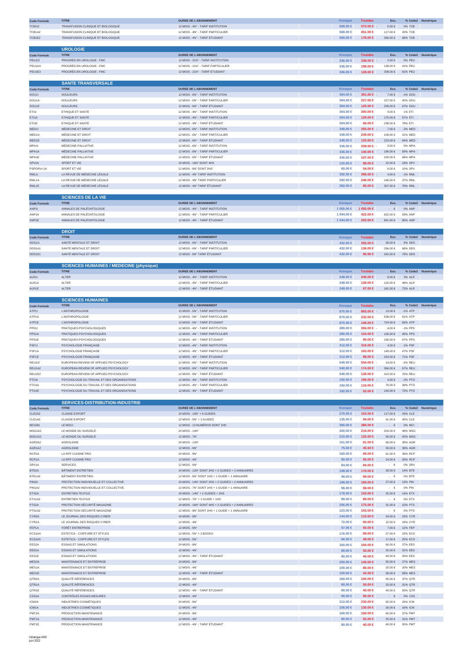| <b>Code Formule</b>          | <b>TITRE</b>                                                                         | <b>DUREE DE L'ABONNEMENT</b>                                                                      | Kiosque                    | <b>Toutabo</b>       | Eco.                                |                       | % Code2 Numérique |
|------------------------------|--------------------------------------------------------------------------------------|---------------------------------------------------------------------------------------------------|----------------------------|----------------------|-------------------------------------|-----------------------|-------------------|
| <b>TCB1I2</b>                | TRANSFUSION CLINIQUE ET BIOLOGIQUE                                                   | 12 MOIS - 4N° - TARIF INSTITUTION                                                                 | 568.00 €                   | 573.00 €             | 5.00€                               | 0% TCB                |                   |
| TCB1A2                       | TRANSFUSION CLINIQUE ET BIOLOGIQUE                                                   | 12 MOIS - 4N° - TARIF PARTICULIER                                                                 | 568.00 €                   | 451.00 €             | 117.00 €                            | <b>20% TCB</b>        |                   |
| TCB1E2                       | TRANSFUSION CLINIQUE ET BIOLOGIQUE                                                   | 12 MOIS - 4N° - TARIF ÉTUDIANT                                                                    | 568.00 €                   | 178.00 €             | 390.00€                             | 68% TCB               |                   |
|                              | <b>UROLOGIE</b>                                                                      |                                                                                                   |                            |                      |                                     |                       |                   |
| <b>Code Formule</b>          | <b>TITRE</b>                                                                         | <b>DUREE DE L'ABONNEMENT</b>                                                                      | Kiosque                    | <b>Toutabo</b>       | Eco.                                |                       | % Code2 Numérique |
| <b>PEU113</b>                | PROGRÈS EN UROLOGIE - FMC                                                            | 12 MOIS - 21N° - TARIF INSTITUTION                                                                | 336.00 ∈                   | 338.00 €             | $2.00 \in$                          | 0% PEU                |                   |
| PEU1A3                       | PROGRÈS EN UROLOGIE - FMC                                                            | 12 MOIS - 21N° - TARIF PARTICULIER<br>12 MOIS - 21N° - TARIF ÉTUDIANT                             | 336.00 €                   | 198.00 €             | 138.00 €<br>208.00€                 | 41% PEU               |                   |
| PEU1E3                       | PROGRÈS EN UROLOGIE - FMC                                                            |                                                                                                   | 336.00 ∈                   | 128.00 €             |                                     | 61% PEU               |                   |
|                              | <b>SANTE TRANSVERSALE</b>                                                            |                                                                                                   |                            |                      |                                     |                       |                   |
| <b>Code Formule</b>          | <b>TITRE</b>                                                                         | <b>DUREE DE L'ABONNEMENT</b>                                                                      | <b>Kiosque</b>             | <b>Toutabo</b>       | Eco.                                |                       | % Code2 Numérique |
| DOU1I                        | <b>DOULEURS</b>                                                                      | 12 MOIS - 6N° - TARIF INSTITUTION                                                                 | 384.00 €                   | 391.00 €             | 7.00€                               | -1% DOU               |                   |
| DOU1A                        | <b>DOULEURS</b>                                                                      | 12 MOIS - 6N° - TARIF PARTICULIER                                                                 | 384.00 €                   | 227.00 €             | 157.00 €                            | 40% DOU               |                   |
| DOU1E<br>ET111               | <b>DOULEURS</b><br>ETHIQUE ET SANTÉ                                                  | 12 MOIS - 6N° - TARIF ÉTUDIANT<br>12 MOIS - 4N° - TARIF INSTITUTION                               | 384.00 €<br>304.00 €       | 125.00 €<br>300.00 € | 259.00€<br>4.00€                    | 67% DOU<br>1% ETI     |                   |
| ETI1A                        | ETHIQUE ET SANTÉ                                                                     | 12 MOIS - 4N° - TARIF PARTICULIER                                                                 | 304.00 €                   | 129.00 €             | 175.00 €                            | 57% ETI               |                   |
| ET11E                        | ETHIQUE ET SANTÉ                                                                     | 12 MOIS - 4N° - TARIF ÉTUDIANT                                                                    | 304,00 €                   | 66.00 €              | 238.00 €                            | 78% ETI               |                   |
| MED <sub>11</sub>            | MÉDECINE ET DROIT                                                                    | 12 MOIS - 6N° - TARIF INSTITUTION                                                                 | 348.00 €                   | 355.00 €             | $7.00\in$                           | $-2\%$ MED            |                   |
| MED1A                        | MÉDECINE ET DROIT                                                                    | 12 MOIS - 6N° - TARIF PARTICULIER                                                                 | 348.00 €                   | 239.00 €             | 109.00€                             | 31% MED               |                   |
| MED1E<br>MPA1I               | MÉDECINE ET DROIT<br>MÉDECINE PALLIATIVE                                             | 12 MOIS - 6N° - TARIF ÉTUDIANT<br>12 MOIS - 6N° - TARIF INSTITUTION                               | 348.00 €<br>336,00 €       | 125,00 €<br>339.00 € | 223.00 €<br>3.00€                   | 64% MED<br>0% MPA     |                   |
| MPA1A                        | MÉDECINE PALLIATIVE                                                                  | 12 MOIS - 6N° - TARIF PARTICULIER                                                                 | 336.00 €                   | 140.00 €             | 196.00€                             | 58% MPA               |                   |
| MPA1E                        | MÉDECINE PALLIATIVE                                                                  | 12 MOIS - 6N° - TARIF ÉTUDIANT                                                                    | 336.00 €                   | 107.00 €             | 229.00€                             | 68% MPA               |                   |
| SPV <sub>2</sub> A           | SPORT ET VIE                                                                         | 24 MOIS - 16N° DONT 4HS                                                                           | 120.00 €                   | 98.00 €              | 22.00 €                             | 18% SPV               |                   |
| PSPORVI-1A                   | SPORT ET VIE                                                                         | 12 MOIS - 8N° DONT 2HS                                                                            | $60.00 \in$                | 54.00 €              | 6.00€                               | 10% SPV               |                   |
| RML11<br>RML1A               | LA REVUE DE MÉDECINE LÉGALE<br>LA REVUE DE MÉDECINE LÉGALE                           | 12 MOIS - 4N° TARIF INSTITUTION<br>12 MOIS - 4N° TARIF PARTICULIER                                | 392.00 €                   | 396.00 €             | 4.00€<br>146.00 €                   | -1% RML<br>37% RML    |                   |
| RML1E                        | LA REVUE DE MÉDECINE LÉGALE                                                          | 12 MOIS - 4N° TARIF ÉTUDIANT                                                                      | 392.00 €<br>392.00 €       | 246.00 €<br>85.00 €  | $307.00\in$                         | 78% RML               |                   |
|                              |                                                                                      |                                                                                                   |                            |                      |                                     |                       |                   |
|                              | <b>SCIENCES DE LA VIE</b>                                                            |                                                                                                   |                            |                      |                                     |                       |                   |
| <b>Code Formule</b>          | <b>TITRE</b>                                                                         | <b>DUREE DE L'ABONNEMENT</b>                                                                      | <b>Kiosque</b>             | <b>Toutabo</b>       | Eco.                                |                       | % Code2 Numérique |
| ANP1I                        | ANNALES DE PALÉONTOLOGIE                                                             | 12 MOIS - 4N° - TARIF INSTITUTION                                                                 | 1 055.00 €                 | 1 055.00 €           | €                                   | 0% ANP                |                   |
| ANP1A<br>ANP1E               | ANNALES DE PALÉONTOLOGIE<br>ANNALES DE PALÉONTOLOGIE                                 | 12 MOIS - 4N° - TARIF PARTICULIER<br>12 MOIS - 4N° - TARIF ÉTUDIANT                               | 1 044.00 €<br>1 044.00 €   | 422.00 €<br>203.00 € | 622.00€<br>841.00 €                 | 59% ANP<br>80% ANP    |                   |
|                              |                                                                                      |                                                                                                   |                            |                      |                                     |                       |                   |
|                              | <b>DROIT</b>                                                                         |                                                                                                   |                            |                      |                                     |                       |                   |
| <b>Code Formule</b>          | <b>TITRE</b>                                                                         | <b>DUREE DE L'ABONNEMENT</b>                                                                      | <b>Kiosque</b>             | <b>Toutabo</b>       | Eco.                                |                       | % Code2 Numérique |
| <b>DDS111</b>                | SANTÉ MENTALE ET DROIT                                                               | 12 MOIS - 6N° - TARIF INSTITUTION                                                                 | 432.00 €                   | 393.00 €             | 39.00 $\in$                         | 9% DDS                |                   |
| DDS1A1                       | SANTÉ MENTALE ET DROIT                                                               | 12 MOIS - 6N° - TARIF PARTICULIER                                                                 | 432.00 €                   | 136.00 €             | 296.00€                             | 68% DDS               |                   |
| DDS1E1                       | SANTÉ MENTALE ET DROIT                                                               | 12 MOIS - 6N° TARIF ÉTUDIANT                                                                      | 432.00 €                   | 90.00 $\in$          | 342.00 €                            | 79% DDS               |                   |
|                              | <b>SCIENCES HUMAINES / MEDECINE (physique)</b>                                       |                                                                                                   |                            |                      |                                     |                       |                   |
| <b>Code Formule</b>          | <b>TITRE</b>                                                                         | <b>DUREE DE L'ABONNEMENT</b>                                                                      | <b>Kiosque</b>             | <b>Toutabo</b>       | Eco.                                |                       | % Code2 Numérique |
| ALR11                        | <b>ALTER</b>                                                                         | 12 MOIS - 4N° - TARIF INSTITUTION                                                                 | 248.00 ∈                   | 240.00 €             | $8.00 \in$                          | 3% ALR                |                   |
| ALR <sub>1</sub> A           | ALTER                                                                                | 12 MOIS - 4N° - TARIF PARTICULIER                                                                 | 248.00 €                   | 128.00 €             | 120.00 €                            | 48% ALR               |                   |
| ALR1E                        | <b>ALTER</b>                                                                         | 12 MOIS - 4N° - TARIF ÉTUDIANT                                                                    | 248.00 €                   | 67.00 €              | 181.00€                             | 72% ALR               |                   |
|                              | <b>SCIENCES HUMAINES</b>                                                             |                                                                                                   |                            |                      |                                     |                       |                   |
| <b>Code Formule</b>          |                                                                                      | <b>DUREE DE L'ABONNEMENT</b>                                                                      | <b>Kiosque</b>             | <b>Toutabo</b>       | Eco.                                |                       | % Code2 Numérique |
| ATP11                        | <b>L'ANTHROPOLOGIE</b>                                                               | 12 MOIS - 5N° - TARIF INSTITUTION                                                                 | 870.00 $\in$               | 883.00 €             | 13.00 €                             | -1% ATP               |                   |
| ATP <sub>1</sub> A           | <b>L'ANTHROPOLOGIE</b>                                                               | 12 MOIS - 5N° - TARIF PARTICULIER                                                                 | 870.00 €                   | 332.00 €             | 538.00 €                            | 61% ATP               |                   |
| ATP1E                        | <b>L'ANTHROPOLOGIE</b>                                                               | 12 MOIS - 5N° - TARIF ÉTUDIANT                                                                    | 870.00 $\in$<br>280,00 €   | 146.00 €<br>284.00 € | 724.00 €<br>4.00€                   | 83% ATP<br>-1% PPS    |                   |
| PPS1I<br>PPS1A               | PRATIQUES PSYCHOLOGIQUES<br>PRATIQUES PSYCHOLOGIQUES                                 | 12 MOIS - 4N° - TARIF INSTITUTION<br>12 MOIS - 4N° - TARIF PARTICULIER                            | 280.00 ∈                   | 154.00 €             | 126.00€                             | 45% PPS               |                   |
| PPS1E                        | PRATIQUES PSYCHOLOGIQUES                                                             | 12 MOIS - 4N° - TARIF ÉTUDIANT                                                                    | 280,00 €                   | 90.00 €              | 190.00 €                            | 67% PPS               |                   |
| PSF <sub>11</sub>            | PSYCHOLOGIE FRANÇAISE                                                                | 12 MOIS - 4N° - TARIF INSTITUTION                                                                 | 312.00 €                   | 316.00 €             | $4.00\in$                           | $-1\%$ PSF            |                   |
| PSF <sub>1</sub> A           | PSYCHOLOGIE FRANÇAISE                                                                | 12 MOIS - 4N° - TARIF PARTICULIER                                                                 | 312.00 €                   | 163.00 €             | 149.00 €                            | 47% PSF               |                   |
|                              |                                                                                      |                                                                                                   |                            | 88.00 €              | 224.00€                             | 71% PSF               |                   |
| PSF1E                        | PSYCHOLOGIE FRANÇAISE                                                                | 12 MOIS - 4N° - TARIF ÉTUDIANT                                                                    | 312.00 €                   |                      |                                     |                       |                   |
| <b>REU112</b>                | EUROPEAN REVIEW OF APPLIED PSYCHOLOGY                                                | 12 MOIS - 6N° - TARIF INSTITUTION                                                                 | 540.00 €                   | 554.00 €             | 14.00 €                             | -2% REU               |                   |
| REU1A2                       | FUROPEAN REVIEW OF APPLIED PSYCHOLOGY                                                | 12 MOIS - 6N° - TARIF PARTICULIER                                                                 | $540.00 \in$               | 174.00 €             | 366.00€                             | 67% REU               |                   |
| REU1E2<br>PTO1I              | EUROPEAN REVIEW OF APPLIED PSYCHOLOGY<br>PSYCHOLOGIE DU TRAVAIL ET DES ORGANISATIONS | 12 MOIS - 6N° - TARIF ÉTUDIANT<br>12 MOIS - 4N° - TARIF INSTITUTION                               | 540.00 €<br>192.00 €       | 128.00 €<br>196.00 € | 412.00 €<br>$4.00\in$               | 76% REU<br>$-2\%$ PTO |                   |
| PTO <sub>1</sub> A           | PSYCHOLOGIE DU TRAVAIL ET DES ORGANISATIONS                                          | 12 MOIS - 4N° - TARIF PARTICULIER                                                                 | 192.00 €                   | 116.00 €             | 76.00€                              | 39% PTO               |                   |
| PTO1E                        | PSYCHOLOGIE DU TRAVAIL ET DES ORGANISATIONS                                          | 12 MOIS - 4N° - TARIF ÉTUDIANT                                                                    | 192.00 €                   | 52.00 €              | 140.00€                             | 72% PTO               |                   |
|                              |                                                                                      |                                                                                                   |                            |                      |                                     |                       |                   |
|                              | <b>SERVICES-DISTRIBUTION-INDUSTRIE</b>                                               |                                                                                                   |                            |                      |                                     |                       |                   |
| <b>Code Formule</b>          | <b>TITRE</b>                                                                         | <b>DUREE DE L'ABONNEMENT</b>                                                                      | Kiosque                    | <b>Toutabo</b>       | Eco.                                |                       | % Code2 Numérique |
| CLE2A2<br>CLE1A2             | <b>CLASSE EXPORT</b><br><b>CLASSE EXPORT</b>                                         | 24 MOIS - 10N° + 6 GUIDES<br>12 MOIS - 5N° + 3 GUIDES                                             | 270.00 ∈<br>135.00 €       | 153.00 €<br>94.00 €  | 117.00 €<br>41.00 €                 | 43% CLE<br>30% CLE    |                   |
| MCI1B1                       | LE MOCI                                                                              | 12 MOIS - 13 NUMÉROS DONT 1HS                                                                     | 380,00 €                   | 380.00 €             | $\cdot$ $\in$                       | 0% MCI                |                   |
| MSG2A2                       | LE MONDE DU SURGELÉ                                                                  | 24 MOIS - 14N°                                                                                    | 420.00 €                   | 216.00 €             | 204.00€                             | 48% MSG               |                   |
| MSG1A2                       | LE MONDE DU SURGELÉ                                                                  | 12 MOIS - 7N°                                                                                     | 210.00 €                   | 120.00 €             | $90.00\in$                          | 42% MSG               |                   |
| AGR2A2<br>AGR1A2             | AGROLIGNE<br><b>AGROLIGNE</b>                                                        | 24 MOIS - 12N°<br>12 MOIS - 6N°                                                                   | 151.00 €<br>75.50 €        | 91.00 €<br>45.50 €   | $60.00\in$<br>$30.00\in$            | 39% AGR<br>39% AGR    |                   |
| RCP2A                        | LA RPF CUISINE PRO                                                                   | 24 MOIS - 8N°                                                                                     | 160.00 €                   | 99.00 €              | 61.00€                              | 38% RCP               |                   |
| RCP1A                        | LA RPF CUISINE PRO                                                                   | 12 MOIS - 4N°                                                                                     | 80.00 $\in$                | 56.00 €              | $24.00\in$                          | 30% RCP               |                   |
| SRV <sub>1</sub> A           | <b>SERVICES</b>                                                                      | 12 MOIS - 6N°                                                                                     | 84.00 €                    | 84.00 €              | $\cdot$ $\epsilon$                  | 0% SRV                |                   |
| BTE2A                        | BÂTIMENT ENTRETIEN                                                                   | 24 MOIS - 12N° DONT 2HS + 2 GUIDES + 2 ANNUAIRES                                                  | 198.00 €                   | 170.00 €             | 28.00 €                             | 14% BTE               |                   |
| BTE1A2                       | BÂTIMENT ENTRETIEN                                                                   | 12 MOIS - 6N° DONT 1HS + 1 GUIDE + 1 ANNUAIRE                                                     | 99.00 $\in$                | 99.00 €              | $\cdot \in$                         | 0% BTE                |                   |
| PIN <sub>2</sub> A<br>PIN1A2 | PROTECTION INDIVIDUELLE ET COLLECTIVE<br>PROTECTION INDIVIDUELLE ET COLLECTIVE       | 24 MOIS - 14N° DONT 2HS + 2 GUIDES + 2 ANNUAIRES<br>12 MOIS - 7N° DONT 1HS + 1 GUIDE + 1 ANNUAIRE | 196.00 €<br>98.00 €        | 169.00 €<br>98.00 €  | $27.00\in$<br>$\cdot$ $\cdot$ $\in$ | 13% PIN<br>0% PIN     |                   |
| ETX2A                        | <b>ENTRETIEN TEXTILE</b>                                                             | 24 MOIS - 14N° + 2 GUIDES + 2HS                                                                   | 178.00 €                   | 153.00 €             | $25.00\in$                          | 14% ETX               |                   |
| ETX1A2                       | <b>ENTRETIEN TEXTILE</b>                                                             | 12 MOIS - 7N° + 1 GUIDE + 1HS                                                                     | 89,00 €                    | 89.00 €              | $\cdot \in$                         | 0% ETX                |                   |
| PTS <sub>2</sub> A           | PROTECTION SÉCURITÉ MAGAZINE                                                         | 24 MOIS - 16N° DONT 4HS + 2 GUIDES + 2 ANNUAIRES                                                  | 206.00 €                   | 175.00 €             | 31.00 €                             | 15% PTS               |                   |
| PTS1A2<br>CYR2A              | PROTECTION SÉCURITÉ MAGAZINE<br>LE JOURNAL DES RISQUES CYBER                         | 12 MOIS - 8N° DONT 2HS + 1 GUIDE + 1 ANNUAIRE<br>24 MOIS - 8N°                                    | 103.00 €                   | 103.00 €             | $\cdot \in$<br>$34.00\in$           | 0% PTS<br>23% CYR     |                   |
| CYR1A                        | LE JOURNAL DES RISQUES CYBER                                                         | 12 MOIS - 4N°                                                                                     | 144.00 €<br>72.00 €        | 110.00 €<br>60.00 €  | 12.00 €                             | 16% CYR               |                   |
| FEP1A                        | FORÊT ENTREPRISE                                                                     | 12 MOIS - 6N°                                                                                     | $57.00 \in$                | 50.00 $∈$            | $7.00 \in$                          | <b>12% FEP</b>        |                   |
| ECS1A4                       | ESTETICA - COIFFURE ET STYLES                                                        | 12 MOIS - 5N° + 2 BOOKS                                                                           | 116,00 €                   | 89.00 €              | 27.00 €                             | 23% ECS               |                   |
| ECS1A5                       | ESTETICA - COIFFURE ET STYLES                                                        | 12 MOIS - 5N°                                                                                     | 66.00 €                    | 49.00 €              | 17.00€                              | <b>25% ECS</b>        |                   |
| EES2A                        | <b>ESSAIS ET SIMULATIONS</b>                                                         | 24 MOIS - 8N°                                                                                     | 160,00 €                   | 100.00 €             | $60.00\in$                          | 37% EES               |                   |
| EES1A<br>EES1E               | <b>ESSAIS ET SIMULATIONS</b><br><b>ESSAIS ET SIMULATIONS</b>                         | 12 MOIS - 4N°<br>12 MOIS - 4N° - TARIF ÉTUDIANT                                                   | 80.00 $\in$<br>80.00 €     | 55.00 €<br>40.00 €   | $25.00\in$<br>40.00 €               | 31% EES<br>50% EES    |                   |
| MES2A                        | MAINTENANCE ET ENTREPRISE                                                            | 24 MOIS - 8N°                                                                                     | 200.00 ∈                   | 145.00 €             | 55.00€                              | <b>27% MES</b>        |                   |
| MES1A                        | MAINTENANCE ET ENTREPRISE                                                            | 12 MOIS - 4N°                                                                                     | 100,00 €                   | 80.00 €              | 20.00€                              | 20% MFS               |                   |
| MES1E                        | MAINTENANCE ET ENTREPRISE                                                            | 12 MOIS - 4N° - TARIF ÉTUDIANT                                                                    | 100.00 ∈                   | 42.00 €              | 58.00€                              | 58% MES               |                   |
| QTR <sub>2</sub> A           | QUALITÉ RÉFÉRENCES                                                                   | 24 MOIS - 8N°                                                                                     | 160.00 €                   | 100.00 €             | $60.00\in$                          | 37% QTR               |                   |
| QTR1A<br>QTR1E               | QUALITÉ RÉFÉRENCES<br>QUALITÉ RÉFÉRENCES                                             | 12 MOIS - 4N°<br>12 MOIS - 4N° - TARIF ÉTUDIANT                                                   | 80.00 $\in$<br>$80.00 \in$ | 55.00 €<br>40.00 €   | $25.00\in$<br>40.00 €               | 31% QTR<br>50% QTR    |                   |
| CSS1A                        | CONTRÔLES ESSAIS MESURES                                                             | 12 MOIS - 4N°                                                                                     | 90.00 $\in$                | 90.00 $\in$          | $\cdot$ $\in$                       | 0% CSS                |                   |
| ICM2A                        | INDUSTRIES COSMÉTIQUES                                                               | 24 MOIS - 8N°                                                                                     | 312.00 €                   | 230.00 €             | 82.00€                              | 26% ICM               |                   |
| ICM1A                        | <b>INDUSTRIES COSMÉTIQUES</b>                                                        | 12 MOIS - 4N°                                                                                     | 156.00 ∈                   | 130.00 €             | 26.00€                              | 16% ICM               |                   |
| PMT <sub>2</sub> A<br>PMT1A  | PRODUCTION MAINTENANCE<br>PRODUCTION MAINTENANCE                                     | 24 MOIS - 8N°<br>12 MOIS - 4N°                                                                    | 160,00 €<br>80.00 $\in$    | 100.00 €<br>55.00 €  | $60.00\in$<br>25.00 €               | 37% PMT<br>31% PMT    |                   |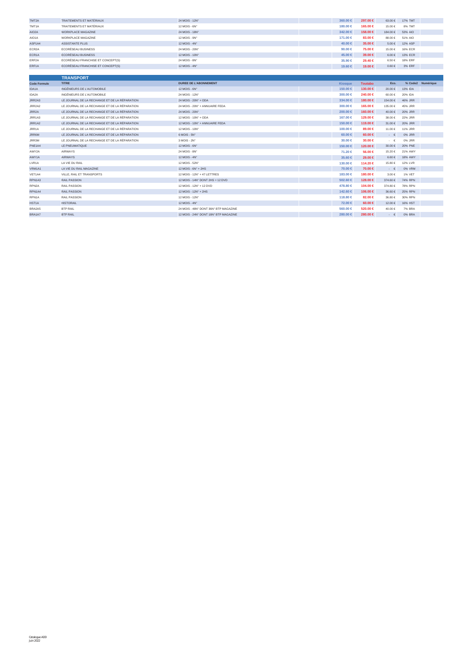| TMT <sub>2</sub> A  | <b>TRAITEMENTS ET MATÉRIAUX</b>               | 24 MOIS - 12N°                        | 360,00 €       | 297.00 €       | 63.00€      | 17% TMT        |                   |
|---------------------|-----------------------------------------------|---------------------------------------|----------------|----------------|-------------|----------------|-------------------|
| TMT1A               | TRAITEMENTS ET MATÉRIAUX                      | 12 MOIS - 6N°                         | 180,00 €       | 165.00 €       | 15.00€      | 8% TMT         |                   |
| AIO2A               | <b>WORKPLACE MAGAZINE</b>                     | 24 MOIS - 18N°                        | 342.00 €       | 158,00 €       | 184.00 €    | 53% AIO        |                   |
| AIO1A               | <b>WORKPLACE MAGAZINE</b>                     | 12 MOIS - 9N°                         | 171.00 €       | 83.00 €        | 88.00€      | 51% AIO        |                   |
| ASP1A4              | <b>ASSISTANTE PLUS</b>                        | 12 MOIS - 4N°                         | 40.00 ∈        | $35.00 \in$    | 5.00€       | 12% ASP        |                   |
| ECR2A               | ECORÉSEAU BUSINESS                            | 24 MOIS - 20N°                        | 90.00 $\in$    | 75,00 €        | 15.00 €     | <b>16% ECR</b> |                   |
| ECR1A               | <b>ECORÉSEAU BUSINESS</b>                     | 12 MOIS - 10N°                        | 45,00 €        | $39.00 \in$    | $6.00 \in$  | <b>13% ECR</b> |                   |
| ERF2A               | ECORÉSEAU FRANCHISE ET CONCEPT(S)             | 24 MOIS - 8N°                         | $35.90 \in$    | 29.40 €        | 6.50€       | <b>18% ERF</b> |                   |
| ERF1A               | ECORÉSEAU FRANCHISE ET CONCEPT(S)             | 12 MOIS - 4N°                         | 19,60 €        | 19.00 €        | $0.60 \in$  | 3% ERF         |                   |
|                     |                                               |                                       |                |                |             |                |                   |
|                     | <b>TRANSPORT</b>                              |                                       |                |                |             |                |                   |
| <b>Code Formule</b> | <b>TITRE</b>                                  | <b>DUREE DE L'ABONNEMENT</b>          | <b>Kiosque</b> | <b>Toutabo</b> | Eco.        |                | % Code2 Numérique |
| IDA1A               | INGÉNIEURS DE L'AUTOMOBILE                    | 12 MOIS - 6N°                         | 150.00 €       | 130.00 €       | $20.00 \in$ | 13% IDA        |                   |
| IDA2A               | INGÉNIEURS DE L'AUTOMOBILE                    | 24 MOIS - 12N°                        | 300.00 €       | 240.00 €       | 60.00€      | 20% IDA        |                   |
| JRR2A3              | LE JOURNAL DE LA RECHANGE ET DE LA RÉPARATION | 24 MOIS - 20N° + ODA                  | 334.00 €       | 180.00 €       | 154.00 €    | 46% JRR        |                   |
| JRR2A2              | LE JOURNAL DE LA RECHANGE ET DE LA RÉPARATION | 24 MOIS - 20N° + ANNUAIRE FEDA        | 300.00 €       | 165.00 €       | 135.00 €    | 45% JRR        |                   |
| JRR2A               | LE JOURNAL DE LA RECHANGE ET DE LA RÉPARATION | 24 MOIS - 20N°                        | 200.00 ∈       | 160.00 €       | 40.00€      | 20% JRR        |                   |
| JRR1A3              | LE JOURNAL DE LA RECHANGE ET DE LA RÉPARATION | 12 MOIS - 10N° + ODA                  | 167.00 €       | 129.00 €       | 38.00 €     | 22% JRR        |                   |
| JRR1A2              | LE JOURNAL DE LA RECHANGE ET DE LA RÉPARATION | 12 MOIS - 10N° + ANNUAIRE FEDA        | 150,00 €       | 119.00 €       | 31.00€      | 20% JRR        |                   |
| JRR1A               | LE JOURNAL DE LA RECHANGE ET DE LA RÉPARATION | 12 MOIS - 10N°                        | 100.00 €       | 89.00 €        | 11.00 €     | 11% JRR        |                   |
| JRR6M               | LE JOURNAL DE LA RECHANGE ET DE LA RÉPARATION | 6 MOIS - 5N°                          | $60,00 \in$    | $60.00 \in$    | $ \epsilon$ | 0% JRR         |                   |
| JRR3M               | LE JOURNAL DE LA RECHANGE ET DE LA RÉPARATION | 3 MOIS - 2N°                          | $30,00 \in$    | $30.00 \in$    | $ \in$      | 0% JRR         |                   |
| PNE1A4              | LE PNEUMATIQUE                                | 12 MOIS - 6N°                         | 150,00 €       | 120.00 €       | $30.00 \in$ | <b>20% PNE</b> |                   |
| AWY2A               | AIRWAYS                                       | 24 MOIS - 8N°                         | 71.20 €        | 56,00 €        | 15.20€      | 21% AWY        |                   |
| AWY1A               | <b>AIRWAYS</b>                                | 12 MOIS - 4N°                         | $35,60 \in$    | 29.00 ∈        | $6.60 \in$  | <b>18% AWY</b> |                   |
| LVR1A               | LA VIE DU RAIL                                | 12 MOIS - 52N°                        | 130,00 €       | 114.20 €       | 15.80 €     | 12% LVR        |                   |
| VRM1A1              | LA VIE DU RAIL MAGAZINE                       | 12 MOIS - 6N° + 2HS                   | $70.00 \in$    | 70.00 €        | $\cdot \in$ | 0% VRM         |                   |
| VET1A4              | VILLE, RAIL ET TRANSPORTS                     | 12 MOIS - 12N° + 47 LETTRES           | 183,00 €       | 180.00 €       | 3.00 €      | 1% VET         |                   |
| RPN1A3              | <b>RAIL PASSION</b>                           | 12 MOIS - 14N° DONT 2HS + 12 DVD      | 502.60 €       | 128.00 €       | 374.60 €    | 74% RPN        |                   |
| RPN <sub>2</sub> A  | <b>RAIL PASSION</b>                           | 12 MOIS - 12N° + 12 DVD               | 478.80 €       | 104.00 €       | 374.80 €    | 78% RPN        |                   |
| RPN1A4              | <b>RAIL PASSION</b>                           | 12 MOIS - 12N° + 2HS                  | 142.60 €       | 106.00 €       | 36.60€      | <b>25% RPN</b> |                   |
| RPN1A               | <b>RAIL PASSION</b>                           | 12 MOIS - 12N°                        | 118,80 €       | 82.00 €        | 36.80 €     | 30% RPN        |                   |
| HST1A               | <b>HISTORAIL</b>                              | 12 MOIS - 4N°                         | 72.00 €        | $60.00 \in$    | 12.00 €     | 16% HST        |                   |
| BRA2A5              | <b>BTP RAIL</b>                               | 24 MOIS - 48N° DONT 36N° BTP MAGAZINE | 560.00 €       | 520.00 €       | 40.00€      | 7% BRA         |                   |
| BRA1A7              | <b>BTP RAIL</b>                               | 12 MOIS - 24N° DONT 18N° BTP MAGAZINE | $280.00 \in$   | 280.00 €       | $ \in$      | 0% BRA         |                   |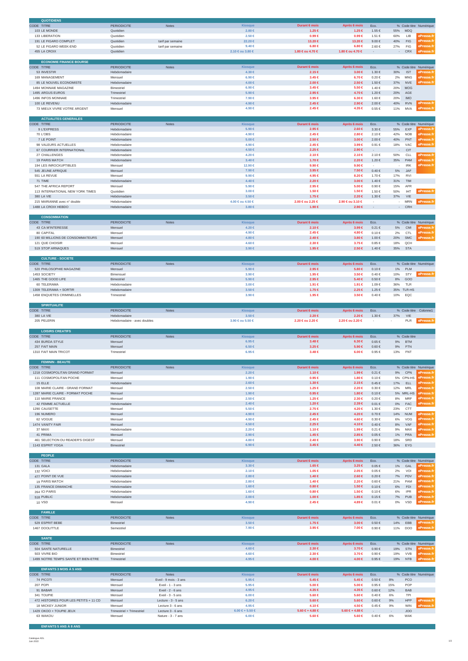| <b>QUOTIDIENS</b>                                        |                                             |                                         |                                    |                                |                                    |                                        |               |                    |                        |
|----------------------------------------------------------|---------------------------------------------|-----------------------------------------|------------------------------------|--------------------------------|------------------------------------|----------------------------------------|---------------|--------------------|------------------------|
| CODE TITRE                                               | <b>PERIODICITE</b>                          | <b>Notes</b>                            | Kiosque                            | <b>Durant 6 mois</b>           | Après 6 mois                       | Eco.                                   |               |                    | % Code titre Numérique |
| 103 LE MONDE                                             | Quotidien                                   |                                         | $2.80 \in$                         | 1.25 €                         | $1.25 \in$                         | 1.55€                                  | 55%           | <b>MDQ</b>         |                        |
| 133 LIBERATION<br>191 LE FIGARO COMPLET                  | Quotidien<br>Quotidien                      |                                         | $2.50 \in$<br>22.20 €              | $0.99 \in$<br>13.20 €          | $0.99 \in$<br>13.20 €              | 1.51 €<br>9.00 €                       | 60%<br>40%    | LIB.<br>FIG        | ePresse.:<br>Presse.f  |
| 52 LE FIGARO WEEK-END                                    | Quotidien                                   | tarif par semaine<br>tarif par semaine  | $9.40 \in$                         | $6.80 \in$                     | $6.80 \in$                         | 2.60 €                                 | 27%           | FIG                | Presse.f               |
| 455 LA CROIX                                             | Quotidien                                   |                                         | 2.10 €ou 3.80 €                    | 1.80 €ou 4.70 €                | 1.80 €ou 4.70 €                    |                                        |               | CRX                | <b>Presse</b> f        |
|                                                          |                                             |                                         |                                    |                                |                                    |                                        |               |                    |                        |
| <b>ECONOMIE FINANCE BOURSE</b>                           |                                             |                                         |                                    |                                |                                    |                                        |               |                    |                        |
| CODE TITRE                                               | PERIODICITE                                 | Notes                                   | Kiosque                            | <b>Durant 6 mois</b>           | Après 6 mois                       | Eco.                                   |               |                    | % Code titre Numérique |
| 53 INVESTIR                                              | Hebdomadaire                                |                                         | $4.30 \in$                         | 2.15€                          | $3.00 \in$                         | 1.30 €                                 | 30%           | <b>IST</b>         |                        |
| 169 MANAGEMENT                                           | Mensuel                                     |                                         | $6.90 \in$                         | $3.45 \in$                     | $6.70 \in$                         | $0.20 \in$                             | 2%            | <b>MNG</b>         |                        |
| 85 LE NOUVEL ECONOMISTE                                  | Hebdomadaire                                |                                         | $4.00 \in$                         | $2.00 \in$                     | 2.50 €                             | 1.50 €                                 | 37%           | <b>NVE</b>         |                        |
| 1494 MONNAIE MAGAZINE                                    | Bimestriel                                  |                                         | $6.90 \in$                         | $3.45 \in$                     | $5.50 \in$                         | 1.40 €                                 | 20%           | MOG                |                        |
| 1495 ARGUS EUROS<br>1496 INFOS MONNAIE                   | Trimestriel<br>Trimestriel                  |                                         | $5.90 \in$<br>7.90 €               | 2.95 €<br>3.95 €               | 4.70 €<br>$6.30 \in$               | 1.20 €<br>1.60 €                       | 20%<br>20%    | AGE<br><b>IMO</b>  |                        |
| 100 LE REVENU                                            | Hebdomadaire                                |                                         | 4.90 €                             | $2.45 \in$                     | 2.90 €                             | 2.00 €                                 | 40%           | <b>RVN</b>         | Presse.fr              |
| 73 MIEUX VIVRE VOTRE ARGENT                              | Mensuel                                     |                                         | 4.90 €                             | $2.45 \in$                     | 4.35 €                             | $0.55 \in$                             | 11%           | MVA                | Presse.fr              |
|                                                          |                                             |                                         |                                    |                                |                                    |                                        |               |                    |                        |
| <b>ACTUALITES GENERALES</b>                              |                                             |                                         |                                    |                                |                                    |                                        |               |                    |                        |
| CODE TITRE                                               | PERIODICITE                                 | Notes                                   | Kiosque                            | <b>Durant 6 mois</b>           | Après 6 mois                       | Eco.                                   |               |                    | % Code titre Numérique |
| 9 L'EXPRESS                                              | Hebdomadaire                                |                                         | $5.90 \in$                         | 2.95 €                         | $2.60 \in$                         | $3.30 \in$                             | 55%           | EXP                |                        |
| 70 L'OBS                                                 | Hebdomadaire                                |                                         | 4.90 €                             | 2.45 €                         | 2.80 €                             | 2.10 €                                 | 42%           | <b>NOB</b>         |                        |
| 7 LE POINT                                               | Hebdomadaire                                |                                         | $5.00 \in$                         | 2.50 €                         | $3.00 \in$                         | 2.00 €                                 | 40%           | PNT                | Presse.f               |
| 98 VALEURS ACTUELLES                                     | Hebdomadaire                                |                                         | 4.90 €                             | $2.45 \in$                     | $3.99 \in$                         | $0.91 \in$                             | 18%           | VAC                | Presse.fr              |
| 67 COURRIER INTERNATIONAL                                | Hebdomadaire                                |                                         | 4.50 €                             | $2.25 \in$                     | $2.90 \in$                         |                                        |               | CIT                |                        |
| 27 CHALLENGES                                            | Hebdomadaire                                |                                         | 4.20 €                             | $2.10 \in$                     | 2.10€<br>2.20 €                    | 2.10€                                  | 50%           | CLL                | Presse.fr<br>Presse.fr |
| 19 PARIS MATCH<br>194 LES INROCKUPTIBLES                 | Hebdomadaire                                |                                         | $3.40 \in$<br>12.90 €              | 1.70 €<br>$9.90 \in$           | $9.90 \in$                         | 1.20 €<br>$\overline{\phantom{a}}$     | 35%<br>$\sim$ | PAM<br><b>IRK</b>  | Presse.fr              |
| 545 JEUNE AFRIQUE                                        | Mensuel<br>Mensuel                          |                                         | 7.90 €                             | 3.95 €                         | $7.50 \in$                         | $0.40 \in$                             | 5%            | JAF                |                        |
| 551 LA REVUE                                             | Mensuel                                     |                                         | $9.90 \in$                         | 4.95 €                         | 8.20 €                             | 1.70 €                                 | 17%           | RVI                |                        |
| 71 TIME                                                  | Hebdomadaire                                |                                         | $4.40 \in$                         | 2.20 €                         | $3.00 \in$                         | 1.40 €                                 | 31%           | TIM                |                        |
| 547 THE AFRICA REPORT                                    | Mensuel                                     |                                         | $5.90 \in$                         | 2.95 €                         | $5.00 \in$                         | $0.90 \in$                             | 15%           | AFR                |                        |
| 113 INTERNATIONAL NEW YORK TIMES                         | Quotidien                                   |                                         | $3.00 \in$                         | 1.50 €                         | 1.50 €                             | 1.50 €                                 | 50%           | <b>IHT</b>         | :Presse                |
| 380 LA VIE                                               | Hebdomadaire                                |                                         | $3.50 \in$                         | 1.75 €                         | 2.20 €                             | 1.30 €                                 | 37%           | VIE                |                        |
| 215 MARIANNE avec n° double                              | Hebdomadaire                                |                                         | 4.00 €ou 4.50 €                    | 2.00 € ou 2.25 €               | 2.90 €ou 3.10 €                    |                                        |               | <b>MRN</b>         | ePresse.fr             |
| 1488 LA CROIX HEBDO                                      | Hebdomadaire                                |                                         | $3.80 \in$                         | 1.90 €                         | 2.90 €                             |                                        |               | CRH                |                        |
|                                                          |                                             |                                         |                                    |                                |                                    |                                        |               |                    |                        |
| <b>CONSOMMATION</b>                                      |                                             |                                         |                                    |                                |                                    |                                        |               |                    |                        |
| CODE TITRE                                               | PERIODICITE                                 | Notes                                   | Kiosque                            | <b>Durant 6 mois</b>           | Après 6 mois                       | Eco.                                   |               |                    | % Code titre Numérique |
| 43 CA M'INTERESSE<br>80 CAPITAL                          | Mensuel                                     |                                         | $4.20 \in$<br>4.90 €               | $2.10 \in$<br>$2.45 \in$       | $3.99 \in$<br>$4.80 \in$           | $0.21 \in$                             | 5%            | CMI                |                        |
| 190 60 MILLIONS DE CONSOMMATEURS                         | Mensuel<br>Mensuel                          |                                         | $4.80 \in$                         | 2.40 ∈                         | $3.80 \in$                         | $0.10 \in$<br>1.00 €                   | 2%<br>20%     | CTL<br>${\tt SMC}$ |                        |
| 121 QUE CHOISIR                                          | Mensuel                                     |                                         | 4.60 €                             | $2.30 \in$                     | $3.75 \in$                         | $0.85 \in$                             | 18%           | OCH                |                        |
| 519 STOP ARNAQUES                                        | Mensuel                                     |                                         | $3.90 \in$                         | 1.95 €                         | 2.50 €                             | 1.40 €                                 | 35%           | <b>STA</b>         |                        |
|                                                          |                                             |                                         |                                    |                                |                                    |                                        |               |                    |                        |
| <b>CULTURE - SOCIETE</b>                                 |                                             |                                         |                                    |                                |                                    |                                        |               |                    |                        |
| CODE TITRE                                               | PERIODICITE                                 | Notes                                   | Kiosque                            | <b>Durant 6 mois</b>           | Après 6 mois                       | Eco.                                   |               |                    | % Code titre Numérique |
| 520 PHILOSOPHIE MAGAZINE                                 | Mensuel                                     |                                         | $5.90 \in$                         | 2.95 €                         | $5.80 \in$                         | $0.10 \in$                             | 1%            | PLM                |                        |
| 1453 SOCIETY                                             | Bimensuel                                   |                                         | $3.90 \in$                         | 1.95 €                         | $3.50 \in$                         | $0.40 \in$                             | 10%           | STY                |                        |
| 1465 THE GOOD LIFE                                       | Bimestriel                                  |                                         | $5.90 \in$                         | 2.95 €                         | $5.40 \in$                         | $0.50 \in$                             | 8%            | GOO                |                        |
| 60 TELERAMA                                              | Hebdomadaire                                |                                         | $3.00 \in$                         | 1.91 ∈                         | 1.91 ∈                             | 1.09 €                                 | 36%           | TLR                |                        |
| 1309 TELERAMA + SORTIR                                   | Hebdomadaire                                |                                         | $3.50 \in$                         | 1.75 ∈                         | $2.25 \in$                         | 1.25 €                                 | 35%           | TLR-HS             |                        |
| 1458 ENQUETES CRIMINELLES                                | Trimestriel                                 |                                         | $3.90 \in$                         | 1.95 €                         | $3.50 \in$                         | $0.40 \in$                             | 10%           | EQC                |                        |
| <b>SPIRITUALITE</b>                                      |                                             |                                         |                                    |                                |                                    |                                        |               |                    |                        |
| CODE TITRE                                               | <b>PERIODICITE</b>                          | <b>Notes</b>                            | <b>Kiosque</b>                     | <b>Durant 6 mois</b>           | Après 6 mois                       | Eco.                                   |               | % Code titre       | Colonne1               |
| 380 LA VIE                                               |                                             |                                         |                                    |                                |                                    |                                        |               |                    |                        |
|                                                          |                                             |                                         |                                    | 2.20 €                         | 2.20 €                             |                                        |               |                    |                        |
| 205 PELERIN                                              | Hebdomadaire<br>Hebdomadaire - avec doubles |                                         | $3.50 \in$<br>3.90 € ou 5.50 €     | 2.20 €ou 2.20 €                | 2.20 € ou 2.20 €                   | 1.30 €<br>$\overline{\phantom{a}}$     | 37%           | VIE<br>PLR         |                        |
|                                                          |                                             |                                         |                                    |                                |                                    |                                        |               |                    |                        |
| <b>LOISIRS CREATIFS</b>                                  |                                             |                                         |                                    |                                |                                    |                                        |               |                    |                        |
| CODE TITRE                                               | PERIODICITE                                 | <b>Notes</b>                            | <b>Kiosque</b>                     | <b>Durant 6 mois</b>           | Après 6 mois                       | Eco.                                   |               | % Code titre       |                        |
| 434 BURDA STYLE                                          | Mensuel                                     |                                         | $6.95 \in$                         | $3.48 \in$                     | $6.30 \in$                         | $0.65 \in$                             | 9%            | <b>BTM</b>         |                        |
| 257 FAIT MAIN                                            | Mensuel                                     |                                         | $6.50 \in$                         | $3.25 \in$                     | $5.90 \in$                         | $0.60 \in$                             | 9%            | <b>FTN</b>         |                        |
| 1310 FAIT MAIN TRICOT                                    | Trimestriel                                 |                                         | $6.95 \in$                         | $3.48 \in$                     | $6.00 \in$                         | 0.95 €                                 | 13%           | <b>FNT</b>         |                        |
|                                                          |                                             |                                         |                                    |                                |                                    |                                        |               |                    |                        |
| <b>FEMININ - BEAUTE</b>                                  |                                             |                                         |                                    |                                |                                    |                                        |               |                    |                        |
| CODE TITRE                                               | <b>PERIODICITE</b><br>Mensuel               | Notes                                   | Kiosque<br>2.20 €                  | <b>Durant 6 mois</b><br>1.10 € | Après 6 mois<br>1.99 €             | Eco.<br>0.21 €                         | 9%            | <b>CPN</b>         | % Code titre Numérique |
| 1218 COSMOPOLITAN GRAND FORMAT<br>111 COSMOPOLITAN POCHE | Mensuel                                     |                                         | $1.90 \in$                         | $0.95 \in$                     | $1.80 \in$                         | $0.10 \in$                             |               | 5% CPN-HS          |                        |
| 15 ELLE                                                  | Hebdomadaire                                |                                         | $2.60 \in$                         | 1.30 €                         | $2.15 \in$                         | $0.45 \in$                             | 17%           | <b>ELL</b>         |                        |
| 108 MARIE CLAIRE - GRAND FORMAT                          | Mensuel                                     |                                         | $2.50 \in$                         | 1.25 €                         | $2.20 \in$                         | $0.30 \in$                             | 12%           | <b>MRL</b>         |                        |
| 1287 MARIE CLAIRE - FORMAT POCHE                         | Mensuel                                     |                                         | $1.90 \in$                         | $0.95 \in$                     | $1.80 \in$                         | $0.10\in$                              |               | 5% MRL-HS          |                        |
| 110 MARIE FRANCE                                         | Mensuel                                     |                                         | $2.50 \in$                         | 1.25 €                         | $2.30 \in$                         | $0.20 \in$                             | 8%            | MRF                | Presse                 |
| 42 FEMME ACTUELLE                                        | Hebdomadaire                                |                                         | $2.40 \in$                         | 1.20 €                         | $2.39 \in$                         | $0.01 \in$                             | $0\%$         | FAC                | Presse, fi             |
| 1290 CAUSETTE                                            | Mensuel                                     |                                         | $5.50 \in$                         | $2.75 \in$                     | 4.20 €                             | 1.30 €                                 | 23%           | CTT                | Presse f               |
| 196 NUMERO                                               | Mensuel                                     |                                         | 4.90 €<br>4.90 €                   | $2.45 \in$                     | 4.20 €<br>4.60 €                   | $0.70 \in$                             | 14%           | <b>NUM</b><br>VOG  |                        |
| 62 VOGUE                                                 | Mensuel<br>Mensuel                          |                                         | $4.50 \in$                         | $2.45 \in$<br>$2.25 \in$       | 4.10 €                             | $0.30 \in$<br>$0.40 \in$               | 6%            | VAF                | Presse f               |
| 1474 VANITY FAIR<br>37 MAXI                              | Hebdomadaire                                |                                         | 2.20 €                             | 1.10 €                         | 1.99 €                             | $0.21 \in$                             | 8%<br>9%      | MAX                | Presse.fr              |
| 41 PRIMA                                                 | Mensuel                                     |                                         | $2.90 \in$                         | 1.45 €                         | $2.85 \in$                         | $0.05 \in$                             | $1\%$         | PRA                | Presse.fr              |
| 461 SELECTION DU READER'S DIGEST                         | Mensuel                                     |                                         | 4.80 €                             | $2.40 \in$                     | $3.90 \in$                         | $0.90 \in$                             | 18%           | SRD                |                        |
| 1143 ESPRIT YOGA                                         | Bimestriel                                  |                                         | $6.90 \in$                         | $3.45 \in$                     | $4.40 \in$                         | 2.50€                                  | 36%           | EYG                |                        |
|                                                          |                                             |                                         |                                    |                                |                                    |                                        |               |                    |                        |
| <b>PEOPLE</b>                                            |                                             |                                         |                                    |                                |                                    |                                        |               |                    |                        |
| CODE TITRE                                               | <b>PERIODICITE</b><br>Hebdomadaire          | Notes                                   | Kiosque<br>$3.30 \in$              | <b>Durant 6 mois</b><br>1.65 € | Après 6 mois<br>$3.25 \in$         | Eco.<br>$0.05 \in$                     |               | GAL                | % Code titre Numérique |
| 131 GALA<br>132 VOICI                                    | Hebdomadaire                                |                                         | $2.10 \in$                         | 1.05 €                         | 2.05 €                             | $0.05 \in$                             | 1%<br>2%      | VOI                |                        |
| 477 POINT DE VUE                                         | Hebdomadaire                                |                                         | $2.80 \in$                         | 1.40 ∈                         | $2.60 \in$                         | $0.20 \in$                             | 7%            | PDV                | Presse.f               |
| 19 PARIS MATCH                                           | Hebdomadaire                                |                                         | $2.80 \in$                         | 1.40 ∈                         | 2.20 €                             | $0.60 \in$                             | 21%           | PAM                | Presse.f               |
| 135 FRANCE DIMANCHE                                      | Hebdomadaire                                |                                         | $1.60 \in$                         | $0.80 \in$                     | $1.50 \in$                         | $0.10 \in$                             | $6\%$         | FDI                | Pre:                   |
| 264 ICI PARIS                                            | Hebdomadaire                                |                                         | $1.60 \in$                         | $0.80 \in$                     | 1.50 €                             | $0.10 \in$                             | 6%            | <b>IPR</b>         |                        |
| 518 PUBLIC                                               | Hebdomadaire                                |                                         | $2.00 \in$                         | 1.00 ∈                         | $1.85 \in$                         | $0.15 \in$                             | 7%            | PUB                |                        |
| 10 VSD                                                   | Mensuel                                     |                                         | 4.90 €                             | $2.45 \in$                     | 4.89 €                             | $0.01 \in$                             | 0%            | VSD                | Presse.f               |
|                                                          |                                             |                                         |                                    |                                |                                    |                                        |               |                    |                        |
| <b>FAMILLE</b>                                           |                                             |                                         |                                    |                                |                                    |                                        |               |                    |                        |
| CODE TITRE                                               | PERIODICITE                                 | Notes                                   | Kiosque                            | Durant 6 mois                  | Après 6 mois                       | Eco.                                   |               |                    | % Code titre Numérique |
| 529 ESPRIT BEBE<br>1467 DOOLITTLE                        | Bimestriel<br>Semestriel                    |                                         | $3.50 \in$<br>7.90 €               | 1.75 ∈<br>3.95 €               | $3.00 \in$<br>7.00 €               | $0.50 \in$<br>$0.90 \in$               | 14%<br>11%    | EBB<br>DOO         | Presse.fr              |
|                                                          |                                             |                                         |                                    |                                |                                    |                                        |               |                    |                        |
| <b>SANTE</b>                                             |                                             |                                         |                                    |                                |                                    |                                        |               |                    |                        |
| CODE TITRE                                               | PERIODICITE                                 | Notes                                   | Kiosque                            | <b>Durant 6 mois</b>           | Après 6 mois                       | Eco.                                   |               |                    | % Code titre Numérique |
| 504 SANTE NATURELLE                                      | Bimestriel                                  |                                         | $4.60 \in$                         | $2.30 \in$                     | $3.70 \in$                         | $0.90 \in$                             | 19%           | STN                |                        |
| 503 VIVRE BIO                                            | Bimestriel                                  |                                         | $4.60 \in$                         | $2.30 \in$                     | $3.70 \in$                         | 0.90 €                                 | 19%           | <b>VVB</b>         | Presse.f               |
| 1499 NOTRE TEMPS SANTE ET BIEN-ETRE                      | Trimestriel                                 |                                         | $4.95 \in$                         | 4.00 €                         | 4.00 €                             | $0.95 \in$                             | 19%           | <b>NTB</b>         | ePresse.fr             |
|                                                          |                                             |                                         |                                    |                                |                                    |                                        |               |                    |                        |
| <b>ENFANTS 3 MOIS À 5 ANS</b><br>CODE TITRE              | PERIODICITE                                 | Notes                                   | Kiosque                            | Durant 6 mois                  | Après 6 mois                       | Eco.                                   |               |                    | % Code titre Numérique |
| 74 PICOTI                                                | Mensuel                                     | Eveil - 9 mois - 3 ans                  | $5.95 \in$                         | $5.45 \in$                     | $5.45 \in$                         | $0.50 \in$                             | 8%            | PCO                |                        |
| <b>207 POPI</b>                                          | Mensuel                                     | Eveil - 1 - 3 ans                       | $5.95 \in$                         | $5.00 \in$                     | $5.00 \in$                         | 0.95 €                                 | 15%           | POP                |                        |
| 91 BABAR                                                 | Mensuel                                     | Eveil - 2 - 6 ans                       | $4.95 \in$                         | 4.35 €                         | 4.35 €                             | $0.60 \in$                             | 12%           | <b>BAB</b>         |                        |
| 341 TOUPIE                                               | Mensuel                                     | Eveil - 3 - 5 ans                       | $6.00 \in$                         | $5.60 \in$                     | $5.60 \in$                         | $0.40 \in$                             | 6%            | TPI                |                        |
| 472 HISTOIRES POUR LES PETITS + 11 CD                    | Mensuel                                     | Lecture - 3 - 5 ans                     | $6.20 \in$                         | $5.60 \in$                     | $5.60 \in$                         | $0.60\in$                              | 9%            | <b>HPP</b>         |                        |
| 18 MICKEY JUNIOR                                         | Mensuel                                     | Lecture 3 - 6 ans                       | 4.95 €                             | 4.10 €                         | 4.50 €                             | $0.45 \in$                             | 9%            | WIN                | Presse fi              |
| 1429 OKOO + TOUPIE JEUX<br>63 WAKOU                      | Trimestriel + Trimestriel<br>Mensuel        | Lecture 3 - 6 ans<br>Nature - 3 - 7 ans | $6.00 \in +5.50 \in$<br>$6.00 \in$ | 5.60 € + 4.88 €<br>$5.60 \in$  | $5.60 \in +4.88 \in$<br>$5.60 \in$ | $\overline{\phantom{a}}$<br>$0.40 \in$ | ٠<br>6%       | <b>JOO</b><br>WAK  |                        |

**ENFANTS 5 ANS À 8 ANS**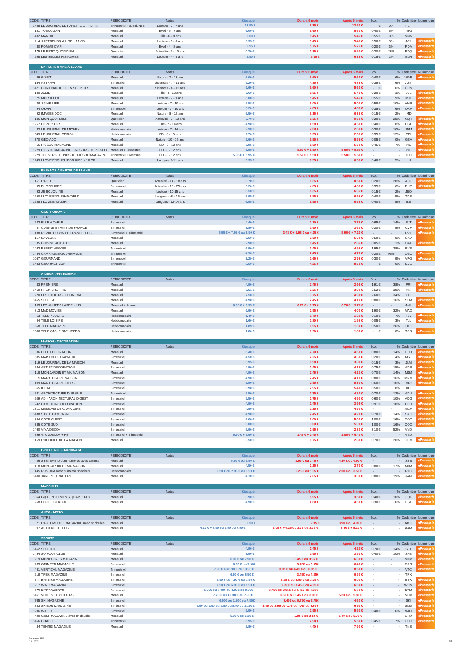| <b>CODE TITRE</b>                                            | <b>PERIODICITE</b>               | <b>Notes</b>                             | <b>Kiosque</b>                                | <b>Durant 6 mois</b>                         | Après 6 mois               | Eco                      |            |                   | % Code titre Numérique  |
|--------------------------------------------------------------|----------------------------------|------------------------------------------|-----------------------------------------------|----------------------------------------------|----------------------------|--------------------------|------------|-------------------|-------------------------|
| 1428 LE JOURNAL DE FANETTE ET FILIPIN                        | Trimestriel + suppl. Noël        | Lecture - 3 - 7 ans                      | 13,50 €                                       | $6.75 \in$                                   | 13.50 €                    | $ \epsilon$              | 0%         | FEF               |                         |
| 141 TOBOGGAN                                                 | Mensuel                          | Eveil - 5 - 7 ans                        | $6.00 \in$                                    | 5.60 €                                       | 5.60 €                     | $0.40 \in$               | 6%         | <b>TBG</b>        |                         |
| 432 MANON                                                    | Mensuel                          | Fille - 6 - 8 ans                        | $6.00 \in$                                    | 5.45 €                                       | 5.45 €                     | $0.55 \in$               | 9%         | <b>MNN</b>        |                         |
| 214 J'APPRENDS A LIRE + 11 CD<br>30 POMME D'API              | Mensuel<br>Mensuel               | Lecture - 6 - 8 ans<br>Eveil - 4 - 8 ans | $5.95 \in$<br>5.95 €                          | $5.45 \in$<br>$5.75 \in$                     | $5.45 \in$<br>$5.75 \in$   | $0.50 \in$<br>$0.20 \in$ | 8%<br>3%   | APL<br>PDA        | Presse<br><b>Presse</b> |
| 175 LE PETIT QUOTIDIEN                                       | Quotidien                        | Actualité - 7 - 10 ans                   | $0.70 \in$                                    | $0.35 \in$                                   | $0.50 \in$                 | $0.20 \in$               | 28%        | PTQ               |                         |
| 298 LES BELLES HISTOIRES                                     | Mensuel                          | Lecture - 4 - 8 ans                      | $6.50 \in$                                    | 6.35 €                                       | 6.35 €                     | $0.15 \in$               | 2%         | <b>BLH</b>        |                         |
|                                                              |                                  |                                          |                                               |                                              |                            |                          |            |                   |                         |
| <b>ENFANTS 8 ANS À 12 ANS</b>                                |                                  |                                          |                                               |                                              |                            |                          |            |                   |                         |
| CODE TITRE                                                   | PERIODICITE                      | Notes                                    | Kiosque                                       | Durant 6 mois                                | Après 6 mois               | Eco.                     |            |                   | % Code titre Numérique  |
| 49 WAPITI                                                    | Mensuel                          | Nature - 7 - 13 ans                      | $6.00 \in$                                    | 5.60 €                                       | 5.60 €                     | $0.40 \in$               | 6%         | WAP               |                         |
| 154 ASTRAPI                                                  | Bimestriel                       | Sciences - 7 - 11 ans                    | $5.20 \in$                                    | 4.85 €                                       | 4.85 €                     | $0.35 \in$               | 6%         | AST               |                         |
| 1471 CURIONAUTES DES SCIENCES                                | Mensuel                          | Sciences - 8 - 12 ans                    | $5.60 \in$                                    | 5.60 €                                       | 5.60 €                     | $\cdot\quad\in$          | 0%         | <b>CUN</b>        |                         |
| 140 JULIE                                                    | Mensuel                          | Fille - 8 - 12 ans                       | $5.60 \in$                                    | 5.55 €                                       | $5.40 \in$                 | $0.20 \in$               | 3%         | JUL               | ePresse.                |
| 75 MORDELIRE                                                 | Mensuel                          | Lecture - 7 - 9 ans                      | $6.00 \in$                                    | $5.45 \in$                                   | $5.45 \in$                 | $0.55 \in$               | 9%         | MJL               | Presse.                 |
| 29 J'AIME LIRE                                               | Mensuel                          | Lecture - 7 - 10 ans                     | $5.58 \in$                                    | $5.00 \in$                                   | 5.00 €                     | $0.58 \in$               | 10%        | AMR               |                         |
| 94 OKAPI                                                     | Bimensuel                        | Lecture - 7 - 10 ans                     | $5.20 \in$                                    | 4.85 €                                       | 4.85 €                     | $0.35 \in$               | $6\%$      | OKP               |                         |
| 92 IMAGES DOC                                                | Mensuel                          | Nature - 8 - 12 ans                      | $6.50 \in$                                    | 6.35 €                                       | 6.35 €                     | $0.15 \in$               | 2%         | <b>IMD</b>        |                         |
| 146 MON QUOTIDIEN                                            | Quotidien                        | Actualité - 7 - 13 ans                   | $0.70 \in$                                    | $0.35 \in$                                   | $0.50 \in$                 | $0.20 \in$               | 28%        | <b>MQT</b>        | Presse                  |
| 1257 DISNEY GIRL                                             | Mensuel                          | Fille - 7 - 14 ans                       | 4.90 €                                        | 4.50 €                                       | 4.50 €                     | $0.40 \in$               | 8%         | DGL               | Presse                  |
| 32 LE JOURNAL DE MICKEY                                      | Hebdomadaire                     | Lecture - 7 - 14 ans                     | $2.90 \in$                                    | $2.60 \in$                                   | 2.60 €                     | $0.30 \in$               | 10%        | <b>JDM</b>        |                         |
| 549 LE JOURNAL SPIROU                                        | Hebdomadaire                     | BD - 8 - 15 ans                          | $2.70 \in$<br>$5.60 \in$                      | 1.35 €<br>5.55 €                             | $2.35 \in$<br>5.55 €       | $0.35 \in$               | 12%        | SPI               |                         |
| 370 GEO ADO                                                  | Mensuel                          | Nature - 10 - 15 ans                     | $5.95 \in$                                    |                                              |                            | $0.05 \in$               | $0\%$      | <b>GEA</b>        | Press<br>Presse         |
| 56 PICSOU MAGAZINE<br>1229 PICSOU MAGAZINE+TRESORS DE PICSOU | Mensuel<br>Mensuel + Trimestriel | BD - 8 - 12 ans<br>BD - 8 - 12 ans       | $5.95 \in$                                    | 5.50 €<br>5.50 € + 5.50 €                    | 5.50 €<br>5.50 € + 5.50 €  | $0.45 \in$               | 7%         | PIC<br><b>PIC</b> | Presse.                 |
| 1229 TRESORS DE PICSOU+PICSOU MAGAZINE                       | Trimestriel + Mensuel            | BD - 8 - 12 ans                          | 5.95 € + 5.95 €                               | 5.50 € + 5.50 €                              | $5.50 \in +5.50 \in$       | $\mathbf{r}$             | $\sim$     | <b>TPC</b>        |                         |
| 1249 I LOVE ENGLISH FOR KIDS + 10 CD                         | Mensuel                          | Langues 9-11 ans                         | $6.95 \in$                                    | $6.55 \in$                                   | 6.55 €                     | $0.40 \in$               | $5\%$      | $\mathsf{ILJ}$    |                         |
|                                                              |                                  |                                          |                                               |                                              |                            |                          |            |                   |                         |
| <b>ENFANTS À PARTIR DE 12 ANS</b>                            |                                  |                                          |                                               |                                              |                            |                          |            |                   |                         |
| CODE TITRE                                                   | <b>PERIODICITE</b>               | <b>Notes</b>                             | Kiosque                                       | <b>Durant 6 mois</b>                         | Après 6 mois               | Eco.                     |            | % Code titre      | Numérique               |
| 151 L'ACTU                                                   | Quotidien                        | Actualité - 14 - 18 ans                  | $0.70 \in$                                    | $0.35 \in$                                   | $0.50 \in$                 | $0.20\in$                | 28%        | <b>ACT</b>        |                         |
| 95 PHOSPHORE                                                 | Bimensuel                        | Actualité - 15 - 25 ans                  | $5.20 \in$                                    | 4.85 €                                       | 4.85 €                     | 0.35 €                   | 6%         | PHP               |                         |
| 93 JE BOUQUINE                                               | Mensuel                          | Lecture - 10-15 ans                      | $6.50 \in$                                    | 6.35 €                                       | 6.35 €                     | $0.15 \in$               | 2%         | <b>JBQ</b>        |                         |
| 1250 I LOVE ENGLISH WORLD                                    | Mensuel                          | Langues - dès 15 ans                     | $6.95 \in$                                    | 6.55 €                                       | 6.55 €                     | $0.40 \in$               | 5%         | TDE               |                         |
| 1248 I LOVE ENGLISH                                          | Mensuel                          | Langues - 12-14 ans                      | $6.95 \in$                                    | $6.55 \in$                                   | $6.55 \in$                 | $0.40 \in$               | 5%         | ILE               |                         |
|                                                              |                                  |                                          |                                               |                                              |                            |                          |            |                   |                         |
| <b>GASTRONOMIE</b>                                           |                                  |                                          |                                               |                                              |                            |                          |            |                   |                         |
| CODE TITRE                                                   | <b>PERIODICITE</b>               | Notes                                    | Kiosque                                       | <b>Durant 6 mois</b>                         | Après 6 mois               | Eco.                     |            | % Code titre      | Numérique               |
| 223 ELLE A TABLE                                             | Bimestriel                       |                                          | $4.40 \in$                                    | 2.20 €                                       | $3.75 \in$                 | $0.65 \in$               | 14%        | ELT               |                         |
| 47 CUISINE ET VINS DE FRANCE                                 | Bimestriel                       |                                          | $3.80 \in$                                    | 1.90 €                                       | $3.60 \in$                 | $0.20 \in$               | 5%         | CVF               |                         |
| 138 REVUE DU VIN DE FRANCE + HS                              | <b>Bimestriel + Trimestriel</b>  |                                          | 6.95 €+7.95 €ou 8.50 €                        | 3.48 €+ 3.98 € ou 4.25 €                     | 5.90 € + 7.20 €            |                          |            | <b>RVF</b>        |                         |
| 117 SAVEURS                                                  | Mensuel                          |                                          | $5.50 \in$                                    | 2.50 €                                       | $5.00 \in$                 | $0.50 \in$               | 9%         | SAV               |                         |
| 35 CUISINE ACTUELLE                                          | Mensuel                          |                                          | $2.90 \in$                                    | 1.45 €                                       | 2.85 €                     | $0.05 \in$               | 1%         | CAL               |                         |
| 1463 ESPRIT VEGGIE                                           | Trimestriel                      |                                          | $6.90 \in$                                    | $3.45 \in$                                   | 4.95 €                     | 1.95 €                   | 28%        | EVE               |                         |
| 1484 CAMPAGNE GOURMANDE                                      | Trimestriel                      |                                          | 4.90 €                                        | $2.45 \in$                                   | 4.70 €                     | $0.20 \in$               | 95%        | CGO               | Presse.f                |
| 1057 GOURMAND                                                | Bimensuel                        |                                          | $3.29 \in$                                    | 1.65 €                                       | $2.99 \in$                 | $0.30 \in$               | 9%         | VPG               |                         |
| 1483 GOURMET CUP                                             | Trimestriel                      |                                          | $8.50 \in$                                    | 4.25 €                                       | 8.50 €                     | $\epsilon$               | 0%         | EVE               |                         |
|                                                              |                                  |                                          |                                               |                                              |                            |                          |            |                   |                         |
| <b>CINEMA - TELEVISION</b>                                   |                                  |                                          |                                               | Durant 6 mois                                |                            |                          |            |                   |                         |
| CODE TITRE<br>33 PREMIERE                                    | PERIODICITE                      | Notes                                    | Kiosque<br>4.90 €                             | 2.45 €                                       | Après 6 mois<br>$2.99 \in$ | Eco.                     |            | PRI               | % Code titre Numérique  |
| 1459 PREMIERE + HS                                           | Mensuel                          |                                          | $6.51 \in$                                    |                                              | 3.99 E                     | 1.91 €<br>2.52 €         | 38%        | PRI               |                         |
| 220 LES CAHIERS DU CINEMA                                    | Mensuel<br>Mensuel               |                                          | 7.50 €                                        | 3.26 €<br>$3.75 \in$                         | 4.90 €                     | 2.60 €                   | 38%        |                   |                         |
| 1455 SO FILM                                                 | Mensuel                          |                                          | 4.90 €                                        | 2.45 €                                       | 4.10 €                     | $0.80 \in$               | 34%<br>16% | CCI<br>SFM        | Presse.                 |
| 153 LES ANNEES LASER + HS                                    | Mensuel + Annuel                 |                                          | $6.90 \in +9.95 \in$                          | 6.70 € + 9.75 €                              | $6.70$ ∈+ 9.75 ∈           |                          |            | ANL               | ePresse.                |
| 813 MAD MOVIES                                               | Mensuel                          |                                          | 5.90 €                                        | 2.95 €                                       | 4.00 €                     | 1.90 €                   | 32%        | MAD               |                         |
| 13 TELE 7 JOURS                                              | Hebdomadaire                     |                                          | $1.40 \in$                                    | $0.70 \in$                                   | 1.30 €                     | $0.10 \in$               | 7%         | T7J               |                         |
|                                                              |                                  |                                          |                                               |                                              |                            |                          |            |                   |                         |
|                                                              |                                  |                                          |                                               |                                              |                            |                          |            |                   |                         |
| 44 TELE LOISIRS                                              | Hebdomadaire                     |                                          | $1.60 \in$                                    | $0.80 \in$                                   | 1.55 €                     | $0.05 \in$               | 3%         | TLL               |                         |
| 558 TELE MAGAZINE                                            | Hebdomadaire<br>Hebdomadaire     |                                          | $1.89 \in$                                    | $0.95 \in$                                   | 1.39 €                     | $0.50 \in$               | 26%        | <b>TMG</b>        | Presse.fr               |
| 1386 TELE CABLE SAT HEBDO                                    |                                  |                                          | $1.80 \in$                                    | $0.90 \in$                                   | 1.80 €                     | $ \epsilon$              | 0%         | <b>TCS</b>        |                         |
| <b>MAISON - DECORATION</b>                                   |                                  |                                          |                                               |                                              |                            |                          |            |                   |                         |
|                                                              | PERIODICITE                      | <b>Notes</b>                             | Kiosque                                       | Durant 6 mois                                | Après 6 mois               | Eco.                     |            | % Code titre      |                         |
| CODE TITRE<br>36 ELLE DECORATION                             | Mensuel                          |                                          | $5.40 \in$                                    | 2.70 €                                       | 4.60 €                     | $0.80 \in$               | 14%        | ELD               | Numérique               |
| 535 MAISON ET TRAVAUX                                        | Bimestriel                       |                                          | 4.50 €                                        | 2.25 €                                       | 4.30 €                     | $0.20 \in$               | 4%         | <b>MST</b>        |                         |
| 119 LE JOURNAL DE LA MAISON                                  | Mensuel                          |                                          | $3.95 \in$                                    | 1.98 €                                       | $3.80 \in$                 | $0.15 \in$               | 3%         | <b>JLM</b>        |                         |
| 534 ART ET DECORATION                                        | Bimestriel                       |                                          | 4.90 €                                        | 2.45 €                                       | 4.15 €                     | $0.75 \in$               | 15%        | ADR               |                         |
| 118 MON JARDIN ET MA MAISON                                  | Mensuel                          |                                          | 4.90 €                                        | 2.45 €                                       | 4.20 €                     | 0.70 €                   | 14%        | M.IM              |                         |
| 5 MARIE CLAIRE MAISON                                        | Bimestriel                       |                                          | 4.90 €                                        | 2.45 €                                       | 4.10 €                     | $0.80 \in$               | 16%        | <b>MRM</b>        |                         |
| 109 MARIE CLAIRE IDEES                                       | Bimestriel                       |                                          | $5.90 \in$                                    | 2.95 €                                       | 5.30 €                     | $0.60 \in$               | 10%        | <b>MRI</b>        |                         |
| 365 IDEAT                                                    | Bimestriel                       |                                          | $5.90 \in$                                    | 2.95 €                                       | $5.40 \in$                 | $0.50 \in$               | 8%         | IDT               |                         |
| 531 ARCHITECTURE DURABLE                                     | Trimestriel                      |                                          | $5.50 \in$                                    | 2.75 €                                       | 4.80 €                     | $0.70\in$                | 12%        | ADU               |                         |
| 209 AD - ARCHITECTURAL DIGEST                                | Bimestriel                       |                                          | $5.50 \in$                                    | 2.75 €                                       | 4.90 €                     | $0.60 \in$               | 10%        | ADG               |                         |
| 242 CAMPAGNE DECORATION                                      | Bimestriel                       |                                          | 4.90 €                                        | $2.45 \in$                                   | $3.99 \in$                 | $0.91 \in$               | 18%        | CPD               | Presse:                 |
| 1311 MAISONS DE CAMPAGNE                                     | Bimestriel                       |                                          | 4.50 €                                        | 2.25 €                                       | 4.50 €                     |                          |            | <b>MCA</b>        |                         |
| 1438 STYLE CAMPAGNE                                          | Bimestriel                       |                                          | 4.90 €                                        | 2.45 €                                       | 4.20 €                     | $0.70\in$                | 14%        | SYC               |                         |
| 384 COTE OUEST                                               | Bimestriel                       |                                          | $6.00 \in$                                    | $3.00 \in$                                   | 5.00 €                     | 1.00 €                   | 16%        | COO               |                         |
| 385 COTE SUD                                                 | Bimestriel                       |                                          | $6.00 \in$                                    | $3.00 \in$                                   | $5.00 \in$                 | 1.00 €                   | 16%        | COD               |                         |
| 1460 VIVA DECO+                                              | Bimestriel                       |                                          | 5.90 €                                        | 2.95 €                                       | $2.80 \in$                 | 3.10 €                   | 52%        | VVD               |                         |
| 899 VIVA DECO+ + HS                                          | <b>Bimestriel + Trimestriel</b>  |                                          | 5.90 € + 6.90 €                               | $1.45$ €+ 3.45 €                             | $2.80$ €+6.40 €            | $\sim$                   | ×.         | VVD<br><b>OCM</b> | <b>Presse</b> f         |
| 1159 L'OFFICIEL DE LA MAISON                                 | Mensuel                          |                                          | $3.50 \in$                                    | 1.75 €                                       | $2.80 \in$                 | $0.70 \in$               | 20%        |                   |                         |
| <b>BRICOLAGE - JARDINAGE</b>                                 |                                  |                                          |                                               |                                              |                            |                          |            |                   |                         |
| CODE TITRE                                                   | PERIODICITE                      | Notes                                    | Kiosque                                       | <b>Durant 6 mois</b>                         | Après 6 mois               | Eco.                     |            |                   | % Code titre Numérique  |
| 26 SYSTEME D dont numéros avec carnets                       | Mensuel                          |                                          | 5.90 €ou 6.90 €                               | 2.95 €ou 3.45 €                              | 4.30 €ou 4.90 €            |                          |            | SYS               |                         |
| 118 MON JARDIN ET MA MAISON                                  | Mensuel                          |                                          | 4.50 €                                        | 2.25 €                                       | $3.70 \in$                 | $0.80\in$                | 17%        | <b>MJM</b>        |                         |
| 145 RUSTICA avec numéros spéciaux                            | Hebdomadaire                     |                                          | 2.50 €ou 2.90 €ou 3.90 €                      | 1.25 €ou 1.95 €                              | 2.30 €ou 3.50 €            |                          |            | <b>RTC</b>        |                         |
| 1480 JARDIN ET NATURE                                        | Mensuel                          |                                          | 4.10 €                                        | 2.05 €                                       | $3.30 \in$                 | $0.80 \in$               | 19%        | <b>JAN</b>        |                         |
|                                                              |                                  |                                          |                                               |                                              |                            |                          |            |                   |                         |
| <b>MASCULIN</b>                                              |                                  |                                          |                                               |                                              |                            |                          |            |                   |                         |
| CODE TITRE                                                   | <b>PERIODICITE</b>               | <b>Notes</b>                             | <b>Kiosque</b>                                | <b>Durant 6 mois</b>                         | Après 6 mois               | Eco.                     |            |                   | % Code titre Numérique  |
| 1364 GQ GENTLEMEN'S QUARTERLY                                | Mensuel                          |                                          | $3.90 \in$                                    | 1.95 €                                       | $3.50 \in$                 | $0.40 \in$               | 10%        | GQG               |                         |
| 258 FLUIDE GLACIAL                                           | Mensuel                          |                                          | 4.90 €                                        | 4.60 €                                       | 4.60 €                     | $0.30 \in$               | 6%         | FGL               |                         |
|                                                              |                                  |                                          |                                               |                                              |                            |                          |            |                   |                         |
| <b>AUTO - MOTO</b>                                           |                                  |                                          |                                               |                                              |                            |                          |            |                   |                         |
| CODE TITRE                                                   | PERIODICITE                      | <b>Notes</b>                             | Kiosque                                       | <b>Durant 6 mois</b>                         | Après 6 mois               | Eco.                     |            |                   |                         |
| 21 L'AUTOMOBILE MAGAZINE avec n° double                      | Mensuel                          |                                          | $5.90 \in$                                    | 2.95 €                                       | 3.90 €ou 4.90 €            |                          |            | AMG               | % Code titre Numérique  |
| 97 AUTO MOTO + HS                                            | Mensuel                          |                                          | 4.10 €+8.50 ou 5.50 ou 7.50 €                 | 2.05 €+ 4.25 ou 2.75 ou 3.75 €               | $3.40$ ∈ + 5.20 ∈          | $\sim$                   | $\sim$     | AAM               |                         |
|                                                              |                                  |                                          |                                               |                                              |                            |                          |            |                   |                         |
| <b>SPORTS</b>                                                |                                  |                                          |                                               |                                              |                            |                          |            |                   |                         |
| CODE TITRE                                                   | <b>PERIODICITE</b>               | Notes                                    | Kiosque                                       | <b>Durant 6 mois</b>                         | Après 6 mois               | Eco.                     |            |                   | % Code titre Numérique  |
| 1452 SO FOOT                                                 | Mensuel                          |                                          | 4.90 €                                        | 2.45 €                                       | 4.20 €                     | $0.70\in$                | 14%        | SFT               |                         |
| 1454 SO FOOT CLUB                                            | Mensuel                          |                                          | $3.90 \in$                                    | 1.95 €                                       | $3.50 \in$                 | $0.40 \in$               | 10%        | <b>SFB</b>        | Presse.                 |
| 219 MONTAGNES MAGAZINE                                       | Mensuel                          |                                          | 6.90 €ou 7.90 €                               | 3.45 €ou 3.95 €<br>3.45€ ou 3.95€            | $6.30 \in$<br>6.40 €       | $\overline{\phantom{a}}$ |            | <b>MTM</b>        | Presse.                 |
| 263 GRIMPER MAGAZINE                                         | Bimestriel<br>Trimestriel        |                                          | 6.90 €ou 7.90€                                |                                              | 8.50 €                     |                          | ٠          | GRR               |                         |
| 441 VERTICAL MAGAZINE<br>218 TREK MAGAZINE                   | Bimestriel                       |                                          | 7.90 €ou 8.90 €ou 13.90 €<br>6.90 € ou 8.50 € | 3.95 € ou 4.45 € ou 6.95 €<br>3.45€ ou 4.25€ | 6.50 €                     |                          | ٠          | <b>VTC</b><br>TRK |                         |
| 777 BIG BIKE MAGAZINE                                        | Bimestriel                       |                                          | 6.50 €ou 7.90 €ou 7.50 €                      | 3.25 €ou 3.95 €ou 3.75 €                     | $6.00 \in$                 | ٠                        | ٠          | <b>BBK</b>        | :Presse.f               |
| 217 WIND MAGAZINE                                            | Bimestriel                       |                                          | 7.90 €ou 6.90 €ou 9.90 €                      | 3.95 €ou 3.45 €ou 4.95 €                     | $6.60 \in$                 |                          | $\sim$     | <b>WDM</b>        | Presse f                |
| 275 KITEBOARDER                                              | Bimestriel                       |                                          | 6.90€ou 7.90€ou 8.90€ou 9.90€                 | 3.45€ ou 3.95€ ou 4.45€ ou 4.95€             | 6.70 €                     | $\overline{\phantom{a}}$ | $\sim$     | <b>KTM</b>        |                         |
| 1461 VOILES ET VOILIERS                                      | Mensuel                          |                                          | 7.20 € ou 12.90 € ou 7.90 €                   | 3.60 €ou 6.45 €ou 3.95 €                     | 5.20 € ou 5.80 €           |                          | $\sim$     | <b>VOV</b>        |                         |
| 765 SKI MAGAZINE                                             | <b>Bimestriel</b>                |                                          | 6.90€ou 1.50€ou 7.50€                         | 3.45€ ou 0.75€ ou 3.75€                      | 4.60 €                     |                          |            | SKI               |                         |
| 333 SKIEUR MAGAZINE                                          | Bimestriel                       |                                          | 6.90 ou 7.90 ou 1.50 ou 8.90 ou 11.90 €       | 3.45 ou 3.95 ou 0.75 ou 4.45 ou 5.95 €       | 6.50 €                     | $\overline{\phantom{a}}$ | $\sim$     | <b>SKM</b>        | Presse                  |
| 1236 WIDER                                                   | Bimestriel                       |                                          | $5.90 \in$                                    | 2.95 €                                       | $5.50 \in$                 | $0.40 \in$               | 6%         | WID               | Presse.                 |
| 420 GOLF MAGAZINE avec n° double                             | Mensuel                          |                                          | 5.90 €ou 6.20 €                               | 2.95 €ou 3.10 €                              | 5.40 €ou 5.70 €            |                          |            | GFM               | Presse.                 |
| 1456 COACH<br>34 TENNIS MAGAZINE                             | Trimestriel                      |                                          | $5.95 \in$                                    | 2.98 €                                       | 5.50 €                     | $0.45 \in$               | 7%         | COH               |                         |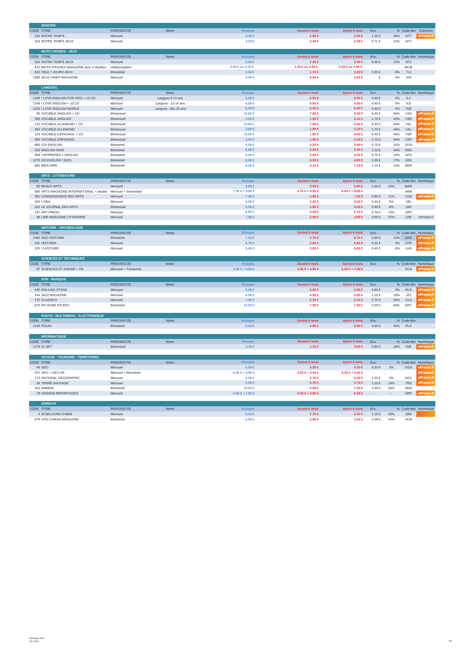| <b>SENIORS</b>                                                |                       |                      |                      |                             |                            |                     |            |              |                        |
|---------------------------------------------------------------|-----------------------|----------------------|----------------------|-----------------------------|----------------------------|---------------------|------------|--------------|------------------------|
| CODE TITRE                                                    | <b>PERIODICITE</b>    | <b>Notes</b>         | <b>Kiosaue</b>       | <b>Durant 6 mois</b>        | Après 6 mois               | Eco.                |            |              | % Code titre Colonne1  |
| 192 NOTRE TEMPS                                               | Mensuel               |                      | 4.20 €               | 2.95 €                      | $2.95 \in$                 | 1.25 €              | 29%        | <b>NTT</b>   |                        |
| 516 NOTRE TEMPS JEUX                                          | Mensuel               |                      | $3.20 \in$           | $2.49 \in$                  | $2.49 \in$                 | $0.71 \in$          | 22%        | NTJ          |                        |
|                                                               |                       |                      |                      |                             |                            |                     |            |              |                        |
| <b>MOTS CROISES - JEUX</b>                                    |                       |                      |                      |                             |                            |                     |            |              |                        |
| CODE TITRE                                                    | PERIODICITE           | Notes                | Kiosque              | Durant 6 mois               | Après 6 mois               | Eco                 |            |              | % Code titre Numérique |
|                                                               |                       |                      | $2.95 \in$           |                             |                            |                     |            |              |                        |
| 516 NOTRE TEMPS JEUX                                          | Mensuel               |                      |                      | $2.49 \in$                  | $2.49 \in$                 | $0.46 \in$          | 15%        | NTJ          |                        |
| 522 MOTS CROISES MAGAZINE avec n°doubles                      | Hebdomadaire          |                      | 2.65 €ou 4.10 €      | 1.33 € ou 2.05 €            | 2.25 €ou 3.60 €            |                     | $\sim$     | <b>MCM</b>   |                        |
| 543 TELE 7 JOURS JEUX                                         | Bimestriel            |                      | $3.50 \in$           | $1.75 \in$                  | $3.20 \in$                 | $0.30 \in$          | 8%         | TJJ          |                        |
| 1289 JEUX VIDEO MAGAZINE                                      | Mensuel               |                      | $5.50 \in$           | 5.50 €                      | 5.50 €                     | €                   | 0%         | <b>JVD</b>   |                        |
|                                                               |                       |                      |                      |                             |                            |                     |            |              |                        |
| <b>LANGUES</b>                                                |                       |                      |                      |                             |                            |                     |            |              |                        |
| CODE TITRE                                                    | <b>PERIODICITE</b>    | Notes                | Kiosque              | Durant 6 mois               | Après 6 mois               | Eco.                |            |              | % Code titre Numérique |
| 1249 I LOVE ENGLISH FOR KIDS + 10 CD                          | Mensuel               | Langues 9-11 ans     | $6.95 \in$           | $6.55 \in$                  | $6.55 \in$                 | $0.40 \in$          | 5%         | ILJ          |                        |
| 1248 I LOVE ENGLISH + 10 CD                                   | Mensuel               | Langues - 12-14 ans  | $6.95 \in$           | $6.55 \in$                  | $6.55 \in$                 | $0.40 \in$          | 5%         | ILE          |                        |
|                                                               |                       |                      |                      |                             |                            |                     |            |              |                        |
| 1250 I LOVE ENGLISH WORLD                                     | Mensuel               | Langues - dès 15 ans | $6.95 \in$           | $6.55 \in$                  | $6.55 \in$                 | $0.40 \in$          | 5%         | TDE          |                        |
| 59 VOCABLE ANGLAIS + CD                                       | Bimensuel             |                      | 15.80 €              | 7.90 €                      | $9.40 \in$                 | $6.40 \in$          | 40%        | VAN          | Presse.                |
| 393 VOCABLE ANGLAIS                                           | Bimensuel             |                      | $3.80 \in$           | 1.90 €                      | $2.10 \in$                 | 1.70€               | 44%        | VAN          | Presse.                |
| 122 VOCABLE ALLEMAND + CD                                     | Bimensuel             |                      | 15.80 €              | 7.90 €                      | $9.40 \in$                 | 6.40 €              | 40%        | VAL          | ePresse.               |
| 394 VOCABLE ALLEMAND                                          | Bimensuel             |                      | $3.80 \in$           | 1.90 €                      | 2.10 €                     | 1.70 €              | 44%        | VAL          | ePresse.               |
| 123 VOCABLE ESPAGNOL + CD                                     | Bimensuel             |                      | 15,80 €              | 7.90 €                      | $9.40 \in$                 | 6.40 €              | 40%        | <b>VSP</b>   | ePresse.               |
| 395 VOCABLE ESPAGNOL                                          | Bimensuel             |                      | $3.80 \in$           | 1.90 €                      | $2.10 \in$                 | $1.70 \in$          | 44%        | <b>VSP</b>   | <b>Presse</b> f        |
| 885 GO! ENGLISH                                               | Bimestriel            |                      | $6.50 \in$           | $3.25 \in$                  | $5.80 \in$                 | $0.70 \in$          | 10%        | GON          |                        |
|                                                               |                       |                      |                      |                             |                            |                     |            |              |                        |
| 423 ENGLISH NOW                                               | Bimestriel            |                      | $6.50 \in$           | $3.25 \in$                  | $5.40 \in$                 | 1.10€               | 16%        | ENG          |                        |
| 858 J'APPRENDS L'ANGLAIS                                      | Bimestrie             |                      | $5.00 \in$           | 2.50 €                      | 4.30 €                     | $0.70\in$           | 14%        | APA          |                        |
| 1273 GO ENGLISH ! KIDS                                        | Bimestriel            |                      | $6.00 \in$           | 3.00 €                      | 4.95 €                     | $1.05 \in$          | 17%        | <b>GEK</b>   |                        |
| 560 BIEN DIRE                                                 | Bimestriel            |                      | 8.20 €               | 4.10 €                      | 7.10 €                     | 1.10€               | 13%        | <b>BDR</b>   |                        |
|                                                               |                       |                      |                      |                             |                            |                     |            |              |                        |
| <b>ARTS - LITTERATURE</b>                                     |                       |                      |                      |                             |                            |                     |            |              |                        |
| CODE TITRE                                                    | <b>PERIODICITE</b>    | <b>Notes</b>         | <b>Kiosaue</b>       | <b>Durant 6 mois</b>        | Après 6 mois               | Eco.                |            |              | % Code titre Numérique |
|                                                               |                       |                      | $6.80 \in$           |                             |                            | 1.00 €              |            | <b>BAM</b>   |                        |
| 50 BEAUX ARTS                                                 | Mensuel               |                      |                      | $3.40 \in$                  | $5.80 \in$                 |                     | 14%        |              |                        |
| 895 ARTS MAGAZINE INTERNATIONAL + double Mensuel + Semestriel |                       |                      | 7.50 € + 9.00 €      | 3.75 €+4.50 €               | $6.50 \in +8.00 \in$       |                     |            | ARM          |                        |
| 391 CONNAISSANCE DES ARTS                                     | Mensuel               |                      | 7.90 €               | 3.95 €                      | $7.00 \in$                 | $0.90\in$           | 11%        | COA          |                        |
| 203 L'OEIL                                                    | Mensuel               |                      | $6.90 \in$           | $3.45 \in$                  | $6.50 \in$                 | $0.40 \in$          | 5%         | OEI          |                        |
| 202 LE JOURNAL DES ARTS                                       | Bimensue              |                      | 5.90 €               | 2.95 €                      | 5.50 €                     | $0.40\in$           | $6\%$      | JAR          |                        |
| 197 ART PRESS                                                 | Mensuel               |                      | $6.80 \in$           | $3.40 \in$                  | $6.10 \in$                 | $0.70\in$           | 10%        | ARP          |                        |
| 48 LIRE MAGAZINE LITTERAIRE                                   | Mensuel               |                      | 7.90 €               | $3.95 \in$                  | 4.90 €                     | $3.00\in$           | 37%        | LRE          | ePresse.fr             |
|                                                               |                       |                      |                      |                             |                            |                     |            |              |                        |
|                                                               |                       |                      |                      |                             |                            |                     |            |              |                        |
|                                                               |                       |                      |                      |                             |                            |                     |            |              |                        |
| <b>HISTOIRE - ARCHEOLOGIE</b>                                 |                       |                      |                      |                             |                            |                     |            |              |                        |
| CODE TITRE                                                    | PERIODICITE           | Notes                | <b>Kiosaue</b>       | <b>Durant 6 mois</b>        | Après 6 mois               | Eco.                |            |              | % Code titre Numérique |
| 1492 GEO HISTOIRE                                             | Bimestriel            |                      | $7.50 \in$           | $3.75 \in$                  | $6.70 \in$                 | $0.80 \in$          | 10%        | GHS          | <b>Presse</b>          |
| 101 HISTORIA                                                  | Mensuel               |                      | $5.70 \in$           | 2.85∈                       | $5.50 \in$                 | $0.20 \in$          | $3\%$      | <b>HTR</b>   | ePresse.fr             |
| 225 L'HISTOIRE                                                | Mensuel               |                      | $6.40 \in$           | 3.20 €                      | $6.00 \in$                 | $0.40 \in$          | 6%         | LHS          | Drocco fr              |
|                                                               |                       |                      |                      |                             |                            |                     |            |              |                        |
| <b>SCIENCES ET TECHNIQUES</b>                                 |                       |                      |                      |                             |                            |                     |            |              |                        |
| CODE TITRE                                                    | PERIODICITE           | <b>Notes</b>         | Kiosque              | <b>Durant 6 mois</b>        | Après 6 mois               | Eco.                |            |              |                        |
|                                                               |                       |                      |                      |                             |                            |                     | ×.         |              | % Code titre Numérique |
| 87 SCIENCES ET AVENIR + HS                                    | Mensuel + Trimestriel |                      | 5.30 € + 9.90 €      | $2.65$ €+ 4.95 €            | $3.50 \in +7.00 \in$       |                     |            | <b>SCA</b>   |                        |
|                                                               |                       |                      |                      |                             |                            |                     |            |              |                        |
| <b>SON - MUSIQUE</b>                                          |                       |                      |                      |                             |                            |                     |            |              |                        |
| CODE TITRE                                                    | PERIODICITE           | Notes                | Kiosque              | <b>Durant 6 mois</b>        | Après 6 mois               | Eco.                |            |              | % Code titre Numérique |
| 540 ROLLING STONE                                             | Mensuel               |                      | $6.50 \in$           | 5.90 €                      | $5.90 \in$                 | $0.60\in$           | $9\%$      | <b>RLS</b>   |                        |
| 164 JAZZ MAGAZINE                                             | Mensuel               |                      | $6.00 \in$           | 4.90 €                      | 4.90 €                     | 1.10€               | 18%        | <b>JZZ</b>   | ePresse.               |
| 172 CLASSICA                                                  | Mensuel               |                      | 7.90 €               | $5.20 \in$                  | 5.20 €                     | 2.70€               | 34%        | CLS          | ePresse.f              |
| 876 KR HOME STUDIO                                            | Bimestriel            |                      | 12.50 €              | 7.50 €                      | $7.50 \in$                 | 5.00 €              | 40%        | <b>KRC</b>   | ePresse.fi             |
|                                                               |                       |                      |                      |                             |                            |                     |            |              |                        |
| <b>PHOTO - MULTIMEDIA - ELECTRONIQUE</b>                      |                       |                      |                      |                             |                            |                     |            |              |                        |
|                                                               |                       |                      |                      |                             |                            |                     |            |              |                        |
| CODE TITRE                                                    | PERIODICITE           | Notes                | Kiosque              | <b>Durant 6 mois</b>        | Après 6 mois               | $E \infty$          |            | % Code titre |                        |
| 1219 POLKA                                                    | Bimestriel            |                      | $9.90 \in$           | 4.95 €                      | 5.90 €                     | $4.00\in$           |            | 40% PLK      |                        |
|                                                               |                       |                      |                      |                             |                            |                     |            |              |                        |
| <b>INFORMATIQUE</b>                                           |                       |                      |                      |                             |                            |                     |            |              |                        |
| CODE TITRE                                                    | PERIODICITE           | Notes                | <b>Kiosque</b>       | <b>Durant 6 mois</b>        | Après 6 mois               | Eco.                |            |              | % Code titre Numérique |
| 1279 01 NET                                                   | Bimensuel             |                      | 4.30 €               | $2.15 \in$                  | $3.50 \in$                 | $0.80 \in$          | 18%        | 1NE          |                        |
|                                                               |                       |                      |                      |                             |                            |                     |            |              |                        |
| <b>VOYAGE - TOURISME - TERRITOIRES</b>                        |                       |                      |                      |                             |                            |                     |            |              |                        |
|                                                               | <b>PERIODICITE</b>    | Notes                |                      |                             |                            |                     |            |              |                        |
| CODE TITRE                                                    |                       |                      | Kiosque              | <b>Durant 6 mois</b>        | Après 6 mois               | Eco.                |            |              | % Code titre Numérique |
| 45 GEO                                                        | Mensuel               |                      | $6.50 \in$           | $3.25 \in$                  | 6.30 €                     | $0.20\in$           | 3%         | GGO          |                        |
| 371 GEO + GEO HS                                              | Mensuel + Bimestriel  |                      | $6.50 \in +6.90 \in$ | $3.25$ €+ 3.45 €            | 6.30 € + 6.20 €            |                     |            |              | ePresse.fr             |
| 173 NATIONAL GEOGRAPHIC                                       | Mensuel               |                      | $5.50 \in$           | $2.75 \in$                  | 5.30 €                     | $0.20 \in$          | 3%         | <b>NGC</b>   | ePresse.fi             |
| 28 TERRE SAUVAGE                                              | Mensuel               |                      | $6.90 \in$           | $5.75 \in$                  | $5.75 \in$                 | 1.15 €              | 16%        | <b>TRS</b>   | <b>Presse fr</b>       |
| 410 ANIMAN                                                    | Bimestriel            |                      | 10.00 €              | $5.00 \in$                  | 7.50 €                     | 2.50 €              | 25%        | ANM          |                        |
| 79 GRANDS REPORTAGES                                          | Mensuel               |                      | 6.90 € + 7.90 €      | $3.45 \in +3.95 \in$        | 6.30 €                     |                     |            | GRP          |                        |
|                                                               |                       |                      |                      |                             |                            |                     |            |              |                        |
| <b>ANIMAUX</b>                                                |                       |                      |                      |                             |                            |                     |            |              |                        |
|                                                               |                       |                      | <b>Kiosaue</b>       |                             |                            | Eco.                |            |              |                        |
| CODE TITRE                                                    | <b>PERIODICITE</b>    | Notes                |                      | Durant 6 mois<br>$2.75 \in$ | Après 6 mois<br>$4.40 \in$ |                     |            | 30M          | % Code titre Numérique |
| 4 30 MILLIONS D'AMIS<br>579 VOS CHIENS MAGAZINE               | Mensuel<br>Bimestriel |                      | $5.50 \in$<br>5.90 € | 2956                        | $3.42 \in$                 | 1.10€<br>$2.48 \in$ | 20%<br>42% | <b>VCM</b>   |                        |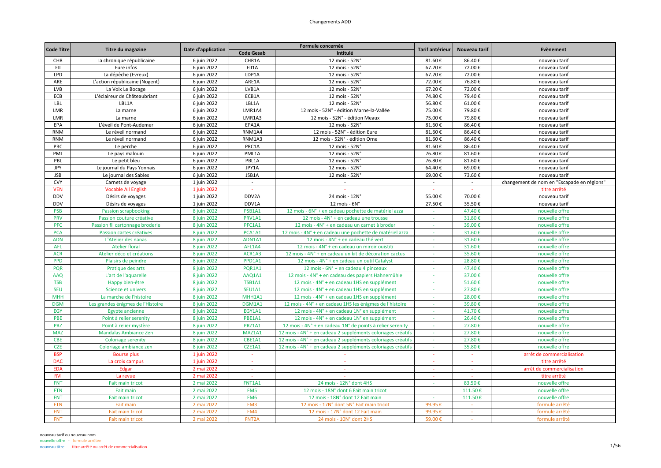| <b>Code Titre</b> | Titre du magazine                 | Date d'application |                    | Formule concernée                                           | Tarif antérieur | Nouveau tarif | Evènement                                  |
|-------------------|-----------------------------------|--------------------|--------------------|-------------------------------------------------------------|-----------------|---------------|--------------------------------------------|
|                   |                                   |                    | <b>Code Gesab</b>  | Intitulé                                                    |                 |               |                                            |
| CHR               | La chronique républicaine         | 6 juin 2022        | CHR1A              | 12 mois - 52N°                                              | 81.60€          | 86.40€        | nouveau tarif                              |
| EII               | Eure infos                        | 6 juin 2022        | EII1A              | 12 mois - 52N°                                              | 67.20€          | 72.00€        | nouveau tarif                              |
| LPD               | La dépêche (Evreux)               | 6 juin 2022        | LDP1A              | 12 mois - 52N°                                              | 67.20€          | 72.00€        | nouveau tarif                              |
| ARE               | L'action républicaine (Nogent)    | 6 juin 2022        | ARE1A              | 12 mois - 52N°                                              | 72.00€          | 76.80€        | nouveau tarif                              |
| LVB               | La Voix Le Bocage                 | 6 juin 2022        | LVB1A              | 12 mois - 52N°                                              | 67.20€          | 72.00€        | nouveau tarif                              |
| ECB               | L'éclaireur de Châteaubriant      | 6 juin 2022        | ECB1A              | 12 mois - 52N°                                              | 74.80€          | 79.40€        | nouveau tarif                              |
| LBL               | LBL1A                             | 6 juin 2022        | LBL1A              | 12 mois - 52N°                                              | 56.80€          | 61.00€        | nouveau tarif                              |
| LMR               | La marne                          | 6 juin 2022        | LMR1A4             | 12 mois - 52N° - édition Marne-la-Vallée                    | 75.00€          | 79.80€        | nouveau tarif                              |
| LMR               | La marne                          | 6 juin 2022        | LMR1A3             | 12 mois - 52N° - édition Meaux                              | 75.00€          | 79.80€        | nouveau tarif                              |
| EPA               | L'éveil de Pont-Audemer           | 6 juin 2022        | EPA1A              | 12 mois - 52N°                                              | 81.60€          | 86.40€        | nouveau tarif                              |
| <b>RNM</b>        | Le réveil normand                 | 6 juin 2022        | RNM1A4             | 12 mois - 52N° - édition Eure                               | 81.60€          | 86.40€        | nouveau tarif                              |
| <b>RNM</b>        | Le réveil normand                 | 6 juin 2022        | RNM1A3             | 12 mois - 52N° - édition Orne                               | 81.60€          | 86.40€        | nouveau tarif                              |
| PRC               | Le perche                         | 6 juin 2022        | PRC1A              | 12 mois - 52N°                                              | 81.60€          | 86.40€        | nouveau tarif                              |
| PML               | Le pays malouin                   | 6 juin 2022        | PML1A              | 12 mois - 52N°                                              | 76.80€          | 81.60€        | nouveau tarif                              |
| PBL               | Le petit bleu                     | 6 juin 2022        | PBL1A              | 12 mois - 52N°                                              | 76.80€          | 81.60€        | nouveau tarif                              |
| JPY               | Le journal du Pays Yonnais        | 6 juin 2022        | JPY1A              | 12 mois - 52N°                                              | 64.40€          | 69.00€        | nouveau tarif                              |
| <b>JSB</b>        | Le journal des Sables             | 6 juin 2022        | JSB1A              | 12 mois - 52N°                                              | 69.00€          | 73.60€        | nouveau tarif                              |
| <b>CVY</b>        | Carnets de voyage                 | 1 juin 2022        | $\sim$             | $\sim$                                                      | $\sim$          | $\sim$        | changement de nom en "Escapade en régions" |
| <b>VEN</b>        | <b>Vocable All English</b>        | 1 juin 2022        |                    |                                                             |                 |               | titre arrêté                               |
| <b>DDV</b>        | Désirs de voyages                 | 1 juin 2022        | DDV2A              | 24 mois - 12N°                                              | 55.00€          | 70.00€        | nouveau tarif                              |
| <b>DDV</b>        | Désirs de voyages                 | 1 juin 2022        | DDV1A              | $12$ mois - $6N^\circ$                                      | 27.50€          | 35.50€        | nouveau tarif                              |
| <b>PSB</b>        | <b>Passion scrapbooking</b>       | 8 juin 2022        | PSB1A1             | 12 mois - 6N° + en cadeau pochette de matériel azza         | $\sim$          | 47.40€        | nouvelle offre                             |
| <b>PRV</b>        | Passion couture créative          | 8 juin 2022        | PRV1A1             | 12 mois - 4N° + en cadeau une trousse                       | $\sim$          | 31.80€        | nouvelle offre                             |
| <b>PFC</b>        | Passion fil cartonnage broderie   | 8 juin 2022        | PFC1A1             | 12 mois - 4N° + en cadeau un carnet à broder                | $\sim$          | 39.00€        | nouvelle offre                             |
| <b>PCA</b>        | Passion cartes créatives          | 8 juin 2022        | PCA1A1             | 12 mois - 4N° + en cadeau une pochette de matériel azza     | ×.              | 31.60€        | nouvelle offre                             |
| <b>ADN</b>        | L'Atelier des nanas               | 8 juin 2022        | ADN1A1             | 12 mois - 4N° + en cadeau thé vert                          | $\sim$          | 31.60€        | nouvelle offre                             |
| <b>AFL</b>        | <b>Atelier floral</b>             | 8 juin 2022        | AFL1A4             | 12 mois - 4N° + en cadeau un miroir ouistiti                | $\sim$          | 31.60€        | nouvelle offre                             |
|                   |                                   |                    | ACR1A3             |                                                             |                 | 35.60€        |                                            |
| <b>ACR</b>        | Atelier déco et créations         | 8 juin 2022        |                    | 12 mois - 4N° + en cadeau un kit de décoration cactus       | $\sim$          |               | nouvelle offre                             |
| <b>PPD</b>        | Plaisirs de peindre               | 8 juin 2022        | PPD1A1             | 12 mois - 4N° + en cadeau un outil Catalyst                 | $\sim$          | 28.80€        | nouvelle offre                             |
| PQR               | Pratique des arts                 | 8 juin 2022        | PQR1A1             | 12 mois - 6N° + en cadeau 4 pinceaux                        | ÷.              | 47.40€        | nouvelle offre                             |
| AAQ               | L'art de l'aquarelle              | 8 juin 2022        | AAQ1A1             | 12 mois - 4N° + en cadeau des papiers Hahnemühle            |                 | 37.00€        | nouvelle offre                             |
| <b>TSB</b>        | Happy bien-être                   | 8 juin 2022        | <b>TSB1A1</b>      | 12 mois - 4N° + en cadeau 1HS en supplément                 | ÷.              | 51.60€        | nouvelle offre                             |
| <b>SEU</b>        | Science et univers                | 8 juin 2022        | SEU1A1             | 12 mois - 4N° + en cadeau 1HS en supplément                 | $\sim$          | 27.80€        | nouvelle offre                             |
| <b>MHH</b>        | La marche de l'histoire           | 8 juin 2022        | MHH1A1             | 12 mois - 4N° + en cadeau 1HS en supplément                 | $\sim$          | 28.00€        | nouvelle offre                             |
| <b>DGM</b>        | Les grandes énigmes de l'Histoire | 8 juin 2022        | DGM1A1             | 12 mois - 4N° + en cadeau 1HS les énigmes de l'histoire     | $\sim$          | 39.80€        | nouvelle offre                             |
| EGY               | Egypte ancienne                   | 8 juin 2022        | EGY1A1             | 12 mois - 4N° + en cadeau 1N° en supplément                 | ×.              | 41.70€        | nouvelle offre                             |
| PBE               | Point à relier serenity           | 8 juin 2022        | PBE1A1             | 12 mois - 4N° + en cadeau 1N° en supplément                 | $\sim$          | 26.40€        | nouvelle offre                             |
| <b>PRZ</b>        | Point à relier mystère            | 8 juin 2022        | PRZ1A1             | 12 mois - 4N° + en cadeau 1N° de points à relier serenity   | $\Delta \phi$   | 27.80€        | nouvelle offre                             |
| <b>MAZ</b>        | Mandalas Ambiance Zen             | 8 juin 2022        | MAZ1A1             | 12 mois - 4N° + en cadeau 2 suppléments coloriages créatifs | $\sim$          | 27.80€        | nouvelle offre                             |
| <b>CBE</b>        | <b>Coloriage serenity</b>         | 8 juin 2022        | CBE1A1             | 12 mois - 4N° + en cadeau 2 suppléments coloriages créatifs | $\sim$          | 27.80€        | nouvelle offre                             |
| <b>CZE</b>        | Coloriage ambiance zen            | 8 juin 2022        | CZE1A1             | 12 mois - 4N° + en cadeau 2 suppléments coloriages créatifs |                 | 35.80€        | nouvelle offre                             |
| <b>BSP</b>        | <b>Bourse plus</b>                | 1 juin 2022        | $\sim$             | $\sim$                                                      | $\sim$          | $\sim$        | arrêt de commercialisation                 |
| DAC               | La croix campus                   | 1 iuin 2022        | $\sim$             | $\sim$                                                      | $\sim$          | $\sim$        | titre arrêté                               |
| <b>EDA</b>        | Edgar                             | 2 mai 2022         | $\sim$             | $\sim$                                                      | $\sim$          | $\sim$        | arrêt de commercialisation                 |
| <b>RVI</b>        | La revue                          | 2 mai 2022         | $\sim$             |                                                             | $\sim$          | $\sim$        | titre arrêté                               |
| <b>FNT</b>        | Fait main tricot                  | 2 mai 2022         | <b>FNT1A1</b>      | 24 mois - 12N° dont 4HS                                     | $\sim$          | 83.50€        | nouvelle offre                             |
| <b>FTN</b>        | Fait main                         | 2 mai 2022         | FM5                | 12 mois - 18N° dont 6 Fait main tricot                      |                 | 111.50€       | nouvelle offre                             |
| <b>FNT</b>        | Fait main tricot                  | 2 mai 2022         | FM <sub>6</sub>    | 12 mois - 18N° dont 12 Fait main                            | $\sim$          | 111.50€       | nouvelle offre                             |
| <b>FTN</b>        | Fait main                         | 2 mai 2022         | FM3                | 12 mois - 17N° dont 5N° Fait main tricot                    | 99.95€          | $\sim$        | formule arrêté                             |
| <b>FNT</b>        | Fait main tricot                  | 2 mai 2022         | FM4                | 12 mois - 17N° dont 12 Fait main                            | 99.95€          | $\sim$        | formule arrêté                             |
| <b>FNT</b>        | Fait main tricot                  | 2 mai 2022         | FNT <sub>2</sub> A | 24 mois - 10N° dont 2HS                                     | 59.00€          | $\sim$        | formule arrêté                             |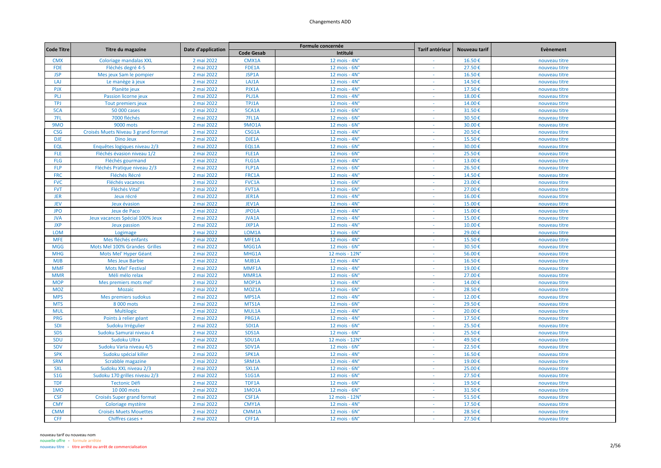| <b>Code Titre</b> |                                      |                    |                   | Formule concernée      | Tarif antérieur          | Nouveau tarif | Evènement     |
|-------------------|--------------------------------------|--------------------|-------------------|------------------------|--------------------------|---------------|---------------|
|                   | Titre du magazine                    | Date d'application | <b>Code Gesab</b> | Intitulé               |                          |               |               |
| <b>CMX</b>        | <b>Coloriage mandalas XXL</b>        | 2 mai 2022         | CMX1A             | 12 mois - 4N°          |                          | 16.50€        | nouveau titre |
| <b>FDE</b>        | Fléchés degré 4-5                    | 2 mai 2022         | FDE1A             | $12$ mois - $6Nc$      |                          | 27.50€        | nouveau titre |
| <b>JSP</b>        | Mes jeux Sam le pompier              | 2 mai 2022         | JSP1A             | 12 mois - 4N°          | $\sim$                   | 16.50€        | nouveau titre |
| LAJ               | Le manège à jeux                     | 2 mai 2022         | LAJ1A             | 12 mois - 4N°          |                          | 14.50€        | nouveau titre |
| <b>PJX</b>        | Planète jeux                         | 2 mai 2022         | PJX1A             | 12 mois - $4Nc$        |                          | 17.50€        | nouveau titre |
| PLJ               | Passion licorne jeux                 | 2 mai 2022         | PLJ1A             | 12 mois - $4Nc$        | $\sim$                   | 18.00€        | nouveau titre |
| <b>TPJ</b>        | Tout premiers jeux                   | 2 mai 2022         | TPJ1A             | 12 mois - 4N°          | $\overline{\phantom{a}}$ | 14.00€        | nouveau titre |
| 5CA               | 50 000 cases                         | 2 mai 2022         | 5CA1A             | $12$ mois - $6Nc$      | $\sim$                   | 31.50€        | nouveau titre |
| 7FL               | 7000 fléchés                         | 2 mai 2022         | 7FL1A             | 12 mois - 6N°          | $\sim$                   | 30.50€        | nouveau titre |
| 9MO               | 9000 mots                            | 2 mai 2022         | <b>9MO1A</b>      | 12 mois - 6N°          |                          | 30.00€        | nouveau titre |
| <b>CSG</b>        | Croisés Muets Niveau 3 grand forrmat | 2 mai 2022         | CSG1A             | 12 mois - $4N^\circ$   | a.                       | 20.50€        | nouveau titre |
| <b>DJE</b>        | <b>Dino Jeux</b>                     | 2 mai 2022         | DJE1A             | 12 mois - $4Nc$        | $\sim$                   | 15.50€        | nouveau titre |
| <b>EQL</b>        | Enquêtes logiques niveau 2/3         | 2 mai 2022         | EQL1A             | $12$ mois - $6N^\circ$ | $\sim$                   | 30.00€        | nouveau titre |
| <b>FLE</b>        | Fléchés évasion niveau 1/2           | 2 mai 2022         | FLE1A             | $12$ mois - $6Nc$      | $\sim$                   | 25.50€        | nouveau titre |
| <b>FLG</b>        | Fléchés gourmand                     | 2 mai 2022         | FLG1A             | 12 mois - 4N°          |                          | 13.00€        | nouveau titre |
| <b>FLP</b>        | Fléchés Pratique niveau 2/3          | 2 mai 2022         | FLP1A             | $12$ mois - $6Nc$      | $\sim$                   | 26.50€        | nouveau titre |
| <b>FRC</b>        | Fléchés Récré                        | 2 mai 2022         | FRC1A             | 12 mois - $4Nc$        | $\sim$                   | 14.50€        | nouveau titre |
| <b>FVC</b>        | Fléchés vacances                     | 2 mai 2022         | FVC1A             | 12 mois - $6Nc$        | $\omega$                 | 23.00€        | nouveau titre |
| <b>FVT</b>        | <b>Fléchés Vital</b>                 | 2 mai 2022         | FVT1A             | $12$ mois - $6Nc$      | $\sim$                   | 27.00€        | nouveau titre |
| <b>JER</b>        | Jeux récré                           | 2 mai 2022         | <b>JER1A</b>      | 12 mois - 4N°          |                          | 16.00€        | nouveau titre |
| <b>JEV</b>        | Jeux évasion                         | 2 mai 2022         | JEV1A             | 12 mois - 4N°          |                          | 15.00€        | nouveau titre |
| <b>JPO</b>        | Jeux de Paco                         | 2 mai 2022         | JPO1A             | 12 mois - 4N°          | $\sim$                   | 15.00€        | nouveau titre |
| <b>JVA</b>        | Jeux vacances Spécial 100% Jeux      | 2 mai 2022         | <b>JVA1A</b>      | 12 mois - $4Nc$        | $\sim$                   | 15.00€        | nouveau titre |
| <b>JXP</b>        | Jeux passion                         | 2 mai 2022         | JXP1A             | 12 mois - $4Nc$        | $\sim$                   | 10.00€        | nouveau titre |
| <b>LOM</b>        | Logimage                             | 2 mai 2022         | LOM1A             | 12 mois - 6N°          | $\sim$                   | 29.00€        | nouveau titre |
| <b>MFE</b>        | Mes fléchés enfants                  | 2 mai 2022         | MFE1A             | 12 mois - $4Nc$        |                          | 15.50€        | nouveau titre |
| <b>MGG</b>        | Mots Mel 100% Grandes Grilles        | 2 mai 2022         | MGG1A             | 12 mois - 6N°          | $\sim$                   | 30.50€        | nouveau titre |
| <b>MHG</b>        | Mots Mel' Hyper Géant                | 2 mai 2022         | MHG1A             | 12 mois - 12N°         | $\sim$                   | 56.00€        | nouveau titre |
| <b>MJB</b>        | <b>Mes Jeux Barbie</b>               | 2 mai 2022         | MJB1A             | 12 mois - 4N°          |                          | 16.50€        | nouveau titre |
| <b>MMF</b>        | <b>Mots Mel' Festival</b>            | 2 mai 2022         | MMF1A             | 12 mois - $4Nc$        | $\sim$                   | 19.00€        | nouveau titre |
| <b>MMR</b>        | Méli mélo relax                      | 2 mai 2022         | MMR1A             | 12 mois - 6N°          |                          | 27.00€        | nouveau titre |
| <b>MOP</b>        | Mes premiers mots mel'               | 2 mai 2022         | MOP1A             | 12 mois - 4N°          | $\sim$                   | 14.00€        | nouveau titre |
| <b>MOZ</b>        | Mozaïc                               | 2 mai 2022         | MOZ1A             | 12 mois - $6N^\circ$   | $\sim$                   | 28.50€        | nouveau titre |
| <b>MPS</b>        | Mes premiers sudokus                 | 2 mai 2022         | MPS1A             | 12 mois - 4N°          | $\sim$                   | 12.00€        | nouveau titre |
| <b>MTS</b>        | 8 000 mots                           | 2 mai 2022         | MTS1A             | 12 mois - $6Nc$        | $\sim$                   | 29.50€        | nouveau titre |
| <b>MUL</b>        | <b>Multilogic</b>                    | 2 mai 2022         | MUL1A             | 12 mois - 4N°          |                          | 20.00€        | nouveau titre |
| PRG               | Points à relier géant                | 2 mai 2022         | PRG1A             | 12 mois - 4N°          | ÷                        | 17.50€        | nouveau titre |
| SDI               | Sudoku Irrégulier                    | 2 mai 2022         | <b>SDI1A</b>      | 12 mois - 6N°          | $\sim$                   | 25.50€        | nouveau titre |
| <b>SDS</b>        | Sudoku Samuraï niveau 4              | 2 mai 2022         | SDS1A             | $12$ mois - $6Nc$      |                          | 25.50€        | nouveau titre |
| SDU               | Sudoku Ultra                         | 2 mai 2022         | SDU1A             | 12 mois - 12N'         | $\sim$                   | 49.50€        | nouveau titre |
| SDV               | Sudoku Varia niveau 4/5              | 2 mai 2022         | SDV1A             | $12$ mois - $6Nc$      | $\sim$                   | 22.50€        | nouveau titre |
| <b>SPK</b>        | Sudoku spécial killer                | 2 mai 2022         | SPK1A             | 12 mois - $4Nc$        |                          | 16.50€        | nouveau titre |
| <b>SRM</b>        | Scrabble magazine                    | 2 mai 2022         | SRM1A             | 12 mois - 4N°          | $\sim$                   | 19.00€        | nouveau titre |
| <b>SXL</b>        | Sudoku XXL niveau 2/3                | 2 mai 2022         | SXL1A             | $12$ mois - $6Nc$      | $\sim$                   | 25.00€        | nouveau titre |
| S1G               | Sudoku 170 grilles niveau 2/3        | 2 mai 2022         | <b>S1G1A</b>      | $12$ mois - $6Nc$      | $\sim$                   | 27.50€        | nouveau titre |
| <b>TDF</b>        | <b>Tectonic Défi</b>                 | 2 mai 2022         | TDF1A             | 12 mois - $6No$        | $\sim$                   | 19.50€        | nouveau titre |
| 1MO               | 10 000 mots                          | 2 mai 2022         | 1M01A             | 12 mois - $6No$        |                          | 31.50€        | nouveau titre |
| <b>CSF</b>        | Croisés Super grand format           | 2 mai 2022         | CSF1A             | 12 mois - 12N°         | $\sim$                   | 51.50€        | nouveau titre |
| <b>CMY</b>        | Coloriage mystère                    | 2 mai 2022         | CMY1A             | 12 mois - 4N°          | $\sim$                   | 17.50€        | nouveau titre |
| <b>CMM</b>        | <b>Croisés Muets Mouettes</b>        | 2 mai 2022         | CMM1A             | $12$ mois - $6Nc$      | $\sim$                   | 28.50€        | nouveau titre |
| <b>CFF</b>        | Chiffres cases +                     | 2 mai 2022         | CFF1A             | 12 mois - 6N°          | $\sim$                   | 27.50€        | nouveau titre |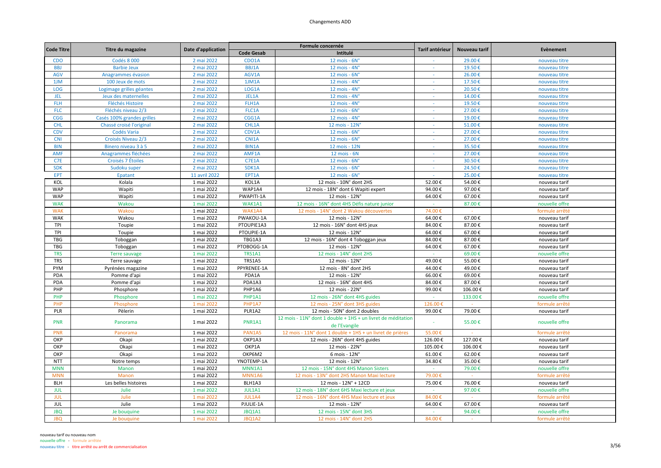| <b>Code Titre</b> | Titre du magazine          | Date d'application |                   | Formule concernée                                                             | Tarif antérieur          | Nouveau tarif | Evènement      |
|-------------------|----------------------------|--------------------|-------------------|-------------------------------------------------------------------------------|--------------------------|---------------|----------------|
|                   |                            |                    | <b>Code Gesab</b> | Intitulé                                                                      |                          |               |                |
| <b>CDO</b>        | Codés 8 000                | 2 mai 2022         | CDO1A             | $12$ mois - $6N^\circ$                                                        |                          | 29.00€        | nouveau titre  |
| <b>BBJ</b>        | <b>Barbie Jeux</b>         | 2 mai 2022         | <b>BBJ1A</b>      | 12 mois - 4N°                                                                 |                          | 19.50€        | nouveau titre  |
| AGV               | Anagrammes évasion         | 2 mai 2022         | AGV1A             | 12 mois - $6Nc$                                                               | $\sim$                   | 26.00€        | nouveau titre  |
| 1JM               | 100 Jeux de mots           | 2 mai 2022         | 1JM1A             | 12 mois - $4Nc$                                                               |                          | 17.50€        | nouveau titre  |
| LOG               | Logimage grilles géantes   | 2 mai 2022         | LOG1A             | 12 mois - 4N°                                                                 | $\sim$                   | 20.50€        | nouveau titre  |
| <b>JEL</b>        | Jeux des maternelles       | 2 mai 2022         | JEL1A             | 12 mois - $4Nc$                                                               | $\sim$                   | 14.00€        | nouveau titre  |
| <b>FLH</b>        | <b>Fléchés Histoire</b>    | 2 mai 2022         | FLH1A             | 12 mois - 4N°                                                                 |                          | 19.50€        | nouveau titre  |
| <b>FLC</b>        | Fléchés niveau 2/3         | 2 mai 2022         | FLC1A             | 12 mois - $6No$                                                               | $\sim$                   | 27.00€        | nouveau titre  |
| CGG               | Casés 100% grandes grilles | 2 mai 2022         | CGG1A             | 12 mois - 4N°                                                                 |                          | 19.00€        | nouveau titre  |
| <b>CHL</b>        | Chassé croisé l'original   | 2 mai 2022         | CHL1A             | 12 mois - 12N°                                                                |                          | 51.00€        | nouveau titre  |
| <b>CDV</b>        | Codés Varia                | 2 mai 2022         | CDV1A             | $12$ mois - $6N^\circ$                                                        | $\sim$                   | 27.00€        | nouveau titre  |
| <b>CNI</b>        | Croisés Niveau 2/3         | 2 mai 2022         | CNI1A             | 12 mois - 6N°                                                                 | $\overline{\phantom{a}}$ | 27.00€        | nouveau titre  |
| <b>BIN</b>        | Binero niveau 3 à 5        | 2 mai 2022         | <b>BIN1A</b>      | 12 mois - 12N                                                                 | $\sim$                   | 35.50€        | nouveau titre  |
| <b>AMF</b>        | Anagrammes fléchées        | 2 mai 2022         | AMF1A             | 12 mois - 6N                                                                  |                          | 27.00€        | nouveau titre  |
| C7E               | Croisés 7 Étoiles          | 2 mai 2022         | <b>C7E1A</b>      | 12 mois - 6N°                                                                 |                          | 30.50€        | nouveau titre  |
| <b>SDK</b>        | Sudoku super               | 2 mai 2022         | SDK1A             | $12$ mois - $6Nc$                                                             | $\sim$                   | 24.50€        | nouveau titre  |
| EPT               | <b>Epatant</b>             | 11 avril 2022      | EPT1A             | $12$ mois - $6Nc$                                                             | $\sim$                   | 25.00€        | nouveau titre  |
| KOL               | Kolala                     | 1 mai 2022         | KOL1A             | 12 mois - 10N° dont 2HS                                                       | 52.00€                   | 54.00€        | nouveau tarif  |
| WAP               | Wapiti                     | 1 mai 2022         | WAP1A4            | 12 mois - 18N° dont 6 Wapiti expert                                           | 94.00€                   | 97.00€        | nouveau tarif  |
| <b>WAP</b>        | Wapiti                     | 1 mai 2022         | PWAPITI-1A        | 12 mois - 12N°                                                                | 64.00€                   | 67.00€        | nouveau tarif  |
| <b>WAK</b>        | Wakou                      | 1 mai 2022         | WAK1A1            | 12 mois - 16N° dont 4HS Défis nature junior                                   |                          | 87.00€        | nouvelle offre |
| <b>WAK</b>        | Wakou                      | 1 mai 2022         | WAK1A4            | 12 mois - 14N° dont 2 Wakou découvertes                                       | 74.00€                   |               | formule arrêté |
| <b>WAK</b>        | Wakou                      | 1 mai 2022         | PWAKOU-1A         | 12 mois - 12N°                                                                | 64.00€                   | 67.00€        | nouveau tarif  |
| TPI               | Toupie                     | 1 mai 2022         | PTOUPIE1A3        | 12 mois - 16N° dont 4HS jeux                                                  | 84.00€                   | 87.00€        | nouveau tarif  |
| TPI               | Toupie                     | 1 mai 2022         | PTOUPIE-1A        | 12 mois - 12N°                                                                | 64.00€                   | 67.00€        | nouveau tarif  |
| <b>TBG</b>        | Toboggan                   | 1 mai 2022         | TBG1A3            | 12 mois - 16N° dont 4 Toboggan jeux                                           | 84.00€                   | 87.00€        | nouveau tarif  |
| <b>TBG</b>        | Toboggan                   | 1 mai 2022         | PTOBOGG-1A        | 12 mois - 12N°                                                                | 64.00€                   | 67.00€        | nouveau tarif  |
| <b>TRS</b>        | <b>Terre sauvage</b>       | 1 mai 2022         | <b>TRS1A1</b>     | 12 mois - 14N° dont 2HS                                                       | $\sim$                   | 69.00€        | nouvelle offre |
| <b>TRS</b>        | Terre sauvage              | 1 mai 2022         | TRS1A5            | 12 mois - 12N°                                                                | 49.00€                   | 55.00€        | nouveau tarif  |
| PYM               | Pyrénées magazine          | 1 mai 2022         | PPYRENEE-1A       | 12 mois - 8N° dont 2HS                                                        | 44.00€                   | 49.00€        | nouveau tarif  |
| PDA               | Pomme d'api                | 1 mai 2022         | PDA1A             | 12 mois - 12N°                                                                | 66.00€                   | 69.00€        | nouveau tarif  |
| PDA               | Pomme d'api                | 1 mai 2022         | PDA1A3            | 12 mois - 16N° dont 4HS                                                       | 84.00€                   | 87.00€        | nouveau tarif  |
| PHP               | Phosphore                  | 1 mai 2022         | PHP1A6            | 12 mois - 22N°                                                                | 99.00€                   | 106.00€       | nouveau tarif  |
| PHP               | Phosphore                  | 1 mai 2022         | PHP1A1            | 12 mois - 26N° dont 4HS guides                                                | $\sim$                   | 133.00€       | nouvelle offre |
| PHP               | Phosphore                  | 1 mai 2022         | PHP1A7            | 12 mois - 25N° dont 3HS guides                                                | 126.00€                  | $\sim$        | formule arrêté |
| PLR               | Pèlerin                    | 1 mai 2022         | PLR1A2            | 12 mois - 50N° dont 2 doubles                                                 | 99.00€                   | 79.00€        | nouveau tarif  |
| <b>PNR</b>        | Panorama                   | 1 mai 2022         | PNR1A1            | 12 mois - 11N° dont 1 double + 1HS + un livret de méditation<br>de l'Evangile |                          | 55.00€        | nouvelle offre |
| PNR               | Panorama                   | 1 mai 2022         | <b>PAN1A5</b>     | 12 mois - 11N° dont 1 double + 1HS + un livret de prières                     | 55.00€                   |               | formule arrêté |
| OKP               | Okapi                      | 1 mai 2022         | OKP1A3            | 12 mois - 26N° dont 4HS guides                                                | 126.00€                  | 127.00€       | nouveau tarif  |
| OKP               | Okapi                      | 1 mai 2022         | OKP1A             | 12 mois - 22N°                                                                | 105.00€                  | 106.00€       | nouveau tarif  |
| OKP               | Okapi                      | 1 mai 2022         | ОКР6М2            | 6 mois - 12N°                                                                 | 61.00€                   | 62.00€        | nouveau tarif  |
| <b>NTT</b>        | Notre temps                | 1 mai 2022         | YNOTEMP-1A        | 12 mois - 12N°                                                                | 34.80€                   | 35.00€        | nouveau tarif  |
| <b>MNN</b>        | Manon                      | 1 mai 2022         | MNN1A1            | 12 mois - 15N° dont 4HS Manon Sisters                                         | $\Delta \phi$            | 79.00€        | nouvelle offre |
| <b>MNN</b>        | Manon                      | 1 mai 2022         | MNN1A6            | 12 mois - 13N° dont 2HS Manon Maxi lecture                                    | 79.00€                   | $\sim$        | formule arrêté |
| <b>BLH</b>        | Les belles histoires       | 1 mai 2022         | BLH1A3            | 12 mois - 12N° + 12CD                                                         | 75.00€                   | 76.00€        | nouveau tarif  |
| <b>JUL</b>        | Julie                      | 1 mai 2022         | JUL1A1            | 12 mois - 18N° dont 6HS Maxi lecture et jeux                                  |                          | 97.00€        | nouvelle offre |
| <b>JUL</b>        | Julie                      | 1 mai 2022         | JUL1A4            | 12 mois - 16N° dont 4HS Maxi lecture et jeux                                  | 84.00€                   | $\sim$        | formule arrêté |
| <b>JUL</b>        | Julie                      | 1 mai 2022         | PJULIE-1A         | 12 mois - 12N°                                                                | 64.00€                   | 67.00€        | nouveau tarif  |
| <b>JBQ</b>        | Je bouquine                | 1 mai 2022         | JBQ1A1            | 12 mois - 15N° dont 3HS                                                       | $\sim$                   | 94.00€        | nouvelle offre |
| <b>JBQ</b>        | Je bouquine                | 1 mai 2022         | JBQ1A2            | 12 mois - 14N° dont 2HS                                                       | 84.00€                   | $\sim$        | formule arrêté |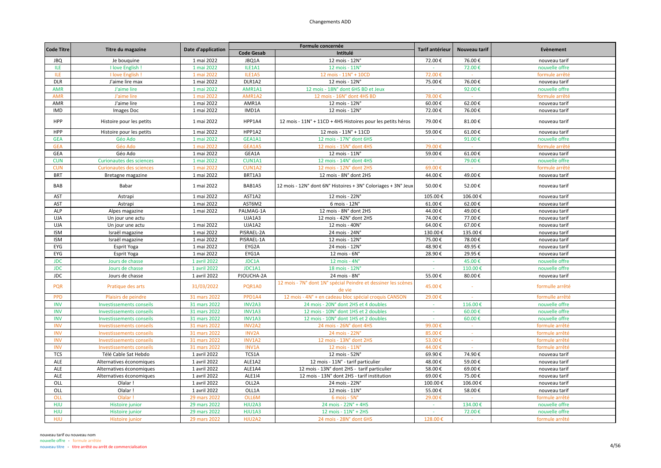| <b>Code Titre</b> | Titre du magazine               | Date d'application |                   | Formule concernée                                                       | Tarif antérieur | Nouveau tarif | Evènement       |
|-------------------|---------------------------------|--------------------|-------------------|-------------------------------------------------------------------------|-----------------|---------------|-----------------|
|                   |                                 |                    | <b>Code Gesab</b> | Intitulé                                                                |                 |               |                 |
| <b>JBQ</b>        | Je bouquine                     | 1 mai 2022         | JBQ1A             | 12 mois - 12N°                                                          | 72.00€          | 76.00€        | nouveau tarif   |
| <b>ILE</b>        | I love English                  | 1 mai 2022         | ILE1A1            | 12 mois - 11N°                                                          |                 | 72.00€        | nouvelle offre  |
| <b>ILE</b>        | I love English !                | 1 mai 2022         | ILE1A5            | 12 mois - 11N° + 10CD                                                   | 72.00€          |               | formule arrêté  |
| <b>DLR</b>        | J'aime lire max                 | 1 mai 2022         | DLR1A2            | 12 mois - 12N°                                                          | 75.00€          | 76.00€        | nouveau tarif   |
| <b>AMR</b>        | J'aime lire                     | 1 mai 2022         | AMR1A1            | 12 mois - 18N° dont 6HS BD et Jeux                                      | $\sim$          | 92.00€        | nouvelle offre  |
| <b>AMR</b>        | J'aime lire                     | 1 mai 2022         | AMR1A2            | 12 mois - 16N° dont 4HS BD                                              | 78.00€          | $\sim$ $\sim$ | formule arrêté  |
| AMR               | J'aime lire                     | 1 mai 2022         | AMR1A             | 12 mois - 12N°                                                          | 60.00€          | 62.00€        | nouveau tarif   |
| <b>IMD</b>        | Images Doc                      | 1 mai 2022         | IMD1A             | 12 mois - 12N°                                                          | 72.00€          | 76.00€        | nouveau tarif   |
| HPP               | Histoire pour les petits        | 1 mai 2022         | HPP1A4            | 12 mois - 11N° + 11CD + 4HS Histoires pour les petits héros             | 79.00€          | 81.00€        | nouveau tarif   |
| HPP               | Histoire pour les petits        | 1 mai 2022         | HPP1A2            | 12 mois - 11N° + 11CD                                                   | 59.00€          | 61.00€        | nouveau tarif   |
| <b>GEA</b>        | Géo Ado                         | 1 mai 2022         | GEA1A1            | 12 mois - 17N° dont 6HS                                                 |                 | 91.00€        | nouvelle offre  |
| <b>GEA</b>        | Géo Ado                         | 1 mai 2022         | GEA1A5            | 12 mois - 15N° dont 4HS                                                 | 79.00€          | $\sim$        | formule arrêté  |
| GEA               | Géo Ado                         | 1 mai 2022         | GEA1A             | 12 mois - 11N°                                                          | 59.00€          | 61.00€        | nouveau tarif   |
| <b>CUN</b>        | <b>Curionautes des sciences</b> | 1 mai 2022         | CUN1A1            | 12 mois - 14N° dont 4HS                                                 |                 | 79.00€        | nouvelle offre  |
| <b>CUN</b>        | Curionautes des sciences        | 1 mai 2022         | CUN1A2            | 12 mois - 12N° dont 2HS                                                 | 69.00€          |               | formule arrêté  |
| <b>BRT</b>        | Bretagne magazine               | 1 mai 2022         | BRT1A3            | 12 mois - 8N° dont 2HS                                                  | 44.00€          | 49.00€        | nouveau tarif   |
| BAB               | Babar                           | 1 mai 2022         | BAB1A5            | 12 mois - 12N° dont 6N° Histoires + 3N° Coloriages + 3N° Jeux           | 50.00€          | 52.00€        | nouveau tarif   |
| AST               | Astrapi                         | 1 mai 2022         | AST1A2            | 12 mois - 22N°                                                          | 105.00€         | 106.00€       | nouveau tarif   |
| AST               | Astrapi                         | 1 mai 2022         | AST6M2            | $6$ mois - $12N^\circ$                                                  | 61.00€          | 62.00€        | nouveau tarif   |
| ALP               | Alpes magazine                  | 1 mai 2022         | PALMAG-1A         | 12 mois - 8N° dont 2HS                                                  | 44.00€          | 49.00€        | nouveau tarif   |
| UJA               | Un jour une actu                |                    | UJA1A3            | 12 mois - 42N° dont 2HS                                                 | 74.00€          | 77.00€        | nouveau tarif   |
| <b>UJA</b>        | Un jour une actu                | 1 mai 2022         | UJA1A2            | 12 mois - 40N°                                                          | 64.00€          | 67.00€        | nouveau tarif   |
| <b>ISM</b>        | Israël magazine                 | 1 mai 2022         | PISRAEL-2A        | 24 mois - 24N°                                                          | 130.00€         | 135.00€       | nouveau tarif   |
| <b>ISM</b>        | Israël magazine                 | 1 mai 2022         | PISRAEL-1A        | 12 mois - 12N°                                                          | 75.00€          | 78.00€        | nouveau tarif   |
| EYG               | Esprit Yoga                     | 1 mai 2022         | EYG2A             | 24 mois - 12N°                                                          | 48.90€          | 49.95€        | nouveau tarif   |
| EYG               | Esprit Yoga                     | 1 mai 2022         | EYG1A             | 12 mois - $6N^\circ$                                                    | 28.90€          | 29.95€        | nouveau tarif   |
| <b>JDC</b>        | Jours de chasse                 | 1 avril 2022       | JDC1A             | 12 mois - $4N^\circ$                                                    |                 | 45.00€        | nouvelle offre  |
| <b>JDC</b>        | Jours de chasse                 | 1 avril 2022       | JDC1A1            | 18 mois - 12N°                                                          | $\sim$          | 110.00€       | nouvelle offre  |
| <b>JDC</b>        | Jours de chasse                 | 1 avril 2022       | PJOUCHA-2A        | 24 mois - 8N°                                                           | 55.00€          | 80.00€        | nouveau tarif   |
| <b>PQR</b>        | Pratique des arts               | 31/03/2022         | PQR1A0            | 12 mois - 7N° dont 1N° spécial Peindre et dessiner les scènes<br>de vie | 45.00€          |               | formulle arrêté |
| <b>PPD</b>        | Plaisirs de peindre             | 31 mars 2022       | PPD1A4            | 12 mois - 4N° + en cadeau bloc spécial croquis CANSON                   | 29.00€          |               | formulle arrêté |
| <b>INV</b>        | <b>Investissements conseils</b> | 31 mars 2022       | INV2A3            | 24 mois - 20N° dont 2HS et 4 doubles                                    | $\sim$          | 116.00€       | nouvelle offre  |
| <b>INV</b>        | Investissements conseils        | 31 mars 2022       | <b>INV1A3</b>     | 12 mois - 10N° dont 1HS et 2 doubles                                    |                 | 60.00€        | nouvelle offre  |
| <b>INV</b>        | Investissements conseils        | 31 mars 2022       | INV1A3            | 12 mois - 10N° dont 1HS et 2 doubles                                    | $\sim$          | 60.00€        | nouvelle offre  |
| <b>INV</b>        | Investissements conseils        | 31 mars 2022       | INV2A2            | 24 mois - 26N° dont 4HS                                                 | 99.00€          | $\sim$        | formule arrêté  |
| <b>INV</b>        | <b>Investissements conseils</b> | 31 mars 2022       | <b>INV2A</b>      | 24 mois - 22N°                                                          | 85.00€          |               | formule arrêté  |
| <b>INV</b>        | <b>Investissements conseils</b> | 31 mars 2022       | <b>INV1A2</b>     | 12 mois - 13N° dont 2HS                                                 | 53.00€          | $\sim$        | formule arrêté  |
| <b>INV</b>        | <b>Investissements conseils</b> | 31 mars 2022       | <b>INV1A</b>      | 12 mois - 11N°                                                          | 44.00€          |               | formule arrêté  |
| <b>TCS</b>        | Télé Cable Sat Hebdo            | 1 avril 2022       | TCS1A             | 12 mois - 52N°                                                          | 69.90€          | 74.90€        | nouveau tarif   |
| ALE               | Alternatives économiques        | 1 avril 2022       | ALE1A2            | 12 mois - 11N° - tarif particulier                                      | 48.00€          | 59.00€        | nouveau tarif   |
| ALE               | Alternatives économiques        | 1 avril 2022       | ALE1A4            | 12 mois - 13N° dont 2HS - tarif particulier                             | 58.00€          | 69.00€        | nouveau tarif   |
| ALE               | Alternatives économiques        | 1 avril 2022       | ALE114            | 12 mois - 13N° dont 2HS - tarif institution                             | 69.00€          | 75.00€        | nouveau tarif   |
| OLL               | Olalar!                         | 1 avril 2022       | OLL2A             | 24 mois - 22N°                                                          | 100.00€         | 106.00€       | nouveau tarif   |
| OLL               | Olalar!                         | 1 avril 2022       | OLL1A             | 12 mois - 11N°                                                          | 55.00€          | 58.00€        | nouveau tarif   |
| <b>OLL</b>        | Olalar!                         | 29 mars 2022       | <b>OLL6M</b>      | 6 mois - 5N°                                                            | 29.00€          |               | formule arrêté  |
| HJU               | Histoire junior                 | 29 mars 2022       | HJU2A3            | 24 mois - 22N° + 4HS                                                    |                 | 134.00€       | nouvelle offre  |
| HJU               | Histoire junior                 | 29 mars 2022       | HJU1A3            | 12 mois - 11N° + 2HS                                                    | $\sim$          | 72.00€        | nouvelle offre  |
| HJU               | Histoire junior                 | 29 mars 2022       | HJU2A2            | 24 mois - 28N° dont 6HS                                                 | 128.00€         |               | formule arrêté  |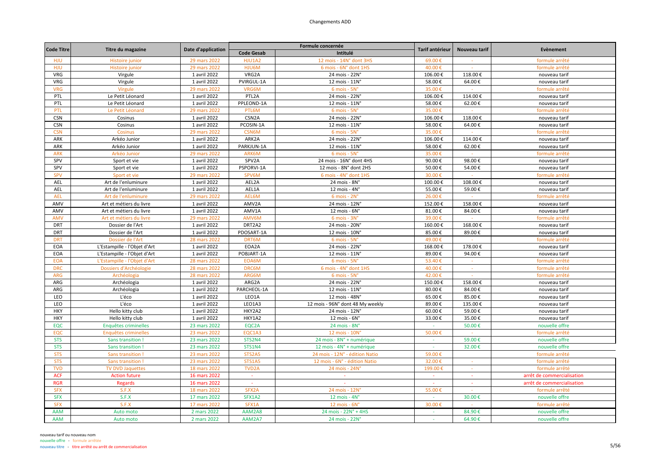|                   |                              |                    |                    | Formule concernée                     | Tarif antérieur |                |                            |
|-------------------|------------------------------|--------------------|--------------------|---------------------------------------|-----------------|----------------|----------------------------|
| <b>Code Titre</b> | Titre du magazine            | Date d'application | <b>Code Gesab</b>  | Intitulé                              |                 | Nouveau tarif  | Evènement                  |
| HJU               | Histoire junior              | 29 mars 2022       | HJU1A2             | 12 mois - 14N° dont 3HS               | 69.00€          |                | formule arrêté             |
| HJU               | Histoire junior              | 29 mars 2022       | HJU6M              | 6 mois - 6N° dont 1HS                 | 40.00€          |                | formule arrêté             |
| VRG               | Virgule                      | 1 avril 2022       | VRG2A              | 24 mois - 22N°                        | 106.00€         | 118.00€        | nouveau tarif              |
| VRG               | Virgule                      | 1 avril 2022       | PVIRGUL-1A         | 12 mois - 11N°                        | 58.00€          | 64.00€         | nouveau tarif              |
| <b>VRG</b>        | Virgule                      | 29 mars 2022       | VRG6M              | 6 mois - 5N°                          | 35.00€          |                | formule arrêté             |
| PTL               | Le Petit Léonard             | 1 avril 2022       | PTL2A              | 24 mois - 22N°                        | 106.00€         | 114.00€        | nouveau tarif              |
| PTL               | Le Petit Léonard             | 1 avril 2022       | PPLEOND-1A         | 12 mois - 11N°                        | 58.00€          | 62.00€         | nouveau tarif              |
| PTL               | Le Petit Léonard             | 29 mars 2022       | PTL6M              | $6$ mois - $5N^\circ$                 | 35.00€          |                | formule arrêté             |
| <b>CSN</b>        | Cosinus                      | 1 avril 2022       | CSN <sub>2</sub> A | 24 mois - 22N°                        | 106.00€         | 118.00€        | nouveau tarif              |
| <b>CSN</b>        | Cosinus                      | 1 avril 2022       | PCOSIN-1A          | 12 mois - 11N°                        | 58.00€          | 64.00€         | nouveau tarif              |
| <b>CSN</b>        | Cosinus                      | 29 mars 2022       | CSN6M              | 6 mois - 5N°                          | 35.00€          |                | formule arrêté             |
| ARK               | Arkéo Junior                 | 1 avril 2022       | ARK2A              | 24 mois - 22N°                        | 106.00€         | 114.00€        | nouveau tarif              |
| ARK               | Arkéo Junior                 | 1 avril 2022       | PARKJUN-1A         | 12 mois - 11N°                        | 58.00€          | 62.00€         | nouveau tarif              |
| <b>ARK</b>        | Arkéo Junior                 | 29 mars 2022       | ARK6M              | 6 mois - 5N°                          | 35.00€          |                | formule arrêté             |
| SPV               | Sport et vie                 | 1 avril 2022       | SPV2A              | 24 mois - 16N° dont 4HS               | 90.00€          | 98.00€         | nouveau tarif              |
| SPV               | Sport et vie                 | 1 avril 2022       | PSPORVI-1A         | 12 mois - 8N° dont 2HS                | 50.00€          | 54.00€         | nouveau tarif              |
| <b>SPV</b>        | Sport et vie                 | 29 mars 2022       | SPV6M              | 6 mois - 4N° dont 1HS                 | 30.00€          | $\sim 10^{-1}$ | formule arrêté             |
| <b>AEL</b>        | Art de l'enluminure          | 1 avril 2022       | AEL2A              | 24 mois - 8N°                         | 100.00€         | 108.00€        | nouveau tarif              |
| AEL               | Art de l'enluminure          | 1 avril 2022       | AEL1A              | 12 mois - 4N°                         | 55.00€          | 59.00€         | nouveau tarif              |
| <b>AEL</b>        | Art de l'enluminure          | 29 mars 2022       | AEL6M              | $6$ mois - $2N^\circ$                 | 26.00€          |                | formule arrêté             |
| AMV               | Art et métiers du livre      | 1 avril 2022       | AMV2A              | 24 mois - 12N°                        | 152.00€         | 158.00€        | nouveau tarif              |
| AMV               | Art et métiers du livre      | 1 avril 2022       | AMV1A              | $12 \text{ mois} - 6\text{N}^{\circ}$ | 81.00€          | 84.00€         | nouveau tarif              |
| <b>AMV</b>        | Art et métiers du livre      | 29 mars 2022       | AMV6M              | $6$ mois - $3N^\circ$                 | 39.00€          | $\sim$         | formule arrêté             |
| <b>DRT</b>        | Dossier de l'Art             | 1 avril 2022       | DRT2A2             | 24 mois - 20N°                        | 160.00€         | 168.00€        | nouveau tarif              |
| DRT               | Dossier de l'Art             | 1 avril 2022       | PDOSART-1A         | 12 mois - 10N°                        | 85.00€          | 89.00€         | nouveau tarif              |
| <b>DRT</b>        | Dossier de l'Art             | 28 mars 2022       | DRT6M              | 6 mois - 5N°                          | 49.00€          |                | formule arrêté             |
| EOA               | L'Estampille - l'Objet d'Art | 1 avril 2022       | EOA2A              | 24 mois - 22N°                        | 168.00€         | 178.00€        | nouveau tarif              |
| <b>EOA</b>        | L'Estampille - l'Objet d'Art | 1 avril 2022       | POBJART-1A         | 12 mois - 11N°                        | 89.00€          | 94.00€         | nouveau tarif              |
| <b>EOA</b>        | L'Estampille - l'Objet d'Art | 28 mars 2022       | EOA6M              | $6$ mois - $5N^\circ$                 | 53.40€          | $\sim$         | formule arrêté             |
| <b>DRC</b>        | Dossiers d'Archéologie       | 28 mars 2022       | <b>DRC6M</b>       | 6 mois - 4N° dont 1HS                 | 40.00€          | $\sim$         | formule arrêté             |
| <b>ARG</b>        | Archéologia                  | 28 mars 2022       | ARG6M              | 6 mois - 5N°                          | 42.00€          |                | formule arrêté             |
| ARG               | Archéologia                  | 1 avril 2022       | ARG2A              | 24 mois - 22N°                        | 150.00€         | 158.00€        | nouveau tarif              |
| ARG               | Archéologia                  | 1 avril 2022       | PARCHEOL-1A        | 12 mois - 11N°                        | 80.00€          | 84.00€         | nouveau tarif              |
| LEO               | L'éco                        | 1 avril 2022       | LEO1A              | 12 mois - 48N°                        | 65.00€          | 85.00€         | nouveau tarif              |
| LEO               | L'éco                        | 1 avril 2022       | LEO1A3             | 12 mois - 96N° dont 48 My weekly      | 89.00€          | 135.00€        | nouveau tarif              |
| <b>HKY</b>        | Hello kitty club             | 1 avril 2022       | HKY2A2             | 24 mois - 12N°                        | 60.00€          | 59.00€         | nouveau tarif              |
| <b>HKY</b>        | Hello kitty club             | 1 avril 2022       | HKY1A2             | 12 mois - 6N°                         | 33.00€          | 35.00€         | nouveau tarif              |
| EQC               | Enquêtes criminelles         | 23 mars 2022       | EQC2A              | 24 mois - 8N°                         | $\sim$          | 50.00€         | nouvelle offre             |
| EQC               | Enquêtes criminelles         | 23 mars 2022       | EQC1A3             | 12 mois - 10N°                        | 50.00€          | $\sim$         | formule arrêté             |
| <b>STS</b>        | Sans transition !            | 23 mars 2022       | STS2N4             | 24 mois - 8N° + numérique             | $\sim$          | 59.00€         | nouvelle offre             |
| <b>STS</b>        | Sans transition !            | 23 mars 2022       | <b>STS1N4</b>      | 12 mois - 4N° + numérique             |                 | 32.00€         | nouvelle offre             |
| <b>STS</b>        | Sans transition              | 23 mars 2022       | STS2A5             | 24 mois - 12N° - édition Natio        | 59.00€          |                | formule arrêté             |
| <b>STS</b>        | Sans transition              | 23 mars 2022       | <b>STS1A5</b>      | 12 mois - 6N° - édition Natio         | 32.00€          | $\alpha$       | formule arrêté             |
| <b>TVD</b>        | <b>TV DVD Jaquettes</b>      | 18 mars 2022       | TVD <sub>2</sub> A | 24 mois - 24N°                        | 199.00€         |                | formule arrêté             |
| <b>ACF</b>        | <b>Action future</b>         | 16 mars 2022       | $\sim$             | $\sim$                                | $\sim$          | $\sim$         | arrêt de commercialisation |
| <b>RGR</b>        | <b>Regards</b>               | 16 mars 2022       | $\sim$             |                                       |                 |                | arrêt de commercialisation |
| <b>SFX</b>        | S.F.X                        | 18 mars 2022       | SFX2A              | 24 mois - 12N°                        | 55.00€          |                | formule arrêté             |
| <b>SFX</b>        | S.F.X                        | 17 mars 2022       | SFX1A2             | 12 mois - $4N^\circ$                  | $\sim$          | 30.00€         | nouvelle offre             |
| <b>SFX</b>        | S.F.X                        | 17 mars 2022       | SFX1A              | 12 mois - 6N                          | 30.00€          |                | formule arrêté             |
| <b>AAM</b>        | Auto moto                    | 2 mars 2022        | AAM2A8             | 24 mois - 22N° + 4HS                  |                 | 84.90€         | nouvelle offre             |
| <b>AAM</b>        | Auto moto                    | 2 mars 2022        | AAM2A7             | 24 mois - 22N°                        | $\sim$          | 64.90€         | nouvelle offre             |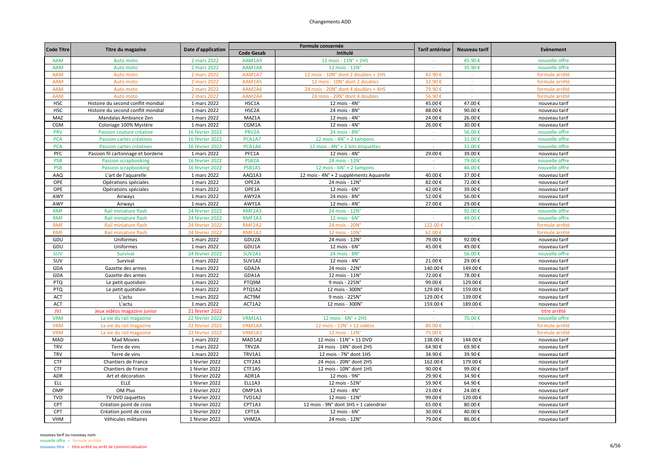| <b>Code Titre</b> | Titre du magazine                                  | Date d'application |                    | Formule concernée                       | Tarif antérieur<br>Nouveau tarif |               |                | Evènement |
|-------------------|----------------------------------------------------|--------------------|--------------------|-----------------------------------------|----------------------------------|---------------|----------------|-----------|
|                   |                                                    |                    | <b>Code Gesab</b>  | Intitulé                                |                                  |               |                |           |
| <b>AAM</b>        | Auto moto                                          | 2 mars 2022        | AAM1A9             | 12 mois - 11N° + 2HS                    |                                  | 45.90€        | nouvelle offre |           |
| <b>AAM</b>        | Auto moto                                          | 2 mars 2022        | AAM1A8             | 12 mois - 11N°                          |                                  | 35.90€        | nouvelle offre |           |
| <b>AAM</b>        | Auto moto                                          | 2 mars 2022        | AAM1A7             | 12 mois - 10N° dont 2 doubles + 2HS     | 42.90€                           |               | formule arrêté |           |
| <b>AAM</b>        | Auto moto                                          | 2 mars 2022        | AAM1A5             | 12 mois - 10N° dont 2 doubles           | 32.90€                           |               | formule arrêté |           |
| <b>AAM</b>        | Auto moto                                          | 2 mars 2022        | AAM2A6             | 24 mois - 20N° dont 4 doubles + 4HS     | 79.90€                           | $\Delta \tau$ | formule arrêté |           |
| <b>AAM</b>        | Auto moto                                          | 2 mars 2022        | AAM2A4             | 24 mois - 20N° dont 4 doubles           | 56.90€                           | $\sim$        | formule arrêté |           |
| <b>HSC</b>        | Histoire du second conflit mondial                 | 1 mars 2022        | HSC1A              | 12 mois - 4N°                           | 45.00€                           | 47.00€        | nouveau tarif  |           |
| <b>HSC</b>        | Histoire du second conflit mondial                 | 1 mars 2022        | HSC2A              | 24 mois - 8N°                           | 88.00€                           | 90.00€        | nouveau tarif  |           |
| MAZ               | Mandalas Ambiance Zen                              | 1 mars 2022        | MAZ1A              | 12 mois - $4Nc$                         | 24.00€                           | 26.00€        | nouveau tarif  |           |
| CGM               | Coloriage 100% Mystère                             | 1 mars 2022        | CGM1A              | 12 mois - $4Nc$                         | 26.00€                           | 30.00€        | nouveau tarif  |           |
| <b>PRV</b>        | Passion couture créative                           | 16 février 2022    | PRV2A              | 24 mois - 8N°                           | $\sim$                           | 56.00€        | nouvelle offre |           |
| <b>PCA</b>        | Passion cartes créatives                           | 16 février 2022    | PCA1A7             | 12 mois - 4N° + 2 tampons               | $\sim$                           | 31.00€        | nouvelle offre |           |
| <b>PCA</b>        | Passion cartes créatives                           | 16 février 2022    | PCA1A6             | 12 mois - 4N° + 2 lots étiquettes       | $\sim$                           | 31.00€        | nouvelle offre |           |
| PFC               | Passion fil cartonnage et borderie                 | 1 mars 2022        | PFC1A              | $12$ mois - $4N^\circ$                  | 29.00€                           | 39.00€        | nouveau tarif  |           |
| <b>PSB</b>        | <b>Passion scrapbooking</b>                        | 16 février 2022    | PSB <sub>2</sub> A | 24 mois - 12N°                          |                                  | 79.00€        | nouvelle offre |           |
| <b>PSB</b>        | <b>Passion scrapbooking</b>                        | 16 février 2022    | <b>PSB1A5</b>      | 12 mois - $6N^{\circ}$ + 2 tampons      | $\sim$                           | 46.00€        | nouvelle offre |           |
| AAQ               | L'art de l'aquarelle                               | 1 mars 2022        | AAQ1A3             | 12 mois - 4N° + 2 suppléments Aquarelle | 40.00€                           | 37.00€        | nouveau tarif  |           |
| OPE               | Opérations spéciales                               | 1 mars 2022        | OPE2A              | 24 mois - 12N°                          | 82.00€                           | 72.00€        | nouveau tarif  |           |
| OPE               | Opérations spéciales                               | 1 mars 2022        | OPE1A              | 12 mois - $6Nc$                         | 42.00€                           | 39.00€        | nouveau tarif  |           |
| AWY               | Airways                                            | 1 mars 2022        | AWY2A              | 24 mois - 8N°                           | 52.00€                           | 56.00€        | nouveau tarif  |           |
| AWY               | Airways                                            | 1 mars 2022        | AWY1A              | 12 mois - 4N°                           | 27.00€                           | 29.00€        | nouveau tarif  |           |
| <b>RMF</b>        | Rail miniature flash                               | 24 février 2022    | RMF2A3             | 24 mois - 12N                           |                                  | 92.00€        | nouvelle offre |           |
| <b>RMF</b>        | Rail miniature flash                               | 24 février 2022    | RMF1A3             | 12 mois - $6N^\circ$                    | $\sim$                           | 49.00€        | nouvelle offre |           |
| <b>RMF</b>        | Rail miniature flash                               | 24 février 2022    | RMF2A2             | 24 mois - 20N                           | 122.00€                          | $\sim$        | formule arrêté |           |
| <b>RMF</b>        | Rail miniature flash                               | 24 février 2022    | RMF1A2             | 12 mois - 10N'                          | 62.00€                           |               | formule arrêté |           |
| GDU               | Uniformes                                          | 1 mars 2022        | GDU2A              | 24 mois - 12N°                          | 79.00€                           | 92.00€        | nouveau tarif  |           |
| GDU               | Uniformes                                          | 1 mars 2022        | GDU1A              | 12 mois - 6N°                           | 45.00€                           | 49.00€        | nouveau tarif  |           |
| <b>SUV</b>        | Survival                                           | 24 février 2022    | SUV2A1             | 24 mois - 8N°                           | $\sim$                           | 56.00€        | nouvelle offre |           |
| SUV               | Survival                                           | 1 mars 2022        | SUV1A2             | 12 mois - $4Nc$                         | 21.00€                           | 29.00€        | nouveau tarif  |           |
| GDA               | Gazette des armes                                  | 1 mars 2022        | GDA2A              | 24 mois - 22N°                          | 140.00€                          | 149.00€       | nouveau tarif  |           |
| GDA               | Gazette des armes                                  | 1 mars 2022        | GDA1A              | 12 mois - 11N°                          | 72.00€                           | 78.00€        | nouveau tarif  |           |
| PTQ               | Le petit quotidien                                 | 1 mars 2022        | PTQ9M              | 9 mois - 225N°                          | 99.00€                           | 129.00€       | nouveau tarif  |           |
| <b>PTQ</b>        | Le petit quotidien                                 | 1 mars 2022        | PTQ1A2             | 12 mois - 300N°                         | 129.00€                          | 159.00€       | nouveau tarif  |           |
| <b>ACT</b>        | L'actu                                             | 1 mars 2022        | ACT9M              | 9 mois - 225N°                          | 129.00€                          | 139.00€       | nouveau tarif  |           |
| ACT               | L'actu                                             | 1 mars 2022        | ACT1A2             | 12 mois - 300N°                         | 159.00€                          | 189.00€       | nouveau tarif  |           |
| <b>JVJ</b>        |                                                    | 21 février 2022    |                    |                                         |                                  |               | titre arrêté   |           |
| <b>VRM</b>        | Jeux vidéos magazine junior                        | 22 février 2022    | VRM1A1             | 12 mois - 6N° + 2HS                     | ÷.                               | 70.00€        | nouvelle offre |           |
| <b>VRM</b>        | La vie du rail magazine<br>La vie du rail magazine | 22 février 2022    | VRM1A4             | 12 mois - 12N° + 12 vidéos              | 80.00€                           | $\sim$        | formule arrêté |           |
| <b>VRM</b>        | La vie du rail magazine                            | 22 février 2022    | VRM1A3             | 12 mois - 12N°                          | 75.00€                           |               | formule arrêté |           |
| MAD               | <b>Mad Movies</b>                                  | 1 mars 2022        | MAD1A2             | 12 mois - 11N° + 11 DVD                 | 138.00€                          | 144.00€       | nouveau tarif  |           |
| <b>TRV</b>        |                                                    |                    | TRV2A              |                                         |                                  |               |                |           |
| <b>TRV</b>        | Terre de vins                                      | 1 mars 2022        | TRV1A1             | 24 mois - 14N° dont 2HS                 | 64.90€                           | 69.90€        | nouveau tarif  |           |
|                   | Terre de vins                                      | 1 mars 2022        |                    | 12 mois - 7N° dont 1HS                  | 34.90€                           | 39.90€        | nouveau tarif  |           |
| <b>CTF</b>        | Chantiers de France                                | 1 février 2022     | CTF2A3             | 24 mois - 20N° dont 2HS                 | 162.00€                          | 179.00€       | nouveau tarif  |           |
| <b>CTF</b>        | Chantiers de France                                | 1 février 2022     | CTF1A5             | 12 mois - 10N° dont 1HS                 | 90.00€                           | 99.00€        | nouveau tarif  |           |
| ADR               | Art et décoration                                  | 1 février 2022     | ADR1A              | 12 mois - 9N°                           | 29.90€                           | 34.90€        | nouveau tarif  |           |
| <b>ELL</b>        | ELLE                                               | 1 février 2022     | ELL1A3             | 12 mois - 52N°                          | 59.90€                           | 64.90€        | nouveau tarif  |           |
| OMP               | OM Plus                                            | 1 février 2022     | OMP1A3             | 12 mois - $4Nc$                         | 23.00€                           | 24.00€        | nouveau tarif  |           |
| <b>TVD</b>        | TV DVD Jaquettes                                   | 1 février 2022     | TVD1A2             | 12 mois - 12N°                          | 99.00€                           | 120.00€       | nouveau tarif  |           |
| CPT               | Création point de croix                            | 1 février 2022     | CPT1A3             | 12 mois - 9N° dont 3HS + 1 calendrier   | 65.00€                           | 80.00€        | nouveau tarif  |           |
| CPT               | Création point de croix                            | 1 février 2022     | CPT1A              | $12$ mois - $6N^\circ$                  | 30.00€                           | 40.00€        | nouveau tarif  |           |
| <b>VHM</b>        | Véhicules militaires                               | 1 février 2022     | VHM2A              | 24 mois - 12N°                          | 79.00€                           | 86.00€        | nouveau tarif  |           |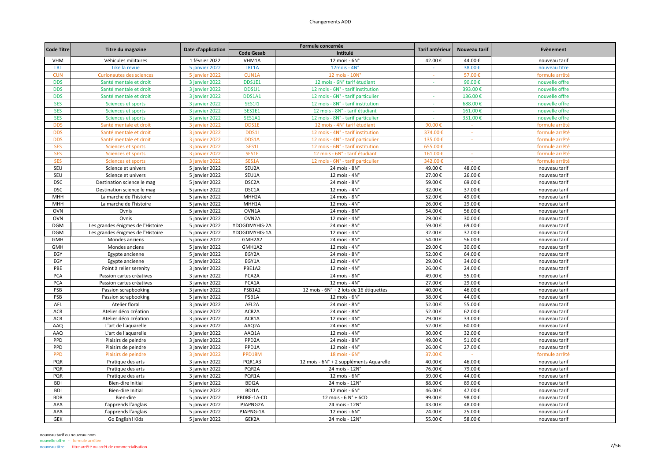| <b>Code Titre</b> | Titre du magazine                 | Date d'application |                    | Formule concernée                       | Tarif antérieur | Nouveau tarif | Evènement      |
|-------------------|-----------------------------------|--------------------|--------------------|-----------------------------------------|-----------------|---------------|----------------|
|                   |                                   |                    | <b>Code Gesab</b>  | Intitulé                                |                 |               |                |
| <b>VHM</b>        | Véhicules militaires              | 1 février 2022     | VHM1A              | $12$ mois - $6N^\circ$                  | 42.00€          | 44.00€        | nouveau tarif  |
| <b>LRL</b>        | Like la revue                     | 5 janvier 2022     | LRL1A              | $12mois - 4N°$                          |                 | 38.00€        | nouveau titre  |
| <b>CUN</b>        | <b>Curionautes des sciences</b>   | 5 janvier 2022     | CUN1A              | 12 mois - 10N                           | $\sim$          | 57.00         | formule arrêté |
| <b>DDS</b>        | Santé mentale et droit            | 3 janvier 2022     | DDS1E1             | 12 mois - 6N° tarif étudiant            |                 | 90.00€        | nouvelle offre |
| <b>DDS</b>        | Santé mentale et droit            | 3 janvier 2022     | <b>DDS1I1</b>      | 12 mois - 6N° - tarif institution       |                 | 393.00€       | nouvelle offre |
| <b>DDS</b>        | Santé mentale et droit            | 3 janvier 2022     | DDS1A1             | 12 mois - 6N° - tarif particulier       | $\sim$          | 136.00€       | nouvelle offre |
| <b>SES</b>        | Sciences et sports                | 3 janvier 2022     | <b>SES111</b>      | 12 mois - 8N° - tarif institution       | $\sim$          | 688.00€       | nouvelle offre |
| <b>SES</b>        | Sciences et sports                | 3 janvier 2022     | SES1E1             | 12 mois - 8N° - tarif étudiant          | $\sim$          | 161.00€       | nouvelle offre |
| <b>SES</b>        | Sciences et sports                | 3 janvier 2022     | <b>SES1A1</b>      | 12 mois - 8N° - tarif particulier       |                 | 351.00€       | nouvelle offre |
| <b>DDS</b>        | Santé mentale et droit            | 3 janvier 2022     | DDS1E              | 12 mois - 4N° tarif étudiant            | 90.00€          |               | formule arrêté |
| <b>DDS</b>        | Santé mentale et droit            | 3 janvier 2022     | DDS1               | 12 mois - 4N° - tarif institution       | 374.00€         | $\sim$        | formule arrêté |
| <b>DDS</b>        | Santé mentale et droit            | 3 janvier 2022     | DDS1A              | 12 mois - 4N° - tarif particulier       | 135.00€         |               | formule arrêté |
| <b>SES</b>        | Sciences et sports                | 3 janvier 2022     | <b>SES11</b>       | 12 mois - 6N° - tarif institution       | 655.00€         |               | formule arrêté |
| <b>SES</b>        | Sciences et sports                | 3 janvier 2022     | SES1E              | 12 mois - 6N° - tarif étudiant          | 161.00€         |               | formule arrêté |
| <b>SES</b>        | Sciences et sports                | 3 janvier 2022     | SES1A              | 12 mois - 6N° - tarif particulier       | 342.00€         |               | formule arrêté |
| SEU               | Science et univers                | 5 janvier 2022     | SEU2A              | 24 mois - 8N°                           | 49.00€          | 48.00€        | nouveau tarif  |
| SEU               | Science et univers                | 5 janvier 2022     | SEU1A              | 12 mois - 4N°                           | 27.00€          | 26.00€        | nouveau tarif  |
| <b>DSC</b>        | Destination science le mag        | 5 janvier 2022     | DSC <sub>2</sub> A | 24 mois - 8N°                           | 59.00€          | 69.00€        | nouveau tarif  |
| <b>DSC</b>        | Destination science le mag        | 5 janvier 2022     | DSC1A              | 12 mois - 4N°                           | 32.00€          | 37.00€        | nouveau tarif  |
| MHH               | La marche de l'histoire           | 5 janvier 2022     | MHH2A              | 24 mois - 8N°                           | 52.00€          | 49.00€        | nouveau tarif  |
| MHH               | La marche de l'histoire           | 5 janvier 2022     | MHH1A              | $12$ mois - $4N^\circ$                  | 26.00€          | 29.00€        | nouveau tarif  |
| <b>OVN</b>        | Ovnis                             | 5 janvier 2022     | OVN1A              | 24 mois - 8N°                           | 54.00€          | 56.00€        | nouveau tarif  |
| <b>OVN</b>        | Ovnis                             | 5 janvier 2022     | OVN <sub>2</sub> A | 12 mois - $4Nc$                         | 29.00€          | 30.00€        | nouveau tarif  |
| <b>DGM</b>        | Les grandes énigmes de l'Histoire | 5 janvier 2022     | YDOGDMYHIS-2A      | 24 mois - 8N°                           | 59.00€          | 69.00€        | nouveau tarif  |
| <b>DGM</b>        | Les grandes énigmes de l'Histoire | 5 janvier 2022     | YDOGDMYHIS-1A      | 12 mois - 4N°                           | 32.00€          | 37.00€        | nouveau tarif  |
| <b>GMH</b>        | Mondes anciens                    | 5 janvier 2022     | GMH2A2             | $24$ mois - $8Nc$                       | 54.00€          | 56.00€        | nouveau tarif  |
| <b>GMH</b>        | Mondes anciens                    | 5 janvier 2022     | GMH1A2             | 12 mois - $4Nc$                         | 29.00€          | 30.00€        | nouveau tarif  |
| EGY               | Egypte ancienne                   | 5 janvier 2022     | EGY2A              | 24 mois - 8N°                           | 52.00€          | 64.00€        | nouveau tarif  |
| EGY               | Egypte ancienne                   | 5 janvier 2022     | EGY1A              | 12 mois - 4N°                           | 29.00€          | 34.00€        | nouveau tarif  |
| PBE               | Point à relier serenity           | 3 janvier 2022     | PBE1A2             | $12$ mois - $4Nc$                       | 26.00€          | 24.00€        | nouveau tarif  |
| PCA               | Passion cartes créatives          | 3 janvier 2022     | PCA2A              | 24 mois - 8N°                           | 49.00€          | 55.00€        | nouveau tarif  |
| PCA               | Passion cartes créatives          | 3 janvier 2022     | PCA1A              | 12 mois - 4N°                           | 27.00€          | 29.00€        | nouveau tarif  |
| PSB               | Passion scrapbooking              | 3 janvier 2022     | PSB1A2             | 12 mois - 6N° + 2 lots de 16 étiquettes | 40.00€          | 46.00€        | nouveau tarif  |
| PSB               | Passion scrapbooking              | 5 janvier 2022     | PSB1A              | 12 mois - 6N°                           | 38.00€          | 44.00€        | nouveau tarif  |
| AFL               | Atelier floral                    | 3 janvier 2022     | AFL2A              | 24 mois - 8N°                           | 52.00€          | 55.00€        | nouveau tarif  |
| <b>ACR</b>        | Atelier déco création             | 3 janvier 2022     | ACR <sub>2</sub> A | $24$ mois - $8Nc$                       | 52.00€          | 62.00€        | nouveau tarif  |
| <b>ACR</b>        | Atelier déco création             | 3 janvier 2022     | ACR1A              | 12 mois - 4N°                           | 29.00€          | 33.00€        | nouveau tarif  |
| AAQ               | L'art de l'aquarelle              | 3 janvier 2022     | AAQ2A              | 24 mois - 8N°                           | 52.00€          | 60.00€        | nouveau tarif  |
| AAQ               | L'art de l'aquarelle              | 3 janvier 2022     | AAQ1A              | 12 mois - 4N°                           | 30.00€          | 32.00€        | nouveau tarif  |
| PPD               | Plaisirs de peindre               | 3 janvier 2022     | PPD <sub>2</sub> A | 24 mois - 8N°                           | 49.00€          | 51.00€        | nouveau tarif  |
| PPD               | Plaisirs de peindre               | 3 janvier 2022     | PPD1A              | 12 mois - $4Nc$                         | 26.00€          | 27.00€        | nouveau tarif  |
| <b>PPD</b>        | Plaisirs de peindre               | 3 janvier 2022     | PPD18M             | 18 mois - 6N                            | 37.00€          |               | formule arrêté |
| PQR               | Pratique des arts                 | 3 janvier 2022     | PQR1A3             | 12 mois - 6N° + 2 suppléments Aquarelle | 40.00€          | 46.00€        | nouveau tarif  |
| PQR               | Pratique des arts                 | 3 janvier 2022     | PQR2A              | 24 mois - 12N°                          | 76.00€          | 79.00€        | nouveau tarif  |
| PQR               | Pratique des arts                 | 3 janvier 2022     | PQR1A              | 12 mois - 6N°                           | 39.00€          | 44.00€        | nouveau tarif  |
| <b>BDI</b>        | Bien-dire Initial                 | 5 janvier 2022     | BDI2A              | 24 mois - 12N°                          | 88.00€          | 89.00€        | nouveau tarif  |
| <b>BDI</b>        | Bien-dire Initial                 | 5 janvier 2022     | BDI1A              | $12$ mois - $6N^\circ$                  | 46.00€          | 47.00€        | nouveau tarif  |
| <b>BDR</b>        | Bien-dire                         | 5 janvier 2022     | PBDRE-1A-CD        | 12 mois - 6 N° + 6CD                    | 99.00€          | 98.00€        | nouveau tarif  |
| APA               | J'apprends l'anglais              | 5 janvier 2022     | PJAPNG2A           | 24 mois - 12N°                          | 43.00€          | 48.00€        | nouveau tarif  |
| APA               | J'apprends l'anglais              | 5 janvier 2022     | PJAPNG-1A          | 12 mois - 6N°                           | 24.00€          | 25.00€        | nouveau tarif  |
| <b>GEK</b>        | Go English! Kids                  | 5 janvier 2022     | GEK2A              | 24 mois - 12N°                          | 55.00€          | 58.00€        | nouveau tarif  |
|                   |                                   |                    |                    |                                         |                 |               |                |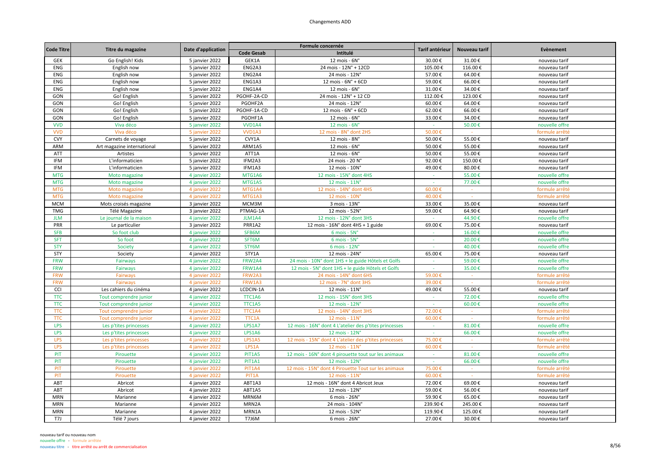| <b>Code Titre</b> | Titre du magazine          | Date d'application |                   | Formule concernée                                      | Tarif antérieur | Nouveau tarif      | Evènement      |
|-------------------|----------------------------|--------------------|-------------------|--------------------------------------------------------|-----------------|--------------------|----------------|
|                   |                            |                    | <b>Code Gesab</b> | Intitulé                                               |                 |                    |                |
| GEK               | Go English! Kids           | 5 janvier 2022     | GEK1A             | 12 mois - 6N°                                          | 30.00€          | 31.00€             | nouveau tarif  |
| ENG               | English now                | 5 janvier 2022     | ENG2A3            | 24 mois - 12N° + 12CD                                  | 105.00€         | $116.00\,\text{E}$ | nouveau tarif  |
| ENG               | English now                | 5 janvier 2022     | ENG2A4            | 24 mois - 12N°                                         | 57.00€          | 64.00€             | nouveau tarif  |
| <b>ENG</b>        | English now                | 5 janvier 2022     | ENG1A3            | 12 mois - 6N° + 6CD                                    | 59.00€          | 66.00€             | nouveau tarif  |
| <b>ENG</b>        | English now                | 5 janvier 2022     | ENG1A4            | $12$ mois - $6N^\circ$                                 | 31.00€          | 34.00€             | nouveau tarif  |
| GON               | Go! English                | 5 janvier 2022     | PGOHF-2A-CD       | 24 mois - 12N° + 12 CD                                 | 112.00€         | 123.00€            | nouveau tarif  |
| GON               | Go! English                | 5 janvier 2022     | PGOHF2A           | 24 mois - 12N°                                         | 60.00€          | 64.00€             | nouveau tarif  |
| GON               | Go! English                | 5 janvier 2022     | PGOHF-1A-CD       | 12 mois - 6N° + 6CD                                    | 62.00€          | 66.00€             | nouveau tarif  |
| GON               | Go! English                | 5 janvier 2022     | PGOHF1A           | $12$ mois - $6N^\circ$                                 | 33.00€          | 34.00€             | nouveau tarif  |
| <b>VVD</b>        | Viva déco                  | 5 janvier 2022     | VVD1A4            | 12 mois - $6Nc$                                        | $\sim$          | 50.00€             | nouvelle offre |
| <b>VVD</b>        | Viva déco                  | 5 janvier 2022     | <b>VVD1A3</b>     | 12 mois - 8N° dont 2HS                                 | 50.00€          | $\sim$             | formule arrêté |
| <b>CVY</b>        | Carnets de voyage          | 5 janvier 2022     | CVY1A             | 12 mois - 8N°                                          | 50.00€          | 55.00€             | nouveau tarif  |
| ARM               | Art magazine international | 5 janvier 2022     | ARM1A5            | 12 mois - 6N°                                          | 50.00€          | 55.00€             | nouveau tarif  |
| <b>ATT</b>        | Artistes                   | 5 janvier 2022     | ATT1A             | $12$ mois - $6N^\circ$                                 | 50.00€          | 55.00€             | nouveau tarif  |
| IFM               | L'informaticien            | 5 janvier 2022     | IFM2A3            | 24 mois - 20 N°                                        | 92.00€          | 150.00€            | nouveau tarif  |
| IFM               | L'informaticien            | 5 janvier 2022     | IFM1A3            | 12 mois - 10N°                                         | 49.00€          | 80.00€             | nouveau tarif  |
| <b>MTG</b>        | Moto magazine              | 4 janvier 2022     | MTG1A6            | 12 mois - 15N° dont 4HS                                | $\sim$          | 55.00€             | nouvelle offre |
| <b>MTG</b>        | Moto magazine              | 4 janvier 2022     | MTG1A5            | 12 mois - 11N°                                         | $\sim$          | 77.00€             | nouvelle offre |
| <b>MTG</b>        | Moto magazine              | 4 janvier 2022     | MTG1A4            | 12 mois - 14N° dont 4HS                                | 60.00€          |                    | formule arrêté |
| <b>MTG</b>        | Moto magazine              | 4 janvier 2022     | MTG1A3            | 12 mois - 10N°                                         | 40.00€          |                    | formule arrêté |
| <b>MCM</b>        | Mots croisés magazine      | 3 janvier 2022     | MCM3M             | 3 mois - 13N°                                          | 33.00€          | 35.00€             | nouveau tarif  |
| TMG               | Télé Magazine              | 3 janvier 2022     | PTMAG-1A          | 12 mois - 52N°                                         | 59.00€          | 64.90€             | nouveau tarif  |
| <b>JLM</b>        | Le journal de la maison    | 4 janvier 2022     | JLM1A4            | 12 mois - 12N° dont 3HS                                | $\sim$          | 44.90€             | nouvelle offre |
| PRR               | Le particulier             | 3 janvier 2022     | PRR1A2            | 12 mois - 16N° dont 4HS + 1 guide                      | 69.00€          | 75.00€             | nouveau tarif  |
| <b>SFB</b>        | So foot club               | 4 janvier 2022     | SFB6M             | $6$ mois - $5N^{\circ}$                                |                 | 16.00€             | nouvelle offre |
| <b>SFT</b>        | So foot                    | 4 janvier 2022     | SFT6M             | $6$ mois - $5N^{\circ}$                                | $\sim$          | 20.00€             | nouvelle offre |
| <b>STY</b>        | Society                    | 4 janvier 2022     | STY6M             | 6 mois - 12N°                                          | $\sim$          | 40.00€             | nouvelle offre |
| <b>STY</b>        | Society                    | 4 janvier 2022     | STY1A             | 12 mois - 24N°                                         | 65.00€          | 75.00€             | nouveau tarif  |
| <b>FRW</b>        | Fairways                   | 4 janvier 2022     | FRW2A4            | 24 mois - 10N° dont 1HS + le guide Hôtels et Golfs     | $\sim$          | 59.00€             | nouvelle offre |
| <b>FRW</b>        | Fairways                   | 4 janvier 2022     | <b>FRW1A4</b>     | 12 mois - 5N° dont 1HS + le guide Hôtels et Golfs      | $\sim$          | 35.00€             | nouvelle offre |
| <b>FRW</b>        | Fairways                   | 4 janvier 2022     | FRW2A3            | 24 mois - 14N° dont 6HS                                | 59.00€          |                    | formule arrêté |
| <b>FRW</b>        | Fairways                   | 4 janvier 2022     | FRW1A3            | 12 mois - 7N° dont 3HS                                 | 39.00€          | $\sim$             | formule arrêté |
| CCI               | Les cahiers du cinéma      | 4 janvier 2022     | LCDCIN-1A         | 12 mois - 11N°                                         | 49.00€          | 55.00€             | nouveau tarif  |
| <b>TTC</b>        | Tout comprendre junior     | 4 janvier 2022     | TTC1A6            | 12 mois - 15N° dont 3HS                                | $\sim$          | 72.00€             | nouvelle offre |
| <b>TTC</b>        | Tout comprendre junior     | 4 janvier 2022     | TTC1A5            | 12 mois - 12N°                                         | $\sim$          | 60.00€             | nouvelle offre |
| <b>TTC</b>        | Tout comprendre junior     | 4 janvier 2022     | TTC1A4            | 12 mois - 14N° dont 3HS                                | 72.00€          |                    | formule arrêté |
| <b>TTC</b>        | Tout comprendre junior     | 4 janvier 2022     | TTC1A             | 12 mois - 11N°                                         | 60.00€          | $\sim$             | formule arrêté |
| <b>LPS</b>        | Les p'tites princesses     | 4 janvier 2022     | LPS1A7            | 12 mois - 16N° dont 4 L'atelier des p'tites princesses | $\sim$          | 81.00€             | nouvelle offre |
| <b>LPS</b>        | Les p'tites princesses     | 4 janvier 2022     | <b>LPS1A6</b>     | 12 mois - 12N°                                         | $\sim$          | 66.00€             | nouvelle offre |
| LPS               | Les p'tites princesses     | 4 janvier 2022     | LPS1A5            | 12 mois - 15N° dont 4 L'atelier des p'tites princesses | 75.00€          | $\sim$             | formule arrêté |
| LPS               | Les p'tites princesses     | 4 janvier 2022     | LPS1A             | 12 mois - 11N°                                         | 60.00€          |                    | formule arrêté |
| PIT               | Pirouette                  | 4 janvier 2022     | PIT1A5            | 12 mois - 16N° dont 4 pirouette tout sur les animaux   | $\sim$          | 81.00€             | nouvelle offre |
| PIT               | Pirouette                  | 4 janvier 2022     | PIT1A1            | 12 mois - 12N°                                         | $\sim$          | 66.00€             | nouvelle offre |
| PIT               | Pirouette                  | 4 janvier 2022     | PIT1A4            | 12 mois - 15N° dont 4 Pirouette Tout sur les animaux   | 75.00€          | $\sim$             | formule arrêté |
| PIT               | Pirouette                  | 4 janvier 2022     | PIT1A             | 12 mois - 11N°                                         | 60.00€          | $\sim$             | formule arrêté |
| ABT               | Abricot                    | 4 janvier 2022     | ABT1A3            | 12 mois - 16N° dont 4 Abricot Jeux                     | 72.00€          | 69.00€             | nouveau tarif  |
| ABT               | Abricot                    | 4 janvier 2022     | ABT1A5            | 12 mois - 12N°                                         | 59.00€          | 56.00€             | nouveau tarif  |
| <b>MRN</b>        | Marianne                   | 4 janvier 2022     | MRN6M             | 6 mois - 26N°                                          | 59.90€          | 65.00€             | nouveau tarif  |
| <b>MRN</b>        | Marianne                   | 4 janvier 2022     | MRN2A             | 24 mois - 104N°                                        | 239.90€         | 245.00€            | nouveau tarif  |
| <b>MRN</b>        | Marianne                   | 4 janvier 2022     | MRN1A             | 12 mois - 52N°                                         | 119.90€         | 125.00€            | nouveau tarif  |
| T7J               | Télé 7 jours               | 4 janvier 2022     | <b>T7J6M</b>      | 6 mois - 26N°                                          | 27.00€          | 30.00€             | nouveau tarif  |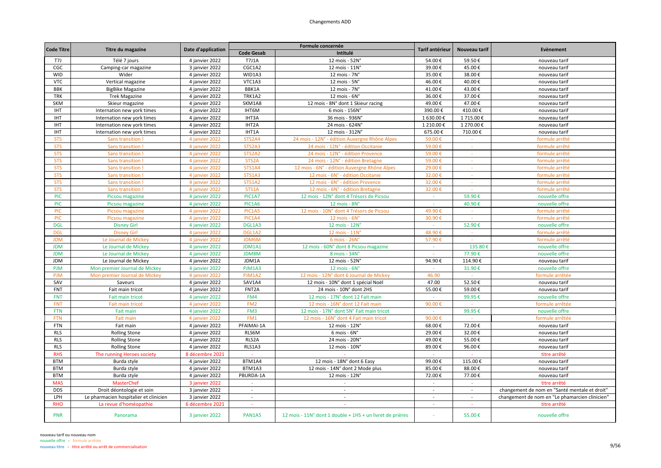| <b>Code Titre</b> |                                        |                    |                    | Formule concernée                                         | Tarif antérieur          | Nouveau tarif            | Evènement                                      |
|-------------------|----------------------------------------|--------------------|--------------------|-----------------------------------------------------------|--------------------------|--------------------------|------------------------------------------------|
|                   | Titre du magazine                      | Date d'application | <b>Code Gesab</b>  | Intitulé                                                  |                          |                          |                                                |
| T7J               | Télé 7 jours                           | 4 janvier 2022     | <b>T7J1A</b>       | 12 mois - 52N°                                            | 54.00€                   | 59.50€                   | nouveau tarif                                  |
| CGC               | Camping-car magazine                   | 3 janvier 2022     | CGC1A2             | 12 mois - 11N°                                            | 39.00€                   | 45.00€                   | nouveau tarif                                  |
| <b>WID</b>        | Wider                                  | 4 janvier 2022     | WID1A3             | 12 mois - 7N°                                             | 35.00€                   | 38.00€                   | nouveau tarif                                  |
| <b>VTC</b>        | Vertical magazine                      | 4 janvier 2022     | VTC1A3             | 12 mois - $5Nc$                                           | 46.00€                   | 40.00€                   | nouveau tarif                                  |
| <b>BBK</b>        | <b>BigBike Magazine</b>                | 4 janvier 2022     | BBK1A              | 12 mois - $7Nc$                                           | 41.00€                   | 43.00€                   | nouveau tarif                                  |
| <b>TRK</b>        | <b>Trek Magazine</b>                   | 4 janvier 2022     | <b>TRK1A2</b>      | 12 mois - $6Nc$                                           | 36.00€                   | 37.00€                   | nouveau tarif                                  |
| SKM               | Skieur magazine                        | 4 janvier 2022     | SKM1A8             | 12 mois - 8N° dont 1 Skieur racing                        | 49.00€                   | 47.00€                   | nouveau tarif                                  |
| IHT               | Internation new york times             | 4 janvier 2022     | IHT6M              | 6 mois - 156N°                                            | 390.00€                  | 410.00€                  | nouveau tarif                                  |
| <b>IHT</b>        | Internation new york times             | 4 janvier 2022     | IHT3A              | 36 mois - 936N°                                           | 1 630.00€                | 1715.00€                 | nouveau tarif                                  |
| IHT               | Internation new york times             | 4 janvier 2022     | IHT2A              | 24 mois - 624N°                                           | 1 210.00€                | 1 270.00€                | nouveau tarif                                  |
| IHT               | Internation new york times             | 4 janvier 2022     | IHT1A              | 12 mois - 312N°                                           | 675.00€                  | 710.00€                  | nouveau tarif                                  |
| <b>STS</b>        | Sans transition                        | 4 janvier 2022     | STS2A4             | 24 mois - 12N° - édition Auvergne Rhône Alpes             | 59.00€                   |                          | formule arrêté                                 |
| <b>STS</b>        | Sans transition                        | 4 janvier 2022     | STS2A3             | 24 mois - 12N° - édition Occitanie                        | 59.00€                   | $\sim$                   | formule arrêté                                 |
| <b>STS</b>        | Sans transition                        | 4 janvier 2022     | STS2A2             | 24 mois - 12N° - édition Provence                         | 59.00€                   | $\overline{\phantom{a}}$ | formule arrêté                                 |
| <b>STS</b>        | Sans transition                        | 4 janvier 2022     | STS <sub>2</sub> A | 24 mois - 12N° - édition Bretagne                         | 59.00€                   |                          | formule arrêté                                 |
| <b>STS</b>        | Sans transition                        | 4 janvier 2022     | <b>STS1A4</b>      | 12 mois - 6N° - édition Auvergne Rhône Alpes              | 29.00€                   | $\sim$                   | formule arrêté                                 |
| <b>STS</b>        | Sans transition                        | 4 janvier 2022     | <b>STS1A3</b>      | 12 mois - 6N° - édition Occitanie                         | 32.00€                   | $\Delta \phi$            | formule arrêté                                 |
| <b>STS</b>        | Sans transition !                      | 4 janvier 2022     | <b>STS1A2</b>      | 12 mois - 6N° - édition Provence                          | 32.00€                   | $\sim$                   | formule arrêté                                 |
| <b>STS</b>        | Sans transition                        | 4 janvier 2022     | STS1A              | 12 mois - 6N° - édition Bretagne                          | 32.00€                   | $\sim$                   | formule arrêté                                 |
| <b>PIC</b>        | Picsou magazine                        | 4 janvier 2022     | PIC1A7             | 12 mois - 12N° dont 4 Trésors de Picsou                   | $\sim$                   | 59.90€                   | nouvelle offre                                 |
| <b>PIC</b>        | Picsou magazine                        | 4 janvier 2022     | PIC1A6             | 12 mois - 8N°                                             |                          | 40.90€                   | nouvelle offre                                 |
| <b>PIC</b>        | Picsou magazine                        | 4 janvier 2022     | PIC1A5             | 12 mois - 10N° dont 4 Trésors de Picsou                   | 49.90€                   | $\sim$                   | formule arrêté                                 |
| <b>PIC</b>        | Picsou magazine                        | 4 janvier 2022     | PIC1A4             | $12$ mois - $6N^\circ$                                    | 30.90€                   | $\sim$                   | formule arrêté                                 |
| <b>DGL</b>        | <b>Disney Girl</b>                     | 4 janvier 2022     | DGL1A3             | 12 mois - 12N°                                            | $\sim$                   | 52.90€                   | nouvelle offre                                 |
| <b>DGL</b>        | <b>Disney Girl</b>                     | 4 janvier 2022     | DGL1A2             | 12 mois - 11N'                                            | 48.90€                   | $\sim$                   | formule arrêté                                 |
| <b>JDM</b>        | Le Journal de Mickey                   | 4 janvier 2022     | JDM6M              | 6 mois - 26N°                                             | 57.90€                   |                          | formule arrêté                                 |
| <b>JDM</b>        | Le Journal de Mickey                   | 4 janvier 2022     | JDM1A1             | 12 mois - 60N° dont 8 Picsou magazine                     | $\sim$                   | 135.80€                  | nouvelle offre                                 |
| <b>JDM</b>        | Le Journal de Mickey                   | 4 janvier 2022     | <b>JDM8M</b>       | 8 mois - 34N°                                             | $\sim$                   | 77.90€                   | nouvelle offre                                 |
| <b>JDM</b>        | Le Journal de Mickey                   | 4 janvier 2022     | JDM1A              | 12 mois - 52N°                                            | 94.90€                   | 114.90€                  | nouveau tarif                                  |
| <b>PJM</b>        | Mon premier Journal de Mickey          | 4 janvier 2022     | PJM1A3             | 12 mois - 6N°                                             | $\sim$                   | 31.90€                   | nouvelle offre                                 |
| <b>PJM</b>        | Mon premier Journal de Mickey          | 4 janvier 2022     | PJM1A2             | 12 mois - 12N° dont 6 Journal de Mickey                   | 46.90                    |                          | formule arrêtée                                |
| SAV               | Saveurs                                | 4 janvier 2022     | SAV1A4             | 12 mois - 10N° dont 1 spécial Noël                        | 47.00                    | 52.50€                   | nouveau tarif                                  |
| FNT               | Fait main tricot                       | 4 janvier 2022     | FNT2A              | 24 mois - 10N° dont 2HS                                   | 55.00€                   | 59.00€                   | nouveau tarif                                  |
| <b>FNT</b>        | Fait main tricot                       | 4 janvier 2022     | FM4                | 12 mois - 17N° dont 12 Fait main                          | $\sim$                   | 99.95€                   | nouvelle offre                                 |
| <b>FNT</b>        | <b>Fait main tricot</b>                | 4 janvier 2022     | FM <sub>2</sub>    | 12 mois - 16N° dont 12 Fait main                          | 90.00€                   |                          | formule arrêtée                                |
| <b>FTN</b>        | Fait main                              | 4 janvier 2022     | FM3                | 12 mois - 17N° dont 5N° Fait main tricot                  |                          | 99.95€                   | nouvelle offre                                 |
| <b>FTN</b>        | <b>Fait main</b>                       | 4 janvier 2022     | FM1                | 12 mois - 16N° dont 4 Fait main tricot                    | 90.00€                   |                          | formule arrêtée                                |
| <b>FTN</b>        | Fait main                              | 4 janvier 2022     | PFAIMAI-1A         | 12 mois - 12N°                                            | 68.00€                   | 72.00€                   | nouveau tarif                                  |
| <b>RLS</b>        | <b>Rolling Stone</b>                   | 4 janvier 2022     | RLS6M              | $6$ mois - $6N^\circ$                                     | 29.00€                   | 32.00€                   | nouveau tarif                                  |
| <b>RLS</b>        | <b>Rolling Stone</b>                   | 4 janvier 2022     | RLS2A              | 24 mois - 20N°                                            | 49.00€                   | 55.00€                   | nouveau tarif                                  |
| <b>RLS</b>        | <b>Rolling Stone</b>                   | 4 janvier 2022     | RLS1A3             | 12 mois - 10N°                                            | 89.00€                   | 96.00€                   | nouveau tarif                                  |
| <b>RHS</b>        | The running Heroes society             | 8 décembre 2021    |                    |                                                           |                          |                          | titre arrêté                                   |
| <b>BTM</b>        | Burda style                            | 4 janvier 2022     | BTM1A4             | 12 mois - 18N° dont 6 Easy                                | 99.00€                   | $115.00 \in$             | nouveau tarif                                  |
| <b>BTM</b>        | Burda style                            | 4 janvier 2022     | BTM1A3             | 12 mois - 14N° dont 2 Mode plus                           | 85.00€                   | 88.00€                   | nouveau tarif                                  |
| <b>BTM</b>        | Burda style                            | 4 janvier 2022     | PBURDA-1A          | 12 mois - 12N°                                            | 72.00€                   | 77.00€                   | nouveau tarif                                  |
| <b>MAS</b>        | MasterChef                             | 3 janvier 2022     |                    |                                                           |                          |                          | titre arrêté                                   |
| <b>DDS</b>        | Droit déontologie et soin              | 3 janvier 2022     | $\sim$             | $\sim$                                                    | $\sim$                   | $\sim$                   | changement de nom en "Santé mentale et droit"  |
| LPH               | Le pharmacien hospitalier et clinicien | 3 janvier 2022     | $\sim$             | ÷                                                         | $\overline{\phantom{a}}$ |                          | changement de nom en "Le phamarcien clinicien" |
| <b>RHO</b>        | La revue d'homéopathie                 | 6 décembre 2021    | $\sim$             | ÷.                                                        | ÷.                       | ÷.                       | titre arrêté                                   |
| PNR               | Panorama                               | 3 janvier 2022     | PAN1A5             | 12 mois - 11N° dont 1 double + 1HS + un livret de prières |                          | 55.00€                   | nouvelle offre                                 |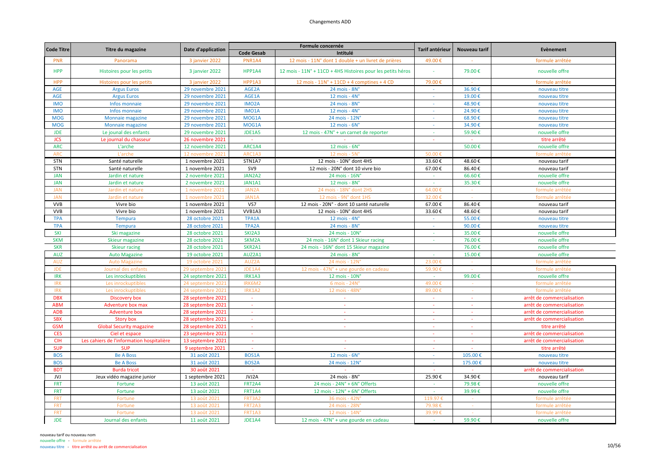| <b>Code Titre</b> |                                           | Date d'application |                    | Formule concernée                                           | <b>Tarif antérieur</b>   | Nouveau tarif | Evènement                  |
|-------------------|-------------------------------------------|--------------------|--------------------|-------------------------------------------------------------|--------------------------|---------------|----------------------------|
|                   | Titre du magazine                         |                    | <b>Code Gesab</b>  | Intitulé                                                    |                          |               |                            |
| PNR               | Panorama                                  | 3 janvier 2022     | PNR1A4             | 12 mois - 11N° dont 1 double + un livret de prières         | 49.00€                   |               | formule arrêtée            |
| <b>HPP</b>        | Histoires pour les petits                 | 3 janvier 2022     | HPP1A4             | 12 mois - 11N° + 11CD + 4HS Histoires pour les petits héros |                          | 79.00€        | nouvelle offre             |
| HPP               | Histoires pour les petits                 | 3 janvier 2022     | HPP1A3             | 12 mois - $11N^{\circ}$ + 11CD + 4 comptines + 4 CD         | 79.00€                   |               | formule arrêtée            |
| <b>AGE</b>        | <b>Argus Euros</b>                        | 29 novembre 2021   | AGE2A              | 24 mois - 8N°                                               | $\sim$                   | 36.90€        | nouveau titre              |
| <b>AGE</b>        | <b>Argus Euros</b>                        | 29 novembre 2021   | AGE1A              | 12 mois - $4N^\circ$                                        | $\sim$                   | 19.00€        | nouveau titre              |
| <b>IMO</b>        | Infos monnaie                             | 29 novembre 2021   | IMO <sub>2</sub> A | 24 mois - 8N°                                               |                          | 48.90€        | nouveau titre              |
| <b>IMO</b>        | Infos monnaie                             | 29 novembre 2021   | IMO1A              | 12 mois - $4N^\circ$                                        | $\sim$                   | 24.90€        | nouveau titre              |
| <b>MOG</b>        | Monnaie magazine                          | 29 novembre 2021   | MOG1A              | 24 mois - 12N°                                              |                          | 68.90€        | nouveau titre              |
| <b>MOG</b>        | Monnaie magazine                          | 29 novembre 2021   | MOG1A              | $12$ mois - $6N^\circ$                                      | ÷                        | 34.90€        | nouveau titre              |
| <b>JDE</b>        | Le jounal des enfants                     | 29 novembre 2021   | JDE1A5             | 12 mois - 47N° + un carnet de reporter                      | $\sim$                   | 59.90€        | nouvelle offre             |
| <b>JCS</b>        | Le journal du chasseur                    | 26 novembre 2021   | $\sim$             |                                                             |                          |               | titre arrêté               |
| <b>ARC</b>        | L'arche                                   | 12 novembre 2021   | ARC1A4             | $12$ mois - $6N^{\circ}$                                    |                          | 50.00€        | nouvelle offre             |
| <b>ARC</b>        | L'arche                                   | 12 novembre 202    | ARC1A3             | 12 mois - 5N                                                | 50.00                    |               | formule arrêté             |
| <b>STN</b>        | Santé naturelle                           | 1 novembre 2021    | STN1A7             | 12 mois - 10N° dont 4HS                                     | 33.60€                   | 48.60€        | nouveau tarif              |
| STN               | Santé naturelle                           | 1 novembre 2021    | SV9                | 12 mois - 20N° dont 10 vivre bio                            | 67.00€                   | 86.40€        | nouveau tarif              |
| <b>JAN</b>        | Jardin et nature                          | 2 novembre 2021    | JAN2A2             | 24 mois - 16N°                                              |                          | 66.60€        | nouvelle offre             |
| <b>JAN</b>        | Jardin et nature                          | 2 novembre 2021    | JAN1A1             | 12 mois - 8N°                                               | $\sim$                   | 35.30€        | nouvelle offre             |
| <b>JAN</b>        | Jardin et nature                          | 1 novembre 202:    | JAN2/              | 24 mois - 18N° dont 2HS                                     | 64.00                    |               | formule arrêtée            |
| <b>JAN</b>        | Jardin et nature                          | 1 novembre 2021    | JAN1A              | 12 mois - 9N° dont 1HS                                      | 32.00€                   |               | formule arrêtée            |
| <b>VVB</b>        | Vivre bio                                 | 1 novembre 2021    | VS7                | 12 mois - 20N° - dont 10 santé naturelle                    | 67.00€                   | 86.40€        | nouveau tarif              |
| <b>VVB</b>        | Vivre bio                                 | 1 novembre 2021    | VVB1A3             | 12 mois - 10N° dont 4HS                                     | 33.60€                   | 48.60€        | nouveau tarif              |
| <b>TPA</b>        | <b>Tempura</b>                            | 28 octobre 2021    | TPA1A              | 12 mois - 4N°                                               | $\sim$                   | 55.00€        | nouveau titre              |
| <b>TPA</b>        | <b>Tempura</b>                            | 28 octobre 2021    | TPA2A              | 24 mois - 8N°                                               |                          | 90.00€        | nouveau titre              |
| SKI               | Ski magazine                              | 28 octobre 2021    | SKI2A3             | 24 mois - 10N°                                              |                          | 35.00€        | nouvelle offre             |
| <b>SKM</b>        | Skieur magazine                           | 28 octobre 2021    | SKM2A              | 24 mois - 16N° dont 1 Skieur racing                         | $\sim$                   | 76.00€        | nouvelle offre             |
| <b>SKR</b>        | <b>Skieur racing</b>                      | 28 octobre 2021    | SKR2A1             | 24 mois - 16N° dont 15 Skieur magazine                      |                          | 76.00€        | nouvelle offre             |
| <b>AUZ</b>        | <b>Auto Magazine</b>                      | 19 octobre 2021    | AUZ2A1             | 24 mois - 8N°                                               | $\sim$                   | 15.00€        | nouvelle offre             |
| <b>AUZ</b>        | <b>Auto Magazine</b>                      | 19 octobre 202:    | AUZ2A              | 24 mois - 12N                                               | 23.00                    |               | formule arrêtée            |
| <b>JDE</b>        | Journal des enfants                       | 29 septembre 202:  | JDE1A4             | 12 mois - 47N° + une gourde en cadeau                       | 59.90€                   |               | formule arrêtée            |
| <b>IRK</b>        | Les inrockuptibles                        | 24 septembre 2021  | IRK1A3             | 12 mois - 10N°                                              | $\sim$                   | 99.00€        | nouvelle offre             |
| <b>IRK</b>        | Les inrockuptibles                        | 24 septembre 202   | IRK6M2             | 6 mois - 24N                                                | 49.00€                   |               | formule arrêtée            |
| <b>IRK</b>        | Les inrockuptibles                        | 24 septembre 202:  | IRK1A2             | 12 mois - 48N                                               | 89.00€                   |               | formule arrêtée            |
| <b>DBX</b>        | Discovery box                             | 28 septembre 2021  | $\sim$             | $\sim$                                                      | $\sim$                   | $\sim$        | arrêt de commercialisation |
| <b>ABM</b>        | Adventure box max                         | 28 septembre 2021  | $\mathbb{Z}$       | ÷                                                           |                          |               | arrêt de commercialisation |
| <b>ADB</b>        | <b>Adventure box</b>                      | 28 septembre 2021  | $\sim$             | $\sim$                                                      | $\sim$                   | $\sim$        | arrêt de commercialisation |
| <b>SBX</b>        | <b>Story box</b>                          | 28 septembre 2021  | $\sim$             | $\sim$                                                      | $\sim$                   | $\sim$        | arrêt de commercialisation |
| <b>GSM</b>        | <b>Global Security magazine</b>           | 28 septembre 2021  | $\blacksquare$     | $\sim$                                                      | $\overline{\phantom{a}}$ | $\sim$        | titre arrêté               |
| <b>CES</b>        | Ciel et espace                            | 23 septembre 2021  | $\sim$             |                                                             | $\sim$                   | $\sim$        | arrêt de commercialisation |
| <b>CIH</b>        | Les cahiers de l'information hospitalière | 13 septembre 2021  | $\sim$             |                                                             |                          |               | arrêt de commercialisation |
| <b>SUP</b>        | <b>SUP</b>                                | 9 septembre 2021   |                    |                                                             |                          |               | titre arrêté               |
| <b>BOS</b>        | <b>Be A Boss</b>                          | 31 août 2021       | BOS1A              | $12$ mois - $6N^\circ$                                      | a.                       | 105.00€       | nouveau titre              |
| <b>BOS</b>        | <b>Be A Boss</b>                          | 31 août 2021       | BOS <sub>2</sub> A | 24 mois - 12N°                                              | $\sim$                   | 175.00€       | nouveau titre              |
| <b>BDT</b>        | <b>Burda tricot</b>                       | 30 août 2021       | $\sim$             | $\sim$                                                      |                          |               | arrêt de commercialisation |
| JVJ               | Jeux vidéo magazine junior                | 1 septembre 2021   | JVJ2A              | 24 mois - 8N°                                               | 25.90€                   | 34.90€        | nouveau tarif              |
| <b>FRT</b>        | Fortune                                   | 13 août 2021       | FRT2A4             | 24 mois - 24N° + 6N° Offerts                                |                          | 79.98€        | nouvelle offre             |
| <b>FRT</b>        | Fortune                                   | 13 août 2021       | <b>FRT1A4</b>      | 12 mois - 12N° + 6N° Offerts                                | $\sim$                   | 39.99€        | nouvelle offre             |
| FRT               | Fortune                                   | 13 août 2021       | FRT3A2             | 36 mois - 42N°                                              | 119.97€                  |               | formule arrêtée            |
| <b>FRT</b>        | Fortune                                   | 13 août 2021       | FRT2A3             | 24 mois - 28N                                               | 79.98                    |               | formule arrêtée            |
| <b>FRT</b>        | Fortune                                   | 13 août 2021       | FRT1A3             | 12 mois - 14N                                               | 39.99€                   |               | formule arrêtée            |
| <b>JDE</b>        | Journal des enfants                       | 11 août 2021       | JDE1A4             | 12 mois - 47N° + une gourde en cadeau                       |                          | 59.90€        | nouvelle offre             |
|                   |                                           |                    |                    |                                                             |                          |               |                            |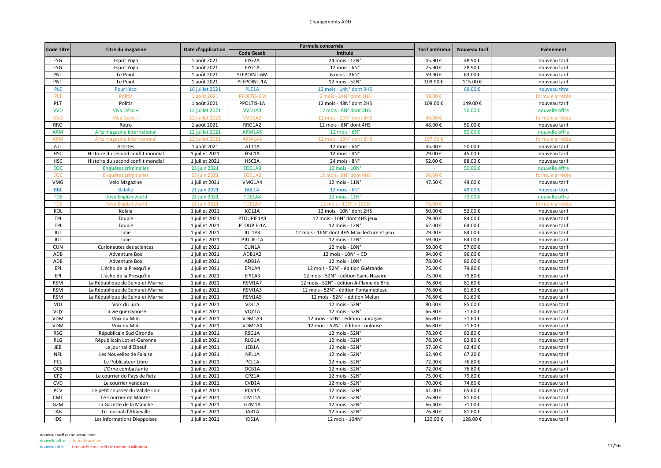| <b>Code Titre</b> |                                    |                    |                   | Formule concernée                            | Tarif antérieur | Nouveau tarif | Evènement       |
|-------------------|------------------------------------|--------------------|-------------------|----------------------------------------------|-----------------|---------------|-----------------|
|                   | Titre du magazine                  | Date d'application | <b>Code Gesab</b> | Intitulé                                     |                 |               |                 |
| EYG               | Esprit Yoga                        | 1 août 2021        | EYG2A             | 24 mois - 12N°                               | 45.90€          | 48.90€        | nouveau tarif   |
| EYG               | Esprit Yoga                        | 1 août 2021        | EYG1A             | 12 mois - 6N°                                | 25.90€          | 28.90€        | nouveau tarif   |
| PNT               | Le Point                           | 1 août 2021        | YLEPOINT-6M       | 6 mois - 26N°                                | 59.90€          | 63.00€        | nouveau tarif   |
| PNT               | Le Point                           | 1 août 2021        | YLEPOINT-1A       | 12 mois - 52N°                               | 109.90€         | 115.00€       | nouveau tarif   |
| <b>PLE</b>        | Pour l'éco                         | 16 juillet 2021    | PLE1A             | 12 mois - 14N° dont 3HS                      |                 | 69.00€        | nouveau titre   |
| PLT               | <b>Politis</b>                     | 1 août 2021        | PPOLTIS-6M        | 6 mois - 24N° dont 1HS                       | 59.00€          |               | formule arrêtée |
| PLT               | Politis                            | 1 août 2021        | PPOLTIS-1A        | 12 mois - 48N° dont 2HS                      | 109.00€         | 149.00€       | nouveau tarif   |
| <b>VVD</b>        | Viva Déco +                        | 12 juillet 2021    | <b>VVD1A3</b>     | 12 mois - 8N° dont 2HS                       | $\sim$          | 50.00€        | nouvelle offre  |
| <b>VVD</b>        | Viva Déco                          | 12 juillet 202:    | VVD1A2            | 12 mois - 10N° dont 4HS                      | 49.00           |               | formule arrêté  |
| <b>RRO</b>        | Rétro                              | 1 août 2021        | RRO1A2            | 12 mois - 8N° dont 4HS                       | 48.00€          | 50.00€        | nouveau tarif   |
| <b>ARM</b>        | Arts magazine international        | 12 juillet 2021    | ARM1A5            | $12$ mois - $6N^\circ$                       | $\sim$          | 50.00€        | nouvelle offre  |
| <b>ARN</b>        | Arts magazine international        | 12 juillet 2021    | ARM1A8            | 12 mois - 12N° dont 2HS                      | 107.00          |               | formule arrêtée |
| ATT               | Artistes                           | 1 août 2021        | ATT1A             | $12$ mois - $6N^\circ$                       | 45.00€          | 50.00€        | nouveau tarif   |
| <b>HSC</b>        | Histoire du second conflit mondial | 1 juillet 2021     | HSC1A             | 12 mois - $4N^\circ$                         | 29.00€          | 45.00€        | nouveau tarif   |
| <b>HSC</b>        | Histoire du second conflit mondial | 1 juillet 2021     | HSC2A             | 24 mois - 8N°                                | 52.00€          | 88.00€        | nouveau tarif   |
| EQC               | Enquêtes criminelles               | 23 juin 2021       | EQC1A3            | 12 mois - 10N°                               |                 | 50.00€        | nouvelle offre  |
| EOC               | Enquêtes criminelles               | 23 juin 2021       | EQC1A2            | 12 mois - 8N° dont 4HS                       | 50.00€          |               | formule arrêtée |
| <b>VMG</b>        | Vélo Magazine                      | 1 juillet 2021     | VMG1A4            | 12 mois - 11N°                               | 47.50€          | 49.00€        | nouveau tarif   |
| <b>BBL</b>        | <b>Babille</b>                     | 21 juin 2021       | <b>BBL1A</b>      | $12$ mois - $6N^\circ$                       |                 | 49.00€        | nouveau titre   |
| <b>TDE</b>        | I love English world               | 21 juin 2021       | <b>TDE1A8</b>     | 12 mois - 11N°                               | $\sim$          | 72.00€        | nouvelle offre  |
| <b>TDE</b>        | I love English world               | 21 juin 2021       | <b>TDE1A7</b>     | 12 mois - 11N° + 10CD                        | 72.00€          |               | formule arrêtée |
| KOL               | Kolala                             | 1 juillet 2021     | KOL1A             | 12 mois - 10N° dont 2HS                      | 50.00€          | 52.00€        | nouveau tarif   |
| TPI               | Toupie                             | 1 juillet 2021     | PTOUPIE1A3        | 12 mois - 16N° dont 4HS jeux                 | 79.00€          | 84.00€        | nouveau tarif   |
| TPI               | Toupie                             | 1 juillet 2021     | PTOUPIE-1A        | 12 mois - 12N°                               | 62.00€          | 64.00€        | nouveau tarif   |
| JUL               | Julie                              | 1 juillet 2021     | JUL1A4            | 12 mois - 16N° dont 4HS Maxi lecture et jeux | 79.00€          | 84.00€        | nouveau tarif   |
| JUL               | Julie                              | 1 juillet 2021     | PJULIE-1A         | 12 mois - 12N°                               | 59.00€          | 64.00€        | nouveau tarif   |
| <b>CUN</b>        | Curionautes des sciences           | 1 juillet 2021     | CUN1A             | 12 mois - 10N°                               | 59.00€          | 57.00€        | nouveau tarif   |
| ADB               | Adventure Box                      | 1 juillet 2021     | ADB1A2            | 12 mois - 10N° + CD                          | 94.00€          | 96.00€        | nouveau tarif   |
| ADB               | Adventure Box                      | 1 juillet 2021     | ADB1A             | 12 mois - 10N°                               | 78.00€          | 80.00€        | nouveau tarif   |
| EPI               | L'écho de la Presqu'île            | 1 juillet 2021     | EPI1A4            | 12 mois - 52N° - édition Guérande            | 75.00€          | 79.80€        | nouveau tarif   |
| EPI               | L'écho de la Presqu'île            | 1 juillet 2021     | EPI1A3            | 12 mois - 52N° - édition Saint-Nazaire       | 75.00€          | 79.80€        | nouveau tarif   |
| <b>RSM</b>        | La République de Seine-et-Marne    | 1 juillet 2021     | RSM1A7            | 12 mois - 52N° - édition A-Plaine de Brie    | 76.80€          | 81.60€        | nouveau tarif   |
| <b>RSM</b>        | La République de Seine-et-Marne    | 1 juillet 2021     | RSM1A3            | 12 mois - 52N° - édition Fontainebleau       | 76.80€          | 81.60€        | nouveau tarif   |
| <b>RSM</b>        | La République de Seine-et-Marne    | 1 juillet 2021     | RSM1A5            | 12 mois - 52N° - édition Melun               | 76.80€          | 81.60€        | nouveau tarif   |
| VDJ               | Voix du Jura                       | 1 juillet 2021     | VDJ1A             | 12 mois - 52N°                               | 80.00€          | 85.00€        | nouveau tarif   |
| VQY               | La vie quercynoise                 | 1 juillet 2021     | VQY1A             | 12 mois - 52N°                               | 66.80€          | 71.60€        | nouveau tarif   |
| VDM               | Voix du Midi                       | 1 juillet 2021     | VDM1A3            | 12 mois - 52N° - édition Lauragais           | 66.80€          | 71.60€        | nouveau tarif   |
| VDM               | Voix du Midi                       | 1 juillet 2021     | VDM1A4            | 12 mois - 52N° - édition Toulouse            | 66.80€          | 71.60€        | nouveau tarif   |
| <b>RSG</b>        | Républicain Sud Gironde            | 1 juillet 2021     | RSG1A             | 12 mois - 52N°                               | 78.20€          | 82.80€        | nouveau tarif   |
| RLG               | Républicain Lot-et-Garonne         | 1 juillet 2021     | RLG1A             | 12 mois - 52N°                               | 78.20€          | 82.80€        | nouveau tarif   |
| <b>JEB</b>        | Le journal d'Elbeuf                | 1 juillet 2021     | JEB1A             | 12 mois - 52N°                               | 57.60€          | 62.40€        | nouveau tarif   |
| <b>NFL</b>        | Les Nouvelles de Falaise           | 1 juillet 2021     | NFL1A             | 12 mois - 52N°                               | 62.40€          | 67.20€        | nouveau tarif   |
| PCL               | Le Publicateur Libre               | 1 juillet 2021     | PCL1A             | 12 mois - 52N°                               | 72.00€          | 76.80€        | nouveau tarif   |
| OCB               | L'Orne combattante                 | 1 juillet 2021     | OCB1A             | 12 mois - 52N°                               | 72.00€          | 76.80€        | nouveau tarif   |
| CPZ               | Le courrier du Pays de Retz        | 1 juillet 2021     | CPZ1A             | 12 mois - 52N°                               | 75.00€          | 79.80€        | nouveau tarif   |
| <b>CVD</b>        | Le courrier vendéen                | 1 juillet 2021     | CVD1A             | 12 mois - 52N°                               | 70.00€          | 74.80€        | nouveau tarif   |
| PCV               | Le petit courrier du Val de Loir   | 1 juillet 2021     | PCV1A             | 12 mois - 52N°                               | 61.00€          | 65.60€        | nouveau tarif   |
| <b>CMT</b>        | Le Courrier de Mantes              | 1 juillet 2021     | CMT1A             | 12 mois - 52N°                               | 76.80€          | 81.60€        | nouveau tarif   |
| GZM               | La Gazette de la Manche            | 1 juillet 2021     | GZM1A             | 12 mois - 52N°                               | 66.40€          | 71.00€        | nouveau tarif   |
| <b>JAB</b>        | Le Journal d'Abbeville             | 1 juillet 2021     | JAB1A             | 12 mois - 52N°                               | 76.80€          | 81.60€        | nouveau tarif   |
| IDS               | Les informations Dieppoises        | 1 juillet 2021     | IDS1A             | 12 mois - 104N°                              | 120.00€         | 128.00€       | nouveau tarif   |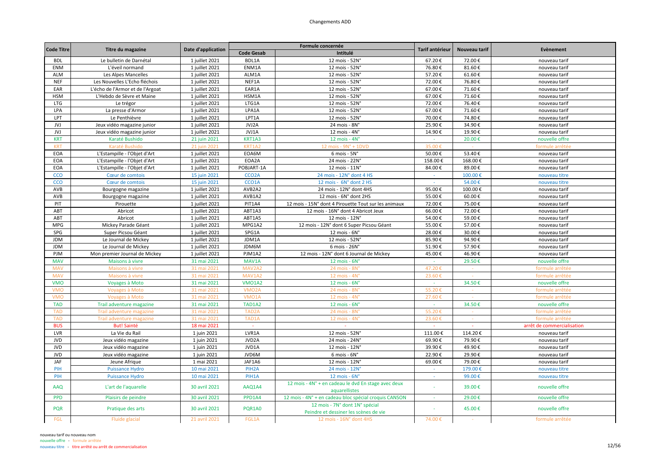| <b>Code Titre</b> |                                  |                    |                    | Formule concernée                                                       | Tarif antérieur | Nouveau tarif | Evènement                  |
|-------------------|----------------------------------|--------------------|--------------------|-------------------------------------------------------------------------|-----------------|---------------|----------------------------|
|                   | Titre du magazine                | Date d'application | <b>Code Gesab</b>  | Intitulé                                                                |                 |               |                            |
| <b>BDL</b>        | Le bulletin de Darnétal          | 1 juillet 2021     | BDL1A              | 12 mois - 52N°                                                          | 67.20€          | 72.00€        | nouveau tarif              |
| ENM               | L'éveil normand                  | 1 juillet 2021     | ENM1A              | 12 mois - 52N°                                                          | 76.80€          | 81.60€        | nouveau tarif              |
| ALM               | Les Alpes Mancelles              | 1 juillet 2021     | ALM1A              | 12 mois - 52N°                                                          | 57.20€          | 61.60€        | nouveau tarif              |
| <b>NEF</b>        | Les Nouvelles L'Echo fléchois    | 1 juillet 2021     | NEF1A              | 12 mois - 52N°                                                          | 72.00€          | 76.80€        | nouveau tarif              |
| EAR               | L'écho de l'Armor et de l'Argoat | 1 juillet 2021     | EAR1A              | 12 mois - 52N°                                                          | 67.00€          | 71.60€        | nouveau tarif              |
| <b>HSM</b>        | L'Hebdo de Sèvre et Maine        | 1 juillet 2021     | HSM1A              | 12 mois - 52N°                                                          | 67.00€          | 71.60€        | nouveau tarif              |
| <b>LTG</b>        | Le trégor                        | 1 juillet 2021     | LTG1A              | 12 mois - 52N°                                                          | 72.00€          | 76.40€        | nouveau tarif              |
| LPA               | La presse d'Armor                | 1 juillet 2021     | LPA1A              | 12 mois - 52N°                                                          | 67.00€          | 71.60€        | nouveau tarif              |
| LPT               | Le Penthièvre                    | 1 juillet 2021     | LPT1A              | 12 mois - 52N°                                                          | 70.00€          | 74.80€        | nouveau tarif              |
| JVJ               | Jeux vidéo magazine junior       | 1 juillet 2021     | JVJ2A              | 24 mois - 8N°                                                           | 25.90€          | 34.90€        | nouveau tarif              |
| JVJ               | Jeux vidéo magazine junior       | 1 juillet 2021     | JVJ1A              | 12 mois - 4N°                                                           | 14.90€          | 19.90€        | nouveau tarif              |
| <b>KRT</b>        | Karaté Bushido                   | 21 juin 2021       | KRT1A3             | 12 mois - $4N^\circ$                                                    | $\sim$          | 20.00€        | nouvelle offre             |
| <b>KRT</b>        | Karaté Bushido                   | 21 juin 2021       | KRT1A2             | 12 mois - 9N° + 1DVD                                                    | 35.00€          |               | formule arrêtée            |
| <b>EOA</b>        | L'Estampille - l'Objet d'Art     | 1 juillet 2021     | EOA6M              | $6$ mois - $5N^\circ$                                                   | 50.00€          | 53.40€        | nouveau tarif              |
| EOA               | L'Estampille - l'Objet d'Art     | 1 juillet 2021     | EOA2A              | 24 mois - 22N°                                                          | 158.00€         | 168.00€       | nouveau tarif              |
| <b>EOA</b>        | L'Estampille - l'Objet d'Art     | 1 juillet 2021     | POBJART-1A         | 12 mois - 11N°                                                          | 84.00€          | 89.00€        | nouveau tarif              |
| <b>CCO</b>        | Cœur de comtois                  | 15 juin 2021       | CCO <sub>2</sub> A | 24 mois - 12N° dont 4 HS                                                | $\sim$          | 100.00€       | nouveau titre              |
| <b>CCO</b>        | Cœur de comtois                  | 15 juin 2021       | CCO1A              | 12 mois - 6N° dont 2 HS                                                 |                 | 54.00€        | nouveau titre              |
| AVB               | Bourgogne magazine               | 1 juillet 2021     | AVB2A2             | 24 mois - 12N° dont 4HS                                                 | 95.00€          | 100.00€       | nouveau tarif              |
| AVB               | Bourgogne magazine               | 1 juillet 2021     | AVB1A2             | 12 mois - 6N° dont 2HS                                                  | 55.00€          | 60.00€        | nouveau tarif              |
| PIT               | Pirouette                        | 1 juillet 2021     | PIT1A4             | 12 mois - 15N° dont 4 Pirouette Tout sur les animaux                    | 72.00€          | 75.00€        | nouveau tarif              |
| ABT               | Abricot                          | 1 juillet 2021     | ABT1A3             | 12 mois - 16N° dont 4 Abricot Jeux                                      | 66.00€          | 72.00€        | nouveau tarif              |
| ABT               | Abricot                          | 1 juillet 2021     | ABT1A5             | 12 mois - 12N°                                                          | 54.00€          | 59.00€        | nouveau tarif              |
| <b>MPG</b>        | Mickey Parade Géant              | 1 juillet 2021     | MPG1A2             | 12 mois - 12N° dont 6 Super Picsou Géant                                | 55.00€          | 57.00€        | nouveau tarif              |
| SPG               | Super Picsou Géant               | 1 juillet 2021     | SPG1A              | 12 mois - $6Nc$                                                         | 28.00€          | 30.00€        | nouveau tarif              |
| <b>JDM</b>        | Le Journal de Mickey             | 1 juillet 2021     | JDM1A              | 12 mois - 52N°                                                          | 85.90€          | 94.90€        | nouveau tarif              |
| <b>JDM</b>        | Le Journal de Mickey             | 1 juillet 2021     | JDM6M              | 6 mois - 26N°                                                           | 51.90€          | 57.90€        | nouveau tarif              |
| PJM               | Mon premier Journal de Mickey    | 1 juillet 2021     | PJM1A2             | 12 mois - 12N° dont 6 Journal de Mickey                                 | 45.00€          | 46.90€        | nouveau tarif              |
| <b>MAV</b>        | Maisons à vivre                  | 31 mai 2021        | MAV1A              | 12 mois - 6N°                                                           |                 | 29.50€        | nouvelle offre             |
| <b>MAV</b>        | Maisons à vivre                  | 31 mai 2021        | MAV2A2             | 24 mois - 8N'                                                           | 47.20€          |               | formule arrêtée            |
| <b>MAV</b>        | Maisons à vivre                  | 31 mai 2021        | MAV1A2             | 12 mois - 4N'                                                           | 23.60€          |               | formule arrêtée            |
| <b>VMO</b>        | Voyages à Moto                   | 31 mai 2021        | <b>VMO1A2</b>      | 12 mois - $6N^{\circ}$                                                  |                 | 34.50€        | nouvelle offre             |
| <b>VMO</b>        | Voyages à Moto                   | 31 mai 2021        | VMO <sub>2</sub> A | 24 mois - 8N'                                                           | 55.20€          |               | formule arrêtée            |
| <b>VMO</b>        | Voyages à Moto                   | 31 mai 2021        | VMO <sub>1</sub> A | 12 mois - 4N                                                            | 27.60€          |               | formule arrêtée            |
| <b>TAD</b>        | Trail adventure magazine         | 31 mai 2021        | TAD1A2             | 12 mois - 6N°                                                           | $\sim$          | 34.50€        | nouvelle offre             |
| <b>TAD</b>        | Trail adventure magazine         | 31 mai 2021        | TAD <sub>2</sub> A | 24 mois - 8N                                                            | 55.20€          |               | formule arrêtée            |
| <b>TAD</b>        | Trail adventure magazine         | 31 mai 2021        | TAD1A              | 12 mois - 4N                                                            | 23.60€          |               | formule arrêtée            |
| <b>BUS</b>        | <b>But! Sainté</b>               | 18 mai 2021        | $\sim$             |                                                                         |                 | $\sim$        | arrêt de commercialisation |
| LVR               | La Vie du Rail                   | 1 juin 2021        | LVR1A              | 12 mois - 52N°                                                          | 111.00€         | 114.20€       | nouveau tarif              |
| <b>JVD</b>        | Jeux vidéo magazine              | 1 juin 2021        | JVD <sub>2</sub> A | 24 mois - 24N°                                                          | 69.90€          | 79.90€        | nouveau tarif              |
| <b>JVD</b>        | Jeux vidéo magazine              | 1 juin 2021        | JVD1A              | 12 mois - 12N°                                                          | 39.90€          | 49.90€        | nouveau tarif              |
| <b>JVD</b>        | Jeux vidéo magazine              | 1 juin 2021        | JVD6M              | $6$ mois - $6No$                                                        | 22.90€          | 29.90€        | nouveau tarif              |
| JAF               | Jeune Afrique                    | 1 mai 2021         | JAF1A6             | 12 mois - 12N°                                                          | 69.00€          | 79.00€        | nouveau tarif              |
| PIH               | <b>Puissance Hydro</b>           | 10 mai 2021        | PIH <sub>2</sub> A | 24 mois - 12N°                                                          | $\sim$          | 179.00€       | nouveau titre              |
| PIH               | <b>Puissance Hydro</b>           | 10 mai 2021        | PIH1A              | $12$ mois - $6N^\circ$                                                  | $\sim$          | 99.00€        | nouveau titre              |
|                   |                                  |                    |                    | 12 mois - 4N° + en cadeau le dvd En stage avec deux                     |                 |               |                            |
| AAQ               | L'art de l'aquarelle             | 30 avril 2021      | AAQ1A4             | aquarellistes                                                           |                 | 39.00€        | nouvelle offre             |
| <b>PPD</b>        | Plaisirs de peindre              | 30 avril 2021      | PPD1A4             | 12 mois - 4N° + en cadeau bloc spécial croquis CANSON                   |                 | 29.00€        | nouvelle offre             |
| <b>PQR</b>        | Pratique des arts                | 30 avril 2021      | PQR1A0             | 12 mois - 7N° dont 1N° spécial<br>Peindre et dessiner les scènes de vie |                 | 45.00€        | nouvelle offre             |
| <b>FGL</b>        | Fluide glacial                   | 21 avril 2021      | FGL1A              | 12 mois - 16N° dont 4HS                                                 | 74.00€          |               | formule arrêtée            |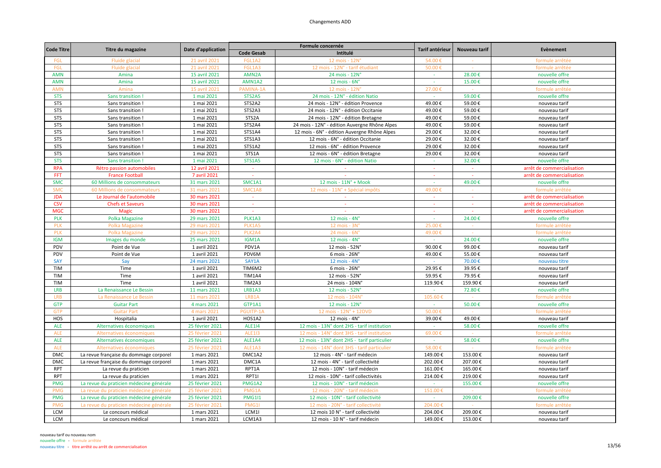| <b>Code Titre</b> |                                         |                    |                   | Formule concernée                             | Tarif antérieur | Nouveau tarif | Evènement                  |
|-------------------|-----------------------------------------|--------------------|-------------------|-----------------------------------------------|-----------------|---------------|----------------------------|
|                   | Titre du magazine                       | Date d'application | <b>Code Gesab</b> | Intitulé                                      |                 |               |                            |
| FGL               | Fluide glacial                          | 21 avril 2021      | FGL1A2            | $12$ mois - $12N^\circ$                       | 54.00€          |               | formule arrêtée            |
| <b>FGL</b>        | Fluide glacia                           | 21 avril 2021      | FGL1A3            | 12 mois - 12N° - tarif étudiant               | 50.00€          |               | formule arrêtée            |
| <b>AMN</b>        | Amina                                   | 15 avril 2021      | AMN2A             | 24 mois - 12N°                                | $\sim$          | 28.00€        | nouvelle offre             |
| <b>AMN</b>        | Amina                                   | 15 avril 2021      | AMN1A2            | $12$ mois - $6N^\circ$                        |                 | 15.00€        | nouvelle offre             |
| <b>AMN</b>        | Amina                                   | 15 avril 2021      | PAMINA-1A         | 12 mois - 12N                                 | 27.00€          |               | formule arrêtée            |
| <b>STS</b>        | Sans transition                         | 1 mai 2021         | STS2A5            | 24 mois - 12N° - édition Natio                | $\sim$          | 59.00€        | nouvelle offre             |
| <b>STS</b>        | Sans transition !                       | 1 mai 2021         | STS2A2            | 24 mois - 12N° - édition Provence             | 49.00€          | 59.00€        | nouveau tarif              |
| <b>STS</b>        | Sans transition !                       | 1 mai 2021         | STS2A3            | 24 mois - 12N° - édition Occitanie            | 49.00€          | 59.00€        | nouveau tarif              |
| <b>STS</b>        | Sans transition !                       | 1 mai 2021         | STS2A             | 24 mois - 12N° - édition Bretagne             | 49.00€          | 59.00€        | nouveau tarif              |
| <b>STS</b>        | Sans transition !                       | 1 mai 2021         | STS2A4            | 24 mois - 12N° - édition Auvergne Rhône Alpes | 49.00€          | 59.00€        | nouveau tarif              |
| <b>STS</b>        | Sans transition !                       | 1 mai 2021         | STS1A4            | 12 mois - 6N° - édition Auvergne Rhône Alpes  | 29.00€          | 32.00€        | nouveau tarif              |
| <b>STS</b>        | Sans transition                         | 1 mai 2021         | STS1A3            | 12 mois - 6N° - édition Occitanie             | 29.00€          | 32.00€        | nouveau tarif              |
| <b>STS</b>        | Sans transition !                       | 1 mai 2021         | STS1A2            | 12 mois - 6N° - édition Provence              | 29.00€          | 32.00€        | nouveau tarif              |
| <b>STS</b>        | Sans transition !                       | 1 mai 2021         | STS1A             | 12 mois - 6N° - édition Bretagne              | 29.00€          | 32.00€        | nouveau tarif              |
| <b>STS</b>        | Sans transition                         | 1 mai 2021         | <b>STS1A5</b>     | 12 mois - 6N° - édition Natio                 |                 | 32.00€        | nouvelle offre             |
| <b>RPA</b>        | Rétro passion automobiles               | 12 avril 2021      | $\sim$            |                                               |                 |               | arrêt de commercialisation |
| <b>FFT</b>        | <b>France Football</b>                  | 7 avril 2021       | $\sim$            | $\sim$                                        | $\sim$          | $\sim$        | arrêt de commercialisation |
| <b>SMC</b>        | 60 Millions de consommateurs            | 31 mars 2021       | SMC1A1            | 12 mois - $11N^\circ$ + Mook                  | $\sim$          | 49.00€        | nouvelle offre             |
| <b>SMC</b>        | 60 Millions de consommateurs            | 31 mars 2021       | SMC1A8            | 12 mois - 11N° + Spécial impôts               | 49.00€          |               | formule arrêtée            |
| <b>JDA</b>        | Le Journal de l'automobile              | 30 mars 2021       | $\sim$            | ÷                                             |                 |               | arrêt de commercialisation |
| <b>CSV</b>        | <b>Chefs et Saveurs</b>                 | 30 mars 2021       | $\omega$          | $\sim$                                        | $\sim$          |               | arrêt de commercialisation |
| <b>MGC</b>        | <b>Magic</b>                            | 30 mars 2021       | $\sim$            | $\sim$                                        | $\sim$          | $\sim$        | arrêt de commercialisation |
| <b>PLK</b>        | <b>Polka Magazine</b>                   | 29 mars 2021       | PLK1A3            | 12 mois - $4N^\circ$                          | $\sim$          | 24.00€        | nouvelle offre             |
| <b>PLK</b>        | <b>Polka Magazine</b>                   | 29 mars 2021       | PLK1A5            | 12 mois - 3N'                                 | 25.00€          |               | formule arrêtée            |
| <b>PLK</b>        | <b>Polka Magazine</b>                   | 29 mars 2021       | PLK2A4            | 24 mois - 6N                                  | 49.00           |               | formule arrêtée            |
| <b>IGM</b>        | Images du monde                         | 25 mars 2021       | IGM1A             | $12$ mois - $4N^\circ$                        |                 | 24.00€        | nouvelle offre             |
| PDV               | Point de Vue                            | 1 avril 2021       | PDV1A             | 12 mois - 52N°                                | 90.00€          | 99.00€        | nouveau tarif              |
| PDV               | Point de Vue                            | 1 avril 2021       | PDV6M             | 6 mois - 26N°                                 | 49.00€          | 55.00€        | nouveau tarif              |
| SAY               | Say                                     | 24 mars 2021       | SAY1A             | 12 mois - 4N°                                 |                 | 70.00€        | nouveau titre              |
| <b>TIM</b>        | Time                                    | 1 avril 2021       | TIM6M2            | 6 mois - 26N°                                 | 29.95€          | 39.95€        | nouveau tarif              |
| <b>TIM</b>        | Time                                    | 1 avril 2021       | <b>TIM1A4</b>     | 12 mois - 52N°                                | 59.95€          | 79.95€        | nouveau tarif              |
| <b>TIM</b>        | Time                                    | 1 avril 2021       | TIM2A3            | 24 mois - 104N°                               | 119.90€         | 159.90€       | nouveau tarif              |
| <b>LRB</b>        | La Renaissance Le Bessin                | 11 mars 2021       | LRB1A3            | 12 mois - 52N°                                | $\sim$          | 72.80€        | nouvelle offre             |
| <b>LRB</b>        | La Renaissance Le Bessin                | 11 mars 2021       | LRB1A             | 12 mois - 104N                                | 105.60€         |               | formule arrêtée            |
| <b>GTP</b>        | <b>Guitar Part</b>                      | 4 mars 2021        | GTP1A1            | 12 mois - 12N°                                | $\sim$          | 50.00€        | nouvelle offre             |
| <b>GTP</b>        | <b>Guitar Part</b>                      | 4 mars 2021        | PGUITP-1/         | 12 mois - 12N° + 12DVD                        | 50.00           |               | formule arrêtée            |
| HOS               | Hospitalia                              | 1 avril 2021       | HOS1A2            | $12$ mois - $4N^\circ$                        | 39.00€          | 49.00€        | nouveau tarif              |
| <b>ALE</b>        | Alternatives économiques                | 25 février 2021    | <b>ALE114</b>     | 12 mois - 13N° dont 2HS - tarif institution   |                 | 58.00€        | nouvelle offre             |
| <b>ALE</b>        | Alternatives économiques                | 25 février 2021    | <b>ALE113</b>     | 12 mois - 14N° dont 3HS - tarif institution   | 69.00€          |               | formule arrêtée            |
| <b>ALE</b>        | Alternatives économiques                | 25 février 2021    | ALE1A4            | 12 mois - 13N° dont 2HS - tarif particulier   |                 | 58.00€        | nouvelle offre             |
| <b>ALE</b>        | Alternatives économiques                | 25 février 2021    | ALE1A3            | 12 mois - 14N° dont 3HS - tarif particulier   | 58.00€          |               | formule arrêtée            |
| <b>DMC</b>        | La revue française du dommage corporel  | 1 mars 2021        | DMC1A2            | 12 mois - 4N° - tarif médecin                 | 149.00€         | 153.00€       | nouveau tarif              |
| <b>DMC</b>        | La revue française du dommage corporel  | 1 mars 2021        | DMC1A             | 12 mois - 4N° - tarif collectivité            | 202.00€         | 207.00€       | nouveau tarif              |
| <b>RPT</b>        | La revue du praticien                   | 1 mars 2021        | RPT1A             | 12 mois - 10N° - tarif médecin                | 161.00€         | 165.00€       | nouveau tarif              |
| <b>RPT</b>        | La revue du praticien                   | 1 mars 2021        | RPT1I             | 12 mois - 10N° - tarif collectivités          | 214.00€         | 219.00€       | nouveau tarif              |
| <b>PMG</b>        | La revue du praticien médecine générale | 25 février 2021    | PMG1A2            | 12 mois - 10N° - tarif médecin                |                 | 155.00€       | nouvelle offre             |
| <b>PMG</b>        | La revue du praticien médecine générale | 25 février 2021    | PMG1/             | 12 mois - 20N° - tarif médecin                | 151.00          |               | formule arrêtée            |
| <b>PMG</b>        | La revue du praticien médecine générale | 25 février 2021    | <b>PMG1I1</b>     | 12 mois - 10N° - tarif collectivité           |                 | 209.00€       | nouvelle offre             |
| <b>PMG</b>        | La revue du praticien médecine générale | 25 février 2021    | PMG1              | 12 mois - 20N° - tarif collectivite           | 204.00€         |               | formule arrêtée            |
| LCM               | Le concours médical                     | 1 mars 2021        | LCM1I             | 12 mois 10 N° - tarif collectivité            | 204.00€         | 209.00€       | nouveau tarif              |
| <b>LCM</b>        | Le concours médical                     | 1 mars 2021        | LCM1A3            | 12 mois - 10 N° - tarif médecin               | 149.00€         | 153.00€       | nouveau tarif              |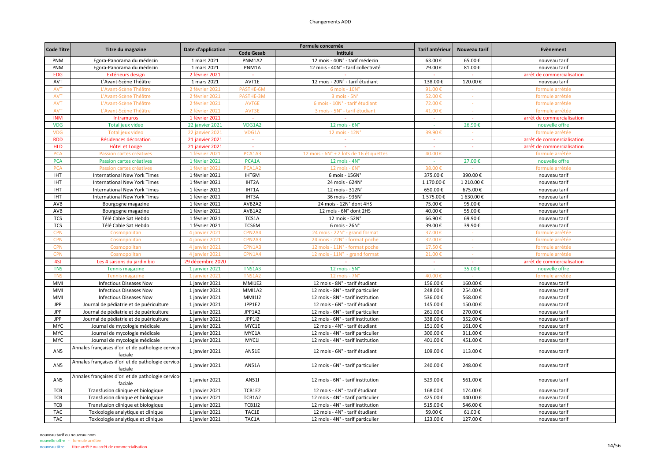| <b>Code Gesab</b><br>Intitulé<br>PNM1A2<br>PNM<br>Egora-Panorama du médecin<br>1 mars 2021<br>12 mois - 40N° - tarif médecin<br>63.00€<br>65.00€<br>nouveau tarif<br>PNM1A<br>PNM<br>Egora-Panorama du médecin<br>1 mars 2021<br>12 mois - 40N° - tarif collectivité<br>79.00€<br>81.00€<br>nouveau tarif<br><b>EDG</b><br>2 février 2021<br>Extérieurs design<br>arrêt de commercialisation<br>AVT<br>AVT1E<br>12 mois - 20N° - tarif étudiant<br>138.00€<br>120.00€<br>L'Avant-Scène Théâtre<br>1 mars 2021<br>nouveau tarif<br><b>AVT</b><br>L'Avant-Scène Théâtre<br>2 février 2021<br>PASTHE-6M<br>6 mois - 10N<br>91.00€<br>formule arrêtée<br>52.00€<br><b>AVT</b><br>2 février 2021<br>PASTHE-3M<br>3 mois - 5N°<br>L'Avant-Scène Théâtre<br>formule arrêtée<br><b>AVT</b><br>2 février 2021<br>AVT6E<br>6 mois - 10N° - tarif étudiant<br>72.00€<br>L'Avant-Scène Théâtre<br>formule arrêtée<br>AVT3E<br><b>AVT</b><br>L'Avant-Scène Théâtre<br>2 février 2021<br>3 mois - 5N° - tarif étudiant<br>41.00€<br>formule arrêtée<br><b>INM</b><br>Intramuros<br>1 février 2021<br>arrêt de commercialisation<br><b>VDG</b><br><b>22 janvier 2021</b><br>VDG1A2<br>12 mois - $6N^{\circ}$<br>26.90€<br>Total jeux video<br>$\sim$<br>nouvelle offre<br>VDG1A<br>12 mois - 12N°<br><b>VDG</b><br>Total jeux video<br>22 janvier 2021<br>39.90€<br>formule arrêtée<br><b>RDD</b><br>Résidences décoration<br>arrêt de commercialisation<br>21 janvier 2021<br>$\sim$<br>$\sim$<br>$\sim$<br><b>HLD</b><br>Hôtel et Lodge<br>21 janvier 2021<br>$\sim$<br>arrêt de commercialisation<br>$\sim$<br>$\sim$<br>$\sim$<br><b>PCA</b><br>PCA1A3<br>12 mois - 6N° + 2 lots de 16 étiquettes<br>40.00 €<br>Passion cartes créatives<br>1 février 2021<br>formule arrêtée<br>nouvelle offre<br><b>PCA</b><br>Passion cartes créatives<br>1 février 2021<br>PCA1A<br>$12$ mois - $4N^\circ$<br>27.00€<br>$\sim$<br>1 février 2021<br>PCA1A2<br>12 mois - $6N^{\circ}$<br>38.00€<br>formule arrêtée<br><b>PCA</b><br>Passion cartes créatives<br><b>IHT</b><br>1 février 2021<br>IHT6M<br>6 mois - 156N°<br>375.00€<br>390.00€<br><b>International New York Times</b><br>nouveau tarif<br><b>IHT</b><br>1 février 2021<br>IHT2A<br>24 mois - 624N°<br>1 170.00€<br>1 210.00€<br><b>International New York Times</b><br>nouveau tarif<br>IHT1A<br><b>IHT</b><br>1 février 2021<br>12 mois - 312N°<br>650.00€<br>675.00€<br><b>International New York Times</b><br>nouveau tarif<br>IHT3A<br><b>IHT</b><br>1 février 2021<br>36 mois - 936N°<br>1 575.00€<br>1 630.00€<br><b>International New York Times</b><br>nouveau tarif<br>AVB2A2<br>95.00€<br>AVB<br>Bourgogne magazine<br>1 février 2021<br>24 mois - 12N° dont 4HS<br>75.00€<br>nouveau tarif<br>AVB<br>AVB1A2<br>40.00€<br>55.00€<br>1 février 2021<br>12 mois - 6N° dont 2HS<br>nouveau tarif<br>Bourgogne magazine<br><b>TCS</b><br>1 février 2021<br>TCS1A<br>66.90€<br>69.90€<br>Télé Cable Sat Hebdo<br>12 mois - 52N°<br>nouveau tarif<br>TCS6M<br><b>TCS</b><br>Télé Cable Sat Hebdo<br>6 mois - 26N°<br>39.00€<br>39.90€<br>1 février 2021<br>nouveau tarif | <b>Code Titre</b> | Titre du magazine | <b>Date d'application</b> |        | Formule concernée             | Tarif antérieur | Nouveau tarif | Evènement       |
|---------------------------------------------------------------------------------------------------------------------------------------------------------------------------------------------------------------------------------------------------------------------------------------------------------------------------------------------------------------------------------------------------------------------------------------------------------------------------------------------------------------------------------------------------------------------------------------------------------------------------------------------------------------------------------------------------------------------------------------------------------------------------------------------------------------------------------------------------------------------------------------------------------------------------------------------------------------------------------------------------------------------------------------------------------------------------------------------------------------------------------------------------------------------------------------------------------------------------------------------------------------------------------------------------------------------------------------------------------------------------------------------------------------------------------------------------------------------------------------------------------------------------------------------------------------------------------------------------------------------------------------------------------------------------------------------------------------------------------------------------------------------------------------------------------------------------------------------------------------------------------------------------------------------------------------------------------------------------------------------------------------------------------------------------------------------------------------------------------------------------------------------------------------------------------------------------------------------------------------------------------------------------------------------------------------------------------------------------------------------------------------------------------------------------------------------------------------------------------------------------------------------------------------------------------------------------------------------------------------------------------------------------------------------------------------------------------------------------------------------------------------------------------------------------------------------------------------------------------------------------------------------------------------------------------------------------------------------------------------------------------------------------------------------------------------------------------------------------------------------|-------------------|-------------------|---------------------------|--------|-------------------------------|-----------------|---------------|-----------------|
|                                                                                                                                                                                                                                                                                                                                                                                                                                                                                                                                                                                                                                                                                                                                                                                                                                                                                                                                                                                                                                                                                                                                                                                                                                                                                                                                                                                                                                                                                                                                                                                                                                                                                                                                                                                                                                                                                                                                                                                                                                                                                                                                                                                                                                                                                                                                                                                                                                                                                                                                                                                                                                                                                                                                                                                                                                                                                                                                                                                                                                                                                                                     |                   |                   |                           |        |                               |                 |               |                 |
|                                                                                                                                                                                                                                                                                                                                                                                                                                                                                                                                                                                                                                                                                                                                                                                                                                                                                                                                                                                                                                                                                                                                                                                                                                                                                                                                                                                                                                                                                                                                                                                                                                                                                                                                                                                                                                                                                                                                                                                                                                                                                                                                                                                                                                                                                                                                                                                                                                                                                                                                                                                                                                                                                                                                                                                                                                                                                                                                                                                                                                                                                                                     |                   |                   |                           |        |                               |                 |               |                 |
|                                                                                                                                                                                                                                                                                                                                                                                                                                                                                                                                                                                                                                                                                                                                                                                                                                                                                                                                                                                                                                                                                                                                                                                                                                                                                                                                                                                                                                                                                                                                                                                                                                                                                                                                                                                                                                                                                                                                                                                                                                                                                                                                                                                                                                                                                                                                                                                                                                                                                                                                                                                                                                                                                                                                                                                                                                                                                                                                                                                                                                                                                                                     |                   |                   |                           |        |                               |                 |               |                 |
|                                                                                                                                                                                                                                                                                                                                                                                                                                                                                                                                                                                                                                                                                                                                                                                                                                                                                                                                                                                                                                                                                                                                                                                                                                                                                                                                                                                                                                                                                                                                                                                                                                                                                                                                                                                                                                                                                                                                                                                                                                                                                                                                                                                                                                                                                                                                                                                                                                                                                                                                                                                                                                                                                                                                                                                                                                                                                                                                                                                                                                                                                                                     |                   |                   |                           |        |                               |                 |               |                 |
|                                                                                                                                                                                                                                                                                                                                                                                                                                                                                                                                                                                                                                                                                                                                                                                                                                                                                                                                                                                                                                                                                                                                                                                                                                                                                                                                                                                                                                                                                                                                                                                                                                                                                                                                                                                                                                                                                                                                                                                                                                                                                                                                                                                                                                                                                                                                                                                                                                                                                                                                                                                                                                                                                                                                                                                                                                                                                                                                                                                                                                                                                                                     |                   |                   |                           |        |                               |                 |               |                 |
|                                                                                                                                                                                                                                                                                                                                                                                                                                                                                                                                                                                                                                                                                                                                                                                                                                                                                                                                                                                                                                                                                                                                                                                                                                                                                                                                                                                                                                                                                                                                                                                                                                                                                                                                                                                                                                                                                                                                                                                                                                                                                                                                                                                                                                                                                                                                                                                                                                                                                                                                                                                                                                                                                                                                                                                                                                                                                                                                                                                                                                                                                                                     |                   |                   |                           |        |                               |                 |               |                 |
|                                                                                                                                                                                                                                                                                                                                                                                                                                                                                                                                                                                                                                                                                                                                                                                                                                                                                                                                                                                                                                                                                                                                                                                                                                                                                                                                                                                                                                                                                                                                                                                                                                                                                                                                                                                                                                                                                                                                                                                                                                                                                                                                                                                                                                                                                                                                                                                                                                                                                                                                                                                                                                                                                                                                                                                                                                                                                                                                                                                                                                                                                                                     |                   |                   |                           |        |                               |                 |               |                 |
|                                                                                                                                                                                                                                                                                                                                                                                                                                                                                                                                                                                                                                                                                                                                                                                                                                                                                                                                                                                                                                                                                                                                                                                                                                                                                                                                                                                                                                                                                                                                                                                                                                                                                                                                                                                                                                                                                                                                                                                                                                                                                                                                                                                                                                                                                                                                                                                                                                                                                                                                                                                                                                                                                                                                                                                                                                                                                                                                                                                                                                                                                                                     |                   |                   |                           |        |                               |                 |               |                 |
|                                                                                                                                                                                                                                                                                                                                                                                                                                                                                                                                                                                                                                                                                                                                                                                                                                                                                                                                                                                                                                                                                                                                                                                                                                                                                                                                                                                                                                                                                                                                                                                                                                                                                                                                                                                                                                                                                                                                                                                                                                                                                                                                                                                                                                                                                                                                                                                                                                                                                                                                                                                                                                                                                                                                                                                                                                                                                                                                                                                                                                                                                                                     |                   |                   |                           |        |                               |                 |               |                 |
|                                                                                                                                                                                                                                                                                                                                                                                                                                                                                                                                                                                                                                                                                                                                                                                                                                                                                                                                                                                                                                                                                                                                                                                                                                                                                                                                                                                                                                                                                                                                                                                                                                                                                                                                                                                                                                                                                                                                                                                                                                                                                                                                                                                                                                                                                                                                                                                                                                                                                                                                                                                                                                                                                                                                                                                                                                                                                                                                                                                                                                                                                                                     |                   |                   |                           |        |                               |                 |               |                 |
|                                                                                                                                                                                                                                                                                                                                                                                                                                                                                                                                                                                                                                                                                                                                                                                                                                                                                                                                                                                                                                                                                                                                                                                                                                                                                                                                                                                                                                                                                                                                                                                                                                                                                                                                                                                                                                                                                                                                                                                                                                                                                                                                                                                                                                                                                                                                                                                                                                                                                                                                                                                                                                                                                                                                                                                                                                                                                                                                                                                                                                                                                                                     |                   |                   |                           |        |                               |                 |               |                 |
|                                                                                                                                                                                                                                                                                                                                                                                                                                                                                                                                                                                                                                                                                                                                                                                                                                                                                                                                                                                                                                                                                                                                                                                                                                                                                                                                                                                                                                                                                                                                                                                                                                                                                                                                                                                                                                                                                                                                                                                                                                                                                                                                                                                                                                                                                                                                                                                                                                                                                                                                                                                                                                                                                                                                                                                                                                                                                                                                                                                                                                                                                                                     |                   |                   |                           |        |                               |                 |               |                 |
|                                                                                                                                                                                                                                                                                                                                                                                                                                                                                                                                                                                                                                                                                                                                                                                                                                                                                                                                                                                                                                                                                                                                                                                                                                                                                                                                                                                                                                                                                                                                                                                                                                                                                                                                                                                                                                                                                                                                                                                                                                                                                                                                                                                                                                                                                                                                                                                                                                                                                                                                                                                                                                                                                                                                                                                                                                                                                                                                                                                                                                                                                                                     |                   |                   |                           |        |                               |                 |               |                 |
|                                                                                                                                                                                                                                                                                                                                                                                                                                                                                                                                                                                                                                                                                                                                                                                                                                                                                                                                                                                                                                                                                                                                                                                                                                                                                                                                                                                                                                                                                                                                                                                                                                                                                                                                                                                                                                                                                                                                                                                                                                                                                                                                                                                                                                                                                                                                                                                                                                                                                                                                                                                                                                                                                                                                                                                                                                                                                                                                                                                                                                                                                                                     |                   |                   |                           |        |                               |                 |               |                 |
|                                                                                                                                                                                                                                                                                                                                                                                                                                                                                                                                                                                                                                                                                                                                                                                                                                                                                                                                                                                                                                                                                                                                                                                                                                                                                                                                                                                                                                                                                                                                                                                                                                                                                                                                                                                                                                                                                                                                                                                                                                                                                                                                                                                                                                                                                                                                                                                                                                                                                                                                                                                                                                                                                                                                                                                                                                                                                                                                                                                                                                                                                                                     |                   |                   |                           |        |                               |                 |               |                 |
|                                                                                                                                                                                                                                                                                                                                                                                                                                                                                                                                                                                                                                                                                                                                                                                                                                                                                                                                                                                                                                                                                                                                                                                                                                                                                                                                                                                                                                                                                                                                                                                                                                                                                                                                                                                                                                                                                                                                                                                                                                                                                                                                                                                                                                                                                                                                                                                                                                                                                                                                                                                                                                                                                                                                                                                                                                                                                                                                                                                                                                                                                                                     |                   |                   |                           |        |                               |                 |               |                 |
|                                                                                                                                                                                                                                                                                                                                                                                                                                                                                                                                                                                                                                                                                                                                                                                                                                                                                                                                                                                                                                                                                                                                                                                                                                                                                                                                                                                                                                                                                                                                                                                                                                                                                                                                                                                                                                                                                                                                                                                                                                                                                                                                                                                                                                                                                                                                                                                                                                                                                                                                                                                                                                                                                                                                                                                                                                                                                                                                                                                                                                                                                                                     |                   |                   |                           |        |                               |                 |               |                 |
|                                                                                                                                                                                                                                                                                                                                                                                                                                                                                                                                                                                                                                                                                                                                                                                                                                                                                                                                                                                                                                                                                                                                                                                                                                                                                                                                                                                                                                                                                                                                                                                                                                                                                                                                                                                                                                                                                                                                                                                                                                                                                                                                                                                                                                                                                                                                                                                                                                                                                                                                                                                                                                                                                                                                                                                                                                                                                                                                                                                                                                                                                                                     |                   |                   |                           |        |                               |                 |               |                 |
|                                                                                                                                                                                                                                                                                                                                                                                                                                                                                                                                                                                                                                                                                                                                                                                                                                                                                                                                                                                                                                                                                                                                                                                                                                                                                                                                                                                                                                                                                                                                                                                                                                                                                                                                                                                                                                                                                                                                                                                                                                                                                                                                                                                                                                                                                                                                                                                                                                                                                                                                                                                                                                                                                                                                                                                                                                                                                                                                                                                                                                                                                                                     |                   |                   |                           |        |                               |                 |               |                 |
|                                                                                                                                                                                                                                                                                                                                                                                                                                                                                                                                                                                                                                                                                                                                                                                                                                                                                                                                                                                                                                                                                                                                                                                                                                                                                                                                                                                                                                                                                                                                                                                                                                                                                                                                                                                                                                                                                                                                                                                                                                                                                                                                                                                                                                                                                                                                                                                                                                                                                                                                                                                                                                                                                                                                                                                                                                                                                                                                                                                                                                                                                                                     |                   |                   |                           |        |                               |                 |               |                 |
|                                                                                                                                                                                                                                                                                                                                                                                                                                                                                                                                                                                                                                                                                                                                                                                                                                                                                                                                                                                                                                                                                                                                                                                                                                                                                                                                                                                                                                                                                                                                                                                                                                                                                                                                                                                                                                                                                                                                                                                                                                                                                                                                                                                                                                                                                                                                                                                                                                                                                                                                                                                                                                                                                                                                                                                                                                                                                                                                                                                                                                                                                                                     |                   |                   |                           |        |                               |                 |               |                 |
|                                                                                                                                                                                                                                                                                                                                                                                                                                                                                                                                                                                                                                                                                                                                                                                                                                                                                                                                                                                                                                                                                                                                                                                                                                                                                                                                                                                                                                                                                                                                                                                                                                                                                                                                                                                                                                                                                                                                                                                                                                                                                                                                                                                                                                                                                                                                                                                                                                                                                                                                                                                                                                                                                                                                                                                                                                                                                                                                                                                                                                                                                                                     |                   |                   |                           |        |                               |                 |               |                 |
|                                                                                                                                                                                                                                                                                                                                                                                                                                                                                                                                                                                                                                                                                                                                                                                                                                                                                                                                                                                                                                                                                                                                                                                                                                                                                                                                                                                                                                                                                                                                                                                                                                                                                                                                                                                                                                                                                                                                                                                                                                                                                                                                                                                                                                                                                                                                                                                                                                                                                                                                                                                                                                                                                                                                                                                                                                                                                                                                                                                                                                                                                                                     |                   |                   |                           |        |                               |                 |               |                 |
|                                                                                                                                                                                                                                                                                                                                                                                                                                                                                                                                                                                                                                                                                                                                                                                                                                                                                                                                                                                                                                                                                                                                                                                                                                                                                                                                                                                                                                                                                                                                                                                                                                                                                                                                                                                                                                                                                                                                                                                                                                                                                                                                                                                                                                                                                                                                                                                                                                                                                                                                                                                                                                                                                                                                                                                                                                                                                                                                                                                                                                                                                                                     |                   |                   |                           |        |                               |                 |               |                 |
|                                                                                                                                                                                                                                                                                                                                                                                                                                                                                                                                                                                                                                                                                                                                                                                                                                                                                                                                                                                                                                                                                                                                                                                                                                                                                                                                                                                                                                                                                                                                                                                                                                                                                                                                                                                                                                                                                                                                                                                                                                                                                                                                                                                                                                                                                                                                                                                                                                                                                                                                                                                                                                                                                                                                                                                                                                                                                                                                                                                                                                                                                                                     |                   |                   |                           |        |                               |                 |               |                 |
|                                                                                                                                                                                                                                                                                                                                                                                                                                                                                                                                                                                                                                                                                                                                                                                                                                                                                                                                                                                                                                                                                                                                                                                                                                                                                                                                                                                                                                                                                                                                                                                                                                                                                                                                                                                                                                                                                                                                                                                                                                                                                                                                                                                                                                                                                                                                                                                                                                                                                                                                                                                                                                                                                                                                                                                                                                                                                                                                                                                                                                                                                                                     |                   |                   |                           |        |                               |                 |               |                 |
|                                                                                                                                                                                                                                                                                                                                                                                                                                                                                                                                                                                                                                                                                                                                                                                                                                                                                                                                                                                                                                                                                                                                                                                                                                                                                                                                                                                                                                                                                                                                                                                                                                                                                                                                                                                                                                                                                                                                                                                                                                                                                                                                                                                                                                                                                                                                                                                                                                                                                                                                                                                                                                                                                                                                                                                                                                                                                                                                                                                                                                                                                                                     | <b>CPN</b>        | Cosmopolitan      | 4 janvier 2021            | CPN2A4 | 24 mois - 22N° - grand format | 37.00€          |               | formule arrêtée |
| <b>CPN</b><br>CPN2A3<br>24 mois - 22N° - format poche<br>32.00€<br>formule arrêtée<br>Cosmopolitan<br>4 janvier 2021<br>$\sim$                                                                                                                                                                                                                                                                                                                                                                                                                                                                                                                                                                                                                                                                                                                                                                                                                                                                                                                                                                                                                                                                                                                                                                                                                                                                                                                                                                                                                                                                                                                                                                                                                                                                                                                                                                                                                                                                                                                                                                                                                                                                                                                                                                                                                                                                                                                                                                                                                                                                                                                                                                                                                                                                                                                                                                                                                                                                                                                                                                                      |                   |                   |                           |        |                               |                 |               |                 |
| <b>CPN</b><br>CPN1A3<br>17.50€<br>Cosmopolitan<br>4 janvier 2021<br>12 mois - 11N° - format poche<br>formule arrêtée                                                                                                                                                                                                                                                                                                                                                                                                                                                                                                                                                                                                                                                                                                                                                                                                                                                                                                                                                                                                                                                                                                                                                                                                                                                                                                                                                                                                                                                                                                                                                                                                                                                                                                                                                                                                                                                                                                                                                                                                                                                                                                                                                                                                                                                                                                                                                                                                                                                                                                                                                                                                                                                                                                                                                                                                                                                                                                                                                                                                |                   |                   |                           |        |                               |                 |               |                 |
| CPN1A4<br>21.00€<br><b>CPN</b><br>Cosmopolitan<br>4 janvier 2021<br>12 mois - 11N° - grand format<br>formule arrêtée                                                                                                                                                                                                                                                                                                                                                                                                                                                                                                                                                                                                                                                                                                                                                                                                                                                                                                                                                                                                                                                                                                                                                                                                                                                                                                                                                                                                                                                                                                                                                                                                                                                                                                                                                                                                                                                                                                                                                                                                                                                                                                                                                                                                                                                                                                                                                                                                                                                                                                                                                                                                                                                                                                                                                                                                                                                                                                                                                                                                |                   |                   |                           |        |                               |                 |               |                 |
| 4SJ<br>Les 4 saisons du jardin bio<br>29 décembre 2020<br>arrêt de commercialisation<br>$\sim$<br>$\sim$                                                                                                                                                                                                                                                                                                                                                                                                                                                                                                                                                                                                                                                                                                                                                                                                                                                                                                                                                                                                                                                                                                                                                                                                                                                                                                                                                                                                                                                                                                                                                                                                                                                                                                                                                                                                                                                                                                                                                                                                                                                                                                                                                                                                                                                                                                                                                                                                                                                                                                                                                                                                                                                                                                                                                                                                                                                                                                                                                                                                            |                   |                   |                           |        |                               |                 |               |                 |
| <b>TNS</b><br><b>TNS1A3</b><br>35.00€<br>1 janvier 2021<br>12 mois - $5Nc$<br>nouvelle offre<br><b>Tennis magazine</b>                                                                                                                                                                                                                                                                                                                                                                                                                                                                                                                                                                                                                                                                                                                                                                                                                                                                                                                                                                                                                                                                                                                                                                                                                                                                                                                                                                                                                                                                                                                                                                                                                                                                                                                                                                                                                                                                                                                                                                                                                                                                                                                                                                                                                                                                                                                                                                                                                                                                                                                                                                                                                                                                                                                                                                                                                                                                                                                                                                                              |                   |                   |                           |        |                               |                 |               |                 |
| <b>TNS1A2</b><br><b>TNS</b><br><b>Tennis magazin</b><br>1 janvier 202:<br>12 mois - 7N°<br>40.00€<br>formule arrêtée                                                                                                                                                                                                                                                                                                                                                                                                                                                                                                                                                                                                                                                                                                                                                                                                                                                                                                                                                                                                                                                                                                                                                                                                                                                                                                                                                                                                                                                                                                                                                                                                                                                                                                                                                                                                                                                                                                                                                                                                                                                                                                                                                                                                                                                                                                                                                                                                                                                                                                                                                                                                                                                                                                                                                                                                                                                                                                                                                                                                |                   |                   |                           |        |                               |                 |               |                 |
| MMI<br>MMI1E2<br>12 mois - 8N° - tarif étudiant<br>156.00€<br>160.00€<br>nouveau tarif<br>Infectious Diseases Now<br>1 janvier 2021                                                                                                                                                                                                                                                                                                                                                                                                                                                                                                                                                                                                                                                                                                                                                                                                                                                                                                                                                                                                                                                                                                                                                                                                                                                                                                                                                                                                                                                                                                                                                                                                                                                                                                                                                                                                                                                                                                                                                                                                                                                                                                                                                                                                                                                                                                                                                                                                                                                                                                                                                                                                                                                                                                                                                                                                                                                                                                                                                                                 |                   |                   |                           |        |                               |                 |               |                 |
| MMI1A2<br>254.00€<br>MMI<br>1 janvier 2021<br>12 mois - 8N° - tarif particulier<br>248.00€<br><b>Infectious Diseases Now</b><br>nouveau tarif                                                                                                                                                                                                                                                                                                                                                                                                                                                                                                                                                                                                                                                                                                                                                                                                                                                                                                                                                                                                                                                                                                                                                                                                                                                                                                                                                                                                                                                                                                                                                                                                                                                                                                                                                                                                                                                                                                                                                                                                                                                                                                                                                                                                                                                                                                                                                                                                                                                                                                                                                                                                                                                                                                                                                                                                                                                                                                                                                                       |                   |                   |                           |        |                               |                 |               |                 |
| MMI<br>1 janvier 2021<br><b>MMI1I2</b><br>12 mois - 8N° - tarif institution<br>536.00€<br>568.00€<br>nouveau tarif<br>Infectious Diseases Now                                                                                                                                                                                                                                                                                                                                                                                                                                                                                                                                                                                                                                                                                                                                                                                                                                                                                                                                                                                                                                                                                                                                                                                                                                                                                                                                                                                                                                                                                                                                                                                                                                                                                                                                                                                                                                                                                                                                                                                                                                                                                                                                                                                                                                                                                                                                                                                                                                                                                                                                                                                                                                                                                                                                                                                                                                                                                                                                                                       |                   |                   |                           |        |                               |                 |               |                 |
| JPP<br>JPP1E2<br>145.00€<br>150.00€<br>Journal de pédiatrie et de puériculture<br>1 janvier 2021<br>12 mois - 6N° - tarif étudiant<br>nouveau tarif                                                                                                                                                                                                                                                                                                                                                                                                                                                                                                                                                                                                                                                                                                                                                                                                                                                                                                                                                                                                                                                                                                                                                                                                                                                                                                                                                                                                                                                                                                                                                                                                                                                                                                                                                                                                                                                                                                                                                                                                                                                                                                                                                                                                                                                                                                                                                                                                                                                                                                                                                                                                                                                                                                                                                                                                                                                                                                                                                                 |                   |                   |                           |        |                               |                 |               |                 |
| 270.00€<br>JPP<br>JPP1A2<br>12 mois - 6N° - tarif particulier<br>261.00€<br>Journal de pédiatrie et de puériculture<br>1 janvier 2021<br>nouveau tarif                                                                                                                                                                                                                                                                                                                                                                                                                                                                                                                                                                                                                                                                                                                                                                                                                                                                                                                                                                                                                                                                                                                                                                                                                                                                                                                                                                                                                                                                                                                                                                                                                                                                                                                                                                                                                                                                                                                                                                                                                                                                                                                                                                                                                                                                                                                                                                                                                                                                                                                                                                                                                                                                                                                                                                                                                                                                                                                                                              |                   |                   |                           |        |                               |                 |               |                 |
| JPP<br>JPP112<br>352.00€<br>1 janvier 2021<br>338.00€<br>Journal de pédiatrie et de puériculture<br>12 mois - 6N° - tarif institution<br>nouveau tarif                                                                                                                                                                                                                                                                                                                                                                                                                                                                                                                                                                                                                                                                                                                                                                                                                                                                                                                                                                                                                                                                                                                                                                                                                                                                                                                                                                                                                                                                                                                                                                                                                                                                                                                                                                                                                                                                                                                                                                                                                                                                                                                                                                                                                                                                                                                                                                                                                                                                                                                                                                                                                                                                                                                                                                                                                                                                                                                                                              |                   |                   |                           |        |                               |                 |               |                 |
| <b>MYC</b><br>MYC1E<br>161.00€<br>Journal de mycologie médicale<br>1 janvier 2021<br>12 mois - 4N° - tarif étudiant<br>151.00€<br>nouveau tarif                                                                                                                                                                                                                                                                                                                                                                                                                                                                                                                                                                                                                                                                                                                                                                                                                                                                                                                                                                                                                                                                                                                                                                                                                                                                                                                                                                                                                                                                                                                                                                                                                                                                                                                                                                                                                                                                                                                                                                                                                                                                                                                                                                                                                                                                                                                                                                                                                                                                                                                                                                                                                                                                                                                                                                                                                                                                                                                                                                     |                   |                   |                           |        |                               |                 |               |                 |
| MYC1A<br>300.00€<br>311.00€<br><b>MYC</b><br>Journal de mycologie médicale<br>1 janvier 2021<br>12 mois - 4N° - tarif particulier<br>nouveau tarif                                                                                                                                                                                                                                                                                                                                                                                                                                                                                                                                                                                                                                                                                                                                                                                                                                                                                                                                                                                                                                                                                                                                                                                                                                                                                                                                                                                                                                                                                                                                                                                                                                                                                                                                                                                                                                                                                                                                                                                                                                                                                                                                                                                                                                                                                                                                                                                                                                                                                                                                                                                                                                                                                                                                                                                                                                                                                                                                                                  |                   |                   |                           |        |                               |                 |               |                 |
| <b>MYC</b><br>MYC11<br>401.00€<br>451.00€<br>Journal de mycologie médicale<br>1 janvier 2021<br>12 mois - 4N° - tarif institution<br>nouveau tarif                                                                                                                                                                                                                                                                                                                                                                                                                                                                                                                                                                                                                                                                                                                                                                                                                                                                                                                                                                                                                                                                                                                                                                                                                                                                                                                                                                                                                                                                                                                                                                                                                                                                                                                                                                                                                                                                                                                                                                                                                                                                                                                                                                                                                                                                                                                                                                                                                                                                                                                                                                                                                                                                                                                                                                                                                                                                                                                                                                  |                   |                   |                           |        |                               |                 |               |                 |
| Annales françaises d'orl et de pathologie cervico-<br>AN5<br>AN51E<br>109.00€<br>1 janvier 2021<br>12 mois - 6N° - tarif étudiant<br>113.00€<br>nouveau tarif<br>faciale                                                                                                                                                                                                                                                                                                                                                                                                                                                                                                                                                                                                                                                                                                                                                                                                                                                                                                                                                                                                                                                                                                                                                                                                                                                                                                                                                                                                                                                                                                                                                                                                                                                                                                                                                                                                                                                                                                                                                                                                                                                                                                                                                                                                                                                                                                                                                                                                                                                                                                                                                                                                                                                                                                                                                                                                                                                                                                                                            |                   |                   |                           |        |                               |                 |               |                 |
| Annales françaises d'orl et de pathologie cervico<br>AN5<br>1 janvier 2021<br><b>AN51A</b><br>12 mois - 6N° - tarif particulier<br>240.00€<br>248.00€<br>nouveau tarif<br>faciale                                                                                                                                                                                                                                                                                                                                                                                                                                                                                                                                                                                                                                                                                                                                                                                                                                                                                                                                                                                                                                                                                                                                                                                                                                                                                                                                                                                                                                                                                                                                                                                                                                                                                                                                                                                                                                                                                                                                                                                                                                                                                                                                                                                                                                                                                                                                                                                                                                                                                                                                                                                                                                                                                                                                                                                                                                                                                                                                   |                   |                   |                           |        |                               |                 |               |                 |
| Annales françaises d'orl et de pathologie cervico-<br>AN5<br>AN511<br>529.00€<br>1 janvier 2021<br>12 mois - 6N° - tarif institution<br>561.00€<br>nouveau tarif<br>faciale                                                                                                                                                                                                                                                                                                                                                                                                                                                                                                                                                                                                                                                                                                                                                                                                                                                                                                                                                                                                                                                                                                                                                                                                                                                                                                                                                                                                                                                                                                                                                                                                                                                                                                                                                                                                                                                                                                                                                                                                                                                                                                                                                                                                                                                                                                                                                                                                                                                                                                                                                                                                                                                                                                                                                                                                                                                                                                                                         |                   |                   |                           |        |                               |                 |               |                 |
| TCB<br>TCB1E2<br>168.00€<br>174.00€<br>Transfusion clinique et biologique<br>1 janvier 2021<br>12 mois - 4N° - tarif étudiant<br>nouveau tarif                                                                                                                                                                                                                                                                                                                                                                                                                                                                                                                                                                                                                                                                                                                                                                                                                                                                                                                                                                                                                                                                                                                                                                                                                                                                                                                                                                                                                                                                                                                                                                                                                                                                                                                                                                                                                                                                                                                                                                                                                                                                                                                                                                                                                                                                                                                                                                                                                                                                                                                                                                                                                                                                                                                                                                                                                                                                                                                                                                      |                   |                   |                           |        |                               |                 |               |                 |
| TCB<br>TCB1A2<br>440.00€<br>Transfusion clinique et biologique<br>1 janvier 2021<br>12 mois - 4N° - tarif particulier<br>425.00€<br>nouveau tarif                                                                                                                                                                                                                                                                                                                                                                                                                                                                                                                                                                                                                                                                                                                                                                                                                                                                                                                                                                                                                                                                                                                                                                                                                                                                                                                                                                                                                                                                                                                                                                                                                                                                                                                                                                                                                                                                                                                                                                                                                                                                                                                                                                                                                                                                                                                                                                                                                                                                                                                                                                                                                                                                                                                                                                                                                                                                                                                                                                   |                   |                   |                           |        |                               |                 |               |                 |
| TCB<br><b>TCB1I2</b><br>1 janvier 2021<br>12 mois - 4N° - tarif institution<br>515.00€<br>546.00€<br>Transfusion clinique et biologique<br>nouveau tarif                                                                                                                                                                                                                                                                                                                                                                                                                                                                                                                                                                                                                                                                                                                                                                                                                                                                                                                                                                                                                                                                                                                                                                                                                                                                                                                                                                                                                                                                                                                                                                                                                                                                                                                                                                                                                                                                                                                                                                                                                                                                                                                                                                                                                                                                                                                                                                                                                                                                                                                                                                                                                                                                                                                                                                                                                                                                                                                                                            |                   |                   |                           |        |                               |                 |               |                 |
| <b>TAC</b><br>TAC1E<br>59.00€<br>61.00€<br>Toxicologie analytique et clinique<br>1 janvier 2021<br>12 mois - 4N° - tarif étudiant<br>nouveau tarif                                                                                                                                                                                                                                                                                                                                                                                                                                                                                                                                                                                                                                                                                                                                                                                                                                                                                                                                                                                                                                                                                                                                                                                                                                                                                                                                                                                                                                                                                                                                                                                                                                                                                                                                                                                                                                                                                                                                                                                                                                                                                                                                                                                                                                                                                                                                                                                                                                                                                                                                                                                                                                                                                                                                                                                                                                                                                                                                                                  |                   |                   |                           |        |                               |                 |               |                 |
| <b>TAC</b><br>TAC1A<br>12 mois - 4N° - tarif particulier<br>123.00€<br>127.00€<br>Toxicologie analytique et clinique<br>1 janvier 2021<br>nouveau tarif                                                                                                                                                                                                                                                                                                                                                                                                                                                                                                                                                                                                                                                                                                                                                                                                                                                                                                                                                                                                                                                                                                                                                                                                                                                                                                                                                                                                                                                                                                                                                                                                                                                                                                                                                                                                                                                                                                                                                                                                                                                                                                                                                                                                                                                                                                                                                                                                                                                                                                                                                                                                                                                                                                                                                                                                                                                                                                                                                             |                   |                   |                           |        |                               |                 |               |                 |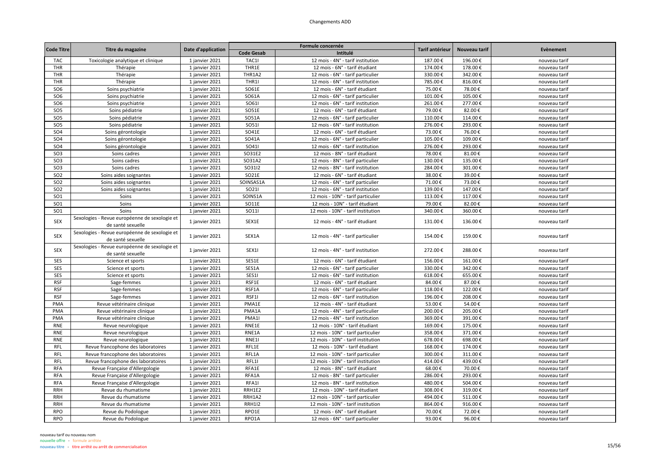| <b>Code Titre</b> | Titre du magazine                                                  |                    |                   | Formule concernée                  | Tarif antérieur | Nouveau tarif | Evènement     |
|-------------------|--------------------------------------------------------------------|--------------------|-------------------|------------------------------------|-----------------|---------------|---------------|
|                   |                                                                    | Date d'application | <b>Code Gesab</b> | Intitulé                           |                 |               |               |
| <b>TAC</b>        | Toxicologie analytique et clinique                                 | 1 janvier 2021     | TAC1I             | 12 mois - 4N° - tarif institution  | 187.00€         | 196.00€       | nouveau tarif |
| THR               | Thérapie                                                           | 1 janvier 2021     | THR1E             | 12 mois - 6N° - tarif étudiant     | 174.00€         | 178.00€       | nouveau tarif |
| <b>THR</b>        | Thérapie                                                           | 1 janvier 2021     | THR1A2            | 12 mois - 6N° - tarif particulier  | 330.00€         | 342.00€       | nouveau tarif |
| THR               | Thérapie                                                           | 1 janvier 2021     | THR1I             | 12 mois - 6N° - tarif institution  | 785.00€         | 816.00€       | nouveau tarif |
| SO <sub>6</sub>   | Soins psychiatrie                                                  | 1 janvier 2021     | SO61E             | 12 mois - 6N° - tarif étudiant     | 75.00€          | 78.00€        | nouveau tarif |
| SO <sub>6</sub>   | Soins psychiatrie                                                  | 1 janvier 2021     | SO61A             | 12 mois - 6N° - tarif particulier  | 101.00€         | 105.00€       | nouveau tarif |
| SO <sub>6</sub>   | Soins psychiatrie                                                  | 1 janvier 2021     | SO611             | 12 mois - 6N° - tarif institution  | 261.00€         | 277.00€       | nouveau tarif |
| SO <sub>5</sub>   | Soins pédiatrie                                                    | 1 janvier 2021     | SO51E             | 12 mois - 6N° - tarif étudiant     | 79.00€          | 82.00€        | nouveau tarif |
| SO <sub>5</sub>   | Soins pédiatrie                                                    | 1 janvier 2021     | SO51A             | 12 mois - 6N° - tarif particulier  | 110.00€         | 114.00€       | nouveau tarif |
| SO <sub>5</sub>   | Soins pédiatrie                                                    | 1 janvier 2021     | <b>SO511</b>      | 12 mois - 6N° - tarif institution  | 276.00€         | 293.00€       | nouveau tarif |
| <b>SO4</b>        | Soins gérontologie                                                 | 1 janvier 2021     | SO41E             | 12 mois - 6N° - tarif étudiant     | 73.00€          | 76.00€        | nouveau tarif |
| <b>SO4</b>        | Soins gérontologie                                                 | 1 janvier 2021     | SO41A             | 12 mois - 6N° - tarif particulier  | 105.00€         | 109.00€       | nouveau tarif |
| SO <sub>4</sub>   | Soins gérontologie                                                 | 1 janvier 2021     | SO411             | 12 mois - 6N° - tarif institution  | 276.00€         | 293.00€       | nouveau tarif |
| SO <sub>3</sub>   | Soins cadres                                                       | 1 janvier 2021     | SO31E2            | 12 mois - 8N° - tarif étudiant     | 78.00€          | 81.00€        | nouveau tarif |
| SO <sub>3</sub>   | Soins cadres                                                       | 1 janvier 2021     | SO31A2            | 12 mois - 8N° - tarif particulier  | 130.00€         | 135.00€       | nouveau tarif |
| SO <sub>3</sub>   | Soins cadres                                                       | 1 janvier 2021     | SO3112            | 12 mois - 8N° - tarif institution  | 284.00€         | 301.00€       | nouveau tarif |
| SO <sub>2</sub>   | Soins aides soignantes                                             | 1 janvier 2021     | SO21E             | 12 mois - 6N° - tarif étudiant     | 38.00€          | 39.00€        | nouveau tarif |
| SO <sub>2</sub>   | Soins aides soignantes                                             | 1 janvier 2021     | SOINSAS1A         | 12 mois - 6N° - tarif particulier  | 71.00€          | 73.00€        | nouveau tarif |
| SO <sub>2</sub>   | Soins aides soignantes                                             | 1 janvier 2021     | SO211             | 12 mois - 6N° - tarif institution  | 139.00€         | 147.00€       | nouveau tarif |
| <b>SO1</b>        | Soins                                                              | 1 janvier 2021     | SOINS1A           | 12 mois - 10N° - tarif particulier | 113.00€         | 117.00€       | nouveau tarif |
| SO <sub>1</sub>   | Soins                                                              | 1 janvier 2021     | SO11E             | 12 mois - 10N° - tarif étudiant    | 79.00€          | 82.00€        | nouveau tarif |
| <b>SO1</b>        | Soins                                                              | 1 janvier 2021     | <b>SO111</b>      | 12 mois - 10N° - tarif institution | 340.00€         | 360.00€       | nouveau tarif |
|                   | Sexologies - Revue européenne de sexologie et                      |                    |                   |                                    |                 |               |               |
| <b>SEX</b>        | de santé sexuelle                                                  | 1 janvier 2021     | SEX1E             | 12 mois - 4N° - tarif étudiant     | 131.00€         | 136.00€       | nouveau tarif |
| <b>SEX</b>        | Sexologies - Revue européenne de sexologie et<br>de santé sexuelle | 1 janvier 2021     | SEX1A             | 12 mois - 4N° - tarif particulier  | 154.00€         | 159.00€       | nouveau tarif |
| <b>SEX</b>        | Sexologies - Revue européenne de sexologie et<br>de santé sexuelle | 1 janvier 2021     | SEX1I             | 12 mois - 4N° - tarif institution  | 272.00€         | 288.00€       | nouveau tarif |
| SES               | Science et sports                                                  | 1 janvier 2021     | SES1E             | 12 mois - 6N° - tarif étudiant     | 156.00€         | 161.00€       | nouveau tarif |
| SES               | Science et sports                                                  | 1 janvier 2021     | SES1A             | 12 mois - 6N° - tarif particulier  | 330.00€         | 342.00€       | nouveau tarif |
| SES               | Science et sports                                                  | 1 janvier 2021     | SES1I             | 12 mois - 6N° - tarif institution  | 618.00€         | 655.00€       | nouveau tarif |
| <b>RSF</b>        | Sage-femmes                                                        | 1 janvier 2021     | RSF1E             | 12 mois - 6N° - tarif étudiant     | 84.00€          | 87.00€        | nouveau tarif |
| <b>RSF</b>        | Sage-femmes                                                        | 1 janvier 2021     | RSF1A             | 12 mois - 6N° - tarif particulier  | 118.00€         | 122.00€       | nouveau tarif |
| <b>RSF</b>        | Sage-femmes                                                        | 1 janvier 2021     | RSF1I             | 12 mois - 6N° - tarif institution  | 196.00€         | 208.00€       | nouveau tarif |
| PMA               | Revue vétérinaire clinique                                         | 1 janvier 2021     | PMA1E             | 12 mois - 4N° - tarif étudiant     | 53.00€          | 54.00€        | nouveau tarif |
| PMA               | Revue vétérinaire clinique                                         | 1 janvier 2021     | PMA1A             | 12 mois - 4N° - tarif particulier  | 200.00€         | 205.00€       | nouveau tarif |
| PMA               | Revue vétérinaire clinique                                         | 1 janvier 2021     | PMA1              | 12 mois - 4N° - tarif institution  | 369.00€         | 391.00€       | nouveau tarif |
| <b>RNE</b>        | Revue neurologique                                                 | 1 janvier 2021     | RNE1E             | 12 mois - 10N° - tarif étudiant    | 169.00€         | 175.00€       | nouveau tarif |
| <b>RNE</b>        | Revue neurologique                                                 | 1 janvier 2021     | RNE1A             | 12 mois - 10N° - tarif particulier | 358.00€         | 371.00€       | nouveau tarif |
| RNE               | Revue neurologique                                                 | 1 janvier 2021     | RNE11             | 12 mois - 10N° - tarif institution | 678.00€         | 698.00€       | nouveau tarif |
| <b>RFL</b>        | Revue francophone des laboratoires                                 | 1 janvier 2021     | RFL1E             | 12 mois - 10N° - tarif étudiant    | 168.00€         | 174.00€       | nouveau tarif |
| <b>RFL</b>        | Revue francophone des laboratoires                                 | 1 janvier 2021     | RFL1A             | 12 mois - 10N° - tarif particulier | 300.00€         | 311.00€       | nouveau tarif |
| <b>RFL</b>        | Revue francophone des laboratoires                                 | 1 janvier 2021     | RFL1I             | 12 mois - 10N° - tarif institution | 414.00€         | 439.00€       | nouveau tarif |
| <b>RFA</b>        | Revue Française d'Allergologie                                     | 1 janvier 2021     | RFA1E             | 12 mois - 8N° - tarif étudiant     | 68.00€          | 70.00€        | nouveau tarif |
| <b>RFA</b>        | Revue Française d'Allergologie                                     | 1 janvier 2021     | RFA1A             | 12 mois - 8N° - tarif particulier  | 286.00€         | 293.00€       | nouveau tarif |
| <b>RFA</b>        | Revue Française d'Allergologie                                     | 1 janvier 2021     | RFA1I             | 12 mois - 8N° - tarif institution  | 480.00€         | 504.00€       | nouveau tarif |
| <b>RRH</b>        | Revue du rhumatisme                                                | 1 janvier 2021     | RRH1E2            | 12 mois - 10N° - tarif étudiant    | 308.00€         | 319.00€       | nouveau tarif |
| <b>RRH</b>        | Revue du rhumatisme                                                |                    | RRH1A2            | 12 mois - 10N° - tarif particulier | 494.00€         | 511.00€       | nouveau tarif |
| <b>RRH</b>        | Revue du rhumatisme                                                | 1 janvier 2021     | <b>RRH1I2</b>     | 12 mois - 10N° - tarif institution | 864.00€         | 916.00€       | nouveau tarif |
|                   |                                                                    | 1 janvier 2021     | RPO1E             |                                    |                 | 72.00€        |               |
| <b>RPO</b>        | Revue du Podologue                                                 | 1 janvier 2021     |                   | 12 mois - 6N° - tarif étudiant     | 70.00€          |               | nouveau tarif |
| <b>RPO</b>        | Revue du Podologue                                                 | 1 janvier 2021     | RPO1A             | 12 mois - 6N° - tarif particulier  | 93.00€          | 96.00€        | nouveau tarif |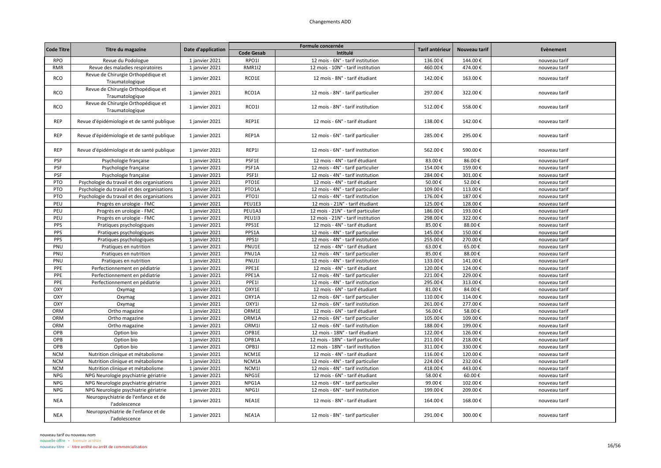|                   |                                                       |                    |                   | Formule concernée                  |                 |               | Evènement     |
|-------------------|-------------------------------------------------------|--------------------|-------------------|------------------------------------|-----------------|---------------|---------------|
| <b>Code Titre</b> | Titre du magazine                                     | Date d'application | <b>Code Gesab</b> | Intitulé                           | Tarif antérieur | Nouveau tarif |               |
| <b>RPO</b>        | Revue du Podologue                                    | 1 janvier 2021     | RPO1I             | 12 mois - 6N° - tarif institution  | 136.00€         | 144.00€       | nouveau tarif |
| <b>RMR</b>        | Revue des maladies respiratoires                      | 1 janvier 2021     | <b>RMR1I2</b>     | 12 mois - 10N° - tarif institution | 460.00€         | 474.00€       | nouveau tarif |
| <b>RCO</b>        | Revue de Chirurgie Orthopédique et<br>Traumatologique | 1 janvier 2021     | RCO1E             | 12 mois - 8N° - tarif étudiant     | 142.00€         | 163.00€       | nouveau tarif |
| <b>RCO</b>        | Revue de Chirurgie Orthopédique et<br>Traumatologique | 1 janvier 2021     | RCO1A             | 12 mois - 8N° - tarif particulier  | 297.00€         | 322.00€       | nouveau tarif |
| <b>RCO</b>        | Revue de Chirurgie Orthopédique et<br>Traumatologique | 1 janvier 2021     | RCO1I             | 12 mois - 8N° - tarif institution  | 512.00€         | 558.00€       | nouveau tarif |
| <b>REP</b>        | Revue d'épidémiologie et de santé publique            | 1 janvier 2021     | REP1E             | 12 mois - 6N° - tarif étudiant     | 138.00€         | 142.00€       | nouveau tarif |
| <b>REP</b>        | Revue d'épidémiologie et de santé publique            | 1 janvier 2021     | REP1A             | 12 mois - 6N° - tarif particulier  | 285.00€         | 295.00€       | nouveau tarif |
| <b>REP</b>        | Revue d'épidémiologie et de santé publique            | 1 janvier 2021     | REP1I             | 12 mois - 6N° - tarif institution  | 562.00€         | 590.00€       | nouveau tarif |
| PSF               | Psychologie française                                 | 1 janvier 2021     | PSF1E             | 12 mois - 4N° - tarif étudiant     | 83.00€          | 86.00€        | nouveau tarif |
| PSF               | Psychologie française                                 | 1 janvier 2021     | PSF1A             | 12 mois - 4N° - tarif particulier  | 154.00€         | 159.00€       | nouveau tarif |
| PSF               | Psychologie française                                 | 1 janvier 2021     | PSF1I             | 12 mois - 4N° - tarif institution  | 284.00€         | 301.00€       | nouveau tarif |
| PTO               | Psychologie du travail et des organisations           | 1 janvier 2021     | PTO1E             | 12 mois - 4N° - tarif étudiant     | 50.00€          | 52.00€        | nouveau tarif |
| PTO               | Psychologie du travail et des organisations           | 1 janvier 2021     | PTO1A             | 12 mois - 4N° - tarif particulier  | 109.00€         | 113.00€       | nouveau tarif |
| PTO               | Psychologie du travail et des organisations           | 1 janvier 2021     | PTO1I             | 12 mois - 4N° - tarif institution  | 176.00€         | 187.00€       | nouveau tarif |
| PEU               | Progrès en urologie - FMC                             | 1 janvier 2021     | PEU1E3            | 12 mois - 21N° - tarif étudiant    | 125.00€         | 128.00€       | nouveau tarif |
| PEU               | Progrès en urologie - FMC                             | 1 janvier 2021     | PEU1A3            | 12 mois - 21N° - tarif particulier | 186.00€         | 193.00€       | nouveau tarif |
| PEU               | Progrès en urologie - FMC                             | 1 janvier 2021     | <b>PEU113</b>     | 12 mois - 21N° - tarif institution | 298.00€         | 322.00€       | nouveau tarif |
| PPS               | Pratiques psychologiques                              | 1 janvier 2021     | PPS1E             | 12 mois - 4N° - tarif étudiant     | 85.00€          | 88.00€        | nouveau tarif |
| PPS               | Pratiques psychologiques                              | 1 janvier 2021     | PPS1A             | 12 mois - 4N° - tarif particulier  | 145.00€         | 150.00€       | nouveau tarif |
| PPS               | Pratiques psychologiques                              | 1 janvier 2021     | PPS1I             | 12 mois - 4N° - tarif institution  | 255.00€         | 270.00€       | nouveau tarif |
| PNU               | Pratiques en nutrition                                | 1 janvier 2021     | PNU1E             | 12 mois - 4N° - tarif étudiant     | 63.00€          | 65.00€        | nouveau tarif |
| PNU               | Pratiques en nutrition                                | 1 janvier 2021     | PNU1A             | 12 mois - 4N° - tarif particulier  | 85.00€          | 88.00€        | nouveau tarif |
| PNU               | Pratiques en nutrition                                | 1 janvier 2021     | PNU1              | 12 mois - 4N° - tarif institution  | 133.00€         | 141.00€       | nouveau tarif |
| PPE               | Perfectionnement en pédiatrie                         | 1 janvier 2021     | PPE1E             | 12 mois - 4N° - tarif étudiant     | 120.00€         | 124.00€       | nouveau tarif |
| PPE               | Perfectionnement en pédiatrie                         | 1 janvier 2021     | PPE1A             | 12 mois - 4N° - tarif particulier  | 221.00€         | 229.00€       | nouveau tarif |
| PPE               | Perfectionnement en pédiatrie                         | 1 janvier 2021     | PPE11             | 12 mois - 4N° - tarif institution  | 295.00€         | 313.00€       | nouveau tarif |
| OXY               | Oxymag                                                | 1 janvier 2021     | OXY1E             | 12 mois - 6N° - tarif étudiant     | 81.00€          | 84.00€        | nouveau tarif |
| OXY               | Oxymag                                                | 1 janvier 2021     | OXY1A             | 12 mois - 6N° - tarif particulier  | 110.00€         | 114.00€       | nouveau tarif |
| OXY               | Oxymag                                                | 1 janvier 2021     | OXY1I             | 12 mois - 6N° - tarif institution  | 261.00€         | 277.00€       | nouveau tarif |
| ORM               | Ortho magazine                                        | 1 janvier 2021     | ORM1E             | 12 mois - 6N° - tarif étudiant     | 56.00€          | 58.00€        | nouveau tarif |
| ORM               | Ortho magazine                                        | 1 janvier 2021     | ORM1A             | 12 mois - 6N° - tarif particulier  | 105.00€         | 109.00€       | nouveau tarif |
| ORM               | Ortho magazine                                        | 1 janvier 2021     | ORM1              | 12 mois - 6N° - tarif institution  | 188.00€         | 199.00€       | nouveau tarif |
| OPB               | Option bio                                            | 1 janvier 2021     | OPB1E             | 12 mois - 18N° - tarif étudiant    | 122.00€         | 126.00€       | nouveau tarif |
| OPB               | Option bio                                            | 1 janvier 2021     | OPB1A             | 12 mois - 18N° - tarif particulier | 211.00€         | 218.00€       | nouveau tarif |
| OPB               | Option bio                                            | 1 janvier 2021     | OPB1I             | 12 mois - 18N° - tarif institution | 311.00€         | 330.00€       | nouveau tarif |
| <b>NCM</b>        | Nutrition clinique et métabolisme                     | 1 janvier 2021     | NCM1E             | 12 mois - 4N° - tarif étudiant     | 116.00€         | 120.00€       | nouveau tarif |
| <b>NCM</b>        | Nutrition clinique et métabolisme                     | 1 janvier 2021     | NCM1A             | 12 mois - 4N° - tarif particulier  | 224.00€         | 232.00€       | nouveau tarif |
| <b>NCM</b>        | Nutrition clinique et métabolisme                     | 1 janvier 2021     | NCM1I             | 12 mois - 4N° - tarif institution  | 418.00€         | 443.00€       | nouveau tarif |
| <b>NPG</b>        | NPG Neurologie psychiatrie gériatrie                  | 1 janvier 2021     | NPG1E             | 12 mois - 6N° - tarif étudiant     | 58.00€          | 60.00€        | nouveau tarif |
| <b>NPG</b>        | NPG Neurologie psychiatrie gériatrie                  | 1 janvier 2021     | NPG1A             | 12 mois - 6N° - tarif particulier  | 99.00€          | 102.00€       | nouveau tarif |
| <b>NPG</b>        | NPG Neurologie psychiatrie gériatrie                  | 1 janvier 2021     | NPG1I             | 12 mois - 6N° - tarif institution  | 199.00€         | 209.00€       | nouveau tarif |
| <b>NEA</b>        | Neuropsychiatrie de l'enfance et de<br>l'adolescence  | 1 janvier 2021     | NEA1E             | 12 mois - 8N° - tarif étudiant     | 164.00€         | 168.00€       | nouveau tarif |
| <b>NEA</b>        | Neuropsychiatrie de l'enfance et de<br>l'adolescence  | 1 janvier 2021     | NEA1A             | 12 mois - 8N° - tarif particulier  | 291.00€         | 300.00€       | nouveau tarif |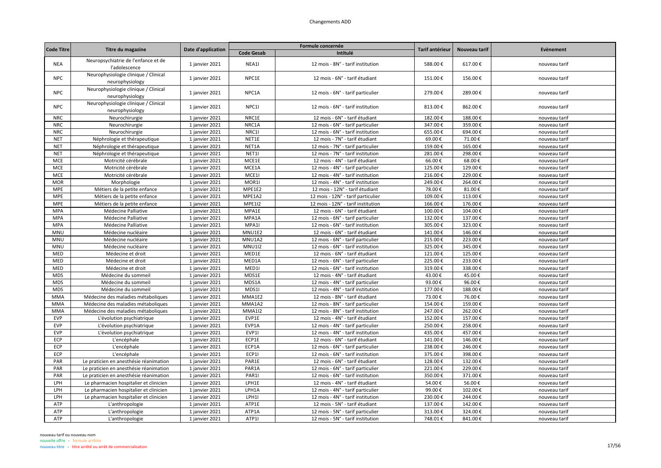| <b>Code Titre</b> |                                                         |                    |                   | Formule concernée                  | Tarif antérieur | Nouveau tarif | Evènement     |
|-------------------|---------------------------------------------------------|--------------------|-------------------|------------------------------------|-----------------|---------------|---------------|
|                   | Titre du magazine                                       | Date d'application | <b>Code Gesab</b> | Intitulé                           |                 |               |               |
| <b>NEA</b>        | Neuropsychiatrie de l'enfance et de<br>l'adolescence    | 1 janvier 2021     | NEA1I             | 12 mois - 8N° - tarif institution  | 588.00€         | 617.00€       | nouveau tarif |
| <b>NPC</b>        | Neurophysiologie clinique / Clinical<br>neurophysiology | 1 janvier 2021     | NPC1E             | 12 mois - 6N° - tarif étudiant     | 151.00€         | 156.00€       | nouveau tarif |
| <b>NPC</b>        | Neurophysiologie clinique / Clinical<br>neurophysiology | 1 janvier 2021     | NPC1A             | 12 mois - 6N° - tarif particulier  | 279.00€         | 289.00€       | nouveau tarif |
| <b>NPC</b>        | Neurophysiologie clinique / Clinical<br>neurophysiology | 1 janvier 2021     | NPC11             | 12 mois - 6N° - tarif institution  | 813.00€         | 862.00€       | nouveau tarif |
| <b>NRC</b>        | Neurochirurgie                                          | 1 janvier 2021     | NRC1E             | 12 mois - 6N° - tarif étudiant     | 182.00€         | 188.00€       | nouveau tarif |
| <b>NRC</b>        | Neurochirurgie                                          | 1 janvier 2021     | NRC1A             | 12 mois - 6N° - tarif particulier  | 347.00€         | 359.00€       | nouveau tarif |
| <b>NRC</b>        | Neurochirurgie                                          | 1 janvier 2021     | NRC1I             | 12 mois - 6N° - tarif institution  | 655.00€         | 694.00€       | nouveau tarif |
| <b>NET</b>        | Néphrologie et thérapeutique                            | 1 janvier 2021     | NET1E             | 12 mois - 7N° - tarif étudiant     | 69.00€          | 71.00€        | nouveau tarif |
| <b>NET</b>        | Néphrologie et thérapeutique                            | 1 janvier 2021     | NET1A             | 12 mois - 7N° - tarif particulier  | 159.00€         | 165.00€       | nouveau tarif |
| <b>NET</b>        | Néphrologie et thérapeutique                            | 1 janvier 2021     | NET1I             | 12 mois - 7N° - tarif institution  | 281.00€         | 298.00€       | nouveau tarif |
| <b>MCE</b>        | Motricité cérébrale                                     | 1 janvier 2021     | MCE1E             | 12 mois - 4N° - tarif étudiant     | 66.00€          | 68.00€        | nouveau tarif |
| <b>MCE</b>        | Motricité cérébrale                                     | 1 janvier 2021     | MCE1A             | 12 mois - 4N° - tarif particulier  | 125.00€         | 129.00€       | nouveau tarif |
| <b>MCE</b>        | Motricité cérébrale                                     | 1 janvier 2021     | MCE1I             | 12 mois - 4N° - tarif institution  | 216.00€         | 229.00€       | nouveau tarif |
| <b>MOR</b>        | Morphologie                                             | 1 janvier 2021     | MOR1              | 12 mois - 4N° - tarif institution  | 249.00€         | 264.00€       | nouveau tarif |
| <b>MPE</b>        | Métiers de la petite enfance                            | 1 janvier 2021     | MPE1E2            | 12 mois - 12N° - tarif étudiant    | 78.00€          | 81.00€        | nouveau tarif |
| <b>MPE</b>        | Métiers de la petite enfance                            | 1 janvier 2021     | MPE1A2            | 12 mois - 12N° - tarif particulier | 109.00€         | 113.00€       | nouveau tarif |
| <b>MPE</b>        | Métiers de la petite enfance                            | 1 janvier 2021     | <b>MPE1I2</b>     | 12 mois - 12N° - tarif institution | 166.00€         | 176.00€       | nouveau tarif |
| <b>MPA</b>        | Médecine Palliative                                     | 1 janvier 2021     | MPA1E             | 12 mois - 6N° - tarif étudiant     | 100.00€         | 104.00€       | nouveau tarif |
| <b>MPA</b>        | Médecine Palliative                                     | 1 janvier 2021     | MPA1A             | 12 mois - 6N° - tarif particulier  | 132.00€         | 137.00€       | nouveau tarif |
| <b>MPA</b>        | Médecine Palliative                                     | 1 janvier 2021     | MPA1I             | 12 mois - 6N° - tarif institution  | 305.00€         | 323.00€       | nouveau tarif |
| <b>MNU</b>        | Médecine nucléaire                                      | 1 janvier 2021     | MNU1E2            | 12 mois - 6N° - tarif étudiant     | 141.00€         | 146.00€       | nouveau tarif |
| <b>MNU</b>        | Médecine nucléaire                                      | 1 janvier 2021     | MNU1A2            | 12 mois - 6N° - tarif particulier  | 215.00€         | 223.00€       | nouveau tarif |
| <b>MNU</b>        | Médecine nucléaire                                      | 1 janvier 2021     | <b>MNU1I2</b>     | 12 mois - 6N° - tarif institution  | 325.00€         | 345.00€       | nouveau tarif |
| MED               | Médecine et droit                                       | 1 janvier 2021     | MED1E             | 12 mois - 6N° - tarif étudiant     | 121.00€         | 125.00€       | nouveau tarif |
| MED               | Médecine et droit                                       | 1 janvier 2021     | MED1A             | 12 mois - 6N° - tarif particulier  | 225.00€         | 233.00€       | nouveau tarif |
| MED               | Médecine et droit                                       | 1 janvier 2021     | MED1              | 12 mois - 6N° - tarif institution  | 319.00€         | 338.00€       | nouveau tarif |
| <b>MDS</b>        | Médecine du sommeil                                     | 1 janvier 2021     | MDS1E             | 12 mois - 4N° - tarif étudiant     | 43.00€          | 45.00€        | nouveau tarif |
| <b>MDS</b>        | Médecine du sommeil                                     | 1 janvier 2021     | MDS1A             | 12 mois - 4N° - tarif particulier  | 93.00€          | 96.00€        | nouveau tarif |
| <b>MDS</b>        | Médecine du sommeil                                     | 1 janvier 2021     | MDS1I             | 12 mois - 4N° - tarif institution  | 177.00€         | 188.00€       | nouveau tarif |
| <b>MMA</b>        | Médecine des maladies métaboliques                      | 1 janvier 2021     | MMA1E2            | 12 mois - 8N° - tarif étudiant     | 73.00€          | 76.00€        | nouveau tarif |
| <b>MMA</b>        | Médecine des maladies métaboliques                      | 1 janvier 2021     | MMA1A2            | 12 mois - 8N° - tarif particulier  | 154.00€         | 159.00€       | nouveau tarif |
| <b>MMA</b>        | Médecine des maladies métaboliques                      | 1 janvier 2021     | <b>MMA112</b>     | 12 mois - 8N° - tarif institution  | 247.00€         | 262.00€       | nouveau tarif |
| <b>EVP</b>        | L'évolution psychiatrique                               | 1 janvier 2021     | EVP1E             | 12 mois - 4N° - tarif étudiant     | 152.00€         | 157.00€       | nouveau tarif |
| <b>EVP</b>        | L'évolution psychiatrique                               | 1 janvier 2021     | EVP1A             | 12 mois - 4N° - tarif particulier  | 250.00€         | 258.00€       | nouveau tarif |
| <b>EVP</b>        | L'évolution psychiatrique                               | 1 janvier 2021     | EVP1I             | 12 mois - 4N° - tarif institution  | 435.00€         | 457.00€       | nouveau tarif |
| ECP               | L'encéphale                                             | 1 janvier 2021     | ECP1E             | 12 mois - 6N° - tarif étudiant     | 141.00€         | 146.00€       | nouveau tarif |
| ECP               | L'encéphale                                             | 1 janvier 2021     | ECP1A             | 12 mois - 6N° - tarif particulier  | 238.00€         | 246.00€       | nouveau tarif |
| ECP               | L'encéphale                                             | 1 janvier 2021     | ECP1I             | 12 mois - 6N° - tarif institution  | 375.00€         | 398.00€       | nouveau tarif |
| PAR               | Le praticien en anesthésie réanimation                  | 1 janvier 2021     | PAR1E             | 12 mois - 6N° - tarif étudiant     | 128.00€         | 132.00€       | nouveau tarif |
| PAR               | Le praticien en anesthésie réanimation                  | 1 janvier 2021     | PAR1A             | 12 mois - 6N° - tarif particulier  | 221.00€         | 229.00€       | nouveau tarif |
| PAR               | Le praticien en anesthésie réanimation                  | 1 janvier 2021     | PAR1I             | 12 mois - 6N° - tarif institution  | 350.00€         | 371.00€       | nouveau tarif |
| LPH               | Le pharmacien hospitalier et clinicien                  | 1 janvier 2021     | LPH1E             | 12 mois - 4N° - tarif étudiant     | 54.00€          | 56.00€        | nouveau tarif |
| LPH               | Le pharmacien hospitalier et clinicien                  | 1 janvier 2021     | LPH1A             | 12 mois - 4N° - tarif particulier  | 99.00€          | 102.00€       | nouveau tarif |
| LPH               | Le pharmacien hospitalier et clinicien                  | 1 janvier 2021     | LPH1I             | 12 mois - 4N° - tarif institution  | 230.00€         | 244.00€       | nouveau tarif |
| ATP               | L'anthropologie                                         | 1 janvier 2021     | ATP1E             | 12 mois - 5N° - tarif étudiant     | 137.00€         | 142.00€       | nouveau tarif |
| ATP               | L'anthropologie                                         | 1 janvier 2021     | ATP1A             | 12 mois - 5N° - tarif particulier  | 313.00€         | 324.00€       | nouveau tarif |
| ATP               | L'anthropologie                                         | 1 janvier 2021     | ATP1I             | 12 mois - 5N° - tarif institution  | 748.01€         | 841.00€       | nouveau tarif |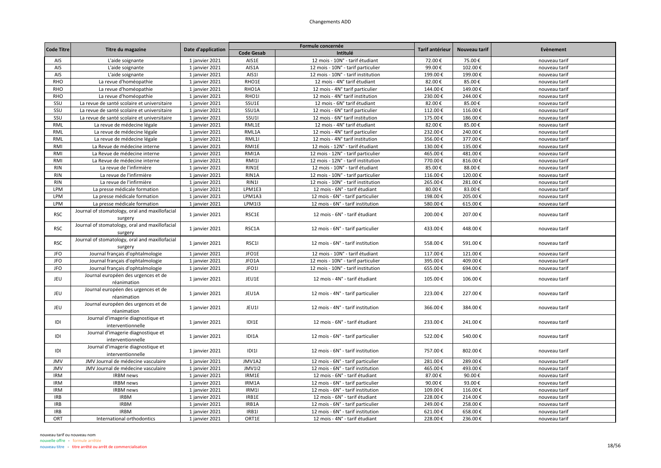| <b>Code Titre</b> |                                                           | Date d'application |                   | Formule concernée                  | Tarif antérieur | Nouveau tarif | Evènement     |
|-------------------|-----------------------------------------------------------|--------------------|-------------------|------------------------------------|-----------------|---------------|---------------|
|                   | Titre du magazine                                         |                    | <b>Code Gesab</b> | Intitulé                           |                 |               |               |
| AIS               | L'aide soignante                                          | 1 janvier 2021     | AIS1E             | 12 mois - 10N° - tarif étudiant    | 72.00€          | 75.00€        | nouveau tarif |
| AIS               | L'aide soignante                                          | 1 janvier 2021     | AIS1A             | 12 mois - 10N° - tarif particulier | 99.00€          | 102.00€       | nouveau tarif |
| AIS               | L'aide soignante                                          | 1 janvier 2021     | AIS1              | 12 mois - 10N° - tarif institution | 199.00€         | 199.00€       | nouveau tarif |
| <b>RHO</b>        | La revue d'homéopathie                                    | 1 janvier 2021     | RHO1E             | 12 mois - 4N° tarif étudiant       | 82.00€          | 85.00€        | nouveau tarif |
| <b>RHO</b>        | La revue d'homéopathie                                    | 1 janvier 2021     | RHO1A             | 12 mois - 4N° tarif particulier    | 144.00€         | 149.00€       | nouveau tarif |
| <b>RHO</b>        | La revue d'homéopathie                                    | 1 janvier 2021     | RHO1I             | 12 mois - 4N° tarif institution    | 230.00€         | 244.00€       | nouveau tarif |
| SSU               | La revue de santé scolaire et universitaire               | 1 janvier 2021     | SSU1E             | 12 mois - 6N° tarif étudiant       | 82.00€          | 85.00€        | nouveau tarif |
| SSU               | La revue de santé scolaire et universitaire               | 1 janvier 2021     | SSU1A             | 12 mois - 6N° tarif particulier    | 112.00€         | 116.00€       | nouveau tarif |
| SSU               | La revue de santé scolaire et universitaire               | 1 janvier 2021     | <b>SSU1</b>       | 12 mois - 6N° tarif institution    | 175.00€         | 186.00€       | nouveau tarif |
| RML               | La revue de médecine légale                               | 1 janvier 2021     | RML1E             | 12 mois - 4N° tarif étudiant       | 82.00€          | 85.00€        | nouveau tarif |
| RML               | La revue de médecine légale                               | 1 janvier 2021     | RML1A             | 12 mois - 4N° tarif particulier    | 232.00€         | 240.00€       | nouveau tarif |
| RML               | La revue de médecine légale                               | 1 janvier 2021     | RML1I             | 12 mois - 4N° tarif institution    | 356.00€         | 377.00€       | nouveau tarif |
| RMI               | La Revue de médecine interne                              | 1 janvier 2021     | RMI1E             | 12 mois - 12N° - tarif étudiant    | 130.00€         | 135.00€       | nouveau tarif |
| <b>RMI</b>        | La Revue de médecine interne                              | 1 janvier 2021     | RMI1A             | 12 mois - 12N° - tarif particulier | 465.00€         | 481.00€       | nouveau tarif |
| <b>RMI</b>        | La Revue de médecine interne                              | 1 janvier 2021     | <b>RMI1I</b>      | 12 mois - 12N° - tarif institution | 770.00€         | 816.00€       | nouveau tarif |
| <b>RIN</b>        | La revue de l'infirmière                                  | 1 janvier 2021     | RIN1E             | 12 mois - 10N° - tarif étudiant    | 85.00€          | 88.00€        | nouveau tarif |
| <b>RIN</b>        | La revue de l'infirmière                                  | 1 janvier 2021     | RIN1A             | 12 mois - 10N° - tarif particulier | 116.00€         | 120.00€       | nouveau tarif |
| <b>RIN</b>        | La revue de l'infirmière                                  | 1 janvier 2021     | RIN1              | 12 mois - 10N° - tarif institution | 265.00€         | 281.00€       | nouveau tarif |
| LPM               | La presse médicale formation                              | 1 janvier 2021     | LPM1E3            | 12 mois - 6N° - tarif étudiant     | 80.00€          | 83.00€        | nouveau tarif |
| LPM               | La presse médicale formation                              | 1 janvier 2021     | LPM1A3            | 12 mois - 6N° - tarif particulier  | 198.00€         | 205.00€       | nouveau tarif |
| LPM               | La presse médicale formation                              | 1 janvier 2021     | <b>LPM1I3</b>     | 12 mois - 6N° - tarif institution  | 580.00€         | 615.00€       | nouveau tarif |
| <b>RSC</b>        | Journal of stomatology, oral and maxillofacial            |                    | RSC1E             |                                    | 200.00€         | 207.00€       |               |
|                   | surgery                                                   | 1 janvier 2021     |                   | 12 mois - 6N° - tarif étudiant     |                 |               | nouveau tarif |
| <b>RSC</b>        | Journal of stomatology, oral and maxillofacial            | 1 janvier 2021     | RSC1A             | 12 mois - 6N° - tarif particulier  | 433.00€         | 448.00€       | nouveau tarif |
| <b>RSC</b>        | surgery<br>Journal of stomatology, oral and maxillofacial | 1 janvier 2021     | RSC1I             | 12 mois - 6N° - tarif institution  | 558.00€         | 591.00€       | nouveau tarif |
|                   | surgery                                                   |                    |                   |                                    |                 |               |               |
| JFO               | Journal français d'ophtalmologie                          | 1 janvier 2021     | JFO1E             | 12 mois - 10N° - tarif étudiant    | 117.00€         | 121.00€       | nouveau tarif |
| JFO               | Journal français d'ophtalmologie                          | 1 janvier 2021     | JFO1A             | 12 mois - 10N° - tarif particulier | 395.00€         | 409.00€       | nouveau tarif |
| JFO               | Journal français d'ophtalmologie                          | 1 janvier 2021     | JFO1I             | 12 mois - 10N° - tarif institution | 655.00€         | 694.00€       | nouveau tarif |
| JEU               | Journal européen des urgences et de<br>réanimation        | 1 janvier 2021     | JEU1E             | 12 mois - 4N° - tarif étudiant     | 105.00€         | 106.00€       | nouveau tarif |
| JEU               | Journal européen des urgences et de<br>réanimation        | 1 janvier 2021     | JEU1A             | 12 mois - 4N° - tarif particulier  | 223.00€         | 227.00€       | nouveau tarif |
| JEU               | Journal européen des urgences et de<br>réanimation        | 1 janvier 2021     | JEU1I             | 12 mois - 4N° - tarif institution  | 366.00€         | 384.00€       | nouveau tarif |
| IDI               | Journal d'imagerie diagnostique et<br>interventionnelle   | 1 janvier 2021     | IDI1E             | 12 mois - 6N° - tarif étudiant     | 233.00€         | 241.00€       | nouveau tarif |
| IDI               | Journal d'imagerie diagnostique et<br>interventionnelle   | 1 janvier 2021     | IDI1A             | 12 mois - 6N° - tarif particulier  | 522.00€         | 540.00€       | nouveau tarif |
| IDI               | Journal d'imagerie diagnostique et<br>interventionnelle   | 1 janvier 2021     | <b>IDI1I</b>      | 12 mois - 6N° - tarif institution  | 757.00€         | 802.00€       | nouveau tarif |
| JMV               | JMV Journal de médecine vasculaire                        | 1 janvier 2021     | JMV1A2            | 12 mois - 6N° - tarif particulier  | 281.00€         | 289.00€       | nouveau tarif |
| <b>JMV</b>        | JMV Journal de médecine vasculaire                        | 1 janvier 2021     | <b>JMV1I2</b>     | 12 mois - 6N° - tarif institution  | 465.00€         | 493.00€       | nouveau tarif |
| <b>IRM</b>        | <b>IRBM</b> news                                          | 1 janvier 2021     | IRM1E             | 12 mois - 6N° - tarif étudiant     | 87.00€          | 90.00€        | nouveau tarif |
| <b>IRM</b>        | <b>IRBM</b> news                                          | 1 janvier 2021     | IRM1A             | 12 mois - 6N° - tarif particulier  | 90.00€          | 93.00€        | nouveau tarif |
| <b>IRM</b>        | <b>IRBM</b> news                                          | 1 janvier 2021     | IRM1I             | 12 mois - 6N° - tarif institution  | 109.00€         | 116.00€       | nouveau tarif |
| <b>IRB</b>        | <b>IRBM</b>                                               | 1 janvier 2021     | IRB1E             | 12 mois - 6N° - tarif étudiant     | 228.00€         | 214.00€       | nouveau tarif |
| <b>IRB</b>        | <b>IRBM</b>                                               | 1 janvier 2021     | IRB1A             | 12 mois - 6N° - tarif particulier  | 249.00€         | 258.00€       | nouveau tarif |
| <b>IRB</b>        | <b>IRBM</b>                                               | 1 janvier 2021     | IRB1I             | 12 mois - 6N° - tarif institution  | 621.00€         | 658.00€       | nouveau tarif |
| ORT               | International orthodontics                                | 1 janvier 2021     | ORT1E             | 12 mois - 4N° - tarif étudiant     | 228.00€         | 236.00€       | nouveau tarif |
|                   |                                                           |                    |                   |                                    |                 |               |               |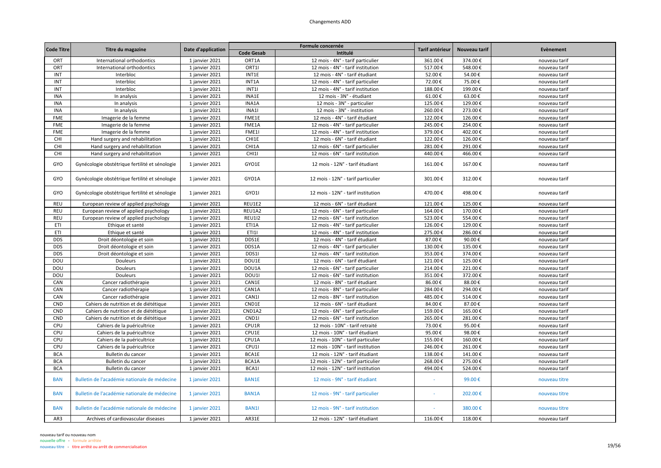|                   |                                                |                    |                   | Formule concernée                  | Tarif antérieur |         | Nouveau tarif<br>Evènement |
|-------------------|------------------------------------------------|--------------------|-------------------|------------------------------------|-----------------|---------|----------------------------|
| <b>Code Titre</b> | Titre du magazine                              | Date d'application | <b>Code Gesab</b> | Intitulé                           |                 |         |                            |
| ORT               | International orthodontics                     | 1 janvier 2021     | ORT1A             | 12 mois - 4N° - tarif particulier  | 361.00€         | 374.00€ | nouveau tarif              |
| ORT               | International orthodontics                     | 1 janvier 2021     | ORT1I             | 12 mois - 4N° - tarif institution  | 517.00€         | 548.00€ | nouveau tarif              |
| INT               | Interbloc                                      | 1 janvier 2021     | INT1E             | 12 mois - 4N° - tarif étudiant     | 52.00€          | 54.00€  | nouveau tarif              |
| INT               | Interbloc                                      | 1 janvier 2021     | INT1A             | 12 mois - 4N° - tarif particulier  | 72.00€          | 75.00€  | nouveau tarif              |
| INT               | Interbloc                                      | 1 janvier 2021     | INT1              | 12 mois - 4N° - tarif institution  | 188.00€         | 199.00€ | nouveau tarif              |
| <b>INA</b>        | In analysis                                    | 1 janvier 2021     | INA1E             | 12 mois - 3N° - étudiant           | 61.00€          | 63.00€  | nouveau tarif              |
| <b>INA</b>        | In analysis                                    | 1 janvier 2021     | INA1A             | 12 mois - 3N° - particulier        | 125.00€         | 129.00€ | nouveau tarif              |
| <b>INA</b>        | In analysis                                    | 1 janvier 2021     | INA1I             | 12 mois - 3N° - institution        | 260.00€         | 273.00€ | nouveau tarif              |
| <b>FME</b>        | Imagerie de la femme                           | 1 janvier 2021     | FME1E             | 12 mois - 4N° - tarif étudiant     | 122.00€         | 126.00€ | nouveau tarif              |
| FME               | Imagerie de la femme                           | 1 janvier 2021     | FME1A             | 12 mois - 4N° - tarif particulier  | 245.00€         | 254.00€ | nouveau tarif              |
| <b>FME</b>        | Imagerie de la femme                           | 1 janvier 2021     | FME1I             | 12 mois - 4N° - tarif institution  | 379.00€         | 402.00€ | nouveau tarif              |
| CHI               | Hand surgery and rehabilitation                | 1 janvier 2021     | CHI1E             | 12 mois - 6N° - tarif étudiant     | 122.00€         | 126.00€ | nouveau tarif              |
| CHI               | Hand surgery and rehabilitation                | 1 janvier 2021     | CHI1A             | 12 mois - 6N° - tarif particulier  | 281.00€         | 291.00€ | nouveau tarif              |
| CHI               | Hand surgery and rehabilitation                | 1 janvier 2021     | CHI1I             | 12 mois - 6N° - tarif institution  | 440.00€         | 466.00€ | nouveau tarif              |
| GYO               | Gynécologie obstétrique fertilité et sénologie | 1 janvier 2021     | GYO1E             | 12 mois - 12N° - tarif étudiant    | 161.00€         | 167.00€ | nouveau tarif              |
| GYO               | Gynécologie obstétrique fertilité et sénologie | 1 janvier 2021     | GYO1A             | 12 mois - 12N° - tarif particulier | 301.00€         | 312.00€ | nouveau tarif              |
| GYO               | Gynécologie obstétrique fertilité et sénologie | 1 janvier 2021     | GYO1I             | 12 mois - 12N° - tarif institution | 470.00€         | 498.00€ | nouveau tarif              |
| <b>REU</b>        | European review of applied psychology          | 1 janvier 2021     | REU1E2            | 12 mois - 6N° - tarif étudiant     | 121.00€         | 125.00€ | nouveau tarif              |
| <b>REU</b>        | European review of applied psychology          | 1 janvier 2021     | REU1A2            | 12 mois - 6N° - tarif particulier  | 164.00€         | 170.00€ | nouveau tarif              |
| REU               | European review of applied psychology          | 1 janvier 2021     | <b>REU1I2</b>     | 12 mois - 6N° - tarif institution  | 523.00€         | 554.00€ | nouveau tarif              |
| ETI               | Ethique et santé                               | 1 janvier 2021     | ETI1A             | 12 mois - 4N° - tarif particulier  | 126.00€         | 129.00€ | nouveau tarif              |
| ETI               | Ethique et santé                               | 1 janvier 2021     | ET111             | 12 mois - 4N° - tarif institution  | 275.00€         | 286.00€ | nouveau tarif              |
| <b>DDS</b>        | Droit déontologie et soin                      | 1 janvier 2021     | DDS1E             | 12 mois - 4N° - tarif étudiant     | 87.00€          | 90.00€  | nouveau tarif              |
| <b>DDS</b>        | Droit déontologie et soin                      | 1 janvier 2021     | DDS1A             | 12 mois - 4N° - tarif particulier  | 130.00€         | 135.00€ | nouveau tarif              |
| <b>DDS</b>        | Droit déontologie et soin                      | 1 janvier 2021     | DDS1I             | 12 mois - 4N° - tarif institution  | 353.00€         | 374.00€ | nouveau tarif              |
| DOU               | Douleurs                                       | 1 janvier 2021     | DOU1E             | 12 mois - 6N° - tarif étudiant     | 121.00€         | 125.00€ | nouveau tarif              |
| DOU               | Douleurs                                       | 1 janvier 2021     | DOU1A             | 12 mois - 6N° - tarif particulier  | 214.00€         | 221.00€ | nouveau tarif              |
| DOU               | Douleurs                                       | 1 janvier 2021     | DOU1              | 12 mois - 6N° - tarif institution  | 351.00€         | 372.00€ | nouveau tarif              |
| CAN               | Cancer radiothérapie                           | 1 janvier 2021     | CAN1E             | 12 mois - 8N° - tarif étudiant     | 86.00€          | 88.00€  | nouveau tarif              |
| CAN               | Cancer radiothérapie                           | 1 janvier 2021     | CAN1A             | 12 mois - 8N° - tarif particulier  | 284.00€         | 294.00€ | nouveau tarif              |
| CAN               | Cancer radiothérapie                           | 1 janvier 2021     | CAN1I             | 12 mois - 8N° - tarif institution  | 485.00€         | 514.00€ | nouveau tarif              |
| CND               | Cahiers de nutrition et de diététique          | 1 janvier 2021     | CND1E             | 12 mois - 6N° - tarif étudiant     | 84.00€          | 87.00€  | nouveau tarif              |
| CND               | Cahiers de nutrition et de diététique          | 1 janvier 2021     | CND1A2            | 12 mois - 6N° - tarif particulier  | 159.00€         | 165.00€ | nouveau tarif              |
| CND               | Cahiers de nutrition et de diététique          | 1 janvier 2021     | CND1I             | 12 mois - 6N° - tarif institution  | 265.00€         | 281.00€ | nouveau tarif              |
| CPU               | Cahiers de la puéricultrice                    | 1 janvier 2021     | CPU1R             | 12 mois - 10N° - tarif retraité    | 73.00€          | 95.00€  | nouveau tarif              |
| CPU               | Cahiers de la puéricultrice                    | 1 janvier 2021     | CPU1E             | 12 mois - 10N° - tarif étudiant    | 95.00€          | 98.00€  | nouveau tarif              |
| CPU               | Cahiers de la puéricultrice                    | 1 janvier 2021     | CPU1A             | 12 mois - 10N° - tarif particulier | 155.00€         | 160.00€ | nouveau tarif              |
| CPU               | Cahiers de la puéricultrice                    | 1 janvier 2021     | CPU1I             | 12 mois - 10N° - tarif institution | 246.00€         | 261.00€ | nouveau tarif              |
| <b>BCA</b>        | Bulletin du cancer                             | 1 janvier 2021     | BCA1E             | 12 mois - 12N° - tarif étudiant    | 138.00€         | 141.00€ | nouveau tarif              |
| <b>BCA</b>        | Bulletin du cancer                             | 1 janvier 2021     | BCA1A             | 12 mois - 12N° - tarif particulier | 268.00€         | 275.00€ | nouveau tarif              |
| <b>BCA</b>        | Bulletin du cancer                             | 1 janvier 2021     | BCA1I             | 12 mois - 12N° - tarif institution | 494.00€         | 524.00€ | nouveau tarif              |
| <b>BAN</b>        | Bulletin de l'académie nationale de médecine   | 1 janvier 2021     | <b>BAN1E</b>      | 12 mois - 9N° - tarif étudiant     |                 | 99.00€  | nouveau titre              |
| <b>BAN</b>        | Bulletin de l'académie nationale de médecine   | 1 janvier 2021     | <b>BAN1A</b>      | 12 mois - 9N° - tarif particulier  |                 | 202.00€ | nouveau titre              |
| <b>BAN</b>        | Bulletin de l'académie nationale de médecine   | 1 janvier 2021     | <b>BAN1I</b>      | 12 mois - 9N° - tarif institution  |                 | 380.00€ | nouveau titre              |
| AR3               | Archives of cardiovascular diseases            | 1 janvier 2021     | AR31E             | 12 mois - 12N° - tarif étudiant    | 116.00€         | 118.00€ | nouveau tarif              |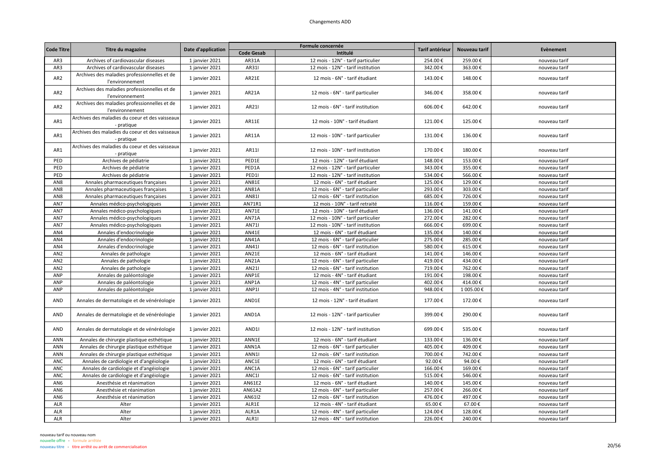|                   |                                                                 |                    |                   | Formule concernée                  |                 |               | Evènement     |
|-------------------|-----------------------------------------------------------------|--------------------|-------------------|------------------------------------|-----------------|---------------|---------------|
| <b>Code Titre</b> | Titre du magazine                                               | Date d'application | <b>Code Gesab</b> | Intitulé                           | Tarif antérieur | Nouveau tarif |               |
| AR3               | Archives of cardiovascular diseases                             | 1 janvier 2021     | AR31A             | 12 mois - 12N° - tarif particulier | 254.00€         | 259.00€       | nouveau tarif |
| AR3               | Archives of cardiovascular diseases                             | 1 janvier 2021     | AR311             | 12 mois - 12N° - tarif institution | 342.00€         | 363.00€       | nouveau tarif |
| AR <sub>2</sub>   | Archives des maladies professionnelles et de<br>l'environnement | 1 janvier 2021     | AR21E             | 12 mois - 6N° - tarif étudiant     | 143.00€         | 148.00€       | nouveau tarif |
| AR <sub>2</sub>   | Archives des maladies professionnelles et de<br>l'environnement | 1 janvier 2021     | AR21A             | 12 mois - 6N° - tarif particulier  | 346.00€         | 358.00€       | nouveau tarif |
| AR <sub>2</sub>   | Archives des maladies professionnelles et de<br>l'environnement | 1 janvier 2021     | AR211             | 12 mois - 6N° - tarif institution  | 606.00€         | 642.00€       | nouveau tarif |
| AR1               | Archives des maladies du coeur et des vaisseaux<br>- pratique   | 1 janvier 2021     | AR11E             | 12 mois - 10N° - tarif étudiant    | 121.00€         | 125.00€       | nouveau tarif |
| AR1               | Archives des maladies du coeur et des vaisseaux<br>- pratique   | 1 janvier 2021     | AR11A             | 12 mois - 10N° - tarif particulier | 131.00€         | 136.00€       | nouveau tarif |
| AR1               | Archives des maladies du coeur et des vaisseaux<br>- pratique   | 1 janvier 2021     | AR11              | 12 mois - 10N° - tarif institution | 170.00€         | 180.00€       | nouveau tarif |
| PED               | Archives de pédiatrie                                           | 1 janvier 2021     | PED1E             | 12 mois - 12N° - tarif étudiant    | 148.00€         | 153.00€       | nouveau tarif |
| PED               | Archives de pédiatrie                                           | 1 janvier 2021     | PED1A             | 12 mois - 12N° - tarif particulier | 343.00€         | 355.00€       | nouveau tarif |
| PED               | Archives de pédiatrie                                           | 1 janvier 2021     | PED1I             | 12 mois - 12N° - tarif institution | 534.00€         | 566.00€       | nouveau tarif |
| AN8               | Annales pharmaceutiques françaises                              | 1 janvier 2021     | AN81E             | 12 mois - 6N° - tarif étudiant     | 125.00€         | 129.00€       | nouveau tarif |
| AN8               | Annales pharmaceutiques françaises                              | 1 janvier 2021     | AN81A             | 12 mois - 6N° - tarif particulier  | 293.00€         | 303.00€       | nouveau tarif |
| AN8               | Annales pharmaceutiques françaises                              | 1 janvier 2021     | AN811             | 12 mois - 6N° - tarif institution  | 685.00€         | 726.00€       | nouveau tarif |
| AN7               | Annales médico-psychologiques                                   | 1 janvier 2021     | AN71R1            | 12 mois - 10N° - tarif retraité    | 116.00€         | 159.00€       | nouveau tarif |
| AN7               | Annales médico-psychologiques                                   | 1 janvier 2021     | AN71E             | 12 mois - 10N° - tarif étudiant    | 136.00€         | 141.00€       | nouveau tarif |
| AN7               | Annales médico-psychologiques                                   | 1 janvier 2021     | AN71A             | 12 mois - 10N° - tarif particulier | 272.00€         | 282.00€       | nouveau tarif |
| AN7               | Annales médico-psychologiques                                   | 1 janvier 2021     | AN711             | 12 mois - 10N° - tarif institution | 666.00€         | 699.00€       | nouveau tarif |
| AN4               | Annales d'endocrinologie                                        | 1 janvier 2021     | AN41E             | 12 mois - 6N° - tarif étudiant     | 135.00€         | 140.00€       | nouveau tarif |
| AN4               | Annales d'endocrinologie                                        | 1 janvier 2021     | AN41A             | 12 mois - 6N° - tarif particulier  | 275.00€         | 285.00€       | nouveau tarif |
| AN4               | Annales d'endocrinologie                                        | 1 janvier 2021     | AN411             | 12 mois - 6N° - tarif institution  | 580.00€         | 615.00€       | nouveau tarif |
| AN <sub>2</sub>   | Annales de pathologie                                           | 1 janvier 2021     | AN21E             | 12 mois - 6N° - tarif étudiant     | 141.00€         | 146.00€       | nouveau tarif |
| AN <sub>2</sub>   | Annales de pathologie                                           | 1 janvier 2021     | <b>AN21A</b>      | 12 mois - 6N° - tarif particulier  | 419.00€         | 434.00€       | nouveau tarif |
| AN <sub>2</sub>   | Annales de pathologie                                           | 1 janvier 2021     | AN211             | 12 mois - 6N° - tarif institution  | 719.00€         | 762.00€       | nouveau tarif |
| ANP               | Annales de paléontologie                                        | 1 janvier 2021     | ANP1E             | 12 mois - 4N° - tarif étudiant     | 191.00€         | 198.00€       | nouveau tarif |
| ANP               | Annales de paléontologie                                        | 1 janvier 2021     | ANP1A             | 12 mois - 4N° - tarif particulier  | 402.00€         | 414.00€       | nouveau tarif |
| ANP               | Annales de paléontologie                                        | 1 janvier 2021     | ANP1I             | 12 mois - 4N° - tarif institution  | 948.00€         | 1 005.00€     | nouveau tarif |
| AND               | Annales de dermatologie et de vénéréologie                      | 1 janvier 2021     | AND1E             | 12 mois - 12N° - tarif étudiant    | 177.00€         | 172.00€       | nouveau tarif |
| AND               | Annales de dermatologie et de vénéréologie                      | 1 janvier 2021     | AND1A             | 12 mois - 12N° - tarif particulier | 399.00€         | 290.00€       | nouveau tarif |
| AND               | Annales de dermatologie et de vénéréologie                      | 1 janvier 2021     | AND1I             | 12 mois - 12N° - tarif institution | 699.00€         | 535.00€       | nouveau tarif |
| <b>ANN</b>        | Annales de chirurgie plastique esthétique                       | 1 janvier 2021     | ANN1E             | 12 mois - 6N° - tarif étudiant     | 133.00€         | 136.00€       | nouveau tarif |
| ANN               | Annales de chirurgie plastique esthétique                       | 1 janvier 2021     | ANN1A             | 12 mois - 6N° - tarif particulier  | 405.00€         | 409.00€       | nouveau tarif |
| ANN               | Annales de chirurgie plastique esthétique                       | 1 janvier 2021     | ANN1              | 12 mois - 6N° - tarif institution  | 700.00€         | 742.00€       | nouveau tarif |
| ANC               | Annales de cardiologie et d'angéiologie                         | 1 janvier 2021     | ANC1E             | 12 mois - 6N° - tarif étudiant     | 92.00€          | 94.00€        | nouveau tarif |
| <b>ANC</b>        | Annales de cardiologie et d'angéiologie                         | 1 janvier 2021     | ANC1A             | 12 mois - 6N° - tarif particulier  | 166.00€         | 169.00€       | nouveau tarif |
| ANC               | Annales de cardiologie et d'angéiologie                         | 1 janvier 2021     | ANC1I             | 12 mois - 6N° - tarif institution  | 515.00€         | 546.00€       | nouveau tarif |
| AN6               | Anesthésie et réanimation                                       | 1 janvier 2021     | AN61E2            | 12 mois - 6N° - tarif étudiant     | 140.00€         | 145.00€       | nouveau tarif |
| AN6               | Anesthésie et réanimation                                       | 1 janvier 2021     | AN61A2            | 12 mois - 6N° - tarif particulier  | 257.00€         | 266.00€       | nouveau tarif |
| AN6               | Anesthésie et réanimation                                       | 1 janvier 2021     | AN6112            | 12 mois - 6N° - tarif institution  | 476.00€         | 497.00€       | nouveau tarif |
| ALR               | Alter                                                           | 1 janvier 2021     | ALR1E             | 12 mois - 4N° - tarif étudiant     | 65.00€          | 67.00€        | nouveau tarif |
| ALR               | Alter                                                           | 1 janvier 2021     | ALR1A             | 12 mois - 4N° - tarif particulier  | 124.00€         | 128.00€       | nouveau tarif |
| ALR               | Alter                                                           | 1 janvier 2021     | ALR1I             | 12 mois - 4N° - tarif institution  | 226.00€         | 240.00€       | nouveau tarif |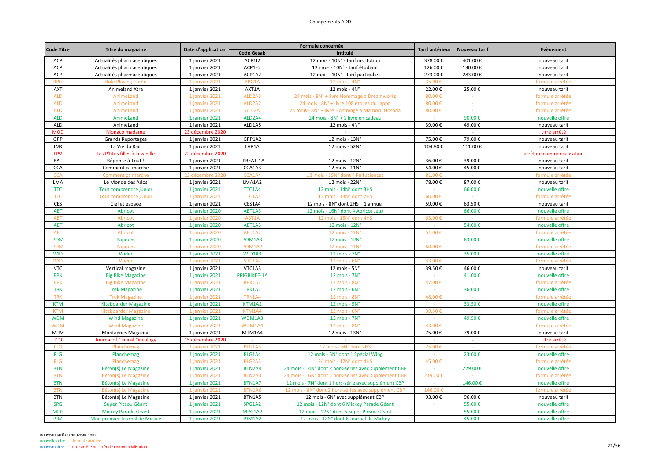| <b>Code Titre</b> |                                     | Date d'application | Formule concernée               |                                                       | Tarif antérieur | Nouveau tarif | Evènement                  |
|-------------------|-------------------------------------|--------------------|---------------------------------|-------------------------------------------------------|-----------------|---------------|----------------------------|
|                   | Titre du magazine                   |                    | <b>Code Gesab</b>               | Intitulé                                              |                 |               |                            |
| ACP               | Actualités pharmaceutiques          | 1 janvier 2021     | <b>ACP1I2</b>                   | 12 mois - 10N° - tarif institution                    | 378.00€         | 401.00€       | nouveau tarif              |
| <b>ACP</b>        | Actualités pharmaceutiques          | 1 janvier 2021     | ACP1E2                          | 12 mois - 10N° - tarif étudiant                       | 126.00€         | 130.00€       | nouveau tarif              |
| ACP               | Actualités pharmaceutiques          | 1 janvier 2021     | ACP1A2                          | 12 mois - 10N° - tarif particulier                    | 273.00€         | 283.00€       | nouveau tarif              |
| <b>RPG</b>        | <b>Role Playing Game</b>            | 1 janvier 2021     | RPG1A                           | 12 mois - 4N'                                         | 35.00           |               | formule arrêtée            |
| <b>AXT</b>        | Animeland Xtra                      | 1 janvier 2021     | AXT1A                           | $12$ mois - $4N^\circ$                                | 22.00€          | 25.00€        | nouveau tarif              |
| <b>ALD</b>        | AnimeLand                           | 1 janvier 2021     | ALD2A3                          | 24 mois - 8N° + livre Hommage à Dreamworks            | 80.00€          |               | formule arrêtée            |
| <b>ALD</b>        | AnimeLand                           | 1 janvier 2021     | ALD <sub>2</sub> A <sub>2</sub> | 24 mois - 8N° + livre 108 étoiles du Japon            | 80.00€          |               | formule arrêtée            |
| <b>ALD</b>        | AnimeLand                           | 1 janvier 2021     | ALD <sub>2</sub> A              | 24 mois - 8N° + livre Hommage à Mamoru Hosoda         | 80.00€          |               | formule arrêtée            |
| <b>ALD</b>        | AnimeLand                           | 1 janvier 2021     | ALD <sub>2</sub> A4             | 24 mois - 8N° + 1 livre en cadeau                     |                 | 90.00€        | nouvelle offre             |
| <b>ALD</b>        | AnimeLand                           | 1 janvier 2021     | ALD1A5                          | 12 mois - 4N°                                         | 39.00€          | 49.00€        | nouveau tarif              |
| <b>MOD</b>        | Monaco madame                       | 23 décembre 2020   | $\omega$                        |                                                       |                 |               | titre arrêté               |
| GRP               | <b>Grands Reportages</b>            | 1 janvier 2021     | GRP1A2                          | 12 mois - 13N°                                        | 75.00€          | 79.00€        | nouveau tarif              |
| LVR               | La Vie du Rail                      | 1 janvier 2021     | LVR1A                           | 12 mois - 52N°                                        | 104.80€         | 111.00€       | nouveau tarif              |
| LPV               | Les P'tites filles à la vanille     | 22 décembre 2020   |                                 |                                                       |                 |               | arrêt de commercialisation |
| RAT               | Réponse à Tout !                    | 1 janvier 2021     | LPREAT-1A                       | 12 mois - 12N°                                        | 36.00€          | 39.00€        | nouveau tarif              |
| <b>CCA</b>        | Comment ça marche                   | 1 janvier 2021     | CCA1A3                          | 12 mois - 11N°                                        | 54.00€          | 45.00€        | nouveau tarif              |
| <b>CCA</b>        | Comment ca marche                   | 22 décembre 2020   | CCA1A4                          | 12 mois - 15N° dont 4 Full sciences                   | 81.00€          |               | formule arrêtée            |
| LMA               | Le Monde des Ados                   | 1 janvier 2021     | LMA1A2                          | 12 mois - 22N°                                        | 78.00€          | 87.00€        | nouveau tarif              |
| <b>TTC</b>        | Tout comprendre junior              | 1 janvier 2021     | TTC1A4                          | 12 mois - 14N° dont 3HS                               |                 | 66.00€        | nouvelle offre             |
| <b>TTC</b>        | Tout comprendre junior              | 1 janvier 2021     | TTC1A3                          | 12 mois - 13N° dont 2HS                               | $60.00$ €       |               | formule arrêtée            |
| <b>CES</b>        | Ciel et espace                      | 1 janvier 2021     | CES1A4                          | 12 mois - 8N° dont 2HS + 1 annuel                     | 59.00€          | 63.50€        | nouveau tarif              |
| <b>ABT</b>        | Abricot                             | 1 janvier 2020     | ABT1A3                          | 12 mois - 16N° dont 4 Abricot Jeux                    | $\sim$          | 66.00€        | nouvelle offre             |
| <b>ABT</b>        | Abricot                             | 1 janvier 2020     | ABT1A                           | 12 mois - 15N° dont 4HS                               | 63.00€          |               | formule arrêtée            |
| <b>ABT</b>        | Abricot                             | 1 janvier 2020     | ABT1A5                          | 12 mois - 12N°                                        |                 | 54.00€        | nouvelle offre             |
| <b>ABT</b>        | Abricot                             | 1 janvier 2020     | ABT1A2                          | 12 mois - 11N'                                        | 51.00€          |               | formule arrêtée            |
| <b>POM</b>        | Papoum                              | 1 janvier 2020     | POM1A3                          | 12 mois - 12N°                                        | $\sim$          | 63.00€        | nouvelle offre             |
| <b>POM</b>        | Papoum                              | 1 janvier 2020     | POM <sub>1</sub> A <sub>2</sub> | 12 mois - 11N                                         | 60.00€          |               | formule arrêtée            |
| <b>WID</b>        | Wider                               | 1 janvier 2021     | WID1A3                          | 12 mois - 7N°                                         |                 | 35.00€        | nouvelle offre             |
| <b>WID</b>        | Wider                               | 1 janvier 2021     | VTC1A2                          | 12 mois - 6N                                          | 33.00€          |               | formule arrêtée            |
| <b>VTC</b>        | Vertical magazine                   | 1 janvier 2021     | VTC1A3                          | 12 mois - $5Nc$                                       | 39.50€          | 46.00€        | nouveau tarif              |
| <b>BBK</b>        | <b>Big Bike Magazine</b>            | 1 janvier 2021     | <b>PBIGBIKEE-1A</b>             | $12 \text{ mois} - 7N^\circ$                          |                 | 41.00€        | nouvelle offre             |
| <b>BBK</b>        | <b>Big Bike Magazine</b>            | 1 janvier 202:     | BBK1A2                          | 12 mois - 8N                                          | 47.00€          |               | formule arrêtée            |
| <b>TRK</b>        | <b>Trek Magazine</b>                | 1 janvier 2021     | <b>TRK1A2</b>                   | $12$ mois - $6N^\circ$                                | $\sim$          | 36.00€        | nouvelle offre             |
| <b>TRK</b>        | <b>Trek Magazine</b>                | 1 janvier 2021     | <b>TRK1A4</b>                   | 12 mois - 8N                                          | 48.00€          |               | formule arrêtée            |
| <b>KTM</b>        | <b>Kiteboarder Magazine</b>         | 1 janvier 2021     | KTM1A2                          | 12 mois - 5N°                                         |                 | 33.50€        | nouvelle offre             |
| <b>KTM</b>        | <b>Kiteboarder Magazine</b>         | 1 janvier 2021     | KTM1A4                          | 12 mois - 6N                                          | 39.50€          |               | formule arrêtée            |
| <b>WDM</b>        | <b>Wind Magazine</b>                | 1 janvier 2021     | WDM1A3                          | 12 mois - 7N°                                         | $\sim$          | 49.50€        | nouvelle offre             |
| <b>WDM</b>        | <b>Wind Magazine</b>                | 1 janvier 2021     | WDM1A4                          | 12 mois - 8N'                                         | 43.00€          |               | formule arrêtée            |
| <b>MTM</b>        | Montagnes Magazine                  | 1 janvier 2021     | MTM1A4                          | 12 mois - 13N°                                        | 75.00€          | 79.00€        | nouveau tarif              |
| <b>JCO</b>        | <b>Journal of Clinical Oncology</b> | 15 décembre 2020   | $\mathcal{L}$                   | $\sim$                                                | $\sim$          | $\sim$        | titre arrêté               |
| PLG               | Planchema                           | 1 janvier 2021     | PLG1A3                          | 12 mois - 6N° dont 2H                                 | 25.00           |               | formule arrêtée            |
| PLG               | Planchemag                          | 1 janvier 2021     | PLG1A4                          | 12 mois - 5N° dont 1 Spécial Wing                     | $\sim$          | 23.00€        | nouvelle offre             |
| <b>PLG</b>        | Planchemag                          | 1 janvier 2021     | PLG <sub>2</sub> A <sub>3</sub> | 24 mois - 12N° dont 4HS                               | 45.00€          |               | formule arrêtée            |
| <b>BTN</b>        | Béton(s) Le Magazine                | 1 janvier 2021     | BTN2A4                          | 24 mois - 14N° dont 2 hors-séries avec supplément CBP | $\sim$          | 229.00€       | nouvelle offre             |
| <b>BTN</b>        | Béton(s) Le Magazine                | 1 janvier 2021     | BTN2A3                          | 24 mois - 16N° dont 4 hors-séries avec supplément CBP | 219.00€         |               | formule arrêtée            |
| <b>BTN</b>        | Béton(s) Le Magazine                | 1 janvier 2021     | BTN1A7                          | 12 mois - 7N° dont 1 hors-série avec supplément CBP   |                 | 146.00€       | nouvelle offre             |
| <b>BTN</b>        | Béton(s) Le Magazine                | 1 janvier 2021     | BTN1A6                          | 12 mois - 8N° dont 2 hors-séries avec supplément CBF  | 146.00€         |               | formule arrêtée            |
| <b>BTN</b>        | Béton(s) Le Magazine                | 1 janvier 2021     | BTN1A5                          | 12 mois - 6N° avec supplément CBP                     | 93.00€          | 96.00€        | nouveau tarif              |
| <b>SPG</b>        | Super Picsou Géant                  | 1 janvier 2021     | SPG1A2                          | 12 mois - 12N° dont 6 Mickey Parade Géant             |                 | 55.00€        | nouvelle offre             |
| <b>MPG</b>        | Mickey Parade Géant                 | 1 janvier 2021     | MPG1A2                          | 12 mois - 12N° dont 6 Super Picsou Géant              | $\sim$          | 55.00€        | nouvelle offre             |
| <b>PJM</b>        | Mon premier Journal de Mickey       | 1 janvier 2021     | PJM1A2                          | 12 mois - 12N° dont 6 Journal de Mickey               | $\sim$          | 45.00€        | nouvelle offre             |
|                   |                                     |                    |                                 |                                                       |                 |               |                            |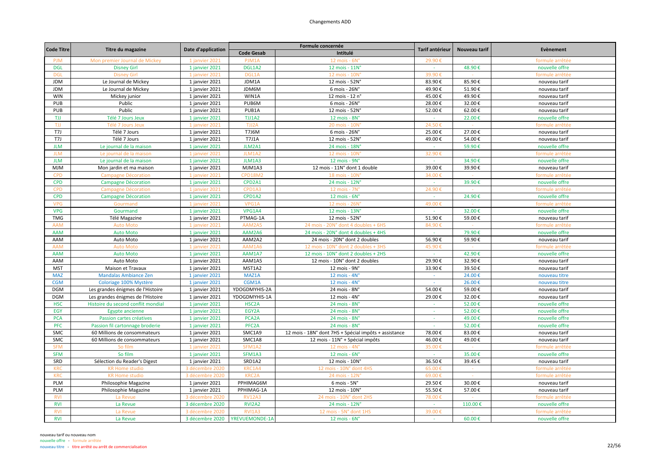| <b>Code Titre</b> |                                    |                    |                             | Formule concernée                                     | Tarif antérieur | Nouveau tarif | Evènement       |
|-------------------|------------------------------------|--------------------|-----------------------------|-------------------------------------------------------|-----------------|---------------|-----------------|
|                   | Titre du magazine                  | Date d'application | <b>Code Gesab</b>           | Intitulé                                              |                 |               |                 |
| <b>PJM</b>        | Mon premier Journal de Mickey      | 1 janvier 2021     | PJM1A                       | $12$ mois - $6No$                                     | 29.90€          |               | formule arrêtée |
| <b>DGL</b>        | <b>Disney Girl</b>                 | 1 janvier 2021     | DGL1A2                      | 12 mois - 11N°                                        | $\sim$          | 48.90€        | nouvelle offre  |
| <b>DGL</b>        | <b>Disney Girl</b>                 | 1 janvier 202:     | DGL1A                       | 12 mois - 10N                                         | 39.90           |               | formule arrêtée |
| <b>JDM</b>        | Le Journal de Mickey               | 1 janvier 2021     | JDM1A                       | 12 mois - 52N°                                        | 83.90€          | 85.90€        | nouveau tarif   |
| <b>JDM</b>        | Le Journal de Mickey               | 1 janvier 2021     | JDM6M                       | 6 mois - 26N°                                         | 49.90€          | 51.90€        | nouveau tarif   |
| <b>WIN</b>        | Mickey junior                      | 1 janvier 2021     | WIN1A                       | 12 mois - 12 n°                                       | 45.00€          | 49.90€        | nouveau tarif   |
| PUB               | Public                             | 1 janvier 2021     | PUB6M                       | 6 mois - 26N°                                         | 28.00€          | 32.00€        | nouveau tarif   |
| PUB               | Public                             | 1 janvier 2021     | PUB1A                       | 12 mois - 52N°                                        | 52.00€          | 62.00€        | nouveau tarif   |
| TJJ               | Télé 7 Jours Jeux                  | 1 janvier 2021     | TJJ1A2                      | 12 mois - 8N°                                         |                 | 22.00€        | nouvelle offre  |
| TJJ               | Télé 7 Jours Jeux                  | 1 janvier 2021     | TJJ2A                       | 20 mois - 10N                                         | 24.50€          |               | formule arrêtée |
| T7J               | Télé 7 Jours                       | 1 janvier 2021     | T7J6M                       | 6 mois - 26N°                                         | 25.00€          | 27.00€        | nouveau tarif   |
| T7J               | Télé 7 Jours                       | 1 janvier 2021     | <b>T7J1A</b>                | 12 mois - 52N°                                        | 49.00€          | 54.00€        | nouveau tarif   |
| <b>JLM</b>        | Le journal de la maison            | 1 janvier 2021     | JLM2A1                      | 24 mois - 18N°                                        | $\sim$          | 59.90€        | nouvelle offre  |
| <b>JLM</b>        | Le journal de la maisor            | 1 janvier 2021     | JLM1A2                      | 12 mois - 10N                                         | 32.90€          |               | formule arrêtée |
| <b>JLM</b>        | Le journal de la maison            | 1 janvier 2021     | JLM1A3                      | 12 mois - 9N°                                         |                 | 34.90€        | nouvelle offre  |
| <b>MJM</b>        | Mon jardin et ma maison            | 1 janvier 2021     | MJM1A3                      | 12 mois - 11N° dont 1 double                          | 39.00€          | 39.90€        | nouveau tarif   |
| <b>CPD</b>        | <b>Campagne Décoration</b>         | 1 janvier 2021     | <b>CPD18M2</b>              | 18 mois - 10N                                         | 34.00€          |               | formule arrêtée |
| <b>CPD</b>        | Campagne Décoration                | 1 janvier 2021     | CPD2A1                      | 24 mois - 12N°                                        | $\sim$          | 39.90€        | nouvelle offre  |
| <b>CPD</b>        | <b>Campagne Décoration</b>         | 1 janvier 2021     | CPD1A3                      | 12 mois - 7N'                                         | 24.90€          |               | formule arrêtée |
| <b>CPD</b>        | <b>Campagne Décoration</b>         | 1 janvier 2021     | CPD1A2                      | 12 mois - $6N^\circ$                                  |                 | 24.90€        | nouvelle offre  |
| <b>VPG</b>        | Gourmand                           | 1 janvier 202:     | VPG1A                       | 12 mois - 26N                                         | 49.00€          |               | formule arrêtée |
| <b>VPG</b>        | Gourmand                           | 1 janvier 2021     | VPG1A4                      | 12 mois - 13N°                                        | $\sim$          | 32.00€        | nouvelle offre  |
| <b>TMG</b>        | Télé Magazine                      | 1 janvier 2021     | PTMAG-1A                    | 12 mois - 52N°                                        | 51.90€          | 59.00€        | nouveau tarif   |
| <b>AAN</b>        | <b>Auto Moto</b>                   | 1 janvier 202:     | AAM2A5                      | 24 mois - 20N° dont 4 doubles + 6HS                   | 84.90€          |               | formule arrêtée |
| <b>AAM</b>        | <b>Auto Moto</b>                   | 1 janvier 2021     | AAM2A6                      | 24 mois - 20N° dont 4 doubles + 4HS                   |                 | 79.90€        | nouvelle offre  |
| AAM               | Auto Moto                          | 1 janvier 2021     | AAM2A2                      | 24 mois - 20N° dont 2 doubles                         | 56.90€          | 59.90€        | nouveau tarif   |
| <b>AAN</b>        | <b>Auto Moto</b>                   | 1 janvier 202:     | AAM1A6                      | 12 mois - 10N° dont 2 doubles + 3H                    | 45.90           |               | formule arrêtée |
| <b>AAM</b>        | <b>Auto Moto</b>                   | 1 janvier 2021     | AAM1A7                      | 12 mois - 10N° dont 2 doubles + 2HS                   | $\sim$          | 42.90€        | nouvelle offre  |
| AAM               | Auto Moto                          | 1 janvier 2021     | AAM1A5                      | 12 mois - 10N° dont 2 doubles                         | 29.90€          | 32.90€        | nouveau tarif   |
| <b>MST</b>        | Maison et Travaux                  | 1 janvier 2021     | MST1A2                      | 12 mois - $9Nc$                                       | 33.90€          | 39.50€        | nouveau tarif   |
| <b>MAZ</b>        | <b>Mandalas Ambiance Zen</b>       | 1 janvier 2021     | MAZ1A                       | 12 mois - 4N°                                         |                 | 24.00€        | nouveau titre   |
| <b>CGM</b>        | Coloriage 100% Mystère             | 1 janvier 2021     | CGM1A                       | 12 mois - 4N°                                         | $\sim$          | 26.00€        | nouveau titre   |
| <b>DGM</b>        |                                    |                    | YDOGDMYHIS-2A               | 24 mois - 8N°                                         | 54.00€          | 59.00€        | nouveau tarif   |
| <b>DGM</b>        | Les grandes énigmes de l'Histoire  | 1 janvier 2021     | YDOGDMYHIS-1A               | 12 mois - 4N°                                         | 29.00€          | 32.00€        | nouveau tarif   |
|                   | Les grandes énigmes de l'Histoire  | 1 janvier 2021     |                             |                                                       | $\sim$          | 52.00€        |                 |
| <b>HSC</b>        | Histoire du second conflit mondial | 1 janvier 2021     | HSC <sub>2</sub> A          | 24 mois - 8N°                                         |                 | 52.00€        | nouvelle offre  |
| <b>EGY</b>        | Egypte ancienne                    | 1 janvier 2021     | EGY2A<br>PCA <sub>2</sub> A | 24 mois - 8N°                                         |                 | 49.00€        | nouvelle offre  |
| <b>PCA</b>        | Passion cartes créatives           | 1 janvier 2021     |                             | 24 mois - 8N°                                         | $\sim$          |               | nouvelle offre  |
| <b>PFC</b>        | Passion fil cartonnage broderie    | 1 janvier 2021     | PFC <sub>2</sub> A          | 24 mois - 8N°                                         |                 | 52.00€        | nouvelle offre  |
| SMC               | 60 Millions de consommateurs       | 1 janvier 2021     | SMC1A9                      | 12 mois - 18N° dont 7HS + Spécial impôts + assistance | 78.00€          | 83.00€        | nouveau tarif   |
| SMC               | 60 Millions de consommateurs       | 1 janvier 2021     | SMC1A8                      | 12 mois - 11N° + Spécial impôts                       | 46.00€          | 49.00€        | nouveau tarif   |
| <b>SFM</b>        | So film                            | 1 janvier 2021     | SFM1A2                      | 12 mois - 4N                                          | 35.00           |               | formule arrêtée |
| <b>SFM</b>        | So film                            | 1 janvier 2021     | SFM1A3                      | 12 mois - $6N^{\circ}$                                | $\sim$          | 35.00€        | nouvelle offre  |
| SRD               | Sélection du Reader's Digest       | 1 janvier 2021     | SRD1A2                      | 12 mois - 10N°                                        | 36.50€          | 39.45€        | nouveau tarif   |
| <b>KRC</b>        | <b>KR Home studio</b>              | 3 décembre 2020    | KRC1A4                      | 12 mois - 10N° dont 4HS                               | 65.00€          |               | formule arrêtée |
| <b>KRC</b>        | <b>KR Home studio</b>              | 3 décembre 2020    | <b>KRC2A</b>                | 24 mois - 12N                                         | 69.00€          |               | formule arrêtée |
| PLM               | Philosophie Magazine               | 1 janvier 2021     | PPHIMAG6M                   | $6$ mois - $5N^{\circ}$                               | 29.50€          | 30.00€        | nouveau tarif   |
| PLM               | Philosophie Magazine               | 1 janvier 2021     | PPHIMAG-1A                  | 12 mois - 10N°                                        | 55.50€          | 57.00€        | nouveau tarif   |
| <b>RVI</b>        | La Revue                           | 3 décembre 2020    | <b>RV12A3</b>               | 24 mois - 10N° dont 2HS                               | 78.00€          |               | formule arrêtée |
| <b>RVI</b>        | La Revue                           | 3 décembre 2020    | RVI2A2                      | 24 mois - 12N°                                        | $\sim$          | 110.00€       | nouvelle offre  |
| <b>RVI</b>        | La Revue                           | 3 décembre 2020    | RVI1A3                      | 12 mois - 5N° dont 1HS                                | 39.00€          |               | formule arrêtée |
| <b>RVI</b>        | La Revue                           | 3 décembre 2020    | YREVUEMONDE-1A              | 12 mois - 6N°                                         | $\sim$          | 60.00€        | nouvelle offre  |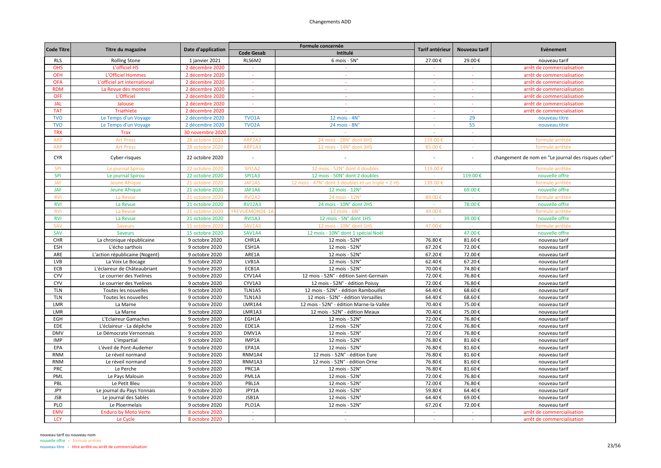| <b>Code Titre</b><br>Date d'application<br>Tarif antérieur<br>Nouveau tarif<br>Titre du magazine<br><b>Code Gesab</b><br>Intitulé<br>RLS6M2<br><b>RLS</b><br><b>Rolling Stone</b><br>1 janvier 2021<br>$6$ mois - $5N^\circ$<br>27.00€<br>29.00€<br>OHS<br>L'officiel HS<br>2 décembre 2020<br>÷ | Evènement<br>nouveau tarif<br>arrêt de commercialisation<br>arrêt de commercialisation |
|--------------------------------------------------------------------------------------------------------------------------------------------------------------------------------------------------------------------------------------------------------------------------------------------------|----------------------------------------------------------------------------------------|
|                                                                                                                                                                                                                                                                                                  |                                                                                        |
|                                                                                                                                                                                                                                                                                                  |                                                                                        |
|                                                                                                                                                                                                                                                                                                  |                                                                                        |
| <b>OFH</b><br>L'Officiel Hommes<br>2 décembre 2020<br>$\sim$<br>$\sim$<br>$\sim$<br>$\sim$                                                                                                                                                                                                       |                                                                                        |
| <b>OFA</b><br>L'officiel art international<br>2 décembre 2020                                                                                                                                                                                                                                    | arrêt de commercialisation                                                             |
| <b>RDM</b><br>La Revue des montres<br>2 décembre 2020<br>$\omega$<br>$\sim$<br>$\sim$                                                                                                                                                                                                            | arrêt de commercialisation                                                             |
| <b>OFF</b><br>L'Officiel<br>2 décembre 2020<br>$\sim$<br>$\sim$<br>$\sim$<br>$\sim$                                                                                                                                                                                                              | arrêt de commercialisation                                                             |
| <b>JAL</b><br>2 décembre 2020<br>Jalouse<br>$\sim$                                                                                                                                                                                                                                               | arrêt de commercialisation                                                             |
| <b>TAT</b><br>Triathlete<br>2 décembre 2020<br>$\sim$<br>$\sim$                                                                                                                                                                                                                                  | arrêt de commercialisation                                                             |
| <b>TVO</b><br>TVO <sub>1</sub> A<br>12 mois - $4Nc$<br>29<br>Le Temps d'un Voyage<br>2 décembre 2020                                                                                                                                                                                             | nouveau titre                                                                          |
| <b>TVO</b><br>2 décembre 2020<br>TVO <sub>2</sub> A<br>24 mois - 8N°<br>55<br>Le Temps d'un Voyage                                                                                                                                                                                               | nouveau titre                                                                          |
| <b>TRX</b><br><b>Trax</b><br>30 novembre 2020<br>n.<br>i.                                                                                                                                                                                                                                        |                                                                                        |
| <b>ARP</b><br><b>Art Press</b><br>28 octobre 2020<br>ARP2A2<br>24 mois - 28N° dont 6HS<br>159.00                                                                                                                                                                                                 | formule arrêtée                                                                        |
| <b>ARP</b><br><b>Art Press</b><br>ARP1A3<br>85.00€<br>28 octobre 2020<br>12 mois - 14N° dont 3HS                                                                                                                                                                                                 | formule arrêtée                                                                        |
| <b>CYR</b><br>22 octobre 2020<br>Cyber-risques                                                                                                                                                                                                                                                   | changement de nom en "Le journal des risques cyber'                                    |
| SPI<br>SPI1A2<br>12 mois - 52N° dont 4 doubles<br>119.00<br>22 octobre 2020<br>Le journal Spirou                                                                                                                                                                                                 | formule arrêtée                                                                        |
| <b>SPI</b><br>Le journal Spirou<br><b>SPI1A3</b><br>119.00€<br>22 octobre 2020<br>12 mois - 50N° dont 2 doubles<br>$\sim$                                                                                                                                                                        | nouvelle offre                                                                         |
| <b>JAF</b><br>Jeune Afrique<br>21 octobre 2020<br>JAF1A5<br>12 mois - 47N° dont 3 doubles et un triple + 2 HS<br>139.00€                                                                                                                                                                         | formule arrêtée                                                                        |
| 69.00€<br><b>JAF</b><br>Jeune Afrique<br>21 octobre 2020<br>JAF1A6<br>12 mois - 12N°                                                                                                                                                                                                             | nouvelle offre                                                                         |
| La Revue<br>21 octobre 2020<br>RVI2A2<br>24 mois - 12N<br>89.00<br><b>RV</b>                                                                                                                                                                                                                     | formule arrêtée                                                                        |
| <b>RV12A3</b><br><b>RVI</b><br>24 mois - 10N° dont 2HS<br>78.00€<br>La Revue                                                                                                                                                                                                                     | nouvelle offre                                                                         |
| 21 octobre 2020<br><b>RV</b><br>49.00€<br><b>ILIEMONDE</b>                                                                                                                                                                                                                                       |                                                                                        |
| La Revue<br>21 octobre 2020<br>12 mois - 6N'                                                                                                                                                                                                                                                     | formule arrêtée                                                                        |
| <b>RVI</b><br>39.00€<br>La Revue<br><b>RVI1A3</b><br>12 mois - 5N° dont 1HS<br>21 octobre 2020<br>$\sim$                                                                                                                                                                                         | nouvelle offre                                                                         |
| <b>SAV</b><br>SAV1A3<br>47.00€<br>15 octobre 2020<br>12 mois - 10N° dont 1HS<br><b>Saveurs</b>                                                                                                                                                                                                   | formule arrêtée                                                                        |
| SAV<br>SAV1A4<br>47.00€<br><b>Saveurs</b><br>15 octobre 2020<br>12 mois - 10N° dont 1 spécial Noël<br>$\sim$                                                                                                                                                                                     | nouvelle offre                                                                         |
| CHR1A<br>76.80€<br>81.60€<br>CHR<br>La chronique républicaine<br>9 octobre 2020<br>12 mois - 52N°                                                                                                                                                                                                | nouveau tarif                                                                          |
| ESH<br>ESH1A<br>67.20€<br>72.00€<br>L'écho sarthois<br>9 octobre 2020<br>12 mois - 52N°                                                                                                                                                                                                          | nouveau tarif                                                                          |
| ARE<br>ARE1A<br>72.00€<br>L'action républicaine (Nogent)<br>9 octobre 2020<br>12 mois - 52N°<br>67.20€                                                                                                                                                                                           | nouveau tarif                                                                          |
| LVB<br>LVB1A<br>12 mois - 52N°<br>62.40€<br>67.20€<br>La Voix Le Bocage<br>9 octobre 2020                                                                                                                                                                                                        | nouveau tarif                                                                          |
| 74.80€<br>ECB<br>L'éclaireur de Châteaubriant<br>9 octobre 2020<br>ECB1A<br>12 mois - 52N°<br>70.00€                                                                                                                                                                                             | nouveau tarif                                                                          |
| CYV<br>CYV1A4<br>72.00€<br>76.80€<br>Le courrier des Yvelines<br>9 octobre 2020<br>12 mois - 52N° - édition Saint-Germain                                                                                                                                                                        | nouveau tarif                                                                          |
| CYV<br>CYV1A3<br>72.00€<br>76.80€<br>Le courrier des Yvelines<br>9 octobre 2020<br>12 mois - 52N° - édition Poissy                                                                                                                                                                               | nouveau tarif                                                                          |
| <b>TLN</b><br>TLN1A5<br>68.60€<br>Toutes les nouvelles<br>9 octobre 2020<br>12 mois - 52N° - édition Rambouillet<br>64.40€                                                                                                                                                                       | nouveau tarif                                                                          |
| <b>TLN</b><br>9 octobre 2020<br>TLN1A3<br>64.40€<br>68.60€<br>Toutes les nouvelles<br>12 mois - 52N° - édition Versailles                                                                                                                                                                        | nouveau tarif                                                                          |
| LMR<br>9 octobre 2020<br>LMR1A4<br>12 mois - 52N° - édition Marne-la-Vallée<br>70.40€<br>75.00€<br>La Marne                                                                                                                                                                                      | nouveau tarif                                                                          |
| LMR<br>LMR1A3<br>70.40€<br>75.00€<br>La Marne<br>9 octobre 2020<br>12 mois - 52N° - édition Meaux                                                                                                                                                                                                | nouveau tarif                                                                          |
| EGH<br>EGH1A<br>72.00€<br>76.80€<br>L'Eclaireur Gamaches<br>9 octobre 2020<br>12 mois - 52N°                                                                                                                                                                                                     | nouveau tarif                                                                          |
| EDE<br>EDE1A<br>72.00€<br>76.80€<br>L'éclaireur - La dépêche<br>9 octobre 2020<br>12 mois - 52N°                                                                                                                                                                                                 | nouveau tarif                                                                          |
| <b>DMV</b><br>Le Démocrate Vernonnais<br>9 octobre 2020<br>DMV1A<br>12 mois - 52N°<br>72.00€<br>76.80€                                                                                                                                                                                           | nouveau tarif                                                                          |
| IMP1A<br>76.80€<br>81.60€<br><b>IMP</b><br>L'impartial<br>9 octobre 2020<br>12 mois - 52N°                                                                                                                                                                                                       | nouveau tarif                                                                          |
| EPA1A<br>76.80€<br>81.60€<br>EPA<br>9 octobre 2020<br>12 mois - 52N°<br>L'éveil de Pont-Audemer                                                                                                                                                                                                  | nouveau tarif                                                                          |
| <b>RNM</b><br>RNM1A4<br>12 mois - 52N° - édition Eure<br>76.80€<br>81.60€<br>Le réveil normand<br>9 octobre 2020                                                                                                                                                                                 | nouveau tarif                                                                          |
| RNM1A3<br>12 mois - 52N° - édition Orne<br>76.80€<br>81.60€<br><b>RNM</b><br>Le réveil normand<br>9 octobre 2020                                                                                                                                                                                 | nouveau tarif                                                                          |
| PRC<br>PRC1A<br>76.80€<br>81.60€<br>Le Perche<br>9 octobre 2020<br>12 mois - 52N°                                                                                                                                                                                                                | nouveau tarif                                                                          |
| PML1A<br>76.80€<br>PML<br>Le Pays Malouin<br>9 octobre 2020<br>12 mois - 52N°<br>72.00€                                                                                                                                                                                                          | nouveau tarif                                                                          |
| PBL<br>Le Petit Bleu<br>9 octobre 2020<br>PBL1A<br>12 mois - 52N°<br>72.00€<br>76.80€                                                                                                                                                                                                            | nouveau tarif                                                                          |
| JPY1A<br>JPY<br>Le journal du Pays Yonnais<br>59.80€<br>64.40€<br>9 octobre 2020<br>12 mois - 52N°                                                                                                                                                                                               | nouveau tarif                                                                          |
| <b>JSB</b><br>Le journal des Sables<br>JSB1A<br>12 mois - 52N°<br>64.40€<br>69.00€<br>9 octobre 2020                                                                                                                                                                                             | nouveau tarif                                                                          |
| PLO<br>PLO1A<br>12 mois - 52N°<br>Le Ploermelais<br>9 octobre 2020<br>67.20€<br>72.00€                                                                                                                                                                                                           | nouveau tarif                                                                          |
| <b>EMV</b><br><b>Enduro by Moto Verte</b><br>8 octobre 2020<br>$\sim$<br>$\sim$<br>$\sim 10$<br>$\sim 10$                                                                                                                                                                                        | arrêt de commercialisation                                                             |
| <b>LCY</b><br>Le Cycle<br>8 octobre 2020<br>$\sim$<br>×,                                                                                                                                                                                                                                         | arrêt de commercialisation                                                             |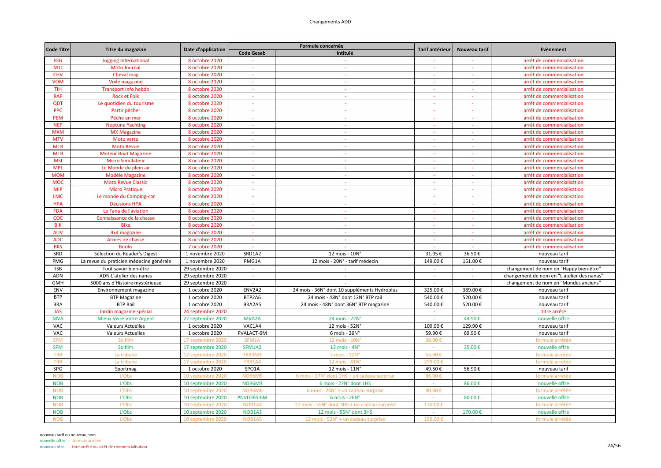| <b>Code Titre</b> | Titre du magazine                       | Date d'application |                          | Formule concernée                            | <b>Tarif antérieur</b> | Nouveau tarif            | Evènement                                  |
|-------------------|-----------------------------------------|--------------------|--------------------------|----------------------------------------------|------------------------|--------------------------|--------------------------------------------|
|                   |                                         |                    | <b>Code Gesab</b>        | Intitulé                                     |                        |                          |                                            |
| <b>JGG</b>        | Jogging International                   | 8 octobre 2020     |                          |                                              |                        |                          | arrêt de commercialisation                 |
| <b>MTJ</b>        | <b>Moto Journal</b>                     | 8 octobre 2020     | $\sim$                   | $\sim$                                       |                        |                          | arrêt de commercialisation                 |
| <b>CHV</b>        | Cheval mag                              | 8 octobre 2020     |                          |                                              |                        |                          | arrêt de commercialisation                 |
| <b>VOM</b>        | Voile magazine                          | 8 octobre 2020     | $\sim$                   | ÷.                                           |                        |                          | arrêt de commercialisation                 |
| <b>TIH</b>        | <b>Transport Info hebdo</b>             | 8 octobre 2020     | $\sim$                   | $\mathcal{L}$                                | $\sim$                 | $\sim$                   | arrêt de commercialisation                 |
| <b>RAF</b>        | <b>Rock et Folk</b>                     | 8 octobre 2020     | $\sim$                   | $\sim$                                       | $\sim$                 | $\sim$                   | arrêt de commercialisation                 |
| QDT               | Le quotidien du tourisme                | 8 octobre 2020     | $\sim$                   | <b>Section</b>                               | $\sim$                 | $\sim$                   | arrêt de commercialisation                 |
| <b>PPC</b>        | Partir pêcher                           | 8 octobre 2020     | $\sim$                   | $\sim$                                       |                        |                          | arrêt de commercialisation                 |
| <b>PEM</b>        | Pêche en mer                            | 8 octobre 2020     | ÷.                       | $\mathcal{L}$                                |                        |                          | arrêt de commercialisation                 |
| <b>NEP</b>        | <b>Neptune Yachting</b>                 | 8 octobre 2020     | $\omega$ .               | $\sim$                                       | $\sim$                 | $\sim$                   | arrêt de commercialisation                 |
| <b>MXM</b>        | <b>MX Magazine</b>                      | 8 octobre 2020     | $\sim$                   | $\Delta \tau$                                | $\sim$                 | $\sim$                   | arrêt de commercialisation                 |
| <b>MTV</b>        | Moto verte                              | 8 octobre 2020     | $\overline{\phantom{a}}$ | $\sim$                                       |                        |                          | arrêt de commercialisation                 |
| <b>MTR</b>        | <b>Moto Revue</b>                       | 8 octobre 2020     | $\sim$                   | $\omega$ .                                   | $\sim$                 |                          | arrêt de commercialisation                 |
| <b>MTB</b>        | <b>Moteur Boat Magazine</b>             | 8 octobre 2020     |                          |                                              |                        |                          | arrêt de commercialisation                 |
| <b>MSI</b>        | <b>Micro Simulateur</b>                 | 8 octobre 2020     | $\sim$                   | $\sim$                                       | $\sim$                 | $\sim$                   | arrêt de commercialisation                 |
| <b>MPL</b>        | Le Monde du plein air                   | 8 octobre 2020     | $\sim$                   | $\Delta \tau$                                | $\sim$                 | $\sim$                   | arrêt de commercialisation                 |
| <b>MOM</b>        | Modèle Magazine                         | 8 octobre 2020     |                          |                                              |                        |                          | arrêt de commercialisation                 |
| <b>MOC</b>        | <b>Moto Revue Classic</b>               | 8 octobre 2020     | $\sim$                   | $\sim$                                       | $\sim$                 | $\sim$                   | arrêt de commercialisation                 |
| <b>MIP</b>        | <b>Micro Pratique</b>                   | 8 octobre 2020     |                          |                                              |                        |                          | arrêt de commercialisation                 |
| <b>LMC</b>        | Le monde du Camping-car                 | 8 octobre 2020     |                          | ÷                                            |                        |                          | arrêt de commercialisation                 |
| <b>HPA</b>        | <b>Décisions HPA</b>                    | 8 octobre 2020     | $\sim$                   | $\sim$                                       | $\sim$                 | $\sim$                   | arrêt de commercialisation                 |
| <b>FDA</b>        | Le Fana de l'aviation                   | 8 octobre 2020     |                          |                                              |                        |                          | arrêt de commercialisation                 |
| <b>COC</b>        | Connaissance de la chasse               | 8 octobre 2020     | $\sim$                   | $\sim$                                       | $\sim$                 | $\sim$                   | arrêt de commercialisation                 |
| <b>BIK</b>        | <b>Bike</b>                             | 8 octobre 2020     | $\sim$                   | $\sim$                                       |                        |                          | arrêt de commercialisation                 |
| <b>AUV</b>        | 4x4 magazine                            | 8 octobre 2020     | ÷                        | $\sim$                                       |                        |                          | arrêt de commercialisation                 |
| <b>ADC</b>        | Armes de chasse                         | 8 octobre 2020     | $\Delta \tau$            | $\Delta \phi$                                | $\sim$                 | $\sim$                   | arrêt de commercialisation                 |
| <b>BKS</b>        | <b>Books</b>                            | 7 octobre 2020     | $\sim$                   | $\sim$                                       | $\sim$                 | $\sim$                   | arrêt de commercialisation                 |
| SRD               | Sélection du Reader's Digest            | 1 novembre 2020    | SRD1A2                   | 12 mois - 10N°                               | 31.95€                 | 36.50€                   | nouveau tarif                              |
| PMG               | La revue du praticien médecine générale | 1 novembre 2020    | PMG1A                    | 12 mois - 20N° - tarif médecin               | 149.00€                | 151.00€                  | nouveau tarif                              |
| <b>TSB</b>        | Tout savoir bien-être                   | 29 septembre 2020  | $\sim$                   |                                              | $\overline{a}$         |                          | changement de nom en "Happy bien-être"     |
| <b>ADN</b>        | ADN L'atelier des nanas                 | 29 septembre 2020  | $\sim$                   | $\sim$                                       | $\sim$                 | $\overline{\phantom{a}}$ | changement de nom en "L'atelier des nanas" |
| <b>GMH</b>        | 5000 ans d'Histoire mystérieuse         | 29 septembre 2020  | $\sim$                   |                                              | $\sim$                 | $\sim$                   | changement de nom en "Mondes anciens"      |
| ENV               | Environnement magazine                  | 1 octobre 2020     | ENV2A2                   | 24 mois - 36N° dont 10 suppléments Hydroplus | 325.00€                | 389.00€                  | nouveau tarif                              |
| <b>BTP</b>        | <b>BTP Magazine</b>                     | 1 octobre 2020     | BTP2A6                   | 24 mois - 48N° dont 12N° BTP rail            | 540.00€                | 520.00€                  | nouveau tarif                              |
| <b>BRA</b>        | <b>BTP Rail</b>                         | 1 octobre 2020     | BRA2A5                   | 24 mois - 48N° dont 36N° BTP magazine        | 540.00€                | 520.00€                  | nouveau tarif                              |
| <b>JAS</b>        | Jardin magazine spécial                 | 24 septembre 2020  |                          |                                              |                        |                          | titre arrêté                               |
| <b>MVA</b>        | <b>Mieux Vivre Votre Argent</b>         | 22 septembre 2020  | MVA2A                    | 24 mois - 22N°                               |                        | 44.90€                   | nouvelle offre                             |
| <b>VAC</b>        | <b>Valeurs Actuelles</b>                | 1 octobre 2020     | VAC1A4                   | 12 mois - 52N°                               | 109.90€                | 129.90€                  | nouveau tarif                              |
| VAC               | <b>Valeurs Actuelles</b>                | 1 octobre 2020     | PVALACT-6M               | $6$ mois - 26N $^{\circ}$                    | 59.90€                 | 69.90€                   | nouveau tarif                              |
| <b>SFM</b>        | So film                                 | 17 septembre 202   | SFM1A                    | 12 mois - 10N                                | 38.00                  |                          | formule arrêtée                            |
| <b>SFM</b>        | So film                                 | 17 septembre 2020  | SFM1A2                   | $12 \text{ mois} - 4\text{N}^{\circ}$        | $\sim$                 | 35.00€                   | nouvelle offre                             |
| <b>TRB</b>        | La tribune                              | 17 septembre 2020  | TRB3M3                   | 3 mois - 12N                                 | 55.00€                 |                          | formule arrêtée                            |
| <b>TRB</b>        | La tribune                              | 17 septembre 202   | TRB1A4                   | 12 mois - 41N                                | 299.00€                |                          | formule arrêtée                            |
| SPO               | Sportmag                                | 1 octobre 2020     | SPO1A                    | 12 mois - 11N°                               | 49.50€                 | 56.90€                   | nouveau tarif                              |
| <b>NOB</b>        | L'Obs                                   | 10 septembre 202   | NOB6M!                   | 6 mois - 27N° dont 1HS + un cadeau surprise  | 86.00                  |                          | formule arrêtée                            |
| <b>NOB</b>        | L'Obs                                   | 10 septembre 2020  | NOB6M3                   | 6 mois - 27N° dont 1HS                       | $\sim$                 | 86.00€                   | nouvelle offre                             |
| <b>NOB</b>        | L'Obs                                   | 10 septembre 2020  | NOB6M6                   | 6 mois - 26N° + un cadeau surprise           | 80.00€                 |                          | formule arrêtée                            |
| <b>NOB</b>        | L'Obs                                   | 10 septembre 2020  | PNVLOBS-6M               | $6$ mois - $26N^\circ$                       | ÷.                     | 80.00€                   | nouvelle offre                             |
| <b>NOB</b>        | L'Obs                                   | 10 septembre 202   | NOB1A4                   | 12 mois - 55N° dont 3HS + un cadeau surprise | 170.00                 |                          | formule arrêtée                            |
| <b>NOB</b>        | L'Obs                                   | 10 septembre 2020  | NOB1A3                   | 12 mois - 55N° dont 3HS                      | $\sim$                 | 170.00€                  | nouvelle offre                             |
| <b>NOB</b>        | L'Obs                                   | 10 septembre 2020  | NOB1A5                   | 12 mois - 52N° + un cadeau surprise          | 159.00€                |                          | formule arrêtée                            |
|                   |                                         |                    |                          |                                              |                        |                          |                                            |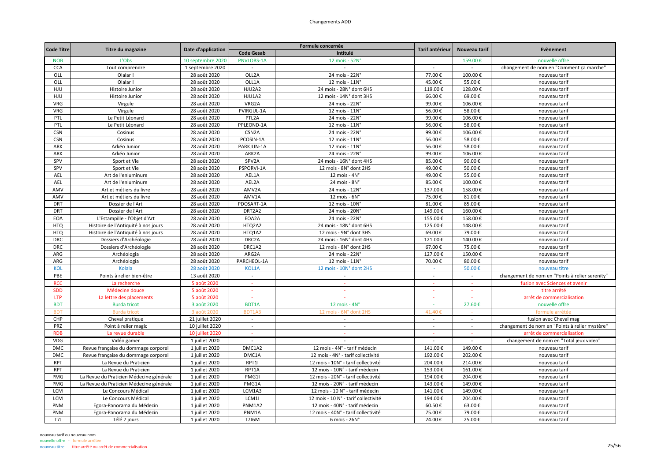| <b>Code Titre</b> |                                         | Date d'application | Formule concernée  |                                      | Tarif antérieur | Nouveau tarif | Evènement                                       |
|-------------------|-----------------------------------------|--------------------|--------------------|--------------------------------------|-----------------|---------------|-------------------------------------------------|
|                   | Titre du magazine                       |                    | <b>Code Gesab</b>  | Intitulé                             |                 |               |                                                 |
| <b>NOB</b>        | L'Obs                                   | 10 septembre 2020  | PNVLOBS-1A         | 12 mois - 52N°                       |                 | 159.00€       | nouvelle offre                                  |
| <b>CCA</b>        | Tout comprendre                         | 1 septembre 2020   | $\sim$             | $\overline{\phantom{a}}$             | $\sim$          | $\sim$        | changement de nom en "Comment ça marche"        |
| OLL               | Olalar!                                 | 28 août 2020       | OLL2A              | 24 mois - 22N°                       | 77.00€          | 100.00€       | nouveau tarif                                   |
| OLL               | Olalar!                                 | 28 août 2020       | OLL1A              | 12 mois - 11N°                       | 45.00€          | 55.00€        | nouveau tarif                                   |
| HJU               | Histoire Junior                         | 28 août 2020       | HJU2A2             | 24 mois - 28N° dont 6HS              | 119.00€         | 128.00€       | nouveau tarif                                   |
| HJU               | Histoire Junior                         | 28 août 2020       | HJU1A2             | 12 mois - 14N° dont 3HS              | 66.00€          | 69.00€        | nouveau tarif                                   |
| <b>VRG</b>        | Virgule                                 | 28 août 2020       | VRG2A              | 24 mois - 22N°                       | 99.00€          | 106.00€       | nouveau tarif                                   |
| <b>VRG</b>        | Virgule                                 | 28 août 2020       | PVIRGUL-1A         | 12 mois - 11N°                       | 56.00€          | 58.00€        | nouveau tarif                                   |
| PTL               | Le Petit Léonard                        | 28 août 2020       | PTL <sub>2</sub> A | 24 mois - 22N°                       | 99.00€          | 106.00€       | nouveau tarif                                   |
| PTL               | Le Petit Léonard                        | 28 août 2020       | PPLEOND-1A         | 12 mois - 11N°                       | 56.00€          | 58.00€        | nouveau tarif                                   |
| <b>CSN</b>        | Cosinus                                 | 28 août 2020       | CSN <sub>2</sub> A | 24 mois - 22N°                       | 99.00€          | 106.00€       | nouveau tarif                                   |
| <b>CSN</b>        | Cosinus                                 | 28 août 2020       | PCOSIN-1A          | 12 mois - 11N°                       | 56.00€          | 58.00€        | nouveau tarif                                   |
| ARK               | Arkéo Junior                            | 28 août 2020       | PARKJUN-1A         | 12 mois - 11N°                       | 56.00€          | 58.00€        | nouveau tarif                                   |
| ARK               | Arkéo Junior                            | 28 août 2020       | ARK2A              | 24 mois - 22N°                       | 99.00€          | 106.00€       | nouveau tarif                                   |
| SPV               | Sport et Vie                            | 28 août 2020       | SPV2A              | 24 mois - 16N° dont 4HS              | 85.00€          | 90.00€        | nouveau tarif                                   |
| SPV               | Sport et Vie                            | 28 août 2020       | PSPORVI-1A         | 12 mois - 8N° dont 2HS               | 49.00€          | 50.00€        | nouveau tarif                                   |
| AEL               | Art de l'enluminure                     | 28 août 2020       | AEL1A              | 12 mois - $4N^\circ$                 | 49.00€          | 55.00€        | nouveau tarif                                   |
| AEL               | Art de l'enluminure                     | 28 août 2020       | AEL2A              | 24 mois - 8N°                        | 85.00€          | 100.00€       | nouveau tarif                                   |
| AMV               | Art et métiers du livre                 | 28 août 2020       | AMV2A              | 24 mois - 12N°                       | 137.00€         | 158.00€       | nouveau tarif                                   |
| AMV               | Art et métiers du livre                 | 28 août 2020       | AMV1A              | 12 mois - 6N°                        | 75.00€          | 81.00€        | nouveau tarif                                   |
| <b>DRT</b>        | Dossier de l'Art                        | 28 août 2020       | PDOSART-1A         | 12 mois - 10N°                       | 81.00€          | 85.00€        | nouveau tarif                                   |
| <b>DRT</b>        | Dossier de l'Art                        | 28 août 2020       | DRT2A2             | 24 mois - 20N°                       | 149.00€         | 160.00€       | nouveau tarif                                   |
| <b>EOA</b>        | L'Estampille - l'Objet d'Art            | 28 août 2020       | EOA2A              | 24 mois - 22N°                       | 155.00€         | 158.00€       | nouveau tarif                                   |
| <b>HTQ</b>        | Histoire de l'Antiquité à nos jours     | 28 août 2020       | HTQ2A2             | 24 mois - 18N° dont 6HS              | 125.00€         | 148.00€       | nouveau tarif                                   |
| <b>HTQ</b>        | Histoire de l'Antiquité à nos jours     | 28 août 2020       | HTQ1A2             | 12 mois - 9N° dont 3HS               | 69.00€          | 79.00€        | nouveau tarif                                   |
| <b>DRC</b>        | Dossiers d'Archéologie                  | 28 août 2020       | DRC2A              | 24 mois - 16N° dont 4HS              | 121.00€         | 140.00€       | nouveau tarif                                   |
| <b>DRC</b>        | Dossiers d'Archéologie                  | 28 août 2020       | DRC1A2             | 12 mois - 8N° dont 2HS               | 67.00€          | 75.00€        | nouveau tarif                                   |
| ARG               | Archéologia                             | 28 août 2020       | ARG2A              | 24 mois - 22N°                       | 127.00€         | 150.00€       | nouveau tarif                                   |
| ARG               | Archéologia                             | 28 août 2020       | PARCHEOL-1A        | 12 mois - 11N°                       | 70.00€          | 80.00€        | nouveau tarif                                   |
| KOL               | Kolala                                  | 28 août 2020       | KOL1A              | 12 mois - 10N° dont 2HS              |                 | 50.00€        | nouveau titre                                   |
| PBE               | Points à relier bien-être               | 13 août 2020       | $\sim$             | $\sim$                               | $\sim$          | $\sim$        | changement de nom en "Points à relier serenity" |
| <b>RCC</b>        | La recherche                            | 5 août 2020        | $\sim$             | $\sim$                               | ×               | $\sim$        | fusion avec Sciences et avenir                  |
| <b>SDD</b>        | Médecine douce                          | 5 août 2020        | $\sim$             | ×                                    | $\sim$          | $\sim$        | titre arrêté                                    |
| LTP               | La lettre des placements                | 5 août 2020        |                    |                                      | $\sim$          |               | arrêt de commercialisation                      |
| <b>BDT</b>        | <b>Burda tricot</b>                     | 3 août 2020        | <b>BDT1A</b>       | 12 mois - $4Nc$                      |                 | 27.60€        | nouvelle offre                                  |
| <b>BDT</b>        | <b>Burda tricot</b>                     | 3 août 2020        | <b>BDT1A3</b>      | 12 mois<br>- 6N° dont 2HS            | 41.40           |               | formule arrêtée                                 |
| CHP               | Cheval pratique                         | 21 juillet 2020    | $\sim$             | $\sim$                               | $\sim$          | $\sim$        | fusion avec Cheval mag                          |
| PRZ               | Point à relier magic                    | 10 juillet 2020    | $\sim$             | $\sim$                               | $\sim$          | $\sim$        | changement de nom en "Points à relier mystère"  |
| <b>RDB</b>        | La revue durable                        | 10 juillet 2020    |                    |                                      |                 |               | arrêt de commercialisation                      |
| VDG               | Vidéo gamer                             | 1 juillet 2020     |                    |                                      |                 |               | changement de nom en "Total jeux video'         |
| <b>DMC</b>        | Revue française du dommage corporel     | 1 juillet 2020     | DMC1A2             | 12 mois - 4N° - tarif médecin        | 141.00€         | 149.00€       | nouveau tarif                                   |
| <b>DMC</b>        | Revue française du dommage corporel     | 1 juillet 2020     | DMC1A              | 12 mois - 4N° - tarif collectivité   | 192.00€         | 202.00€       | nouveau tarif                                   |
| <b>RPT</b>        | La Revue du Praticien                   | 1 juillet 2020     | RPT1I              | 12 mois - 10N° - tarif collectivité  | 204.00€         | 214.00€       | nouveau tarif                                   |
| <b>RPT</b>        | La Revue du Praticien                   | 1 juillet 2020     | RPT1A              | 12 mois - 10N° - tarif médecin       | 153.00€         | 161.00€       | nouveau tarif                                   |
| PMG               | La Revue du Praticien Médecine générale | 1 juillet 2020     | PMG1I              | 12 mois - 20N° - tarif collectivité  | 194.00€         | 204.00€       | nouveau tarif                                   |
| PMG               | La Revue du Praticien Médecine générale | 1 juillet 2020     | PMG1A              | 12 mois - 20N° - tarif médecin       | 143.00€         | 149.00€       | nouveau tarif                                   |
| <b>LCM</b>        | Le Concours Médical                     | 1 juillet 2020     | LCM1A3             | 12 mois - 10 N° - tarif médecin      | 141.00€         | 149.00€       | nouveau tarif                                   |
| LCM               | Le Concours Médical                     | 1 juillet 2020     | LCM1I              | 12 mois - 10 N° - tarif collectivité | 194.00€         | 204.00€       | nouveau tarif                                   |
| PNM               | Egora-Panorama du Médecin               | 1 juillet 2020     | PNM1A2             | 12 mois - 40N° - tarif médecin       | 60.50€          | 63.00€        | nouveau tarif                                   |
| PNM               | Egora-Panorama du Médecin               | 1 juillet 2020     | PNM1A              | 12 mois - 40N° - tarif collectivité  | 75.00€          | 79.00€        | nouveau tarif                                   |
| T7J               | Télé 7 jours                            | 1 juillet 2020     | <b>T7J6M</b>       | 6 mois - 26N°                        | 24.00€          | 25.00€        | nouveau tarif                                   |
|                   |                                         |                    |                    |                                      |                 |               |                                                 |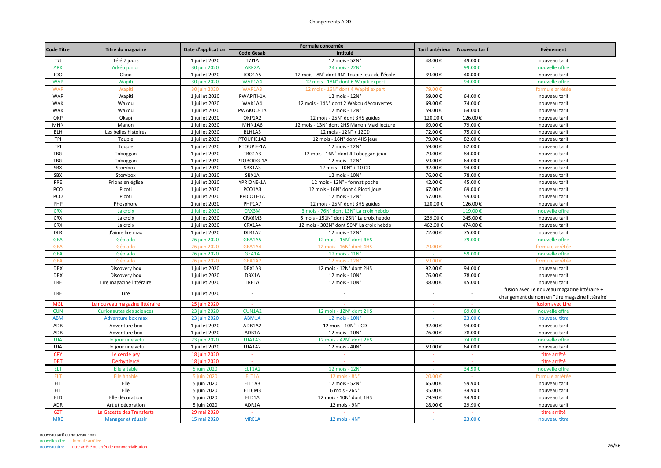| <b>Code Titre</b>        | Titre du magazine              | Date d'application | Formule concernée        |                                               | Tarif antérieur | Nouveau tarif | Evènement                                                           |
|--------------------------|--------------------------------|--------------------|--------------------------|-----------------------------------------------|-----------------|---------------|---------------------------------------------------------------------|
|                          |                                |                    | <b>Code Gesab</b>        | Intitulé                                      |                 |               |                                                                     |
| T7J                      | Télé 7 jours                   | 1 juillet 2020     | <b>T7J1A</b>             | 12 mois - 52N°                                | 48.00€          | 49.00€        | nouveau tarif                                                       |
| ARK                      | Arkéo junior                   | 30 juin 2020       | ARK2A                    | 24 mois - 22N°                                |                 | 99.00€        | nouvelle offre                                                      |
| JOO                      | Okoo                           | 1 juillet 2020     | JO01A5                   | 12 mois - 8N° dont 4N° Toupie jeux de l'école | 39.00€          | 40.00€        | nouveau tarif                                                       |
| <b>WAP</b>               | Wapiti                         | 30 juin 2020       | WAP1A4                   | 12 mois - 18N° dont 6 Wapiti expert           |                 | 94.00€        | nouvelle offre                                                      |
| <b>WAP</b>               | Wapiti                         | 30 juin 2020       | WAP1A3                   | 12 mois - 16N° dont 4 Wapiti expert           | 79.00€          |               | formule arrêtée                                                     |
| WAP                      | Wapiti                         | 1 juillet 2020     | PWAPITI-1A               | 12 mois - 12N°                                | 59.00€          | 64.00€        | nouveau tarif                                                       |
| <b>WAK</b>               | Wakou                          | 1 juillet 2020     | WAK1A4                   | 12 mois - 14N° dont 2 Wakou découvertes       | 69.00€          | 74.00€        | nouveau tarif                                                       |
| <b>WAK</b>               | Wakou                          | 1 juillet 2020     | PWAKOU-1A                | 12 mois - 12N°                                | 59.00€          | 64.00€        | nouveau tarif                                                       |
| OKP                      | Okapi                          | 1 juillet 2020     | OKP1A2                   | 12 mois - 25N° dont 3HS guides                | 120.00€         | 126.00€       | nouveau tarif                                                       |
| <b>MNN</b>               | Manon                          | 1 juillet 2020     | MNN1A6                   | 12 mois - 13N° dont 2HS Manon Maxi lecture    | 69.00€          | 79.00€        | nouveau tarif                                                       |
| <b>BLH</b>               | Les belles histoires           | 1 juillet 2020     | BLH1A3                   | 12 mois - 12N° + 12CD                         | 72.00€          | 75.00€        | nouveau tarif                                                       |
| TPI                      | Toupie                         | 1 juillet 2020     | PTOUPIE1A3               | 12 mois - 16N° dont 4HS jeux                  | 79.00€          | 82.00€        | nouveau tarif                                                       |
| TPI                      | Toupie                         | 1 juillet 2020     | PTOUPIE-1A               | 12 mois - 12N°                                | 59.00€          | 62.00€        | nouveau tarif                                                       |
| <b>TBG</b>               | Toboggan                       | 1 juillet 2020     | TBG1A3                   | 12 mois - 16N° dont 4 Toboggan jeux           | 79.00€          | 84.00€        | nouveau tarif                                                       |
| TBG                      | Toboggan                       | 1 juillet 2020     | PTOBOGG-1A               | 12 mois - 12N°                                | 59.00€          | 64.00€        | nouveau tarif                                                       |
| SBX                      | Storybox                       | 1 juillet 2020     | SBX1A3                   | 12 mois - 10N° + 10 CD                        | 92.00€          | 94.00€        | nouveau tarif                                                       |
| SBX                      | Storybox                       | 1 juillet 2020     | SBX1A                    | 12 mois - 10N°                                | 76.00€          | 78.00€        | nouveau tarif                                                       |
| PRE                      | Prions en église               | 1 juillet 2020     | YPRIONE-1A               | 12 mois - 12N° - format poche                 | 42.00€          | 45.00€        | nouveau tarif                                                       |
| PCO                      | Picoti                         | 1 juillet 2020     | PCO1A3                   | 12 mois - 16N° dont 4 Picoti joue             | 67.00€          | 69.00€        | nouveau tarif                                                       |
| PCO                      | Picoti                         | 1 juillet 2020     | PPICOTI-1A               | 12 mois - 12N°                                | 57.00€          | 59.00€        | nouveau tarif                                                       |
| PHP                      | Phosphore                      | 1 juillet 2020     | PHP1A7                   | 12 mois - 25N° dont 3HS guides                | 120.00€         | 126.00€       | nouveau tarif                                                       |
| <b>CRX</b>               | La croix                       | 1 juillet 2020     | CRX3M                    | 3 mois - 76N° dont 13N° La croix hebdo        | $\sim$          | 119.00€       | nouvelle offre                                                      |
| <b>CRX</b>               | La croix                       | 1 juillet 2020     | CRX6M3                   | 6 mois - 151N° dont 25N° La croix hebdo       | 239.00€         | 245.00€       | nouveau tarif                                                       |
| <b>CRX</b>               | La croix                       | 1 juillet 2020     | CRX1A4                   | 12 mois - 302N° dont 50N° La croix hebdo      | 462.00€         | 474.00€       | nouveau tarif                                                       |
| <b>DLR</b>               | J'aime lire max                | 1 juillet 2020     | DLR1A2                   | 12 mois - 12N°                                | 72.00€          | 75.00€        | nouveau tarif                                                       |
| <b>GEA</b>               | Géo ado                        | 26 juin 2020       | GEA1A5                   | 12 mois - 15N° dont 4HS                       | $\sim$          | 79.00€        | nouvelle offre                                                      |
| <b>GEA</b>               | Géo ado                        | 26 juin 2020       | GEA1A4                   | 12 mois - 16N° dont 4HS                       | 79.00€          |               | formule arrêtée                                                     |
| <b>GEA</b>               | Géo ado                        | 26 juin 2020       | GEA1A                    | 12 mois - 11N°                                | $\sim$          | 59.00€        | nouvelle offre                                                      |
| <b>GEA</b>               | Géo ado                        | 26 juin 2020       | GEA1A2                   | 12 mois - 12N'                                | 59.00€          |               | formule arrêtée                                                     |
| <b>DBX</b>               | Discovery box                  | 1 juillet 2020     | DBX1A3                   | 12 mois - 12N° dont 2HS                       | 92.00€          | 94.00€        | nouveau tarif                                                       |
| <b>DBX</b>               | Discovery box                  | 1 juillet 2020     | DBX1A                    | 12 mois - 10N°                                | 76.00€          | 78.00€        | nouveau tarif                                                       |
| LRE                      |                                |                    | LRE1A                    |                                               |                 |               |                                                                     |
|                          | Lire magazine littéraire       | 1 juillet 2020     |                          | 12 mois - 10N°                                | 38.00€          | 45.00€        | nouveau tarif<br>fusion avec Le nouveau magazine littéraire +       |
| LRE                      | Lire                           | 1 juillet 2020     | $\overline{\phantom{a}}$ |                                               |                 |               |                                                                     |
| <b>MGL</b>               |                                |                    |                          |                                               |                 |               | changement de nom en "Lire magazine littéraire"<br>fusion avec Lire |
|                          | Le nouveau magazine littéraire | 25 juin 2020       |                          |                                               | $\sim$          |               |                                                                     |
| <b>CUN</b><br><b>ABM</b> | Curionautes des sciences       | 23 juin 2020       | <b>CUN1A2</b><br>ABM1A   | 12 mois - 12N° dont 2HS                       | $\sim$          | 69.00€        | nouvelle offre                                                      |
|                          | Adventure box max              | 23 juin 2020       |                          | 12 mois - 10N°                                |                 | 23.00€        | nouveau titre                                                       |
| ADB                      | Adventure box                  | 1 juillet 2020     | ADB1A2                   | 12 mois - 10N° + CD                           | 92.00€          | 94.00€        | nouveau tarif                                                       |
| ADB                      | Adventure box                  | 1 juillet 2020     | ADB1A                    | 12 mois - 10N°                                | 76.00€          | 78.00€        | nouveau tarif                                                       |
| <b>UJA</b>               | Un jour une actu               | 23 juin 2020       | UJA1A3                   | 12 mois - 42N° dont 2HS                       |                 | 74.00€        | nouvelle offre                                                      |
| UJA                      | Un jour une actu               | 1 juillet 2020     | UJA1A2                   | 12 mois - 40N°                                | 59.00€          | 64.00€        | nouveau tarif                                                       |
| <b>CPY</b>               | Le cercle psy                  | 18 juin 2020       | $\sim$                   | $\sim$                                        | $\sim$          | $\sim$        | titre arrêté                                                        |
| <b>DBT</b>               | Derby tiercé                   | 18 juin 2020       | $\sim$                   | $\sim$                                        | $\sim$          | $\sim$        | titre arrêté                                                        |
| ELT                      | Elle à table                   | 5 juin 2020        | ELT1A2                   | 12 mois - 12N°                                | $\sim$          | 34.90€        | nouvelle offre                                                      |
| EL <sub>1</sub>          | Elle à table                   | 5 juin 2020        | ELT1A                    | 12 mois - 8N'                                 | 20.00€          |               | formule arrêtée                                                     |
| <b>ELL</b>               | Elle                           | 5 juin 2020        | ELL1A3                   | 12 mois - 52N°                                | 65.00€          | 59.90€        | nouveau tarif                                                       |
| <b>ELL</b>               | Elle                           | 5 juin 2020        | ELL6M3                   | 6 mois - 26N°                                 | 35.00€          | 34.90€        | nouveau tarif                                                       |
| ELD                      | Elle décoration                | 5 juin 2020        | ELD1A                    | 12 mois - 10N° dont 1HS                       | 29.90€          | 34.90€        | nouveau tarif                                                       |
| ADR                      | Art et décoration              | 5 juin 2020        | ADR1A                    | 12 mois - 9N°                                 | 28.00€          | 29.90€        | nouveau tarif                                                       |
| <b>GZT</b>               | La Gazette des Transferts      | 29 mai 2020        | $\sim$                   | $\sim$                                        | $\sim$          | $\sim$        | titre arrêté                                                        |
| <b>MRE</b>               | Manager et réussir             | 15 mai 2020        | MRE1A                    | 12 mois - 4N°                                 |                 | 23.00€        | nouveau titre                                                       |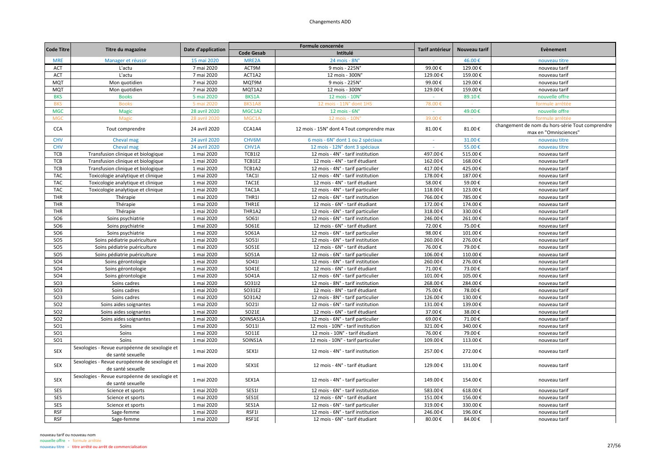| <b>Code Titre</b> | Titre du magazine                             | Date d'application |                   | Formule concernée                         | Tarif antérieur | Nouveau tarif | Evènement                                       |
|-------------------|-----------------------------------------------|--------------------|-------------------|-------------------------------------------|-----------------|---------------|-------------------------------------------------|
|                   |                                               |                    | <b>Code Gesab</b> | Intitulé                                  |                 |               |                                                 |
| <b>MRE</b>        | Manager et réussir                            | 15 mai 2020        | MRE2A             | 24 mois - 8N°                             |                 | 46.00€        | nouveau titre                                   |
| <b>ACT</b>        | L'actu                                        | 7 mai 2020         | ACT9M             | 9 mois - 225N°                            | 99.00€          | 129.00€       | nouveau tarif                                   |
| <b>ACT</b>        | L'actu                                        | 7 mai 2020         | ACT1A2            | 12 mois - 300N°                           | 129.00€         | 159.00€       | nouveau tarif                                   |
| <b>MQT</b>        | Mon quotidien                                 | 7 mai 2020         | MQT9M             | 9 mois - 225N°                            | 99.00€          | 129.00€       | nouveau tarif                                   |
| <b>MQT</b>        | Mon quotidien                                 | 7 mai 2020         | MQT1A2            | 12 mois - 300N°                           | 129.00€         | 159.00€       | nouveau tarif                                   |
| <b>BKS</b>        | <b>Books</b>                                  | 5 mai 2020         | <b>BKS1A</b>      | 12 mois - 10N°                            | $\sim$          | 89.10€        | nouvelle offre                                  |
| <b>BKS</b>        | <b>Books</b>                                  | 5 mai 2020         | BKS1A8            | 12 mois - 11N° dont 1HS                   | 78.00€          |               | formule arrêtée                                 |
| <b>MGC</b>        | <b>Magic</b>                                  | 28 avril 2020      | MGC1A2            | 12 mois - 6N°                             |                 | 49.00€        | nouvelle offre                                  |
| <b>MGC</b>        | Magi                                          | 28 avril 2020      | MGC1A             | 12 mois - 10N                             | 39.00€          |               | formule arrêtée                                 |
|                   |                                               |                    |                   |                                           |                 |               | changement de nom du hors-série Tout comprendre |
| <b>CCA</b>        | Tout comprendre                               | 24 avril 2020      | CCA1A4            | 12 mois - 15N° dont 4 Tout comprendre max | 81.00€          | 81.00€        | max en "Omnisciences"                           |
| <b>CHV</b>        | Cheval mag                                    | 24 avril 2020      | CHV6M             | 6 mois - 6N° dont 1 ou 2 spéciaux         | $\sim$          | 31.00€        | nouveau titre                                   |
| <b>CHV</b>        | Cheval mag                                    | 24 avril 2020      | CHV1A             | 12 mois - 12N° dont 3 spéciaux            |                 | 55.00€        | nouveau titre                                   |
| TCB               | Transfusion clinique et biologique            | 1 mai 2020         | <b>TCB1I2</b>     | 12 mois - 4N° - tarif institution         | 497.00€         | 515.00€       | nouveau tarif                                   |
| TCB               | Transfusion clinique et biologique            | 1 mai 2020         | TCB1E2            | 12 mois - 4N° - tarif étudiant            | 162.00€         | 168.00€       | nouveau tarif                                   |
| TCB               | Transfusion clinique et biologique            | 1 mai 2020         | TCB1A2            | 12 mois - 4N° - tarif particulier         | 417.00€         | 425.00€       | nouveau tarif                                   |
| <b>TAC</b>        | Toxicologie analytique et clinique            | 1 mai 2020         | TAC1I             | 12 mois - 4N° - tarif institution         | 178.00€         | 187.00€       | nouveau tarif                                   |
| <b>TAC</b>        | Toxicologie analytique et clinique            | 1 mai 2020         | TAC1E             | 12 mois - 4N° - tarif étudiant            | 58.00€          | 59.00€        | nouveau tarif                                   |
| <b>TAC</b>        | Toxicologie analytique et clinique            | 1 mai 2020         | TAC1A             | 12 mois - 4N° - tarif particulier         | 118.00€         | 123.00€       | nouveau tarif                                   |
| THR               | Thérapie                                      | 1 mai 2020         | THR1I             | 12 mois - 6N° - tarif institution         | 766.00€         | 785.00€       | nouveau tarif                                   |
| THR               | Thérapie                                      | 1 mai 2020         | THR1E             | 12 mois - 6N° - tarif étudiant            | 172.00€         | 174.00€       | nouveau tarif                                   |
| THR               |                                               |                    | THR1A2            |                                           |                 | 330.00€       |                                                 |
|                   | Thérapie                                      | 1 mai 2020         |                   | 12 mois - 6N° - tarif particulier         | 318.00€         |               | nouveau tarif                                   |
| SO <sub>6</sub>   | Soins psychiatrie                             | 1 mai 2020         | SO611             | 12 mois - 6N° - tarif institution         | 246.00€         | 261.00€       | nouveau tarif                                   |
| SO <sub>6</sub>   | Soins psychiatrie                             | 1 mai 2020         | SO61E             | 12 mois - 6N° - tarif étudiant            | 72.00€          | 75.00€        | nouveau tarif                                   |
| SO <sub>6</sub>   | Soins psychiatrie                             | 1 mai 2020         | SO61A             | 12 mois - 6N° - tarif particulier         | 98.00€          | 101.00€       | nouveau tarif                                   |
| SO <sub>5</sub>   | Soins pédiatrie puériculture                  | 1 mai 2020         | SO511             | 12 mois - 6N° - tarif institution         | 260.00€         | 276.00€       | nouveau tarif                                   |
| SO <sub>5</sub>   | Soins pédiatrie puériculture                  | 1 mai 2020         | SO51E             | 12 mois - 6N° - tarif étudiant            | 76.00€          | 79.00€        | nouveau tarif                                   |
| SO <sub>5</sub>   | Soins pédiatrie puériculture                  | 1 mai 2020         | SO51A             | 12 mois - 6N° - tarif particulier         | 106.00€         | 110.00€       | nouveau tarif                                   |
| SO <sub>4</sub>   | Soins gérontologie                            | 1 mai 2020         | SO411             | 12 mois - 6N° - tarif institution         | 260.00€         | 276.00€       | nouveau tarif                                   |
| SO <sub>4</sub>   | Soins gérontologie                            | 1 mai 2020         | SO41E             | 12 mois - 6N° - tarif étudiant            | 71.00€          | 73.00€        | nouveau tarif                                   |
| SO <sub>4</sub>   | Soins gérontologie                            | 1 mai 2020         | SO41A             | 12 mois - 6N° - tarif particulier         | 101.00€         | 105.00€       | nouveau tarif                                   |
| SO <sub>3</sub>   | Soins cadres                                  | 1 mai 2020         | SO3112            | 12 mois - 8N° - tarif institution         | 268.00€         | 284.00€       | nouveau tarif                                   |
| SO <sub>3</sub>   | Soins cadres                                  | 1 mai 2020         | SO31E2            | 12 mois - 8N° - tarif étudiant            | 75.00€          | 78.00€        | nouveau tarif                                   |
| SO <sub>3</sub>   | Soins cadres                                  | 1 mai 2020         | SO31A2            | 12 mois - 8N° - tarif particulier         | 126.00€         | 130.00€       | nouveau tarif                                   |
| SO <sub>2</sub>   | Soins aides soignantes                        | 1 mai 2020         | SO211             | 12 mois - 6N° - tarif institution         | 131.00€         | 139.00€       | nouveau tarif                                   |
| SO <sub>2</sub>   | Soins aides soignantes                        | 1 mai 2020         | SO21E             | 12 mois - 6N° - tarif étudiant            | 37.00€          | 38.00€        | nouveau tarif                                   |
| SO <sub>2</sub>   | Soins aides soignantes                        | 1 mai 2020         | SOINSAS1A         | 12 mois - 6N° - tarif particulier         | 69.00€          | 71.00€        | nouveau tarif                                   |
| SO <sub>1</sub>   | Soins                                         | 1 mai 2020         | <b>SO111</b>      | 12 mois - 10N° - tarif institution        | 321.00€         | 340.00€       | nouveau tarif                                   |
| SO <sub>1</sub>   | Soins                                         | 1 mai 2020         | SO11E             | 12 mois - 10N° - tarif étudiant           | 76.00€          | 79.00€        | nouveau tarif                                   |
| SO <sub>1</sub>   | Soins                                         | 1 mai 2020         | SOINS1A           | 12 mois - 10N° - tarif particulier        | 109.00€         | 113.00€       | nouveau tarif                                   |
|                   | Sexologies - Revue européenne de sexologie et |                    |                   |                                           |                 |               |                                                 |
| <b>SEX</b>        | de santé sexuelle                             | 1 mai 2020         | SEX1I             | 12 mois - 4N° - tarif institution         | 257.00€         | 272.00€       | nouveau tarif                                   |
|                   | Sexologies - Revue européenne de sexologie et |                    |                   |                                           |                 |               |                                                 |
| <b>SEX</b>        | de santé sexuelle                             | 1 mai 2020         | SEX1E             | 12 mois - 4N° - tarif étudiant            | 129.00€         | 131.00€       | nouveau tarif                                   |
|                   | Sexologies - Revue européenne de sexologie et |                    |                   |                                           |                 |               |                                                 |
| <b>SEX</b>        | de santé sexuelle                             | 1 mai 2020         | SEX1A             | 12 mois - 4N° - tarif particulier         | 149.00€         | 154.00€       | nouveau tarif                                   |
| SES               | Science et sports                             | 1 mai 2020         | SES1I             | 12 mois - 6N° - tarif institution         | 583.00€         | 618.00€       | nouveau tarif                                   |
|                   |                                               |                    |                   |                                           |                 |               |                                                 |
| SES               | Science et sports                             | 1 mai 2020         | SES1E             | 12 mois - 6N° - tarif étudiant            | 151.00€         | 156.00€       | nouveau tarif                                   |
| SES               | Science et sports                             | 1 mai 2020         | SES1A             | 12 mois - 6N° - tarif particulier         | 319.00€         | 330.00€       | nouveau tarif                                   |
| <b>RSF</b>        | Sage-femme                                    | 1 mai 2020         | RSF1I             | 12 mois - 6N° - tarif institution         | 246.00€         | 196.00€       | nouveau tarif                                   |
| <b>RSF</b>        | Sage-femme                                    | 1 mai 2020         | RSF1E             | 12 mois - 6N° - tarif étudiant            | 80.00€          | 84.00€        | nouveau tarif                                   |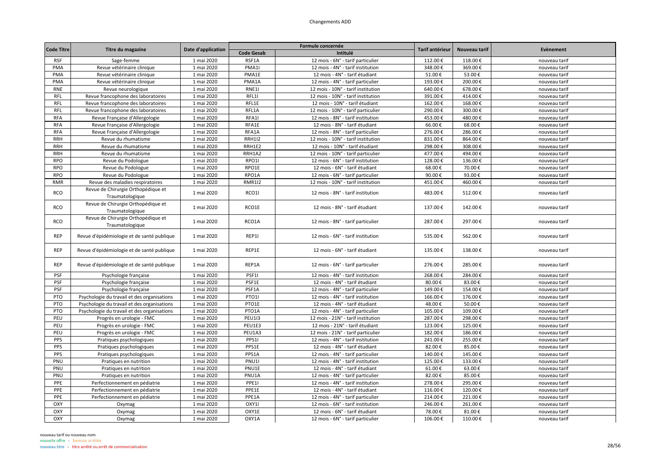| <b>Code Titre</b> |                                                       | Date d'application |                   | Formule concernée                  | Tarif antérieur | Nouveau tarif | Evènement     |
|-------------------|-------------------------------------------------------|--------------------|-------------------|------------------------------------|-----------------|---------------|---------------|
|                   | Titre du magazine                                     |                    | <b>Code Gesab</b> | Intitulé                           |                 |               |               |
| <b>RSF</b>        | Sage-femme                                            | 1 mai 2020         | RSF1A             | 12 mois - 6N° - tarif particulier  | 112.00€         | 118.00€       | nouveau tarif |
| PMA               | Revue vétérinaire clinique                            | 1 mai 2020         | PMA1              | 12 mois - 4N° - tarif institution  | 348.00€         | 369.00€       | nouveau tarif |
| PMA               | Revue vétérinaire clinique                            | 1 mai 2020         | PMA1E             | 12 mois - 4N° - tarif étudiant     | 51.00€          | 53.00€        | nouveau tarif |
| PMA               | Revue vétérinaire clinique                            | 1 mai 2020         | PMA1A             | 12 mois - 4N° - tarif particulier  | 193.00€         | 200.00€       | nouveau tarif |
| <b>RNE</b>        | Revue neurologique                                    | 1 mai 2020         | RNE11             | 12 mois - 10N° - tarif institution | 640.00€         | 678.00€       | nouveau tarif |
| <b>RFL</b>        | Revue francophone des laboratoires                    | 1 mai 2020         | RFL1I             | 12 mois - 10N° - tarif institution | 391.00€         | 414.00€       | nouveau tarif |
| <b>RFL</b>        | Revue francophone des laboratoires                    | 1 mai 2020         | RFL1E             | 12 mois - 10N° - tarif étudiant    | 162.00€         | 168.00€       | nouveau tarif |
| <b>RFL</b>        | Revue francophone des laboratoires                    | 1 mai 2020         | RFL1A             | 12 mois - 10N° - tarif particulier | 290.00€         | 300.00€       | nouveau tarif |
| <b>RFA</b>        | Revue Française d'Allergologie                        | 1 mai 2020         | RFA1              | 12 mois - 8N° - tarif institution  | 453.00€         | 480.00€       | nouveau tarif |
| <b>RFA</b>        | Revue Française d'Allergologie                        | 1 mai 2020         | RFA1E             | 12 mois - 8N° - tarif étudiant     | 66.00€          | 68.00€        | nouveau tarif |
| <b>RFA</b>        | Revue Française d'Allergologie                        | 1 mai 2020         | RFA1A             | 12 mois - 8N° - tarif particulier  | 276.00€         | 286.00€       | nouveau tarif |
| <b>RRH</b>        | Revue du rhumatisme                                   | 1 mai 2020         | <b>RRH1I2</b>     | 12 mois - 10N° - tarif institution | 831.00€         | 864.00€       | nouveau tarif |
| <b>RRH</b>        | Revue du rhumatisme                                   | 1 mai 2020         | RRH1E2            | 12 mois - 10N° - tarif étudiant    | 298.00€         | 308.00€       | nouveau tarif |
| <b>RRH</b>        | Revue du rhumatisme                                   | 1 mai 2020         | RRH1A2            | 12 mois - 10N° - tarif particulier | 477.00€         | 494.00€       | nouveau tarif |
| <b>RPO</b>        | Revue du Podologue                                    | 1 mai 2020         | RPO1I             | 12 mois - 6N° - tarif institution  | 128.00€         | 136.00€       | nouveau tarif |
| <b>RPO</b>        | Revue du Podologue                                    | 1 mai 2020         | RPO1E             | 12 mois - 6N° - tarif étudiant     | 68.00€          | 70.00€        | nouveau tarif |
| <b>RPO</b>        | Revue du Podologue                                    | 1 mai 2020         | RPO1A             | 12 mois - 6N° - tarif particulier  | 90.00€          | 93.00€        | nouveau tarif |
| <b>RMR</b>        | Revue des maladies respiratoires                      | 1 mai 2020         | <b>RMR1I2</b>     | 12 mois - 10N° - tarif institution | 451.00€         | 460.00€       | nouveau tarif |
| <b>RCO</b>        | Revue de Chirurgie Orthopédique et<br>Traumatologique | 1 mai 2020         | RCO1I             | 12 mois - 8N° - tarif institution  | 483.00€         | 512.00€       | nouveau tarif |
| <b>RCO</b>        | Revue de Chirurgie Orthopédique et<br>Traumatologique | 1 mai 2020         | RCO1E             | 12 mois - 8N° - tarif étudiant     | 137.00€         | 142.00€       | nouveau tarif |
| <b>RCO</b>        | Revue de Chirurgie Orthopédique et<br>Traumatologique | 1 mai 2020         | RCO1A             | 12 mois - 8N° - tarif particulier  | 287.00€         | 297.00€       | nouveau tarif |
| <b>REP</b>        | Revue d'épidémiologie et de santé publique            | 1 mai 2020         | REP1I             | 12 mois - 6N° - tarif institution  | 535.00€         | 562.00€       | nouveau tarif |
| <b>REP</b>        | Revue d'épidémiologie et de santé publique            | 1 mai 2020         | REP1E             | 12 mois - 6N° - tarif étudiant     | 135.00€         | 138.00€       | nouveau tarif |
| <b>REP</b>        | Revue d'épidémiologie et de santé publique            | 1 mai 2020         | REP1A             | 12 mois - 6N° - tarif particulier  | 276.00€         | 285.00€       | nouveau tarif |
| PSF               | Psychologie française                                 | 1 mai 2020         | PSF1I             | 12 mois - 4N° - tarif institution  | 268.00€         | 284.00€       | nouveau tarif |
| PSF               | Psychologie française                                 | 1 mai 2020         | PSF1E             | 12 mois - 4N° - tarif étudiant     | 80.00€          | 83.00€        | nouveau tarif |
| PSF               | Psychologie française                                 | 1 mai 2020         | PSF1A             | 12 mois - 4N° - tarif particulier  | 149.00€         | 154.00€       | nouveau tarif |
| PTO               | Psychologie du travail et des organisations           | 1 mai 2020         | PTO11             | 12 mois - 4N° - tarif institution  | 166.00€         | 176.00€       | nouveau tarif |
| PTO               | Psychologie du travail et des organisations           | 1 mai 2020         | PTO1E             | 12 mois - 4N° - tarif étudiant     | 48.00€          | 50.00€        | nouveau tarif |
| PTO               | Psychologie du travail et des organisations           | 1 mai 2020         | PTO1A             | 12 mois - 4N° - tarif particulier  | 105.00€         | 109.00€       | nouveau tarif |
| PEU               | Progrès en urologie - FMC                             | 1 mai 2020         | <b>PEU113</b>     | 12 mois - 21N° - tarif institution | 287.00€         | 298.00€       | nouveau tarif |
| PEU               | Progrès en urologie - FMC                             | 1 mai 2020         | PEU1E3            | 12 mois - 21N° - tarif étudiant    | 123.00€         | 125.00€       | nouveau tarif |
| PEU               | Progrès en urologie - FMC                             | 1 mai 2020         | PEU1A3            | 12 mois - 21N° - tarif particulier | 182.00€         | 186.00€       | nouveau tarif |
| PPS               | Pratiques psychologiques                              | 1 mai 2020         | PPS1I             | 12 mois - 4N° - tarif institution  | 241.00€         | 255.00€       | nouveau tarif |
| PPS               | Pratiques psychologiques                              | 1 mai 2020         | PPS1E             | 12 mois - 4N° - tarif étudiant     | 82.00€          | 85.00€        | nouveau tarif |
| PPS               | Pratiques psychologiques                              | 1 mai 2020         | PPS1A             | 12 mois - 4N° - tarif particulier  | 140.00€         | 145.00€       | nouveau tarif |
| PNU               | Pratiques en nutrition                                | 1 mai 2020         | <b>PNU11</b>      | 12 mois - 4N° - tarif institution  | 125.00€         | 133.00€       | nouveau tarif |
| PNU               | Pratiques en nutrition                                | 1 mai 2020         | PNU1E             | 12 mois - 4N° - tarif étudiant     | 61.00€          | 63.00€        | nouveau tarif |
| PNU               | Pratiques en nutrition                                | 1 mai 2020         | PNU1A             | 12 mois - 4N° - tarif particulier  | 82.00€          | 85.00€        | nouveau tarif |
| PPE               | Perfectionnement en pédiatrie                         | 1 mai 2020         | PPE11             | 12 mois - 4N° - tarif institution  | 278.00€         | 295.00€       | nouveau tarif |
| PPE               | Perfectionnement en pédiatrie                         | 1 mai 2020         | PPE1E             | 12 mois - 4N° - tarif étudiant     | 116.00€         | 120.00€       | nouveau tarif |
| PPE               | Perfectionnement en pédiatrie                         | 1 mai 2020         | PPE1A             | 12 mois - 4N° - tarif particulier  | 214.00€         | 221.00€       | nouveau tarif |
| OXY               | Oxymag                                                | 1 mai 2020         | OXY1I             | 12 mois - 6N° - tarif institution  | 246.00€         | 261.00€       | nouveau tarif |
| OXY               | Oxymag                                                | 1 mai 2020         | OXY1E             | 12 mois - 6N° - tarif étudiant     | 78.00€          | 81.00€        | nouveau tarif |
| OXY               | Oxymag                                                | 1 mai 2020         | OXY1A             | 12 mois - 6N° - tarif particulier  | 106.00€         | 110.00€       | nouveau tarif |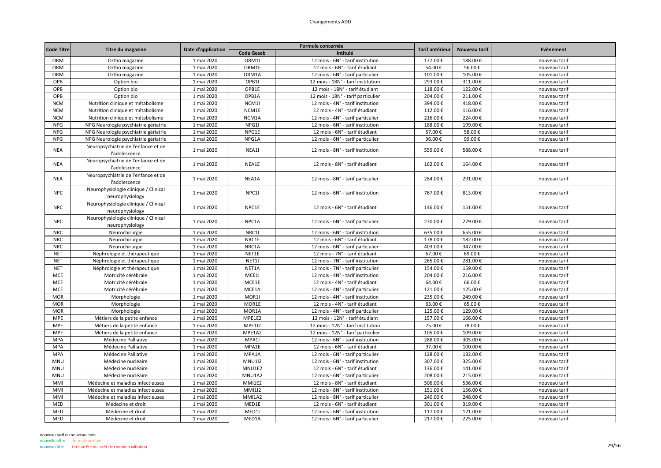| <b>Code Titre</b> |                                      |                    |                   | Formule concernée                  | Tarif antérieur |               |               |
|-------------------|--------------------------------------|--------------------|-------------------|------------------------------------|-----------------|---------------|---------------|
|                   | Titre du magazine                    | Date d'application | <b>Code Gesab</b> | Intitulé                           |                 | Nouveau tarif | Evènement     |
| ORM               | Ortho magazine                       | 1 mai 2020         | ORM1              | 12 mois - 6N° - tarif institution  | 177.00€         | 188.00€       | nouveau tarif |
| ORM               | Ortho magazine                       | 1 mai 2020         | ORM1E             | 12 mois - 6N° - tarif étudiant     | 54.00€          | 56.00€        | nouveau tarif |
| ORM               | Ortho magazine                       | 1 mai 2020         | ORM1A             | 12 mois - 6N° - tarif particulier  | 101.00€         | 105.00€       | nouveau tarif |
| OPB               | Option bio                           | 1 mai 2020         | OPB1I             | 12 mois - 18N° - tarif institution | 293.00€         | 311.00€       | nouveau tarif |
| OPB               | Option bio                           | 1 mai 2020         | OPB1E             | 12 mois - 18N° - tarif étudiant    | 118.00€         | 122.00€       | nouveau tarif |
| OPB               | Option bio                           | 1 mai 2020         | OPB1A             | 12 mois - 18N° - tarif particulier | 204.00€         | 211.00€       | nouveau tarif |
| <b>NCM</b>        | Nutrition clinique et métabolisme    | 1 mai 2020         | NCM1I             | 12 mois - 4N° - tarif institution  | 394.00€         | 418.00€       | nouveau tarif |
| <b>NCM</b>        | Nutrition clinique et métabolisme    | 1 mai 2020         | NCM1E             | 12 mois - 4N° - tarif étudiant     | 112.00€         | 116.00€       | nouveau tarif |
| <b>NCM</b>        | Nutrition clinique et métabolisme    | 1 mai 2020         | NCM1A             | 12 mois - 4N° - tarif particulier  | 216.00€         | 224.00€       | nouveau tarif |
| <b>NPG</b>        | NPG Neurologie psychiatrie gériatrie | 1 mai 2020         | NPG1I             | 12 mois - 6N° - tarif institution  | 188.00€         | 199.00€       | nouveau tarif |
| <b>NPG</b>        | NPG Neurologie psychiatrie gériatrie | 1 mai 2020         | NPG1E             | 12 mois - 6N° - tarif étudiant     | 57.00€          | 58.00€        | nouveau tarif |
| <b>NPG</b>        | NPG Neurologie psychiatrie gériatrie | 1 mai 2020         | NPG1A             | 12 mois - 6N° - tarif particulier  | 96.00€          | 99.00€        | nouveau tarif |
|                   | Neuropsychiatrie de l'enfance et de  |                    |                   |                                    |                 |               |               |
| <b>NEA</b>        | l'adolescence                        | 1 mai 2020         | NEA1I             | 12 mois - 8N° - tarif institution  | 559.00€         | 588.00€       | nouveau tarif |
|                   | Neuropsychiatrie de l'enfance et de  |                    |                   |                                    |                 |               |               |
| <b>NEA</b>        | l'adolescence                        | 1 mai 2020         | NEA1E             | 12 mois - 8N° - tarif étudiant     | 162.00€         | 164.00€       | nouveau tarif |
|                   | Neuropsychiatrie de l'enfance et de  |                    |                   |                                    |                 |               |               |
| <b>NEA</b>        | l'adolescence                        | 1 mai 2020         | NEA1A             | 12 mois - 8N° - tarif particulier  | 284.00€         | 291.00€       | nouveau tarif |
|                   | Neurophysiologie clinique / Clinical |                    |                   |                                    |                 |               |               |
| <b>NPC</b>        | neurophysiology                      | 1 mai 2020         | NPC11             | 12 mois - 6N° - tarif institution  | 767.00€         | 813.00€       | nouveau tarif |
|                   | Neurophysiologie clinique / Clinical |                    |                   |                                    |                 |               |               |
| <b>NPC</b>        | neurophysiology                      | 1 mai 2020         | NPC1E             | 12 mois - 6N° - tarif étudiant     | 146.00€         | 151.00€       | nouveau tarif |
|                   | Neurophysiologie clinique / Clinical |                    |                   |                                    |                 |               |               |
| <b>NPC</b>        | neurophysiology                      | 1 mai 2020         | NPC1A             | 12 mois - 6N° - tarif particulier  | 270.00€         | 279.00€       | nouveau tarif |
| <b>NRC</b>        | Neurochirurgie                       | 1 mai 2020         | NRC1I             | 12 mois - 6N° - tarif institution  | 635.00€         | 655.00€       | nouveau tarif |
| <b>NRC</b>        | Neurochirurgie                       | 1 mai 2020         | NRC1E             | 12 mois - 6N° - tarif étudiant     | 178.00€         | 182.00€       | nouveau tarif |
| <b>NRC</b>        | Neurochirurgie                       | 1 mai 2020         | NRC1A             | 12 mois - 6N° - tarif particulier  | 403.00€         | 347.00€       | nouveau tarif |
| <b>NET</b>        | Néphrologie et thérapeutique         | 1 mai 2020         | NET1E             | 12 mois - 7N° - tarif étudiant     | 67.00€          | 69.00€        | nouveau tarif |
| <b>NET</b>        | Néphrologie et thérapeutique         | 1 mai 2020         | NET1I             | 12 mois - 7N° - tarif institution  | 265.00€         | 281.00€       | nouveau tarif |
| <b>NET</b>        | Néphrologie et thérapeutique         | 1 mai 2020         | NET1A             | 12 mois - 7N° - tarif particulier  | 154.00€         | 159.00€       | nouveau tarif |
| MCE               | Motricité cérébrale                  | 1 mai 2020         | MCE1I             | 12 mois - 4N° - tarif institution  | 204.00€         | 216.00€       | nouveau tarif |
| MCE               | Motricité cérébrale                  | 1 mai 2020         | MCE1E             | 12 mois - 4N° - tarif étudiant     | 64.00€          | 66.00€        | nouveau tarif |
| MCE               | Motricité cérébrale                  | 1 mai 2020         | MCE1A             | 12 mois - 4N° - tarif particulier  | 121.00€         | 125.00€       | nouveau tarif |
| <b>MOR</b>        | Morphologie                          | 1 mai 2020         | MOR1I             | 12 mois - 4N° - tarif institution  | 235.00€         | 249.00€       | nouveau tarif |
| <b>MOR</b>        | Morphologie                          | 1 mai 2020         | MOR1E             | 12 mois - 4N° - tarif étudiant     | 63.00€          | 65.00€        | nouveau tarif |
| <b>MOR</b>        | Morphologie                          | 1 mai 2020         | MOR1A             | 12 mois - 4N° - tarif particulier  | 125.00€         | 129.00€       | nouveau tarif |
| <b>MPE</b>        | Métiers de la petite enfance         | 1 mai 2020         | MPE1E2            | 12 mois - 12N° - tarif étudiant    | 157.00€         | 166.00€       | nouveau tarif |
| <b>MPE</b>        | Métiers de la petite enfance         | 1 mai 2020         | <b>MPE1I2</b>     | 12 mois - 12N° - tarif institution | 75.00€          | 78.00€        | nouveau tarif |
| <b>MPE</b>        | Métiers de la petite enfance         | 1 mai 2020         | MPE1A2            | 12 mois - 12N° - tarif particulier | 105.00€         | 109.00€       | nouveau tarif |
| <b>MPA</b>        | Médecine Palliative                  | 1 mai 2020         | MPA1I             | 12 mois - 6N° - tarif institution  | 288.00€         | 305.00€       | nouveau tarif |
| <b>MPA</b>        | Médecine Palliative                  | 1 mai 2020         | MPA1E             | 12 mois - 6N° - tarif étudiant     | 97.00€          | 100.00€       | nouveau tarif |
| <b>MPA</b>        | Médecine Palliative                  | 1 mai 2020         | MPA1A             | 12 mois - 6N° - tarif particulier  | 128.00€         | 132.00€       | nouveau tarif |
| <b>MNU</b>        | Médecine nucléaire                   | 1 mai 2020         | <b>MNU112</b>     | 12 mois - 6N° - tarif institution  | 307.00€         | 325.00€       | nouveau tarif |
| <b>MNU</b>        | Médecine nucléaire                   | 1 mai 2020         | MNU1E2            | 12 mois - 6N° - tarif étudiant     | 136.00€         | 141.00€       | nouveau tarif |
| <b>MNU</b>        | Médecine nucléaire                   | 1 mai 2020         | MNU1A2            | 12 mois - 6N° - tarif particulier  | 208.00€         | 215.00€       | nouveau tarif |
| MMI               | Médecine et maladies infectieuses    | 1 mai 2020         | MMI1E2            | 12 mois - 8N° - tarif étudiant     | 506.00€         | 536.00€       | nouveau tarif |
| MMI               | Médecine et maladies infectieuses    | 1 mai 2020         | <b>MMI1I2</b>     | 12 mois - 8N° - tarif institution  | 151.00€         | 156.00€       | nouveau tarif |
| MMI               | Médecine et maladies infectieuses    | 1 mai 2020         | <b>MMI1A2</b>     | 12 mois - 8N° - tarif particulier  | 240.00€         | 248.00€       | nouveau tarif |
| MED               | Médecine et droit                    | 1 mai 2020         | MED1E             | 12 mois - 6N° - tarif étudiant     | 301.00€         | 319.00€       | nouveau tarif |
| MED               | Médecine et droit                    | 1 mai 2020         | MED1I             | 12 mois - 6N° - tarif institution  | 117.00€         | 121.00€       | nouveau tarif |
| MED               | Médecine et droit                    | 1 mai 2020         | MED1A             | 12 mois - 6N° - tarif particulier  | 217.00€         | 225.00€       | nouveau tarif |
|                   |                                      |                    |                   |                                    |                 |               |               |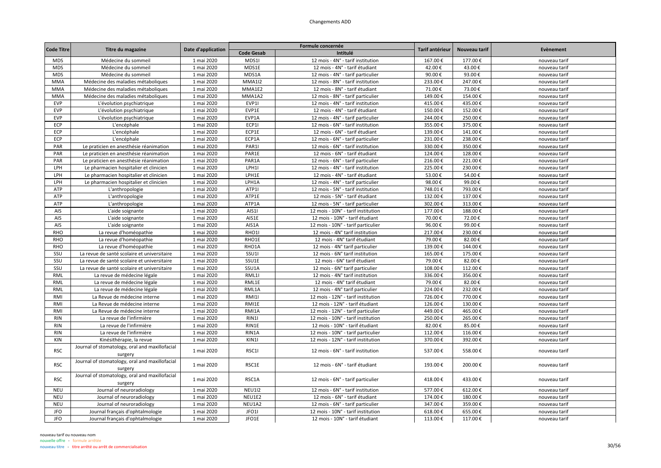|                   |                                                           |                    |                    | Formule concernée                  |                   |                   | Evènement     |
|-------------------|-----------------------------------------------------------|--------------------|--------------------|------------------------------------|-------------------|-------------------|---------------|
| <b>Code Titre</b> | Titre du magazine                                         | Date d'application | <b>Code Gesab</b>  | Intitulé                           | Tarif antérieur   | Nouveau tarif     |               |
| <b>MDS</b>        | Médecine du sommeil                                       | 1 mai 2020         | MDS1I              | 12 mois - 4N° - tarif institution  | 167.00€           | 177.00€           | nouveau tarif |
| <b>MDS</b>        | Médecine du sommeil                                       | 1 mai 2020         | MDS1E              | 12 mois - 4N° - tarif étudiant     | 42.00€            | 43.00€            | nouveau tarif |
| <b>MDS</b>        | Médecine du sommeil                                       | 1 mai 2020         | MDS1A              | 12 mois - 4N° - tarif particulier  | 90.00€            | 93.00€            | nouveau tarif |
| <b>MMA</b>        | Médecine des maladies métaboliques                        | 1 mai 2020         | <b>MMA112</b>      | 12 mois - 8N° - tarif institution  | 233.00€           | 247.00€           | nouveau tarif |
| <b>MMA</b>        | Médecine des maladies métaboliques                        | 1 mai 2020         | MMA1E2             | 12 mois - 8N° - tarif étudiant     | 71.00€            | 73.00€            | nouveau tarif |
| <b>MMA</b>        | Médecine des maladies métaboliques                        | 1 mai 2020         | MMA1A2             | 12 mois - 8N° - tarif particulier  | 149.00€           | 154.00€           | nouveau tarif |
| <b>EVP</b>        | L'évolution psychiatrique                                 | 1 mai 2020         | EVP1I              | 12 mois - 4N° - tarif institution  | 415.00€           | 435.00€           | nouveau tarif |
| <b>EVP</b>        | L'évolution psychiatrique                                 | 1 mai 2020         | EVP1E              | 12 mois - 4N° - tarif étudiant     | 150.00€           | 152.00€           | nouveau tarif |
| EVP               | L'évolution psychiatrique                                 | 1 mai 2020         | EVP1A              | 12 mois - 4N° - tarif particulier  | 244.00€           | 250.00€           | nouveau tarif |
| ECP               | L'encéphale                                               | 1 mai 2020         | ECP1I              | 12 mois - 6N° - tarif institution  | 355.00€           | 375.00€           | nouveau tarif |
| ECP               | L'encéphale                                               | 1 mai 2020         | ECP1E              | 12 mois - 6N° - tarif étudiant     | 139.00€           | 141.00€           | nouveau tarif |
| ECP               | L'encéphale                                               | 1 mai 2020         | ECP1A              | 12 mois - 6N° - tarif particulier  | 231.00€           | 238.00€           | nouveau tarif |
| PAR               | Le praticien en anesthésie réanimation                    | 1 mai 2020         | PAR1I              | 12 mois - 6N° - tarif institution  | 330.00€           | 350.00€           | nouveau tarif |
| PAR               | Le praticien en anesthésie réanimation                    | 1 mai 2020         | PAR1E              | 12 mois - 6N° - tarif étudiant     | 124.00€           | 128.00€           | nouveau tarif |
| PAR               | Le praticien en anesthésie réanimation                    | 1 mai 2020         | PAR1A              | 12 mois - 6N° - tarif particulier  | 216.00€           | 221.00€           | nouveau tarif |
| LPH               | Le pharmacien hospitalier et clinicien                    | 1 mai 2020         | LPH1I              | 12 mois - 4N° - tarif institution  | 225.00€           | 230.00€           | nouveau tarif |
| LPH               | Le pharmacien hospitalier et clinicien                    | 1 mai 2020         | LPH1E              | 12 mois - 4N° - tarif étudiant     | 53.00€            | 54.00€            | nouveau tarif |
| LPH               | Le pharmacien hospitalier et clinicien                    | 1 mai 2020         | LPH1A              | 12 mois - 4N° - tarif particulier  | 98.00€            | 99.00€            | nouveau tarif |
| ATP               | L'anthropologie                                           | 1 mai 2020         | ATP1I              | 12 mois - 5N° - tarif institution  | 748.01€           | 793.00€           | nouveau tarif |
| ATP               | L'anthropologie                                           | 1 mai 2020         | ATP1E              | 12 mois - 5N° - tarif étudiant     | 132.00€           | 137.00€           | nouveau tarif |
| ATP               | L'anthropologie                                           | 1 mai 2020         | ATP1A              | 12 mois - 5N° - tarif particulier  | 302.00€           | 313.00€           | nouveau tarif |
| AIS               |                                                           | 1 mai 2020         | AIS1I              | 12 mois - 10N° - tarif institution | 177.00€           | 188.00€           | nouveau tarif |
| AIS               | L'aide soignante                                          |                    | AIS1E              |                                    |                   | 72.00€            |               |
|                   | L'aide soignante                                          | 1 mai 2020         |                    | 12 mois - 10N° - tarif étudiant    | 70.00€            |                   | nouveau tarif |
| AIS<br><b>RHO</b> | L'aide soignante                                          | 1 mai 2020         | AIS1A<br>RHO1      | 12 mois - 10N° - tarif particulier | 96.00€            | 99.00€<br>230.00€ | nouveau tarif |
| <b>RHO</b>        | La revue d'homéopathie                                    | 1 mai 2020         | RHO1E              | 12 mois - 4N° tarif institution    | 217.00€<br>79.00€ | 82.00€            | nouveau tarif |
|                   | La revue d'homéopathie                                    | 1 mai 2020         |                    | 12 mois - 4N° tarif étudiant       |                   |                   | nouveau tarif |
| <b>RHO</b>        | La revue d'homéopathie                                    | 1 mai 2020         | RHO1A              | 12 mois - 4N° tarif particulier    | 139.00€           | 144.00€           | nouveau tarif |
| SSU               | La revue de santé scolaire et universitaire               | 1 mai 2020         | <b>SSU11</b>       | 12 mois - 6N° tarif institution    | 165.00€           | 175.00€           | nouveau tarif |
| SSU               | La revue de santé scolaire et universitaire               | 1 mai 2020         | SSU1E              | 12 mois - 6N° tarif étudiant       | 79.00€            | 82.00€            | nouveau tarif |
| SSU               | La revue de santé scolaire et universitaire               | 1 mai 2020         | SSU <sub>1</sub> A | 12 mois - 6N° tarif particulier    | 108.00€           | 112.00€           | nouveau tarif |
| RML               | La revue de médecine légale                               | 1 mai 2020         | RML1I              | 12 mois - 4N° tarif institution    | 336.00€           | 356.00€           | nouveau tarif |
| RML               | La revue de médecine légale                               | 1 mai 2020         | RML1E              | 12 mois - 4N° tarif étudiant       | 79.00€            | 82.00€            | nouveau tarif |
| RML               | La revue de médecine légale                               | 1 mai 2020         | RML1A              | 12 mois - 4N° tarif particulier    | 224.00€           | 232.00€           | nouveau tarif |
| RMI               | La Revue de médecine interne                              | 1 mai 2020         | <b>RMI1I</b>       | 12 mois - 12N° - tarif institution | 726.00€           | 770.00€           | nouveau tarif |
| <b>RMI</b>        | La Revue de médecine interne                              | 1 mai 2020         | RMI1E              | 12 mois - 12N° - tarif étudiant    | 126.00€           | 130.00€           | nouveau tarif |
| RMI               | La Revue de médecine interne                              | 1 mai 2020         | RMI1A              | 12 mois - 12N° - tarif particulier | 449.00€           | 465.00€           | nouveau tarif |
| <b>RIN</b>        | La revue de l'infirmière                                  | 1 mai 2020         | RIN1               | 12 mois - 10N° - tarif institution | 250.00€           | 265.00€           | nouveau tarif |
| <b>RIN</b>        | La revue de l'infirmière                                  | 1 mai 2020         | RIN1E              | 12 mois - 10N° - tarif étudiant    | 82.00€            | 85.00€            | nouveau tarif |
| <b>RIN</b>        | La revue de l'infirmière                                  | 1 mai 2020         | RIN1A              | 12 mois - 10N° - tarif particulier | 112.00€           | 116.00€           | nouveau tarif |
| KIN               | Kinésithérapie, la revue                                  | 1 mai 2020         | KIN1I              | 12 mois - 12N° - tarif institution | 370.00€           | 392.00€           | nouveau tarif |
| <b>RSC</b>        | Journal of stomatology, oral and maxillofacial<br>surgery | 1 mai 2020         | RSC1I              | 12 mois - 6N° - tarif institution  | 537.00€           | 558.00€           | nouveau tarif |
| <b>RSC</b>        | Journal of stomatology, oral and maxillofacial<br>surgery | 1 mai 2020         | RSC1E              | 12 mois - 6N° - tarif étudiant     | 193.00€           | 200.00€           | nouveau tarif |
| <b>RSC</b>        | Journal of stomatology, oral and maxillofacial<br>surgery | 1 mai 2020         | RSC1A              | 12 mois - 6N° - tarif particulier  | 418.00€           | 433.00€           | nouveau tarif |
| <b>NEU</b>        | Journal of neuroradiology                                 | 1 mai 2020         | <b>NEU1I2</b>      | 12 mois - 6N° - tarif institution  | 577.00€           | 612.00€           | nouveau tarif |
| <b>NEU</b>        | Journal of neuroradiology                                 | 1 mai 2020         | NEU1E2             | 12 mois - 6N° - tarif étudiant     | 174.00€           | 180.00€           | nouveau tarif |
| <b>NEU</b>        | Journal of neuroradiology                                 | 1 mai 2020         | NEU1A2             | 12 mois - 6N° - tarif particulier  | 347.00€           | 359.00€           | nouveau tarif |
| <b>JFO</b>        | Journal français d'ophtalmologie                          | 1 mai 2020         | JFO1I              | 12 mois - 10N° - tarif institution | 618.00€           | 655.00€           | nouveau tarif |
| <b>JFO</b>        | Journal français d'ophtalmologie                          | 1 mai 2020         | JFO1E              | 12 mois - 10N° - tarif étudiant    | 113.00€           | 117.00€           | nouveau tarif |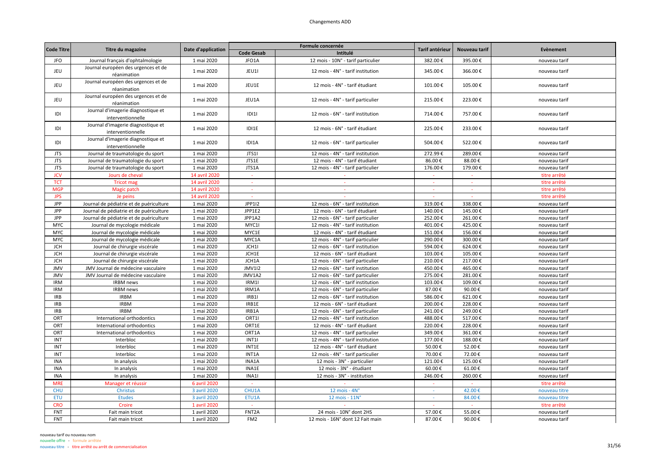| <b>Code Titre</b> | Titre du magazine                                       | Date d'application |                          | Formule concernée                  | Tarif antérieur | Nouveau tarif | Evènement     |
|-------------------|---------------------------------------------------------|--------------------|--------------------------|------------------------------------|-----------------|---------------|---------------|
|                   |                                                         |                    | <b>Code Gesab</b>        | Intitulé                           |                 |               |               |
| JFO               | Journal français d'ophtalmologie                        | 1 mai 2020         | JFO1A                    | 12 mois - 10N° - tarif particulier | 382.00€         | 395.00€       | nouveau tarif |
| JEU               | Journal européen des urgences et de<br>réanimation      | 1 mai 2020         | JEU1I                    | 12 mois - 4N° - tarif institution  | 345.00€         | 366.00€       | nouveau tarif |
| <b>JEU</b>        | Journal européen des urgences et de<br>réanimation      | 1 mai 2020         | JEU1E                    | 12 mois - 4N° - tarif étudiant     | 101.00€         | 105.00€       | nouveau tarif |
| <b>JEU</b>        | Journal européen des urgences et de<br>réanimation      | 1 mai 2020         | JEU1A                    | 12 mois - 4N° - tarif particulier  | 215.00€         | 223.00€       | nouveau tarif |
| IDI               | Journal d'imagerie diagnostique et<br>interventionnelle | 1 mai 2020         | D 1                      | 12 mois - 6N° - tarif institution  | 714.00€         | 757.00€       | nouveau tarif |
| IDI               | Journal d'imagerie diagnostique et<br>interventionnelle | 1 mai 2020         | IDI1E                    | 12 mois - 6N° - tarif étudiant     | 225.00€         | 233.00€       | nouveau tarif |
| IDI               | Journal d'imagerie diagnostique et<br>interventionnelle | 1 mai 2020         | IDI1A                    | 12 mois - 6N° - tarif particulier  | 504.00€         | 522.00€       | nouveau tarif |
| <b>JTS</b>        | Journal de traumatologie du sport                       | 1 mai 2020         | JTS1I                    | 12 mois - 4N° - tarif institution  | 272.99€         | 289.00€       | nouveau tarif |
| <b>JTS</b>        | Journal de traumatologie du sport                       | 1 mai 2020         | JTS1E                    | 12 mois - 4N° - tarif étudiant     | 86.00€          | 88.00€        | nouveau tarif |
| <b>JTS</b>        | Journal de traumatologie du sport                       | 1 mai 2020         | JTS1A                    | 12 mois - 4N° - tarif particulier  | 176.00€         | 179.00€       | nouveau tarif |
| <b>JCV</b>        | Jours de cheval                                         | 14 avril 2020      | $\overline{\phantom{a}}$ |                                    |                 |               | titre arrêté  |
| <b>TCT</b>        | <b>Tricot mag</b>                                       | 14 avril 2020      | $\sim$                   | $\sim$                             | $\sim$          | $\sim$        | titre arrêté  |
| <b>MGP</b>        | Magic patch                                             | 14 avril 2020      |                          |                                    |                 |               | titre arrêté  |
| <b>JPS</b>        | Je peins                                                | 14 avril 2020      |                          |                                    |                 |               | titre arrêté  |
| JPP               | Journal de pédiatrie et de puériculture                 | 1 mai 2020         | JPP1I2                   | 12 mois - 6N° - tarif institution  | 319.00€         | 338.00€       | nouveau tarif |
| <b>JPP</b>        | Journal de pédiatrie et de puériculture                 | 1 mai 2020         | JPP1E2                   | 12 mois - 6N° - tarif étudiant     | 140.00€         | 145.00€       | nouveau tarif |
| JPP               | Journal de pédiatrie et de puériculture                 | 1 mai 2020         | JPP1A2                   | 12 mois - 6N° - tarif particulier  | 252.00€         | 261.00€       | nouveau tarif |
| <b>MYC</b>        | Journal de mycologie médicale                           | 1 mai 2020         | MYC1I                    | 12 mois - 4N° - tarif institution  | 401.00€         | 425.00€       | nouveau tarif |
| <b>MYC</b>        | Journal de mycologie médicale                           | 1 mai 2020         | MYC1E                    | 12 mois - 4N° - tarif étudiant     | 151.00€         | 156.00€       | nouveau tarif |
| <b>MYC</b>        | Journal de mycologie médicale                           | 1 mai 2020         | MYC1A                    | 12 mois - 4N° - tarif particulier  | 290.00€         | 300.00€       | nouveau tarif |
| <b>JCH</b>        | Journal de chirurgie viscérale                          | 1 mai 2020         | JCH1I                    | 12 mois - 6N° - tarif institution  | 594.00€         | 624.00€       | nouveau tarif |
| <b>JCH</b>        | Journal de chirurgie viscérale                          | 1 mai 2020         | JCH1E                    | 12 mois - 6N° - tarif étudiant     | 103.00€         | 105.00€       | nouveau tarif |
| <b>JCH</b>        | Journal de chirurgie viscérale                          | 1 mai 2020         | JCH1A                    | 12 mois - 6N° - tarif particulier  | 210.00€         | 217.00€       | nouveau tarif |
| JMV               | JMV Journal de médecine vasculaire                      | 1 mai 2020         | <b>JMV1I2</b>            | 12 mois - 6N° - tarif institution  | 450.00€         | 465.00€       | nouveau tarif |
| JMV               | JMV Journal de médecine vasculaire                      | 1 mai 2020         | JMV1A2                   | 12 mois - 6N° - tarif particulier  | 275.00€         | 281.00€       | nouveau tarif |
| <b>IRM</b>        | <b>IRBM</b> news                                        | 1 mai 2020         | IRM1I                    | 12 mois - 6N° - tarif institution  | 103.00€         | 109.00€       | nouveau tarif |
| <b>IRM</b>        | <b>IRBM</b> news                                        | 1 mai 2020         | IRM1A                    | 12 mois - 6N° - tarif particulier  | 87.00€          | 90.00€        | nouveau tarif |
| <b>IRB</b>        | <b>IRBM</b>                                             | 1 mai 2020         | IRB1                     | 12 mois - 6N° - tarif institution  | 586.00€         | 621.00€       | nouveau tarif |
| <b>IRB</b>        | <b>IRBM</b>                                             | 1 mai 2020         | IRB1E                    | 12 mois - 6N° - tarif étudiant     | 200.00€         | 228.00€       | nouveau tarif |
| <b>IRB</b>        | <b>IRBM</b>                                             | 1 mai 2020         | IRB1A                    | 12 mois - 6N° - tarif particulier  | 241.00€         | 249.00€       | nouveau tarif |
| ORT               | International orthodontics                              | 1 mai 2020         | ORT1I                    | 12 mois - 4N° - tarif institution  | 488.00€         | 517.00€       | nouveau tarif |
| ORT               | International orthodontics                              | 1 mai 2020         | ORT1E                    | 12 mois - 4N° - tarif étudiant     | 220.00€         | 228.00€       | nouveau tarif |
| ORT               | International orthodontics                              | 1 mai 2020         | ORT1A                    | 12 mois - 4N° - tarif particulier  | 349.00€         | 361.00€       | nouveau tarif |
| INT               | Interbloc                                               | 1 mai 2020         | <b>INT1I</b>             | 12 mois - 4N° - tarif institution  | 177.00€         | 188.00€       | nouveau tarif |
| INT               | Interbloc                                               | 1 mai 2020         | INT1E                    | 12 mois - 4N° - tarif étudiant     | 50.00€          | 52.00€        | nouveau tarif |
| INT               | Interbloc                                               | 1 mai 2020         | INT1A                    | 12 mois - 4N° - tarif particulier  | 70.00€          | 72.00€        | nouveau tarif |
| <b>INA</b>        | In analysis                                             | 1 mai 2020         | INA1A                    | 12 mois - 3N° - particulier        | 121.00€         | 125.00€       | nouveau tarif |
| <b>INA</b>        | In analysis                                             | 1 mai 2020         | INA1E                    | 12 mois - 3N° - étudiant           | 60.00€          | 61.00€        | nouveau tarif |
| <b>INA</b>        | In analysis                                             | 1 mai 2020         | INA1I                    | 12 mois - 3N° - institution        | 246.00€         | 260.00€       | nouveau tarif |
| <b>MRE</b>        | Manager et réussir                                      | 6 avril 2020       |                          |                                    |                 |               | titre arrêté  |
| <b>CHU</b>        | Christus                                                | 3 avril 2020       | CHU1A                    | $12$ mois - $4N^\circ$             |                 | 42.00€        | nouveau titre |
| <b>ETU</b>        | <b>Etudes</b>                                           | 3 avril 2020       | ETU1A                    | 12 mois - 11N°                     | $\sim$          | 84.00€        | nouveau titre |
| <b>CRO</b>        | Croire                                                  | 1 avril 2020       | $\sim$                   |                                    |                 |               | titre arrêté  |
| FNT               | Fait main tricot                                        | 1 avril 2020       | FNT <sub>2</sub> A       | 24 mois - 10N° dont 2HS            | 57.00€          | 55.00€        | nouveau tarif |
| <b>FNT</b>        | Fait main tricot                                        | 1 avril 2020       | FM <sub>2</sub>          | 12 mois - 16N° dont 12 Fait main   | 87.00€          | 90.00€        | nouveau tarif |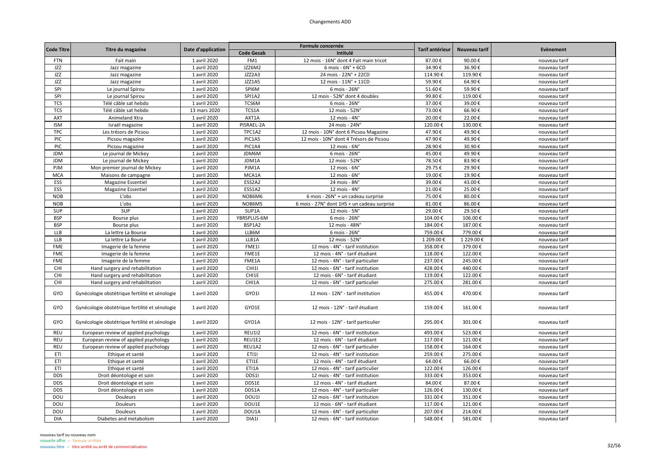|                   |                                                |                    |                   | Formule concernée                           | Tarif antérieur |               |               |
|-------------------|------------------------------------------------|--------------------|-------------------|---------------------------------------------|-----------------|---------------|---------------|
| <b>Code Titre</b> | Titre du magazine                              | Date d'application | <b>Code Gesab</b> | Intitulé                                    |                 | Nouveau tarif | Evènement     |
| FTN               | Fait main                                      | 1 avril 2020       | FM1               | 12 mois - 16N° dont 4 Fait main tricot      | 87.00€          | 90.00€        | nouveau tarif |
| JZZ               | Jazz magazine                                  | 1 avril 2020       | JZZ6M2            | $6$ mois - $6N^\circ$ + $6CD$               | 34.90€          | 36.90€        | nouveau tarif |
| JZZ               | Jazz magazine                                  | 1 avril 2020       | JZZ2A3            | 24 mois - 22N° + 22CD                       | 114.90€         | 119.90€       | nouveau tarif |
| JZZ               | Jazz magazine                                  | 1 avril 2020       | JZZ1A5            | 12 mois - 11N° + 11CD                       | 59.90€          | 64.90€        | nouveau tarif |
| SPI               | Le journal Spirou                              | 1 avril 2020       | SPI6M             | 6 mois - 26N°                               | 51.60€          | 59.90€        | nouveau tarif |
| SPI               | Le journal Spirou                              | 1 avril 2020       | SPI1A2            | 12 mois - 52N° dont 4 doubles               | 99.80€          | 119.00€       | nouveau tarif |
| <b>TCS</b>        | Télé câble sat hebdo                           | 1 avril 2020       | TCS6M             | 6 mois - 26N°                               | 37.00€          | 39.00€        | nouveau tarif |
| <b>TCS</b>        | Télé câble sat hebdo                           | 13 mars 2020       | TCS1A             | 12 mois - 52N°                              | 73.00€          | 66.90€        | nouveau tarif |
| AXT               | Animeland Xtra                                 | 1 avril 2020       | AXT1A             | 12 mois - $4Nc$                             | 20.00€          | 22.00€        | nouveau tarif |
| <b>ISM</b>        | Israël magazine                                | 1 avril 2020       | PISRAEL-2A        | 24 mois - 24N'                              | 120.00€         | 130.00€       | nouveau tarif |
| <b>TPC</b>        | Les trésors de Picsou                          | 1 avril 2020       | TPC1A2            | 12 mois - 10N° dont 6 Picsou Magazine       | 47.90€          | 49.90€        | nouveau tarif |
| PIC               | Picsou magazine                                | 1 avril 2020       | PIC1A5            | 12 mois - 10N° dont 4 Trésors de Picsou     | 47.90€          | 49.90€        | nouveau tarif |
| PIC               | Picsou magazine                                | 1 avril 2020       | PIC1A4            | 12 mois - 6N°                               | 28.90€          | 30.90€        | nouveau tarif |
| <b>JDM</b>        | Le journal de Mickey                           | 1 avril 2020       | JDM6M             | 6 mois - 26N°                               | 45.00€          | 49.90€        | nouveau tarif |
| <b>JDM</b>        | Le journal de Mickey                           | 1 avril 2020       | JDM1A             | 12 mois - 52N°                              | 78.50€          | 83.90€        | nouveau tarif |
| PJM               | Mon premier journal de Mickey                  | 1 avril 2020       | PJM1A             | $12$ mois - $6N^\circ$                      | 29.75€          | 29.90€        | nouveau tarif |
| <b>MCA</b>        | Maisons de campagne                            | 1 avril 2020       | MCA1A             | $12$ mois - $6N^\circ$                      | 19.00€          | 19.90€        | nouveau tarif |
| ESS               | Magazine Essentiel                             | 1 avril 2020       | ESS2A2            | 24 mois - 8N°                               | 39.00€          | 43.00€        | nouveau tarif |
| ESS               | Magazine Essentiel                             | 1 avril 2020       | ESS1A2            | 12 mois - 4N°                               | 21.00€          | 25.00€        | nouveau tarif |
| <b>NOB</b>        | L'obs                                          | 1 avril 2020       | NOB6M6            | 6 mois - 26N° + un cadeau surprise          | 75.00€          | 80.00€        | nouveau tarif |
| <b>NOB</b>        | L'obs                                          | 1 avril 2020       | NOB6M5            | 6 mois - 27N° dont 1HS + un cadeau surprise | 81.00€          | 86.00€        | nouveau tarif |
| SUP               | SUP                                            | 1 avril 2020       | SUP1A             | 12 mois - 5N°                               | 29.00€          | 29.50€        | nouveau tarif |
| <b>BSP</b>        | Bourse plus                                    | 1 avril 2020       | YBRSPLUS-6M       | 6 mois - 26N°                               | 104.00€         | 106.00€       | nouveau tarif |
| <b>BSP</b>        | Bourse plus                                    | 1 avril 2020       | BSP1A2            | 12 mois - 48N°                              | 184.00€         | 187.00€       | nouveau tarif |
| <b>LLB</b>        | La lettre La Bourse                            | 1 avril 2020       | LLB6M             | 6 mois - 26N°                               | 759.00€         | 779.00€       | nouveau tarif |
| <b>LLB</b>        | La lettre La Bourse                            | 1 avril 2020       | LLB1A             | 12 mois - 52N°                              | 1 209.00€       | 1 229.00€     | nouveau tarif |
| <b>FME</b>        | Imagerie de la femme                           | 1 avril 2020       | FME1              | 12 mois - 4N° - tarif institution           | 358.00€         | 379.00€       | nouveau tarif |
| <b>FME</b>        | Imagerie de la femme                           | 1 avril 2020       | FME1E             | 12 mois - 4N° - tarif étudiant              | 118.00€         | 122.00€       | nouveau tarif |
| <b>FME</b>        | Imagerie de la femme                           | 1 avril 2020       | FME1A             | 12 mois - 4N° - tarif particulier           | 237.00€         | 245.00€       | nouveau tarif |
| CHI               | Hand surgery and rehabilitation                | 1 avril 2020       | CHI1I             | 12 mois - 6N° - tarif institution           | 428.00€         | 440.00€       | nouveau tarif |
| CHI               | Hand surgery and rehabilitation                | 1 avril 2020       | CHI1E             | 12 mois - 6N° - tarif étudiant              | 119.00€         | 122.00€       | nouveau tarif |
| CHI               | Hand surgery and rehabilitation                | 1 avril 2020       | CHI1A             | 12 mois - 6N° - tarif particulier           | 275.00€         | 281.00€       | nouveau tarif |
| GYO               | Gynécologie obstétrique fertilité et sénologie | 1 avril 2020       | GYO1I             | 12 mois - 12N° - tarif institution          | 455.00€         | 470.00€       | nouveau tarif |
| GYO               | Gynécologie obstétrique fertilité et sénologie | 1 avril 2020       | GYO1E             | 12 mois - 12N° - tarif étudiant             | 159.00€         | 161.00€       | nouveau tarif |
| GYO               | Gynécologie obstétrique fertilité et sénologie | 1 avril 2020       | GYO1A             | 12 mois - 12N° - tarif particulier          | 295.00€         | 301.00€       | nouveau tarif |
| <b>REU</b>        | European review of applied psychology          | 1 avril 2020       | <b>REU1I2</b>     | 12 mois - 6N° - tarif institution           | 493.00€         | 523.00€       | nouveau tarif |
| REU               | European review of applied psychology          | 1 avril 2020       | REU1E2            | 12 mois - 6N° - tarif étudiant              | 117.00€         | 121.00€       | nouveau tarif |
| <b>REU</b>        | European review of applied psychology          | 1 avril 2020       | REU1A2            | 12 mois - 6N° - tarif particulier           | 158.00€         | 164.00€       | nouveau tarif |
| ETI               | Ethique et santé                               | 1 avril 2020       | ET111             | 12 mois - 4N° - tarif institution           | 259.00€         | 275.00€       | nouveau tarif |
| ETI               | Ethique et santé                               | 1 avril 2020       | ETI1E             | 12 mois - 4N° - tarif étudiant              | 64.00€          | 66.00€        | nouveau tarif |
| ETI               | Ethique et santé                               | 1 avril 2020       | ETI1A             | 12 mois - 4N° - tarif particulier           | 122.00€         | 126.00€       | nouveau tarif |
| <b>DDS</b>        | Droit déontologie et soin                      | 1 avril 2020       | DDS1I             | 12 mois - 4N° - tarif institution           | 333.00€         | 353.00€       | nouveau tarif |
| <b>DDS</b>        | Droit déontologie et soin                      | 1 avril 2020       | DDS1E             | 12 mois - 4N° - tarif étudiant              | 84.00€          | 87.00€        | nouveau tarif |
| <b>DDS</b>        | Droit déontologie et soin                      | 1 avril 2020       | DDS1A             | 12 mois - 4N° - tarif particulier           | 126.00€         | 130.00€       | nouveau tarif |
| DOU               | Douleurs                                       | 1 avril 2020       | DOU1              | 12 mois - 6N° - tarif institution           | 331.00€         | 351.00€       | nouveau tarif |
| DOU               | Douleurs                                       | 1 avril 2020       | DOU1E             | 12 mois - 6N° - tarif étudiant              | 117.00€         | 121.00€       | nouveau tarif |
| DOU               | Douleurs                                       | 1 avril 2020       | DOU1A             | 12 mois - 6N° - tarif particulier           | 207.00€         | 214.00€       | nouveau tarif |
| <b>DIA</b>        | Diabetes and metabolism                        | 1 avril 2020       | DIA1I             | 12 mois - 6N° - tarif institution           | 548.00€         | 581.00€       | nouveau tarif |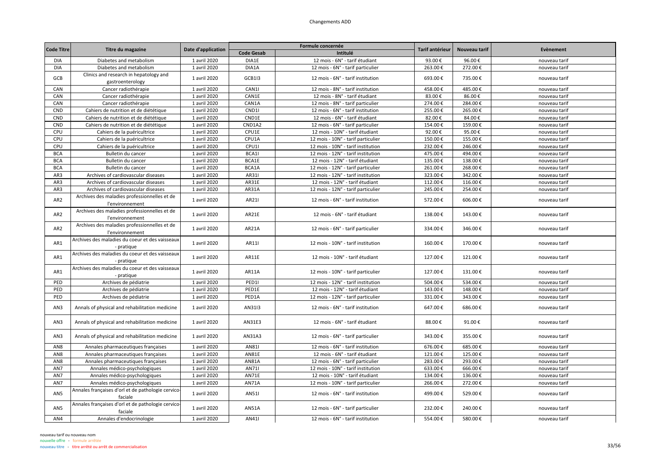| <b>Code Titre</b> |                                                                 |                    |                   | Formule concernée                  | Tarif antérieur | Nouveau tarif | <b>Evènement</b> |
|-------------------|-----------------------------------------------------------------|--------------------|-------------------|------------------------------------|-----------------|---------------|------------------|
|                   | Titre du magazine                                               | Date d'application | <b>Code Gesab</b> | Intitulé                           |                 |               |                  |
| <b>DIA</b>        | Diabetes and metabolism                                         | 1 avril 2020       | DIA1E             | 12 mois - 6N° - tarif étudiant     | 93.00€          | 96.00€        | nouveau tarif    |
| <b>DIA</b>        | Diabetes and metabolism                                         | 1 avril 2020       | DIA1A             | 12 mois - 6N° - tarif particulier  | 263.00€         | 272.00€       | nouveau tarif    |
| GCB               | Clinics and research in hepatology and<br>gastroenterology      | 1 avril 2020       | <b>GCB1I3</b>     | 12 mois - 6N° - tarif institution  | 693.00€         | 735.00€       | nouveau tarif    |
| CAN               | Cancer radiothérapie                                            | 1 avril 2020       | CAN1I             | 12 mois - 8N° - tarif institution  | 458.00€         | 485.00€       | nouveau tarif    |
| CAN               | Cancer radiothérapie                                            | 1 avril 2020       | CAN1E             | 12 mois - 8N° - tarif étudiant     | 83.00€          | 86.00€        | nouveau tarif    |
| CAN               | Cancer radiothérapie                                            | 1 avril 2020       | CAN1A             | 12 mois - 8N° - tarif particulier  | 274.00€         | 284.00€       | nouveau tarif    |
| CND               | Cahiers de nutrition et de diététique                           | 1 avril 2020       | CND11             | 12 mois - 6N° - tarif institution  | 255.00€         | 265.00€       | nouveau tarif    |
| CND               | Cahiers de nutrition et de diététique                           | 1 avril 2020       | CND1E             | 12 mois - 6N° - tarif étudiant     | 82.00€          | 84.00€        | nouveau tarif    |
| CND               | Cahiers de nutrition et de diététique                           | 1 avril 2020       | CND1A2            | 12 mois - 6N° - tarif particulier  | 154.00€         | 159.00€       | nouveau tarif    |
| CPU               | Cahiers de la puéricultrice                                     | 1 avril 2020       | CPU1E             | 12 mois - 10N° - tarif étudiant    | 92.00€          | 95.00€        | nouveau tarif    |
| CPU               | Cahiers de la puéricultrice                                     | 1 avril 2020       | CPU1A             | 12 mois - 10N° - tarif particulier | 150.00€         | 155.00€       | nouveau tarif    |
| CPU               | Cahiers de la puéricultrice                                     | 1 avril 2020       | CPU1I             | 12 mois - 10N° - tarif institution | 232.00€         | 246.00€       | nouveau tarif    |
| <b>BCA</b>        | Bulletin du cancer                                              | 1 avril 2020       | BCA1I             | 12 mois - 12N° - tarif institution | 475.00€         | 494.00€       | nouveau tarif    |
| <b>BCA</b>        | Bulletin du cancer                                              | 1 avril 2020       | BCA1E             | 12 mois - 12N° - tarif étudiant    | 135.00€         | 138.00€       | nouveau tarif    |
| <b>BCA</b>        | Bulletin du cancer                                              | 1 avril 2020       | BCA1A             | 12 mois - 12N° - tarif particulier | 261.00€         | 268.00€       | nouveau tarif    |
| AR3               | Archives of cardiovascular diseases                             | 1 avril 2020       | AR311             | 12 mois - 12N° - tarif institution | 323.00€         | 342.00€       | nouveau tarif    |
| AR3               | Archives of cardiovascular diseases                             | 1 avril 2020       | AR31E             | 12 mois - 12N° - tarif étudiant    | 112.00€         | 116.00€       | nouveau tarif    |
| AR3               | Archives of cardiovascular diseases                             | 1 avril 2020       | AR31A             | 12 mois - 12N° - tarif particulier | 245.00€         | 254.00€       | nouveau tarif    |
| AR <sub>2</sub>   | Archives des maladies professionnelles et de<br>l'environnement | 1 avril 2020       | AR211             | 12 mois - 6N° - tarif institution  | 572.00€         | 606.00€       | nouveau tarif    |
| AR <sub>2</sub>   | Archives des maladies professionnelles et de<br>l'environnement | 1 avril 2020       | AR21E             | 12 mois - 6N° - tarif étudiant     | 138.00€         | 143.00€       | nouveau tarif    |
| AR <sub>2</sub>   | Archives des maladies professionnelles et de<br>l'environnement | 1 avril 2020       | AR21A             | 12 mois - 6N° - tarif particulier  | 334.00€         | 346.00€       | nouveau tarif    |
| AR1               | Archives des maladies du coeur et des vaisseaux<br>- pratique   | 1 avril 2020       | AR11              | 12 mois - 10N° - tarif institution | 160.00€         | 170.00€       | nouveau tarif    |
| AR1               | Archives des maladies du coeur et des vaisseaux<br>- pratique   | 1 avril 2020       | AR11E             | 12 mois - 10N° - tarif étudiant    | 127.00€         | 121.00€       | nouveau tarif    |
| AR1               | Archives des maladies du coeur et des vaisseaux<br>- pratique   | 1 avril 2020       | AR11A             | 12 mois - 10N° - tarif particulier | 127.00€         | 131.00€       | nouveau tarif    |
| PED               | Archives de pédiatrie                                           | 1 avril 2020       | PED1I             | 12 mois - 12N° - tarif institution | 504.00€         | 534.00€       | nouveau tarif    |
| PED               | Archives de pédiatrie                                           | 1 avril 2020       | PED1E             | 12 mois - 12N° - tarif étudiant    | 143.00€         | 148.00€       | nouveau tarif    |
| PED               | Archives de pédiatrie                                           | 1 avril 2020       | PED1A             | 12 mois - 12N° - tarif particulier | 331.00€         | 343.00€       | nouveau tarif    |
| AN3               | Annals of physical and rehabilitation medicine                  | 1 avril 2020       | AN3113            | 12 mois - 6N° - tarif institution  | 647.00€         | 686.00€       | nouveau tarif    |
| AN3               | Annals of physical and rehabilitation medicine                  | 1 avril 2020       | AN31E3            | 12 mois - 6N° - tarif étudiant     | 88.00€          | 91.00€        | nouveau tarif    |
| AN3               | Annals of physical and rehabilitation medicine                  | 1 avril 2020       | AN31A3            | 12 mois - 6N° - tarif particulier  | 343.00€         | 355.00€       | nouveau tarif    |
| AN <sub>8</sub>   | Annales pharmaceutiques françaises                              | 1 avril 2020       | AN811             | 12 mois - 6N° - tarif institution  | 676.00€         | 685.00€       | nouveau tarif    |
| AN <sub>8</sub>   | Annales pharmaceutiques françaises                              | 1 avril 2020       | <b>AN81E</b>      | 12 mois - 6N° - tarif étudiant     | 121.00€         | 125.00€       | nouveau tarif    |
| AN <sub>8</sub>   | Annales pharmaceutiques françaises                              | 1 avril 2020       | AN81A             | 12 mois - 6N° - tarif particulier  | 283.00€         | 293.00€       | nouveau tarif    |
| AN7               | Annales médico-psychologiques                                   | 1 avril 2020       | AN711             | 12 mois - 10N° - tarif institution | 633.00€         | 666.00€       | nouveau tarif    |
| AN7               | Annales médico-psychologiques                                   | 1 avril 2020       | AN71E             | 12 mois - 10N° - tarif étudiant    | 134.00€         | 136.00€       | nouveau tarif    |
| AN7               | Annales médico-psychologiques                                   | 1 avril 2020       | <b>AN71A</b>      | 12 mois - 10N° - tarif particulier | 266.00€         | 272.00€       | nouveau tarif    |
| AN5               | Annales françaises d'orl et de pathologie cervico-<br>faciale   | 1 avril 2020       | AN511             | 12 mois - 6N° - tarif institution  | 499.00€         | 529.00€       | nouveau tarif    |
| AN5               | Annales françaises d'orl et de pathologie cervico-<br>faciale   | 1 avril 2020       | AN51A             | 12 mois - 6N° - tarif particulier  | 232.00€         | 240.00€       | nouveau tarif    |
| AN4               | Annales d'endocrinologie                                        | 1 avril 2020       | AN411             | 12 mois - 6N° - tarif institution  | 554.00€         | 580.00€       | nouveau tarif    |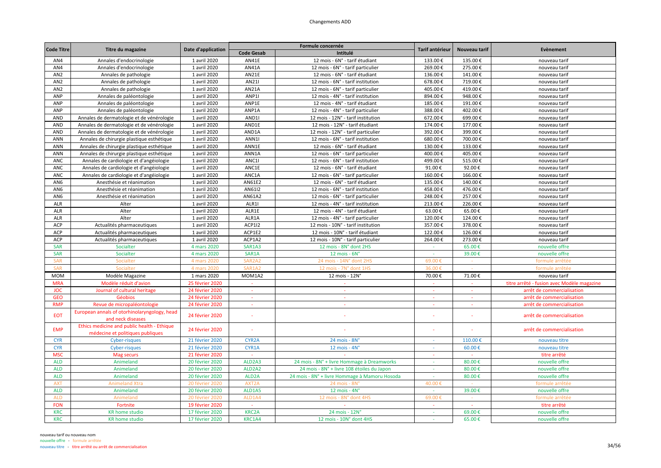| <b>Code Titre</b> |                                                                                 |                    |                                 | Formule concernée                             | Tarif antérieur | Nouveau tarif | <b>Evènement</b>                           |
|-------------------|---------------------------------------------------------------------------------|--------------------|---------------------------------|-----------------------------------------------|-----------------|---------------|--------------------------------------------|
|                   | Titre du magazine                                                               | Date d'application | <b>Code Gesab</b>               | Intitulé                                      |                 |               |                                            |
| AN4               | Annales d'endocrinologie                                                        | 1 avril 2020       | AN41E                           | 12 mois - 6N° - tarif étudiant                | 133.00€         | 135.00€       | nouveau tarif                              |
| AN4               | Annales d'endocrinologie                                                        | 1 avril 2020       | AN41A                           | 12 mois - 6N° - tarif particulier             | 269.00€         | 275.00€       | nouveau tarif                              |
| AN <sub>2</sub>   | Annales de pathologie                                                           | 1 avril 2020       | AN21E                           | 12 mois - 6N° - tarif étudiant                | 136.00€         | 141.00€       | nouveau tarif                              |
| AN <sub>2</sub>   | Annales de pathologie                                                           | 1 avril 2020       | AN211                           | 12 mois - 6N° - tarif institution             | 678.00€         | 719.00€       | nouveau tarif                              |
| AN <sub>2</sub>   | Annales de pathologie                                                           | 1 avril 2020       | AN21A                           | 12 mois - 6N° - tarif particulier             | 405.00€         | 419.00€       | nouveau tarif                              |
| ANP               | Annales de paléontologie                                                        | 1 avril 2020       | ANP1I                           | 12 mois - 4N° - tarif institution             | 894.00€         | 948.00€       | nouveau tarif                              |
| ANP               | Annales de paléontologie                                                        | 1 avril 2020       | ANP1E                           | 12 mois - 4N° - tarif étudiant                | 185.00€         | 191.00€       | nouveau tarif                              |
| ANP               | Annales de paléontologie                                                        | 1 avril 2020       | ANP1A                           | 12 mois - 4N° - tarif particulier             | 388.00€         | 402.00€       | nouveau tarif                              |
| <b>AND</b>        | Annales de dermatologie et de vénérologie                                       | 1 avril 2020       | AND <sub>11</sub>               | 12 mois - 12N° - tarif institution            | 672.00€         | 699.00€       | nouveau tarif                              |
| AND               | Annales de dermatologie et de vénérologie                                       | 1 avril 2020       | AND1E                           | 12 mois - 12N° - tarif étudiant               | 174.00€         | 177.00€       | nouveau tarif                              |
| AND               | Annales de dermatologie et de vénérologie                                       | 1 avril 2020       | AND1A                           | 12 mois - 12N° - tarif particulier            | 392.00€         | 399.00€       | nouveau tarif                              |
| ANN               | Annales de chirurgie plastique esthétique                                       | 1 avril 2020       | ANN1I                           | 12 mois - 6N° - tarif institution             | 680.00€         | 700.00€       | nouveau tarif                              |
| ANN               | Annales de chirurgie plastique esthétique                                       | 1 avril 2020       | ANN1E                           | 12 mois - 6N° - tarif étudiant                | 130.00€         | 133.00€       | nouveau tarif                              |
| <b>ANN</b>        | Annales de chirurgie plastique esthétique                                       | 1 avril 2020       | ANN1A                           | 12 mois - 6N° - tarif particulier             | 400.00€         | 405.00€       | nouveau tarif                              |
| <b>ANC</b>        | Annales de cardiologie et d'angéiologie                                         | 1 avril 2020       | ANC1I                           | 12 mois - 6N° - tarif institution             | 499.00€         | 515.00€       | nouveau tarif                              |
| ANC               | Annales de cardiologie et d'angéiologie                                         | 1 avril 2020       | ANC1E                           | 12 mois - 6N° - tarif étudiant                | 91.00€          | 92.00€        | nouveau tarif                              |
| <b>ANC</b>        | Annales de cardiologie et d'angéiologie                                         | 1 avril 2020       | ANC1A                           | 12 mois - 6N° - tarif particulier             | 160.00€         | 166.00€       | nouveau tarif                              |
| AN <sub>6</sub>   | Anesthésie et réanimation                                                       | 1 avril 2020       | AN61E2                          | 12 mois - 6N° - tarif étudiant                | 135.00€         | 140.00€       | nouveau tarif                              |
| AN <sub>6</sub>   | Anesthésie et réanimation                                                       | 1 avril 2020       | AN6112                          | 12 mois - 6N° - tarif institution             | 458.00€         | 476.00€       | nouveau tarif                              |
| AN <sub>6</sub>   | Anesthésie et réanimation                                                       | 1 avril 2020       | AN61A2                          | 12 mois - 6N° - tarif particulier             | 248.00€         | 257.00€       | nouveau tarif                              |
| <b>ALR</b>        | Alter                                                                           | 1 avril 2020       | ALR1I                           | 12 mois - 4N° - tarif institution             | 213.00€         | 226.00€       | nouveau tarif                              |
| <b>ALR</b>        | Alter                                                                           | 1 avril 2020       | ALR1E                           | 12 mois - 4N° - tarif étudiant                | 63.00€          | 65.00€        | nouveau tarif                              |
| ALR               | Alter                                                                           | 1 avril 2020       | ALR1A                           | 12 mois - 4N° - tarif particulier             | 120.00€         | 124.00€       | nouveau tarif                              |
| ACP               | Actualités pharmaceutiques                                                      | 1 avril 2020       | <b>ACP1I2</b>                   | 12 mois - 10N° - tarif institution            | 357.00€         | 378.00€       | nouveau tarif                              |
| ACP               | Actualités pharmaceutiques                                                      | 1 avril 2020       | ACP1E2                          | 12 mois - 10N° - tarif étudiant               | 122.00€         | 126.00€       | nouveau tarif                              |
| ACP               | Actualités pharmaceutiques                                                      | 1 avril 2020       | ACP1A2                          | 12 mois - 10N° - tarif particulier            | 264.00€         | 273.00€       | nouveau tarif                              |
| <b>SAR</b>        | Socialter                                                                       | 4 mars 2020        | SAR1A3                          | 12 mois - 8N° dont 2HS                        |                 | 65.00€        | nouvelle offre                             |
| <b>SAR</b>        | Socialter                                                                       | 4 mars 2020        | SAR1A                           | 12 mois - $6N^{\circ}$                        | $\sim$          | 39.00€        | nouvelle offre                             |
| <b>SAR</b>        | Socialter                                                                       | 4 mars 2020        | SAR <sub>2</sub> A <sub>2</sub> | 24 mois - 14N° dont 2HS                       | 69.00€          |               | formule arrêtée                            |
| <b>SAR</b>        | Socialter                                                                       | 4 mars 2020        | SAR1A2                          | 12 mois - 7N° dont 1HS                        | 36.00           |               | formule arrêtée                            |
| <b>MOM</b>        | Modèle Magazine                                                                 | 1 mars 2020        | MOM1A2                          | 12 mois - 12N°                                | 70.00€          | 71.00€        | nouveau tarif                              |
| <b>MRA</b>        | Modèle réduit d'avion                                                           | 25 février 2020    | ä,                              | $\sim$                                        |                 |               | titre arrêté - fusion avec Modèle magazine |
| <b>JOC</b>        | Journal of cultural heritage                                                    | 24 février 2020    | $\sim$                          | $\sim$                                        | $\sim$          | $\sim$        | arrêt de commercialisation                 |
| <b>GEO</b>        | Géobios                                                                         | 24 février 2020    | ÷                               | $\sim$                                        |                 |               | arrêt de commercialisation                 |
| <b>RMP</b>        | Revue de micropaléontologie                                                     | 24 février 2020    | $\sim$                          | $\sim$                                        | $\sim$          | $\sim$        | arrêt de commercialisation                 |
|                   | European annals of otorhinolaryngology, head                                    |                    |                                 |                                               |                 |               |                                            |
| <b>EOT</b>        | and neck diseases                                                               | 24 février 2020    |                                 |                                               |                 |               | arrêt de commercialisation                 |
| <b>EMP</b>        | Ethics medicine and public health - Ethique<br>médecine et politiques publiques | 24 février 2020    |                                 |                                               |                 |               | arrêt de commercialisation                 |
| <b>CYR</b>        | <b>Cyber-risques</b>                                                            | 21 février 2020    | CYR <sub>2</sub> A              | 24 mois - 8N°                                 | $\sim$          | 110.00€       | nouveau titre                              |
| <b>CYR</b>        | <b>Cyber-risques</b>                                                            | 21 février 2020    | CYR1A                           | 12 mois - 4N°                                 |                 | 60.00€        | nouveau titre                              |
| <b>MSC</b>        | Mag securs                                                                      | 21 février 2020    |                                 |                                               |                 |               | titre arrêté                               |
| <b>ALD</b>        | Animeland                                                                       | 20 février 2020    | ALD <sub>2</sub> A <sub>3</sub> | 24 mois - 8N° + livre Hommage à Dreamworks    | $\sim$          | 80.00€        | nouvelle offre                             |
| <b>ALD</b>        | Animeland                                                                       | 20 février 2020    | ALD <sub>2</sub> A <sub>2</sub> | 24 mois - 8N° + livre 108 étoiles du Japon    |                 | 80.00€        | nouvelle offre                             |
| <b>ALD</b>        | Animeland                                                                       | 20 février 2020    | ALD <sub>2</sub> A              | 24 mois - 8N° + livre Hommage à Mamoru Hosoda | $\sim$          | 80.00€        | nouvelle offre                             |
| AX <sub>1</sub>   | <b>Animeland Xtra</b>                                                           | 20 février 2020    | AXT2A                           | 24 mois - 8N                                  | 40.00           |               | formule arrêtée                            |
| <b>ALD</b>        | Animeland                                                                       | 20 février 2020    | ALD1A5                          | 12 mois - $4N^\circ$                          |                 | 39.00€        | nouvelle offre                             |
| <b>ALD</b>        | Animeland                                                                       | 20 février 2020    | ALD1A4                          | 12 mois - 8N° dont 4HS                        | 69.00€          |               | formule arrêtée                            |
| <b>FON</b>        | Fortnite                                                                        | 19 février 2020    | $\sim$                          |                                               |                 | $\sim$        | titre arrêté                               |
| <b>KRC</b>        | <b>KR</b> home studio                                                           | 17 février 2020    | <b>KRC2A</b>                    | 24 mois - 12N°                                | $\sim$          | 69.00€        | nouvelle offre                             |
| <b>KRC</b>        | <b>KR</b> home studio                                                           | 17 février 2020    | KRC1A4                          | 12 mois - 10N° dont 4HS                       |                 | 65.00€        | nouvelle offre                             |
|                   |                                                                                 |                    |                                 |                                               |                 |               |                                            |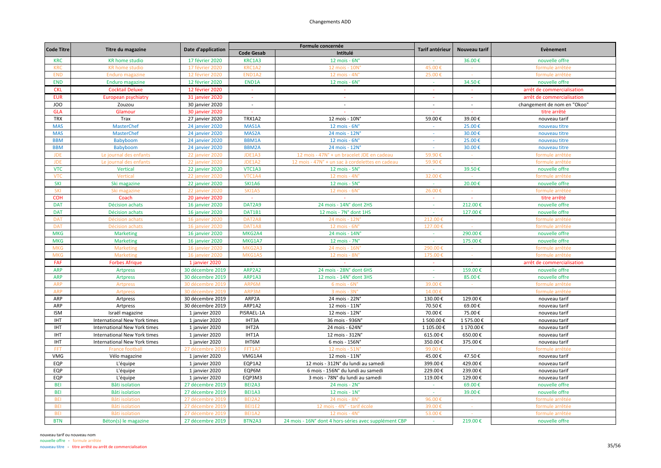| <b>Code Titre</b> | Titre du magazine                   |                        |                   | Formule concernée                                     | Tarif antérieur | Nouveau tarif | Evènement                   |
|-------------------|-------------------------------------|------------------------|-------------------|-------------------------------------------------------|-----------------|---------------|-----------------------------|
|                   |                                     | Date d'application     | <b>Code Gesab</b> | Intitulé                                              |                 |               |                             |
| <b>KRC</b>        | <b>KR</b> home studio               | 17 février 2020        | KRC1A3            | 12 mois - $6Nc$                                       |                 | 36.00€        | nouvelle offre              |
| <b>KRC</b>        | <b>KR</b> home studio               | 17 février 2020        | KRC1A2            | 12 mois - 10N                                         | 45.00€          |               | formule arrêtée             |
| <b>END</b>        | <b>Enduro magazine</b>              | 12 février 2020        | END1A2            | 12 mois - 4N'                                         | 25.00€          | $\sim$        | formule arrêtée             |
| <b>END</b>        | <b>Enduro magazine</b>              | 12 février 2020        | END1A             | 12 mois - $6N^{\circ}$                                |                 | 34.50€        | nouvelle offre              |
| <b>CKL</b>        | <b>Cocktail Deluxe</b>              | 12 février 2020        | $\sim$            |                                                       | $\sim$          |               | arrêt de commercialisation  |
| <b>EUR</b>        | <b>European psychiatry</b>          | 31 janvier 2020        | $\sim$            | $\omega$                                              |                 |               | arrêt de commercialisation  |
| JOO               | Zouzou                              | 30 janvier 2020        | $\sim$            | $\sim$                                                | $\sim$          | $\sim$        | changement de nom en "Okoo' |
| <b>GLA</b>        | Glamour                             | 30 janvier 2020        | $\Delta \phi$     | $\sim$                                                | $\sim$          | $\sim$        | titre arrêté                |
| <b>TRX</b>        | Trax                                | 27 janvier 2020        | <b>TRX1A2</b>     | 12 mois - 10N°                                        | 59.00€          | 39.00€        | nouveau tarif               |
| <b>MAS</b>        | <b>MasterChef</b>                   | 24 janvier 2020        | MAS1A             | $12$ mois - $6N^\circ$                                | $\sim$          | 25.00€        | nouveau titre               |
| <b>MAS</b>        | MasterChef                          | 24 janvier 2020        | MAS2A             | 24 mois - 12N°                                        | $\sim$          | 30.00€        | nouveau titre               |
| <b>BBM</b>        | Babyboom                            | 24 janvier 2020        | BBM1A             | $12$ mois - $6N^\circ$                                | o.              | 25.00€        | nouveau titre               |
| <b>BBM</b>        | Babyboom                            | 24 janvier 2020        | <b>BBM2A</b>      | 24 mois - 12N°                                        | $\sim$          | 30.00€        | nouveau titre               |
| <b>JDE</b>        | Le journal des enfants              | <b>22 janvier 2020</b> | JDE1A3            | 12 mois - 47N° + un bracelet JDE en cadeau            | 59.90€          |               | formule arrêtée             |
| <b>JDE</b>        | Le journal des enfants              | <b>22 janvier 2020</b> | JDE1A2            | 12 mois - 47N° + un sac à cordelettes en cadeau       | 59.90€          |               | formule arrêtée             |
| <b>VTC</b>        | <b>Vertical</b>                     | 22 janvier 2020        | VTC1A3            | 12 mois - 5N°                                         | $\sim$          | 39.50€        | nouvelle offre              |
| <b>VTC</b>        | Vertical                            | 22 janvier 2020        | VTC1A4            | 12 mois - 4N°                                         | 32.00€          |               | formule arrêtée             |
| <b>SKI</b>        | Ski magazine                        | <b>22 janvier 2020</b> | <b>SKI1A6</b>     | $12$ mois - $5N^\circ$                                | $\sim$          | 20.00€        | nouvelle offre              |
| SKI               | Ski magazine                        | <b>22 janvier 2020</b> | <b>SKI1A5</b>     | 12 mois - 6N                                          | $26.00*$        |               | formule arrêtée             |
| <b>COH</b>        | Coach                               | <b>20 janvier 2020</b> | $\sim$            | $\sim$                                                | $\sim$          | $\sim$        | titre arrêté                |
| <b>DAT</b>        | Décision achats                     | 16 janvier 2020        | DAT2A9            | 24 mois - 14N° dont 2HS                               | $\sim$          | 212.00€       | nouvelle offre              |
| <b>DAT</b>        | Décision achats                     | 16 janvier 2020        | DAT1B1            | 12 mois - 7N° dont 1HS                                | $\sim$          | 127.00€       | nouvelle offre              |
| <b>DAT</b>        | Décision achats                     | 16 janvier 2020        | DAT2A8            | 24 mois - 12N°                                        | 212.00€         | $\sim 100$    | formule arrêtée             |
| <b>DAT</b>        | Décision achats                     | 16 janvier 2020        | DAT1A8            | 12 mois - 6N'                                         | 127.00€         |               | formule arrêtée             |
| <b>MKG</b>        | <b>Marketing</b>                    | 16 janvier 2020        | MKG2A4            | 24 mois - 14N°                                        | $\sim$          | 290.00€       | nouvelle offre              |
| <b>MKG</b>        | <b>Marketing</b>                    | 16 janvier 2020        | MKG1A7            | $12$ mois - $7N^\circ$                                | $\mathbb{Z}$    | 175.00€       | nouvelle offre              |
| <b>MKG</b>        | Marketing                           | 16 janvier 2020        | MKG2A3            | 24 mois - 16N                                         | 290.00          |               | formule arrêtée             |
| <b>MKG</b>        | Marketing                           | 16 janvier 2020        | MKG1A5            | 12 mois - 8N°                                         | 175.00€         | $\sim$        | formule arrêtée             |
| <b>FAF</b>        | <b>Forbes Afrique</b>               | 1 janvier 2020         | $\sim$            | $\sim$                                                | $\sim$          | $\sim$        | arrêt de commercialisation  |
| <b>ARP</b>        | <b>Artpress</b>                     | 30 décembre 2019       | ARP2A2            | 24 mois - 28N° dont 6HS                               | $\sim$          | 159.00€       | nouvelle offre              |
| <b>ARP</b>        | <b>Artpress</b>                     | 30 décembre 2019       | ARP1A3            | 12 mois - 14N° dont 3HS                               | $\sim$          | 85.00€        | nouvelle offre              |
| <b>ARP</b>        | Artpress                            | 30 décembre 2019       | ARP6M             | $6$ mois - $6No$                                      | 39.00€          |               | formule arrêtée             |
| <b>ARP</b>        | Artpress                            | 30 décembre 2019       | ARP3M             | 3 mois - 3N°                                          | 14.00€          |               | formule arrêtée             |
| ARP               | Artpress                            | 30 décembre 2019       | ARP2A             | 24 mois - 22N°                                        | 130.00€         | 129.00€       | nouveau tarif               |
| ARP               | Artpress                            | 30 décembre 2019       | ARP1A2            | 12 mois - 11N°                                        | 70.50€          | 69.00€        | nouveau tarif               |
| <b>ISM</b>        | Israël magazine                     | 1 janvier 2020         | PISRAEL-1A        | 12 mois - 12N°                                        | 70.00€          | 75.00€        | nouveau tarif               |
| <b>IHT</b>        | International New York times        | 1 janvier 2020         | IHT3A             | 36 mois - 936N°                                       | 1 500.00€       | 1 575.00€     | nouveau tarif               |
| <b>IHT</b>        | International New York times        | 1 janvier 2020         | IHT2A             | 24 mois - 624N°                                       | 1 105.00€       | 1 170.00€     | nouveau tarif               |
| <b>IHT</b>        | <b>International New York times</b> | 1 janvier 2020         | IHT1A             | 12 mois - 312N°                                       | 615.00€         | 650.00€       | nouveau tarif               |
| <b>IHT</b>        | International New York times        | 1 janvier 2020         | IHT6M             | 6 mois - 156N°                                        | 350.00€         | 375.00€       | nouveau tarif               |
| <b>FFT</b>        | <b>France footba</b>                | 27 décembre 201        | FFT1A7            | 12 mois - 51N                                         | 99.00€          |               | formule arrêtée             |
| VMG               | Vélo magazine                       | 1 janvier 2020         | VMG1A4            | 12 mois - 11N°                                        | 45.00€          | 47.50€        | nouveau tarif               |
| EQP               | L'équipe                            | 1 janvier 2020         | EQP1A2            | 12 mois - 312N° du lundi au samedi                    | 399.00€         | 429.00€       | nouveau tarif               |
| EQP               | L'équipe                            | 1 janvier 2020         | EQP6M             | 6 mois - 156N° du lundi au samedi                     | 229.00€         | 239.00€       | nouveau tarif               |
| EQP               | L'équipe                            | 1 janvier 2020         | EQP3M3            | 3 mois - 78N° du lundi au samedi                      | 119.00€         | 129.00€       | nouveau tarif               |
| <b>BEI</b>        | <b>Bâti isolation</b>               | 27 décembre 2019       | BEI2A3            | $24$ mois - $2Nc$                                     | $\sim$          | 69.00€        | nouvelle offre              |
| <b>BEI</b>        | <b>Bâti isolation</b>               | 27 décembre 2019       | <b>BEI1A3</b>     | 12 mois - $1Nc$                                       | $\sim$          | 39.00€        | nouvelle offre              |
| <b>BEI</b>        | <b>Bâti isolation</b>               | 27 décembre 2019       | BEI2A2            | 24 mois - 8N°                                         | 96.00€          |               | formule arrêtée             |
| <b>BEI</b>        | <b>Bâti</b> isolation               | 27 décembre 2019       | <b>BEI1E2</b>     | 12 mois - 4N° - tarif école                           | 39.00€          |               | formule arrêtée             |
| <b>BEI</b>        | <b>Bâti isolation</b>               | 27 décembre 2019       | <b>BEI1A2</b>     | 12 mois - 4N°                                         | 53.00€          |               | formule arrêtée             |
| <b>BTN</b>        | Béton(s) le magazine                | 27 décembre 2019       | BTN2A3            | 24 mois - 16N° dont 4 hors-séries avec supplément CBP | $\sim$          | 219.00€       | nouvelle offre              |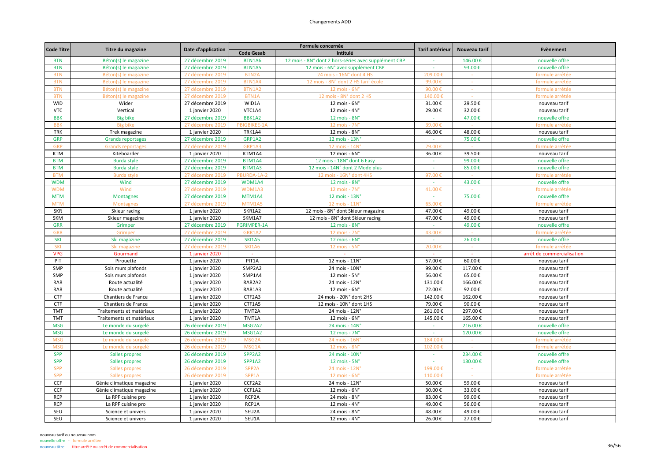|                   |                           |                    | Formule concernée  |                                                      |                 |               | Evènement                  |
|-------------------|---------------------------|--------------------|--------------------|------------------------------------------------------|-----------------|---------------|----------------------------|
| <b>Code Titre</b> | Titre du magazine         | Date d'application | <b>Code Gesab</b>  | Intitulé                                             | Tarif antérieur | Nouveau tarif |                            |
| <b>BTN</b>        | Béton(s) le magazine      | 27 décembre 2019   | <b>BTN1A6</b>      | 12 mois - 8N° dont 2 hors-séries avec supplément CBP |                 | 146.00€       | nouvelle offre             |
| <b>BTN</b>        | Béton(s) le magazine      | 27 décembre 2019   | BTN1A5             | 12 mois - 6N° avec supplément CBP                    | $\sim$          | 93.00€        | nouvelle offre             |
| <b>BTN</b>        | Béton(s) le magazine      | 27 décembre 2019   | BTN2A              | 24 mois - 16N° dont 4 HS                             | 209.00          |               | formule arrêtée            |
| <b>BTN</b>        | Béton(s) le magazine      | 27 décembre 2019   | <b>BTN1A4</b>      | 12 mois - 8N° dont 2 HS tarif école                  | 99.00           |               | formule arrêtée            |
| <b>BTN</b>        | Béton(s) le magazine      | 27 décembre 2019   | BTN1A2             | $12$ mois - $6Nc$                                    | 90.00€          |               | formule arrêtée            |
| <b>BTN</b>        | Béton(s) le magazine      | 27 décembre 2019   | BTN1A              | 12 mois - 8N° dont 2 HS                              | 140.00          |               | formule arrêtée            |
| <b>WID</b>        | Wider                     | 27 décembre 2019   | WID1A              | $12$ mois - $6N^\circ$                               | 31.00€          | 29.50€        | nouveau tarif              |
| <b>VTC</b>        | Vertical                  | 1 janvier 2020     | VTC1A4             | $12$ mois - $4N^\circ$                               | 29.00€          | 32.00€        | nouveau tarif              |
| <b>BBK</b>        | <b>Big bike</b>           | 27 décembre 2019   | BBK1A2             | $12$ mois - $8No$                                    | $\sim$          | 47.00€        | nouvelle offre             |
| <b>BBK</b>        | <b>Big bike</b>           | 27 décembre 2019   | PBIGBIKEE-1A       | 12 mois - 7N'                                        | 39.00€          |               | formule arrêtée            |
| <b>TRK</b>        | Trek magazine             | 1 janvier 2020     | TRK1A4             | 12 mois - 8N°                                        | 46.00€          | 48.00€        | nouveau tarif              |
| <b>GRP</b>        | <b>Grands reportages</b>  | 27 décembre 2019   | GRP1A2             | 12 mois - 13N°                                       | $\sim$          | 75.00€        | nouvelle offre             |
| <b>GRP</b>        | <b>Grands reportage:</b>  | 27 décembre 2019   | GRP1A3             | 12 mois - 14N                                        | 79.00           |               | formule arrêtée            |
| <b>KTM</b>        | Kiteboarder               | 1 janvier 2020     | KTM1A4             | 12 mois - 6N°                                        | 36.00€          | 39.50€        | nouveau tarif              |
| <b>BTM</b>        | <b>Burda style</b>        | 27 décembre 2019   | BTM1A4             | 12 mois - 18N° dont 6 Easy                           |                 | 99.00€        | nouvelle offre             |
| <b>BTM</b>        | <b>Burda style</b>        | 27 décembre 2019   | BTM1A3             | 12 mois - 14N° dont 2 Mode plus                      | ÷.              | 85.00€        | nouvelle offre             |
| <b>BTM</b>        | <b>Burda style</b>        | 27 décembre 2019   | PBURDA-1A-2        | 12 mois - 16N° dont 4HS                              | 97.00€          |               | formule arrêtée            |
| <b>WDM</b>        | Wind                      | 27 décembre 2019   | WDM1A4             | 12 mois - 8N°                                        | $\sim$          | 43.00€        | nouvelle offre             |
| <b>WDM</b>        | Wind                      | 27 décembre 2019   | WDM1A3             | 12 mois - 7N'                                        | 41.00           |               | formule arrêtée            |
| <b>MTM</b>        | <b>Montagnes</b>          | 27 décembre 2019   | MTM1A4             | 12 mois - 13N°                                       |                 | 75.00€        | nouvelle offre             |
| <b>MTM</b>        | Montagnes                 | 27 décembre 201    | MTM1A5             | 12 mois - 11N                                        | 65.00           |               | formule arrêtée            |
| <b>SKR</b>        | Skieur racing             | 1 janvier 2020     | SKR1A2             | 12 mois - 8N° dont Skieur magazine                   | 47.00€          | 49.00€        | nouveau tarif              |
| SKM               | Skieur magazine           | 1 janvier 2020     | SKM1A7             | 12 mois - 8N° dont Skieur racing                     | 47.00€          | 49.00€        | nouveau tarif              |
| <b>GRR</b>        | Grimper                   | 27 décembre 2019   | PGRIMPER-1A        | 12 mois - $8Nc$                                      | $\sim$          | 49.00€        | nouvelle offre             |
| GRR               | Grimper                   | 27 décembre 2019   | GRR1A2             | 12 mois - 7N                                         | 43.00           |               | formule arrêtée            |
| <b>SKI</b>        | Ski magazine              | 27 décembre 2019   | <b>SKI1A5</b>      | 12 mois - $6N^{\circ}$                               |                 | 26.00€        | nouvelle offre             |
| SKI               | Ski magazine              | 27 décembre 201    | <b>SKI1A6</b>      | 12 mois - 5N                                         | $20.00*$        |               | formule arrêtée            |
| <b>VPG</b>        | Gourmand                  | 1 janvier 2020     | $\sim$             | $\sim$                                               | $\sim$          | $\sim$        | arrêt de commercialisation |
| PIT               | Pirouette                 | 1 janvier 2020     | PIT1A              | 12 mois - 11N°                                       | 57.00€          | 60.00€        | nouveau tarif              |
| SMP               | Sols murs plafonds        | 1 janvier 2020     | SMP2A2             | 24 mois - 10N°                                       | 99.00€          | 117.00€       | nouveau tarif              |
| SMP               | Sols murs plafonds        | 1 janvier 2020     | SMP1A4             | 12 mois - 5N°                                        | 56.00€          | 65.00€        | nouveau tarif              |
| RAR               | Route actualité           | 1 janvier 2020     | RAR2A2             | 24 mois - 12N°                                       | 131.00€         | 166.00€       | nouveau tarif              |
| <b>RAR</b>        | Route actualité           | 1 janvier 2020     | RAR1A3             | $12$ mois - $6N^\circ$                               | 72.00€          | 92.00€        | nouveau tarif              |
| <b>CTF</b>        | Chantiers de France       | 1 janvier 2020     | CTF2A3             | 24 mois - 20N° dont 2HS                              | 142.00€         | 162.00€       | nouveau tarif              |
| <b>CTF</b>        | Chantiers de France       | 1 janvier 2020     | CTF1A5             | 12 mois - 10N° dont 1HS                              | 79.00€          | 90.00€        | nouveau tarif              |
| <b>TMT</b>        | Traitements et matériaux  | 1 janvier 2020     | TMT2A              | 24 mois - 12N°                                       | 261.00€         | 297.00€       | nouveau tarif              |
| <b>TMT</b>        | Traitements et matériaux  | 1 janvier 2020     | TMT1A              | $12$ mois - $6N^\circ$                               | 145.00€         | 165.00€       | nouveau tarif              |
| <b>MSG</b>        | Le monde du surgelé       | 26 décembre 2019   | MSG2A2             | 24 mois - 14N°                                       | $\sim$          | 216.00€       | nouvelle offre             |
| <b>MSG</b>        | Le monde du surgelé       | 26 décembre 2019   | MSG1A2             | 12 mois - 7N°                                        | $\sim$          | 120.00€       | nouvelle offre             |
| <b>MSG</b>        | Le monde du surgelé       | 26 décembre 2019   | MSG <sub>2</sub> A | 24 mois - 16N                                        | 184.00          |               | formule arrêtée            |
| <b>MSG</b>        | Le monde du surgelé       | 26 décembre 2019   | MSG1A              | 12 mois - 8N                                         | 102.00€         |               | formule arrêtée            |
| <b>SPP</b>        | Salles propres            | 26 décembre 2019   | SPP2A2             | 24 mois - 10N°                                       | $\sim$          | 234.00€       | nouvelle offre             |
| <b>SPP</b>        | Salles propres            | 26 décembre 2019   | SPP1A2             | 12 mois - $5Nc$                                      | $\sim$          | 130.00€       | nouvelle offre             |
| <b>SPP</b>        | Salles propres            | 26 décembre 2019   | SPP <sub>2A</sub>  | 24 mois - 12N                                        | 199.00          |               | formule arrêtée            |
| <b>SPP</b>        | Salles propres            | 26 décembre 2019   | SPP1A              | 12 mois - 6N'                                        | 110.00€         |               | formule arrêtée            |
| CCF               | Génie climatique magazine | 1 janvier 2020     | CCF2A2             | 24 mois - 12N°                                       | 50.00€          | 59.00€        | nouveau tarif              |
| CCF               | Génie climatique magazine | 1 janvier 2020     | CCF1A2             | 12 mois - $6N^\circ$                                 | 30.00€          | 33.00€        | nouveau tarif              |
| <b>RCP</b>        | La RPF cuisine pro        | 1 janvier 2020     | RCP2A              | 24 mois - 8N°                                        | 83.00€          | 99.00€        | nouveau tarif              |
| <b>RCP</b>        | La RPF cuisine pro        | 1 janvier 2020     | RCP1A              | 12 mois - $4Nc$                                      | 49.00€          | 56.00€        | nouveau tarif              |
| SEU               | Science et univers        | 1 janvier 2020     | SEU2A              | 24 mois - 8N°                                        | 48.00€          | 49.00€        | nouveau tarif              |
| SEU               | Science et univers        | 1 janvier 2020     | SEU1A              | 12 mois - 4N°                                        | 26.00€          | 27.00€        | nouveau tarif              |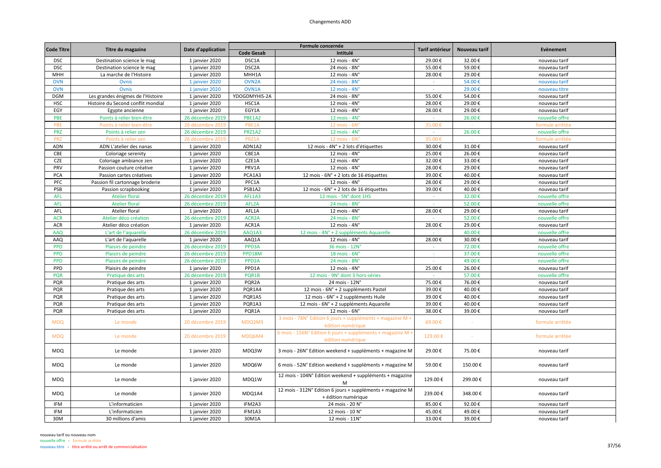| <b>Code Titre</b> |                                    | Date d'application |                    | Formule concernée                                                                 | Tarif antérieur | Nouveau tarif | Evènement       |
|-------------------|------------------------------------|--------------------|--------------------|-----------------------------------------------------------------------------------|-----------------|---------------|-----------------|
|                   | Titre du magazine                  |                    | <b>Code Gesab</b>  | Intitulé                                                                          |                 |               |                 |
| <b>DSC</b>        | Destination science le mag         | 1 janvier 2020     | DSC1A              | 12 mois - $4N^\circ$                                                              | 29.00€          | 32.00€        | nouveau tarif   |
| <b>DSC</b>        | Destination science le mag         | 1 janvier 2020     | DSC <sub>2</sub> A | 24 mois - 8N°                                                                     | 55.00€          | 59.00€        | nouveau tarif   |
| MHH               | La marche de l'Histoire            | 1 janvier 2020     | MHH1A              | 12 mois - 4N°                                                                     | 28.00€          | 29.00€        | nouveau tarif   |
| <b>OVN</b>        | Ovnis                              | 1 janvier 2020     | OVN <sub>2</sub> A | 24 mois - 8N°                                                                     |                 | 54.00€        | nouveau tarif   |
| <b>OVN</b>        | Ovnis                              | 1 janvier 2020     | OVN1A              | 12 mois - $4N^\circ$                                                              | $\sim$          | 29.00€        | nouveau titre   |
| <b>DGM</b>        | Les grandes énigmes de l'Histoire  | 1 janvier 2020     | YDOGDMYHIS-2A      | 24 mois - 8N°                                                                     | 55.00€          | 54.00€        | nouveau tarif   |
| <b>HSC</b>        | Histoire du Second conflit mondial | 1 janvier 2020     | HSC1A              | 12 mois - 4N°                                                                     | 28.00€          | 29.00€        | nouveau tarif   |
| EGY               | Egypte ancienne                    | 1 janvier 2020     | EGY1A              | 12 mois - 4N°                                                                     | 28.00€          | 29.00€        | nouveau tarif   |
| PBE               | Points à relier bien-être          | 26 décembre 2019   | PBE1A2             | 12 mois - $4N^{\circ}$                                                            |                 | 26.00€        | nouvelle offre  |
| PBE               | Points à relier bien-être          | 26 décembre 2019   | PBE1A              | 12 mois - 6N                                                                      | 35.00€          |               | formule arrêtée |
| <b>PRZ</b>        | Points à relier zen                | 26 décembre 2019   | PRZ1A2             | $12$ mois - $4N^\circ$                                                            | $\sim$          | 26.00€        | nouvelle offre  |
| <b>PRZ</b>        | Points à relier zen                | 26 décembre 201!   | PRZ1A              | 12 mois - 6N                                                                      | 35.00€          |               | formule arrêtée |
| ADN               | ADN L'atelier des nanas            | 1 janvier 2020     | ADN1A2             | 12 mois - 4N° + 2 lots d'étiquettes                                               | 30.00€          | 31.00€        | nouveau tarif   |
| CBE               | Coloriage serenity                 | 1 janvier 2020     | CBE1A              | $12$ mois - $4N^\circ$                                                            | 25.00€          | 26.00€        | nouveau tarif   |
| CZE               | Coloriage ambiance zen             | 1 janvier 2020     | CZE1A              | 12 mois - 4N°                                                                     | 32.00€          | 33.00€        | nouveau tarif   |
| PRV               | Passion couture créative           | 1 janvier 2020     | PRV1A              | 12 mois - 4N°                                                                     | 28.00€          | 29.00€        | nouveau tarif   |
| PCA               | Passion cartes créatives           | 1 janvier 2020     | PCA1A3             | 12 mois - 6N° + 2 lots de 16 étiquettes                                           | 39.00€          | 40.00€        | nouveau tarif   |
| PFC               | Passion fil cartonnage broderie    | 1 janvier 2020     | PFC1A              | 12 mois - 4N°                                                                     | 28.00€          | 29.00€        | nouveau tarif   |
| PSB               | Passion scrapbooking               | 1 janvier 2020     | PSB1A2             | 12 mois - 6N° + 2 lots de 16 étiquettes                                           | 39.00€          | 40.00€        | nouveau tarif   |
| <b>AFL</b>        | <b>Atelier floral</b>              | 26 décembre 2019   | AFL1A3             | 12 mois - 5N° dont 1HS                                                            |                 | 32.00€        | nouvelle offre  |
| <b>AFL</b>        | <b>Atelier floral</b>              | 26 décembre 2019   | AFL2A              | 24 mois - 8N°                                                                     | $\sim$          | 52.00€        | nouvelle offre  |
| AFL               | Atelier floral                     | 1 janvier 2020     | AFL1A              | 12 mois - 4N°                                                                     | 28.00€          | 29.00€        | nouveau tarif   |
| <b>ACR</b>        | Atelier déco création              | 26 décembre 2019   | ACR <sub>2</sub> A | 24 mois - 8N°                                                                     | $\sim$          | 52.00€        | nouvelle offre  |
| ACR               | Atelier déco création              | 1 janvier 2020     | ACR1A              | $12$ mois - $4N^\circ$                                                            | 28.00€          | 29.00€        | nouveau tarif   |
| <b>AAQ</b>        | L'art de l'aquarelle               | 26 décembre 2019   | AAQ1A3             | 12 mois - 4N° + 2 suppléments Aquarelle                                           |                 | 40.00€        | nouvelle offre  |
| AAQ               | L'art de l'aquarelle               | 1 janvier 2020     | AAQ1A              | $12$ mois - $4N^\circ$                                                            | 28.00€          | 30.00€        | nouveau tarif   |
| <b>PPD</b>        | Plaisirs de peindre                | 26 décembre 2019   | PPD3A              | 36 mois - 12N°                                                                    | $\sim$          | 72.00€        | nouvelle offre  |
| <b>PPD</b>        | Plaisirs de peindre                | 26 décembre 2019   | PPD18M             | 18 mois - 6N°                                                                     | $\sim$          | 37.00€        | nouvelle offre  |
| <b>PPD</b>        | Plaisirs de peindre                | 26 décembre 2019   | PPD <sub>2A</sub>  | 24 mois - 8N°                                                                     | $\sim$          | 49.00€        | nouvelle offre  |
| PPD               | Plaisirs de peindre                | 1 janvier 2020     | PPD1A              | $12$ mois - $4N^\circ$                                                            | 25.00€          | 26.00€        | nouveau tarif   |
| <b>PQR</b>        | Pratique des arts                  | 26 décembre 2019   | PQR1B              | 12 mois - 9N° dont 3 hors-séries                                                  |                 | 57.00€        | nouvelle offre  |
| PQR               | Pratique des arts                  | 1 janvier 2020     | PQR2A              | 24 mois - 12N°                                                                    | 75.00€          | 76.00€        | nouveau tarif   |
| PQR               | Pratique des arts                  | 1 janvier 2020     | PQR1A4             | 12 mois - 6N° + 2 suppléments Pastel                                              | 39.00€          | 40.00€        | nouveau tarif   |
| PQR               | Pratique des arts                  | 1 janvier 2020     | PQR1A5             | 12 mois - 6N° + 2 suppléments Huile                                               | 39.00€          | 40.00€        | nouveau tarif   |
| PQR               | Pratique des arts                  | 1 janvier 2020     | PQR1A3             | 12 mois - 6N° + 2 suppléments Aquarelle                                           | 39.00€          | 40.00€        | nouveau tarif   |
| PQR               | Pratique des arts                  | 1 janvier 2020     | PQR1A              | $12$ mois - $6N^\circ$                                                            | 38.00€          | 39.00€        | nouveau tarif   |
| <b>MDQ</b>        | Le monde                           | 20 décembre 2019   | MDQ3M3             | 3 mois - 78N° Edition 6 jours + suppléments + magazine M +<br>édition numérique   | 69.00€          |               | formule arrêtée |
| <b>MDQ</b>        | Le monde                           | 20 décembre 2019   | MDQ6M4             | 6 mois - 156N° Edition 6 jours + suppléments + magazine M<br>édition numérique    | 129.00€         |               | formule arrêtée |
| <b>MDQ</b>        | Le monde                           | 1 janvier 2020     | MDQ3W              | 3 mois - 26N° Edition weekend + suppléments + magazine M                          | 29.00€          | 75.00€        | nouveau tarif   |
| <b>MDQ</b>        | Le monde                           | 1 janvier 2020     | MDQ6W              | 6 mois - 52N° Edition weekend + suppléments + magazine M                          | 59.00€          | 150.00€       | nouveau tarif   |
| <b>MDQ</b>        | Le monde                           | 1 janvier 2020     | MDQ1W              | 12 mois - 104N° Edition weekend + suppléments + magazine<br>M                     | 129.00€         | 299.00€       | nouveau tarif   |
| <b>MDQ</b>        | Le monde                           | 1 janvier 2020     | MDQ1A4             | 12 mois - 312N° Edition 6 jours + suppléments + magazine M<br>+ édition numérique | 239.00€         | 348.00€       | nouveau tarif   |
| <b>IFM</b>        | L'informaticien                    | 1 janvier 2020     | IFM2A3             | 24 mois - 20 N°                                                                   | 85.00€          | 92.00€        | nouveau tarif   |
| <b>IFM</b>        | L'informaticien                    | 1 janvier 2020     | IFM1A3             | 12 mois - 10 N°                                                                   | 45.00€          | 49.00€        | nouveau tarif   |
| 30M               | 30 millions d'amis                 | 1 janvier 2020     | 30M1A              | 12 mois - 11N°                                                                    | 33.00€          | 39.00€        | nouveau tarif   |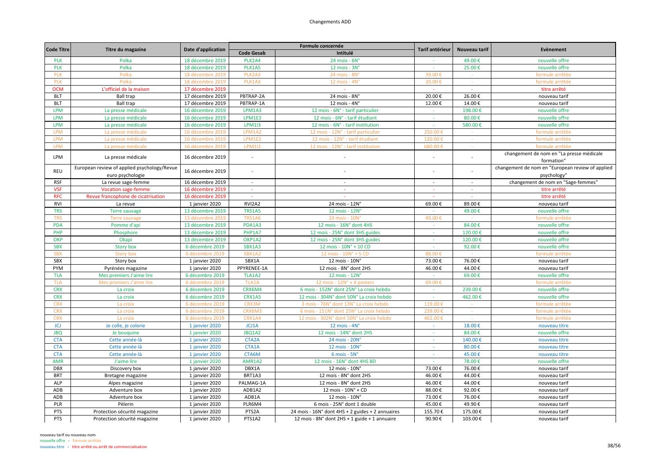|                   |                                             |                    |                    | Formule concernée                                |                 |               | Evènement                                        |
|-------------------|---------------------------------------------|--------------------|--------------------|--------------------------------------------------|-----------------|---------------|--------------------------------------------------|
| <b>Code Titre</b> | Titre du magazine                           | Date d'application | <b>Code Gesab</b>  | Intitulé                                         | Tarif antérieur | Nouveau tarif |                                                  |
| <b>PLK</b>        | Polka                                       | 18 décembre 2019   | PLK2A4             | 24 mois - 6N°                                    |                 | 49.00€        | nouvelle offre                                   |
| <b>PLK</b>        | Polka                                       | 18 décembre 2019   | PLK1A5             | 12 mois - 3N°                                    |                 | 25.00€        | nouvelle offre                                   |
| PLK               | Polka                                       | 18 décembre 2019   | PLK2A3             | 24 mois - 8N                                     | 39.00           |               | formule arrêtée                                  |
| <b>PLK</b>        | Polka                                       | 18 décembre 2019   | PLK1A3             | 12 mois - 4N                                     | 20.00€          |               | formule arrêtée                                  |
| <b>OCM</b>        | L'officiel de la maison                     | 17 décembre 2019   |                    |                                                  |                 |               | titre arrêté                                     |
| <b>BLT</b>        | <b>Ball trap</b>                            | 17 décembre 2019   | PBTRAP-2A          | 24 mois - 8N°                                    | 20.00€          | 26.00€        | nouveau tarif                                    |
| <b>BLT</b>        | <b>Ball trap</b>                            | 17 décembre 2019   | PBTRAP-1A          | 12 mois - $4Nc$                                  | 12.00€          | 14.00€        | nouveau tarif                                    |
| <b>LPM</b>        | La presse médicale                          | 16 décembre 2019   | LPM1A3             | 12 mois - 6N° - tarif particulier                | $\sim$          | 198.00€       | nouvelle offre                                   |
| <b>LPM</b>        | La presse médicale                          | 16 décembre 2019   | LPM1E3             | 12 mois - 6N° - tarif étudiant                   | $\sim$          | 80.00€        | nouvelle offre                                   |
| <b>LPM</b>        | La presse médicale                          | 16 décembre 2019   | <b>LPM1I3</b>      | 12 mois - 6N° - tarif institution                | $\sim$          | 580.00€       | nouvelle offre                                   |
| <b>LPM</b>        | La presse médicale                          | 16 décembre 2019   | LPM1A2             | 12 mois - 12N° - tarif particulier               | 250.00€         |               | formule arrêtée                                  |
| <b>LPM</b>        | La presse médicale                          | 16 décembre 2019   | LPM1E2             | 12 mois - 12N° - tarif étudiant                  | 120.00          |               | formule arrêtée                                  |
| <b>LPM</b>        | La presse médicale                          | 16 décembre 2019   | <b>LPM1I2</b>      | 12 mois - 12N° - tarif institution               | 680.00€         |               | formule arrêtée                                  |
| LPM               | La presse médicale                          | 16 décembre 2019   | ÷,                 |                                                  |                 |               | changement de nom en "La presse médicale         |
|                   |                                             |                    |                    |                                                  |                 |               | formation"                                       |
| REU               | European review of applied psychology/Revue | 16 décembre 2019   | L.                 |                                                  |                 |               | changement de nom en "European review of applied |
|                   | euro psychologie                            |                    |                    |                                                  |                 |               | psychology"                                      |
| <b>RSF</b>        | La revue sage-femme                         | 16 décembre 2019   | $\sim$             | $\sim$                                           | $\sim$          | $\sim$        | changement de nom en "Sage-femmes"               |
| <b>VSF</b>        | <b>Vocation sage-femme</b>                  | 16 décembre 2019   | $\sim$             | $\sim$                                           |                 |               | titre arrêté                                     |
| <b>RFC</b>        | Revue francophone de cicatrisation          | 16 décembre 2019   | $\sim$             | $\sim$                                           | $\sim$          | $\sim$        | titre arrêté                                     |
| <b>RVI</b>        | La revue                                    | 1 janvier 2020     | RVI2A2             | 24 mois - 12N°                                   | 69.00€          | 89.00€        | nouveau tarif                                    |
| <b>TRS</b>        | <b>Terre sauvage</b>                        | 13 décembre 2019   | <b>TRS1A5</b>      | 12 mois - 12N°                                   |                 | 49.00€        | nouvelle offre                                   |
| <b>TRS</b>        | <b>Terre sauvage</b>                        | 13 décembre 2019   | <b>TRS1A6</b>      | 10 mois - 10N°                                   | 49.00€          |               | formule arrêtée                                  |
| <b>PDA</b>        | Pomme d'api                                 | 13 décembre 2019   | PDA1A3             | 12 mois - 16N° dont 4HS                          | $\sim$          | 84.00€        | nouvelle offre                                   |
| PHP               | Phosphore                                   | 13 décembre 2019   | PHP1A7             | 12 mois - 25N° dont 3HS guides                   | $\sim$          | 120.00€       | nouvelle offre                                   |
| <b>OKP</b>        | Okapi                                       | 13 décembre 2019   | OKP1A2             | 12 mois - 25N° dont 3HS guides                   | $\sim$          | 120.00€       | nouvelle offre                                   |
| <b>SBX</b>        | <b>Story box</b>                            | 6 décembre 2019    | <b>SBX1A3</b>      | 12 mois - 10N° + 10 CD                           |                 | 92.00€        | nouvelle offre                                   |
| <b>SBX</b>        | Story box                                   | 6 décembre 2019    | SBX1A2             | 12 mois - 10N° + 5 CD                            | 88.00€          |               | formule arrêtée                                  |
| <b>SBX</b>        | Story box                                   | 1 janvier 2020     | SBX1A              | 12 mois - 10N°                                   | 73.00€          | 76.00€        | nouveau tarif                                    |
| PYM               | Pyrénées magazine                           | 1 janvier 2020     | PPYRENEE-1A        | 12 mois - 8N° dont 2HS                           | 46.00€          | 44.00€        | nouveau tarif                                    |
| <b>TLA</b>        | Mes premiers J'aime lire                    | 6 décembre 2019    | TLA1A2             | 12 mois - 12N°                                   | $\sim$          | 69.00€        | nouvelle offre                                   |
| <b>TLA</b>        | Mes premiers J'aime lire                    | 6 décembre 2019    | TLA1A              | 12 mois - $12N^\circ + 4$ posters                | 69.00€          |               | formule arrêtée                                  |
| <b>CRX</b>        | La croix                                    | 6 décembre 2019    | CRX6M4             | 6 mois - 152N° dont 25N° La croix hebdo          | $\sim$          | 239.00€       | nouvelle offre                                   |
| <b>CRX</b>        | La croix                                    | 6 décembre 2019    | CRX1A5             | 12 mois - 304N° dont 50N° La croix hebdo         | $\sim$          | 462.00€       | nouvelle offre                                   |
| <b>CRX</b>        | La croix                                    | 6 décembre 2019    | CRX3M              | 3 mois - 76N° dont 13N° La croix hebdo           | 119.00€         | $\sim$        | formule arrêtée                                  |
| <b>CRX</b>        | La croix                                    | 6 décembre 2019    | CRX6M3             | 6 mois - 151N° dont 25N° La croix hebdo          | 239.00€         |               | formule arrêtée                                  |
| <b>CRX</b>        | La croix                                    | 6 décembre 2019    | CRX1A4             | 12 mois - 302N° dont 50N° La croix hebdo         | 462.00          |               | formule arrêtée                                  |
| JCJ               | Je colle, je colorie                        | 1 janvier 2020     | JCJ1A              | $12$ mois - $4N^\circ$                           |                 | 18.00€        | nouveau titre                                    |
| <b>JBQ</b>        | Je bouquine                                 | 1 janvier 2020     | JBQ1A2             | 12 mois - 14N° dont 2HS                          | $\sim$          | 84.00€        | nouvelle offre                                   |
| <b>CTA</b>        | Cette année-là                              | 1 janvier 2020     | CTA <sub>2</sub> A | 24 mois - 20N°                                   | $\sim$          | 140.00€       | nouveau titre                                    |
| <b>CTA</b>        | Cette année-là                              | 1 janvier 2020     | CTA1A              | 12 mois - 10N°                                   |                 | 80.00€        | nouveau titre                                    |
| <b>CTA</b>        | Cette année-là                              | 1 janvier 2020     | CTA6M              | $6$ mois - $5N^{\circ}$                          | $\sim$          | 45.00€        | nouveau titre                                    |
| <b>AMR</b>        | J'aime lire                                 | 1 janvier 2020     | AMR1A2             | 12 mois - 16N° dont 4HS BD                       |                 | 78.00€        | nouvelle offre                                   |
| <b>DBX</b>        | Discovery box                               | 1 janvier 2020     | DBX1A              | 12 mois - 10N°                                   | 73.00€          | 76.00€        | nouveau tarif                                    |
| <b>BRT</b>        | Bretagne magazine                           | 1 janvier 2020     | BRT1A3             | 12 mois - 8N° dont 2HS                           | 46.00€          | 44.00€        | nouveau tarif                                    |
| ALP               | Alpes magazine                              | 1 janvier 2020     | PALMAG-1A          | 12 mois - 8N° dont 2HS                           | 46.00€          | 44.00€        | nouveau tarif                                    |
| ADB               | Adventure box                               | 1 janvier 2020     | ADB1A2             | 12 mois - 10N° + CD                              | 88.00€          | 92.00€        | nouveau tarif                                    |
| ADB               | Adventure box                               | 1 janvier 2020     | ADB1A              | 12 mois - 10N°                                   | 73.00€          | 76.00€        | nouveau tarif                                    |
| PLR               | Pèlerin                                     | 1 janvier 2020     | PLR6M4             | 6 mois - 25N° dont 1 double                      | 45.00€          | 49.90€        | nouveau tarif                                    |
| PTS               | Protection sécurité magazine                | 1 janvier 2020     | PTS2A              | 24 mois - 16N° dont 4HS + 2 guides + 2 annuaires | 155.70€         | 175.00€       | nouveau tarif                                    |
| PTS               | Protection sécurité magazine                | 1 janvier 2020     | PTS1A2             | 12 mois - 8N° dont 2HS + 1 guide + 1 annuaire    | 90.90€          | 103.00€       | nouveau tarif                                    |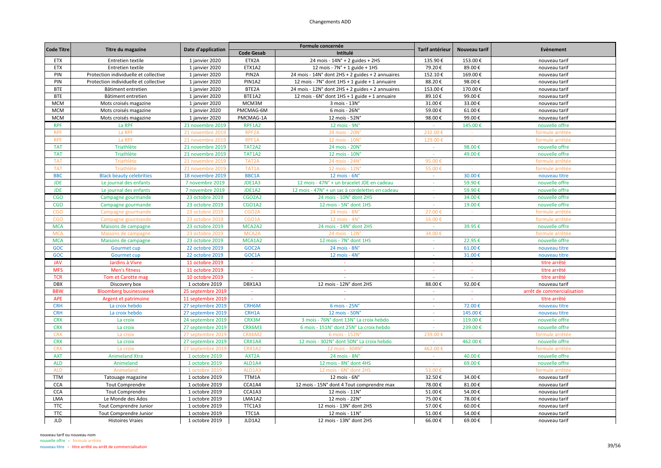| <b>Code Titre</b> |                                       | Date d'application |                    | Formule concernée                                | <b>Tarif antérieur</b> | Nouveau tarif | <b>Evènement</b>           |
|-------------------|---------------------------------------|--------------------|--------------------|--------------------------------------------------|------------------------|---------------|----------------------------|
|                   | Titre du magazine                     |                    | <b>Code Gesab</b>  | Intitulé                                         |                        |               |                            |
| <b>ETX</b>        | Entretien textile                     | 1 janvier 2020     | ETX2A              | 24 mois - $14N^\circ$ + 2 guides + 2HS           | 135.90€                | 153.00€       | nouveau tarif              |
| <b>ETX</b>        | Entretien textile                     | 1 janvier 2020     | ETX1A2             | 12 mois - $7N^\circ$ + 1 guide + 1HS             | 79.20€                 | 89.00€        | nouveau tarif              |
| PIN               | Protection individuelle et collective | 1 janvier 2020     | PIN <sub>2</sub> A | 24 mois - 14N° dont 2HS + 2 guides + 2 annuaires | 152.10€                | 169.00€       | nouveau tarif              |
| PIN               | Protection individuelle et collective | 1 janvier 2020     | PIN1A2             | 12 mois - 7N° dont 1HS + 1 guide + 1 annuaire    | 88.20€                 | 98.00€        | nouveau tarif              |
| <b>BTE</b>        | Bâtiment entretien                    | 1 janvier 2020     | BTE2A              | 24 mois - 12N° dont 2HS + 2 guides + 2 annuaires | 153.00€                | 170.00€       | nouveau tarif              |
| <b>BTE</b>        | Bâtiment entretien                    | 1 janvier 2020     | BTE1A2             | 12 mois - 6N° dont 1HS + 1 guide + 1 annuaire    | 89.10€                 | 99.00€        | nouveau tarif              |
| <b>MCM</b>        | Mots croisés magazine                 | 1 janvier 2020     | MCM3M              | 3 mois - 13N°                                    | 31.00€                 | 33.00€        | nouveau tarif              |
| <b>MCM</b>        | Mots croisés magazine                 | 1 janvier 2020     | PMCMAG-6M          | 6 mois - 26N°                                    | 59.00€                 | 61.00€        | nouveau tarif              |
| <b>MCM</b>        | Mots croisés magazine                 | 1 janvier 2020     | PMCMAG-1A          | 12 mois - 52N'                                   | 98.00€                 | 99.00€        | nouveau tarif              |
| <b>RPF</b>        | La RPF                                | 21 novembre 2019   | RPF1A2             | 12 mois - 9N°                                    |                        | 145.00€       | nouvelle offre             |
| <b>RPF</b>        | La RPF                                | 21 novembre 2019   | RPF <sub>2</sub> A | 24 mois - 20N'                                   | 232.00€                | $\sim$        | formule arrêtée            |
| <b>RPF</b>        | La RPF                                | 21 novembre 2019   | RPF1A              | 12 mois - 10N                                    | 129.00€                |               | formule arrêtée            |
| <b>TAT</b>        | <b>Triathlète</b>                     | 21 novembre 2019   | TAT2A2             | 24 mois - 20N'                                   | $\sim$                 | 98.00€        | nouvelle offre             |
| <b>TAT</b>        | Triathlète                            | 21 novembre 2019   | <b>TAT1A2</b>      | 12 mois - 10N°                                   |                        | 49.00€        | nouvelle offre             |
| <b>TAT</b>        | Triathlète                            | 21 novembre 2019   | TAT2A              | 24 mois - 24N                                    | 95.00€                 | $\sim$        | formule arrêtée            |
| <b>TAT</b>        | Triathlète                            | 21 novembre 2019   | TAT1A              | 12 mois - 12N                                    | 55.00€                 |               | formule arrêtée            |
| <b>BBC</b>        | <b>Black beauty celebrities</b>       | 18 novembre 2019   | BBC1A              | $12$ mois - $6N^\circ$                           |                        | 30.00€        | nouveau titre              |
| <b>JDE</b>        | Le journal des enfants                | 7 novembre 2019    | JDE1A3             | 12 mois - 47N° + un bracelet JDE en cadeau       | $\sim$                 | 59.90€        | nouvelle offre             |
| <b>JDE</b>        | Le journal des enfants                | 7 novembre 2019    | JDE1A2             | 12 mois - 47N° + un sac à cordelettes en cadeau  |                        | 59.90€        | nouvelle offre             |
| <b>CGO</b>        | Campagne gourmande                    | 23 octobre 2019    | <b>CGO2A2</b>      | 24 mois - 10N° dont 2HS                          |                        | 34.00€        | nouvelle offre             |
| <b>CGO</b>        | Campagne gourmande                    | 23 octobre 2019    | <b>CGO1A2</b>      | 12 mois - 5N° dont 1HS                           | $\sim$                 | 19.00€        | nouvelle offre             |
| <b>CGO</b>        | Campagne gourmande                    | 23 octobre 2019    | CGO <sub>2</sub> A | 24 mois - 8N'                                    | 27.00€                 |               | formule arrêtée            |
| <b>CGO</b>        | Campagne gourmande                    | 23 octobre 2019    | CGO1A              | 12 mois - 4N°                                    | 16.00€                 |               | formule arrêtée            |
| <b>MCA</b>        | Maisons de campagne                   | 23 octobre 2019    | MCA2A2             | 24 mois - 14N° dont 2HS                          |                        | 39.95€        | nouvelle offre             |
| <b>MCA</b>        | Maisons de campagne                   | 23 octobre 2019    | MCA2A              | 24 mois - 12N                                    | 34.00                  |               | formule arrêtée            |
| <b>MCA</b>        | Maisons de campagne                   | 23 octobre 2019    | MCA1A2             | 12 mois - 7N° dont 1HS                           | $\sim$                 | 22.95€        | nouvelle offre             |
| GOC               | <b>Gourmet cup</b>                    | 22 octobre 2019    | GOC2A              | 24 mois - 8N°                                    | $\sim$                 | 61.00€        | nouveau titre              |
| GOC               | <b>Gourmet cup</b>                    | 22 octobre 2019    | GOC1A              | 12 mois - 4N°                                    | $\sim$                 | 31.00€        | nouveau titre              |
| <b>JAV</b>        | Jardins à Vivre                       | 11 octobre 2019    |                    |                                                  |                        |               | titre arrêté               |
| <b>MFS</b>        | Men's fitness                         | 11 octobre 2019    | $\sim$             | $\sim$                                           | $\sim$                 | $\sim$        | titre arrêté               |
| <b>TCR</b>        | <b>Tom et Carotte mag</b>             | 10 octobre 2019    |                    |                                                  |                        |               | titre arrêté               |
| <b>DBX</b>        | Discovery box                         | 1 octobre 2019     | DBX1A3             | 12 mois - 12N° dont 2HS                          | 88.00€                 | 92.00€        | nouveau tarif              |
| <b>BBW</b>        | <b>Bloomberg businessweek</b>         | 25 septembre 2019  | $\sim$             |                                                  | $\sim$                 | $\sim$        | arrêt de commercialisation |
| APE               | Argent et patrimoine                  | 11 septembre 2019  | $\sim$             |                                                  |                        |               | titre arrêté               |
| <b>CRH</b>        | La croix hebdo                        | 27 septembre 2019  | CRH6M              | $6$ mois - $25N^\circ$                           | $\sim$                 | 72.00€        | nouveau titre              |
| <b>CRH</b>        | La croix hebdo                        | 27 septembre 2019  | CRH1A              | 12 mois - 50N°                                   |                        | 145.00€       | nouveau titre              |
| <b>CRX</b>        | La croix                              | 24 septembre 2019  | CRX3M              | 3 mois - 76N° dont 13N° La croix hebdo           | ÷.                     | 119.00€       | nouvelle offre             |
| <b>CRX</b>        | La croix                              | 27 septembre 2019  | CRX6M3             | 6 mois - 151N° dont 25N° La croix hebdo          | $\sim$                 | 239.00€       | nouvelle offre             |
| <b>CRX</b>        | La croix                              | 27 septembre 2019  | CRX6M2             | 6 mois - 152N                                    | 239.00€                |               | formule arrêtée            |
| <b>CRX</b>        | La croix                              | 27 septembre 2019  | CRX1A4             | 12 mois - 302N° dont 50N° La croix hebdo         | $\sim$                 | 462.00€       | nouvelle offre             |
| <b>CRX</b>        | La croix                              | 27 septembre 2019  | CRX1A2             | 12 mois - 304N                                   | 462.00                 |               | formule arrêtée            |
| <b>AXT</b>        | <b>Animeland Xtra</b>                 | 1 octobre 2019     | AXT2A              | 24 mois - 8N°                                    | $\sim$                 | 40.00€        | nouvelle offre             |
| <b>ALD</b>        | Animeland                             | 1 octobre 2019     | ALD1A4             | 12 mois - 8N° dont 4HS                           | $\sim$                 | 69.00€        | nouvelle offre             |
| <b>ALD</b>        | Animeland                             | 1 octobre 2019     | ALD1A3             | 12 mois - 6N° dont 2HS                           | 53.00€                 |               | formule arrêtée            |
| <b>TTM</b>        | Tatouage magazine                     | 1 octobre 2019     | TTM1A              | 12 mois - 6N°                                    | 32.50€                 | 34.00€        | nouveau tarif              |
| <b>CCA</b>        | <b>Tout Comprendre</b>                | 1 octobre 2019     | CCA1A4             | 12 mois - 15N° dont 4 Tout comprendre max        | 78.00€                 | 81.00€        | nouveau tarif              |
| <b>CCA</b>        | <b>Tout Comprendre</b>                | 1 octobre 2019     | CCA1A3             | 12 mois - 11N°                                   | 51.00€                 | 54.00€        | nouveau tarif              |
| LMA               | Le Monde des Ados                     | 1 octobre 2019     | LMA1A2             | 12 mois - 22N°                                   | 75.00€                 | 78.00€        | nouveau tarif              |
| <b>TTC</b>        | Tout Comprendre Junior                | 1 octobre 2019     | TTC1A3             | 12 mois - 13N° dont 2HS                          | 57.00€                 | 60.00€        | nouveau tarif              |
| <b>TTC</b>        | Tout Comprendre Junior                | 1 octobre 2019     | TTC1A              | 12 mois - 11N°                                   | 51.00€                 | 54.00€        | nouveau tarif              |
| <b>JLD</b>        | <b>Histoires Vraies</b>               | 1 octobre 2019     | JLD1A2             | 12 mois - 13N° dont 2HS                          | 66.00€                 | 69.00€        | nouveau tarif              |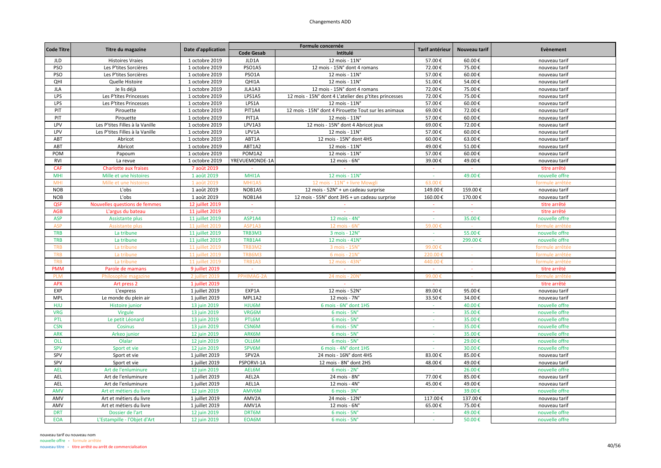| <b>Code Titre</b> |                                 | Date d'application |                   | Formule concernée                                      | Tarif antérieur | Nouveau tarif | Evènement       |
|-------------------|---------------------------------|--------------------|-------------------|--------------------------------------------------------|-----------------|---------------|-----------------|
|                   | Titre du magazine               |                    | <b>Code Gesab</b> | Intitulé                                               |                 |               |                 |
| <b>JLD</b>        | <b>Histoires Vraies</b>         | 1 octobre 2019     | JLD1A             | 12 mois - 11N°                                         | 57.00€          | 60.00€        | nouveau tarif   |
| PSO               | Les P'tites Sorcières           | 1 octobre 2019     | PSO1A5            | 12 mois - 15N° dont 4 romans                           | 72.00€          | 75.00€        | nouveau tarif   |
| PSO               | Les P'tites Sorcières           | 1 octobre 2019     | PSO1A             | 12 mois - 11N°                                         | 57.00€          | 60.00€        | nouveau tarif   |
| QHI               | Quelle Histoire                 | 1 octobre 2019     | QHI1A             | 12 mois - 11N°                                         | 51.00€          | 54.00€        | nouveau tarif   |
| <b>JLA</b>        | Je lis déjà                     | 1 octobre 2019     | JLA1A3            | 12 mois - 15N° dont 4 romans                           | 72.00€          | 75.00€        | nouveau tarif   |
| LPS               | Les P'tites Princesses          | 1 octobre 2019     | LPS1A5            | 12 mois - 15N° dont 4 L'atelier des p'tites princesses | 72.00€          | 75.00€        | nouveau tarif   |
| LPS               | Les P'tites Princesses          | 1 octobre 2019     | LPS1A             | 12 mois - 11N°                                         | 57.00€          | 60.00€        | nouveau tarif   |
| PIT               | Pirouette                       | 1 octobre 2019     | PIT1A4            | 12 mois - 15N° dont 4 Pirouette Tout sur les animaux   | 69.00€          | 72.00€        | nouveau tarif   |
| PIT               | Pirouette                       | 1 octobre 2019     | PIT1A             | 12 mois - 11N°                                         | 57.00€          | 60.00€        | nouveau tarif   |
| LPV               | Les P'tites Filles à la Vanille | 1 octobre 2019     | LPV1A3            | 12 mois - 15N° dont 4 Abricot jeux                     | 69.00€          | 72.00€        | nouveau tarif   |
| LPV               | Les P'tites Filles à la Vanille | 1 octobre 2019     | LPV1A             | 12 mois - 11N°                                         | 57.00€          | 60.00€        | nouveau tarif   |
| ABT               | Abricot                         | 1 octobre 2019     | ABT1A             | 12 mois - 15N° dont 4HS                                | 60.00€          | 63.00€        | nouveau tarif   |
| ABT               | Abricot                         | 1 octobre 2019     | ABT1A2            | 12 mois - 11N°                                         | 49.00€          | 51.00€        | nouveau tarif   |
| POM               | Papoum                          | 1 octobre 2019     | POM1A2            | 12 mois - 11N°                                         | 57.00€          | 60.00€        | nouveau tarif   |
| <b>RVI</b>        | La revue                        | 1 octobre 2019     | YREVUEMONDE-1A    | 12 mois - 6N°                                          | 39.00€          | 49.00€        | nouveau tarif   |
| <b>CAF</b>        | <b>Charlotte aux fraises</b>    | 7 août 2019        | $\sim$            |                                                        | $\sim$          | $\sim$        | titre arrêté    |
| MHI               | Mille et une histoires          | 1 août 2019        | MHI1A             | 12 mois - 11N°                                         | $\sim$          | 49.00€        | nouvelle offre  |
| <b>MHI</b>        | Mille et une histoires          | 1 août 2019        | MHI1A5            | 12 mois - 11N° + livre Mowgl                           | 63.00€          |               | formule arrêtée |
| <b>NOB</b>        | L'obs                           | 1 août 2019        | NOB1A5            | 12 mois - 52N° + un cadeau surprise                    | 149.00€         | 159.00€       | nouveau tarif   |
| <b>NOB</b>        | L'obs                           | 1 août 2019        | NOB1A4            | 12 mois - 55N° dont 3HS + un cadeau surprise           | 160.00€         | 170.00€       | nouveau tarif   |
| QSF               | Nouvelles questions de femmes   | 12 juillet 2019    | $\sim$            |                                                        | $\sim$          | $\sim$        | titre arrêté    |
| <b>AGB</b>        | L'argus du bateau               | 11 juillet 2019    | $\sim$            | $\sim$                                                 | $\sim$          | $\sim$        | titre arrêté    |
| <b>ASP</b>        | Assistante plus                 | 11 juillet 2019    | ASP1A4            | 12 mois - 4N°                                          | $\sim$          | 35.00€        | nouvelle offre  |
| <b>ASP</b>        | <b>Assistante plus</b>          | 11 juillet 2019    | ASP1A3            | 12 mois - 6N                                           | 59.00€          |               | formule arrêtée |
| <b>TRB</b>        | La tribune                      | 11 juillet 2019    | TRB3M3            | 3 mois - 12N°                                          | $\omega$        | 55.00€        | nouvelle offre  |
| <b>TRB</b>        | La tribune                      | 11 juillet 2019    | <b>TRB1A4</b>     | 12 mois - 41N°                                         | $\sim$          | 299.00€       | nouvelle offre  |
| <b>TRB</b>        | La tribune                      | 11 juillet 2019    | TRB3M2            | 3 mois - 15N'                                          | 99.00€          |               | formule arrêtée |
| <b>TRB</b>        | La tribune                      | 11 juillet 2019    | TRB6M3            | 6 mois - 21N                                           | 220.00          |               | formule arrêtée |
| <b>TRB</b>        | La tribune                      | 11 juillet 2019    | TRB1A3            | 12 mois - 43N                                          | 440.00          |               | formule arrêtée |
| <b>PMM</b>        | Parole de mamans                | 9 juillet 2019     | $\sim$            | $\sim$                                                 | $\sim$          |               | titre arrêté    |
| <b>PLM</b>        | Philosophie magazine            | 2 juillet 2019     | PPHIMAG-2A        | 24 mois - 20N                                          | 99.00€          |               | formule arrêtée |
| <b>APX</b>        | Art press 2                     | 1 juillet 2019     | $\sim$            | $\sim$                                                 | $\sim$          | $\sim$        | titre arrêté    |
| EXP               | L'express                       | 1 juillet 2019     | EXP1A             | 12 mois - 52N°                                         | 89.00€          | 95.00€        | nouveau tarif   |
| <b>MPL</b>        | Le monde du plein air           | 1 juillet 2019     | MPL1A2            | 12 mois - 7N°                                          | 33.50€          | 34.00€        | nouveau tarif   |
| <b>HJU</b>        | Histoire junior                 | 13 juin 2019       | HJU6M             | 6 mois - 6N° dont 1HS                                  | $\sim$          | 40.00€        | nouvelle offre  |
| <b>VRG</b>        | Virgule                         | 13 juin 2019       | VRG6M             | $6$ mois - $5No$                                       |                 | 35.00€        | nouvelle offre  |
| PTL               | Le petit Léonard                | 13 juin 2019       | PTL6M             | $6$ mois - $5No$                                       | $\sim$          | 35.00€        | nouvelle offre  |
| <b>CSN</b>        | Cosinus                         | 13 juin 2019       | CSN6M             | 6 mois - 5N°                                           | $\sim$          | 35.00€        | nouvelle offre  |
| <b>ARK</b>        | Arkeo junior                    | 12 juin 2019       | ARK6M             | $6$ mois - $5No$                                       | $\sim$          | 35.00€        | nouvelle offre  |
| <b>OLL</b>        | Olalar                          | 12 juin 2019       | OLL6M             | 6 mois - 5N°                                           | $\sim$          | 29.00€        | nouvelle offre  |
| <b>SPV</b>        | Sport et vie                    | 12 juin 2019       | SPV6M             | 6 mois - 4N° dont 1HS                                  |                 | 30.00€        | nouvelle offre  |
| SPV               | Sport et vie                    | 1 juillet 2019     | SPV2A             | 24 mois - 16N° dont 4HS                                | 83.00€          | 85.00€        | nouveau tarif   |
| SPV               | Sport et vie                    | 1 juillet 2019     | PSPORVI-1A        | 12 mois - 8N° dont 2HS                                 | 48.00€          | 49.00€        | nouveau tarif   |
| <b>AEL</b>        | Art de l'enluminure             | 12 juin 2019       | AEL6M             | $6$ mois - $2Nc$                                       | $\sim$          | 26.00€        | nouvelle offre  |
| AEL               | Art de l'enluminure             | 1 juillet 2019     | AEL2A             | 24 mois - 8N°                                          | 77.00€          | 85.00€        | nouveau tarif   |
| AEL               | Art de l'enluminure             | 1 juillet 2019     | AEL1A             | 12 mois - $4N^\circ$                                   | 45.00€          | 49.00€        | nouveau tarif   |
| <b>AMV</b>        | Art et métiers du livre         | 12 juin 2019       | AMV6M             | 6 mois - 3N°                                           | $\sim$          | 39.00€        | nouvelle offre  |
| AMV               | Art et métiers du livre         | 1 juillet 2019     | AMV2A             | 24 mois - 12N°                                         | 117.00€         | 137.00€       | nouveau tarif   |
| AMV               | Art et métiers du livre         | 1 juillet 2019     | AMV1A             | 12 mois - 6N°                                          | 65.00€          | 75.00€        | nouveau tarif   |
| <b>DRT</b>        | Dossier de l'art                | 12 juin 2019       | DRT6M             | $6$ mois - $5No$                                       | $\sim$          | 49.00€        | nouvelle offre  |
| <b>EOA</b>        | L'Estampille - l'Objet d'Art    | 12 juin 2019       | EOA6M             | $6$ mois - $5No$                                       |                 | 50.00€        | nouvelle offre  |
|                   |                                 |                    |                   |                                                        |                 |               |                 |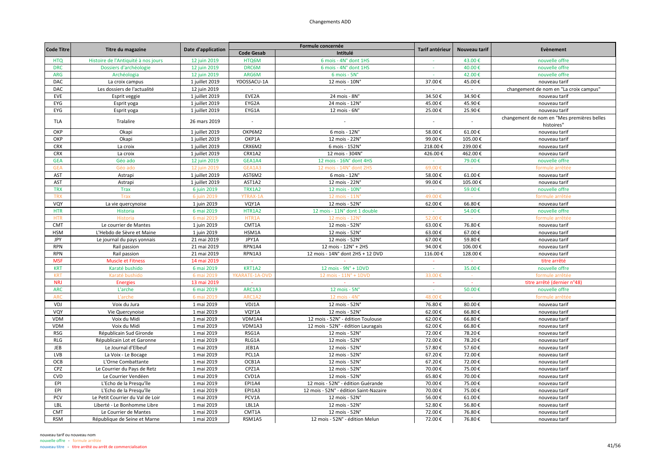| <b>Code Titre</b> | Titre du magazine                   | Date d'application |                          | Formule concernée                      | Tarif antérieur          | Nouveau tarif | Evènement                                                |
|-------------------|-------------------------------------|--------------------|--------------------------|----------------------------------------|--------------------------|---------------|----------------------------------------------------------|
|                   |                                     |                    | <b>Code Gesab</b>        | Intitulé                               |                          |               |                                                          |
| <b>HTQ</b>        | Histoire de l'Antiquité à nos jours | 12 juin 2019       | HTQ6M                    | 6 mois - 4N° dont 1HS                  |                          | 43.00€        | nouvelle offre                                           |
| <b>DRC</b>        | Dossiers d'archéologie              | 12 juin 2019       | DRC6M                    | 6 mois - 4N° dont 1HS                  | $\sim$                   | 40.00€        | nouvelle offre                                           |
| <b>ARG</b>        | Archéologia                         | 12 juin 2019       | ARG6M                    | 6 mois - 5N°                           | $\sim$                   | 42.00€        | nouvelle offre                                           |
| DAC               | La croix campus                     | 1 juillet 2019     | YDOSSACU-1A              | 12 mois - 10N°                         | 37.00€                   | 45.00€        | nouveau tarif                                            |
| DAC               | Les dossiers de l'actualité         | 12 juin 2019       | $\sim$                   | $\sim$                                 | $\sim$                   | $\sim$        | changement de nom en "La croix campus"                   |
| EVE               | Esprit veggie                       | 1 juillet 2019     | EVE2A                    | 24 mois - 8N°                          | 34.50€                   | 34.90€        | nouveau tarif                                            |
| EYG               | Esprit yoga                         | 1 juillet 2019     | EYG2A                    | 24 mois - 12N°                         | 45.00€                   | 45.90€        | nouveau tarif                                            |
| EYG               | Esprit yoga                         | 1 juillet 2019     | EYG1A                    | $12$ mois - $6N^\circ$                 | 25.00€                   | 25.90€        | nouveau tarif                                            |
| <b>TLA</b>        | Tralalire                           | 26 mars 2019       | $\overline{\phantom{a}}$ |                                        | $\overline{\phantom{a}}$ |               | changement de nom en "Mes premières belles<br>histoires" |
| OKP               | Okapi                               | 1 juillet 2019     | OKP6M2                   | 6 mois - 12N°                          | 58.00€                   | 61.00€        | nouveau tarif                                            |
| OKP               | Okapi                               | 1 juillet 2019     | OKP1A                    | 12 mois - 22N°                         | 99.00€                   | 105.00€       | nouveau tarif                                            |
| <b>CRX</b>        | La croix                            | 1 juillet 2019     | CRX6M2                   | 6 mois - 152N°                         | 218.00€                  | 239.00€       | nouveau tarif                                            |
| <b>CRX</b>        | La croix                            | 1 juillet 2019     | CRX1A2                   | 12 mois - 304N°                        | 426.00€                  | 462.00€       | nouveau tarif                                            |
| <b>GEA</b>        | Géo ado                             | 12 juin 2019       | GEA1A4                   | 12 mois - 16N° dont 4HS                | $\sim$                   | 79.00€        | nouvelle offre                                           |
| <b>GEA</b>        | Géo ado                             | 12 juin 2019       | GEA1A3                   | 12 mois - 14N° dont 2HS                | 69.00€                   |               | formule arrêtée                                          |
| AST               | Astrapi                             | 1 juillet 2019     | AST6M2                   | 6 mois - 12N°                          | 58.00€                   | 61.00€        | nouveau tarif                                            |
| AST               | Astrapi                             | 1 juillet 2019     | AST1A2                   | 12 mois - 22N°                         | 99.00€                   | 105.00€       | nouveau tarif                                            |
| <b>TRX</b>        | <b>Trax</b>                         | 6 juin 2019        | <b>TRX1A2</b>            | 12 mois - 10N°                         |                          | 59.00€        | nouvelle offre                                           |
| <b>TRX</b>        | Trax                                | 6 juin 2019        | <b>YTRAX-1A</b>          | 12 mois - 11N                          | 49.00€                   |               | formule arrêtée                                          |
| VQY               | La vie quercynoise                  | 1 juin 2019        | VQY1A                    | 12 mois - 52N°                         | 62.00€                   | 66.80€        | nouveau tarif                                            |
| <b>HTR</b>        | Historia                            | 6 mai 2019         | HTR1A2                   | 12 mois - 11N° dont 1 double           | $\sim$                   | 54.00€        | nouvelle offre                                           |
| <b>HTR</b>        | Historia                            | 6 mai 2019         | HTR1A                    | 12 mois - 12N                          | 52.00€                   |               | formule arrêtée                                          |
| <b>CMT</b>        | Le courrier de Mantes               | 1 juin 2019        | CMT1A                    | 12 mois - 52N°                         | 63.00€                   | 76.80€        | nouveau tarif                                            |
| <b>HSM</b>        | L'Hebdo de Sèvre et Maine           | 1 juin 2019        | HSM1A                    | 12 mois - 52N°                         | 63.00€                   | 67.00€        | nouveau tarif                                            |
| JPY               | Le journal du pays yonnais          | 21 mai 2019        | JPY1A                    | 12 mois - 52N°                         | 67.00€                   | 59.80€        | nouveau tarif                                            |
| <b>RPN</b>        | Rail passion                        | 21 mai 2019        | RPN1A4                   | 12 mois - 12N° + 2HS                   | 94.00€                   | 106.00€       | nouveau tarif                                            |
| <b>RPN</b>        | Rail passion                        | 21 mai 2019        | RPN1A3                   | 12 mois - 14N° dont 2HS + 12 DVD       | 116.00€                  | 128.00€       | nouveau tarif                                            |
| <b>MSF</b>        |                                     | 14 mai 2019        |                          |                                        |                          |               | titre arrêté                                             |
|                   | <b>Muscle et Fitness</b>            |                    |                          |                                        |                          |               |                                                          |
| <b>KRT</b>        | Karaté bushido                      | 6 mai 2019         | KRT1A2                   | 12 mois - 9N° + 1DVD                   |                          | 35.00€        | nouvelle offre                                           |
| <b>KRT</b>        | Karaté bushido                      | 6 mai 2019         | YKARATE-1A-DVD           | 12 mois - 11N° + 1DVD                  | 33.00€                   | $\sim$        | formule arrêtée                                          |
| <b>NRJ</b>        | <b>Energies</b>                     | 13 mai 2019        | $\sim$                   |                                        | $\sim$                   | - 20          | titre arrêté (dernier n°48)                              |
| <b>ARC</b>        | L'arche                             | 6 mai 2019         | ARC1A3                   | $12$ mois - $5No$                      | $\sim$                   | 50.00€        | nouvelle offre                                           |
| AR                | L'arche                             | 6 mai 2019         | ARC1A2                   | 12 mois - 4N                           | 48.00                    |               | formule arrêté                                           |
| VDJ               | Voix du Jura                        | 1 mai 2019         | VDJ1A                    | 12 mois - 52N°                         | 76.80€                   | 80.00€        | nouveau tarif                                            |
| VQY               | Vie Quercynoise                     | 1 mai 2019         | VQY1A                    | 12 mois - 52N°                         | 62.00€                   | 66.80€        | nouveau tarif                                            |
| <b>VDM</b>        | Voix du Midi                        | 1 mai 2019         | VDM1A4                   | 12 mois - 52N° - édition Toulouse      | 62.00€                   | 66.80€        | nouveau tarif                                            |
| <b>VDM</b>        | Voix du Midi                        | 1 mai 2019         | VDM1A3                   | 12 mois - 52N° - édition Lauragais     | 62.00€                   | 66.80€        | nouveau tarif                                            |
| <b>RSG</b>        | Républicain Sud Gironde             | 1 mai 2019         | RSG1A                    | 12 mois - 52N°                         | 72.00€                   | 78.20€        | nouveau tarif                                            |
| <b>RLG</b>        | Républicain Lot et Garonne          | 1 mai 2019         | RLG1A                    | 12 mois - 52N°                         | 72.00€                   | 78.20€        | nouveau tarif                                            |
| JEB               | Le Journal d'Elbeuf                 | 1 mai 2019         | JEB1A                    | 12 mois - 52N°                         | 57.80€                   | 57.60€        | nouveau tarif                                            |
| LVB               | La Voix - Le Bocage                 | 1 mai 2019         | PCL1A                    | 12 mois - 52N°                         | 67.20€                   | 72.00€        | nouveau tarif                                            |
| OCB               | L'Orne Combattante                  | 1 mai 2019         | OCB1A                    | 12 mois - 52N°                         | 67.20€                   | 72.00€        | nouveau tarif                                            |
| CPZ               | Le Courrier du Pays de Retz         | 1 mai 2019         | CPZ1A                    | 12 mois - 52N°                         | 70.00€                   | 75.00€        | nouveau tarif                                            |
| <b>CVD</b>        | Le Courrier Vendéen                 | 1 mai 2019         | CVD1A                    | 12 mois - 52N°                         | 65.80€                   | 70.00€        | nouveau tarif                                            |
| EPI               | L'Echo de la Presqu'île             | 1 mai 2019         | <b>EPI1A4</b>            | 12 mois - 52N° - édition Guérande      | 70.00€                   | 75.00€        | nouveau tarif                                            |
| EPI               | L'Echo de la Presqu'île             | 1 mai 2019         | EPI1A3                   | 12 mois - 52N° - édition Saint-Nazaire | 70.00€                   | 75.00€        | nouveau tarif                                            |
| PCV               | Le Petit Courrier du Val de Loir    | 1 mai 2019         | PCV1A                    | 12 mois - 52N°                         | 56.00€                   | 61.00€        | nouveau tarif                                            |
| LBL               | Liberté - Le Bonhomme Libre         | 1 mai 2019         | LBL1A                    | 12 mois - 52N°                         | 52.80€                   | 56.80€        | nouveau tarif                                            |
| <b>CMT</b>        | Le Courrier de Mantes               | 1 mai 2019         | CMT1A                    | 12 mois - 52N°                         | 72.00€                   | 76.80€        | nouveau tarif                                            |
| <b>RSM</b>        | République de Seine et Marne        | 1 mai 2019         | RSM1A5                   | 12 mois - 52N° - édition Melun         | 72.00€                   | 76.80€        | nouveau tarif                                            |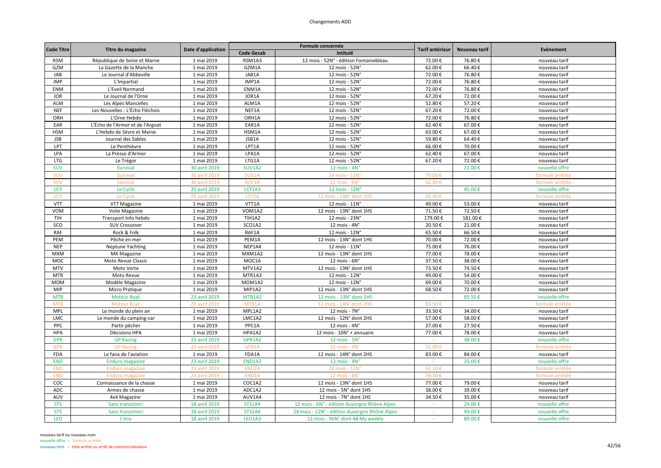|                   |                                  |                    |                    | Formule concernée                             | Tarif antérieur |               | Evènement       |
|-------------------|----------------------------------|--------------------|--------------------|-----------------------------------------------|-----------------|---------------|-----------------|
| <b>Code Titre</b> | Titre du magazine                | Date d'application | <b>Code Gesab</b>  | Intitulé                                      |                 | Nouveau tarif |                 |
| <b>RSM</b>        | République de Seine et Marne     | 1 mai 2019         | RSM1A3             | 12 mois - 52N° - édition Fontainebleau        | 72.00€          | 76.80€        | nouveau tarif   |
| GZM               | La Gazette de la Manche          | 1 mai 2019         | GZM1A              | 12 mois - 52N°                                | 62.00€          | 66.40€        | nouveau tarif   |
| JAB               | Le Journal d'Abbeville           | 1 mai 2019         | JAB1A              | 12 mois - 52N°                                | 72.00€          | 76.80€        | nouveau tarif   |
| <b>IMP</b>        | L'Impartial                      | 1 mai 2019         | IMP1A              | 12 mois - 52N'                                | 72.00€          | 76.80€        | nouveau tarif   |
| ENM               | L'Eveil Normand                  | 1 mai 2019         | ENM1A              | 12 mois - 52N°                                | 72.00€          | 76.80€        | nouveau tarif   |
| <b>JOR</b>        | Le Journal de l'Orne             | 1 mai 2019         | JOR1A              | 12 mois - 52N°                                | 67.20€          | 72.00€        | nouveau tarif   |
| ALM               | Les Alpes Mancelles              | 1 mai 2019         | ALM1A              | 12 mois - 52N°                                | 52.80€          | 57.20€        | nouveau tarif   |
| <b>NEF</b>        | Les Nouvelles - L'Écho Fléchois  | 1 mai 2019         | NEF1A              | 12 mois - 52N°                                | 67.20€          | 72.00€        | nouveau tarif   |
| ORH               | L'Orne Hebdo                     | 1 mai 2019         | ORH1A              | 12 mois - 52N°                                | 72.00€          | 76.80€        | nouveau tarif   |
| EAR               | L'Écho de l'Armor et de l'Argoat | 1 mai 2019         | EAR1A              | 12 mois - 52N°                                | 62.40€          | 67.00€        | nouveau tarif   |
| <b>HSM</b>        | L'Hebdo de Sèvre et Maine        | 1 mai 2019         | HSM1A              | 12 mois - 52N°                                | 63.00€          | 67.00€        | nouveau tarif   |
| <b>JSB</b>        | Journal des Sables               | 1 mai 2019         | JSB1A              | 12 mois - 52N°                                | 59.80€          | 64.40€        | nouveau tarif   |
| LPT               | Le Penthièvre                    | 1 mai 2019         | LPT1A              | 12 mois - 52N°                                | 66.00€          | 70.00€        | nouveau tarif   |
| LPA               | La Presse d'Armor                | 1 mai 2019         | LPA1A              | 12 mois - 52N°                                | 62.40€          | 67.00€        | nouveau tarif   |
| <b>LTG</b>        | Le Trégor                        | 1 mai 2019         | LTG1A              | 12 mois - 52N°                                | 67.20€          | 72.00€        | nouveau tarif   |
| <b>SUV</b>        | Survival                         | 30 avril 2019      | <b>SUV1A2</b>      | 12 mois - 4N°                                 | $\sim$          | 21.00€        | nouvelle offre  |
| SUV               | <b>Survival</b>                  | 30 avril 2019      | SUV <sub>2</sub> A | 24 mois - 12N                                 | 79.00€          |               | formule arrêtée |
| <b>SUV</b>        | <b>Survival</b>                  | 30 avril 2019      | SUV1A              | 12 mois - 6N°                                 | 42.00€          |               | formule arrêtée |
| LCY               | Le Cycle                         | 25 avril 2019      | LCY1A3             | 12 mois - 12N°                                | $\sim$          | 45.00€        | nouvelle offre  |
| LCY               | Le Cycle                         | 25 avril 2019      | LCY1A              | 12 mois - 13N° dont 1HS                       | 45.00€          |               | formule arrêtée |
| VTT               | <b>VTT Magazine</b>              | 1 mai 2019         | VTT1A              | 12 mois - 11N°                                | 49.00€          | 53.00€        | nouveau tarif   |
| VOM               | Voile Magazine                   | 1 mai 2019         | VOM1A2             | 12 mois - 13N° dont 1HS                       | 71.50€          | 72.50€        | nouveau tarif   |
| TIH               | Transport Info hebdo             | 1 mai 2019         | TIH1A2             | 12 mois - 23N°                                | 179.00€         | 181.00€       | nouveau tarif   |
| SCO               | SUV Crossover                    | 1 mai 2019         | SCO1A2             | $12$ mois - $4N^\circ$                        | 20.50€          | 21.00€        | nouveau tarif   |
| <b>RAF</b>        | Rock & Folk                      | 1 mai 2019         | RAF1A              | 12 mois - 12N°                                | 65.50€          | 66.50€        | nouveau tarif   |
| PEM               | Pêche en mer                     | 1 mai 2019         | PEM1A              | 12 mois - 13N° dont 1HS                       | 70.00€          | 72.00€        | nouveau tarif   |
| <b>NEP</b>        | Neptune Yachting                 | 1 mai 2019         | NEP1A4             | 12 mois - 11N°                                | 75.00€          | 76.00€        | nouveau tarif   |
| <b>MXM</b>        | MX Magazine                      | 1 mai 2019         | MXM1A2             | 12 mois - 13N° dont 1HS                       | 77.00€          | 78.00€        | nouveau tarif   |
| MOC               | Moto Revue Classic               | 1 mai 2019         | MOC1A              | $12$ mois - $6N^\circ$                        | 37.50€          | 38.00€        | nouveau tarif   |
| <b>MTV</b>        | Moto Verte                       | 1 mai 2019         | MTV1A2             | 12 mois - 13N° dont 1HS                       | 73.50€          | 74.50€        | nouveau tarif   |
| <b>MTR</b>        | Moto Revue                       | 1 mai 2019         | MTR1A3             | 12 mois - 12N°                                | 49.00€          | 54.00€        | nouveau tarif   |
| <b>MOM</b>        | Modèle Magazine                  | 1 mai 2019         | MOM1A2             | 12 mois - 12N°                                | 69.00€          | 70.00€        | nouveau tarif   |
| MIP               | Micro Pratique                   | 1 mai 2019         | MIP1A2             | 12 mois - 13N° dont 1HS                       | 68.50€          | 72.00€        | nouveau tarif   |
| <b>MTB</b>        | <b>Moteur Boat</b>               | 23 avril 2019      | MTB1A2             | 12 mois - 13N° dont 1HS                       | $\sim$          | 85.50€        | nouvelle offre  |
| <b>MTE</b>        | <b>Moteur Boat</b>               | 23 avril 2019      | MTB1A              | 12 mois - 14N° dont 2HS                       | 83.50           |               | formule arrêtée |
| <b>MPL</b>        | Le monde du plein air            | 1 mai 2019         | MPL1A2             | 12 mois - 7N°                                 | 33.50€          | 34.00€        | nouveau tarif   |
| LMC               | Le monde du camping-car          | 1 mai 2019         | LMC1A2             | 12 mois - 12N° dont 2HS                       | 57.00€          | 58.00€        | nouveau tarif   |
| PPC               | Partir pêcher                    | 1 mai 2019         | PPC1A              | $12$ mois - $4N^\circ$                        | 27.00€          | 27.50€        | nouveau tarif   |
| HPA               | Décisions HPA                    | 1 mai 2019         | HPA1A2             | 12 mois - 10N° + annuaire                     | 77.00€          | 78.00€        | nouveau tarif   |
| <b>GPR</b>        | <b>GP Racing</b>                 | 23 avril 2019      | GPR1A2             | 12 mois - 5N°                                 | $\sim$          | 38.00€        | nouvelle offre  |
| GPR               | <b>GP Racin</b>                  | 23 avril 2019      | GPR1/              | 12 mois - 4N                                  | 31.00           |               | formule arrêtée |
| FDA               | Le fana de l'aviation            | 1 mai 2019         | FDA1A              | 12 mois - 14N° dont 2HS                       | 83.00€          | 84.00€        | nouveau tarif   |
| <b>END</b>        | <b>Enduro magazine</b>           | 23 avril 2019      | <b>END1A2</b>      | 12 mois - $4N^\circ$                          | $\sim$          | 25.00€        | nouvelle offre  |
| <b>END</b>        | <b>Enduro magazine</b>           | 23 avril 2019      | END <sub>2</sub> A | 24 mois - 12N                                 | 62.10€          |               | formule arrêtée |
| <b>END</b>        | <b>Enduro magazine</b>           | 23 avril 2019      | END1A              | 12 mois - 6N'                                 | 34.50€          |               | formule arrêtée |
| COC               | Connaissance de la chasse        | 1 mai 2019         | COC1A2             | 12 mois - 13N° dont 1HS                       | 77.00€          | 79.00€        | nouveau tarif   |
| <b>ADC</b>        | Armes de chasse                  | 1 mai 2019         | ADC1A2             | 12 mois - 5N° dont 1HS                        | 38.00€          | 39.00€        | nouveau tarif   |
| AUV               | 4x4 Magazine                     | 1 mai 2019         | AUV1A4             | 12 mois - 7N° dont 1HS                        | 34.50€          | 35.00€        | nouveau tarif   |
| <b>STS</b>        | Sans transition!                 | 18 avril 2019      | <b>STS1A4</b>      | 12 mois - 6N° - édition Auvergne Rhône Alpes  | ×.              | 29.00€        | nouvelle offre  |
| <b>STS</b>        | Sans transition!                 | 18 avril 2019      | STS2A4             | 24 mois - 12N° - édition Auvergne Rhône Alpes | $\sim$          | 49.00€        | nouvelle offre  |
| LEO               | L'éco                            | 18 avril 2019      | LEO1A3             | 12 mois - 96N° dont 48 My weekly              |                 | 89.00€        | nouvelle offre  |
|                   |                                  |                    |                    |                                               |                 |               |                 |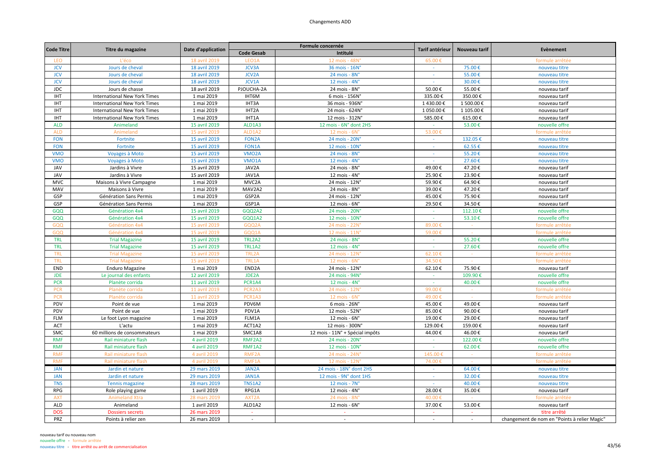| <b>Code Titre</b> |                                     |                                |                                 | Formule concernée               | Tarif antérieur          | Nouveau tarif | Evènement                                    |
|-------------------|-------------------------------------|--------------------------------|---------------------------------|---------------------------------|--------------------------|---------------|----------------------------------------------|
|                   | Titre du magazine                   | Date d'application             | <b>Code Gesab</b>               | Intitulé                        |                          |               |                                              |
| LEO               | L'éco                               | 18 avril 2019                  | LEO1A                           | 12 mois - 48N°                  | 65.00€                   |               | formule arrêtée                              |
| <b>JCV</b>        | Jours de cheval                     | 18 avril 2019                  | <b>JCV3A</b>                    | 36 mois - 16N°                  |                          | 75.00€        | nouveau titre                                |
| <b>JCV</b>        | Jours de cheval                     | 18 avril 2019                  | <b>JCV2A</b>                    | 24 mois - 8N°                   | $\sim$                   | 55.00€        | nouveau titre                                |
| <b>JCV</b>        | Jours de cheval                     | 18 avril 2019                  | JCV1A                           | 12 mois - 4N°                   |                          | 30.00€        | nouveau titre                                |
| <b>JDC</b>        | Jours de chasse                     | 18 avril 2019                  | PJOUCHA-2A                      | 24 mois - 8N°                   | 50.00€                   | 55.00€        | nouveau tarif                                |
| <b>IHT</b>        | <b>International New York Times</b> | 1 mai 2019                     | IHT6M                           | 6 mois - 156N°                  | 335.00€                  | 350.00€       | nouveau tarif                                |
| <b>IHT</b>        | <b>International New York Times</b> | 1 mai 2019                     | IHT3A                           | 36 mois - 936N°                 | 1430.00€                 | 1 500.00€     | nouveau tarif                                |
| IHT               | <b>International New York Times</b> | 1 mai 2019                     | IHT2A                           | 24 mois - 624N°                 | 1 050.00€                | 1 105.00€     | nouveau tarif                                |
| <b>IHT</b>        | <b>International New York Times</b> | 1 mai 2019                     | IHT1A                           | 12 mois - 312N°                 | 585.00€                  | 615.00€       | nouveau tarif                                |
| <b>ALD</b>        | Animeland                           | 15 avril 2019                  | ALD1A3                          | 12 mois - 6N° dont 2HS          | ÷.                       | 53.00€        | nouvelle offre                               |
| <b>ALD</b>        | Animeland                           | 15 avril 2019                  | ALD1A2                          | 12 mois - 6N'                   | 53.00€                   |               | formule arrêtée                              |
| <b>FON</b>        | Fortnite                            | 15 avril 2019                  | <b>FON2A</b>                    | 24 mois - 20N°                  | $\sim$                   | 132.05€       | nouveau titre                                |
| <b>FON</b>        | Fortnite                            | 15 avril 2019                  | <b>FON1A</b>                    | 12 mois - 10N°                  | $\sim$                   | 62.55€        | nouveau titre                                |
| <b>VMO</b>        | Voyages à Moto                      | 15 avril 2019                  | VMO <sub>2</sub> A              | 24 mois - 8N°                   | $\sim$                   | 55.20€        | nouveau titre                                |
| <b>VMO</b>        | Voyages à Moto                      | 15 avril 2019                  | <b>VMO1A</b>                    | 12 mois - 4N°                   |                          | 27.60€        | nouveau titre                                |
| JAV               | Jardins à Vivre                     | 15 avril 2019                  | JAV2A                           | 24 mois - 8N°                   | 49.00€                   | 47.20€        | nouveau tarif                                |
| <b>JAV</b>        | Jardins à Vivre                     | 15 avril 2019                  | JAV1A                           | 12 mois - 4N°                   | 25.90€                   | 23.90€        | nouveau tarif                                |
| <b>MVC</b>        | Maisons à Vivre Campagne            | 1 mai 2019                     | MVC2A                           | 24 mois - 12N°                  | 59.90€                   | 64.90€        | nouveau tarif                                |
| MAV               | Maisons à Vivre                     | 1 mai 2019                     | MAV2A2                          | 24 mois - 8N°                   | 39.00€                   | 47.20€        | nouveau tarif                                |
| GSP               | Génération Sans Permis              | 1 mai 2019                     | GSP2A                           | 24 mois - 12N°                  | 45.00€                   | 75.90€        | nouveau tarif                                |
| GSP               | Génération Sans Permis              | 1 mai 2019                     | GSP1A                           | $12$ mois - $6N^\circ$          | 29.50€                   | 34.50€        | nouveau tarif                                |
| GQQ               | Génération 4x4                      | 15 avril 2019                  | GQQ2A2                          | 24 mois - 20N°                  | $\sim$                   | 112.10€       | nouvelle offre                               |
| GQQ               | Génération 4x4                      | 15 avril 2019                  | GQQ1A2                          | 12 mois - 10N°                  | $\sim$                   | 53.10€        | nouvelle offre                               |
|                   |                                     |                                |                                 |                                 |                          |               |                                              |
| GQQ               | Génération 4x4                      | 15 avril 2019<br>15 avril 2019 | GQQ2A<br>GQQ1A                  | 24 mois - 22N                   | 89.00 €<br>59.00€        |               | formule arrêtée<br>formule arrêtée           |
| GQQ               | Génération 4x4                      |                                |                                 | 12 mois - 11N                   |                          |               |                                              |
| <b>TRL</b>        | <b>Trial Magazine</b>               | 15 avril 2019                  | TRL2A2                          | 24 mois - 8N°                   | $\sim$                   | 55.20€        | nouvelle offre                               |
| <b>TRL</b>        | <b>Trial Magazine</b>               | 15 avril 2019                  | <b>TRL1A2</b>                   | 12 mois - 4N°                   | $\sim$                   | 27.60€        | nouvelle offre                               |
| <b>TRL</b>        | <b>Trial Magazine</b>               | 15 avril 2019                  | TRL2A                           | 24 mois - 12N°                  | 62.10€                   | $\sim$        | formule arrêtée                              |
| <b>TRL</b>        | <b>Trial Magazine</b>               | 15 avril 2019                  | TRL1A                           | 12 mois - 6N                    | 34.50€                   |               | formule arrêtée                              |
| END               | <b>Enduro Magazine</b>              | 1 mai 2019                     | END <sub>2</sub> A              | 24 mois - 12N°                  | 62.10€                   | 75.90€        | nouveau tarif                                |
| <b>JDE</b>        | Le journal des enfants              | 12 avril 2019                  | JDE2A                           | 24 mois - 94N°                  | $\overline{\phantom{a}}$ | 109.90€       | nouvelle offre                               |
| <b>PCR</b>        | Planète corrida                     | 11 avril 2019                  | PCR1A4                          | 12 mois - 4N°                   | $\sim$                   | 40.00€        | nouvelle offre                               |
| <b>PCR</b>        | Planète corrida                     | 11 avril 2019                  | PCR <sub>2</sub> A <sub>3</sub> | 24 mois - 12N'                  | 99.00€                   | $\sim$        | formule arrêtée                              |
| <b>PCR</b>        | Planète corrida                     | 11 avril 2019                  | PCR1A3                          | 12 mois - 6N                    | 49.00€                   |               | formule arrêtée                              |
| PDV               | Point de vue                        | 1 mai 2019                     | PDV6M                           | 6 mois - 26N°                   | 45.00€                   | 49.00€        | nouveau tarif                                |
| PDV               | Point de vue                        | 1 mai 2019                     | PDV1A                           | 12 mois - 52N°                  | 85.00€                   | 90.00€        | nouveau tarif                                |
| <b>FLM</b>        | Le foot Lyon magazine               | 1 mai 2019                     | FLM1A                           | 12 mois - 6N°                   | 19.00€                   | 29.00€        | nouveau tarif                                |
| <b>ACT</b>        | L'actu                              | 1 mai 2019                     | ACT1A2                          | 12 mois - 300N°                 | 129.00€                  | 159.00€       | nouveau tarif                                |
| SMC               | 60 millions de consommateurs        | 1 mai 2019                     | SMC1A8                          | 12 mois - 11N° + Spécial impôts | 44.00€                   | 46.00€        | nouveau tarif                                |
| <b>RMF</b>        | Rail miniature flash                | 4 avril 2019                   | RMF2A2                          | 24 mois - 20N°                  | $\sim$                   | 122.00€       | nouvelle offre                               |
| <b>RMF</b>        | Rail miniature flash                | 4 avril 2019                   | <b>RMF1A2</b>                   | 12 mois - 10N°                  |                          | 62.00€        | nouvelle offre                               |
| <b>RMF</b>        | Rail miniature flash                | 4 avril 2019                   | RMF <sub>2</sub> A              | 24 mois - 24N                   | 145.00€                  |               | formule arrêtée                              |
| <b>RMF</b>        | Rail miniature flash                | 4 avril 2019                   | RMF1A                           | 12 mois - 12N°                  | 74.00€                   |               | formule arrêtée                              |
| <b>JAN</b>        | Jardin et nature                    | 29 mars 2019                   | JAN2A                           | 24 mois - 18N° dont 2HS         | $\sim$                   | 64.00€        | nouveau titre                                |
| <b>JAN</b>        | Jardin et nature                    | 29 mars 2019                   | JAN1A                           | 12 mois - 9N° dont 1HS          | $\sim$                   | 32.00€        | nouveau titre                                |
| <b>TNS</b>        | <b>Tennis magazine</b>              | 28 mars 2019                   | <b>TNS1A2</b>                   | 12 mois - 7N°                   |                          | 40.00€        | nouveau titre                                |
| <b>RPG</b>        | Role playing game                   | 1 avril 2019                   | RPG1A                           | 12 mois - $4Nc$                 | 28.00€                   | 35.00€        | nouveau tarif                                |
| <b>AXT</b>        | <b>Animeland Xtra</b>               | 28 mars 2019                   | AXT2A                           | 24 mois - 8N                    | 40.00                    |               | formule arrêtée                              |
| ALD               | Animeland                           | 1 avril 2019                   | ALD1A2                          | 12 mois - 6N°                   | 37.00€                   | 53.00€        | nouveau tarif                                |
| <b>DOS</b>        | <b>Dossiers secrets</b>             | 26 mars 2019                   | $\sim$                          | $\sim$                          | $\sim$                   | $\sim$        | titre arrêté                                 |
| PRZ               | Points à relier zen                 | 26 mars 2019                   | $\sim$                          | $\sim$                          | $\sim$                   | $\sim$        | changement de nom en "Points à relier Magic" |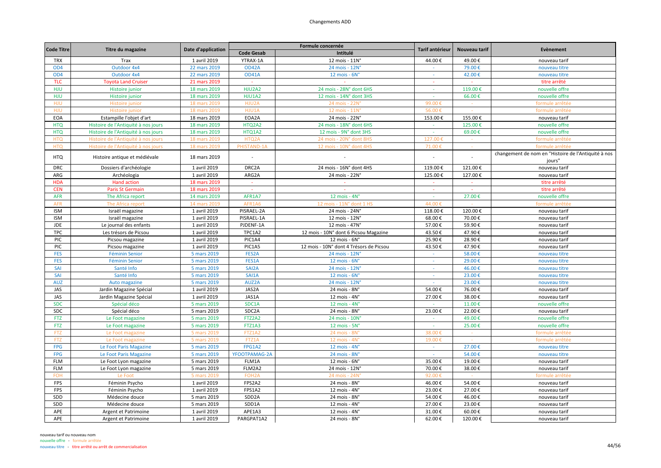| <b>Code Titre</b> | Titre du magazine                                  | Date d'application          |                    | Formule concernée                       | Tarif antérieur | Nouveau tarif    | Evènement                                                     |
|-------------------|----------------------------------------------------|-----------------------------|--------------------|-----------------------------------------|-----------------|------------------|---------------------------------------------------------------|
|                   |                                                    |                             | <b>Code Gesab</b>  | Intitulé                                |                 |                  |                                                               |
| <b>TRX</b>        | Trax                                               | 1 avril 2019                | YTRAX-1A           | 12 mois - 11N°                          | 44.00€          | 49.00€           | nouveau tarif                                                 |
| OD <sub>4</sub>   | Outdoor 4x4                                        | 22 mars 2019                | OD42A              | 24 mois - 12N°                          |                 | 79.00€           | nouveau titre                                                 |
| OD <sub>4</sub>   | Outdoor 4x4                                        | 22 mars 2019                | <b>OD41A</b>       | $12$ mois - $6Nc$                       | $\sim$          | 42.00€           | nouveau titre                                                 |
| <b>TLC</b>        | <b>Toyota Land Cruiser</b>                         | 21 mars 2019                |                    |                                         | ÷               |                  | titre arrêté                                                  |
| HJU               | Histoire junior                                    | 18 mars 2019                | HJU2A2             | 24 mois - 28N° dont 6HS                 | $\sim$          | 119.00€          | nouvelle offre                                                |
| HJU               | Histoire junior                                    | 18 mars 2019                | <b>HJU1A2</b>      | 12 mois - 14N° dont 3HS                 | $\sim$          | 66.00€           | nouvelle offre                                                |
| <b>HJU</b>        | Histoire junior                                    | 18 mars 2019                | HJU2A              | 24 mois - 22N                           | 99.00€          |                  | formule arrêtée                                               |
| HJU               | Histoire junior                                    | 18 mars 2019                | HJU1A              | 12 mois - 11N'                          | 56.00€          |                  | formule arrêtée                                               |
| EOA               | Estampille l'objet d'art                           | 18 mars 2019                | EOA2A              | 24 mois - 22N°                          | 153.00€         | 155.00€          | nouveau tarif                                                 |
| <b>HTQ</b>        | Histoire de l'Antiquité à nos jours                | 18 mars 2019                | HTQ2A2             | 24 mois - 18N° dont 6HS                 | $\sim$          | 125.00€          | nouvelle offre                                                |
| <b>HTQ</b>        | Histoire de l'Antiquité à nos jours                | 18 mars 2019                | HTQ1A2             | 12 mois - 9N° dont 3HS                  | $\sim$          | 69.00€           | nouvelle offre                                                |
| <b>HTQ</b>        | Histoire de l'Antiquité à nos jours                | 18 mars 2019                | HTQ2A              | 24 mois - 20N° dont 8HS                 | 127.00          |                  | formule arrêtée                                               |
| <b>HTQ</b>        | Histoire de l'Antiquité à nos jours                | 18 mars 2019                | PHISTAND-1A        | 12 mois - 10N° dont 4HS                 | 71.00€          | $\sim$           | formule arrêtée                                               |
| <b>HTQ</b>        | Histoire antique et médiévale                      | 18 mars 2019                | $\sim$             |                                         | $\sim$          |                  | changement de nom en "Histoire de l'Antiquité à nos<br>jours" |
| <b>DRC</b>        | Dossiers d'archéologie                             | 1 avril 2019                | DRC2A              | 24 mois - 16N° dont 4HS                 | 119.00€         | 121.00€          | nouveau tarif                                                 |
| ARG               | Archéologia                                        | 1 avril 2019                | ARG2A              | 24 mois - 22N°                          | 125.00€         | 127.00€          | nouveau tarif                                                 |
| <b>HDA</b>        | <b>Hand action</b>                                 | 18 mars 2019                | $\sim$             | $\sim$                                  | $\sim$          | $\sim$           | titre arrêté                                                  |
| <b>CEN</b>        | <b>Paris St Germain</b>                            | 18 mars 2019                | $\sim$             |                                         | $\sim$          | $\sim$           | titre arrêté                                                  |
| <b>AFR</b>        | The Africa report                                  | 14 mars 2019                | AFR1A7             | 12 mois - $4N^\circ$                    | $\sim$          | 27.00€           | nouvelle offre                                                |
| <b>AFR</b>        | The Africa report                                  | 14 mars 2019                | AFR1A6             | 12 mois - 11N° dont 1 HS                | 44.00€          |                  | formule arrêtée                                               |
| <b>ISM</b>        | Israël magazine                                    | 1 avril 2019                | PISRAEL-2A         | 24 mois - 24N°                          | 118.00€         | 120.00€          | nouveau tarif                                                 |
| <b>ISM</b>        | Israël magazine                                    | 1 avril 2019                | PISRAEL-1A         | 12 mois - 12N°                          | 68.00€          | 70.00€           | nouveau tarif                                                 |
| <b>JDE</b>        | Le journal des enfants                             | 1 avril 2019                | PJDENF-1A          | 12 mois - 47N°                          | 57.00€          | 59.90€           | nouveau tarif                                                 |
| <b>TPC</b>        | Les trésors de Picsou                              | 1 avril 2019                | TPC1A2             | 12 mois - 10N° dont 6 Picsou Magazine   | 43.50€          | 47.90€           | nouveau tarif                                                 |
| PIC               | Picsou magazine                                    | 1 avril 2019                | PIC1A4             | 12 mois - 6N°                           | 25.90€          | 28.90€           | nouveau tarif                                                 |
| PIC               | Picsou magazine                                    | 1 avril 2019                | PIC1A5             | 12 mois - 10N° dont 4 Trésors de Picsou | 43.50€          | 47.90€           | nouveau tarif                                                 |
| <b>FES</b>        | <b>Féminin Senior</b>                              | 5 mars 2019                 | FES2A              | 24 mois - 12N°                          | $\omega$        | 58.00€           | nouveau titre                                                 |
| <b>FES</b>        | <b>Féminin Senior</b>                              | 5 mars 2019                 | FES1A              | $12$ mois - $6N^\circ$                  | $\sim$          | 29.00€           | nouveau titre                                                 |
| SAI               | Santé Info                                         | 5 mars 2019                 | SAI2A              | 24 mois - 12N°                          | ×               | 46.00€           | nouveau titre                                                 |
| SAI               | Santé Info                                         | 5 mars 2019                 | SAI1A              | $12$ mois - $6N^\circ$                  | $\sim$          | 23.00€           | nouveau titre                                                 |
|                   |                                                    |                             |                    |                                         | $\sim$          |                  |                                                               |
| <b>AUZ</b><br>JAS | Auto magazine                                      | 5 mars 2019<br>1 avril 2019 | AUZ2A<br>JAS2A     | 24 mois - 12N°<br>24 mois - 8N°         | 54.00€          | 23.00€<br>76.00€ | nouveau titre<br>nouveau tarif                                |
| JAS               | Jardin Magazine Spécial<br>Jardin Magazine Spécial | 1 avril 2019                | JAS1A              | 12 mois - 4N°                           | 27.00€          | 38.00€           | nouveau tarif                                                 |
| <b>SDC</b>        |                                                    |                             | SDC1A              | 12 mois - $4N^\circ$                    | $\sim$          | 11.00€           |                                                               |
| <b>SDC</b>        | Spécial déco                                       | 5 mars 2019                 | SDC2A              |                                         |                 | 22.00€           | nouvelle offre                                                |
|                   | Spécial déco                                       | 5 mars 2019                 |                    | 24 mois - 8N°                           | 23.00€<br>÷     |                  | nouveau tarif                                                 |
| <b>FTZ</b>        | Le Foot magazine                                   | 5 mars 2019                 | FTZ2A2             | 24 mois - 10N'                          | $\sim$          | 49.00€           | nouvelle offre                                                |
| <b>FTZ</b>        | Le Foot magazine                                   | 5 mars 2019                 | FTZ1A3             | 12 mois - 5N°                           |                 | 25.00€           | nouvelle offre                                                |
| <b>FTZ</b>        | Le Foot magazine                                   | 5 mars 2019                 | <b>FTZ1A2</b>      | 24 mois - 8N'                           | 38.00€          |                  | formule arrêtée                                               |
| <b>FTZ</b>        | Le Foot magazine                                   | 5 mars 2019                 | FTZ1A              | 12 mois - 4N                            | 19.00€          | $\sim$           | formule arrêtée                                               |
| <b>FPG</b>        | Le Foot Paris Magazine                             | 5 mars 2019                 | FPG1A2             | $12$ mois - $4Nc$                       | $\sim$          | 27.00€           | nouveau titre                                                 |
| <b>FPG</b>        | Le Foot Paris Magazine                             | 5 mars 2019                 | YFOOTPAMAG-2A      | 24 mois - 8N°                           | $\sim$          | 54.00€           | nouveau titre                                                 |
| <b>FLM</b>        | Le Foot Lyon magazine                              | 5 mars 2019                 | FLM1A              | 12 mois - 6N°                           | 35.00€          | 19.00€           | nouveau tarif                                                 |
| <b>FLM</b>        | Le Foot Lyon magazine                              | 5 mars 2019                 | FLM2A2             | 24 mois - 12N°                          | 70.00€          | 38.00€           | nouveau tarif                                                 |
| <b>FOH</b>        | Le Foot                                            | 5 mars 2019                 | FOH <sub>2</sub> A | 24 mois - 24N                           | 92.00€          |                  | formule arrêtée                                               |
| FPS               | Féminin Psycho                                     | 1 avril 2019                | FPS2A2             | 24 mois - 8N°                           | 46.00€          | 54.00€           | nouveau tarif                                                 |
| FPS               | Féminin Psycho                                     | 1 avril 2019                | FPS1A2             | $12$ mois - $4N^\circ$                  | 23.00€          | 27.00€           | nouveau tarif                                                 |
| SDD               | Médecine douce                                     | 5 mars 2019                 | SDD <sub>2</sub> A | 24 mois - 8N°                           | 54.00€          | 46.00€           | nouveau tarif                                                 |
| SDD               | Médecine douce                                     | 5 mars 2019                 | SDD1A              | 12 mois - 4N°                           | 27.00€          | 23.00€           | nouveau tarif                                                 |
| APE               | Argent et Patrimoine                               | 1 avril 2019                | APE1A3             | 12 mois - 4N°                           | 31.00€          | 60.00€           | nouveau tarif                                                 |
| APE               | Argent et Patrimoine                               | 1 avril 2019                | PARGPAT1A2         | 24 mois - 8N°                           | 62.00€          | 120.00€          | nouveau tarif                                                 |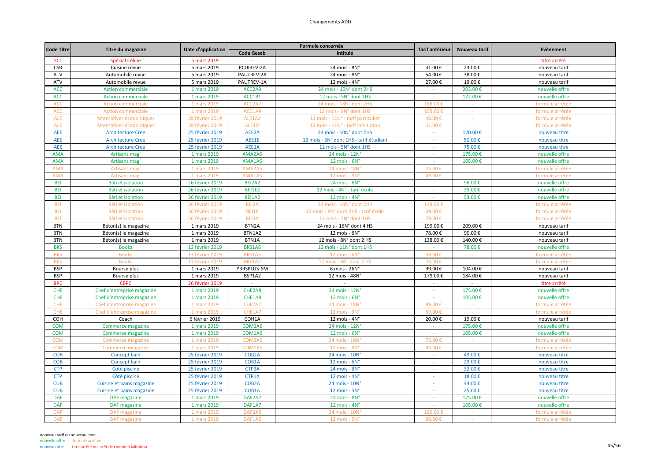| <b>Code Titre</b> |                            | Date d'application |                    | Formule concernée                       | Tarif antérieur | Nouveau tarif | Evènement       |
|-------------------|----------------------------|--------------------|--------------------|-----------------------------------------|-----------------|---------------|-----------------|
|                   | Titre du magazine          |                    | <b>Code Gesab</b>  | Intitulé                                |                 |               |                 |
| <b>SCL</b>        | Spécial Céline             | 5 mars 2019        |                    |                                         |                 |               | titre arrêté    |
| <b>CSR</b>        | Cuisine revue              | 5 mars 2019        | PCUIREV-2A         | 24 mois - 8N°                           | 31.00€          | 23.00€        | nouveau tarif   |
| ATV               | Automobile revue           | 5 mars 2019        | PAUTREV-2A         | 24 mois - 8N°                           | 54.00€          | 38.00€        | nouveau tarif   |
| ATV               | Automobile revue           | 5 mars 2019        | PAUTREV-1A         | 12 mois - 4N°                           | 27.00€          | 19.00€        | nouveau tarif   |
| <b>ACC</b>        | <b>Action commerciale</b>  | 1 mars 2019        | ACC2A8             | 24 mois - 10N° dont 2HS                 |                 | 203.00€       | nouvelle offre  |
| <b>ACC</b>        | <b>Action commerciale</b>  | 1 mars 2019        | ACC1B1             | 12 mois - 5N° dont 1HS                  | $\omega$        | 122.00€       | nouvelle offre  |
| <b>ACC</b>        | <b>Action commerciale</b>  | 1 mars 2019        | ACC2A7             | 24 mois - 18N° dont 2HS                 | 188.00€         |               | formule arrêtée |
| <b>ACC</b>        | <b>Action commerciale</b>  | 1 mars 2019        | ACC1A9             | 12 mois - 9N° dont 1HS                  | 155.00€         | $\sim$        | formule arrêtée |
| <b>ALE</b>        | Alternatives économiques   | 28 février 2019    | ALE1A2             | 12 mois - 11N° - tarif particulier      | 48.00€          |               | formule arrêtée |
| <b>ALE</b>        | Alternatives économiques   | 28 février 2019    | <b>ALE112</b>      | 12 mois - 11N° - tarif institution      | 51.00€          |               | formule arrêtée |
| AEE               | <b>Architecture Cree</b>   | 25 février 2019    | AEE2A              | 24 mois - 10N° dont 2HS                 | $\sim$          | 120.00€       | nouveau titre   |
| AEE               | <b>Architecture Cree</b>   | 25 février 2019    | AEE1E              | 12 mois - 5N° dont 1HS - tarif étudiant | $\sim$          | 50.00€        | nouveau titre   |
| AEE               | <b>Architecture Cree</b>   | 25 février 2019    | AEE1A              | 12 mois - 5N° dont 1HS                  | $\sim$          | 75.00€        | nouveau titre   |
| <b>AMA</b>        | Artisans mag               | 1 mars 2019        | AMA2A6             | 24 mois - 12N°                          | $\sim$          | 175.00€       | nouvelle offre  |
| <b>AMA</b>        | Artisans mag               | 1 mars 2019        | AMA1A6             | $12$ mois - $6N^\circ$                  | $\sim$          | 105.00€       | nouvelle offre  |
| <b>AMA</b>        | Artisans mag               | 1 mars 2019        | AMA2A5             | 24 mois - 18N                           | 75.00           |               | formule arrêtée |
| <b>AMA</b>        | Artisans mag               | 1 mars 2019        | AMA1A5             | 12 mois - 9N°                           | 49.00€          |               | formule arrêtée |
| <b>BEI</b>        | Bâti et isolation          | 26 février 2019    | BEI2A2             | 24 mois - 8N°                           | $\sim$          | 96.00€        | nouvelle offre  |
| <b>BEI</b>        | Bâti et isolation          | 26 février 2019    | <b>BEI1E2</b>      | 12 mois - 4N° - tarif école             | ×.              | 39.00€        | nouvelle offre  |
| <b>BEI</b>        | Bâti et isolation          | 26 février 2019    | <b>BEI1A2</b>      | 12 mois - 4N°                           | $\sim$          | 53.00€        | nouvelle offre  |
| <b>BEI</b>        | Bâti et isolation          | 26 février 2019    | BEI2A              | 24 mois - 14N° dont 2HS                 | 149.00          |               | formule arrêtée |
| <b>BEI</b>        | Bâti et isolation          | 26 février 2019    | BEI1E              | 12 mois - 8N° dont 2HS - tarif école    | 69.00€          |               | formule arrêtée |
| <b>BEI</b>        | Bâti et isolation          | 26 février 2019    | BEI1A              | 12 mois - 7N° dont 1HS                  | 79.00€          | $\sim$        | formule arrêtée |
| <b>BTN</b>        | Béton(s) le magazine       | 1 mars 2019        | BTN2A              | 24 mois - 16N° dont 4 HS                | 199.00€         | 209.00€       | nouveau tarif   |
| <b>BTN</b>        | Béton(s) le magazine       | 1 mars 2019        | BTN1A2             | 12 mois - 6N°                           | 78.00€          | 90.00€        | nouveau tarif   |
| <b>BTN</b>        | Béton(s) le magazine       | 1 mars 2019        | BTN1A              | 12 mois - 8N° dont 2 HS                 | 138.00€         | 140.00€       | nouveau tarif   |
| <b>BKS</b>        | <b>Books</b>               | 13 février 2019    | BKS1A8             | 12 mois - 11N° dont 1HS                 | $\sim$          | 78.00€        | nouvelle offre  |
| <b>BKS</b>        | <b>Books</b>               | 13 février 2019    | BKS1A3             | $12$ mois - $6No$                       | 59.00€          | $\sim$        | formule arrêtée |
| <b>BKS</b>        | <b>Books</b>               | 13 février 2019    | BKS1A2             | 12 mois - 8N° dont 2 HS                 | 78.00€          |               | formule arrêtée |
| <b>BSP</b>        | Bourse plus                | 1 mars 2019        | YBRSPLUS-6M        | 6 mois - 26N°                           | 99.00€          | 104.00€       | nouveau tarif   |
| <b>BSP</b>        | Bourse plus                | 1 mars 2019        | BSP1A2             | 12 mois - 48N°                          | 179.00€         | 184.00€       | nouveau tarif   |
| <b>BPC</b>        | <b>CBPC</b>                | 26 février 2019    |                    |                                         | ÷               |               | titre arrêté    |
| <b>CHE</b>        | Chef d'entreprise magazine | 1 mars 2019        | CHE2A8             | 24 mois - 12N°                          | $\sim$          | 175.00€       | nouvelle offre  |
| <b>CHE</b>        | Chef d'entreprise magazine | 1 mars 2019        | CHE1A8             | 12 mois - $6N^{\circ}$                  | $\sim$          | 105.00€       | nouvelle offre  |
| <b>CHE</b>        | Chef d'entreprise magazine | 1 mars 2019        | CHE2A7             | 24 mois - 18N                           | 89.00€          | $\sim$        | formule arrêtée |
| CHE               | Chef d'entreprise magazine | 1 mars 2019        | CHE1A7             | 12 mois - 9N                            | 59.00€          |               | formule arrêtée |
| COH               | Coach                      | 6 février 2019     | COH1A              | 12 mois - 4N°                           | 20.00€          | 19.00€        | nouveau tarif   |
| <b>COM</b>        | Commerce magazine          | 1 mars 2019        | COM2A6             | 24 mois - 12N°                          | $\sim$          | 175.00€       | nouvelle offre  |
| <b>COM</b>        | Commerce magazine          | 1 mars 2019        | COM1A6             | 12 mois - $6N^{\circ}$                  | $\sim$          | 105.00€       | nouvelle offre  |
| <b>COM</b>        | <b>Commerce magazine</b>   | 1 mars 2019        | COM2A5             | 24 mois - 18N                           | 75.00           |               | formule arrêtée |
| <b>COM</b>        | Commerce magazine          | 1 mars 2019        | COM1A5             | 12 mois - 9N                            | 49.00           |               | formule arrêtée |
| <b>COB</b>        | Concept bain               | 25 février 2019    | COB <sub>2</sub> A | 24 mois - 10N°                          |                 | 49.00€        | nouveau titre   |
| <b>COB</b>        | Concept bain               | 25 février 2019    | COB1A              | 12 mois - 5N°                           | $\sim$          | 29.00€        | nouveau titre   |
| <b>CTP</b>        | Côté piscine               | 25 février 2019    | CTP2A              | 24 mois - 8N°                           | $\sim$          | 32.00€        | nouveau titre   |
| <b>CTP</b>        | Côté piscine               | 25 février 2019    | CTP1A              | 12 mois - $4N^\circ$                    | $\sim$          | 18.00€        | nouveau titre   |
| <b>CUB</b>        | Cuisine et bains magazine  | 25 février 2019    | <b>CUB2A</b>       | 24 mois - 10N°                          | $\sim$          | 44.00€        | nouveau titre   |
| <b>CUB</b>        | Cuisine et bains magazine  | 25 février 2019    | CUB1A              | 12 mois - 5N°                           |                 | 25.00€        | nouveau titre   |
| <b>DAF</b>        | <b>DAF</b> magazine        | 1 mars 2019        | DAF2A7             | 24 mois - 8N°                           | $\sim$          | 175.00€       | nouvelle offre  |
| <b>DAF</b>        | <b>DAF</b> magazine        | 1 mars 2019        | DAF1A7             | 12 mois - $4Nc$                         | $\sim$          | 105.00€       | nouvelle offre  |
| <b>DAF</b>        | <b>DAF</b> magazine        | 1 mars 2019        | DAF2A6             | 24 mois - 10N                           | 160.00€         |               | formule arrêtée |
| <b>DAF</b>        | <b>DAF</b> magazine        | 1 mars 2019        | DAF1A6             | 12 mois - 5N°                           | 99.00€          |               | formule arrêtée |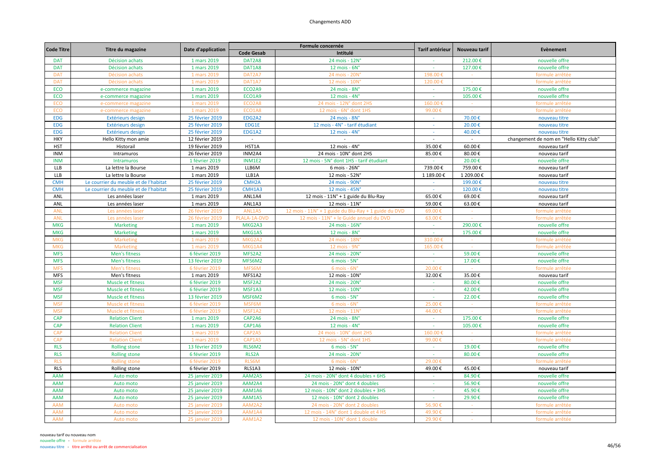## Changements ADD

| <b>Code Titre</b> |                                       |                        |                                 | Formule concernée                                    | Tarif antérieur | Nouveau tarif    | Evènement                               |
|-------------------|---------------------------------------|------------------------|---------------------------------|------------------------------------------------------|-----------------|------------------|-----------------------------------------|
|                   | Titre du magazine                     | Date d'application     | <b>Code Gesab</b>               | Intitulé                                             |                 |                  |                                         |
| <b>DAT</b>        | Décision achats                       | 1 mars 2019            | DAT2A8                          | 24 mois - 12N°                                       |                 | 212.00€          | nouvelle offre                          |
| <b>DAT</b>        | Décision achats                       | 1 mars 2019            | DAT1A8                          | $12$ mois - $6N^\circ$                               | $\sim$          | 127.00€          | nouvelle offre                          |
| <b>DAT</b>        | Décision achats                       | 1 mars 2019            | DAT2A7                          | 24 mois - 20N                                        | 198.00          |                  | formule arrêtée                         |
| <b>DAT</b>        | Décision achats                       | 1 mars 2019            | DAT1A7                          | 12 mois - 10N                                        | 120.00          |                  | formule arrêtée                         |
| ECO               | e-commerce magazine                   | 1 mars 2019            | ECO2A9                          | 24 mois - 8N°                                        | $\sim$          | 175.00€          | nouvelle offre                          |
| ECO               | e-commerce magazine                   | 1 mars 2019            | ECO1A9                          | 12 mois - 4N°                                        | $\sim$          | 105.00€          | nouvelle offre                          |
| <b>ECO</b>        | e-commerce magazine                   | 1 mars 2019            | ECO2A8                          | 24 mois - 12N° dont 2HS                              | 160.00€         |                  | formule arrêtée                         |
| <b>ECO</b>        | e-commerce magazine                   | 1 mars 2019            | ECO1A8                          | 12 mois - 6N° dont 1HS                               | 99.00€          |                  | formule arrêtée                         |
| <b>EDG</b>        | Extérieurs design                     | 25 février 2019        | EDG2A2                          | 24 mois - 8N°                                        | $\sim$          | 70.00€           | nouveau titre                           |
| <b>EDG</b>        | Extérieurs design                     | 25 février 2019        | EDG1E                           | 12 mois - 4N° - tarif étudiant                       | $\sim$          | 20.00€           | nouveau titre                           |
| <b>EDG</b>        | Extérieurs design                     | 25 février 2019        | EDG1A2                          | 12 mois - 4N°                                        | $\sim$          | 40.00€           | nouveau titre                           |
| <b>HKY</b>        | Hello Kitty mon amie                  | 12 février 2019        | $\sim$                          | $\sim$                                               | $\sim$          | $\sim$           | changement de nom en "Hello Kitty club" |
| <b>HST</b>        | Historail                             | 19 février 2019        | HST1A                           | 12 mois - $4N^\circ$                                 | 35.00€          | 60.00€           | nouveau tarif                           |
| <b>INM</b>        | Intramuros                            | 26 février 2019        | INM2A4                          | 24 mois - 10N° dont 2HS                              | 85.00€          | 80.00€           | nouveau tarif                           |
| <b>INM</b>        | Intramuros                            | 1 février 2019         | <b>INM1E2</b>                   | 12 mois - 5N° dont 1HS - tarif étudiant              |                 | 20.00€           | nouvelle offre                          |
| <b>LLB</b>        | La lettre la Bourse                   | 1 mars 2019            | LLB6M                           | 6 mois - 26N°                                        | 739.00€         | 759.00€          | nouveau tarif                           |
| <b>LLB</b>        | La lettre la Bourse                   | 1 mars 2019            | LLB1A                           | 12 mois - 52N°                                       | 1 189.00€       | 1 209.00€        | nouveau tarif                           |
| <b>CMH</b>        | Le courrier du meuble et de l'habitat | 25 février 2019        | CMH <sub>2</sub> A              | 24 mois - 90N°                                       | $\sim$          | 199.00€          | nouveau titre                           |
| <b>CMH</b>        | Le courrier du meuble et de l'habitat | 25 février 2019        | CMH1A3                          | 12 mois - 45N°                                       | $\sim$          | 120.00€          | nouveau titre                           |
| ANL               | Les années laser                      | 1 mars 2019            | ANL1A4                          | 12 mois - 11N° + 1 guide du Blu-Ray                  | 65.00€          | 69.00€           | nouveau tarif                           |
| ANL               | Les années laser                      | 1 mars 2019            | ANL1A3                          | 12 mois - 11N°                                       | 59.00€          | 63.00€           | nouveau tarif                           |
| <b>ANL</b>        | Les années lase                       | 26 février 2019        | ANL1A5                          | 12 mois - 11N° + 1 guide du Blu-Ray + 1 guide du DVD | 69.00€          |                  | formule arrêtée                         |
| <b>ANL</b>        | Les années laser                      | 26 février 2019        | PLALA-1A-DVD                    | 12 mois - 11N° + le Guide annuel du DVD              | 63.00€          |                  | formule arrêtée                         |
| <b>MKG</b>        | <b>Marketing</b>                      | 1 mars 2019            | MKG2A3                          | 24 mois - 16N°                                       | $\sim$          | 290.00€          | nouvelle offre                          |
| <b>MKG</b>        | <b>Marketing</b>                      | 1 mars 2019            | MKG1A5                          | 12 mois - 8N°                                        | $\sim$          | 175.00€          | nouvelle offre                          |
| <b>MKG</b>        | Marketing                             | 1 mars 2019            | MKG2A2                          | 24 mois - 18N                                        | 310.00€         |                  | formule arrêtée                         |
| <b>MKG</b>        | Marketing                             | 1 mars 2019            | MKG1A4                          | 12 mois - 9N°                                        | 165.00€         | $\sim$           | formule arrêtée                         |
| <b>MFS</b>        | Men's fitness                         | 6 février 2019         | MFS2A2                          | 24 mois - 20N°                                       | $\sim$          | 59.00€           | nouvelle offre                          |
| <b>MFS</b>        | Men's fitness                         | 13 février 2019        | MFS6M2                          | $6$ mois - $5N^\circ$                                | $\sim$          | 17.00€           | nouvelle offre                          |
| <b>MFS</b>        | Men's fitness                         | 6 février 2019         | MFS6M                           | 6 mois - 6N'                                         | 20.00€          |                  | formule arrêtée                         |
| <b>MFS</b>        | Men's fitness                         | 1 mars 2019            | MFS1A2                          | 12 mois - 10N°                                       | 32.00€          | 35.00€           | nouveau tarif                           |
| <b>MSF</b>        | Muscle et fitness                     | 6 février 2019         | MSF <sub>2</sub> A <sub>2</sub> | 24 mois - 20N°                                       | $\sim$          | 80.00€           | nouvelle offre                          |
| <b>MSF</b>        | Muscle et fitness                     | 6 février 2019         | MSF1A3                          | 12 mois - 10N°                                       | $\sim$          | 42.00€           | nouvelle offre                          |
| <b>MSF</b>        | Muscle et fitness                     | 13 février 2019        | MSF6M2                          | $6$ mois - $5N^\circ$                                | $\sim$          | 22.00€           | nouvelle offre                          |
| <b>MSF</b>        | Muscle et fitness                     | 6 février 2019         | MSF6M                           | 6 mois - 6N'                                         | 25.00€          | $\sim$           | formule arrêtée                         |
| <b>MSF</b>        | Muscle et fitness                     | 6 février 2019         | MSF1A2                          | 12 mois - 11N                                        | 44.00€          |                  | formule arrêtée                         |
| <b>CAP</b>        | <b>Relation Client</b>                | 1 mars 2019            | CAP2A6                          | 24 mois - 8N°                                        | $\sim$          | 175.00€          | nouvelle offre                          |
| <b>CAP</b>        | <b>Relation Client</b>                | 1 mars 2019            | CAP1A6                          | 12 mois - $4N^\circ$                                 | $\sim$          | 105.00€          | nouvelle offre                          |
| CAP               | <b>Relation Client</b>                | 1 mars 2019            | CAP2A5                          | 24 mois - 10N° dont 2HS                              | 160.00€         |                  | formule arrêtée                         |
| CAP               | <b>Relation Client</b>                | 1 mars 2019            | CAP1A5                          | 12 mois - 5N° dont 1HS                               | 99.00€          | $\sim$           | formule arrêtée                         |
| <b>RLS</b>        | <b>Rolling stone</b>                  | 13 février 2019        | RLS6M2                          | $6$ mois - $5N^\circ$                                | $\sim$          | 19.00€           | nouvelle offre                          |
| <b>RLS</b>        | <b>Rolling stone</b>                  | 6 février 2019         | <b>RLS2A</b>                    | 24 mois - 20N°                                       | $\sim$          | 80.00€           | nouvelle offre                          |
| <b>RLS</b>        | <b>Rolling stone</b>                  | 6 février 2019         | <b>RLS6M</b>                    | $6$ mois - $6N^\circ$                                | 29.00€          |                  | formule arrêtée                         |
| <b>RLS</b>        | Rolling stone                         | 6 février 2019         | RLS1A3                          | 12 mois - 10N°                                       | 49.00€          | 45.00€           | nouveau tarif                           |
| AAM               | Auto moto                             | 25 janvier 2019        | AAM2A5                          | 24 mois - 20N° dont 4 doubles + 6HS                  | $\sim$          | 84.90€           | nouvelle offre                          |
|                   |                                       |                        |                                 |                                                      |                 |                  |                                         |
| AAM<br><b>AAM</b> | Auto moto                             | 25 janvier 2019        | AAM2A4<br>AAM1A6                | 24 mois - 20N° dont 4 doubles                        | $\sim$          | 56.90€<br>45.90€ | nouvelle offre                          |
|                   | Auto moto                             | 25 janvier 2019        |                                 | 12 mois - 10N° dont 2 doubles + 3HS                  | $\sim$          |                  | nouvelle offre                          |
| AAM               | Auto moto                             | 25 janvier 2019        | AAM1A5                          | 12 mois - 10N° dont 2 doubles                        | $\sim$          | 29.90€           | nouvelle offre                          |
| <b>AAM</b>        | Auto moto                             | <b>25 janvier 2019</b> | AAM2A2                          | 24 mois - 20N° dont 2 doubles                        | 56.90€          |                  | formule arrêtée                         |
| <b>AAM</b>        | Auto moto                             | 25 janvier 2019        | AAM1A4                          | 12 mois - 14N° dont 1 double et 4 HS                 | 49.90€          | $\sim$           | formule arrêtée                         |
| <b>AAM</b>        | Auto moto                             | 25 janvier 2019        | AAM1A2                          | 12 mois - 10N° dont 1 double                         | 29.90€          |                  | formule arrêtée                         |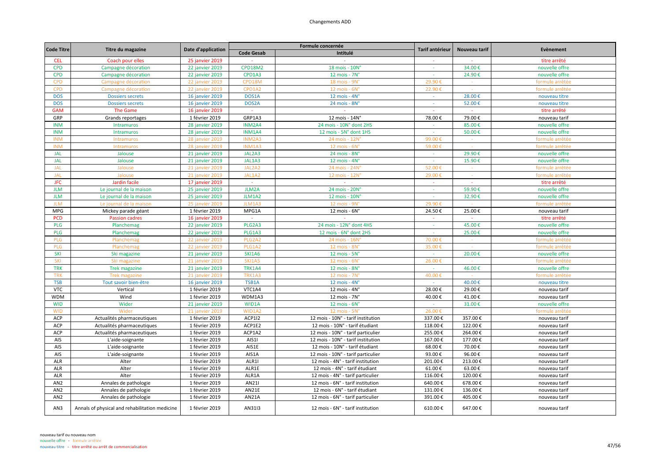| <b>Code Titre</b> | Titre du magazine                              | Date d'application     |                   | Formule concernée                  | Tarif antérieur | Nouveau tarif | Evènement       |
|-------------------|------------------------------------------------|------------------------|-------------------|------------------------------------|-----------------|---------------|-----------------|
|                   |                                                |                        | <b>Code Gesab</b> | Intitulé                           |                 |               |                 |
| <b>CEL</b>        | Coach pour elles                               | 25 janvier 2019        |                   |                                    | $\sim$          |               | titre arrêté    |
| <b>CPD</b>        | Campagne décoration                            | 22 janvier 2019        | <b>CPD18M2</b>    | 18 mois - 10N°                     |                 | 34.00€        | nouvelle offre  |
| <b>CPD</b>        | Campagne décoration                            | 22 janvier 2019        | CPD1A3            | 12 mois - 7N°                      | $\sim$          | 24.90€        | nouvelle offre  |
| <b>CPD</b>        | Campagne décoration                            | <b>22 janvier 2019</b> | CPD18M            | 18 mois - 9N                       | 29.90€          |               | formule arrêtée |
| <b>CPD</b>        | Campagne décoration                            | 22 janvier 2019        | CPD1A2            | 12 mois - 6N'                      | 22.90€          |               | formule arrêtée |
| <b>DOS</b>        | <b>Dossiers secrets</b>                        | 16 janvier 2019        | DOS1A             | 12 mois - $4N^\circ$               |                 | 28.00€        | nouveau titre   |
| <b>DOS</b>        | <b>Dossiers secrets</b>                        | 16 janvier 2019        | DOS2A             | 24 mois - 8N°                      | $\sim$          | 52.00€        | nouveau titre   |
| <b>GAM</b>        | <b>The Game</b>                                | 16 janvier 2019        | $\sim$            |                                    | $\sim$          |               | titre arrêté    |
| GRP               | Grands reportages                              | 1 février 2019         | GRP1A3            | 12 mois - 14N°                     | 78.00€          | 79.00€        | nouveau tarif   |
| <b>INM</b>        | Intramuros                                     | <b>28 janvier 2019</b> | INM2A4            | 24 mois - 10N° dont 2HS            | $\sim$          | 85.00€        | nouvelle offre  |
| <b>INM</b>        | Intramuros                                     | 28 janvier 2019        | <b>INM1A4</b>     | 12 mois - 5N° dont 1HS             | $\sim$          | 50.00€        | nouvelle offre  |
| <b>INM</b>        | Intramuros                                     | <b>28 janvier 2019</b> | INM2A3            | 24 mois - 12N'                     | 99.00           |               | formule arrêtée |
| <b>INM</b>        | Intramuros                                     | 28 janvier 2019        | <b>INM1A3</b>     | 12 mois - 6N'                      | 59.00€          |               | formule arrêtée |
| <b>JAL</b>        | Jalouse                                        | 21 janvier 2019        | JAL2A3            | 24 mois - 8N°                      | ÷.              | 29.90€        | nouvelle offre  |
| <b>JAL</b>        | Jalouse                                        | 21 janvier 2019        | JAL1A3            | $12$ mois - $4N^\circ$             | $\sim$          | 15.90€        | nouvelle offre  |
| <b>JAL</b>        | Jalouse                                        | 21 janvier 2019        | JAL2A2            | 24 mois - 24N'                     | 52.00€          |               | formule arrêtée |
| <b>JAL</b>        | Jalouse                                        | 21 janvier 2019        | JAL1A2            | 12 mois - 12N°                     | 29.00€          | $\sim$        | formule arrêtée |
| <b>JFC</b>        | Jardin facile                                  | 17 janvier 2019        | $\sim$            | $\sim$                             | $\sim$          |               | titre arrêté    |
| <b>JLM</b>        | Le journal de la maison                        | 25 janvier 2019        | <b>JLM2A</b>      | 24 mois - 20N'                     | $\sim$          | 59.90€        | nouvelle offre  |
| <b>JLM</b>        | Le journal de la maison                        | 25 janvier 2019        | JLM1A2            | 12 mois - 10N°                     |                 | 32.90€        | nouvelle offre  |
| <b>JLM</b>        | Le journal de la maisor                        | <b>25 janvier 2019</b> | JLM1A3            | 12 mois - 9N                       | 29.90€          |               | formule arrêtée |
| <b>MPG</b>        | Mickey parade géant                            | 1 février 2019         | MPG1A             | $12$ mois - $6N^\circ$             | 24.50€          | 25.00€        | nouveau tarif   |
| <b>PCD</b>        | <b>Passion cadres</b>                          | 16 janvier 2019        | $\sim$            |                                    |                 |               | titre arrêté    |
| PLG               | Planchemag                                     | 22 janvier 2019        | PLG2A3            | 24 mois - 12N° dont 4HS            | $\sim$          | 45.00€        | nouvelle offre  |
| <b>PLG</b>        | Planchemag                                     | 22 janvier 2019        | PLG1A3            | 12 mois - 6N° dont 2HS             | $\sim$          | 25.00€        | nouvelle offre  |
| PLG               | Planchemag                                     | 22 janvier 2019        | PLG2A2            | 24 mois - 16N'                     | 70.00€          |               | formule arrêtée |
| PLG               | Planchemag                                     | <b>22 janvier 2019</b> | PLG1A2            | 12 mois - 8N                       | 35.00€          |               | formule arrêtée |
| SKI               | Ski magazine                                   | 21 janvier 2019        | <b>SKI1A6</b>     | $12$ mois - $5N^\circ$             | $\sim$          | 20.00€        | nouvelle offre  |
| SKI               | Ski magazine                                   | 21 janvier 2019        | <b>SKI1A5</b>     | $12$ mois - $6N^\circ$             | 26.00€          |               | formule arrêtée |
| <b>TRK</b>        | <b>Trek magazine</b>                           | 21 janvier 2019        | <b>TRK1A4</b>     | 12 mois - 8N°                      | $\sim$          | 46.00€        | nouvelle offre  |
| <b>TRK</b>        | <b>Trek magazine</b>                           | 21 janvier 2019        | TRK1A3            | 12 mois - 7N°                      | 40.00€          |               | formule arrêtée |
| <b>TSB</b>        | Tout savoir bien-être                          | 16 janvier 2019        | TSB1A             | 12 mois - $4N^\circ$               | $\sim$ $\sim$   | 40.00€        | nouveau titre   |
| <b>VTC</b>        | Vertical                                       | 1 février 2019         | VTC1A4            | $12$ mois - $4N^\circ$             | 28.00€          | 29.00€        | nouveau tarif   |
| <b>WDM</b>        | Wind                                           | 1 février 2019         | WDM1A3            | $12$ mois - $7N^\circ$             | 40.00€          | 41.00€        | nouveau tarif   |
| <b>WID</b>        | Wider                                          | 21 janvier 2019        | WID1A             | $12$ mois - $6N^\circ$             | $\sim$          | 31.00€        | nouvelle offre  |
| <b>WID</b>        | Wider                                          | 21 janvier 2019        | WID1A2            | 12 mois - 5N°                      | 26.00€          |               | formule arrêtée |
| ACP               | Actualités pharmaceutiques                     | 1 février 2019         | ACP1I2            | 12 mois - 10N° - tarif institution | 337.00€         | 357.00€       | nouveau tarif   |
| ACP               | Actualités pharmaceutiques                     | 1 février 2019         | ACP1E2            | 12 mois - 10N° - tarif étudiant    | 118.00€         | 122.00€       | nouveau tarif   |
| <b>ACP</b>        | Actualités pharmaceutiques                     | 1 février 2019         | ACP1A2            | 12 mois - 10N° - tarif particulier | 255.00€         | 264.00€       | nouveau tarif   |
| AIS               | L'aide-soignante                               | 1 février 2019         | AIS11             | 12 mois - 10N° - tarif institution | 167.00€         | 177.00€       | nouveau tarif   |
| AIS               | L'aide-soignante                               | 1 février 2019         | AIS1E             | 12 mois - 10N° - tarif étudiant    | 68.00€          | 70.00€        | nouveau tarif   |
| AIS               | L'aide-soignante                               | 1 février 2019         | AIS1A             | 12 mois - 10N° - tarif particulier | 93.00€          | 96.00€        | nouveau tarif   |
| ALR               | Alter                                          | 1 février 2019         | ALR1I             | 12 mois - 4N° - tarif institution  | 201.00€         | 213.00€       | nouveau tarif   |
| ALR               | Alter                                          | 1 février 2019         | ALR1E             | 12 mois - 4N° - tarif étudiant     | 61.00€          | 63.00€        | nouveau tarif   |
| ALR               | Alter                                          | 1 février 2019         | ALR1A             | 12 mois - 4N° - tarif particulier  | 116.00€         | 120.00€       | nouveau tarif   |
| AN <sub>2</sub>   | Annales de pathologie                          | 1 février 2019         | AN211             | 12 mois - 6N° - tarif institution  | 640.00€         | 678.00€       | nouveau tarif   |
| AN <sub>2</sub>   | Annales de pathologie                          | 1 février 2019         | AN21E             | 12 mois - 6N° - tarif étudiant     | 131.00€         | 136.00€       | nouveau tarif   |
| AN <sub>2</sub>   | Annales de pathologie                          | 1 février 2019         | AN21A             | 12 mois - 6N° - tarif particulier  | 391.00€         | 405.00€       | nouveau tarif   |
|                   |                                                |                        |                   |                                    |                 |               |                 |
| AN3               | Annals of physical and rehabilitation medicine | 1 février 2019         | AN3113            | 12 mois - 6N° - tarif institution  | 610.00€         | 647.00€       | nouveau tarif   |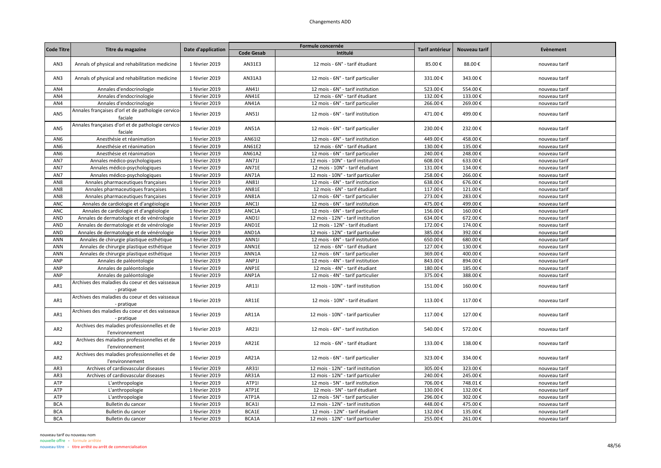| <b>Code Titre</b> |                                                                 |                    |                   | Formule concernée                  | Tarif antérieur | Nouveau tarif |               |
|-------------------|-----------------------------------------------------------------|--------------------|-------------------|------------------------------------|-----------------|---------------|---------------|
|                   | Titre du magazine                                               | Date d'application | <b>Code Gesab</b> | Intitulé                           |                 |               | Evènement     |
| AN3               | Annals of physical and rehabilitation medicine                  | 1 février 2019     | AN31E3            | 12 mois - 6N° - tarif étudiant     | 85.00€          | 88.00€        | nouveau tarif |
| AN3               | Annals of physical and rehabilitation medicine                  | 1 février 2019     | AN31A3            | 12 mois - 6N° - tarif particulier  | 331.00€         | 343.00€       | nouveau tarif |
| AN4               | Annales d'endocrinologie                                        | 1 février 2019     | AN411             | 12 mois - 6N° - tarif institution  | 523.00€         | 554.00€       | nouveau tarif |
| AN4               | Annales d'endocrinologie                                        | 1 février 2019     | AN41E             | 12 mois - 6N° - tarif étudiant     | 132.00€         | 133.00€       | nouveau tarif |
| AN4               | Annales d'endocrinologie                                        | 1 février 2019     | AN41A             | 12 mois - 6N° - tarif particulier  | 266.00€         | 269.00€       | nouveau tarif |
| AN5               | Annales françaises d'orl et de pathologie cervico-<br>faciale   | 1 février 2019     | AN511             | 12 mois - 6N° - tarif institution  | 471.00€         | 499.00€       | nouveau tarif |
| AN <sub>5</sub>   | Annales françaises d'orl et de pathologie cervico-<br>faciale   | 1 février 2019     | <b>AN51A</b>      | 12 mois - 6N° - tarif particulier  | 230.00€         | 232.00€       | nouveau tarif |
| AN <sub>6</sub>   | Anesthésie et réanimation                                       | 1 février 2019     | AN6112            | 12 mois - 6N° - tarif institution  | 449.00€         | 458.00€       | nouveau tarif |
| AN <sub>6</sub>   | Anesthésie et réanimation                                       | 1 février 2019     | AN61E2            | 12 mois - 6N° - tarif étudiant     | 130.00€         | 135.00€       | nouveau tarif |
| AN <sub>6</sub>   | Anesthésie et réanimation                                       | 1 février 2019     | AN61A2            | 12 mois - 6N° - tarif particulier  | 240.00€         | 248.00€       | nouveau tarif |
| AN7               | Annales médico-psychologiques                                   | 1 février 2019     | AN711             | 12 mois - 10N° - tarif institution | 608.00€         | 633.00€       | nouveau tarif |
| AN7               | Annales médico-psychologiques                                   | 1 février 2019     | AN71E             | 12 mois - 10N° - tarif étudiant    | 131.00€         | 134.00€       | nouveau tarif |
| AN7               | Annales médico-psychologiques                                   | 1 février 2019     | AN71A             | 12 mois - 10N° - tarif particulier | 258.00€         | 266.00€       | nouveau tarif |
| AN8               | Annales pharmaceutiques françaises                              | 1 février 2019     | AN811             | 12 mois - 6N° - tarif institution  | 638.00€         | 676.00€       | nouveau tarif |
| AN <sub>8</sub>   | Annales pharmaceutiques françaises                              | 1 février 2019     | AN81E             | 12 mois - 6N° - tarif étudiant     | 117.00€         | 121.00€       | nouveau tarif |
| AN8               | Annales pharmaceutiques françaises                              | 1 février 2019     | AN81A             | 12 mois - 6N° - tarif particulier  | 273.00€         | 283.00€       | nouveau tarif |
| <b>ANC</b>        | Annales de cardiologie et d'angéiologie                         | 1 février 2019     | ANC1I             | 12 mois - 6N° - tarif institution  | 475.00€         | 499.00€       | nouveau tarif |
| <b>ANC</b>        | Annales de cardiologie et d'angéiologie                         | 1 février 2019     | ANC1A             | 12 mois - 6N° - tarif particulier  | 156.00€         | 160.00€       | nouveau tarif |
| AND               | Annales de dermatologie et de vénérologie                       | 1 février 2019     | AND <sub>11</sub> | 12 mois - 12N° - tarif institution | 634.00€         | 672.00€       | nouveau tarif |
| AND               | Annales de dermatologie et de vénérologie                       | 1 février 2019     | AND1E             | 12 mois - 12N° - tarif étudiant    | 172.00€         | 174.00€       | nouveau tarif |
| AND               | Annales de dermatologie et de vénérologie                       | 1 février 2019     | AND1A             | 12 mois - 12N° - tarif particulier | 385.00€         | 392.00€       | nouveau tarif |
| ANN               | Annales de chirurgie plastique esthétique                       | 1 février 2019     | ANN1              | 12 mois - 6N° - tarif institution  | 650.00€         | 680.00€       | nouveau tarif |
| ANN               | Annales de chirurgie plastique esthétique                       | 1 février 2019     | ANN1E             | 12 mois - 6N° - tarif étudiant     | 127.00€         | 130.00€       | nouveau tarif |
| ANN               | Annales de chirurgie plastique esthétique                       | 1 février 2019     | ANN1A             | 12 mois - 6N° - tarif particulier  | 369.00€         | 400.00€       | nouveau tarif |
| ANP               | Annales de paléontologie                                        | 1 février 2019     | ANP1I             | 12 mois - 4N° - tarif institution  | 843.00€         | 894.00€       | nouveau tarif |
| ANP               | Annales de paléontologie                                        | 1 février 2019     | ANP1E             | 12 mois - 4N° - tarif étudiant     | 180.00€         | 185.00€       | nouveau tarif |
| ANP               | Annales de paléontologie                                        | 1 février 2019     | ANP1A             | 12 mois - 4N° - tarif particulier  | 375.00€         | 388.00€       | nouveau tarif |
| AR1               | Archives des maladies du coeur et des vaisseaux<br>- pratique   | 1 février 2019     | AR11              | 12 mois - 10N° - tarif institution | 151.00€         | 160.00€       | nouveau tarif |
| AR1               | Archives des maladies du coeur et des vaisseaux<br>- pratique   | 1 février 2019     | AR11E             | 12 mois - 10N° - tarif étudiant    | 113.00€         | 117.00€       | nouveau tarif |
| AR1               | Archives des maladies du coeur et des vaisseaux<br>- pratique   | 1 février 2019     | AR11A             | 12 mois - 10N° - tarif particulier | 117.00€         | 127.00€       | nouveau tarif |
| AR <sub>2</sub>   | Archives des maladies professionnelles et de<br>l'environnement | 1 février 2019     | AR211             | 12 mois - 6N° - tarif institution  | 540.00€         | 572.00€       | nouveau tarif |
| AR <sub>2</sub>   | Archives des maladies professionnelles et de<br>l'environnement | 1 février 2019     | AR21E             | 12 mois - 6N° - tarif étudiant     | 133.00€         | 138.00€       | nouveau tarif |
| AR <sub>2</sub>   | Archives des maladies professionnelles et de<br>l'environnement | 1 février 2019     | AR21A             | 12 mois - 6N° - tarif particulier  | 323.00€         | 334.00€       | nouveau tarif |
| AR3               | Archives of cardiovascular diseases                             | 1 février 2019     | AR311             | 12 mois - 12N° - tarif institution | 305.00€         | 323.00€       | nouveau tarif |
| AR3               | Archives of cardiovascular diseases                             | 1 février 2019     | AR31A             | 12 mois - 12N° - tarif particulier | 240.00€         | 245.00€       | nouveau tarif |
| ATP               | L'anthropologie                                                 | 1 février 2019     | ATP1I             | 12 mois - 5N° - tarif institution  | 706.00€         | 748.01€       | nouveau tarif |
| ATP               | L'anthropologie                                                 | 1 février 2019     | ATP1E             | 12 mois - 5N° - tarif étudiant     | 130.00€         | 132.00€       | nouveau tarif |
| ATP               | L'anthropologie                                                 | 1 février 2019     | ATP1A             | 12 mois - 5N° - tarif particulier  | 296.00€         | 302.00€       | nouveau tarif |
| <b>BCA</b>        | Bulletin du cancer                                              | 1 février 2019     | BCA1I             | 12 mois - 12N° - tarif institution | 448.00€         | 475.00€       | nouveau tarif |
| <b>BCA</b>        | Bulletin du cancer                                              | 1 février 2019     | BCA1E             | 12 mois - 12N° - tarif étudiant    | 132.00€         | 135.00€       | nouveau tarif |
| <b>BCA</b>        | Bulletin du cancer                                              | 1 février 2019     | BCA1A             | 12 mois - 12N° - tarif particulier | 255.00€         | 261.00€       | nouveau tarif |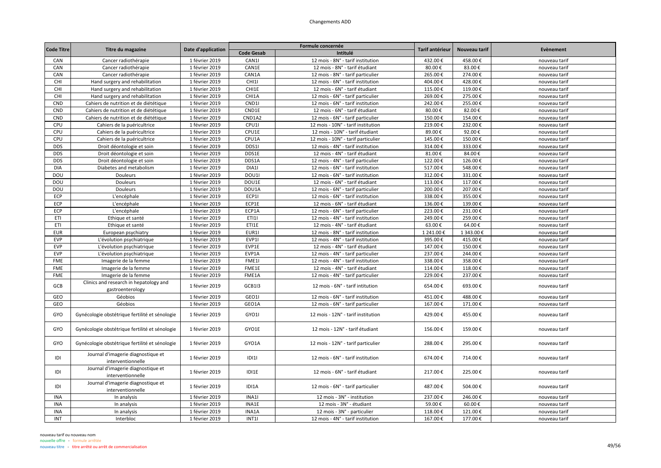|                   |                                                            |                    |                   | Formule concernée                  |                 |               | Evènement     |
|-------------------|------------------------------------------------------------|--------------------|-------------------|------------------------------------|-----------------|---------------|---------------|
| <b>Code Titre</b> | Titre du magazine                                          | Date d'application | <b>Code Gesab</b> | Intitulé                           | Tarif antérieur | Nouveau tarif |               |
| CAN               | Cancer radiothérapie                                       | 1 février 2019     | CAN1I             | 12 mois - 8N° - tarif institution  | 432.00€         | 458.00€       | nouveau tarif |
| CAN               | Cancer radiothérapie                                       | 1 février 2019     | CAN1E             | 12 mois - 8N° - tarif étudiant     | 80.00€          | 83.00€        | nouveau tarif |
| CAN               | Cancer radiothérapie                                       | 1 février 2019     | CAN1A             | 12 mois - 8N° - tarif particulier  | 265.00€         | 274.00€       | nouveau tarif |
| CHI               | Hand surgery and rehabilitation                            | 1 février 2019     | CHI1I             | 12 mois - 6N° - tarif institution  | 404.00€         | 428.00€       | nouveau tarif |
| CHI               | Hand surgery and rehabilitation                            | 1 février 2019     | CHI1E             | 12 mois - 6N° - tarif étudiant     | 115.00€         | 119.00€       | nouveau tarif |
| CHI               | Hand surgery and rehabilitation                            | 1 février 2019     | CHI1A             | 12 mois - 6N° - tarif particulier  | 269.00€         | 275.00€       | nouveau tarif |
| CND               | Cahiers de nutrition et de diététique                      | 1 février 2019     | CND11             | 12 mois - 6N° - tarif institution  | 242.00€         | 255.00€       | nouveau tarif |
| CND               | Cahiers de nutrition et de diététique                      | 1 février 2019     | CND1E             | 12 mois - 6N° - tarif étudiant     | 80.00€          | 82.00€        | nouveau tarif |
| CND               | Cahiers de nutrition et de diététique                      | 1 février 2019     | CND1A2            | 12 mois - 6N° - tarif particulier  | 150.00€         | 154.00€       | nouveau tarif |
| CPU               | Cahiers de la puéricultrice                                | 1 février 2019     | CPU1I             | 12 mois - 10N° - tarif institution | 219.00€         | 232.00€       | nouveau tarif |
| CPU               | Cahiers de la puéricultrice                                | 1 février 2019     | CPU1E             | 12 mois - 10N° - tarif étudiant    | 89.00€          | 92.00€        | nouveau tarif |
| CPU               | Cahiers de la puéricultrice                                | 1 février 2019     | CPU1A             | 12 mois - 10N° - tarif particulier | 145.00€         | 150.00€       | nouveau tarif |
| <b>DDS</b>        | Droit déontologie et soin                                  | 1 février 2019     | DDS1I             | 12 mois - 4N° - tarif institution  | 314.00€         | 333.00€       | nouveau tarif |
| <b>DDS</b>        | Droit déontologie et soin                                  | 1 février 2019     | DDS1E             | 12 mois - 4N° - tarif étudiant     | 81.00€          | 84.00€        | nouveau tarif |
| <b>DDS</b>        | Droit déontologie et soin                                  | 1 février 2019     | DDS1A             | 12 mois - 4N° - tarif particulier  | 122.00€         | 126.00€       | nouveau tarif |
| <b>DIA</b>        | Diabetes and metabolism                                    | 1 février 2019     | DIA1I             | 12 mois - 6N° - tarif institution  | 517.00€         | 548.00€       | nouveau tarif |
| DOU               | Douleurs                                                   | 1 février 2019     | DOU1              | 12 mois - 6N° - tarif institution  | 312.00€         | 331.00€       | nouveau tarif |
| DOU               | Douleurs                                                   | 1 février 2019     | DOU1E             | 12 mois - 6N° - tarif étudiant     | 113.00€         | 117.00€       | nouveau tarif |
| DOU               | <b>Douleurs</b>                                            | 1 février 2019     | DOU1A             | 12 mois - 6N° - tarif particulier  | 200.00€         | 207.00€       | nouveau tarif |
| ECP               | L'encéphale                                                | 1 février 2019     | ECP1I             | 12 mois - 6N° - tarif institution  | 338.00€         | 355.00€       | nouveau tarif |
| ECP               | L'encéphale                                                | 1 février 2019     | ECP1E             | 12 mois - 6N° - tarif étudiant     | 136.00€         | 139.00€       | nouveau tarif |
| ECP               | L'encéphale                                                | 1 février 2019     | ECP1A             | 12 mois - 6N° - tarif particulier  | 223.00€         | 231.00€       | nouveau tarif |
| ETI               | Ethique et santé                                           | 1 février 2019     | ET111             | 12 mois - 4N° - tarif institution  | 249.00€         | 259.00€       | nouveau tarif |
| ETI               | Ethique et santé                                           | 1 février 2019     | ETI1E             | 12 mois - 4N° - tarif étudiant     | 63.00€          | 64.00€        | nouveau tarif |
| <b>EUR</b>        | European psychiatry                                        | 1 février 2019     | EUR1I             | 12 mois - 8N° - tarif institution  | 1 241.00€       | 1 343.00€     | nouveau tarif |
| <b>EVP</b>        | L'évolution psychiatrique                                  | 1 février 2019     | EVP1I             | 12 mois - 4N° - tarif institution  | 395.00€         | 415.00€       | nouveau tarif |
| EVP               | L'évolution psychiatrique                                  | 1 février 2019     | EVP1E             | 12 mois - 4N° - tarif étudiant     | 147.00€         | 150.00€       | nouveau tarif |
| <b>EVP</b>        | L'évolution psychiatrique                                  | 1 février 2019     | EVP1A             | 12 mois - 4N° - tarif particulier  | 237.00€         | 244.00€       | nouveau tarif |
| <b>FME</b>        | Imagerie de la femme                                       | 1 février 2019     | FME1I             | 12 mois - 4N° - tarif institution  | 338.00€         | 358.00€       | nouveau tarif |
| <b>FME</b>        | Imagerie de la femme                                       | 1 février 2019     | FME1E             | 12 mois - 4N° - tarif étudiant     | 114.00€         | 118.00€       | nouveau tarif |
| FME               | Imagerie de la femme                                       | 1 février 2019     | FME1A             | 12 mois - 4N° - tarif particulier  | 229.00€         | 237.00€       | nouveau tarif |
| <b>GCB</b>        | Clinics and research in hepatology and<br>gastroenterology | 1 février 2019     | GCB1I3            | 12 mois - 6N° - tarif intitution   | 654.00€         | 693.00€       | nouveau tarif |
| GEO               | Géobios                                                    | 1 février 2019     | GEO1I             | 12 mois - 6N° - tarif institution  | 451.00€         | 488.00€       | nouveau tarif |
| GEO               | Géobios                                                    | 1 février 2019     | GEO1A             | 12 mois - 6N° - tarif particulier  | 167.00€         | 171.00€       | nouveau tarif |
| GYO               | Gynécologie obstétrique fertilité et sénologie             | 1 février 2019     | GYO1I             | 12 mois - 12N° - tarif institution | 429.00€         | 455.00€       | nouveau tarif |
| GYO               | Gynécologie obstétrique fertilité et sénologie             | 1 février 2019     | GYO1E             | 12 mois - 12N° - tarif étudiant    | 156.00€         | 159.00€       | nouveau tarif |
| GYO               | Gynécologie obstétrique fertilité et sénologie             | 1 février 2019     | GYO1A             | 12 mois - 12N° - tarif particulier | 288.00€         | 295.00€       | nouveau tarif |
| IDI               | Journal d'imagerie diagnostique et<br>interventionnelle    | 1 février 2019     | ID111             | 12 mois - 6N° - tarif institution  | 674.00€         | 714.00€       | nouveau tarif |
| IDI               | Journal d'imagerie diagnostique et<br>interventionnelle    | 1 février 2019     | IDI1E             | 12 mois - 6N° - tarif étudiant     | 217.00€         | 225.00€       | nouveau tarif |
| IDI               | Journal d'imagerie diagnostique et<br>interventionnelle    | 1 février 2019     | IDI1A             | 12 mois - 6N° - tarif particulier  | 487.00€         | 504.00€       | nouveau tarif |
| <b>INA</b>        | In analysis                                                | 1 février 2019     | INA1I             | 12 mois - 3N° - institution        | 237.00€         | 246.00€       | nouveau tarif |
| <b>INA</b>        | In analysis                                                | 1 février 2019     | INA1E             | 12 mois - 3N° - étudiant           | 59.00€          | 60.00€        | nouveau tarif |
| <b>INA</b>        | In analysis                                                | 1 février 2019     | INA1A             | 12 mois - 3N° - particulier        | 118.00€         | 121.00€       | nouveau tarif |
| INT               | Interbloc                                                  | 1 février 2019     | INT1              | 12 mois - 4N° - tarif institution  | 167.00€         | 177.00€       | nouveau tarif |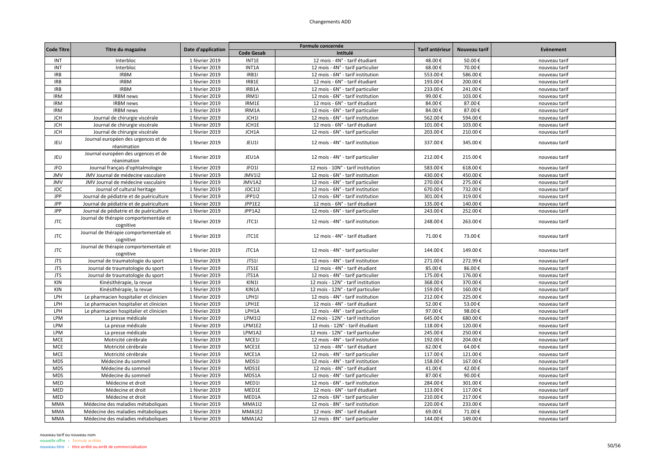| <b>Code Titre</b> | Titre du magazine                                   | Date d'application |                   | Formule concernée                  | Tarif antérieur | Nouveau tarif | Evènement     |
|-------------------|-----------------------------------------------------|--------------------|-------------------|------------------------------------|-----------------|---------------|---------------|
|                   |                                                     |                    | <b>Code Gesab</b> | Intitulé                           |                 |               |               |
| INT               | Interbloc                                           | 1 février 2019     | INT1E             | 12 mois - 4N° - tarif étudiant     | 48.00€          | 50.00€        | nouveau tarif |
| INT               | Interbloc                                           | 1 février 2019     | INT1A             | 12 mois - 4N° - tarif particulier  | 68.00€          | 70.00€        | nouveau tarif |
| <b>IRB</b>        | <b>IRBM</b>                                         | 1 février 2019     | IRB1              | 12 mois - 6N° - tarif institution  | 553.00€         | 586.00€       | nouveau tarif |
| <b>IRB</b>        | <b>IRBM</b>                                         | 1 février 2019     | IRB1E             | 12 mois - 6N° - tarif étudiant     | 193.00€         | 200.00€       | nouveau tarif |
| <b>IRB</b>        | <b>IRBM</b>                                         | 1 février 2019     | IRB1A             | 12 mois - 6N° - tarif particulier  | 233.00€         | 241.00€       | nouveau tarif |
| <b>IRM</b>        | <b>IRBM</b> news                                    | 1 février 2019     | IRM1I             | 12 mois - 6N° - tarif institution  | 99.00€          | 103.00€       | nouveau tarif |
| <b>IRM</b>        | <b>IRBM</b> news                                    | 1 février 2019     | IRM1E             | 12 mois - 6N° - tarif étudiant     | 84.00€          | 87.00€        | nouveau tarif |
| <b>IRM</b>        | <b>IRBM</b> news                                    | 1 février 2019     | IRM1A             | 12 mois - 6N° - tarif particulier  | 84.00€          | 87.00€        | nouveau tarif |
| <b>JCH</b>        | Journal de chirurgie viscérale                      | 1 février 2019     | JCH1              | 12 mois - 6N° - tarif institution  | 562.00€         | 594.00€       | nouveau tarif |
| <b>JCH</b>        | Journal de chirurgie viscérale                      | 1 février 2019     | JCH1E             | 12 mois - 6N° - tarif étudiant     | 101.00€         | 103.00€       | nouveau tarif |
| <b>JCH</b>        | Journal de chirurgie viscérale                      | 1 février 2019     | JCH1A             | 12 mois - 6N° - tarif particulier  | 203.00€         | 210.00€       | nouveau tarif |
| JEU               | Journal européen des urgences et de<br>réanimation  | 1 février 2019     | JEU1I             | 12 mois - 4N° - tarif institution  | 337.00€         | 345.00€       | nouveau tarif |
| JEU               | Journal européen des urgences et de<br>réanimation  | 1 février 2019     | JEU1A             | 12 mois - 4N° - tarif particulier  | 212.00€         | 215.00€       | nouveau tarif |
| <b>JFO</b>        | Journal français d'ophtalmologie                    | 1 février 2019     | JFO1              | 12 mois - 10N° - tarif institution | 583.00€         | 618.00€       | nouveau tarif |
| <b>JMV</b>        | JMV Journal de médecine vasculaire                  | 1 février 2019     | <b>JMV1I2</b>     | 12 mois - 6N° - tarif institution  | 430.00€         | 450.00€       | nouveau tarif |
| <b>JMV</b>        | JMV Journal de médecine vasculaire                  | 1 février 2019     | JMV1A2            | 12 mois - 6N° - tarif particulier  | 270.00€         | 275.00€       | nouveau tarif |
| JOC               | Journal of cultural heritage                        | 1 février 2019     | <b>JOC1I2</b>     | 12 mois - 6N° - tarif institution  | 670.00€         | 732.00€       | nouveau tarif |
| <b>JPP</b>        | Journal de pédiatrie et de puériculture             | 1 février 2019     | <b>JPP1I2</b>     | 12 mois - 6N° - tarif institution  | 301.00€         | 319.00€       | nouveau tarif |
| JPP               | Journal de pédiatrie et de puériculture             | 1 février 2019     | JPP1E2            | 12 mois - 6N° - tarif étudiant     | 135.00€         | 140.00€       | nouveau tarif |
| JPP               | Journal de pédiatrie et de puériculture             | 1 février 2019     | JPP1A2            | 12 mois - 6N° - tarif particulier  | 243.00€         | 252.00€       | nouveau tarif |
| <b>JTC</b>        | Journal de thérapie comportementale et<br>cognitive | 1 février 2019     | JTC11             | 12 mois - 4N° - tarif institution  | 248.00€         | 263.00€       | nouveau tarif |
| <b>JTC</b>        | Journal de thérapie comportementale et<br>cognitive | 1 février 2019     | JTC1E             | 12 mois - 4N° - tarif étudiant     | 71.00€          | 73.00€        | nouveau tarif |
| <b>JTC</b>        | Journal de thérapie comportementale et<br>cognitive | 1 février 2019     | JTC1A             | 12 mois - 4N° - tarif particulier  | 144.00€         | 149.00€       | nouveau tarif |
| <b>JTS</b>        | Journal de traumatologie du sport                   | 1 février 2019     | JTS1I             | 12 mois - 4N° - tarif institution  | 271.00€         | 272.99€       | nouveau tarif |
| <b>JTS</b>        | Journal de traumatologie du sport                   | 1 février 2019     | JTS1E             | 12 mois - 4N° - tarif étudiant     | 85.00€          | 86.00€        | nouveau tarif |
| <b>JTS</b>        | Journal de traumatologie du sport                   | 1 février 2019     | JTS1A             | 12 mois - 4N° - tarif particulier  | 175.00€         | 176.00€       | nouveau tarif |
| KIN               | Kinésithérapie, la revue                            | 1 février 2019     | KIN1              | 12 mois - 12N° - tarif institution | 368.00€         | 370.00€       | nouveau tarif |
| KIN               | Kinésithérapie, la revue                            | 1 février 2019     | KIN1A             | 12 mois - 12N° - tarif particulier | 159.00€         | 160.00€       | nouveau tarif |
| LPH               | Le pharmacien hospitalier et clinicien              | 1 février 2019     | LPH11             | 12 mois - 4N° - tarif institution  | 212.00€         | 225.00€       | nouveau tarif |
| LPH               | Le pharmacien hospitalier et clinicien              | 1 février 2019     | LPH1E             | 12 mois - 4N° - tarif étudiant     | 52.00€          | 53.00€        | nouveau tarif |
| LPH               | Le pharmacien hospitalier et clinicien              | 1 février 2019     | LPH1A             | 12 mois - 4N° - tarif particulier  | 97.00€          | 98.00€        | nouveau tarif |
| LPM               | La presse médicale                                  | 1 février 2019     | <b>LPM1I2</b>     | 12 mois - 12N° - tarif institution | 645.00€         | 680.00€       | nouveau tarif |
| LPM               | La presse médicale                                  | 1 février 2019     | LPM1E2            | 12 mois - 12N° - tarif étudiant    | 118.00€         | 120.00€       | nouveau tarif |
| LPM               | La presse médicale                                  | 1 février 2019     | LPM1A2            | 12 mois - 12N° - tarif particulier | 245.00€         | 250.00€       | nouveau tarif |
| MCE               | Motricité cérébrale                                 | 1 février 2019     | MCE1I             | 12 mois - 4N° - tarif institution  | 192.00€         | 204.00€       | nouveau tarif |
| MCE               | Motricité cérébrale                                 | 1 février 2019     | MCE1E             | 12 mois - 4N° - tarif étudiant     | 62.00€          | 64.00€        | nouveau tarif |
| MCE               | Motricité cérébrale                                 | 1 février 2019     | MCE1A             | 12 mois - 4N° - tarif particulier  | 117.00€         | 121.00€       | nouveau tarif |
| <b>MDS</b>        | Médecine du sommeil                                 | 1 février 2019     | MDS1              | 12 mois - 4N° - tarif institution  | 158.00€         | 167.00€       | nouveau tarif |
| <b>MDS</b>        | Médecine du sommeil                                 | 1 février 2019     | MDS1E             | 12 mois - 4N° - tarif étudiant     | 41.00€          | 42.00€        | nouveau tarif |
| <b>MDS</b>        | Médecine du sommeil                                 | 1 février 2019     | MDS1A             | 12 mois - 4N° - tarif particulier  | 87.00€          | 90.00€        | nouveau tarif |
| MED               | Médecine et droit                                   | 1 février 2019     | MED1              | 12 mois - 6N° - tarif institution  | 284.00€         | 301.00€       | nouveau tarif |
| MED               | Médecine et droit                                   | 1 février 2019     | MED1E             | 12 mois - 6N° - tarif étudiant     | 113.00€         | 117.00€       | nouveau tarif |
| MED               | Médecine et droit                                   | 1 février 2019     | MED1A             | 12 mois - 6N° - tarif particulier  | 210.00€         | 217.00€       | nouveau tarif |
| <b>MMA</b>        | Médecine des maladies métaboliques                  | 1 février 2019     | <b>MMA112</b>     | 12 mois - 8N° - tarif institution  | 220.00€         | 233.00€       | nouveau tarif |
| <b>MMA</b>        | Médecine des maladies métaboliques                  | 1 février 2019     | MMA1E2            | 12 mois - 8N° - tarif étudiant     | 69.00€          | 71.00€        | nouveau tarif |
| <b>MMA</b>        | Médecine des maladies métaboliques                  | 1 février 2019     | MMA1A2            | 12 mois - 8N° - tarif particulier  | 144.00€         | 149.00€       | nouveau tarif |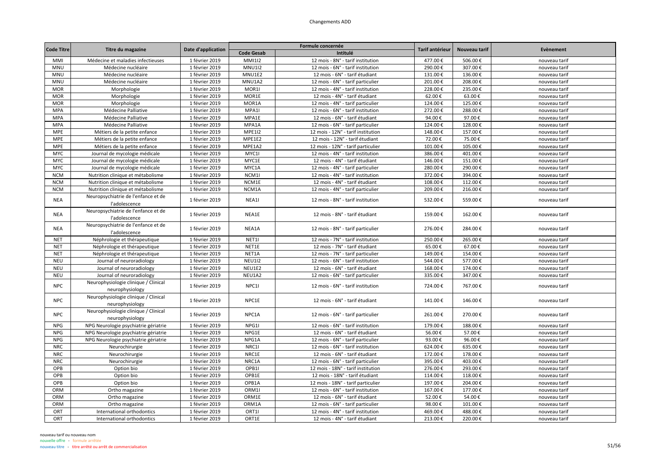| <b>Code Gesab</b><br>Intitulé<br>1 février 2019<br><b>MMI1I2</b><br>MMI<br>12 mois - 8N° - tarif institution<br>477.00€<br>506.00€<br>nouveau tarif<br>Médecine et maladies infectieuses<br>1 février 2019<br><b>MNU1I2</b><br>307.00€<br><b>MNU</b><br>Médecine nucléaire<br>12 mois - 6N° - tarif institution<br>290.00€<br>nouveau tarif<br><b>MNU</b><br>Médecine nucléaire<br>1 février 2019<br>MNU1E2<br>12 mois - 6N° - tarif étudiant<br>131.00€<br>136.00€<br>nouveau tarif<br><b>MNU</b><br>MNU1A2<br>208.00€<br>Médecine nucléaire<br>1 février 2019<br>12 mois - 6N° - tarif particulier<br>201.00€<br>nouveau tarif<br><b>MOR</b><br>1 février 2019<br>MOR1I<br>12 mois - 4N° - tarif institution<br>228.00€<br>235.00€<br>Morphologie<br>nouveau tarif<br><b>MOR</b><br>1 février 2019<br>MOR1E<br>63.00€<br>Morphologie<br>12 mois - 4N° - tarif étudiant<br>62.00€<br>nouveau tarif<br>MOR1A<br>125.00€<br><b>MOR</b><br>Morphologie<br>1 février 2019<br>12 mois - 4N° - tarif particulier<br>124.00€<br>nouveau tarif<br>1 février 2019<br>MPA1I<br>272.00€<br>288.00€<br><b>MPA</b><br>Médecine Palliative<br>12 mois - 6N° - tarif institution<br>nouveau tarif<br>1 février 2019<br>MPA1E<br>94.00€<br>97.00€<br><b>MPA</b><br>Médecine Palliative<br>12 mois - 6N° - tarif étudiant<br>nouveau tarif<br>128.00€<br><b>MPA</b><br>Médecine Palliative<br>1 février 2019<br>MPA1A<br>12 mois - 6N° - tarif particulier<br>124.00€<br>nouveau tarif<br><b>MPE</b><br>1 février 2019<br><b>MPE1I2</b><br>12 mois - 12N° - tarif institution<br>148.00€<br>157.00€<br>Métiers de la petite enfance<br>nouveau tarif<br>1 février 2019<br>75.00€<br><b>MPE</b><br>Métiers de la petite enfance<br>MPE1E2<br>12 mois - 12N° - tarif étudiant<br>72.00€<br>nouveau tarif<br><b>MPE</b><br>1 février 2019<br>MPE1A2<br>101.00€<br>105.00€<br>Métiers de la petite enfance<br>12 mois - 12N° - tarif particulier<br>nouveau tarif<br>MYC11<br>401.00€<br><b>MYC</b><br>Journal de mycologie médicale<br>1 février 2019<br>12 mois - 4N° - tarif institution<br>386.00€<br>nouveau tarif<br>MYC1E<br><b>MYC</b><br>Journal de mycologie médicale<br>1 février 2019<br>12 mois - 4N° - tarif étudiant<br>146.00€<br>151.00€<br>nouveau tarif<br><b>MYC</b><br>1 février 2019<br>MYC1A<br>280.00€<br>290.00€<br>Journal de mycologie médicale<br>12 mois - 4N° - tarif particulier<br>nouveau tarif<br><b>NCM</b><br>1 février 2019<br>NCM1I<br>372.00€<br>394.00€<br>Nutrition clinique et métabolisme<br>12 mois - 4N° - tarif institution<br>nouveau tarif<br><b>NCM</b><br>1 février 2019<br>NCM1E<br>108.00€<br>112.00€<br>Nutrition clinique et métabolisme<br>12 mois - 4N° - tarif étudiant<br>nouveau tarif<br><b>NCM</b><br>Nutrition clinique et métabolisme<br>1 février 2019<br>NCM1A<br>12 mois - 4N° - tarif particulier<br>209.00€<br>216.00€<br>nouveau tarif<br>Neuropsychiatrie de l'enfance et de<br>1 février 2019<br>NEA1I<br>532.00€<br><b>NEA</b><br>12 mois - 8N° - tarif institution<br>559.00€<br>nouveau tarif<br>l'adolescence<br>Neuropsychiatrie de l'enfance et de<br>159.00€<br>162.00€<br><b>NEA</b><br>1 février 2019<br>NEA1E<br>12 mois - 8N° - tarif étudiant<br>nouveau tarif<br>l'adolescence<br>Neuropsychiatrie de l'enfance et de<br><b>NEA</b><br>1 février 2019<br>NEA1A<br>12 mois - 8N° - tarif particulier<br>276.00€<br>284.00€<br>nouveau tarif<br>l'adolescence<br>NET1I<br>250.00€<br>265.00€<br><b>NET</b><br>Néphrologie et thérapeutique<br>1 février 2019<br>12 mois - 7N° - tarif institution<br>nouveau tarif<br>NET1E<br><b>NET</b><br>Néphrologie et thérapeutique<br>1 février 2019<br>12 mois - 7N° - tarif étudiant<br>65.00€<br>67.00€<br>nouveau tarif<br><b>NET</b><br>Néphrologie et thérapeutique<br>1 février 2019<br>NET1A<br>149.00€<br>154.00€<br>12 mois - 7N° - tarif particulier<br>nouveau tarif<br><b>NEU</b><br>1 février 2019<br><b>NEU1I2</b><br>544.00€<br>577.00€<br>Journal of neuroradiology<br>12 mois - 6N° - tarif institution<br>nouveau tarif<br><b>NEU</b><br>1 février 2019<br>NEU1E2<br>168.00€<br>174.00€<br>Journal of neuroradiology<br>12 mois - 6N° - tarif étudiant<br>nouveau tarif<br><b>NEU</b><br>NEU1A2<br>335.00€<br>347.00€<br>Journal of neuroradiology<br>1 février 2019<br>12 mois - 6N° - tarif particulier<br>nouveau tarif<br>Neurophysiologie clinique / Clinical<br><b>NPC</b><br>1 février 2019<br>NPC11<br>724.00€<br>767.00€<br>12 mois - 6N° - tarif institution<br>nouveau tarif<br>neurophysiology<br>Neurophysiologie clinique / Clinical<br><b>NPC</b><br>1 février 2019<br>NPC1E<br>141.00€<br>12 mois - 6N° - tarif étudiant<br>146.00€<br>nouveau tarif<br>neurophysiology<br>Neurophysiologie clinique / Clinical<br><b>NPC</b><br>1 février 2019<br>NPC1A<br>261.00€<br>12 mois - 6N° - tarif particulier<br>270.00€<br>nouveau tarif<br>neurophysiology<br>1 février 2019<br>NPG1I<br>179.00€<br>188.00€<br><b>NPG</b><br>NPG Neurologie psychiatrie gériatrie<br>12 mois - 6N° - tarif institution<br>nouveau tarif<br><b>NPG</b><br>NPG Neurologie psychiatrie gériatrie<br>1 février 2019<br>NPG1E<br>56.00€<br>57.00€<br>12 mois - 6N° - tarif étudiant<br>nouveau tarif<br><b>NPG</b><br>1 février 2019<br>NPG1A<br>93.00€<br>96.00€<br>NPG Neurologie psychiatrie gériatrie<br>12 mois - 6N° - tarif particulier<br>nouveau tarif<br><b>NRC</b><br>NRC1I<br>635.00€<br>Neurochirurgie<br>1 février 2019<br>12 mois - 6N° - tarif institution<br>624.00€<br>nouveau tarif<br><b>NRC</b><br>1 février 2019<br>NRC1E<br>12 mois - 6N° - tarif étudiant<br>172.00€<br>178.00€<br>Neurochirurgie<br>nouveau tarif<br><b>NRC</b><br>NRC1A<br>395.00€<br>403.00€<br>Neurochirurgie<br>1 février 2019<br>12 mois - 6N° - tarif particulier<br>nouveau tarif<br>OPB<br>OPB1I<br>293.00€<br>Option bio<br>1 février 2019<br>12 mois - 18N° - tarif institution<br>276.00€<br>nouveau tarif<br>OPB1E<br>OPB<br>Option bio<br>1 février 2019<br>12 mois - 18N° - tarif étudiant<br>114.00€<br>118.00€<br>nouveau tarif<br>OPB<br>OPB1A<br>204.00€<br>Option bio<br>1 février 2019<br>12 mois - 18N° - tarif particulier<br>197.00€<br>nouveau tarif<br>177.00€<br>ORM<br>1 février 2019<br>ORM1<br>12 mois - 6N° - tarif institution<br>167.00€<br>Ortho magazine<br>nouveau tarif<br>ORM<br>1 février 2019<br>ORM1E<br>12 mois - 6N° - tarif étudiant<br>52.00€<br>54.00€<br>nouveau tarif<br>Ortho magazine<br>ORM<br>Ortho magazine<br>1 février 2019<br>ORM1A<br>12 mois - 6N° - tarif particulier<br>98.00€<br>101.00€<br>nouveau tarif<br>ORT<br>ORT1I<br>488.00€<br>International orthodontics<br>1 février 2019<br>12 mois - 4N° - tarif institution<br>469.00€<br>nouveau tarif<br>ORT1E<br>ORT<br>International orthodontics<br>1 février 2019<br>12 mois - 4N° - tarif étudiant<br>213.00€<br>220.00€<br>nouveau tarif |                   |                   |                    | Formule concernée | Tarif antérieur | Nouveau tarif | Evènement |
|---------------------------------------------------------------------------------------------------------------------------------------------------------------------------------------------------------------------------------------------------------------------------------------------------------------------------------------------------------------------------------------------------------------------------------------------------------------------------------------------------------------------------------------------------------------------------------------------------------------------------------------------------------------------------------------------------------------------------------------------------------------------------------------------------------------------------------------------------------------------------------------------------------------------------------------------------------------------------------------------------------------------------------------------------------------------------------------------------------------------------------------------------------------------------------------------------------------------------------------------------------------------------------------------------------------------------------------------------------------------------------------------------------------------------------------------------------------------------------------------------------------------------------------------------------------------------------------------------------------------------------------------------------------------------------------------------------------------------------------------------------------------------------------------------------------------------------------------------------------------------------------------------------------------------------------------------------------------------------------------------------------------------------------------------------------------------------------------------------------------------------------------------------------------------------------------------------------------------------------------------------------------------------------------------------------------------------------------------------------------------------------------------------------------------------------------------------------------------------------------------------------------------------------------------------------------------------------------------------------------------------------------------------------------------------------------------------------------------------------------------------------------------------------------------------------------------------------------------------------------------------------------------------------------------------------------------------------------------------------------------------------------------------------------------------------------------------------------------------------------------------------------------------------------------------------------------------------------------------------------------------------------------------------------------------------------------------------------------------------------------------------------------------------------------------------------------------------------------------------------------------------------------------------------------------------------------------------------------------------------------------------------------------------------------------------------------------------------------------------------------------------------------------------------------------------------------------------------------------------------------------------------------------------------------------------------------------------------------------------------------------------------------------------------------------------------------------------------------------------------------------------------------------------------------------------------------------------------------------------------------------------------------------------------------------------------------------------------------------------------------------------------------------------------------------------------------------------------------------------------------------------------------------------------------------------------------------------------------------------------------------------------------------------------------------------------------------------------------------------------------------------------------------------------------------------------------------------------------------------------------------------------------------------------------------------------------------------------------------------------------------------------------------------------------------------------------------------------------------------------------------------------------------------------------------------------------------------------------------------------------------------------------------------------------------------------------------------------------------------------------------------------------------------------------------------------------------------------------------------------------------------------------------------------------------------------------------------------------------------------------------------------------------------------------------------------------------------------------------------------------------------------------------------------------------------------------------------------------------------------------------------------------------------------------------------------------------------------------------------------------------------------------------------------------------------------------------------------------------------------------------------------------------------------------------------------------------------------------------------------------------------------------------------------------------------------------------------------------------------------------------------------------------------------------------------------------------------------------------------------------------------------------------------------------------------------------------------------------------------------------------------------------------------------------------------------------------------------------------------------------------------------------------------------------------------------------------------------------------------------|-------------------|-------------------|--------------------|-------------------|-----------------|---------------|-----------|
|                                                                                                                                                                                                                                                                                                                                                                                                                                                                                                                                                                                                                                                                                                                                                                                                                                                                                                                                                                                                                                                                                                                                                                                                                                                                                                                                                                                                                                                                                                                                                                                                                                                                                                                                                                                                                                                                                                                                                                                                                                                                                                                                                                                                                                                                                                                                                                                                                                                                                                                                                                                                                                                                                                                                                                                                                                                                                                                                                                                                                                                                                                                                                                                                                                                                                                                                                                                                                                                                                                                                                                                                                                                                                                                                                                                                                                                                                                                                                                                                                                                                                                                                                                                                                                                                                                                                                                                                                                                                                                                                                                                                                                                                                                                                                                                                                                                                                                                                                                                                                                                                                                                                                                                                                                                                                                                                                                                                                                                                                                                                                                                                                                                                                                                                                                                                                                                                                                                                                                                                                                                                                                                                                                                                                                                                                                                                                                                                                                                                                                                                                                                                                                                                                                                                                                                                                                                                     | <b>Code Titre</b> | Titre du magazine | Date d'application |                   |                 |               |           |
|                                                                                                                                                                                                                                                                                                                                                                                                                                                                                                                                                                                                                                                                                                                                                                                                                                                                                                                                                                                                                                                                                                                                                                                                                                                                                                                                                                                                                                                                                                                                                                                                                                                                                                                                                                                                                                                                                                                                                                                                                                                                                                                                                                                                                                                                                                                                                                                                                                                                                                                                                                                                                                                                                                                                                                                                                                                                                                                                                                                                                                                                                                                                                                                                                                                                                                                                                                                                                                                                                                                                                                                                                                                                                                                                                                                                                                                                                                                                                                                                                                                                                                                                                                                                                                                                                                                                                                                                                                                                                                                                                                                                                                                                                                                                                                                                                                                                                                                                                                                                                                                                                                                                                                                                                                                                                                                                                                                                                                                                                                                                                                                                                                                                                                                                                                                                                                                                                                                                                                                                                                                                                                                                                                                                                                                                                                                                                                                                                                                                                                                                                                                                                                                                                                                                                                                                                                                                     |                   |                   |                    |                   |                 |               |           |
|                                                                                                                                                                                                                                                                                                                                                                                                                                                                                                                                                                                                                                                                                                                                                                                                                                                                                                                                                                                                                                                                                                                                                                                                                                                                                                                                                                                                                                                                                                                                                                                                                                                                                                                                                                                                                                                                                                                                                                                                                                                                                                                                                                                                                                                                                                                                                                                                                                                                                                                                                                                                                                                                                                                                                                                                                                                                                                                                                                                                                                                                                                                                                                                                                                                                                                                                                                                                                                                                                                                                                                                                                                                                                                                                                                                                                                                                                                                                                                                                                                                                                                                                                                                                                                                                                                                                                                                                                                                                                                                                                                                                                                                                                                                                                                                                                                                                                                                                                                                                                                                                                                                                                                                                                                                                                                                                                                                                                                                                                                                                                                                                                                                                                                                                                                                                                                                                                                                                                                                                                                                                                                                                                                                                                                                                                                                                                                                                                                                                                                                                                                                                                                                                                                                                                                                                                                                                     |                   |                   |                    |                   |                 |               |           |
|                                                                                                                                                                                                                                                                                                                                                                                                                                                                                                                                                                                                                                                                                                                                                                                                                                                                                                                                                                                                                                                                                                                                                                                                                                                                                                                                                                                                                                                                                                                                                                                                                                                                                                                                                                                                                                                                                                                                                                                                                                                                                                                                                                                                                                                                                                                                                                                                                                                                                                                                                                                                                                                                                                                                                                                                                                                                                                                                                                                                                                                                                                                                                                                                                                                                                                                                                                                                                                                                                                                                                                                                                                                                                                                                                                                                                                                                                                                                                                                                                                                                                                                                                                                                                                                                                                                                                                                                                                                                                                                                                                                                                                                                                                                                                                                                                                                                                                                                                                                                                                                                                                                                                                                                                                                                                                                                                                                                                                                                                                                                                                                                                                                                                                                                                                                                                                                                                                                                                                                                                                                                                                                                                                                                                                                                                                                                                                                                                                                                                                                                                                                                                                                                                                                                                                                                                                                                     |                   |                   |                    |                   |                 |               |           |
|                                                                                                                                                                                                                                                                                                                                                                                                                                                                                                                                                                                                                                                                                                                                                                                                                                                                                                                                                                                                                                                                                                                                                                                                                                                                                                                                                                                                                                                                                                                                                                                                                                                                                                                                                                                                                                                                                                                                                                                                                                                                                                                                                                                                                                                                                                                                                                                                                                                                                                                                                                                                                                                                                                                                                                                                                                                                                                                                                                                                                                                                                                                                                                                                                                                                                                                                                                                                                                                                                                                                                                                                                                                                                                                                                                                                                                                                                                                                                                                                                                                                                                                                                                                                                                                                                                                                                                                                                                                                                                                                                                                                                                                                                                                                                                                                                                                                                                                                                                                                                                                                                                                                                                                                                                                                                                                                                                                                                                                                                                                                                                                                                                                                                                                                                                                                                                                                                                                                                                                                                                                                                                                                                                                                                                                                                                                                                                                                                                                                                                                                                                                                                                                                                                                                                                                                                                                                     |                   |                   |                    |                   |                 |               |           |
|                                                                                                                                                                                                                                                                                                                                                                                                                                                                                                                                                                                                                                                                                                                                                                                                                                                                                                                                                                                                                                                                                                                                                                                                                                                                                                                                                                                                                                                                                                                                                                                                                                                                                                                                                                                                                                                                                                                                                                                                                                                                                                                                                                                                                                                                                                                                                                                                                                                                                                                                                                                                                                                                                                                                                                                                                                                                                                                                                                                                                                                                                                                                                                                                                                                                                                                                                                                                                                                                                                                                                                                                                                                                                                                                                                                                                                                                                                                                                                                                                                                                                                                                                                                                                                                                                                                                                                                                                                                                                                                                                                                                                                                                                                                                                                                                                                                                                                                                                                                                                                                                                                                                                                                                                                                                                                                                                                                                                                                                                                                                                                                                                                                                                                                                                                                                                                                                                                                                                                                                                                                                                                                                                                                                                                                                                                                                                                                                                                                                                                                                                                                                                                                                                                                                                                                                                                                                     |                   |                   |                    |                   |                 |               |           |
|                                                                                                                                                                                                                                                                                                                                                                                                                                                                                                                                                                                                                                                                                                                                                                                                                                                                                                                                                                                                                                                                                                                                                                                                                                                                                                                                                                                                                                                                                                                                                                                                                                                                                                                                                                                                                                                                                                                                                                                                                                                                                                                                                                                                                                                                                                                                                                                                                                                                                                                                                                                                                                                                                                                                                                                                                                                                                                                                                                                                                                                                                                                                                                                                                                                                                                                                                                                                                                                                                                                                                                                                                                                                                                                                                                                                                                                                                                                                                                                                                                                                                                                                                                                                                                                                                                                                                                                                                                                                                                                                                                                                                                                                                                                                                                                                                                                                                                                                                                                                                                                                                                                                                                                                                                                                                                                                                                                                                                                                                                                                                                                                                                                                                                                                                                                                                                                                                                                                                                                                                                                                                                                                                                                                                                                                                                                                                                                                                                                                                                                                                                                                                                                                                                                                                                                                                                                                     |                   |                   |                    |                   |                 |               |           |
|                                                                                                                                                                                                                                                                                                                                                                                                                                                                                                                                                                                                                                                                                                                                                                                                                                                                                                                                                                                                                                                                                                                                                                                                                                                                                                                                                                                                                                                                                                                                                                                                                                                                                                                                                                                                                                                                                                                                                                                                                                                                                                                                                                                                                                                                                                                                                                                                                                                                                                                                                                                                                                                                                                                                                                                                                                                                                                                                                                                                                                                                                                                                                                                                                                                                                                                                                                                                                                                                                                                                                                                                                                                                                                                                                                                                                                                                                                                                                                                                                                                                                                                                                                                                                                                                                                                                                                                                                                                                                                                                                                                                                                                                                                                                                                                                                                                                                                                                                                                                                                                                                                                                                                                                                                                                                                                                                                                                                                                                                                                                                                                                                                                                                                                                                                                                                                                                                                                                                                                                                                                                                                                                                                                                                                                                                                                                                                                                                                                                                                                                                                                                                                                                                                                                                                                                                                                                     |                   |                   |                    |                   |                 |               |           |
|                                                                                                                                                                                                                                                                                                                                                                                                                                                                                                                                                                                                                                                                                                                                                                                                                                                                                                                                                                                                                                                                                                                                                                                                                                                                                                                                                                                                                                                                                                                                                                                                                                                                                                                                                                                                                                                                                                                                                                                                                                                                                                                                                                                                                                                                                                                                                                                                                                                                                                                                                                                                                                                                                                                                                                                                                                                                                                                                                                                                                                                                                                                                                                                                                                                                                                                                                                                                                                                                                                                                                                                                                                                                                                                                                                                                                                                                                                                                                                                                                                                                                                                                                                                                                                                                                                                                                                                                                                                                                                                                                                                                                                                                                                                                                                                                                                                                                                                                                                                                                                                                                                                                                                                                                                                                                                                                                                                                                                                                                                                                                                                                                                                                                                                                                                                                                                                                                                                                                                                                                                                                                                                                                                                                                                                                                                                                                                                                                                                                                                                                                                                                                                                                                                                                                                                                                                                                     |                   |                   |                    |                   |                 |               |           |
|                                                                                                                                                                                                                                                                                                                                                                                                                                                                                                                                                                                                                                                                                                                                                                                                                                                                                                                                                                                                                                                                                                                                                                                                                                                                                                                                                                                                                                                                                                                                                                                                                                                                                                                                                                                                                                                                                                                                                                                                                                                                                                                                                                                                                                                                                                                                                                                                                                                                                                                                                                                                                                                                                                                                                                                                                                                                                                                                                                                                                                                                                                                                                                                                                                                                                                                                                                                                                                                                                                                                                                                                                                                                                                                                                                                                                                                                                                                                                                                                                                                                                                                                                                                                                                                                                                                                                                                                                                                                                                                                                                                                                                                                                                                                                                                                                                                                                                                                                                                                                                                                                                                                                                                                                                                                                                                                                                                                                                                                                                                                                                                                                                                                                                                                                                                                                                                                                                                                                                                                                                                                                                                                                                                                                                                                                                                                                                                                                                                                                                                                                                                                                                                                                                                                                                                                                                                                     |                   |                   |                    |                   |                 |               |           |
|                                                                                                                                                                                                                                                                                                                                                                                                                                                                                                                                                                                                                                                                                                                                                                                                                                                                                                                                                                                                                                                                                                                                                                                                                                                                                                                                                                                                                                                                                                                                                                                                                                                                                                                                                                                                                                                                                                                                                                                                                                                                                                                                                                                                                                                                                                                                                                                                                                                                                                                                                                                                                                                                                                                                                                                                                                                                                                                                                                                                                                                                                                                                                                                                                                                                                                                                                                                                                                                                                                                                                                                                                                                                                                                                                                                                                                                                                                                                                                                                                                                                                                                                                                                                                                                                                                                                                                                                                                                                                                                                                                                                                                                                                                                                                                                                                                                                                                                                                                                                                                                                                                                                                                                                                                                                                                                                                                                                                                                                                                                                                                                                                                                                                                                                                                                                                                                                                                                                                                                                                                                                                                                                                                                                                                                                                                                                                                                                                                                                                                                                                                                                                                                                                                                                                                                                                                                                     |                   |                   |                    |                   |                 |               |           |
|                                                                                                                                                                                                                                                                                                                                                                                                                                                                                                                                                                                                                                                                                                                                                                                                                                                                                                                                                                                                                                                                                                                                                                                                                                                                                                                                                                                                                                                                                                                                                                                                                                                                                                                                                                                                                                                                                                                                                                                                                                                                                                                                                                                                                                                                                                                                                                                                                                                                                                                                                                                                                                                                                                                                                                                                                                                                                                                                                                                                                                                                                                                                                                                                                                                                                                                                                                                                                                                                                                                                                                                                                                                                                                                                                                                                                                                                                                                                                                                                                                                                                                                                                                                                                                                                                                                                                                                                                                                                                                                                                                                                                                                                                                                                                                                                                                                                                                                                                                                                                                                                                                                                                                                                                                                                                                                                                                                                                                                                                                                                                                                                                                                                                                                                                                                                                                                                                                                                                                                                                                                                                                                                                                                                                                                                                                                                                                                                                                                                                                                                                                                                                                                                                                                                                                                                                                                                     |                   |                   |                    |                   |                 |               |           |
|                                                                                                                                                                                                                                                                                                                                                                                                                                                                                                                                                                                                                                                                                                                                                                                                                                                                                                                                                                                                                                                                                                                                                                                                                                                                                                                                                                                                                                                                                                                                                                                                                                                                                                                                                                                                                                                                                                                                                                                                                                                                                                                                                                                                                                                                                                                                                                                                                                                                                                                                                                                                                                                                                                                                                                                                                                                                                                                                                                                                                                                                                                                                                                                                                                                                                                                                                                                                                                                                                                                                                                                                                                                                                                                                                                                                                                                                                                                                                                                                                                                                                                                                                                                                                                                                                                                                                                                                                                                                                                                                                                                                                                                                                                                                                                                                                                                                                                                                                                                                                                                                                                                                                                                                                                                                                                                                                                                                                                                                                                                                                                                                                                                                                                                                                                                                                                                                                                                                                                                                                                                                                                                                                                                                                                                                                                                                                                                                                                                                                                                                                                                                                                                                                                                                                                                                                                                                     |                   |                   |                    |                   |                 |               |           |
|                                                                                                                                                                                                                                                                                                                                                                                                                                                                                                                                                                                                                                                                                                                                                                                                                                                                                                                                                                                                                                                                                                                                                                                                                                                                                                                                                                                                                                                                                                                                                                                                                                                                                                                                                                                                                                                                                                                                                                                                                                                                                                                                                                                                                                                                                                                                                                                                                                                                                                                                                                                                                                                                                                                                                                                                                                                                                                                                                                                                                                                                                                                                                                                                                                                                                                                                                                                                                                                                                                                                                                                                                                                                                                                                                                                                                                                                                                                                                                                                                                                                                                                                                                                                                                                                                                                                                                                                                                                                                                                                                                                                                                                                                                                                                                                                                                                                                                                                                                                                                                                                                                                                                                                                                                                                                                                                                                                                                                                                                                                                                                                                                                                                                                                                                                                                                                                                                                                                                                                                                                                                                                                                                                                                                                                                                                                                                                                                                                                                                                                                                                                                                                                                                                                                                                                                                                                                     |                   |                   |                    |                   |                 |               |           |
|                                                                                                                                                                                                                                                                                                                                                                                                                                                                                                                                                                                                                                                                                                                                                                                                                                                                                                                                                                                                                                                                                                                                                                                                                                                                                                                                                                                                                                                                                                                                                                                                                                                                                                                                                                                                                                                                                                                                                                                                                                                                                                                                                                                                                                                                                                                                                                                                                                                                                                                                                                                                                                                                                                                                                                                                                                                                                                                                                                                                                                                                                                                                                                                                                                                                                                                                                                                                                                                                                                                                                                                                                                                                                                                                                                                                                                                                                                                                                                                                                                                                                                                                                                                                                                                                                                                                                                                                                                                                                                                                                                                                                                                                                                                                                                                                                                                                                                                                                                                                                                                                                                                                                                                                                                                                                                                                                                                                                                                                                                                                                                                                                                                                                                                                                                                                                                                                                                                                                                                                                                                                                                                                                                                                                                                                                                                                                                                                                                                                                                                                                                                                                                                                                                                                                                                                                                                                     |                   |                   |                    |                   |                 |               |           |
|                                                                                                                                                                                                                                                                                                                                                                                                                                                                                                                                                                                                                                                                                                                                                                                                                                                                                                                                                                                                                                                                                                                                                                                                                                                                                                                                                                                                                                                                                                                                                                                                                                                                                                                                                                                                                                                                                                                                                                                                                                                                                                                                                                                                                                                                                                                                                                                                                                                                                                                                                                                                                                                                                                                                                                                                                                                                                                                                                                                                                                                                                                                                                                                                                                                                                                                                                                                                                                                                                                                                                                                                                                                                                                                                                                                                                                                                                                                                                                                                                                                                                                                                                                                                                                                                                                                                                                                                                                                                                                                                                                                                                                                                                                                                                                                                                                                                                                                                                                                                                                                                                                                                                                                                                                                                                                                                                                                                                                                                                                                                                                                                                                                                                                                                                                                                                                                                                                                                                                                                                                                                                                                                                                                                                                                                                                                                                                                                                                                                                                                                                                                                                                                                                                                                                                                                                                                                     |                   |                   |                    |                   |                 |               |           |
|                                                                                                                                                                                                                                                                                                                                                                                                                                                                                                                                                                                                                                                                                                                                                                                                                                                                                                                                                                                                                                                                                                                                                                                                                                                                                                                                                                                                                                                                                                                                                                                                                                                                                                                                                                                                                                                                                                                                                                                                                                                                                                                                                                                                                                                                                                                                                                                                                                                                                                                                                                                                                                                                                                                                                                                                                                                                                                                                                                                                                                                                                                                                                                                                                                                                                                                                                                                                                                                                                                                                                                                                                                                                                                                                                                                                                                                                                                                                                                                                                                                                                                                                                                                                                                                                                                                                                                                                                                                                                                                                                                                                                                                                                                                                                                                                                                                                                                                                                                                                                                                                                                                                                                                                                                                                                                                                                                                                                                                                                                                                                                                                                                                                                                                                                                                                                                                                                                                                                                                                                                                                                                                                                                                                                                                                                                                                                                                                                                                                                                                                                                                                                                                                                                                                                                                                                                                                     |                   |                   |                    |                   |                 |               |           |
|                                                                                                                                                                                                                                                                                                                                                                                                                                                                                                                                                                                                                                                                                                                                                                                                                                                                                                                                                                                                                                                                                                                                                                                                                                                                                                                                                                                                                                                                                                                                                                                                                                                                                                                                                                                                                                                                                                                                                                                                                                                                                                                                                                                                                                                                                                                                                                                                                                                                                                                                                                                                                                                                                                                                                                                                                                                                                                                                                                                                                                                                                                                                                                                                                                                                                                                                                                                                                                                                                                                                                                                                                                                                                                                                                                                                                                                                                                                                                                                                                                                                                                                                                                                                                                                                                                                                                                                                                                                                                                                                                                                                                                                                                                                                                                                                                                                                                                                                                                                                                                                                                                                                                                                                                                                                                                                                                                                                                                                                                                                                                                                                                                                                                                                                                                                                                                                                                                                                                                                                                                                                                                                                                                                                                                                                                                                                                                                                                                                                                                                                                                                                                                                                                                                                                                                                                                                                     |                   |                   |                    |                   |                 |               |           |
|                                                                                                                                                                                                                                                                                                                                                                                                                                                                                                                                                                                                                                                                                                                                                                                                                                                                                                                                                                                                                                                                                                                                                                                                                                                                                                                                                                                                                                                                                                                                                                                                                                                                                                                                                                                                                                                                                                                                                                                                                                                                                                                                                                                                                                                                                                                                                                                                                                                                                                                                                                                                                                                                                                                                                                                                                                                                                                                                                                                                                                                                                                                                                                                                                                                                                                                                                                                                                                                                                                                                                                                                                                                                                                                                                                                                                                                                                                                                                                                                                                                                                                                                                                                                                                                                                                                                                                                                                                                                                                                                                                                                                                                                                                                                                                                                                                                                                                                                                                                                                                                                                                                                                                                                                                                                                                                                                                                                                                                                                                                                                                                                                                                                                                                                                                                                                                                                                                                                                                                                                                                                                                                                                                                                                                                                                                                                                                                                                                                                                                                                                                                                                                                                                                                                                                                                                                                                     |                   |                   |                    |                   |                 |               |           |
|                                                                                                                                                                                                                                                                                                                                                                                                                                                                                                                                                                                                                                                                                                                                                                                                                                                                                                                                                                                                                                                                                                                                                                                                                                                                                                                                                                                                                                                                                                                                                                                                                                                                                                                                                                                                                                                                                                                                                                                                                                                                                                                                                                                                                                                                                                                                                                                                                                                                                                                                                                                                                                                                                                                                                                                                                                                                                                                                                                                                                                                                                                                                                                                                                                                                                                                                                                                                                                                                                                                                                                                                                                                                                                                                                                                                                                                                                                                                                                                                                                                                                                                                                                                                                                                                                                                                                                                                                                                                                                                                                                                                                                                                                                                                                                                                                                                                                                                                                                                                                                                                                                                                                                                                                                                                                                                                                                                                                                                                                                                                                                                                                                                                                                                                                                                                                                                                                                                                                                                                                                                                                                                                                                                                                                                                                                                                                                                                                                                                                                                                                                                                                                                                                                                                                                                                                                                                     |                   |                   |                    |                   |                 |               |           |
|                                                                                                                                                                                                                                                                                                                                                                                                                                                                                                                                                                                                                                                                                                                                                                                                                                                                                                                                                                                                                                                                                                                                                                                                                                                                                                                                                                                                                                                                                                                                                                                                                                                                                                                                                                                                                                                                                                                                                                                                                                                                                                                                                                                                                                                                                                                                                                                                                                                                                                                                                                                                                                                                                                                                                                                                                                                                                                                                                                                                                                                                                                                                                                                                                                                                                                                                                                                                                                                                                                                                                                                                                                                                                                                                                                                                                                                                                                                                                                                                                                                                                                                                                                                                                                                                                                                                                                                                                                                                                                                                                                                                                                                                                                                                                                                                                                                                                                                                                                                                                                                                                                                                                                                                                                                                                                                                                                                                                                                                                                                                                                                                                                                                                                                                                                                                                                                                                                                                                                                                                                                                                                                                                                                                                                                                                                                                                                                                                                                                                                                                                                                                                                                                                                                                                                                                                                                                     |                   |                   |                    |                   |                 |               |           |
|                                                                                                                                                                                                                                                                                                                                                                                                                                                                                                                                                                                                                                                                                                                                                                                                                                                                                                                                                                                                                                                                                                                                                                                                                                                                                                                                                                                                                                                                                                                                                                                                                                                                                                                                                                                                                                                                                                                                                                                                                                                                                                                                                                                                                                                                                                                                                                                                                                                                                                                                                                                                                                                                                                                                                                                                                                                                                                                                                                                                                                                                                                                                                                                                                                                                                                                                                                                                                                                                                                                                                                                                                                                                                                                                                                                                                                                                                                                                                                                                                                                                                                                                                                                                                                                                                                                                                                                                                                                                                                                                                                                                                                                                                                                                                                                                                                                                                                                                                                                                                                                                                                                                                                                                                                                                                                                                                                                                                                                                                                                                                                                                                                                                                                                                                                                                                                                                                                                                                                                                                                                                                                                                                                                                                                                                                                                                                                                                                                                                                                                                                                                                                                                                                                                                                                                                                                                                     |                   |                   |                    |                   |                 |               |           |
|                                                                                                                                                                                                                                                                                                                                                                                                                                                                                                                                                                                                                                                                                                                                                                                                                                                                                                                                                                                                                                                                                                                                                                                                                                                                                                                                                                                                                                                                                                                                                                                                                                                                                                                                                                                                                                                                                                                                                                                                                                                                                                                                                                                                                                                                                                                                                                                                                                                                                                                                                                                                                                                                                                                                                                                                                                                                                                                                                                                                                                                                                                                                                                                                                                                                                                                                                                                                                                                                                                                                                                                                                                                                                                                                                                                                                                                                                                                                                                                                                                                                                                                                                                                                                                                                                                                                                                                                                                                                                                                                                                                                                                                                                                                                                                                                                                                                                                                                                                                                                                                                                                                                                                                                                                                                                                                                                                                                                                                                                                                                                                                                                                                                                                                                                                                                                                                                                                                                                                                                                                                                                                                                                                                                                                                                                                                                                                                                                                                                                                                                                                                                                                                                                                                                                                                                                                                                     |                   |                   |                    |                   |                 |               |           |
|                                                                                                                                                                                                                                                                                                                                                                                                                                                                                                                                                                                                                                                                                                                                                                                                                                                                                                                                                                                                                                                                                                                                                                                                                                                                                                                                                                                                                                                                                                                                                                                                                                                                                                                                                                                                                                                                                                                                                                                                                                                                                                                                                                                                                                                                                                                                                                                                                                                                                                                                                                                                                                                                                                                                                                                                                                                                                                                                                                                                                                                                                                                                                                                                                                                                                                                                                                                                                                                                                                                                                                                                                                                                                                                                                                                                                                                                                                                                                                                                                                                                                                                                                                                                                                                                                                                                                                                                                                                                                                                                                                                                                                                                                                                                                                                                                                                                                                                                                                                                                                                                                                                                                                                                                                                                                                                                                                                                                                                                                                                                                                                                                                                                                                                                                                                                                                                                                                                                                                                                                                                                                                                                                                                                                                                                                                                                                                                                                                                                                                                                                                                                                                                                                                                                                                                                                                                                     |                   |                   |                    |                   |                 |               |           |
|                                                                                                                                                                                                                                                                                                                                                                                                                                                                                                                                                                                                                                                                                                                                                                                                                                                                                                                                                                                                                                                                                                                                                                                                                                                                                                                                                                                                                                                                                                                                                                                                                                                                                                                                                                                                                                                                                                                                                                                                                                                                                                                                                                                                                                                                                                                                                                                                                                                                                                                                                                                                                                                                                                                                                                                                                                                                                                                                                                                                                                                                                                                                                                                                                                                                                                                                                                                                                                                                                                                                                                                                                                                                                                                                                                                                                                                                                                                                                                                                                                                                                                                                                                                                                                                                                                                                                                                                                                                                                                                                                                                                                                                                                                                                                                                                                                                                                                                                                                                                                                                                                                                                                                                                                                                                                                                                                                                                                                                                                                                                                                                                                                                                                                                                                                                                                                                                                                                                                                                                                                                                                                                                                                                                                                                                                                                                                                                                                                                                                                                                                                                                                                                                                                                                                                                                                                                                     |                   |                   |                    |                   |                 |               |           |
|                                                                                                                                                                                                                                                                                                                                                                                                                                                                                                                                                                                                                                                                                                                                                                                                                                                                                                                                                                                                                                                                                                                                                                                                                                                                                                                                                                                                                                                                                                                                                                                                                                                                                                                                                                                                                                                                                                                                                                                                                                                                                                                                                                                                                                                                                                                                                                                                                                                                                                                                                                                                                                                                                                                                                                                                                                                                                                                                                                                                                                                                                                                                                                                                                                                                                                                                                                                                                                                                                                                                                                                                                                                                                                                                                                                                                                                                                                                                                                                                                                                                                                                                                                                                                                                                                                                                                                                                                                                                                                                                                                                                                                                                                                                                                                                                                                                                                                                                                                                                                                                                                                                                                                                                                                                                                                                                                                                                                                                                                                                                                                                                                                                                                                                                                                                                                                                                                                                                                                                                                                                                                                                                                                                                                                                                                                                                                                                                                                                                                                                                                                                                                                                                                                                                                                                                                                                                     |                   |                   |                    |                   |                 |               |           |
|                                                                                                                                                                                                                                                                                                                                                                                                                                                                                                                                                                                                                                                                                                                                                                                                                                                                                                                                                                                                                                                                                                                                                                                                                                                                                                                                                                                                                                                                                                                                                                                                                                                                                                                                                                                                                                                                                                                                                                                                                                                                                                                                                                                                                                                                                                                                                                                                                                                                                                                                                                                                                                                                                                                                                                                                                                                                                                                                                                                                                                                                                                                                                                                                                                                                                                                                                                                                                                                                                                                                                                                                                                                                                                                                                                                                                                                                                                                                                                                                                                                                                                                                                                                                                                                                                                                                                                                                                                                                                                                                                                                                                                                                                                                                                                                                                                                                                                                                                                                                                                                                                                                                                                                                                                                                                                                                                                                                                                                                                                                                                                                                                                                                                                                                                                                                                                                                                                                                                                                                                                                                                                                                                                                                                                                                                                                                                                                                                                                                                                                                                                                                                                                                                                                                                                                                                                                                     |                   |                   |                    |                   |                 |               |           |
|                                                                                                                                                                                                                                                                                                                                                                                                                                                                                                                                                                                                                                                                                                                                                                                                                                                                                                                                                                                                                                                                                                                                                                                                                                                                                                                                                                                                                                                                                                                                                                                                                                                                                                                                                                                                                                                                                                                                                                                                                                                                                                                                                                                                                                                                                                                                                                                                                                                                                                                                                                                                                                                                                                                                                                                                                                                                                                                                                                                                                                                                                                                                                                                                                                                                                                                                                                                                                                                                                                                                                                                                                                                                                                                                                                                                                                                                                                                                                                                                                                                                                                                                                                                                                                                                                                                                                                                                                                                                                                                                                                                                                                                                                                                                                                                                                                                                                                                                                                                                                                                                                                                                                                                                                                                                                                                                                                                                                                                                                                                                                                                                                                                                                                                                                                                                                                                                                                                                                                                                                                                                                                                                                                                                                                                                                                                                                                                                                                                                                                                                                                                                                                                                                                                                                                                                                                                                     |                   |                   |                    |                   |                 |               |           |
|                                                                                                                                                                                                                                                                                                                                                                                                                                                                                                                                                                                                                                                                                                                                                                                                                                                                                                                                                                                                                                                                                                                                                                                                                                                                                                                                                                                                                                                                                                                                                                                                                                                                                                                                                                                                                                                                                                                                                                                                                                                                                                                                                                                                                                                                                                                                                                                                                                                                                                                                                                                                                                                                                                                                                                                                                                                                                                                                                                                                                                                                                                                                                                                                                                                                                                                                                                                                                                                                                                                                                                                                                                                                                                                                                                                                                                                                                                                                                                                                                                                                                                                                                                                                                                                                                                                                                                                                                                                                                                                                                                                                                                                                                                                                                                                                                                                                                                                                                                                                                                                                                                                                                                                                                                                                                                                                                                                                                                                                                                                                                                                                                                                                                                                                                                                                                                                                                                                                                                                                                                                                                                                                                                                                                                                                                                                                                                                                                                                                                                                                                                                                                                                                                                                                                                                                                                                                     |                   |                   |                    |                   |                 |               |           |
|                                                                                                                                                                                                                                                                                                                                                                                                                                                                                                                                                                                                                                                                                                                                                                                                                                                                                                                                                                                                                                                                                                                                                                                                                                                                                                                                                                                                                                                                                                                                                                                                                                                                                                                                                                                                                                                                                                                                                                                                                                                                                                                                                                                                                                                                                                                                                                                                                                                                                                                                                                                                                                                                                                                                                                                                                                                                                                                                                                                                                                                                                                                                                                                                                                                                                                                                                                                                                                                                                                                                                                                                                                                                                                                                                                                                                                                                                                                                                                                                                                                                                                                                                                                                                                                                                                                                                                                                                                                                                                                                                                                                                                                                                                                                                                                                                                                                                                                                                                                                                                                                                                                                                                                                                                                                                                                                                                                                                                                                                                                                                                                                                                                                                                                                                                                                                                                                                                                                                                                                                                                                                                                                                                                                                                                                                                                                                                                                                                                                                                                                                                                                                                                                                                                                                                                                                                                                     |                   |                   |                    |                   |                 |               |           |
|                                                                                                                                                                                                                                                                                                                                                                                                                                                                                                                                                                                                                                                                                                                                                                                                                                                                                                                                                                                                                                                                                                                                                                                                                                                                                                                                                                                                                                                                                                                                                                                                                                                                                                                                                                                                                                                                                                                                                                                                                                                                                                                                                                                                                                                                                                                                                                                                                                                                                                                                                                                                                                                                                                                                                                                                                                                                                                                                                                                                                                                                                                                                                                                                                                                                                                                                                                                                                                                                                                                                                                                                                                                                                                                                                                                                                                                                                                                                                                                                                                                                                                                                                                                                                                                                                                                                                                                                                                                                                                                                                                                                                                                                                                                                                                                                                                                                                                                                                                                                                                                                                                                                                                                                                                                                                                                                                                                                                                                                                                                                                                                                                                                                                                                                                                                                                                                                                                                                                                                                                                                                                                                                                                                                                                                                                                                                                                                                                                                                                                                                                                                                                                                                                                                                                                                                                                                                     |                   |                   |                    |                   |                 |               |           |
|                                                                                                                                                                                                                                                                                                                                                                                                                                                                                                                                                                                                                                                                                                                                                                                                                                                                                                                                                                                                                                                                                                                                                                                                                                                                                                                                                                                                                                                                                                                                                                                                                                                                                                                                                                                                                                                                                                                                                                                                                                                                                                                                                                                                                                                                                                                                                                                                                                                                                                                                                                                                                                                                                                                                                                                                                                                                                                                                                                                                                                                                                                                                                                                                                                                                                                                                                                                                                                                                                                                                                                                                                                                                                                                                                                                                                                                                                                                                                                                                                                                                                                                                                                                                                                                                                                                                                                                                                                                                                                                                                                                                                                                                                                                                                                                                                                                                                                                                                                                                                                                                                                                                                                                                                                                                                                                                                                                                                                                                                                                                                                                                                                                                                                                                                                                                                                                                                                                                                                                                                                                                                                                                                                                                                                                                                                                                                                                                                                                                                                                                                                                                                                                                                                                                                                                                                                                                     |                   |                   |                    |                   |                 |               |           |
|                                                                                                                                                                                                                                                                                                                                                                                                                                                                                                                                                                                                                                                                                                                                                                                                                                                                                                                                                                                                                                                                                                                                                                                                                                                                                                                                                                                                                                                                                                                                                                                                                                                                                                                                                                                                                                                                                                                                                                                                                                                                                                                                                                                                                                                                                                                                                                                                                                                                                                                                                                                                                                                                                                                                                                                                                                                                                                                                                                                                                                                                                                                                                                                                                                                                                                                                                                                                                                                                                                                                                                                                                                                                                                                                                                                                                                                                                                                                                                                                                                                                                                                                                                                                                                                                                                                                                                                                                                                                                                                                                                                                                                                                                                                                                                                                                                                                                                                                                                                                                                                                                                                                                                                                                                                                                                                                                                                                                                                                                                                                                                                                                                                                                                                                                                                                                                                                                                                                                                                                                                                                                                                                                                                                                                                                                                                                                                                                                                                                                                                                                                                                                                                                                                                                                                                                                                                                     |                   |                   |                    |                   |                 |               |           |
|                                                                                                                                                                                                                                                                                                                                                                                                                                                                                                                                                                                                                                                                                                                                                                                                                                                                                                                                                                                                                                                                                                                                                                                                                                                                                                                                                                                                                                                                                                                                                                                                                                                                                                                                                                                                                                                                                                                                                                                                                                                                                                                                                                                                                                                                                                                                                                                                                                                                                                                                                                                                                                                                                                                                                                                                                                                                                                                                                                                                                                                                                                                                                                                                                                                                                                                                                                                                                                                                                                                                                                                                                                                                                                                                                                                                                                                                                                                                                                                                                                                                                                                                                                                                                                                                                                                                                                                                                                                                                                                                                                                                                                                                                                                                                                                                                                                                                                                                                                                                                                                                                                                                                                                                                                                                                                                                                                                                                                                                                                                                                                                                                                                                                                                                                                                                                                                                                                                                                                                                                                                                                                                                                                                                                                                                                                                                                                                                                                                                                                                                                                                                                                                                                                                                                                                                                                                                     |                   |                   |                    |                   |                 |               |           |
|                                                                                                                                                                                                                                                                                                                                                                                                                                                                                                                                                                                                                                                                                                                                                                                                                                                                                                                                                                                                                                                                                                                                                                                                                                                                                                                                                                                                                                                                                                                                                                                                                                                                                                                                                                                                                                                                                                                                                                                                                                                                                                                                                                                                                                                                                                                                                                                                                                                                                                                                                                                                                                                                                                                                                                                                                                                                                                                                                                                                                                                                                                                                                                                                                                                                                                                                                                                                                                                                                                                                                                                                                                                                                                                                                                                                                                                                                                                                                                                                                                                                                                                                                                                                                                                                                                                                                                                                                                                                                                                                                                                                                                                                                                                                                                                                                                                                                                                                                                                                                                                                                                                                                                                                                                                                                                                                                                                                                                                                                                                                                                                                                                                                                                                                                                                                                                                                                                                                                                                                                                                                                                                                                                                                                                                                                                                                                                                                                                                                                                                                                                                                                                                                                                                                                                                                                                                                     |                   |                   |                    |                   |                 |               |           |
|                                                                                                                                                                                                                                                                                                                                                                                                                                                                                                                                                                                                                                                                                                                                                                                                                                                                                                                                                                                                                                                                                                                                                                                                                                                                                                                                                                                                                                                                                                                                                                                                                                                                                                                                                                                                                                                                                                                                                                                                                                                                                                                                                                                                                                                                                                                                                                                                                                                                                                                                                                                                                                                                                                                                                                                                                                                                                                                                                                                                                                                                                                                                                                                                                                                                                                                                                                                                                                                                                                                                                                                                                                                                                                                                                                                                                                                                                                                                                                                                                                                                                                                                                                                                                                                                                                                                                                                                                                                                                                                                                                                                                                                                                                                                                                                                                                                                                                                                                                                                                                                                                                                                                                                                                                                                                                                                                                                                                                                                                                                                                                                                                                                                                                                                                                                                                                                                                                                                                                                                                                                                                                                                                                                                                                                                                                                                                                                                                                                                                                                                                                                                                                                                                                                                                                                                                                                                     |                   |                   |                    |                   |                 |               |           |
|                                                                                                                                                                                                                                                                                                                                                                                                                                                                                                                                                                                                                                                                                                                                                                                                                                                                                                                                                                                                                                                                                                                                                                                                                                                                                                                                                                                                                                                                                                                                                                                                                                                                                                                                                                                                                                                                                                                                                                                                                                                                                                                                                                                                                                                                                                                                                                                                                                                                                                                                                                                                                                                                                                                                                                                                                                                                                                                                                                                                                                                                                                                                                                                                                                                                                                                                                                                                                                                                                                                                                                                                                                                                                                                                                                                                                                                                                                                                                                                                                                                                                                                                                                                                                                                                                                                                                                                                                                                                                                                                                                                                                                                                                                                                                                                                                                                                                                                                                                                                                                                                                                                                                                                                                                                                                                                                                                                                                                                                                                                                                                                                                                                                                                                                                                                                                                                                                                                                                                                                                                                                                                                                                                                                                                                                                                                                                                                                                                                                                                                                                                                                                                                                                                                                                                                                                                                                     |                   |                   |                    |                   |                 |               |           |
|                                                                                                                                                                                                                                                                                                                                                                                                                                                                                                                                                                                                                                                                                                                                                                                                                                                                                                                                                                                                                                                                                                                                                                                                                                                                                                                                                                                                                                                                                                                                                                                                                                                                                                                                                                                                                                                                                                                                                                                                                                                                                                                                                                                                                                                                                                                                                                                                                                                                                                                                                                                                                                                                                                                                                                                                                                                                                                                                                                                                                                                                                                                                                                                                                                                                                                                                                                                                                                                                                                                                                                                                                                                                                                                                                                                                                                                                                                                                                                                                                                                                                                                                                                                                                                                                                                                                                                                                                                                                                                                                                                                                                                                                                                                                                                                                                                                                                                                                                                                                                                                                                                                                                                                                                                                                                                                                                                                                                                                                                                                                                                                                                                                                                                                                                                                                                                                                                                                                                                                                                                                                                                                                                                                                                                                                                                                                                                                                                                                                                                                                                                                                                                                                                                                                                                                                                                                                     |                   |                   |                    |                   |                 |               |           |
|                                                                                                                                                                                                                                                                                                                                                                                                                                                                                                                                                                                                                                                                                                                                                                                                                                                                                                                                                                                                                                                                                                                                                                                                                                                                                                                                                                                                                                                                                                                                                                                                                                                                                                                                                                                                                                                                                                                                                                                                                                                                                                                                                                                                                                                                                                                                                                                                                                                                                                                                                                                                                                                                                                                                                                                                                                                                                                                                                                                                                                                                                                                                                                                                                                                                                                                                                                                                                                                                                                                                                                                                                                                                                                                                                                                                                                                                                                                                                                                                                                                                                                                                                                                                                                                                                                                                                                                                                                                                                                                                                                                                                                                                                                                                                                                                                                                                                                                                                                                                                                                                                                                                                                                                                                                                                                                                                                                                                                                                                                                                                                                                                                                                                                                                                                                                                                                                                                                                                                                                                                                                                                                                                                                                                                                                                                                                                                                                                                                                                                                                                                                                                                                                                                                                                                                                                                                                     |                   |                   |                    |                   |                 |               |           |
|                                                                                                                                                                                                                                                                                                                                                                                                                                                                                                                                                                                                                                                                                                                                                                                                                                                                                                                                                                                                                                                                                                                                                                                                                                                                                                                                                                                                                                                                                                                                                                                                                                                                                                                                                                                                                                                                                                                                                                                                                                                                                                                                                                                                                                                                                                                                                                                                                                                                                                                                                                                                                                                                                                                                                                                                                                                                                                                                                                                                                                                                                                                                                                                                                                                                                                                                                                                                                                                                                                                                                                                                                                                                                                                                                                                                                                                                                                                                                                                                                                                                                                                                                                                                                                                                                                                                                                                                                                                                                                                                                                                                                                                                                                                                                                                                                                                                                                                                                                                                                                                                                                                                                                                                                                                                                                                                                                                                                                                                                                                                                                                                                                                                                                                                                                                                                                                                                                                                                                                                                                                                                                                                                                                                                                                                                                                                                                                                                                                                                                                                                                                                                                                                                                                                                                                                                                                                     |                   |                   |                    |                   |                 |               |           |
|                                                                                                                                                                                                                                                                                                                                                                                                                                                                                                                                                                                                                                                                                                                                                                                                                                                                                                                                                                                                                                                                                                                                                                                                                                                                                                                                                                                                                                                                                                                                                                                                                                                                                                                                                                                                                                                                                                                                                                                                                                                                                                                                                                                                                                                                                                                                                                                                                                                                                                                                                                                                                                                                                                                                                                                                                                                                                                                                                                                                                                                                                                                                                                                                                                                                                                                                                                                                                                                                                                                                                                                                                                                                                                                                                                                                                                                                                                                                                                                                                                                                                                                                                                                                                                                                                                                                                                                                                                                                                                                                                                                                                                                                                                                                                                                                                                                                                                                                                                                                                                                                                                                                                                                                                                                                                                                                                                                                                                                                                                                                                                                                                                                                                                                                                                                                                                                                                                                                                                                                                                                                                                                                                                                                                                                                                                                                                                                                                                                                                                                                                                                                                                                                                                                                                                                                                                                                     |                   |                   |                    |                   |                 |               |           |
|                                                                                                                                                                                                                                                                                                                                                                                                                                                                                                                                                                                                                                                                                                                                                                                                                                                                                                                                                                                                                                                                                                                                                                                                                                                                                                                                                                                                                                                                                                                                                                                                                                                                                                                                                                                                                                                                                                                                                                                                                                                                                                                                                                                                                                                                                                                                                                                                                                                                                                                                                                                                                                                                                                                                                                                                                                                                                                                                                                                                                                                                                                                                                                                                                                                                                                                                                                                                                                                                                                                                                                                                                                                                                                                                                                                                                                                                                                                                                                                                                                                                                                                                                                                                                                                                                                                                                                                                                                                                                                                                                                                                                                                                                                                                                                                                                                                                                                                                                                                                                                                                                                                                                                                                                                                                                                                                                                                                                                                                                                                                                                                                                                                                                                                                                                                                                                                                                                                                                                                                                                                                                                                                                                                                                                                                                                                                                                                                                                                                                                                                                                                                                                                                                                                                                                                                                                                                     |                   |                   |                    |                   |                 |               |           |
|                                                                                                                                                                                                                                                                                                                                                                                                                                                                                                                                                                                                                                                                                                                                                                                                                                                                                                                                                                                                                                                                                                                                                                                                                                                                                                                                                                                                                                                                                                                                                                                                                                                                                                                                                                                                                                                                                                                                                                                                                                                                                                                                                                                                                                                                                                                                                                                                                                                                                                                                                                                                                                                                                                                                                                                                                                                                                                                                                                                                                                                                                                                                                                                                                                                                                                                                                                                                                                                                                                                                                                                                                                                                                                                                                                                                                                                                                                                                                                                                                                                                                                                                                                                                                                                                                                                                                                                                                                                                                                                                                                                                                                                                                                                                                                                                                                                                                                                                                                                                                                                                                                                                                                                                                                                                                                                                                                                                                                                                                                                                                                                                                                                                                                                                                                                                                                                                                                                                                                                                                                                                                                                                                                                                                                                                                                                                                                                                                                                                                                                                                                                                                                                                                                                                                                                                                                                                     |                   |                   |                    |                   |                 |               |           |
|                                                                                                                                                                                                                                                                                                                                                                                                                                                                                                                                                                                                                                                                                                                                                                                                                                                                                                                                                                                                                                                                                                                                                                                                                                                                                                                                                                                                                                                                                                                                                                                                                                                                                                                                                                                                                                                                                                                                                                                                                                                                                                                                                                                                                                                                                                                                                                                                                                                                                                                                                                                                                                                                                                                                                                                                                                                                                                                                                                                                                                                                                                                                                                                                                                                                                                                                                                                                                                                                                                                                                                                                                                                                                                                                                                                                                                                                                                                                                                                                                                                                                                                                                                                                                                                                                                                                                                                                                                                                                                                                                                                                                                                                                                                                                                                                                                                                                                                                                                                                                                                                                                                                                                                                                                                                                                                                                                                                                                                                                                                                                                                                                                                                                                                                                                                                                                                                                                                                                                                                                                                                                                                                                                                                                                                                                                                                                                                                                                                                                                                                                                                                                                                                                                                                                                                                                                                                     |                   |                   |                    |                   |                 |               |           |
|                                                                                                                                                                                                                                                                                                                                                                                                                                                                                                                                                                                                                                                                                                                                                                                                                                                                                                                                                                                                                                                                                                                                                                                                                                                                                                                                                                                                                                                                                                                                                                                                                                                                                                                                                                                                                                                                                                                                                                                                                                                                                                                                                                                                                                                                                                                                                                                                                                                                                                                                                                                                                                                                                                                                                                                                                                                                                                                                                                                                                                                                                                                                                                                                                                                                                                                                                                                                                                                                                                                                                                                                                                                                                                                                                                                                                                                                                                                                                                                                                                                                                                                                                                                                                                                                                                                                                                                                                                                                                                                                                                                                                                                                                                                                                                                                                                                                                                                                                                                                                                                                                                                                                                                                                                                                                                                                                                                                                                                                                                                                                                                                                                                                                                                                                                                                                                                                                                                                                                                                                                                                                                                                                                                                                                                                                                                                                                                                                                                                                                                                                                                                                                                                                                                                                                                                                                                                     |                   |                   |                    |                   |                 |               |           |
|                                                                                                                                                                                                                                                                                                                                                                                                                                                                                                                                                                                                                                                                                                                                                                                                                                                                                                                                                                                                                                                                                                                                                                                                                                                                                                                                                                                                                                                                                                                                                                                                                                                                                                                                                                                                                                                                                                                                                                                                                                                                                                                                                                                                                                                                                                                                                                                                                                                                                                                                                                                                                                                                                                                                                                                                                                                                                                                                                                                                                                                                                                                                                                                                                                                                                                                                                                                                                                                                                                                                                                                                                                                                                                                                                                                                                                                                                                                                                                                                                                                                                                                                                                                                                                                                                                                                                                                                                                                                                                                                                                                                                                                                                                                                                                                                                                                                                                                                                                                                                                                                                                                                                                                                                                                                                                                                                                                                                                                                                                                                                                                                                                                                                                                                                                                                                                                                                                                                                                                                                                                                                                                                                                                                                                                                                                                                                                                                                                                                                                                                                                                                                                                                                                                                                                                                                                                                     |                   |                   |                    |                   |                 |               |           |
|                                                                                                                                                                                                                                                                                                                                                                                                                                                                                                                                                                                                                                                                                                                                                                                                                                                                                                                                                                                                                                                                                                                                                                                                                                                                                                                                                                                                                                                                                                                                                                                                                                                                                                                                                                                                                                                                                                                                                                                                                                                                                                                                                                                                                                                                                                                                                                                                                                                                                                                                                                                                                                                                                                                                                                                                                                                                                                                                                                                                                                                                                                                                                                                                                                                                                                                                                                                                                                                                                                                                                                                                                                                                                                                                                                                                                                                                                                                                                                                                                                                                                                                                                                                                                                                                                                                                                                                                                                                                                                                                                                                                                                                                                                                                                                                                                                                                                                                                                                                                                                                                                                                                                                                                                                                                                                                                                                                                                                                                                                                                                                                                                                                                                                                                                                                                                                                                                                                                                                                                                                                                                                                                                                                                                                                                                                                                                                                                                                                                                                                                                                                                                                                                                                                                                                                                                                                                     |                   |                   |                    |                   |                 |               |           |
|                                                                                                                                                                                                                                                                                                                                                                                                                                                                                                                                                                                                                                                                                                                                                                                                                                                                                                                                                                                                                                                                                                                                                                                                                                                                                                                                                                                                                                                                                                                                                                                                                                                                                                                                                                                                                                                                                                                                                                                                                                                                                                                                                                                                                                                                                                                                                                                                                                                                                                                                                                                                                                                                                                                                                                                                                                                                                                                                                                                                                                                                                                                                                                                                                                                                                                                                                                                                                                                                                                                                                                                                                                                                                                                                                                                                                                                                                                                                                                                                                                                                                                                                                                                                                                                                                                                                                                                                                                                                                                                                                                                                                                                                                                                                                                                                                                                                                                                                                                                                                                                                                                                                                                                                                                                                                                                                                                                                                                                                                                                                                                                                                                                                                                                                                                                                                                                                                                                                                                                                                                                                                                                                                                                                                                                                                                                                                                                                                                                                                                                                                                                                                                                                                                                                                                                                                                                                     |                   |                   |                    |                   |                 |               |           |
|                                                                                                                                                                                                                                                                                                                                                                                                                                                                                                                                                                                                                                                                                                                                                                                                                                                                                                                                                                                                                                                                                                                                                                                                                                                                                                                                                                                                                                                                                                                                                                                                                                                                                                                                                                                                                                                                                                                                                                                                                                                                                                                                                                                                                                                                                                                                                                                                                                                                                                                                                                                                                                                                                                                                                                                                                                                                                                                                                                                                                                                                                                                                                                                                                                                                                                                                                                                                                                                                                                                                                                                                                                                                                                                                                                                                                                                                                                                                                                                                                                                                                                                                                                                                                                                                                                                                                                                                                                                                                                                                                                                                                                                                                                                                                                                                                                                                                                                                                                                                                                                                                                                                                                                                                                                                                                                                                                                                                                                                                                                                                                                                                                                                                                                                                                                                                                                                                                                                                                                                                                                                                                                                                                                                                                                                                                                                                                                                                                                                                                                                                                                                                                                                                                                                                                                                                                                                     |                   |                   |                    |                   |                 |               |           |
|                                                                                                                                                                                                                                                                                                                                                                                                                                                                                                                                                                                                                                                                                                                                                                                                                                                                                                                                                                                                                                                                                                                                                                                                                                                                                                                                                                                                                                                                                                                                                                                                                                                                                                                                                                                                                                                                                                                                                                                                                                                                                                                                                                                                                                                                                                                                                                                                                                                                                                                                                                                                                                                                                                                                                                                                                                                                                                                                                                                                                                                                                                                                                                                                                                                                                                                                                                                                                                                                                                                                                                                                                                                                                                                                                                                                                                                                                                                                                                                                                                                                                                                                                                                                                                                                                                                                                                                                                                                                                                                                                                                                                                                                                                                                                                                                                                                                                                                                                                                                                                                                                                                                                                                                                                                                                                                                                                                                                                                                                                                                                                                                                                                                                                                                                                                                                                                                                                                                                                                                                                                                                                                                                                                                                                                                                                                                                                                                                                                                                                                                                                                                                                                                                                                                                                                                                                                                     |                   |                   |                    |                   |                 |               |           |
|                                                                                                                                                                                                                                                                                                                                                                                                                                                                                                                                                                                                                                                                                                                                                                                                                                                                                                                                                                                                                                                                                                                                                                                                                                                                                                                                                                                                                                                                                                                                                                                                                                                                                                                                                                                                                                                                                                                                                                                                                                                                                                                                                                                                                                                                                                                                                                                                                                                                                                                                                                                                                                                                                                                                                                                                                                                                                                                                                                                                                                                                                                                                                                                                                                                                                                                                                                                                                                                                                                                                                                                                                                                                                                                                                                                                                                                                                                                                                                                                                                                                                                                                                                                                                                                                                                                                                                                                                                                                                                                                                                                                                                                                                                                                                                                                                                                                                                                                                                                                                                                                                                                                                                                                                                                                                                                                                                                                                                                                                                                                                                                                                                                                                                                                                                                                                                                                                                                                                                                                                                                                                                                                                                                                                                                                                                                                                                                                                                                                                                                                                                                                                                                                                                                                                                                                                                                                     |                   |                   |                    |                   |                 |               |           |
|                                                                                                                                                                                                                                                                                                                                                                                                                                                                                                                                                                                                                                                                                                                                                                                                                                                                                                                                                                                                                                                                                                                                                                                                                                                                                                                                                                                                                                                                                                                                                                                                                                                                                                                                                                                                                                                                                                                                                                                                                                                                                                                                                                                                                                                                                                                                                                                                                                                                                                                                                                                                                                                                                                                                                                                                                                                                                                                                                                                                                                                                                                                                                                                                                                                                                                                                                                                                                                                                                                                                                                                                                                                                                                                                                                                                                                                                                                                                                                                                                                                                                                                                                                                                                                                                                                                                                                                                                                                                                                                                                                                                                                                                                                                                                                                                                                                                                                                                                                                                                                                                                                                                                                                                                                                                                                                                                                                                                                                                                                                                                                                                                                                                                                                                                                                                                                                                                                                                                                                                                                                                                                                                                                                                                                                                                                                                                                                                                                                                                                                                                                                                                                                                                                                                                                                                                                                                     |                   |                   |                    |                   |                 |               |           |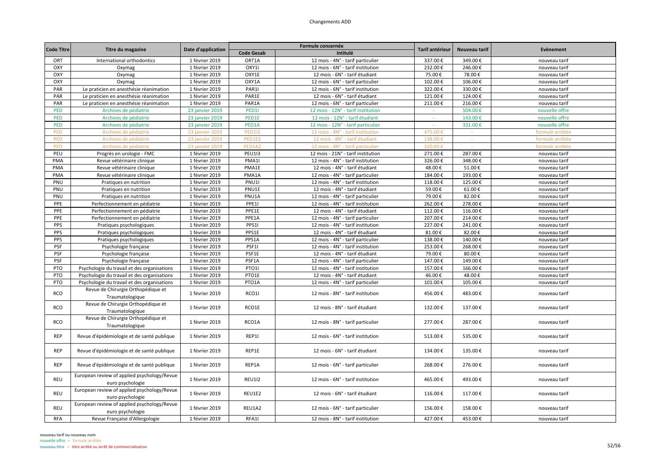| <b>Code Titre</b> |                                                                 |                    |                   | Tarif antérieur                    | Nouveau tarif | Evènement |                 |
|-------------------|-----------------------------------------------------------------|--------------------|-------------------|------------------------------------|---------------|-----------|-----------------|
|                   | Titre du magazine                                               | Date d'application | <b>Code Gesab</b> | Intitulé                           |               |           |                 |
| ORT               | International orthodontics                                      | 1 février 2019     | ORT1A             | 12 mois - 4N° - tarif particulier  | 337.00€       | 349.00€   | nouveau tarif   |
| OXY               | Oxymag                                                          | 1 février 2019     | OXY1I             | 12 mois - 6N° - tarif institution  | 232.00€       | 246.00€   | nouveau tarif   |
| OXY               | Oxymag                                                          | 1 février 2019     | OXY1E             | 12 mois - 6N° - tarif étudiant     | 75.00€        | 78.00€    | nouveau tarif   |
| OXY               | Oxymag                                                          | 1 février 2019     | OXY1A             | 12 mois - 6N° - tarif particulier  | 102.00€       | 106.00€   | nouveau tarif   |
| PAR               | Le praticien en anesthésie réanimation                          | 1 février 2019     | PAR1I             | 12 mois - 6N° - tarif institution  | 322.00€       | 330.00€   | nouveau tarif   |
| PAR               | Le praticien en anesthésie réanimation                          | 1 février 2019     | PAR1E             | 12 mois - 6N° - tarif étudiant     | 121.00€       | 124.00€   | nouveau tarif   |
| PAR               | Le praticien en anesthésie réanimation                          | 1 février 2019     | PAR1A             | 12 mois - 6N° - tarif particulier  | 211.00€       | 216.00€   | nouveau tarif   |
| PED               | Archives de pédiatrie                                           | 23 janvier 2019    | PED1              | 12 mois - 12N° - tarif institution | $\sim$        | 504.00€   | nouvelle offre  |
| PED               | Archives de pédiatrie                                           | 23 janvier 2019    | PED1E             | 12 mois - 12N° - tarif étudiant    |               | 143.00€   | nouvelle offre  |
| PED               | Archives de pédiatrie                                           | 23 janvier 2019    | PED1A             | 12 mois - 12N° - tarif particulier |               | 331.00€   | nouvelle offre  |
| PED               | Archives de pédiatrie                                           | 23 janvier 2019    | <b>PED112</b>     | 12 mois - 8N° - tarif institution  | 475.00€       |           | formule arrêtée |
| <b>PED</b>        | Archives de pédiatrie                                           | 23 janvier 2019    | PED1E2            | 12 mois - 8N° - tarif étudiant     | 138.00€       |           | formule arrêtée |
| PED               | Archives de pédiatrie                                           | 23 janvier 2019    | PED1A2            | 12 mois - 8N° - tarif particulier  | 320.00€       |           | formule arrêtée |
| PEU               | Progrès en urologie - FMC                                       | 1 février 2019     | <b>PEU113</b>     | 12 mois - 21N° - tarif institution | 271.00€       | 287.00€   | nouveau tarif   |
| PMA               | Revue vétérinaire clinique                                      | 1 février 2019     | PMA1              | 12 mois - 4N° - tarif institution  | 326.00€       | 348.00€   | nouveau tarif   |
| PMA               | Revue vétérinaire clinique                                      | 1 février 2019     | PMA1E             | 12 mois - 4N° - tarif étudiant     | 48.00€        | 51.00€    | nouveau tarif   |
| PMA               | Revue vétérinaire clinique                                      | 1 février 2019     | PMA1A             | 12 mois - 4N° - tarif particulier  | 184.00€       | 193.00€   | nouveau tarif   |
| PNU               | Pratiques en nutrition                                          | 1 février 2019     | PNU1              | 12 mois - 4N° - tarif institution  | 118.00€       | 125.00€   | nouveau tarif   |
| PNU               | Pratiques en nutrition                                          | 1 février 2019     | PNU1E             | 12 mois - 4N° - tarif étudiant     | 59.00€        | 61.00€    | nouveau tarif   |
| PNU               | Pratiques en nutrition                                          | 1 février 2019     | PNU1A             | 12 mois - 4N° - tarif particulier  | 79.00€        | 82.00€    | nouveau tarif   |
| PPE               | Perfectionnement en pédiatrie                                   | 1 février 2019     | PPE11             | 12 mois - 4N° - tarif institution  | 262.00€       | 278.00€   | nouveau tarif   |
| PPE               | Perfectionnement en pédiatrie                                   | 1 février 2019     | PPE1E             | 12 mois - 4N° - tarif étudiant     | 112.00€       | 116.00€   | nouveau tarif   |
| PPE               | Perfectionnement en pédiatrie                                   | 1 février 2019     | PPE1A             | 12 mois - 4N° - tarif particulier  | 207.00€       | 214.00€   | nouveau tarif   |
| PPS               | Pratiques psychologiques                                        | 1 février 2019     | PPS1I             | 12 mois - 4N° - tarif institution  | 227.00€       | 241.00€   | nouveau tarif   |
| PPS               | Pratiques psychologiques                                        | 1 février 2019     | PPS1E             | 12 mois - 4N° - tarif étudiant     | 81.00€        | 82.00€    | nouveau tarif   |
| PPS               | Pratiques psychologiques                                        | 1 février 2019     | PPS1A             | 12 mois - 4N° - tarif particulier  | 138.00€       | 140.00€   | nouveau tarif   |
| PSF               | Psychologie française                                           | 1 février 2019     | PSF1I             | 12 mois - 4N° - tarif institution  | 253.00€       | 268.00€   | nouveau tarif   |
| PSF               | Psychologie française                                           | 1 février 2019     | PSF1E             | 12 mois - 4N° - tarif étudiant     | 79.00€        | 80.00€    | nouveau tarif   |
| <b>PSF</b>        | Psychologie française                                           | 1 février 2019     | PSF1A             | 12 mois - 4N° - tarif particulier  | 147.00€       | 149.00€   | nouveau tarif   |
| PTO               | Psychologie du travail et des organisations                     | 1 février 2019     | <b>PTO1I</b>      | 12 mois - 4N° - tarif institution  | 157.00€       | 166.00€   | nouveau tarif   |
| PTO               | Psychologie du travail et des organisations                     | 1 février 2019     | PTO1E             | 12 mois - 4N° - tarif étudiant     | 46.00€        | 48.00€    | nouveau tarif   |
| PTO               | Psychologie du travail et des organisations                     | 1 février 2019     | PTO1A             | 12 mois - 4N° - tarif particulier  | 101.00€       | 105.00€   | nouveau tarif   |
|                   | Revue de Chirurgie Orthopédique et                              |                    |                   |                                    |               |           |                 |
| RCO               | Traumatologique                                                 | 1 février 2019     | RCO1I             | 12 mois - 8N° - tarif institution  | 456.00€       | 483.00€   | nouveau tarif   |
|                   | Revue de Chirurgie Orthopédique et                              |                    |                   |                                    |               |           |                 |
| <b>RCO</b>        | Traumatologique                                                 | 1 février 2019     | RCO1E             | 12 mois - 8N° - tarif étudiant     | 132.00€       | 137.00€   | nouveau tarif   |
|                   | Revue de Chirurgie Orthopédique et                              |                    |                   |                                    |               |           |                 |
| RCO               | Traumatologique                                                 | 1 février 2019     | RCO1A             | 12 mois - 8N° - tarif particulier  | 277.00€       | 287.00€   | nouveau tarif   |
|                   |                                                                 |                    |                   |                                    |               |           |                 |
| <b>REP</b>        | Revue d'épidémiologie et de santé publique                      | 1 février 2019     | REP1I             | 12 mois - 6N° - tarif institution  | 513.00€       | 535.00€   | nouveau tarif   |
|                   |                                                                 |                    |                   |                                    |               |           |                 |
| <b>REP</b>        | Revue d'épidémiologie et de santé publique                      | 1 février 2019     | REP1E             | 12 mois - 6N° - tarif étudiant     | 134.00€       | 135.00€   | nouveau tarif   |
|                   |                                                                 |                    |                   |                                    |               |           |                 |
| <b>REP</b>        | Revue d'épidémiologie et de santé publique                      | 1 février 2019     | REP1A             | 12 mois - 6N° - tarif particulier  | 268.00€       | 276.00€   | nouveau tarif   |
|                   | European review of applied psychology/Revue                     |                    |                   |                                    |               |           |                 |
| REU               |                                                                 | 1 février 2019     | <b>REU1I2</b>     | 12 mois - 6N° - tarif institution  | 465.00€       | 493.00€   | nouveau tarif   |
|                   | euro psychologie<br>European review of applied psychology/Revue |                    |                   |                                    |               |           |                 |
| REU               |                                                                 | 1 février 2019     | REU1E2            | 12 mois - 6N° - tarif étudiant     | 116.00€       | 117.00€   | nouveau tarif   |
|                   | euro psychologie<br>European review of applied psychology/Revue |                    |                   |                                    |               |           |                 |
| REU               |                                                                 | 1 février 2019     | REU1A2            | 12 mois - 6N° - tarif particulier  | 156.00€       | 158.00€   | nouveau tarif   |
|                   | euro psychologie                                                |                    |                   |                                    |               |           |                 |
| <b>RFA</b>        | Revue Française d'Allergologie                                  | 1 février 2019     | RFA1I             | 12 mois - 8N° - tarif institution  | 427.00€       | 453.00€   | nouveau tarif   |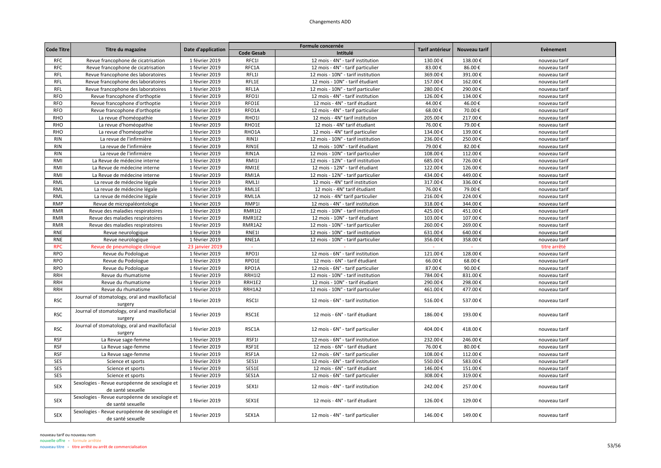| <b>Code Titre</b> |                                                                    | Date d'application |                   | Formule concernée                  | Tarif antérieur | Nouveau tarif | Evènement     |
|-------------------|--------------------------------------------------------------------|--------------------|-------------------|------------------------------------|-----------------|---------------|---------------|
|                   | Titre du magazine                                                  |                    | <b>Code Gesab</b> | Intitulé                           |                 |               |               |
| <b>RFC</b>        | Revue francophone de cicatrisation                                 | 1 février 2019     | RFC1I             | 12 mois - 4N° - tarif institution  | 130.00€         | 138.00€       | nouveau tarif |
| <b>RFC</b>        | Revue francophone de cicatrisation                                 | 1 février 2019     | RFC1A             | 12 mois - 4N° - tarif particulier  | 83.00€          | 86.00€        | nouveau tarif |
| <b>RFL</b>        | Revue francophone des laboratoires                                 | 1 février 2019     | RFL1I             | 12 mois - 10N° - tarif institution | 369.00€         | 391.00€       | nouveau tarif |
| <b>RFL</b>        | Revue francophone des laboratoires                                 | 1 février 2019     | RFL1E             | 12 mois - 10N° - tarif étudiant    | 157.00€         | 162.00€       | nouveau tarif |
| RFL               | Revue francophone des laboratoires                                 | 1 février 2019     | RFL1A             | 12 mois - 10N° - tarif particulier | 280.00€         | 290.00€       | nouveau tarif |
| <b>RFO</b>        | Revue francophone d'orthoptie                                      | 1 février 2019     | RFO1I             | 12 mois - 4N° - tarif institution  | 126.00€         | 134.00€       | nouveau tarif |
| <b>RFO</b>        | Revue francophone d'orthoptie                                      | 1 février 2019     | RFO1E             | 12 mois - 4N° - tarif étudiant     | 44.00€          | 46.00€        | nouveau tarif |
| <b>RFO</b>        | Revue francophone d'orthoptie                                      | 1 février 2019     | RFO1A             | 12 mois - 4N° - tarif particulier  | 68.00€          | 70.00€        | nouveau tarif |
| <b>RHO</b>        | La revue d'homéopathie                                             | 1 février 2019     | RHO1              | 12 mois - 4N° tarif institution    | 205.00€         | 217.00€       | nouveau tarif |
| <b>RHO</b>        | La revue d'homéopathie                                             | 1 février 2019     | RHO1E             | 12 mois - 4N° tarif étudiant       | 76.00€          | 79.00€        | nouveau tarif |
| <b>RHO</b>        | La revue d'homéopathie                                             | 1 février 2019     | RHO1A             | 12 mois - 4N° tarif particulier    | 134.00€         | 139.00€       | nouveau tarif |
| <b>RIN</b>        | La revue de l'infirmière                                           | 1 février 2019     | RIN1              | 12 mois - 10N° - tarif institution | 236.00€         | 250.00€       | nouveau tarif |
| <b>RIN</b>        | La revue de l'infirmière                                           | 1 février 2019     | RIN1E             | 12 mois - 10N° - tarif étudiant    | 79.00€          | 82.00€        | nouveau tarif |
| <b>RIN</b>        | La revue de l'infirmière                                           | 1 février 2019     | RIN1A             | 12 mois - 10N° - tarif particulier | 108.00€         | 112.00€       | nouveau tarif |
| <b>RMI</b>        | La Revue de médecine interne                                       | 1 février 2019     | <b>RMI1I</b>      | 12 mois - 12N° - tarif institution | 685.00€         | 726.00€       | nouveau tarif |
| RMI               | La Revue de médecine interne                                       | 1 février 2019     | RMI1E             | 12 mois - 12N° - tarif étudiant    | 122.00€         | 126.00€       | nouveau tarif |
|                   |                                                                    |                    |                   |                                    |                 |               |               |
| RMI               | La Revue de médecine interne                                       | 1 février 2019     | RMI1A             | 12 mois - 12N° - tarif particulier | 434.00€         | 449.00€       | nouveau tarif |
| RML               | La revue de médecine légale                                        | 1 février 2019     | RML1I             | 12 mois - 4N° tarif institution    | 317.00€         | 336.00€       | nouveau tarif |
| RML               | La revue de médecine légale                                        | 1 février 2019     | RML1E             | 12 mois - 4N° tarif étudiant       | 76.00€          | 79.00€        | nouveau tarif |
| RML               | La revue de médecine légale                                        | 1 février 2019     | RML1A             | 12 mois - 4N° tarif particulier    | 216.00€         | 224.00€       | nouveau tarif |
| <b>RMP</b>        | Revue de micropaléontologie                                        | 1 février 2019     | RMP1              | 12 mois - 4N° - tarif institution  | 318.00€         | 344.00€       | nouveau tarif |
| <b>RMR</b>        | Revue des maladies respiratoires                                   | 1 février 2019     | <b>RMR1I2</b>     | 12 mois - 10N° - tarif institution | 425.00€         | 451.00€       | nouveau tarif |
| <b>RMR</b>        | Revue des maladies respiratoires                                   | 1 février 2019     | RMR1E2            | 12 mois - 10N° - tarif étudiant    | 103.00€         | 107.00€       | nouveau tarif |
| <b>RMR</b>        | Revue des maladies respiratoires                                   | 1 février 2019     | RMR1A2            | 12 mois - 10N° - tarif particulier | 260.00€         | 269.00€       | nouveau tarif |
| RNE               | Revue neurologique                                                 | 1 février 2019     | RNE11             | 12 mois - 10N° - tarif institution | 631.00€         | 640.00€       | nouveau tarif |
| <b>RNE</b>        | Revue neurologique                                                 | 1 février 2019     | RNE1A             | 12 mois - 10N° - tarif particulier | 356.00€         | 358.00€       | nouveau tarif |
| <b>RPC</b>        | Revue de pneumologie clinique                                      | 23 janvier 2019    |                   |                                    |                 | $\sim$        | titre arrêté  |
| RPO               | Revue du Podologue                                                 | 1 février 2019     | RPO1I             | 12 mois - 6N° - tarif institution  | 121.00€         | 128.00€       | nouveau tarif |
| <b>RPO</b>        | Revue du Podologue                                                 | 1 février 2019     | RPO1E             | 12 mois - 6N° - tarif étudiant     | 66.00€          | 68.00€        | nouveau tarif |
| <b>RPO</b>        | Revue du Podologue                                                 | 1 février 2019     | RPO1A             | 12 mois - 6N° - tarif particulier  | 87.00€          | 90.00€        | nouveau tarif |
| <b>RRH</b>        | Revue du rhumatisme                                                | 1 février 2019     | <b>RRH1I2</b>     | 12 mois - 10N° - tarif institution | 784.00€         | 831.00€       | nouveau tarif |
| <b>RRH</b>        | Revue du rhumatisme                                                | 1 février 2019     | RRH1E2            | 12 mois - 10N° - tarif étudiant    | 290.00€         | 298.00€       | nouveau tarif |
| <b>RRH</b>        | Revue du rhumatisme                                                | 1 février 2019     | RRH1A2            | 12 mois - 10N° - tarif particulier | 461.00€         | 477.00€       | nouveau tarif |
| <b>RSC</b>        | Journal of stomatology, oral and maxillofacial                     | 1 février 2019     | RSC11             | 12 mois - 6N° - tarif institution  | 516.00€         | 537.00€       | nouveau tarif |
|                   | surgery                                                            |                    |                   |                                    |                 |               |               |
|                   | Journal of stomatology, oral and maxillofacial                     |                    |                   |                                    |                 |               |               |
| <b>RSC</b>        | surgery                                                            | 1 février 2019     | RSC1E             | 12 mois - 6N° - tarif étudiant     | 186.00€         | 193.00€       | nouveau tarif |
|                   | Journal of stomatology, oral and maxillofacial                     |                    |                   |                                    |                 |               |               |
| <b>RSC</b>        | surgery                                                            | 1 février 2019     | RSC1A             | 12 mois - 6N° - tarif particulier  | 404.00€         | 418.00€       | nouveau tarif |
| <b>RSF</b>        | La Revue sage-femme                                                | 1 février 2019     | RSF1I             | 12 mois - 6N° - tarif institution  | 232.00€         | 246.00€       | nouveau tarif |
| <b>RSF</b>        | La Revue sage-femme                                                | 1 février 2019     | RSF1E             | 12 mois - 6N° - tarif étudiant     | 76.00€          | 80.00€        | nouveau tarif |
| <b>RSF</b>        | La Revue sage-femme                                                | 1 février 2019     | RSF1A             | 12 mois - 6N° - tarif particulier  | 108.00€         | 112.00€       | nouveau tarif |
| SES               | Science et sports                                                  | 1 février 2019     | SES1I             | 12 mois - 6N° - tarif institution  | 550.00€         | 583.00€       | nouveau tarif |
| SES               | Science et sports                                                  | 1 février 2019     | SES1E             | 12 mois - 6N° - tarif étudiant     | 146.00€         | 151.00€       | nouveau tarif |
| SES               | Science et sports                                                  | 1 février 2019     | SES1A             | 12 mois - 6N° - tarif particulier  | 308.00€         | 319.00€       | nouveau tarif |
|                   | Sexologies - Revue européenne de sexologie et                      |                    |                   |                                    |                 |               |               |
| <b>SEX</b>        | de santé sexuelle                                                  | 1 février 2019     | SEX11             | 12 mois - 4N° - tarif institution  | 242.00€         | 257.00€       | nouveau tarif |
| <b>SEX</b>        | Sexologies - Revue européenne de sexologie et<br>de santé sexuelle | 1 février 2019     | SEX1E             | 12 mois - 4N° - tarif étudiant     | 126.00€         | 129.00€       | nouveau tarif |
| <b>SEX</b>        | Sexologies - Revue européenne de sexologie et<br>de santé sexuelle | 1 février 2019     | SEX1A             | 12 mois - 4N° - tarif particulier  | 146.00€         | 149.00€       | nouveau tarif |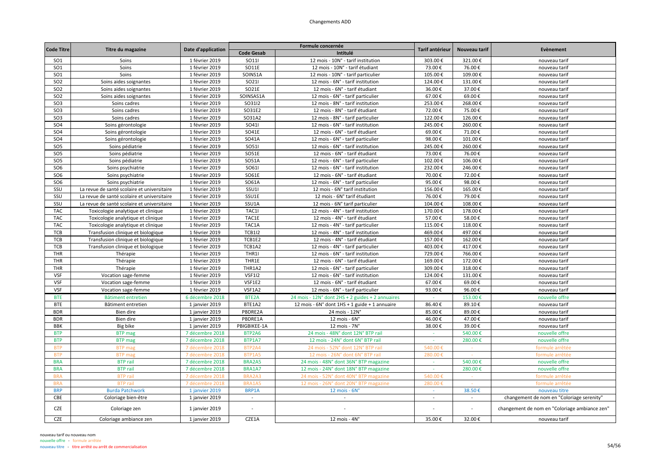| <b>Code Titre</b> | Titre du magazine                           | Date d'application |                    | Formule concernée                                | Tarif antérieur | Nouveau tarif | Evènement                                     |
|-------------------|---------------------------------------------|--------------------|--------------------|--------------------------------------------------|-----------------|---------------|-----------------------------------------------|
|                   |                                             |                    | <b>Code Gesab</b>  | Intitulé                                         |                 |               |                                               |
| SO <sub>1</sub>   | Soins                                       | 1 février 2019     | SO111              | 12 mois - 10N° - tarif institution               | 303.00€         | 321.00€       | nouveau tarif                                 |
| SO <sub>1</sub>   | Soins                                       | 1 février 2019     | SO11E              | 12 mois - 10N° - tarif étudiant                  | 73.00€          | 76.00€        | nouveau tarif                                 |
| <b>SO1</b>        | Soins                                       | 1 février 2019     | SOINS1A            | 12 mois - 10N° - tarif particulier               | 105.00€         | 109.00€       | nouveau tarif                                 |
| SO <sub>2</sub>   | Soins aides soignantes                      | 1 février 2019     | SO211              | 12 mois - 6N° - tarif institution                | 124.00€         | 131.00€       | nouveau tarif                                 |
| SO <sub>2</sub>   | Soins aides soignantes                      | 1 février 2019     | SO21E              | 12 mois - 6N° - tarif étudiant                   | 36.00€          | 37.00€        | nouveau tarif                                 |
| <b>SO2</b>        | Soins aides soignantes                      | 1 février 2019     | SOINSAS1A          | 12 mois - 6N° - tarif particulier                | 67.00€          | 69.00€        | nouveau tarif                                 |
| SO <sub>3</sub>   | Soins cadres                                | 1 février 2019     | SO3112             | 12 mois - 8N° - tarif institution                | 253.00€         | 268.00€       | nouveau tarif                                 |
| SO <sub>3</sub>   | Soins cadres                                | 1 février 2019     | SO31E2             | 12 mois - 8N° - tarif étudiant                   | 72.00€          | 75.00€        | nouveau tarif                                 |
| SO <sub>3</sub>   | Soins cadres                                | 1 février 2019     | SO31A2             | 12 mois - 8N° - tarif particulier                | 122.00€         | 126.00€       | nouveau tarif                                 |
| SO <sub>4</sub>   | Soins gérontologie                          | 1 février 2019     | SO411              | 12 mois - 6N° - tarif institution                | 245.00€         | 260.00€       | nouveau tarif                                 |
| SO <sub>4</sub>   | Soins gérontologie                          | 1 février 2019     | SO41E              | 12 mois - 6N° - tarif étudiant                   | 69.00€          | 71.00€        | nouveau tarif                                 |
| SO <sub>4</sub>   | Soins gérontologie                          | 1 février 2019     | SO41A              | 12 mois - 6N° - tarif particulier                | 98.00€          | 101.00€       | nouveau tarif                                 |
| SO <sub>5</sub>   | Soins pédiatrie                             | 1 février 2019     | SO511              | 12 mois - 6N° - tarif institution                | 245.00€         | 260.00€       | nouveau tarif                                 |
| SO <sub>5</sub>   | Soins pédiatrie                             | 1 février 2019     | SO51E              | 12 mois - 6N° - tarif étudiant                   | 73.00€          | 76.00€        | nouveau tarif                                 |
| SO <sub>5</sub>   | Soins pédiatrie                             | 1 février 2019     | SO51A              | 12 mois - 6N° - tarif particulier                | 102.00€         | 106.00€       | nouveau tarif                                 |
| SO <sub>6</sub>   | Soins psychiatrie                           | 1 février 2019     | SO611              | 12 mois - 6N° - tarif institution                | 232.00€         | 246.00€       | nouveau tarif                                 |
| SO <sub>6</sub>   | Soins psychiatrie                           | 1 février 2019     | SO61E              | 12 mois - 6N° - tarif étudiant                   | 70.00€          | 72.00€        | nouveau tarif                                 |
| SO <sub>6</sub>   | Soins psychiatrie                           | 1 février 2019     | SO61A              | 12 mois - 6N° - tarif particulier                | 95.00€          | 98.00€        | nouveau tarif                                 |
| SSU               | La revue de santé scolaire et universitaire | 1 février 2019     | S <sub>S</sub> U1I | 12 mois - 6N° tarif institution                  | 156.00€         | 165.00€       | nouveau tarif                                 |
| SSU               | La revue de santé scolaire et universitaire | 1 février 2019     | SSU1E              | 12 mois - 6N° tarif étudiant                     | 76.00€          | 79.00€        | nouveau tarif                                 |
| SSU               | La revue de santé scolaire et universitaire | 1 février 2019     | SSU1A              | 12 mois - 6N° tarif particulier                  | 104.00€         | 108.00€       | nouveau tarif                                 |
| <b>TAC</b>        | Toxicologie analytique et clinique          | 1 février 2019     | TAC1I              | 12 mois - 4N° - tarif institution                | 170.00€         | 178.00€       | nouveau tarif                                 |
| <b>TAC</b>        | Toxicologie analytique et clinique          | 1 février 2019     | TAC1E              | 12 mois - 4N° - tarif étudiant                   | 57.00€          | 58.00€        | nouveau tarif                                 |
| <b>TAC</b>        | Toxicologie analytique et clinique          | 1 février 2019     | TAC1A              | 12 mois - 4N° - tarif particulier                | 115.00€         | 118.00€       | nouveau tarif                                 |
| TCB               | Transfusion clinique et biologique          | 1 février 2019     | <b>TCB1I2</b>      | 12 mois - 4N° - tarif institution                | 469.00€         | 497.00€       | nouveau tarif                                 |
| <b>TCB</b>        | Transfusion clinique et biologique          | 1 février 2019     | TCB1E2             | 12 mois - 4N° - tarif étudiant                   | 157.00€         | 162.00€       | nouveau tarif                                 |
| TCB               | Transfusion clinique et biologique          | 1 février 2019     | TCB1A2             | 12 mois - 4N° - tarif particulier                | 403.00€         | 417.00€       | nouveau tarif                                 |
| <b>THR</b>        | Thérapie                                    | 1 février 2019     | THR1I              | 12 mois - 6N° - tarif institution                | 729.00€         | 766.00€       | nouveau tarif                                 |
| THR               | Thérapie                                    | 1 février 2019     | THR1E              | 12 mois - 6N° - tarif étudiant                   | 169.00€         | 172.00€       | nouveau tarif                                 |
| THR               | Thérapie                                    | 1 février 2019     | THR1A2             | 12 mois - 6N° - tarif particulier                | 309.00€         | 318.00€       | nouveau tarif                                 |
| <b>VSF</b>        | Vocation sage-femme                         | 1 février 2019     | <b>VSF1I2</b>      | 12 mois - 6N° - tarif institution                | 124.00€         | 131.00€       | nouveau tarif                                 |
| <b>VSF</b>        | Vocation sage-femme                         | 1 février 2019     | VSF1E2             | 12 mois - 6N° - tarif étudiant                   | 67.00€          | 69.00€        | nouveau tarif                                 |
| <b>VSF</b>        | Vocation sage-femme                         | 1 février 2019     | VSF1A2             | 12 mois - 6N° - tarif particulier                | 93.00€          | 96.00€        | nouveau tarif                                 |
| <b>BTE</b>        | Bâtiment entretien                          | 6 décembre 2018    | BTE2A              | 24 mois - 12N° dont 2HS + 2 guides + 2 annuaires |                 | 153.00€       | nouvelle offre                                |
| <b>BTE</b>        | Bâtiment entretien                          | 1 janvier 2019     | BTE1A2             | 12 mois - 6N° dont 1HS + 1 guide + 1 annuaire    | 86.40€          | 89.10€        | nouveau tarif                                 |
| <b>BDR</b>        | Bien dire                                   | 1 janvier 2019     | PBDRE2A            | 24 mois - 12N°                                   | 85.00€          | 89.00€        | nouveau tarif                                 |
| <b>BDR</b>        | Bien dire                                   | 1 janvier 2019     | PBDRE1A            | 12 mois - 6N°                                    | 46.00€          | 47.00€        | nouveau tarif                                 |
| <b>BBK</b>        | Big bike                                    | 1 janvier 2019     | PBIGBIKEE-1A       | $12$ mois - $7N^\circ$                           | 38.00€          | 39.00€        | nouveau tarif                                 |
| <b>BTP</b>        | <b>BTP</b> mag                              | 7 décembre 2018    | BTP2A6             | 24 mois - 48N° dont 12N° BTP rail                | $\sim$          | 540.00€       | nouvelle offre                                |
| <b>BTP</b>        | <b>BTP</b> mag                              | 7 décembre 2018    | BTP1A7             | 12 mois - 24N° dont 6N° BTP rail                 | $\sim$          | 280.00€       | nouvelle offre                                |
| <b>BTP</b>        | <b>BTP</b> mag                              | 7 décembre 2018    | BTP2A4             | 24 mois - 52N° dont 12N° BTP rai                 | 540.00          |               | formule arrêtée                               |
| <b>BTP</b>        | <b>BTP</b> mag                              | 7 décembre 2018    | BTP1A5             | 12 mois - 26N° dont 6N° BTP rail                 | 280.00€         |               | formule arrêtée                               |
| <b>BRA</b>        | <b>BTP</b> rail                             | 7 décembre 2018    | BRA2A5             | 24 mois - 48N° dont 36N° BTP magazine            |                 | 540.00€       | nouvelle offre                                |
| <b>BRA</b>        | <b>BTP</b> rail                             | 7 décembre 2018    | BRA1A7             | 12 mois - 24N° dont 18N° BTP magazine            | $\sim$          | 280.00€       | nouvelle offre                                |
| <b>BRA</b>        | <b>BTP</b> rail                             | 7 décembre 2018    | BRA2A3             | 24 mois - 52N° dont 40N° BTP magazine            | 540.00€         | $\sim$        | formule arrêtée                               |
| <b>BRA</b>        | <b>BTP</b> rail                             | décembre 2018      | BRA1A5             | 12 mois - 26N° dont 20N° BTP magazine            | 280.00          |               | formule arrêtée                               |
| <b>BRP</b>        | <b>Burda Patchwork</b>                      | 1 janvier 2019     | BRP1A              | 12 mois - 6N°                                    | $\sim$          | 38.50€        | nouveau titre                                 |
| CBE               | Coloriage bien-être                         | 1 janvier 2019     |                    |                                                  |                 |               | changement de nom en "Coloriage serenity"     |
| <b>CZE</b>        | Coloriage zen                               | 1 janvier 2019     |                    |                                                  |                 |               | changement de nom en "Coloriage ambiance zen" |
| <b>CZE</b>        | Coloriage ambiance zen                      | 1 janvier 2019     | CZE1A              | $12$ mois - $4N^\circ$                           | 35.00€          | 32.00€        | nouveau tarif                                 |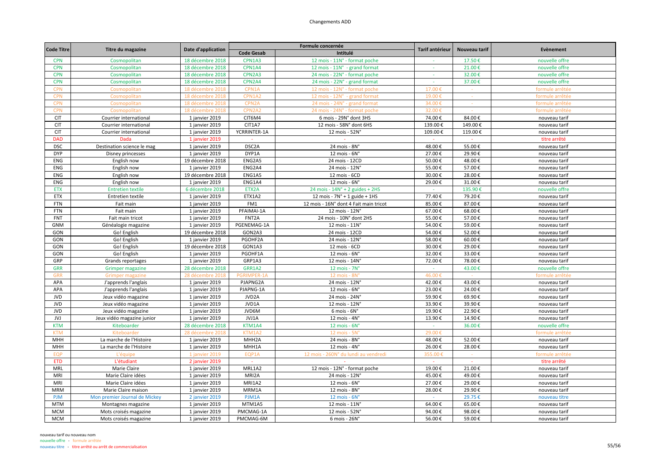| <b>Code Titre</b> |                               |                    |                    | Formule concernée                         | Tarif antérieur | Nouveau tarif | Evènement       |
|-------------------|-------------------------------|--------------------|--------------------|-------------------------------------------|-----------------|---------------|-----------------|
|                   | Titre du magazine             | Date d'application | <b>Code Gesab</b>  | Intitulé                                  |                 |               |                 |
| <b>CPN</b>        | Cosmopolitan                  | 18 décembre 2018   | CPN1A3             | 12 mois - 11N° - format poche             |                 | 17.50€        | nouvelle offre  |
| <b>CPN</b>        | Cosmopolitan                  | 18 décembre 2018   | CPN1A4             | 12 mois - 11N° - grand format             |                 | 21.00€        | nouvelle offre  |
| <b>CPN</b>        | Cosmopolitan                  | 18 décembre 2018   | CPN2A3             | 24 mois - 22N° - format poche             | $\sim$          | 32.00€        | nouvelle offre  |
| <b>CPN</b>        | Cosmopolitan                  | 18 décembre 2018   | CPN2A4             | 24 mois - 22N° - grand format             |                 | 37.00€        | nouvelle offre  |
| <b>CPN</b>        | Cosmopolitan                  | 18 décembre 2018   | CPN1A              | 12 mois - 12N° - format poche             | 17.00€          |               | formule arrêtée |
| <b>CPN</b>        | Cosmopolitan                  | 18 décembre 2018   | CPN1A2             | 12 mois - 12N° - grand format             | 19.00€          | $\sim$        | formule arrêtée |
| <b>CPN</b>        | Cosmopolitan                  | 18 décembre 2018   | CPN <sub>2</sub> A | 24 mois - 24N° - grand format             | 34.00€          |               | formule arrêtée |
| <b>CPN</b>        | Cosmopolitan                  | 18 décembre 201    | CPN2A2             | 24 mois - 24N° - format poche             | 32.00€          |               | formule arrêtée |
| <b>CIT</b>        | Courrier international        | 1 janvier 2019     | CIT6M4             | 6 mois - 29N° dont 3HS                    | 74.00€          | 84.00€        | nouveau tarif   |
| <b>CIT</b>        | Courrier international        | 1 janvier 2019     | CIT1A7             | 12 mois - 58N° dont 6HS                   | 139.00€         | 149.00€       | nouveau tarif   |
| <b>CIT</b>        | Courrier international        | 1 janvier 2019     | YCRRINTER-1A       | 12 mois - 52N°                            | 109.00€         | 119.00€       | nouveau tarif   |
| <b>DAD</b>        | Dada                          | 1 janvier 2019     | $\sim$             |                                           | $\sim$          | $\sim$        | titre arrêté    |
| <b>DSC</b>        | Destination science le mag    | 1 janvier 2019     | DSC2A              | 24 mois - 8N°                             | 48.00€          | 55.00€        | nouveau tarif   |
| <b>DYP</b>        | Disney princesses             | 1 janvier 2019     | DYP1A              | 12 mois - 6N°                             | 27.00€          | 29.90€        | nouveau tarif   |
| ENG               | English now                   | 19 décembre 2018   | ENG2A5             | 24 mois - 12CD                            | 50.00€          | 48.00€        | nouveau tarif   |
| <b>ENG</b>        | English now                   | 1 janvier 2019     | ENG2A4             | 24 mois - 12N°                            | 55.00€          | 57.00€        | nouveau tarif   |
| ENG               | English now                   | 19 décembre 2018   | ENG1A5             | 12 mois - 6CD                             | 30.00€          | 28.00€        | nouveau tarif   |
| ENG               | English now                   | 1 janvier 2019     | ENG1A4             | 12 mois - 6N°                             | 29.00€          | 31.00€        | nouveau tarif   |
| <b>ETX</b>        | <b>Entretien textile</b>      | 6 décembre 2018    | ETX2A              | 24 mois - $14N^\circ$ + 2 guides + 2HS    |                 | 135.90€       | nouvelle offre  |
| <b>ETX</b>        | <b>Entretien textile</b>      | 1 janvier 2019     | ETX1A2             | 12 mois - $7N^\circ$ + 1 guide + 1HS      | 77.40€          | 79.20€        | nouveau tarif   |
| <b>FTN</b>        | Fait main                     | 1 janvier 2019     | FM1                | 12 mois - 16N° dont 4 Fait main tricot    | 85.00€          | 87.00€        | nouveau tarif   |
| <b>FTN</b>        | Fait main                     | 1 janvier 2019     | PFAIMAI-1A         | 12 mois - 12N°                            | 67.00€          | 68.00€        | nouveau tarif   |
| FNT               | Fait main tricot              | 1 janvier 2019     | FNT <sub>2</sub> A | 24 mois - 10N° dont 2HS                   | 55.00€          | 57.00€        | nouveau tarif   |
| <b>GNM</b>        | Généalogie magazine           | 1 janvier 2019     | PGENEMAG-1A        | 12 mois - 11N°                            | 54.00€          | 59.00€        | nouveau tarif   |
| GON               | Go! English                   | 19 décembre 2018   | GON2A3             | 24 mois - 12CD                            | 54.00€          | 52.00€        | nouveau tarif   |
| GON               | Go! English                   | 1 janvier 2019     | PGOHF2A            | 24 mois - 12N°                            | 58.00€          | 60.00€        | nouveau tarif   |
| GON               | Go! English                   | 19 décembre 2018   | GON1A3             | 12 mois - 6CD                             | 30.00€          | 29.00€        | nouveau tarif   |
| GON               | Go! English                   | 1 janvier 2019     | PGOHF1A            | 12 mois - 6N°                             | 32.00€          | 33.00€        | nouveau tarif   |
| GRP               | Grands reportages             | 1 janvier 2019     | GRP1A3             | 12 mois - 14N°                            | 72.00€          | 78.00€        | nouveau tarif   |
| <b>GRR</b>        | <b>Grimper magazine</b>       | 28 décembre 2018   | <b>GRR1A2</b>      | 12 mois - $7Nc$                           |                 | 43.00€        | nouvelle offre  |
| GRR               | Grimper magazine              | 28 décembre 20:    | PGRIMPER-1         | 12 mois - 8N                              | 46.00€          |               | formule arrêtée |
| <b>APA</b>        | J'apprends l'anglais          | 1 janvier 2019     | PJAPNG2A           | 24 mois - 12N°                            | 42.00€          | 43.00€        | nouveau tarif   |
| APA               | J'apprends l'anglais          | 1 janvier 2019     | PJAPNG-1A          | $12$ mois - $6N^\circ$                    | 23.00€          | 24.00€        | nouveau tarif   |
| <b>JVD</b>        | Jeux vidéo magazine           | 1 janvier 2019     | JVD <sub>2</sub> A | 24 mois - 24N°                            | 59.90€          | 69.90€        | nouveau tarif   |
| <b>JVD</b>        | Jeux vidéo magazine           | 1 janvier 2019     | JVD1A              | 12 mois - 12N°                            | 33.90€          | 39.90€        | nouveau tarif   |
| <b>JVD</b>        | Jeux vidéo magazine           | 1 janvier 2019     | JVD6M              | 6 mois - 6N°                              | 19.90€          | 22.90€        | nouveau tarif   |
| JVJ               | Jeux vidéo magazine junior    | 1 janvier 2019     | JVJ1A              | 12 mois - 4N°                             | 13.90€          | 14.90€        | nouveau tarif   |
| <b>KTM</b>        | Kiteboarder                   | 28 décembre 2018   | KTM1A4             | $12$ mois - $6N^\circ$                    | $\sim$          | 36.00€        | nouvelle offre  |
| KTN               | Kiteboarder                   | 8 décembre 201     | KTM1A2             | 12 mois - 5N                              | 29.00€          |               | formule arrêtée |
| MHH               | La marche de l'Histoire       | 1 janvier 2019     | MHH2A              | 24 mois - 8N°                             | 48.00€          | 52.00€        | nouveau tarif   |
| MHH               | La marche de l'Histoire       | 1 janvier 2019     | MHH1A              | $12$ mois - $4N^\circ$                    | 26.00€          | 28.00€        | nouveau tarif   |
| <b>EQP</b>        | L'équipe                      | 1 janvier 2019     | EQP1A              | 12 mois -<br>- 260N° du lundi au vendredi | 355.00          |               | formule arrêtée |
| <b>ETD</b>        | L'étudiant                    | 2 janvier 2019     | $\sim$             |                                           | $\sim$          | $\sim$        | titre arrêté    |
| MRL               | Marie Claire                  | 1 janvier 2019     | MRL1A2             | 12 mois - 12N° - format poche             | 19.00€          | 21.00€        | nouveau tarif   |
| <b>MRI</b>        | Marie Claire idées            | 1 janvier 2019     | MRI2A              | 24 mois - 12N°                            | 45.00€          | 49.00€        | nouveau tarif   |
| <b>MRI</b>        | Marie Claire idées            | 1 janvier 2019     | MRI1A2             | $12$ mois - $6N^\circ$                    | 27.00€          | 29.00€        | nouveau tarif   |
| <b>MRM</b>        | Marie Claire maison           | 1 janvier 2019     | MRM1A              | 12 mois - 8N°                             | 28.00€          | 29.90€        | nouveau tarif   |
| <b>PJM</b>        | Mon premier Journal de Mickey | 2 janvier 2019     | PJM1A              | $12 \text{ mois} - 6\text{N}^{\circ}$     | $\sim$          | 29.75€        | nouveau titre   |
| <b>MTM</b>        | Montagnes magazine            | 1 janvier 2019     | MTM1A5             | 12 mois - 11N°                            | 64.00€          | 65.00€        | nouveau tarif   |
| <b>MCM</b>        | Mots croisés magazine         | 1 janvier 2019     | PMCMAG-1A          | 12 mois - 52N°                            | 94.00€          | 98.00€        | nouveau tarif   |
| <b>MCM</b>        | Mots croisés magazine         | 1 janvier 2019     | PMCMAG-6M          | 6 mois - 26N°                             | 56.00€          | 59.00€        | nouveau tarif   |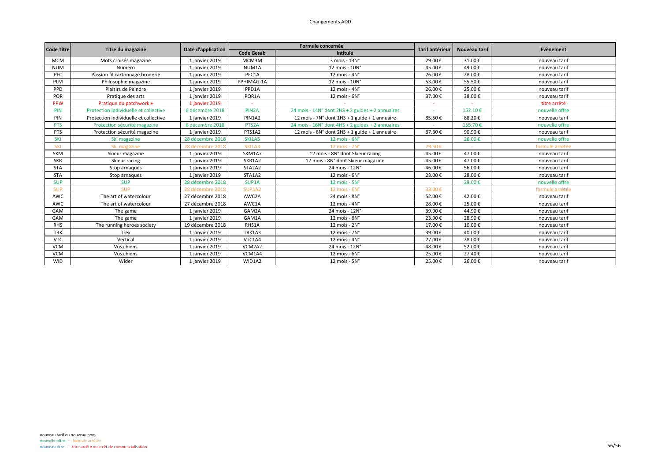| <b>Code Titre</b> | Titre du magazine                     | Date d'application |                    | Formule concernée                                | <b>Tarif antérieur</b> | Nouveau tarif | Evènement       |
|-------------------|---------------------------------------|--------------------|--------------------|--------------------------------------------------|------------------------|---------------|-----------------|
|                   |                                       |                    | <b>Code Gesab</b>  | Intitulé                                         |                        |               |                 |
| <b>MCM</b>        | Mots croisés magazine                 | 1 janvier 2019     | MCM3M              | 3 mois - 13N°                                    | 29.00€                 | 31.00€        | nouveau tarif   |
| <b>NUM</b>        | Numéro                                | 1 janvier 2019     | NUM1A              | 12 mois - 10N°                                   | 45.00€                 | 49.00€        | nouveau tarif   |
| PFC               | Passion fil cartonnage broderie       | 1 janvier 2019     | PFC1A              | 12 mois - $4N^\circ$                             | 26.00€                 | 28.00€        | nouveau tarif   |
| PLM               | Philosophie magazine                  | 1 janvier 2019     | PPHIMAG-1A         | 12 mois - 10N°                                   | 53.00€                 | 55.50€        | nouveau tarif   |
| <b>PPD</b>        | Plaisirs de Peindre                   | 1 janvier 2019     | PPD1A              | 12 mois - 4N°                                    | 26.00€                 | 25.00€        | nouveau tarif   |
| PQR               | Pratique des arts                     | 1 janvier 2019     | PQR1A              | $12$ mois - $6N^\circ$                           | 37.00€                 | 38.00€        | nouveau tarif   |
| <b>PPW</b>        | Pratique du patchwork +               | 1 janvier 2019     |                    |                                                  |                        |               | titre arrêté    |
| PIN               | Protection individuelle et collective | 6 décembre 2018    | PIN <sub>2</sub> A | 24 mois - 14N° dont 2HS + 2 guides + 2 annuaires |                        | 152.10€       | nouvelle offre  |
| PIN               | Protection individuelle et collective | 1 janvier 2019     | PIN1A2             | 12 mois - 7N° dont 1HS + 1 guide + 1 annuaire    | 85.50€                 | 88.20€        | nouveau tarif   |
| <b>PTS</b>        | Protection sécurité magazine          | 6 décembre 2018    | PTS <sub>2</sub> A | 24 mois - 16N° dont 4HS + 2 guides + 2 annuaires |                        | 155.70€       | nouvelle offre  |
| PTS               | Protection sécurité magazine          | 1 janvier 2019     | PTS1A2             | 12 mois - 8N° dont 2HS + 1 guide + 1 annuaire    | 87.30€                 | 90.90€        | nouveau tarif   |
| SKI               | Ski magazine                          | 28 décembre 2018   | <b>SKI1A5</b>      | $12$ mois - $6N^\circ$                           |                        | 26.00€        | nouvelle offre  |
| SKI               | Ski magazine                          | 28 décembre 2018   | <b>SKI1A3</b>      | 12 mois - 7N°                                    | 29.50€                 |               | formule arrêtée |
| SKM               | Skieur magazine                       | 1 janvier 2019     | SKM1A7             | 12 mois - 8N° dont Skieur racing                 | 45.00€                 | 47.00€        | nouveau tarif   |
| <b>SKR</b>        | Skieur racing                         | 1 janvier 2019     | SKR1A2             | 12 mois - 8N° dont Skieur magazine               | 45.00€                 | 47.00€        | nouveau tarif   |
| <b>STA</b>        | Stop arnaques                         | 1 janvier 2019     | STA2A2             | 24 mois - 12N°                                   | 46.00€                 | 56.00€        | nouveau tarif   |
| <b>STA</b>        | Stop arnaques                         | 1 janvier 2019     | STA1A2             | 12 mois - 6N°                                    | 23.00€                 | 28.00€        | nouveau tarif   |
| <b>SUP</b>        | <b>SUP</b>                            | 28 décembre 2018   | SUP1A              | 12 mois - 5N°                                    |                        | 29.00€        | nouvelle offre  |
| <b>SUP</b>        | <b>SUP</b>                            | 28 décembre 2018   | SUP1A2             | $12$ mois - $6N^\circ$                           | 33.00€                 |               | formule arrêtée |
| AWC               | The art of watercolour                | 27 décembre 2018   | AWC2A              | 24 mois - 8N°                                    | 52.00€                 | 42.00€        | nouveau tarif   |
| AWC               | The art of watercolour                | 27 décembre 2018   | AWC1A              | 12 mois - $4N^\circ$                             | 28.00€                 | 25.00€        | nouveau tarif   |
| GAM               | The game                              | 1 janvier 2019     | GAM2A              | 24 mois - 12N°                                   | 39.90€                 | 44.90€        | nouveau tarif   |
| GAM               | The game                              | 1 janvier 2019     | GAM1A              | 12 mois - 6N°                                    | 23.90€                 | 28.90€        | nouveau tarif   |
| <b>RHS</b>        | The running heroes society            | 19 décembre 2018   | RHS1A              | 12 mois - 2N°                                    | 17.00€                 | 10.00€        | nouveau tarif   |
| <b>TRK</b>        | Trek                                  | 1 janvier 2019     | TRK1A3             | 12 mois - 7N°                                    | 39.00€                 | 40.00€        | nouveau tarif   |
| <b>VTC</b>        | Vertical                              | 1 janvier 2019     | VTC1A4             | 12 mois - $4N^\circ$                             | 27.00€                 | 28.00€        | nouveau tarif   |
| <b>VCM</b>        | Vos chiens                            | 1 janvier 2019     | VCM2A2             | 24 mois - 12N°                                   | 48.00€                 | 52.00€        | nouveau tarif   |
| <b>VCM</b>        | Vos chiens                            | 1 janvier 2019     | VCM1A4             | $12$ mois - $6N^\circ$                           | 25.00€                 | 27.40€        | nouveau tarif   |
| <b>WID</b>        | Wider                                 | 1 janvier 2019     | WID1A2             | 12 mois - 5N°                                    | 25.00€                 | 26.00€        | nouveau tarif   |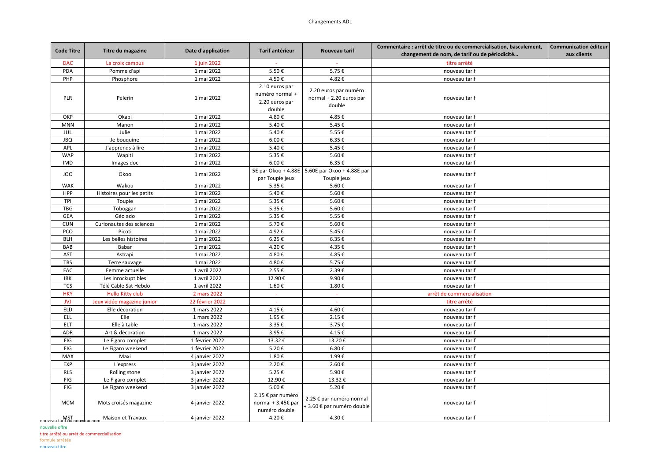| <b>Code Titre</b> | Titre du magazine          | Date d'application | Tarif antérieur                                               | Nouveau tarif                                              | Commentaire : arrêt de titre ou de commercialisation, basculement, | <b>Communication éditeur</b> |
|-------------------|----------------------------|--------------------|---------------------------------------------------------------|------------------------------------------------------------|--------------------------------------------------------------------|------------------------------|
|                   |                            |                    |                                                               |                                                            | changement de nom, de tarif ou de périodicité                      | aux clients                  |
| <b>DAC</b>        | La croix campus            | 1 juin 2022        |                                                               |                                                            | titre arrêté                                                       |                              |
| PDA               | Pomme d'api                | 1 mai 2022         | 5.50€                                                         | 5.75€                                                      | nouveau tarif                                                      |                              |
| PHP               | Phosphore                  | 1 mai 2022         | 4.50€                                                         | 4.82€                                                      | nouveau tarif                                                      |                              |
| PLR               | Pèlerin                    | 1 mai 2022         | 2.10 euros par<br>numéro normal +<br>2.20 euros par<br>double | 2.20 euros par numéro<br>normal + 2.20 euros par<br>double | nouveau tarif                                                      |                              |
| OKP               | Okapi                      | 1 mai 2022         | 4.80€                                                         | 4.85€                                                      | nouveau tarif                                                      |                              |
| <b>MNN</b>        | Manon                      | 1 mai 2022         | 5.40€                                                         | 5.45€                                                      | nouveau tarif                                                      |                              |
| JUL               | Julie                      | 1 mai 2022         | 5.40€                                                         | 5.55€                                                      | nouveau tarif                                                      |                              |
| <b>JBQ</b>        | Je bouquine                | 1 mai 2022         | 6.00€                                                         | 6.35€                                                      | nouveau tarif                                                      |                              |
| APL               | J'apprends à lire          | 1 mai 2022         | 5.40€                                                         | 5.45€                                                      | nouveau tarif                                                      |                              |
| <b>WAP</b>        | Wapiti                     | 1 mai 2022         | 5.35€                                                         | 5.60€                                                      | nouveau tarif                                                      |                              |
| <b>IMD</b>        | Images doc                 | 1 mai 2022         | 6.00€                                                         | 6.35€                                                      | nouveau tarif                                                      |                              |
| JOO               | Okoo                       | 1 mai 2022         | 5E par Okoo + 4.88E<br>par Toupie jeux                        | 5.60E par Okoo + 4.88E par<br>Toupie jeux                  | nouveau tarif                                                      |                              |
| <b>WAK</b>        | Wakou                      | 1 mai 2022         | 5.35€                                                         | 5.60€                                                      | nouveau tarif                                                      |                              |
| HPP               | Histoires pour les petits  | 1 mai 2022         | 5.40€                                                         | 5.60€                                                      | nouveau tarif                                                      |                              |
| TPI               | Toupie                     | 1 mai 2022         | 5.35€                                                         | 5.60€                                                      | nouveau tarif                                                      |                              |
| <b>TBG</b>        | Toboggan                   | 1 mai 2022         | 5.35€                                                         | 5.60€                                                      | nouveau tarif                                                      |                              |
| GEA               | Géo ado                    | 1 mai 2022         | 5.35€                                                         | 5.55€                                                      | nouveau tarif                                                      |                              |
| <b>CUN</b>        | Curionautes des sciences   | 1 mai 2022         | 5.70€                                                         | 5.60€                                                      | nouveau tarif                                                      |                              |
| PCO               | Picoti                     | 1 mai 2022         | 4.92€                                                         | 5.45€                                                      | nouveau tarif                                                      |                              |
| <b>BLH</b>        | Les belles histoires       | 1 mai 2022         | 6.25€                                                         | 6.35€                                                      | nouveau tarif                                                      |                              |
| BAB               | Babar                      | 1 mai 2022         | 4.20€                                                         | 4.35€                                                      | nouveau tarif                                                      |                              |
| <b>AST</b>        | Astrapi                    | 1 mai 2022         | 4.80€                                                         | 4.85€                                                      | nouveau tarif                                                      |                              |
| <b>TRS</b>        | Terre sauvage              | 1 mai 2022         | 4.80€                                                         | 5.75€                                                      | nouveau tarif                                                      |                              |
| FAC               | Femme actuelle             | 1 avril 2022       | 2.55€                                                         | 2.39€                                                      | nouveau tarif                                                      |                              |
| IRK               | Les inrockuptibles         | 1 avril 2022       | 12.90€                                                        | 9.90€                                                      | nouveau tarif                                                      |                              |
| <b>TCS</b>        | Télé Cable Sat Hebdo       | 1 avril 2022       | 1.60€                                                         | 1.80€                                                      | nouveau tarif                                                      |                              |
| <b>HKY</b>        | <b>Hello Kitty club</b>    | 2 mars 2022        | ÷                                                             | $\sim$                                                     | arrêt de commercialisation                                         |                              |
| <b>JVJ</b>        | Jeux vidéo magazine junior | 22 février 2022    | ÷                                                             | a.                                                         | titre arrêté                                                       |                              |
| <b>ELD</b>        | Elle décoration            | 1 mars 2022        | 4.15€                                                         | 4.60€                                                      | nouveau tarif                                                      |                              |
| ELL               | Elle                       | 1 mars 2022        | 1.95€                                                         | $2.15 \text{ } \in$                                        | nouveau tarif                                                      |                              |
| ELT               | Elle à table               | 1 mars 2022        | 3.35€                                                         | 3.75€                                                      | nouveau tarif                                                      |                              |
| ADR               | Art & décoration           | 1 mars 2022        | 3.95€                                                         | 4.15€                                                      | nouveau tarif                                                      |                              |
| FIG               | Le Figaro complet          | 1 février 2022     | 13.32€                                                        | 13.20€                                                     | nouveau tarif                                                      |                              |
| FIG               | Le Figaro weekend          | 1 février 2022     | 5.20€                                                         | 6.80€                                                      | nouveau tarif                                                      |                              |
| MAX               | Maxi                       | 4 janvier 2022     | 1.80€                                                         | 1.99€                                                      | nouveau tarif                                                      |                              |
| EXP               | L'express                  | 3 janvier 2022     | 2.20€                                                         | 2.60€                                                      | nouveau tarif                                                      |                              |
| <b>RLS</b>        | Rolling stone              | 3 janvier 2022     | 5.25€                                                         | 5.90€                                                      | nouveau tarif                                                      |                              |
| FIG               | Le Figaro complet          | 3 janvier 2022     | 12.90€                                                        | 13.32€                                                     | nouveau tarif                                                      |                              |
| FIG               | Le Figaro weekend          | 3 janvier 2022     | 5.00€                                                         | 5.20€                                                      | nouveau tarif                                                      |                              |
| <b>MCM</b>        | Mots croisés magazine      | 4 janvier 2022     | 2.15 € par numéro<br>normal + 3.45€ par<br>numéro double      | 2.25 € par numéro normal<br>+ 3.60 € par numéro double     | nouveau tarif                                                      |                              |
| MSI<br>nouvea     | Maison et Travaux          | 4 janvier 2022     | 4.20€                                                         | 4.30€                                                      | nouveau tarif                                                      |                              |

nouvelle offre

titre arrêté ou arrêt de commercialisation

formule arrêtée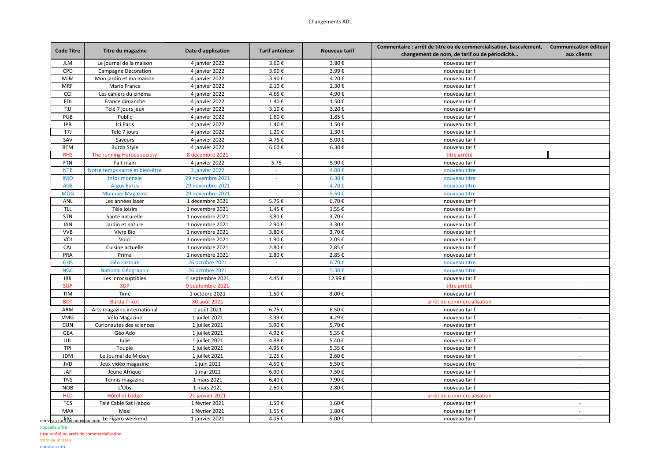## Changements ADL

| <b>Code Titre</b> | Titre du magazine                   | Date d'application | Tarif antérieur | Nouveau tarif    | Commentaire : arrêt de titre ou de commercialisation, basculement, | <b>Communication éditeur</b> |
|-------------------|-------------------------------------|--------------------|-----------------|------------------|--------------------------------------------------------------------|------------------------------|
|                   |                                     |                    |                 |                  | changement de nom, de tarif ou de périodicité                      | aux clients                  |
| <b>JLM</b>        | Le journal de la maison             | 4 janvier 2022     | 3.60€           | 3.80€            | nouveau tarif                                                      |                              |
| CPD               | Campagne Décoration                 | 4 janvier 2022     | 3.90€           | 3.99€            | nouveau tarif                                                      |                              |
| <b>MJM</b>        | Mon jardin et ma maison             | 4 janvier 2022     | 3.90€           | 4.20€            | nouveau tarif                                                      |                              |
| MRF               | Marie France                        | 4 janvier 2022     | 2.10€           | 2.30€            | nouveau tarif                                                      |                              |
| CCI               | Les cahiers du cinéma               | 4 janvier 2022     | 4.65€           | 4.90€            | nouveau tarif                                                      |                              |
| <b>FDI</b>        | France dimanche                     | 4 janvier 2022     | 1.40€           | 1.50€            | nouveau tarif                                                      |                              |
| TJJ               | Télé 7 jours jeux                   | 4 janvier 2022     | 3.10€           | 3.20€            | nouveau tarif                                                      |                              |
| PUB               | Public                              | 4 janvier 2022     | 1.80€           | 1.85€            | nouveau tarif                                                      |                              |
| <b>IPR</b>        | Ici Paris                           | 4 janvier 2022     | 1.40€           | 1.50€            | nouveau tarif                                                      |                              |
| T7J               | Télé 7 jours                        | 4 janvier 2022     | 1.20€           | 1.30€            | nouveau tarif                                                      |                              |
| SAV               | Saveurs                             | 4 janvier 2022     | 4.75€           | 5.00€            | nouveau tarif                                                      |                              |
| <b>BTM</b>        | Burda Style                         | 4 janvier 2022     | 6.00€           | 6.30€            | nouveau tarif                                                      |                              |
| <b>RHS</b>        | The running Heroes society          | 8 décembre 2021    |                 | a.               | titre arrêté                                                       |                              |
| <b>FTN</b>        | Fait main                           | 4 janvier 2022     | 5.75            | 5.90€            | nouveau tarif                                                      |                              |
| <b>NTB</b>        | Notre temps santé et bien-être      | 3 janvier 2022     |                 | 4.00€            | nouveau titre                                                      |                              |
| <b>IMO</b>        | Infos monnaie                       | 29 novembre 2021   | $\sim$          | 6.30€            | nouveau titre                                                      |                              |
| <b>AGE</b>        | <b>Argus Euros</b>                  | 29 novembre 2021   | $\sim$          | 4.70€            | nouveau titre                                                      |                              |
| <b>MOG</b>        | <b>Monnaie Magazine</b>             | 29 novembre 2021   | $\sim$          | 5.50€            | nouveau titre                                                      |                              |
| ANL               | Les années laser                    | 1 décembre 2021    | 5.75€           | 6.70€            | nouveau tarif                                                      |                              |
| <b>TLL</b>        | Télé loisirs                        | 1 novembre 2021    | 1.45€           | 1.55€            | nouveau tarif                                                      |                              |
| <b>STN</b>        | Santé naturelle                     | 1 novembre 2021    | 3.80€           | 3.70€            | nouveau tarif                                                      |                              |
| JAN               | Jardin et nature                    | 1 novembre 2021    | 2.90€           | 3.30€            | nouveau tarif                                                      |                              |
| <b>VVB</b>        | Vivre Bio                           | 1 novembre 2021    | 3.80€           | 3.70€            | nouveau tarif                                                      |                              |
| VOI               | Voici                               | 1 novembre 2021    | 1.90€           | 2.05€            | nouveau tarif                                                      |                              |
| CAL               | Cuisine actuelle                    | 1 novembre 2021    | 2.80€           | 2.85€            | nouveau tarif                                                      |                              |
| PRA               | Prima                               | 1 novembre 2021    | 2.80€           | 2.85€            | nouveau tarif                                                      |                              |
| <b>GHS</b>        | <b>Géo Histoire</b>                 | 26 octobre 2021    | $\sim$          | 6.70€            | nouveau titre                                                      |                              |
| <b>NGC</b>        | National Géographic                 | 26 octobre 2021    |                 | 5.30€            | nouveau titre                                                      |                              |
| <b>IRK</b>        | Les inrockuptibles                  | 4 septembre 2021   | 4.45€           | 12.99€           | nouveau tarif                                                      |                              |
| <b>SUP</b>        | <b>SUP</b>                          | 9 septembre 2021   |                 |                  | titre arrêté                                                       |                              |
| <b>TIM</b>        | Time                                | 1 octobre 2021     | 1.50€           | 3.00€            | nouveau tarif                                                      | $\sim$                       |
|                   |                                     |                    |                 |                  |                                                                    |                              |
| <b>BDT</b>        | <b>Burda Tricot</b>                 | 30 août 2021       |                 |                  | arrêt de commercialisation                                         |                              |
| ARM               | Arts magazine international         | 1 août 2021        | 6.75€           | $6.50\,\text{E}$ | nouveau tarif                                                      |                              |
| VMG               | Vélo Magazine                       | 1 juillet 2021     | 3.99€           | 4.29€            | nouveau tarif                                                      | $\sim$                       |
| <b>CUN</b>        | Curionautes des sciences            | 1 juillet 2021     | 5.90€           | 5.70€            | nouveau tarif                                                      |                              |
| <b>GEA</b>        | Géo Ado                             | 1 juillet 2021     | 4.92€           | 5.35€            | nouveau tarif                                                      |                              |
| <b>JUL</b>        | Julie                               | 1 juillet 2021     | 4.88€           | 5.40€            | nouveau tarif                                                      |                              |
| TPI               | Toupie                              | 1 juillet 2021     | 4.95€           | 5.35€            | nouveau tarif                                                      |                              |
| <b>JDM</b>        | Le Journal de Mickey                | 1 juillet 2021     | 2.25€           | 2.60€            | nouveau tarif                                                      | $\sim$                       |
| <b>JVD</b>        | Jeux vidéo magazine                 | 1 juin 2021        | 4.50€           | 5.50€            | nouveau titre                                                      | ×.                           |
| JAF               | Jeune Afrique                       | 1 mai 2021         | 6.90€           | 7.50€            | nouveau tarif                                                      |                              |
| <b>TNS</b>        | Tennis magazine                     | 1 mars 2021        | 6.40€           | 7.90€            | nouveau tarif                                                      | $\overline{\phantom{a}}$     |
| <b>NOB</b>        | L'Obs                               | 1 mars 2021        | 2.60€           | 2.80€            | nouveau tarif                                                      |                              |
| <b>HLD</b>        | Hôtel et Lodge                      | 21 janvier 2021    |                 |                  | arrêt de commercialisation                                         |                              |
| <b>TCS</b>        | Télé Cable Sat Hebdo                | 1 février 2021     | 1.50€           | 1.60€            | nouveau tarif                                                      |                              |
| MAX               | Maxi                                | 1 février 2021     | 1.55€           | 1.80€            | nouveau tarif                                                      | $\sim$                       |
|                   | arf G nouveau nom Le Figaro weekend | 1 janvier 2021     | 4.05€           | 5.00€            | nouveau tarif                                                      | $\sim$                       |

nouvelle offre

titre arrêté ou arrêt de commercialisation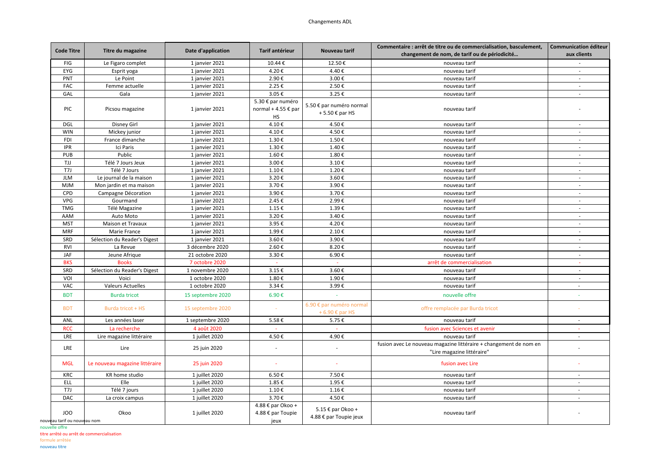| <b>Code Titre</b>            | Titre du magazine              | Date d'application | Tarif antérieur     | Nouveau tarif            | Commentaire : arrêt de titre ou de commercialisation, basculement, | <b>Communication éditeur</b> |
|------------------------------|--------------------------------|--------------------|---------------------|--------------------------|--------------------------------------------------------------------|------------------------------|
|                              |                                |                    |                     |                          | changement de nom, de tarif ou de périodicité                      | aux clients                  |
| FIG                          | Le Figaro complet              | 1 janvier 2021     | 10.44€              | 12.50€                   | nouveau tarif                                                      | $\overline{\phantom{a}}$     |
| EYG                          | Esprit yoga                    | 1 janvier 2021     | 4.20€               | 4.40€                    | nouveau tarif                                                      | $\sim$                       |
| PNT                          | Le Point                       | 1 janvier 2021     | 2.90€               | 3.00€                    | nouveau tarif                                                      | $\overline{\phantom{a}}$     |
| <b>FAC</b>                   | Femme actuelle                 | 1 janvier 2021     | 2.25€               | 2.50€                    | nouveau tarif                                                      | $\sim$                       |
| GAL                          | Gala                           | 1 janvier 2021     | 3.05€               | 3.25€                    | nouveau tarif                                                      | $\overline{\phantom{a}}$     |
|                              |                                |                    | 5.30 € par numéro   |                          |                                                                    |                              |
| <b>PIC</b>                   | Picsou magazine                | 1 janvier 2021     | normal + 4.55 € par | 5.50 € par numéro normal | nouveau tarif                                                      |                              |
|                              |                                |                    | HS                  | +5.50 € par HS           |                                                                    |                              |
| <b>DGL</b>                   | Disney Girl                    | 1 janvier 2021     | 4.10€               | 4.50€                    | nouveau tarif                                                      | $\sim$                       |
| <b>WIN</b>                   | Mickey junior                  | 1 janvier 2021     | 4.10€               | 4.50€                    | nouveau tarif                                                      | $\sim$                       |
| <b>FDI</b>                   | France dimanche                | 1 janvier 2021     | 1.30€               | 1.50€                    | nouveau tarif                                                      | $\sim$                       |
| <b>IPR</b>                   | Ici Paris                      | 1 janvier 2021     | 1.30€               | 1.40€                    | nouveau tarif                                                      | $\sim$                       |
| <b>PUB</b>                   | Public                         | 1 janvier 2021     | 1.60€               | 1.80€                    | nouveau tarif                                                      | $\sim$                       |
| TJJ                          | Télé 7 Jours Jeux              | 1 janvier 2021     | 3.00€               | 3.10€                    | nouveau tarif                                                      | $\sim$                       |
| T7J                          | Télé 7 Jours                   | 1 janvier 2021     | 1.10€               | 1.20€                    | nouveau tarif                                                      | $\sim$                       |
| <b>JLM</b>                   | Le journal de la maison        | 1 janvier 2021     | 3.20€               | 3.60€                    | nouveau tarif                                                      | $\sim$                       |
| <b>MJM</b>                   | Mon jardin et ma maison        | 1 janvier 2021     | 3.70€               | 3.90€                    | nouveau tarif                                                      | $\sim$                       |
| CPD                          | Campagne Décoration            | 1 janvier 2021     | 3.90€               | 3.70€                    | nouveau tarif                                                      | $\sim$                       |
| VPG                          | Gourmand                       | 1 janvier 2021     | 2.45€               | 2.99€                    | nouveau tarif                                                      | $\overline{\phantom{a}}$     |
| <b>TMG</b>                   | Télé Magazine                  | 1 janvier 2021     | 1.15€               | 1.39€                    | nouveau tarif                                                      | $\sim$                       |
| AAM                          | Auto Moto                      | 1 janvier 2021     | 3.20€               | 3.40€                    | nouveau tarif                                                      | $\overline{\phantom{a}}$     |
| <b>MST</b>                   | Maison et Travaux              | 1 janvier 2021     | 3.95€               | 4.20€                    | nouveau tarif                                                      | $\sim$                       |
| <b>MRF</b>                   | Marie France                   | 1 janvier 2021     | 1.99€               | 2.10€                    | nouveau tarif                                                      |                              |
| SRD                          | Sélection du Reader's Digest   | 1 janvier 2021     | 3.60€               | 3.90€                    | nouveau tarif                                                      | $\sim$                       |
| RVI                          | La Revue                       | 3 décembre 2020    | 2.60€               | 8.20€                    | nouveau tarif                                                      | $\sim$                       |
| JAF                          | Jeune Afrique                  | 21 octobre 2020    | 3.30€               | 6.90€                    | nouveau tarif                                                      | $\sim$                       |
| <b>BKS</b>                   | <b>Books</b>                   | 7 octobre 2020     | $\sim$              | $\sim$                   | arrêt de commercialisation                                         | $\overline{\phantom{a}}$     |
| SRD                          | Sélection du Reader's Digest   | 1 novembre 2020    | 3.15€               | 3.60€                    | nouveau tarif                                                      | $\sim$                       |
| VOI                          | Voici                          | 1 octobre 2020     | 1.80€               | 1.90€                    | nouveau tarif                                                      | $\overline{\phantom{a}}$     |
| VAC                          | <b>Valeurs Actuelles</b>       | 1 octobre 2020     | 3.34€               | 3.99€                    | nouveau tarif                                                      | $\sim$                       |
|                              |                                |                    |                     |                          |                                                                    |                              |
| <b>BDT</b>                   | <b>Burda tricot</b>            | 15 septembre 2020  | 6.90€               |                          | nouvelle offre                                                     | $\sim$                       |
| <b>BDT</b>                   | Burda tricot + HS              | 15 septembre 2020  |                     | 6.90 € par numéro normal | offre remplacée par Burda tricot                                   |                              |
|                              |                                |                    |                     | +6.90 $\epsilon$ par HS  |                                                                    |                              |
| ANL                          | Les années laser               | 1 septembre 2020   | 5.58€               | 5.75€                    | nouveau tarif                                                      |                              |
| <b>RCC</b>                   | La recherche                   | 4 août 2020        |                     |                          | fusion avec Sciences et avenir                                     |                              |
| LRE                          | Lire magazine littéraire       | 1 juillet 2020     | 4.50€               | 4.90€                    | nouveau tarif                                                      | $\sim$                       |
|                              |                                |                    |                     |                          | fusion avec Le nouveau magazine littéraire + changement de nom en  |                              |
| LRE                          | Lire                           | 25 juin 2020       | $\sim$              | $\sim$                   | "Lire magazine littéraire"                                         |                              |
|                              |                                |                    |                     |                          |                                                                    |                              |
| <b>MGL</b>                   | Le nouveau magazine littéraire | 25 juin 2020       | $\sim$              |                          | fusion avec Lire                                                   |                              |
| KRC                          | KR home studio                 | 1 juillet 2020     | 6.50€               | 7.50€                    | nouveau tarif                                                      | $\sim$                       |
| ELL                          | Elle                           | 1 juillet 2020     | 1.85€               | 1.95€                    | nouveau tarif                                                      | $\sim$                       |
| T7J                          | Télé 7 jours                   | 1 juillet 2020     | 1.10€               | 1.16€                    | nouveau tarif                                                      |                              |
| DAC                          | La croix campus                | 1 juillet 2020     | 3.70€               | 4.50€                    | nouveau tarif                                                      | $\sim$                       |
|                              |                                |                    | 4.88 € par Okoo +   |                          |                                                                    |                              |
| JOO                          | Okoo                           | 1 juillet 2020     | 4.88 € par Toupie   | 5.15 € par Okoo +        | nouveau tarif                                                      |                              |
| nouveau tarif ou nouveau nom |                                |                    | jeux                | 4.88 € par Toupie jeux   |                                                                    |                              |
|                              |                                |                    |                     |                          |                                                                    |                              |

nouvelle offre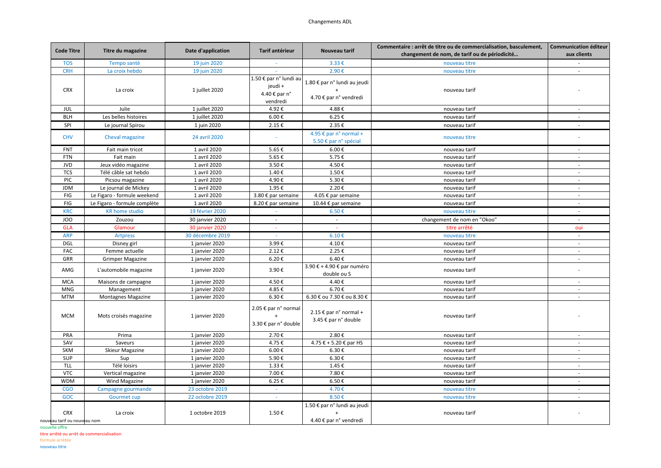| <b>Code Titre</b>            | Titre du magazine            | Date d'application     | <b>Tarif antérieur</b>                                         | Nouveau tarif                                               | Commentaire : arrêt de titre ou de commercialisation, basculement, | <b>Communication éditeur</b> |
|------------------------------|------------------------------|------------------------|----------------------------------------------------------------|-------------------------------------------------------------|--------------------------------------------------------------------|------------------------------|
|                              |                              |                        |                                                                |                                                             | changement de nom, de tarif ou de périodicité                      | aux clients                  |
| <b>TOS</b>                   | Tempo santé                  | 19 juin 2020           | $\sim$                                                         | 3.33€                                                       | nouveau titre                                                      |                              |
| <b>CRH</b>                   | La croix hebdo               | 19 juin 2020           | $\sim$                                                         | 2.90€                                                       | nouveau titre                                                      | $\sim$                       |
| <b>CRX</b>                   | La croix                     | 1 juillet 2020         | 1.50 € par n° lundi au<br>jeudi +<br>4.40 € par n°<br>vendredi | 1.80 € par n° lundi au jeudi<br>4.70 € par n° vendredi      | nouveau tarif                                                      |                              |
| JUL                          | Julie                        | 1 juillet 2020         | 4.92€                                                          | 4.88€                                                       | nouveau tarif                                                      | $\sim$                       |
| <b>BLH</b>                   | Les belles histoires         | 1 juillet 2020         | 6.00€                                                          | 6.25€                                                       | nouveau tarif                                                      | $\sim$                       |
| SPI                          | Le journal Spirou            | 1 juin 2020            | 2.15€                                                          | 2.35€                                                       | nouveau tarif                                                      | $\sim$                       |
| <b>CHV</b>                   | Cheval magazine              | 24 avril 2020          | ä,                                                             | 4.95 € par n° normal +<br>5.50 € par n° spécial             | nouveau titre                                                      | $\sim$                       |
| <b>FNT</b>                   | Fait main tricot             | 1 avril 2020           | 5.65€                                                          | 6.00€                                                       | nouveau tarif                                                      |                              |
| <b>FTN</b>                   | Fait main                    | 1 avril 2020           | 5.65€                                                          | 5.75€                                                       | nouveau tarif                                                      | $\sim$                       |
| <b>JVD</b>                   | Jeux vidéo magazine          | 1 avril 2020           | 3.50€                                                          | 4.50€                                                       | nouveau tarif                                                      |                              |
| <b>TCS</b>                   | Télé câble sat hebdo         | 1 avril 2020           | 1.40€                                                          | 1.50€                                                       | nouveau tarif                                                      | $\sim$                       |
| PIC                          | Picsou magazine              | 1 avril 2020           | 4.90€                                                          | 5.30€                                                       | nouveau tarif                                                      | $\sim$                       |
| <b>JDM</b>                   | Le journal de Mickey         | 1 avril 2020           | 1.95€                                                          | 2.20€                                                       | nouveau tarif                                                      | $\sim$                       |
| FIG                          | Le Figaro - formule weekend  | 1 avril 2020           | 3.80 € par semaine                                             | 4.05 € par semaine                                          | nouveau tarif                                                      | $\sim$                       |
| FIG                          | Le Figaro - formule complète | 1 avril 2020           | 8.20 € par semaine                                             | 10.44 € par semaine                                         | nouveau tarif                                                      | $\sim$                       |
| <b>KRC</b>                   | <b>KR</b> home studio        | 19 février 2020        |                                                                | 6.50€                                                       | nouveau titre                                                      |                              |
| JOO                          | Zouzou                       | 30 janvier 2020        | ÷.                                                             | $\sim$                                                      | changement de nom en "Okoo"                                        | $\sim$                       |
| <b>GLA</b>                   | Glamour                      | <b>30 janvier 2020</b> |                                                                |                                                             | titre arrêté                                                       | oui                          |
| <b>ARP</b>                   | <b>Artpress</b>              | 30 décembre 2019       |                                                                | $6.10 \text{ } \in$                                         | nouveau titre                                                      |                              |
| DGL                          | Disney girl                  | 1 janvier 2020         | 3.99€                                                          | 4.10€                                                       | nouveau tarif                                                      |                              |
| FAC                          | Femme actuelle               | 1 janvier 2020         | 2.12€                                                          | 2.25€                                                       | nouveau tarif                                                      |                              |
| GRR                          | <b>Grimper Magazine</b>      | 1 janvier 2020         | 6.20€                                                          | 6.40€                                                       | nouveau tarif                                                      |                              |
| AMG                          | L'automobile magazine        | 1 janvier 2020         | 3.90€                                                          | 3.90 € + 4.90 € par numéro<br>double ou S                   | nouveau tarif                                                      |                              |
| <b>MCA</b>                   | Maisons de campagne          | 1 janvier 2020         | 4.50€                                                          | 4.40€                                                       | nouveau tarif                                                      | $\sim$                       |
| <b>MNG</b>                   | Management                   | 1 janvier 2020         | 4.85€                                                          | 6.70€                                                       | nouveau tarif                                                      |                              |
| <b>MTM</b>                   | <b>Montagnes Magazine</b>    | 1 janvier 2020         | 6.30€                                                          | 6.30 € ou 7.30 € ou 8.30 €                                  | nouveau tarif                                                      |                              |
| <b>MCM</b>                   | Mots croisés magazine        | 1 janvier 2020         | 2.05 € par n° normal<br>3.30 € par n° double                   | $2.15 \text{ } \in$ par n° normal +<br>3.45 € par n° double | nouveau tarif                                                      |                              |
| PRA                          | Prima                        | 1 janvier 2020         | 2.70€                                                          | 2.80€                                                       | nouveau tarif                                                      |                              |
| SAV                          | Saveurs                      | 1 janvier 2020         | 4.75€                                                          | 4.75 € + 5.20 € par HS                                      | nouveau tarif                                                      | $\sim$                       |
| <b>SKM</b>                   | <b>Skieur Magazine</b>       | 1 janvier 2020         | $6.00 \text{ } \in$                                            | 6.30€                                                       | nouveau tarif                                                      | $\sim$                       |
| SUP                          | Sup                          | 1 janvier 2020         | 5.90€                                                          | 6.30€                                                       | nouveau tarif                                                      | $\sim$                       |
| <b>TLL</b>                   | Télé loisirs                 | 1 janvier 2020         | 1.33€                                                          | 1.45€                                                       | nouveau tarif                                                      | $\sim$                       |
| <b>VTC</b>                   | Vertical magazine            | 1 janvier 2020         | 7.00€                                                          | 7.80€                                                       | nouveau tarif                                                      | $\sim$                       |
| <b>WDM</b>                   | Wind Magazine                | 1 janvier 2020         | 6.25€                                                          | 6.50€                                                       | nouveau tarif                                                      |                              |
| <b>CGO</b>                   | Campagne gourmande           | 23 octobre 2019        |                                                                | 4.70€                                                       | nouveau titre                                                      |                              |
| GOC                          | Gourmet cup                  | 22 octobre 2019        | $\sim$                                                         | 8.50€                                                       | nouveau titre                                                      |                              |
|                              |                              |                        |                                                                | 1.50 € par n° lundi au jeudi                                |                                                                    |                              |
| <b>CRX</b>                   | La croix                     | 1 octobre 2019         | 1.50€                                                          |                                                             | nouveau tarif                                                      |                              |
| nouveau tarif ou nouveau nom |                              |                        |                                                                | 4.40 € par n° vendredi                                      |                                                                    |                              |

nouvelle offre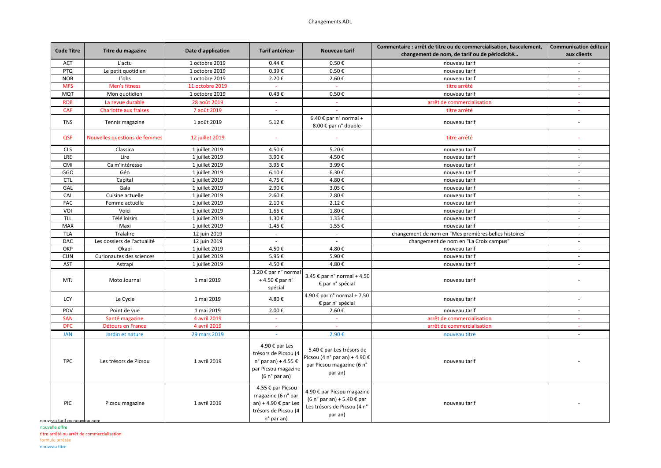## Changements ADL

| <b>Code Titre</b>             | Titre du magazine             | Date d'application | Tarif antérieur                                                                                                            | Nouveau tarif                                                                                                   | Commentaire : arrêt de titre ou de commercialisation, basculement, | <b>Communication éditeur</b> |
|-------------------------------|-------------------------------|--------------------|----------------------------------------------------------------------------------------------------------------------------|-----------------------------------------------------------------------------------------------------------------|--------------------------------------------------------------------|------------------------------|
|                               |                               |                    |                                                                                                                            |                                                                                                                 | changement de nom, de tarif ou de périodicité                      | aux clients                  |
| <b>ACT</b>                    | L'actu                        | 1 octobre 2019     | $0.44 \text{ } \epsilon$                                                                                                   | $0.50 \text{ } \in$                                                                                             | nouveau tarif                                                      | $\sim$                       |
| <b>PTQ</b>                    | Le petit quotidien            | 1 octobre 2019     | $0.39 \text{ } \in$                                                                                                        | $0.50 \text{ } \in$                                                                                             | nouveau tarif                                                      | $\mathcal{L}_{\mathcal{A}}$  |
| <b>NOB</b>                    | L'obs                         | 1 octobre 2019     | 2.20€                                                                                                                      | 2.60€                                                                                                           | nouveau tarif                                                      | $\sim$                       |
| <b>MFS</b>                    | Men's fitness                 | 11 octobre 2019    | $\omega$                                                                                                                   | $\sim$                                                                                                          | titre arrêté                                                       | $\omega$                     |
| <b>MQT</b>                    | Mon quotidien                 | 1 octobre 2019     | 0.43€                                                                                                                      | 0.50€                                                                                                           | nouveau tarif                                                      | $\sim$                       |
| <b>RDB</b>                    | La revue durable              | 28 août 2019       | $\sim$                                                                                                                     |                                                                                                                 | arrêt de commercialisation                                         |                              |
| CAF                           | <b>Charlotte aux fraises</b>  | 7 août 2019        | $\sim$                                                                                                                     |                                                                                                                 | titre arrêté                                                       |                              |
| <b>TNS</b>                    | Tennis magazine               | 1 août 2019        | 5.12€                                                                                                                      | 6.40 € par $n^{\circ}$ normal +<br>8.00 € par n° double                                                         | nouveau tarif                                                      |                              |
| QSF                           | Nouvelles questions de femmes | 12 juillet 2019    | ÷.                                                                                                                         |                                                                                                                 | titre arrêté                                                       |                              |
| <b>CLS</b>                    | Classica                      | 1 juillet 2019     | 4.50€                                                                                                                      | 5.20€                                                                                                           | nouveau tarif                                                      | $\sim$                       |
| LRE                           | Lire                          | 1 juillet 2019     | 3.90€                                                                                                                      | 4.50€                                                                                                           | nouveau tarif                                                      | $\sim$                       |
| CMI                           | Ca m'intéresse                | 1 juillet 2019     | 3.95€                                                                                                                      | 3.99€                                                                                                           | nouveau tarif                                                      | $\sim$                       |
| GGO                           | Géo                           | 1 juillet 2019     | 6.10€                                                                                                                      | 6.30€                                                                                                           | nouveau tarif                                                      | $\sim$                       |
| <b>CTL</b>                    | Capital                       | 1 juillet 2019     | 4.75€                                                                                                                      | 4.80€                                                                                                           | nouveau tarif                                                      | $\sim$                       |
| GAL                           | Gala                          | 1 juillet 2019     | 2.90€                                                                                                                      | 3.05€                                                                                                           | nouveau tarif                                                      | $\sim$                       |
| CAL                           | Cuisine actuelle              | 1 juillet 2019     | 2.60€                                                                                                                      | 2.80€                                                                                                           | nouveau tarif                                                      | $\sim$                       |
| FAC                           | Femme actuelle                | 1 juillet 2019     | 2.10€                                                                                                                      | 2.12€                                                                                                           | nouveau tarif                                                      | $\sim$                       |
| VOI                           | Voici                         | 1 juillet 2019     | 1.65€                                                                                                                      | 1.80€                                                                                                           | nouveau tarif                                                      | $\sim$                       |
| <b>TLL</b>                    | Télé loisirs                  | 1 juillet 2019     | 1.30€                                                                                                                      | 1.33€                                                                                                           | nouveau tarif                                                      | $\sim$                       |
| MAX                           | Maxi                          | 1 juillet 2019     | 1.45€                                                                                                                      | 1.55€                                                                                                           | nouveau tarif                                                      | $\sim$                       |
| <b>TLA</b>                    | Tralalire                     | 12 juin 2019       | $\mathcal{L}^{\pm}$                                                                                                        | $\sim$                                                                                                          | changement de nom en "Mes premières belles histoires"              | $\sim$                       |
| <b>DAC</b>                    | Les dossiers de l'actualité   | 12 juin 2019       | $\sim$                                                                                                                     | $\sim$                                                                                                          | changement de nom en "La Croix campus"                             | $\sim$                       |
| OKP                           | Okapi                         | 1 juillet 2019     | 4.50€                                                                                                                      | 4.80€                                                                                                           | nouveau tarif                                                      | $\sim$                       |
| <b>CUN</b>                    | Curionautes des sciences      | 1 juillet 2019     | 5.95€                                                                                                                      | 5.90€                                                                                                           | nouveau tarif                                                      | $\sim$                       |
| AST                           | Astrapi                       | 1 juillet 2019     | 4.50€                                                                                                                      | 4.80€                                                                                                           | nouveau tarif                                                      | $\sim$                       |
| <b>MTJ</b>                    | Moto Journal                  | 1 mai 2019         | 3.20 € par n° normal<br>+4.50 € par n°<br>spécial                                                                          | 3.45 € par n° normal + 4.50<br>€ par n° spécial                                                                 | nouveau tarif                                                      |                              |
| LCY                           | Le Cycle                      | 1 mai 2019         | 4.80€                                                                                                                      | 4.90 € par n° normal + 7.50<br>€ par n° spécial                                                                 | nouveau tarif                                                      |                              |
| PDV                           | Point de vue                  | 1 mai 2019         | 2.00€                                                                                                                      | 2.60€                                                                                                           | nouveau tarif                                                      | $\sim$                       |
| SAN                           | Santé magazine                | 4 avril 2019       | $\omega$                                                                                                                   | $\omega$                                                                                                        | arrêt de commercialisation                                         | $\sim$                       |
| <b>DFC</b>                    | Détours en France             | 4 avril 2019       | ÷.                                                                                                                         |                                                                                                                 | arrêt de commercialisation                                         | $\sim$                       |
| <b>JAN</b>                    | Jardin et nature              | 29 mars 2019       |                                                                                                                            | 2.90€                                                                                                           | nouveau titre                                                      |                              |
| <b>TPC</b>                    | Les trésors de Picsou         | 1 avril 2019       | 4.90 € par Les<br>trésors de Picsou (4<br>n° par an) + 4.55 $\epsilon$<br>par Picsou magazine<br>(6 n <sup>o</sup> par an) | 5.40 € par Les trésors de<br>Picsou (4 n° par an) + 4.90 €<br>par Picsou magazine (6 n°<br>par an)              | nouveau tarif                                                      |                              |
| PIC<br>nouveau tarif ou nouve | Picsou magazine               | 1 avril 2019       | 4.55 € par Picsou<br>magazine (6 n° par<br>an) + 4.90 $\epsilon$ par Les<br>trésors de Picsou (4<br>n° par an)             | 4.90 € par Picsou magazine<br>$(6 no par an) + 5.40 \text{ } \in$ par<br>Les trésors de Picsou (4 n°<br>par an) | nouveau tarif                                                      |                              |

nouvelle offre titre arrêté ou arrêt de commercialisation formule arrêtée

nouveau titre